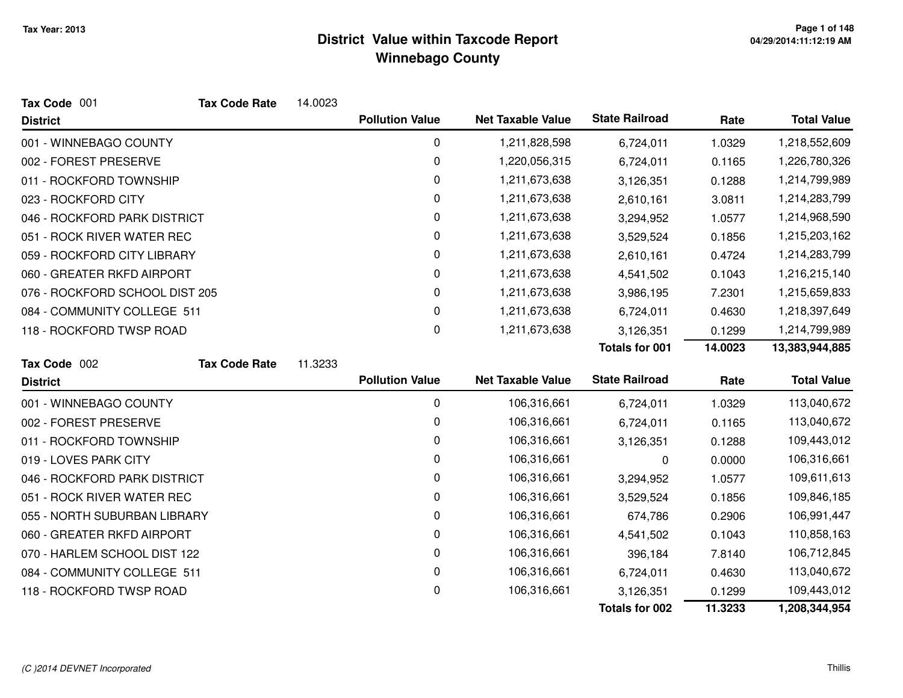| Tax Code 001                   | <b>Tax Code Rate</b> | 14.0023 |                        |                          |                       |         |                    |
|--------------------------------|----------------------|---------|------------------------|--------------------------|-----------------------|---------|--------------------|
| <b>District</b>                |                      |         | <b>Pollution Value</b> | <b>Net Taxable Value</b> | <b>State Railroad</b> | Rate    | <b>Total Value</b> |
| 001 - WINNEBAGO COUNTY         |                      |         | 0                      | 1,211,828,598            | 6,724,011             | 1.0329  | 1,218,552,609      |
| 002 - FOREST PRESERVE          |                      |         | 0                      | 1,220,056,315            | 6,724,011             | 0.1165  | 1,226,780,326      |
| 011 - ROCKFORD TOWNSHIP        |                      |         | 0                      | 1,211,673,638            | 3,126,351             | 0.1288  | 1,214,799,989      |
| 023 - ROCKFORD CITY            |                      |         | 0                      | 1,211,673,638            | 2,610,161             | 3.0811  | 1,214,283,799      |
| 046 - ROCKFORD PARK DISTRICT   |                      |         | 0                      | 1,211,673,638            | 3,294,952             | 1.0577  | 1,214,968,590      |
| 051 - ROCK RIVER WATER REC     |                      |         | 0                      | 1,211,673,638            | 3,529,524             | 0.1856  | 1,215,203,162      |
| 059 - ROCKFORD CITY LIBRARY    |                      |         | 0                      | 1,211,673,638            | 2,610,161             | 0.4724  | 1,214,283,799      |
| 060 - GREATER RKFD AIRPORT     |                      |         | 0                      | 1,211,673,638            | 4,541,502             | 0.1043  | 1,216,215,140      |
| 076 - ROCKFORD SCHOOL DIST 205 |                      |         | 0                      | 1,211,673,638            | 3,986,195             | 7.2301  | 1,215,659,833      |
| 084 - COMMUNITY COLLEGE 511    |                      |         | 0                      | 1,211,673,638            | 6,724,011             | 0.4630  | 1,218,397,649      |
| 118 - ROCKFORD TWSP ROAD       |                      |         | 0                      | 1,211,673,638            | 3,126,351             | 0.1299  | 1,214,799,989      |
|                                |                      |         |                        |                          | <b>Totals for 001</b> | 14.0023 | 13,383,944,885     |
| Tax Code 002                   | <b>Tax Code Rate</b> | 11.3233 |                        |                          |                       |         |                    |
| <b>District</b>                |                      |         | <b>Pollution Value</b> | <b>Net Taxable Value</b> | <b>State Railroad</b> | Rate    | <b>Total Value</b> |
| 001 - WINNEBAGO COUNTY         |                      |         | 0                      | 106,316,661              | 6,724,011             | 1.0329  | 113,040,672        |
| 002 - FOREST PRESERVE          |                      |         | 0                      | 106,316,661              | 6,724,011             | 0.1165  | 113,040,672        |
| 011 - ROCKFORD TOWNSHIP        |                      |         | 0                      | 106,316,661              | 3,126,351             | 0.1288  | 109,443,012        |
| 019 - LOVES PARK CITY          |                      |         | 0                      | 106,316,661              | 0                     | 0.0000  | 106,316,661        |
| 046 - ROCKFORD PARK DISTRICT   |                      |         | 0                      | 106,316,661              | 3,294,952             | 1.0577  | 109,611,613        |
| 051 - ROCK RIVER WATER REC     |                      |         | 0                      | 106,316,661              | 3,529,524             | 0.1856  | 109,846,185        |
| 055 - NORTH SUBURBAN LIBRARY   |                      |         | 0                      | 106,316,661              | 674,786               | 0.2906  | 106,991,447        |
| 060 - GREATER RKFD AIRPORT     |                      |         | 0                      | 106,316,661              | 4,541,502             | 0.1043  | 110,858,163        |
| 070 - HARLEM SCHOOL DIST 122   |                      |         | 0                      | 106,316,661              | 396,184               | 7.8140  | 106,712,845        |
| 084 - COMMUNITY COLLEGE 511    |                      |         | 0                      | 106,316,661              | 6,724,011             | 0.4630  | 113,040,672        |
| 118 - ROCKFORD TWSP ROAD       |                      |         | 0                      | 106,316,661              | 3,126,351             | 0.1299  | 109,443,012        |
|                                |                      |         |                        |                          | <b>Totals for 002</b> | 11.3233 | 1,208,344,954      |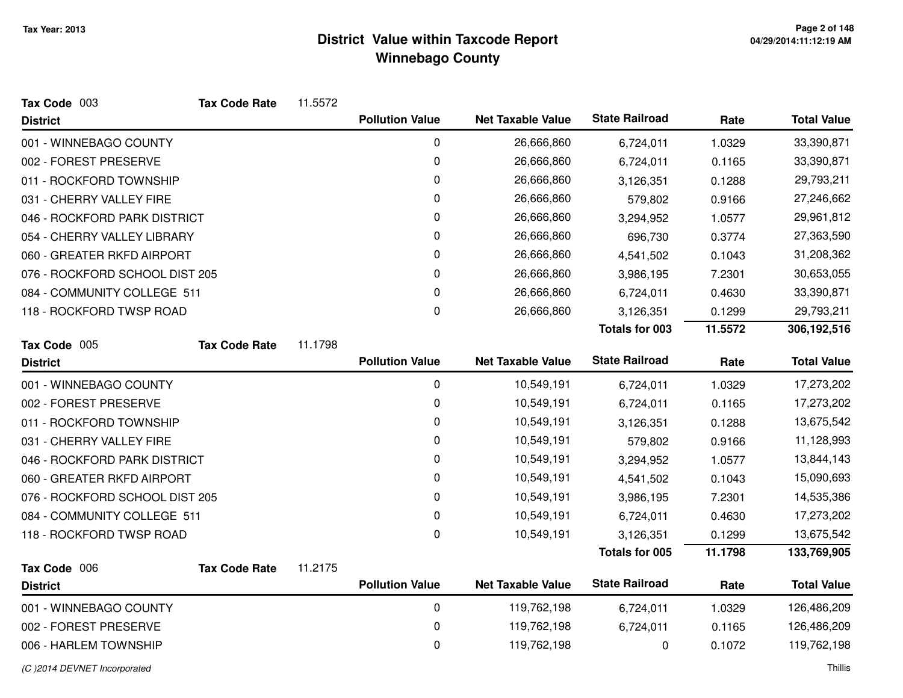| Tax Code 003                   | <b>Tax Code Rate</b> | 11.5572 |                        |                          |                       |         |                    |
|--------------------------------|----------------------|---------|------------------------|--------------------------|-----------------------|---------|--------------------|
| <b>District</b>                |                      |         | <b>Pollution Value</b> | <b>Net Taxable Value</b> | <b>State Railroad</b> | Rate    | <b>Total Value</b> |
| 001 - WINNEBAGO COUNTY         |                      |         | 0                      | 26,666,860               | 6,724,011             | 1.0329  | 33,390,871         |
| 002 - FOREST PRESERVE          |                      |         | 0                      | 26,666,860               | 6,724,011             | 0.1165  | 33,390,871         |
| 011 - ROCKFORD TOWNSHIP        |                      |         | 0                      | 26,666,860               | 3,126,351             | 0.1288  | 29,793,211         |
| 031 - CHERRY VALLEY FIRE       |                      |         | 0                      | 26,666,860               | 579,802               | 0.9166  | 27,246,662         |
| 046 - ROCKFORD PARK DISTRICT   |                      |         | 0                      | 26,666,860               | 3,294,952             | 1.0577  | 29,961,812         |
| 054 - CHERRY VALLEY LIBRARY    |                      |         | 0                      | 26,666,860               | 696,730               | 0.3774  | 27,363,590         |
| 060 - GREATER RKFD AIRPORT     |                      |         | 0                      | 26,666,860               | 4,541,502             | 0.1043  | 31,208,362         |
| 076 - ROCKFORD SCHOOL DIST 205 |                      |         | 0                      | 26,666,860               | 3,986,195             | 7.2301  | 30,653,055         |
| 084 - COMMUNITY COLLEGE 511    |                      |         | 0                      | 26,666,860               | 6,724,011             | 0.4630  | 33,390,871         |
| 118 - ROCKFORD TWSP ROAD       |                      |         | $\mathbf 0$            | 26,666,860               | 3,126,351             | 0.1299  | 29,793,211         |
|                                |                      |         |                        |                          | <b>Totals for 003</b> | 11.5572 | 306,192,516        |
| Tax Code 005                   | <b>Tax Code Rate</b> | 11.1798 |                        |                          |                       |         |                    |
| <b>District</b>                |                      |         | <b>Pollution Value</b> | <b>Net Taxable Value</b> | <b>State Railroad</b> | Rate    | <b>Total Value</b> |
| 001 - WINNEBAGO COUNTY         |                      |         | 0                      | 10,549,191               | 6,724,011             | 1.0329  | 17,273,202         |
| 002 - FOREST PRESERVE          |                      |         | 0                      | 10,549,191               | 6,724,011             | 0.1165  | 17,273,202         |
| 011 - ROCKFORD TOWNSHIP        |                      |         | 0                      | 10,549,191               | 3,126,351             | 0.1288  | 13,675,542         |
| 031 - CHERRY VALLEY FIRE       |                      |         | 0                      | 10,549,191               | 579,802               | 0.9166  | 11,128,993         |
| 046 - ROCKFORD PARK DISTRICT   |                      |         | 0                      | 10,549,191               | 3,294,952             | 1.0577  | 13,844,143         |
| 060 - GREATER RKFD AIRPORT     |                      |         | 0                      | 10,549,191               | 4,541,502             | 0.1043  | 15,090,693         |
| 076 - ROCKFORD SCHOOL DIST 205 |                      |         | 0                      | 10,549,191               | 3,986,195             | 7.2301  | 14,535,386         |
| 084 - COMMUNITY COLLEGE 511    |                      |         | 0                      | 10,549,191               | 6,724,011             | 0.4630  | 17,273,202         |
| 118 - ROCKFORD TWSP ROAD       |                      |         | 0                      | 10,549,191               | 3,126,351             | 0.1299  | 13,675,542         |
|                                |                      |         |                        |                          | <b>Totals for 005</b> | 11.1798 | 133,769,905        |
| Tax Code 006                   | <b>Tax Code Rate</b> | 11.2175 |                        |                          |                       |         |                    |
| <b>District</b>                |                      |         | <b>Pollution Value</b> | <b>Net Taxable Value</b> | <b>State Railroad</b> | Rate    | <b>Total Value</b> |
| 001 - WINNEBAGO COUNTY         |                      |         | 0                      | 119,762,198              | 6,724,011             | 1.0329  | 126,486,209        |
| 002 - FOREST PRESERVE          |                      |         | 0                      | 119,762,198              | 6,724,011             | 0.1165  | 126,486,209        |
| 006 - HARLEM TOWNSHIP          |                      |         | 0                      | 119,762,198              | 0                     | 0.1072  | 119,762,198        |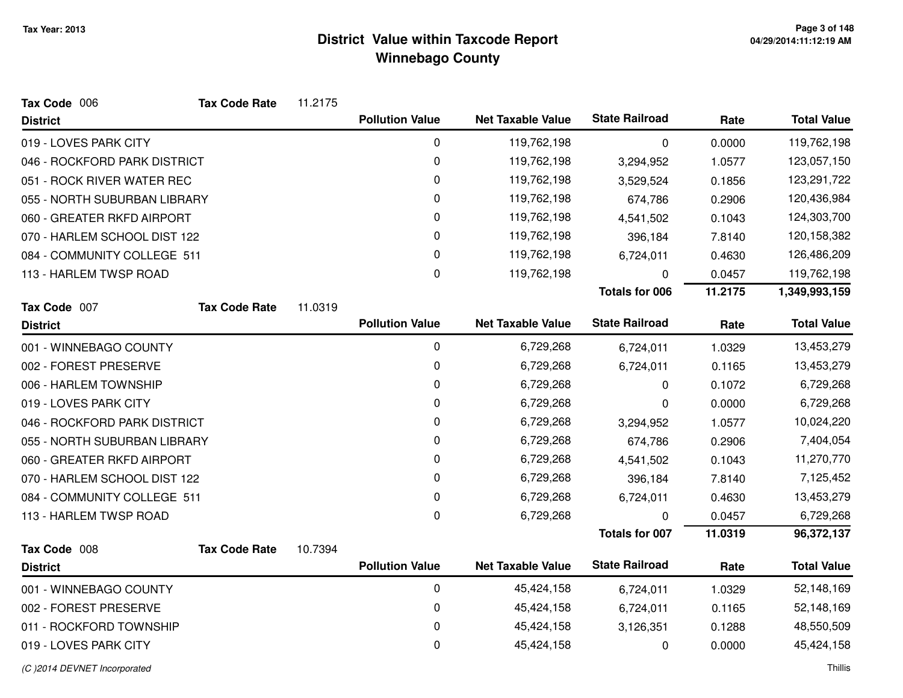| Tax Code 006                 | <b>Tax Code Rate</b> | 11.2175 |                        |                          |                       |         |                    |
|------------------------------|----------------------|---------|------------------------|--------------------------|-----------------------|---------|--------------------|
| <b>District</b>              |                      |         | <b>Pollution Value</b> | <b>Net Taxable Value</b> | <b>State Railroad</b> | Rate    | <b>Total Value</b> |
| 019 - LOVES PARK CITY        |                      |         | 0                      | 119,762,198              | 0                     | 0.0000  | 119,762,198        |
| 046 - ROCKFORD PARK DISTRICT |                      |         | 0                      | 119,762,198              | 3,294,952             | 1.0577  | 123,057,150        |
| 051 - ROCK RIVER WATER REC   |                      |         | 0                      | 119,762,198              | 3,529,524             | 0.1856  | 123,291,722        |
| 055 - NORTH SUBURBAN LIBRARY |                      |         | $\mathbf 0$            | 119,762,198              | 674,786               | 0.2906  | 120,436,984        |
| 060 - GREATER RKFD AIRPORT   |                      |         | 0                      | 119,762,198              | 4,541,502             | 0.1043  | 124,303,700        |
| 070 - HARLEM SCHOOL DIST 122 |                      |         | 0                      | 119,762,198              | 396,184               | 7.8140  | 120,158,382        |
| 084 - COMMUNITY COLLEGE 511  |                      |         | 0                      | 119,762,198              | 6,724,011             | 0.4630  | 126,486,209        |
| 113 - HARLEM TWSP ROAD       |                      |         | 0                      | 119,762,198              | 0                     | 0.0457  | 119,762,198        |
|                              |                      |         |                        |                          | <b>Totals for 006</b> | 11.2175 | 1,349,993,159      |
| Tax Code 007                 | <b>Tax Code Rate</b> | 11.0319 |                        |                          |                       |         |                    |
| <b>District</b>              |                      |         | <b>Pollution Value</b> | <b>Net Taxable Value</b> | <b>State Railroad</b> | Rate    | <b>Total Value</b> |
| 001 - WINNEBAGO COUNTY       |                      |         | 0                      | 6,729,268                | 6,724,011             | 1.0329  | 13,453,279         |
| 002 - FOREST PRESERVE        |                      |         | 0                      | 6,729,268                | 6,724,011             | 0.1165  | 13,453,279         |
| 006 - HARLEM TOWNSHIP        |                      |         | 0                      | 6,729,268                | 0                     | 0.1072  | 6,729,268          |
| 019 - LOVES PARK CITY        |                      |         | 0                      | 6,729,268                | 0                     | 0.0000  | 6,729,268          |
| 046 - ROCKFORD PARK DISTRICT |                      |         | 0                      | 6,729,268                | 3,294,952             | 1.0577  | 10,024,220         |
| 055 - NORTH SUBURBAN LIBRARY |                      |         | 0                      | 6,729,268                | 674,786               | 0.2906  | 7,404,054          |
| 060 - GREATER RKFD AIRPORT   |                      |         | $\mathbf 0$            | 6,729,268                | 4,541,502             | 0.1043  | 11,270,770         |
| 070 - HARLEM SCHOOL DIST 122 |                      |         | 0                      | 6,729,268                | 396,184               | 7.8140  | 7,125,452          |
| 084 - COMMUNITY COLLEGE 511  |                      |         | $\mathbf 0$            | 6,729,268                | 6,724,011             | 0.4630  | 13,453,279         |
| 113 - HARLEM TWSP ROAD       |                      |         | 0                      | 6,729,268                | 0                     | 0.0457  | 6,729,268          |
|                              |                      |         |                        |                          | <b>Totals for 007</b> | 11.0319 | 96,372,137         |
| Tax Code 008                 | <b>Tax Code Rate</b> | 10.7394 |                        |                          |                       |         |                    |
| <b>District</b>              |                      |         | <b>Pollution Value</b> | <b>Net Taxable Value</b> | <b>State Railroad</b> | Rate    | <b>Total Value</b> |
| 001 - WINNEBAGO COUNTY       |                      |         | $\mathbf 0$            | 45,424,158               | 6,724,011             | 1.0329  | 52,148,169         |
| 002 - FOREST PRESERVE        |                      |         | 0                      | 45,424,158               | 6,724,011             | 0.1165  | 52,148,169         |
| 011 - ROCKFORD TOWNSHIP      |                      |         | $\mathbf 0$            | 45,424,158               | 3,126,351             | 0.1288  | 48,550,509         |
| 019 - LOVES PARK CITY        |                      |         | 0                      | 45,424,158               | 0                     | 0.0000  | 45,424,158         |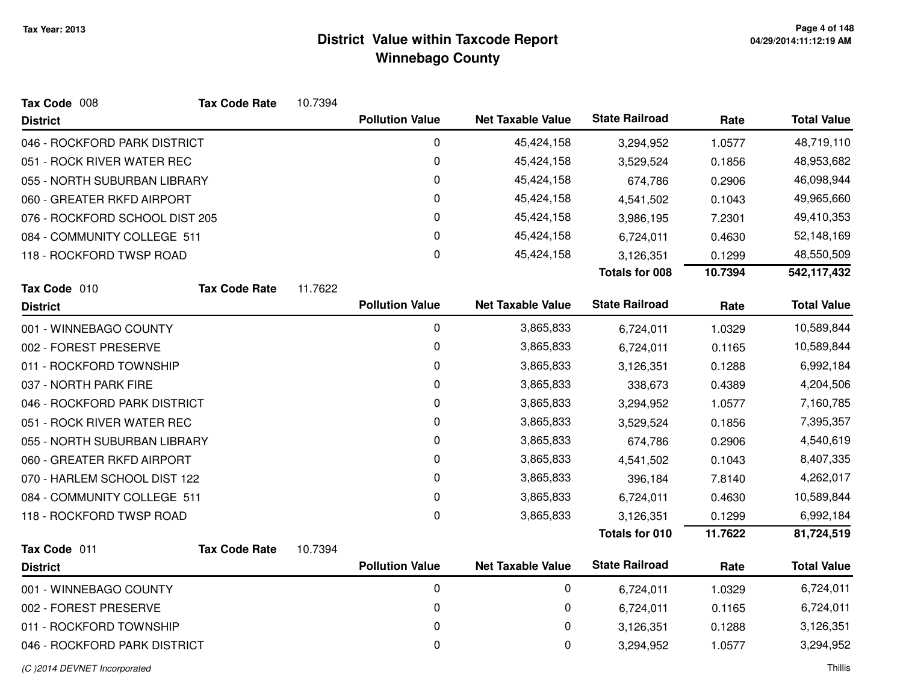| Tax Code 008                   | <b>Tax Code Rate</b> | 10.7394 |                        |                          |                       |         |                    |
|--------------------------------|----------------------|---------|------------------------|--------------------------|-----------------------|---------|--------------------|
| <b>District</b>                |                      |         | <b>Pollution Value</b> | <b>Net Taxable Value</b> | <b>State Railroad</b> | Rate    | <b>Total Value</b> |
| 046 - ROCKFORD PARK DISTRICT   |                      |         | 0                      | 45,424,158               | 3,294,952             | 1.0577  | 48,719,110         |
| 051 - ROCK RIVER WATER REC     |                      |         | 0                      | 45,424,158               | 3,529,524             | 0.1856  | 48,953,682         |
| 055 - NORTH SUBURBAN LIBRARY   |                      |         | $\mathbf 0$            | 45,424,158               | 674,786               | 0.2906  | 46,098,944         |
| 060 - GREATER RKFD AIRPORT     |                      |         | 0                      | 45,424,158               | 4,541,502             | 0.1043  | 49,965,660         |
| 076 - ROCKFORD SCHOOL DIST 205 |                      |         | 0                      | 45,424,158               | 3,986,195             | 7.2301  | 49,410,353         |
| 084 - COMMUNITY COLLEGE 511    |                      |         | 0                      | 45,424,158               | 6,724,011             | 0.4630  | 52,148,169         |
| 118 - ROCKFORD TWSP ROAD       |                      |         | 0                      | 45,424,158               | 3,126,351             | 0.1299  | 48,550,509         |
|                                |                      |         |                        |                          | <b>Totals for 008</b> | 10.7394 | 542,117,432        |
| Tax Code 010                   | <b>Tax Code Rate</b> | 11.7622 |                        |                          |                       |         |                    |
| <b>District</b>                |                      |         | <b>Pollution Value</b> | <b>Net Taxable Value</b> | <b>State Railroad</b> | Rate    | <b>Total Value</b> |
| 001 - WINNEBAGO COUNTY         |                      |         | 0                      | 3,865,833                | 6,724,011             | 1.0329  | 10,589,844         |
| 002 - FOREST PRESERVE          |                      |         | 0                      | 3,865,833                | 6,724,011             | 0.1165  | 10,589,844         |
| 011 - ROCKFORD TOWNSHIP        |                      |         | 0                      | 3,865,833                | 3,126,351             | 0.1288  | 6,992,184          |
| 037 - NORTH PARK FIRE          |                      |         | 0                      | 3,865,833                | 338,673               | 0.4389  | 4,204,506          |
| 046 - ROCKFORD PARK DISTRICT   |                      |         | 0                      | 3,865,833                | 3,294,952             | 1.0577  | 7,160,785          |
| 051 - ROCK RIVER WATER REC     |                      |         | 0                      | 3,865,833                | 3,529,524             | 0.1856  | 7,395,357          |
| 055 - NORTH SUBURBAN LIBRARY   |                      |         | 0                      | 3,865,833                | 674,786               | 0.2906  | 4,540,619          |
| 060 - GREATER RKFD AIRPORT     |                      |         | 0                      | 3,865,833                | 4,541,502             | 0.1043  | 8,407,335          |
| 070 - HARLEM SCHOOL DIST 122   |                      |         | 0                      | 3,865,833                | 396,184               | 7.8140  | 4,262,017          |
| 084 - COMMUNITY COLLEGE 511    |                      |         | $\pmb{0}$              | 3,865,833                | 6,724,011             | 0.4630  | 10,589,844         |
| 118 - ROCKFORD TWSP ROAD       |                      |         | 0                      | 3,865,833                | 3,126,351             | 0.1299  | 6,992,184          |
|                                |                      |         |                        |                          | Totals for 010        | 11.7622 | 81,724,519         |
| Tax Code 011                   | <b>Tax Code Rate</b> | 10.7394 |                        |                          |                       |         |                    |
| <b>District</b>                |                      |         | <b>Pollution Value</b> | <b>Net Taxable Value</b> | <b>State Railroad</b> | Rate    | <b>Total Value</b> |
| 001 - WINNEBAGO COUNTY         |                      |         | $\mathbf 0$            | $\mathbf 0$              | 6,724,011             | 1.0329  | 6,724,011          |
| 002 - FOREST PRESERVE          |                      |         | 0                      | 0                        | 6,724,011             | 0.1165  | 6,724,011          |
| 011 - ROCKFORD TOWNSHIP        |                      |         | 0                      | 0                        | 3,126,351             | 0.1288  | 3,126,351          |
| 046 - ROCKFORD PARK DISTRICT   |                      |         | 0                      | 0                        | 3,294,952             | 1.0577  | 3,294,952          |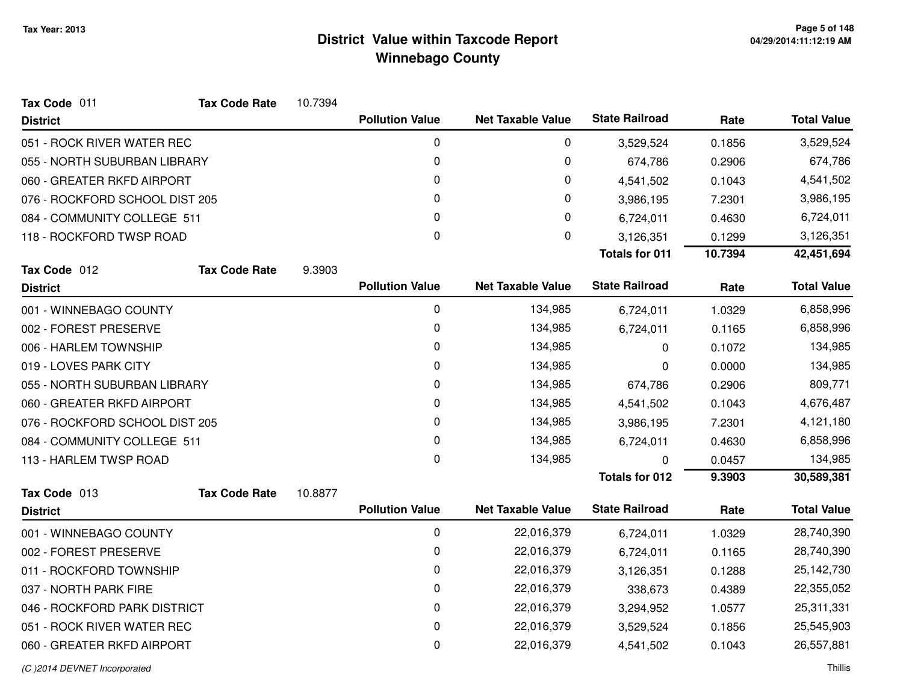| Tax Code 011                   | <b>Tax Code Rate</b> | 10.7394 |                        |                          |                       |         |                    |
|--------------------------------|----------------------|---------|------------------------|--------------------------|-----------------------|---------|--------------------|
| <b>District</b>                |                      |         | <b>Pollution Value</b> | <b>Net Taxable Value</b> | <b>State Railroad</b> | Rate    | <b>Total Value</b> |
| 051 - ROCK RIVER WATER REC     |                      |         | 0                      | 0                        | 3,529,524             | 0.1856  | 3,529,524          |
| 055 - NORTH SUBURBAN LIBRARY   |                      |         | 0                      | 0                        | 674,786               | 0.2906  | 674,786            |
| 060 - GREATER RKFD AIRPORT     |                      |         | 0                      | 0                        | 4,541,502             | 0.1043  | 4,541,502          |
| 076 - ROCKFORD SCHOOL DIST 205 |                      |         | 0                      | 0                        | 3,986,195             | 7.2301  | 3,986,195          |
| 084 - COMMUNITY COLLEGE 511    |                      |         | 0                      | 0                        | 6,724,011             | 0.4630  | 6,724,011          |
| 118 - ROCKFORD TWSP ROAD       |                      |         | 0                      | 0                        | 3,126,351             | 0.1299  | 3,126,351          |
|                                |                      |         |                        |                          | <b>Totals for 011</b> | 10.7394 | 42,451,694         |
| Tax Code 012                   | <b>Tax Code Rate</b> | 9.3903  |                        |                          |                       |         |                    |
| <b>District</b>                |                      |         | <b>Pollution Value</b> | <b>Net Taxable Value</b> | <b>State Railroad</b> | Rate    | <b>Total Value</b> |
| 001 - WINNEBAGO COUNTY         |                      |         | 0                      | 134,985                  | 6,724,011             | 1.0329  | 6,858,996          |
| 002 - FOREST PRESERVE          |                      |         | 0                      | 134,985                  | 6,724,011             | 0.1165  | 6,858,996          |
| 006 - HARLEM TOWNSHIP          |                      |         | 0                      | 134,985                  | 0                     | 0.1072  | 134,985            |
| 019 - LOVES PARK CITY          |                      |         | 0                      | 134,985                  | 0                     | 0.0000  | 134,985            |
| 055 - NORTH SUBURBAN LIBRARY   |                      |         | 0                      | 134,985                  | 674,786               | 0.2906  | 809,771            |
| 060 - GREATER RKFD AIRPORT     |                      |         | 0                      | 134,985                  | 4,541,502             | 0.1043  | 4,676,487          |
| 076 - ROCKFORD SCHOOL DIST 205 |                      |         | 0                      | 134,985                  | 3,986,195             | 7.2301  | 4,121,180          |
| 084 - COMMUNITY COLLEGE 511    |                      |         | 0                      | 134,985                  | 6,724,011             | 0.4630  | 6,858,996          |
| 113 - HARLEM TWSP ROAD         |                      |         | 0                      | 134,985                  | 0                     | 0.0457  | 134,985            |
|                                |                      |         |                        |                          | <b>Totals for 012</b> | 9.3903  | 30,589,381         |
| Tax Code 013                   | <b>Tax Code Rate</b> | 10.8877 | <b>Pollution Value</b> | <b>Net Taxable Value</b> | <b>State Railroad</b> |         | <b>Total Value</b> |
| <b>District</b>                |                      |         |                        |                          |                       | Rate    |                    |
| 001 - WINNEBAGO COUNTY         |                      |         | 0                      | 22,016,379               | 6,724,011             | 1.0329  | 28,740,390         |
| 002 - FOREST PRESERVE          |                      |         | 0                      | 22,016,379               | 6,724,011             | 0.1165  | 28,740,390         |
| 011 - ROCKFORD TOWNSHIP        |                      |         | 0                      | 22,016,379               | 3,126,351             | 0.1288  | 25,142,730         |
| 037 - NORTH PARK FIRE          |                      |         | 0                      | 22,016,379               | 338,673               | 0.4389  | 22,355,052         |
| 046 - ROCKFORD PARK DISTRICT   |                      |         | 0                      | 22,016,379               | 3,294,952             | 1.0577  | 25,311,331         |
| 051 - ROCK RIVER WATER REC     |                      |         | 0                      | 22,016,379               | 3,529,524             | 0.1856  | 25,545,903         |
| 060 - GREATER RKFD AIRPORT     |                      |         | 0                      | 22,016,379               | 4,541,502             | 0.1043  | 26,557,881         |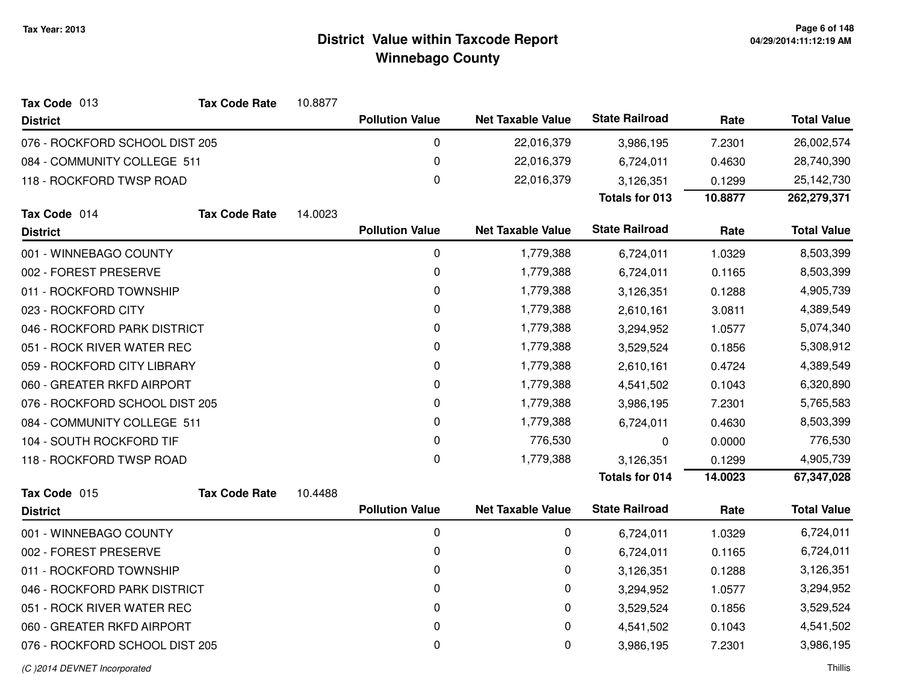| Tax Code 013                   | <b>Tax Code Rate</b> | 10.8877 |                        |                          |                       |         |                    |
|--------------------------------|----------------------|---------|------------------------|--------------------------|-----------------------|---------|--------------------|
| <b>District</b>                |                      |         | <b>Pollution Value</b> | <b>Net Taxable Value</b> | <b>State Railroad</b> | Rate    | <b>Total Value</b> |
| 076 - ROCKFORD SCHOOL DIST 205 |                      |         | 0                      | 22,016,379               | 3,986,195             | 7.2301  | 26,002,574         |
| 084 - COMMUNITY COLLEGE 511    |                      |         | 0                      | 22,016,379               | 6,724,011             | 0.4630  | 28,740,390         |
| 118 - ROCKFORD TWSP ROAD       |                      |         | 0                      | 22,016,379               | 3,126,351             | 0.1299  | 25,142,730         |
|                                |                      |         |                        |                          | <b>Totals for 013</b> | 10.8877 | 262,279,371        |
| Tax Code 014                   | <b>Tax Code Rate</b> | 14.0023 |                        |                          |                       |         |                    |
| <b>District</b>                |                      |         | <b>Pollution Value</b> | <b>Net Taxable Value</b> | <b>State Railroad</b> | Rate    | <b>Total Value</b> |
| 001 - WINNEBAGO COUNTY         |                      |         | 0                      | 1,779,388                | 6,724,011             | 1.0329  | 8,503,399          |
| 002 - FOREST PRESERVE          |                      |         | 0                      | 1,779,388                | 6,724,011             | 0.1165  | 8,503,399          |
| 011 - ROCKFORD TOWNSHIP        |                      |         | 0                      | 1,779,388                | 3,126,351             | 0.1288  | 4,905,739          |
| 023 - ROCKFORD CITY            |                      |         | 0                      | 1,779,388                | 2,610,161             | 3.0811  | 4,389,549          |
| 046 - ROCKFORD PARK DISTRICT   |                      |         | 0                      | 1,779,388                | 3,294,952             | 1.0577  | 5,074,340          |
| 051 - ROCK RIVER WATER REC     |                      |         | 0                      | 1,779,388                | 3,529,524             | 0.1856  | 5,308,912          |
| 059 - ROCKFORD CITY LIBRARY    |                      |         | $\pmb{0}$              | 1,779,388                | 2,610,161             | 0.4724  | 4,389,549          |
| 060 - GREATER RKFD AIRPORT     |                      |         | 0                      | 1,779,388                | 4,541,502             | 0.1043  | 6,320,890          |
| 076 - ROCKFORD SCHOOL DIST 205 |                      |         | 0                      | 1,779,388                | 3,986,195             | 7.2301  | 5,765,583          |
| 084 - COMMUNITY COLLEGE 511    |                      |         | 0                      | 1,779,388                | 6,724,011             | 0.4630  | 8,503,399          |
| 104 - SOUTH ROCKFORD TIF       |                      |         | 0                      | 776,530                  | 0                     | 0.0000  | 776,530            |
| 118 - ROCKFORD TWSP ROAD       |                      |         | 0                      | 1,779,388                | 3,126,351             | 0.1299  | 4,905,739          |
|                                |                      |         |                        |                          | <b>Totals for 014</b> | 14.0023 | 67,347,028         |
| Tax Code 015                   | <b>Tax Code Rate</b> | 10.4488 |                        |                          |                       |         |                    |
| <b>District</b>                |                      |         | <b>Pollution Value</b> | <b>Net Taxable Value</b> | <b>State Railroad</b> | Rate    | <b>Total Value</b> |
| 001 - WINNEBAGO COUNTY         |                      |         | $\pmb{0}$              | 0                        | 6,724,011             | 1.0329  | 6,724,011          |
| 002 - FOREST PRESERVE          |                      |         | 0                      | 0                        | 6,724,011             | 0.1165  | 6,724,011          |
| 011 - ROCKFORD TOWNSHIP        |                      |         | 0                      | 0                        | 3,126,351             | 0.1288  | 3,126,351          |
| 046 - ROCKFORD PARK DISTRICT   |                      |         | 0                      | 0                        | 3,294,952             | 1.0577  | 3,294,952          |
| 051 - ROCK RIVER WATER REC     |                      |         | 0                      | 0                        | 3,529,524             | 0.1856  | 3,529,524          |
| 060 - GREATER RKFD AIRPORT     |                      |         | 0                      | 0                        | 4,541,502             | 0.1043  | 4,541,502          |
| 076 - ROCKFORD SCHOOL DIST 205 |                      |         | $\pmb{0}$              | 0                        | 3,986,195             | 7.2301  | 3,986,195          |
|                                |                      |         |                        |                          |                       |         |                    |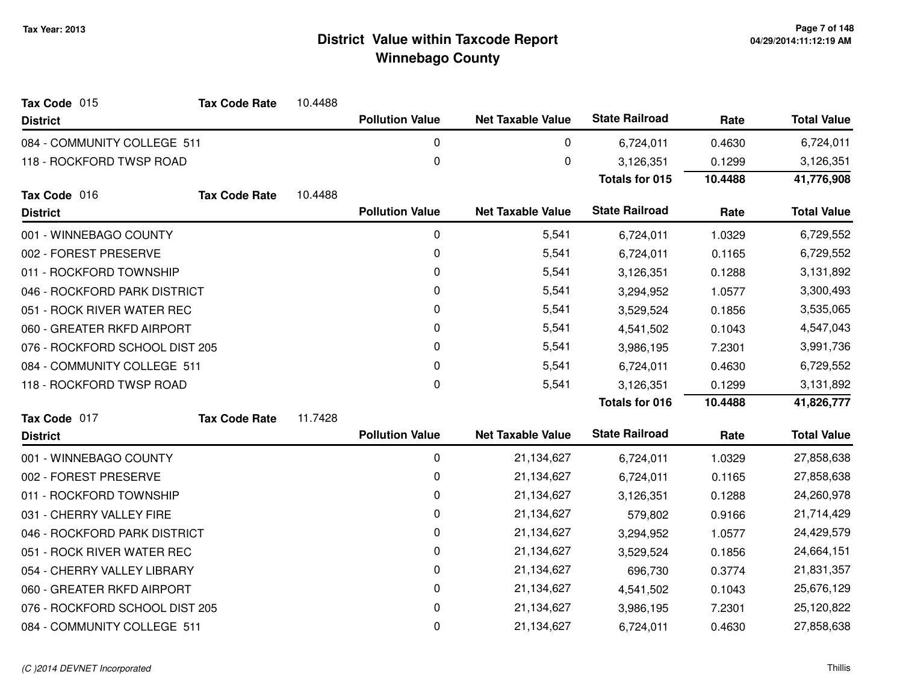| Tax Code 015                   | Tax Code Rate        | 10.4488 |                        |                          |                       |         |                    |
|--------------------------------|----------------------|---------|------------------------|--------------------------|-----------------------|---------|--------------------|
| <b>District</b>                |                      |         | <b>Pollution Value</b> | <b>Net Taxable Value</b> | <b>State Railroad</b> | Rate    | <b>Total Value</b> |
| 084 - COMMUNITY COLLEGE 511    |                      |         | 0                      | 0                        | 6,724,011             | 0.4630  | 6,724,011          |
| 118 - ROCKFORD TWSP ROAD       |                      |         | 0                      | 0                        | 3,126,351             | 0.1299  | 3,126,351          |
|                                |                      |         |                        |                          | <b>Totals for 015</b> | 10.4488 | 41,776,908         |
| Tax Code 016                   | <b>Tax Code Rate</b> | 10.4488 |                        |                          |                       |         |                    |
| <b>District</b>                |                      |         | <b>Pollution Value</b> | <b>Net Taxable Value</b> | <b>State Railroad</b> | Rate    | <b>Total Value</b> |
| 001 - WINNEBAGO COUNTY         |                      |         | $\mathbf 0$            | 5,541                    | 6,724,011             | 1.0329  | 6,729,552          |
| 002 - FOREST PRESERVE          |                      |         | 0                      | 5,541                    | 6,724,011             | 0.1165  | 6,729,552          |
| 011 - ROCKFORD TOWNSHIP        |                      |         | 0                      | 5,541                    | 3,126,351             | 0.1288  | 3,131,892          |
| 046 - ROCKFORD PARK DISTRICT   |                      |         | 0                      | 5,541                    | 3,294,952             | 1.0577  | 3,300,493          |
| 051 - ROCK RIVER WATER REC     |                      |         | 0                      | 5,541                    | 3,529,524             | 0.1856  | 3,535,065          |
| 060 - GREATER RKFD AIRPORT     |                      |         | 0                      | 5,541                    | 4,541,502             | 0.1043  | 4,547,043          |
| 076 - ROCKFORD SCHOOL DIST 205 |                      |         | 0                      | 5,541                    | 3,986,195             | 7.2301  | 3,991,736          |
| 084 - COMMUNITY COLLEGE 511    |                      |         | 0                      | 5,541                    | 6,724,011             | 0.4630  | 6,729,552          |
| 118 - ROCKFORD TWSP ROAD       |                      |         | 0                      | 5,541                    | 3,126,351             | 0.1299  | 3,131,892          |
|                                |                      |         |                        |                          | <b>Totals for 016</b> | 10.4488 | 41,826,777         |
| Tax Code 017                   | <b>Tax Code Rate</b> | 11.7428 |                        |                          |                       |         |                    |
| <b>District</b>                |                      |         | <b>Pollution Value</b> | <b>Net Taxable Value</b> | <b>State Railroad</b> | Rate    | <b>Total Value</b> |
| 001 - WINNEBAGO COUNTY         |                      |         | $\mathbf 0$            | 21,134,627               | 6,724,011             | 1.0329  | 27,858,638         |
| 002 - FOREST PRESERVE          |                      |         | 0                      | 21,134,627               | 6,724,011             | 0.1165  | 27,858,638         |
| 011 - ROCKFORD TOWNSHIP        |                      |         | 0                      | 21,134,627               | 3,126,351             | 0.1288  | 24,260,978         |
| 031 - CHERRY VALLEY FIRE       |                      |         | 0                      | 21,134,627               | 579,802               | 0.9166  | 21,714,429         |
| 046 - ROCKFORD PARK DISTRICT   |                      |         | 0                      | 21,134,627               | 3,294,952             | 1.0577  | 24,429,579         |
| 051 - ROCK RIVER WATER REC     |                      |         | 0                      | 21,134,627               | 3,529,524             | 0.1856  | 24,664,151         |
| 054 - CHERRY VALLEY LIBRARY    |                      |         | 0                      | 21,134,627               | 696,730               | 0.3774  | 21,831,357         |
| 060 - GREATER RKFD AIRPORT     |                      |         | 0                      | 21,134,627               | 4,541,502             | 0.1043  | 25,676,129         |
| 076 - ROCKFORD SCHOOL DIST 205 |                      |         | 0                      | 21,134,627               | 3,986,195             | 7.2301  | 25,120,822         |
| 084 - COMMUNITY COLLEGE 511    |                      |         | 0                      | 21,134,627               | 6,724,011             | 0.4630  | 27,858,638         |
|                                |                      |         |                        |                          |                       |         |                    |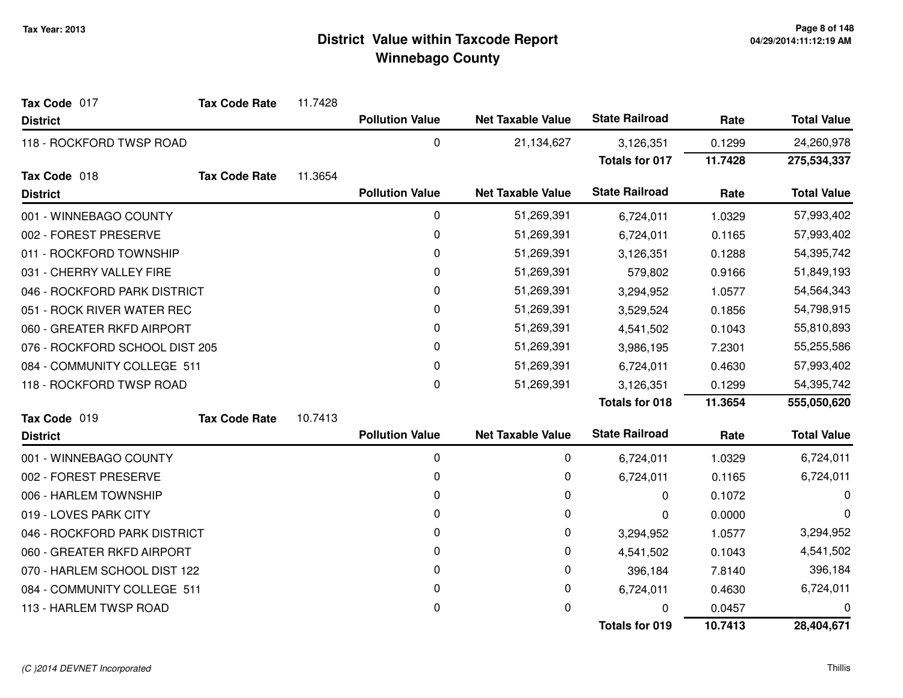| Tax Code 017                   | <b>Tax Code Rate</b> | 11.7428 |                        |                          |                       |            |                    |
|--------------------------------|----------------------|---------|------------------------|--------------------------|-----------------------|------------|--------------------|
| <b>District</b>                |                      |         | <b>Pollution Value</b> | <b>Net Taxable Value</b> | <b>State Railroad</b> | Rate       | <b>Total Value</b> |
| 118 - ROCKFORD TWSP ROAD       |                      |         | 0                      | 21,134,627               | 3,126,351             | 0.1299     | 24,260,978         |
|                                |                      |         |                        |                          | <b>Totals for 017</b> | 11.7428    | 275,534,337        |
| Tax Code 018                   | <b>Tax Code Rate</b> | 11.3654 |                        |                          |                       |            |                    |
| <b>District</b>                |                      |         | <b>Pollution Value</b> | <b>Net Taxable Value</b> | <b>State Railroad</b> | Rate       | <b>Total Value</b> |
| 001 - WINNEBAGO COUNTY         |                      |         | 0                      | 51,269,391               | 6,724,011             | 1.0329     | 57,993,402         |
| 002 - FOREST PRESERVE          |                      |         | 0                      | 51,269,391               | 6,724,011             | 0.1165     | 57,993,402         |
| 011 - ROCKFORD TOWNSHIP        |                      |         | $\pmb{0}$              | 51,269,391               | 3,126,351             | 0.1288     | 54,395,742         |
| 031 - CHERRY VALLEY FIRE       |                      |         | 0                      | 51,269,391               | 579,802               | 0.9166     | 51,849,193         |
| 046 - ROCKFORD PARK DISTRICT   |                      |         | 0                      | 51,269,391               | 3,294,952             | 1.0577     | 54,564,343         |
| 051 - ROCK RIVER WATER REC     |                      |         | 0                      | 51,269,391               | 3,529,524             | 0.1856     | 54,798,915         |
| 060 - GREATER RKFD AIRPORT     |                      |         | 0                      | 51,269,391               | 4,541,502             | 0.1043     | 55,810,893         |
| 076 - ROCKFORD SCHOOL DIST 205 |                      | 0       | 51,269,391             | 3,986,195                | 7.2301                | 55,255,586 |                    |
| 084 - COMMUNITY COLLEGE 511    |                      |         | 0                      | 51,269,391               | 6,724,011             | 0.4630     | 57,993,402         |
| 118 - ROCKFORD TWSP ROAD       |                      |         | 0                      | 51,269,391               | 3,126,351             | 0.1299     | 54,395,742         |
|                                |                      |         |                        |                          | <b>Totals for 018</b> | 11.3654    | 555,050,620        |
| Tax Code 019                   | <b>Tax Code Rate</b> | 10.7413 |                        |                          |                       |            |                    |
| <b>District</b>                |                      |         | <b>Pollution Value</b> | <b>Net Taxable Value</b> | <b>State Railroad</b> | Rate       | <b>Total Value</b> |
| 001 - WINNEBAGO COUNTY         |                      |         | 0                      | 0                        | 6,724,011             | 1.0329     | 6,724,011          |
| 002 - FOREST PRESERVE          |                      |         | 0                      | 0                        | 6,724,011             | 0.1165     | 6,724,011          |
| 006 - HARLEM TOWNSHIP          |                      |         | 0                      | 0                        | 0                     | 0.1072     | 0                  |
| 019 - LOVES PARK CITY          |                      |         | 0                      | 0                        | 0                     | 0.0000     | 0                  |
| 046 - ROCKFORD PARK DISTRICT   |                      |         | 0                      | 0                        | 3,294,952             | 1.0577     | 3,294,952          |
| 060 - GREATER RKFD AIRPORT     |                      |         | 0                      | 0                        | 4,541,502             | 0.1043     | 4,541,502          |
| 070 - HARLEM SCHOOL DIST 122   |                      |         | 0                      | 0                        | 396,184               | 7.8140     | 396,184            |
| 084 - COMMUNITY COLLEGE 511    |                      |         | 0                      | 0                        | 6,724,011             | 0.4630     | 6,724,011          |
| 113 - HARLEM TWSP ROAD         |                      |         | 0                      | 0                        | 0                     | 0.0457     | 0                  |
|                                |                      |         |                        |                          | <b>Totals for 019</b> | 10.7413    | 28,404,671         |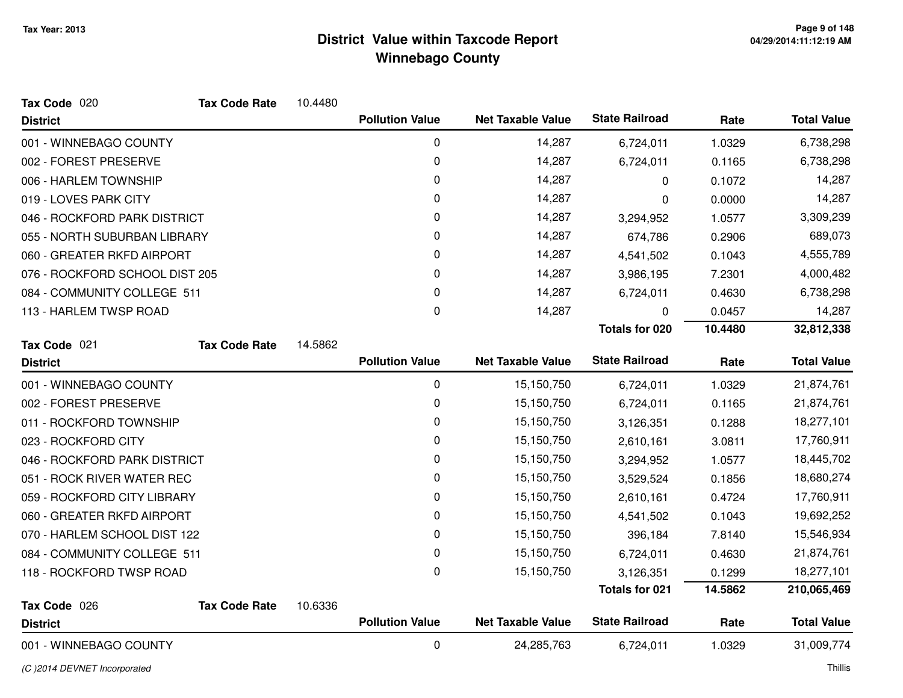| Tax Code 020                   | <b>Tax Code Rate</b> | 10.4480 |                        |                          |                       |         |                    |
|--------------------------------|----------------------|---------|------------------------|--------------------------|-----------------------|---------|--------------------|
| <b>District</b>                |                      |         | <b>Pollution Value</b> | <b>Net Taxable Value</b> | <b>State Railroad</b> | Rate    | <b>Total Value</b> |
| 001 - WINNEBAGO COUNTY         |                      |         | $\mathbf 0$            | 14,287                   | 6,724,011             | 1.0329  | 6,738,298          |
| 002 - FOREST PRESERVE          |                      |         | 0                      | 14,287                   | 6,724,011             | 0.1165  | 6,738,298          |
| 006 - HARLEM TOWNSHIP          |                      |         | 0                      | 14,287                   | $\Omega$              | 0.1072  | 14,287             |
| 019 - LOVES PARK CITY          |                      |         | 0                      | 14,287                   | 0                     | 0.0000  | 14,287             |
| 046 - ROCKFORD PARK DISTRICT   |                      |         | 0                      | 14,287                   | 3,294,952             | 1.0577  | 3,309,239          |
| 055 - NORTH SUBURBAN LIBRARY   |                      |         | 0                      | 14,287                   | 674,786               | 0.2906  | 689,073            |
| 060 - GREATER RKFD AIRPORT     |                      |         | 0                      | 14,287                   | 4,541,502             | 0.1043  | 4,555,789          |
| 076 - ROCKFORD SCHOOL DIST 205 |                      |         | 0                      | 14,287                   | 3,986,195             | 7.2301  | 4,000,482          |
| 084 - COMMUNITY COLLEGE 511    |                      |         | 0                      | 14,287                   | 6,724,011             | 0.4630  | 6,738,298          |
| 113 - HARLEM TWSP ROAD         |                      |         | 0                      | 14,287                   | 0                     | 0.0457  | 14,287             |
|                                |                      |         |                        |                          | <b>Totals for 020</b> | 10.4480 | 32,812,338         |
| Tax Code 021                   | <b>Tax Code Rate</b> | 14.5862 |                        |                          |                       |         |                    |
| <b>District</b>                |                      |         | <b>Pollution Value</b> | <b>Net Taxable Value</b> | <b>State Railroad</b> | Rate    | <b>Total Value</b> |
| 001 - WINNEBAGO COUNTY         |                      |         | 0                      | 15,150,750               | 6,724,011             | 1.0329  | 21,874,761         |
| 002 - FOREST PRESERVE          |                      |         | 0                      | 15,150,750               | 6,724,011             | 0.1165  | 21,874,761         |
| 011 - ROCKFORD TOWNSHIP        |                      |         | 0                      | 15,150,750               | 3,126,351             | 0.1288  | 18,277,101         |
| 023 - ROCKFORD CITY            |                      |         | 0                      | 15,150,750               | 2,610,161             | 3.0811  | 17,760,911         |
| 046 - ROCKFORD PARK DISTRICT   |                      |         | 0                      | 15,150,750               | 3,294,952             | 1.0577  | 18,445,702         |
| 051 - ROCK RIVER WATER REC     |                      |         | 0                      | 15,150,750               | 3,529,524             | 0.1856  | 18,680,274         |
| 059 - ROCKFORD CITY LIBRARY    |                      |         | 0                      | 15,150,750               | 2,610,161             | 0.4724  | 17,760,911         |
| 060 - GREATER RKFD AIRPORT     |                      |         | 0                      | 15,150,750               | 4,541,502             | 0.1043  | 19,692,252         |
| 070 - HARLEM SCHOOL DIST 122   |                      |         | 0                      | 15,150,750               | 396,184               | 7.8140  | 15,546,934         |
| 084 - COMMUNITY COLLEGE 511    |                      |         | 0                      | 15,150,750               | 6,724,011             | 0.4630  | 21,874,761         |
| 118 - ROCKFORD TWSP ROAD       |                      |         | $\mathbf 0$            | 15,150,750               | 3,126,351             | 0.1299  | 18,277,101         |
|                                |                      |         |                        |                          | Totals for 021        | 14.5862 | 210,065,469        |
| Tax Code 026                   | <b>Tax Code Rate</b> | 10.6336 |                        |                          |                       |         |                    |
| <b>District</b>                |                      |         | <b>Pollution Value</b> | <b>Net Taxable Value</b> | <b>State Railroad</b> | Rate    | <b>Total Value</b> |
| 001 - WINNEBAGO COUNTY         |                      |         | $\mathbf 0$            | 24,285,763               | 6,724,011             | 1.0329  | 31,009,774         |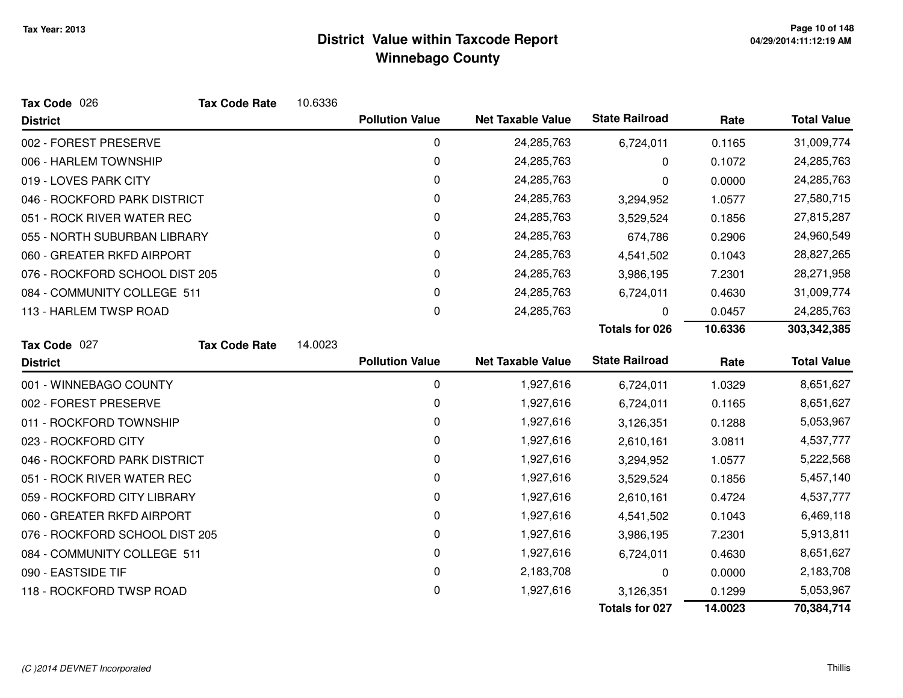| Tax Code 026                   | <b>Tax Code Rate</b> | 10.6336 |                        |                          |                       |            |                    |
|--------------------------------|----------------------|---------|------------------------|--------------------------|-----------------------|------------|--------------------|
| <b>District</b>                |                      |         | <b>Pollution Value</b> | <b>Net Taxable Value</b> | <b>State Railroad</b> | Rate       | <b>Total Value</b> |
| 002 - FOREST PRESERVE          |                      |         | $\mathbf 0$            | 24,285,763               | 6,724,011             | 0.1165     | 31,009,774         |
| 006 - HARLEM TOWNSHIP          |                      |         | 0                      | 24,285,763               | 0                     | 0.1072     | 24,285,763         |
| 019 - LOVES PARK CITY          |                      |         | 0                      | 24,285,763               | 0                     | 0.0000     | 24,285,763         |
| 046 - ROCKFORD PARK DISTRICT   |                      |         | 0                      | 24,285,763               | 3,294,952             | 1.0577     | 27,580,715         |
| 051 - ROCK RIVER WATER REC     |                      | 0       | 24,285,763             | 3,529,524                | 0.1856                | 27,815,287 |                    |
| 055 - NORTH SUBURBAN LIBRARY   |                      |         | 0                      | 24,285,763               | 674,786               | 0.2906     | 24,960,549         |
| 060 - GREATER RKFD AIRPORT     |                      |         | 0                      | 24,285,763               | 4,541,502             | 0.1043     | 28,827,265         |
| 076 - ROCKFORD SCHOOL DIST 205 |                      |         | 0                      | 24,285,763               | 3,986,195             | 7.2301     | 28,271,958         |
| 084 - COMMUNITY COLLEGE 511    |                      |         | 0                      | 24,285,763               | 6,724,011             | 0.4630     | 31,009,774         |
| 113 - HARLEM TWSP ROAD         |                      |         | 0                      | 24,285,763               | 0                     | 0.0457     | 24,285,763         |
|                                |                      |         |                        |                          | <b>Totals for 026</b> | 10.6336    | 303,342,385        |
| Tax Code 027                   | <b>Tax Code Rate</b> | 14.0023 |                        |                          |                       |            |                    |
| <b>District</b>                |                      |         | <b>Pollution Value</b> | <b>Net Taxable Value</b> | <b>State Railroad</b> | Rate       | <b>Total Value</b> |
| 001 - WINNEBAGO COUNTY         |                      |         | 0                      | 1,927,616                | 6,724,011             | 1.0329     | 8,651,627          |
| 002 - FOREST PRESERVE          |                      |         | 0                      | 1,927,616                | 6,724,011             | 0.1165     | 8,651,627          |
| 011 - ROCKFORD TOWNSHIP        |                      |         | 0                      | 1,927,616                | 3,126,351             | 0.1288     | 5,053,967          |
| 023 - ROCKFORD CITY            |                      |         | 0                      | 1,927,616                | 2,610,161             | 3.0811     | 4,537,777          |
| 046 - ROCKFORD PARK DISTRICT   |                      |         | 0                      | 1,927,616                | 3,294,952             | 1.0577     | 5,222,568          |
| 051 - ROCK RIVER WATER REC     |                      |         | 0                      | 1,927,616                | 3,529,524             | 0.1856     | 5,457,140          |
| 059 - ROCKFORD CITY LIBRARY    |                      |         | 0                      | 1,927,616                | 2,610,161             | 0.4724     | 4,537,777          |
| 060 - GREATER RKFD AIRPORT     |                      |         | 0                      | 1,927,616                | 4,541,502             | 0.1043     | 6,469,118          |
| 076 - ROCKFORD SCHOOL DIST 205 |                      |         | 0                      | 1,927,616                | 3,986,195             | 7.2301     | 5,913,811          |
| 084 - COMMUNITY COLLEGE 511    |                      |         | 0                      | 1,927,616                | 6,724,011             | 0.4630     | 8,651,627          |
| 090 - EASTSIDE TIF             |                      |         | 0                      | 2,183,708                | 0                     | 0.0000     | 2,183,708          |
| 118 - ROCKFORD TWSP ROAD       |                      |         | $\mathbf 0$            | 1,927,616                | 3,126,351             | 0.1299     | 5,053,967          |
|                                |                      |         |                        |                          | Totals for 027        | 14.0023    | 70,384,714         |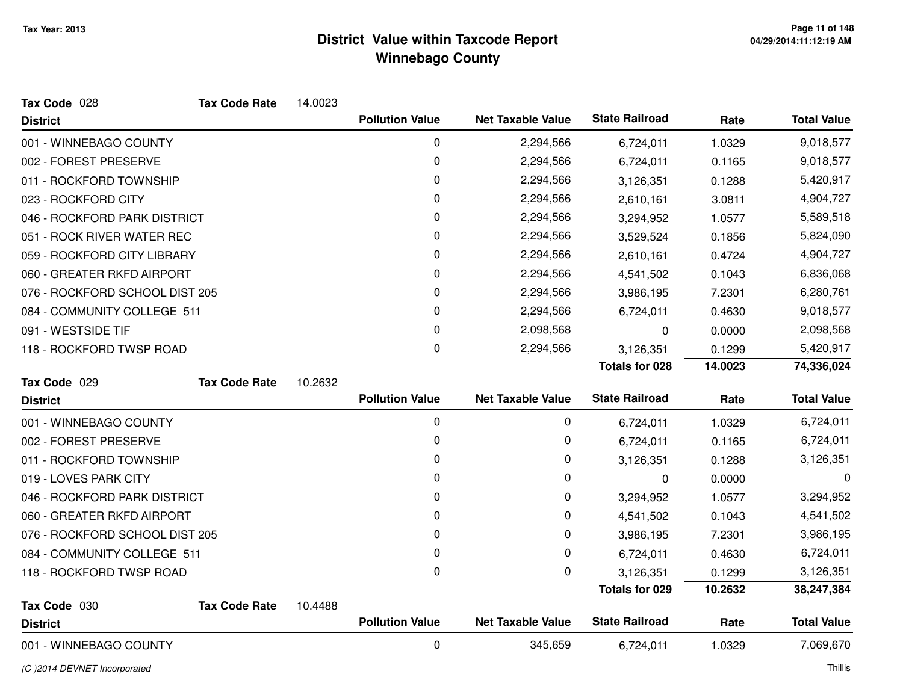| Tax Code 028                   | <b>Tax Code Rate</b> | 14.0023 |                        |                          |                       |         |                    |
|--------------------------------|----------------------|---------|------------------------|--------------------------|-----------------------|---------|--------------------|
| <b>District</b>                |                      |         | <b>Pollution Value</b> | <b>Net Taxable Value</b> | <b>State Railroad</b> | Rate    | <b>Total Value</b> |
| 001 - WINNEBAGO COUNTY         |                      |         | $\mathbf 0$            | 2,294,566                | 6,724,011             | 1.0329  | 9,018,577          |
| 002 - FOREST PRESERVE          |                      |         | $\pmb{0}$              | 2,294,566                | 6,724,011             | 0.1165  | 9,018,577          |
| 011 - ROCKFORD TOWNSHIP        |                      |         | 0                      | 2,294,566                | 3,126,351             | 0.1288  | 5,420,917          |
| 023 - ROCKFORD CITY            |                      |         | 0                      | 2,294,566                | 2,610,161             | 3.0811  | 4,904,727          |
| 046 - ROCKFORD PARK DISTRICT   |                      |         | 0                      | 2,294,566                | 3,294,952             | 1.0577  | 5,589,518          |
| 051 - ROCK RIVER WATER REC     |                      |         | 0                      | 2,294,566                | 3,529,524             | 0.1856  | 5,824,090          |
| 059 - ROCKFORD CITY LIBRARY    |                      |         | 0                      | 2,294,566                | 2,610,161             | 0.4724  | 4,904,727          |
| 060 - GREATER RKFD AIRPORT     |                      |         | 0                      | 2,294,566                | 4,541,502             | 0.1043  | 6,836,068          |
| 076 - ROCKFORD SCHOOL DIST 205 |                      |         | 0                      | 2,294,566                | 3,986,195             | 7.2301  | 6,280,761          |
| 084 - COMMUNITY COLLEGE 511    |                      |         | 0                      | 2,294,566                | 6,724,011             | 0.4630  | 9,018,577          |
| 091 - WESTSIDE TIF             |                      |         | 0                      | 2,098,568                | 0                     | 0.0000  | 2,098,568          |
| 118 - ROCKFORD TWSP ROAD       |                      |         | 0                      | 2,294,566                | 3,126,351             | 0.1299  | 5,420,917          |
|                                |                      |         |                        |                          | <b>Totals for 028</b> | 14.0023 | 74,336,024         |
| Tax Code 029                   | <b>Tax Code Rate</b> | 10.2632 |                        |                          |                       |         |                    |
| <b>District</b>                |                      |         | <b>Pollution Value</b> | <b>Net Taxable Value</b> | <b>State Railroad</b> | Rate    | <b>Total Value</b> |
| 001 - WINNEBAGO COUNTY         |                      |         | 0                      | 0                        | 6,724,011             | 1.0329  | 6,724,011          |
| 002 - FOREST PRESERVE          |                      |         | 0                      | 0                        | 6,724,011             | 0.1165  | 6,724,011          |
| 011 - ROCKFORD TOWNSHIP        |                      |         | 0                      | 0                        | 3,126,351             | 0.1288  | 3,126,351          |
| 019 - LOVES PARK CITY          |                      |         | 0                      | 0                        | 0                     | 0.0000  | 0                  |
| 046 - ROCKFORD PARK DISTRICT   |                      |         | 0                      | 0                        | 3,294,952             | 1.0577  | 3,294,952          |
| 060 - GREATER RKFD AIRPORT     |                      |         | 0                      | 0                        | 4,541,502             | 0.1043  | 4,541,502          |
| 076 - ROCKFORD SCHOOL DIST 205 |                      |         | 0                      | 0                        | 3,986,195             | 7.2301  | 3,986,195          |
| 084 - COMMUNITY COLLEGE 511    |                      |         | 0                      | 0                        | 6,724,011             | 0.4630  | 6,724,011          |
| 118 - ROCKFORD TWSP ROAD       |                      |         | 0                      | 0                        | 3,126,351             | 0.1299  | 3,126,351          |
|                                |                      |         |                        |                          | Totals for 029        | 10.2632 | 38,247,384         |
| Tax Code 030                   | <b>Tax Code Rate</b> | 10.4488 |                        |                          |                       |         |                    |
| <b>District</b>                |                      |         | <b>Pollution Value</b> | <b>Net Taxable Value</b> | <b>State Railroad</b> | Rate    | <b>Total Value</b> |
| 001 - WINNEBAGO COUNTY         |                      |         | 0                      | 345,659                  | 6,724,011             | 1.0329  | 7,069,670          |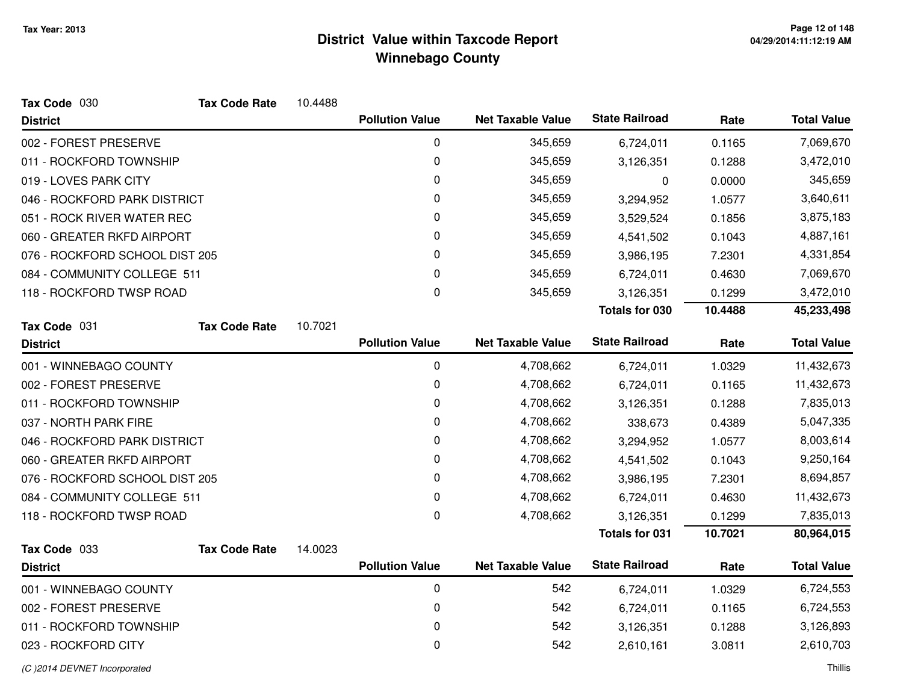| Tax Code 030                   | <b>Tax Code Rate</b>        | 10.4488 |                        |                          |                       |           |                    |
|--------------------------------|-----------------------------|---------|------------------------|--------------------------|-----------------------|-----------|--------------------|
| <b>District</b>                |                             |         | <b>Pollution Value</b> | <b>Net Taxable Value</b> | <b>State Railroad</b> | Rate      | <b>Total Value</b> |
| 002 - FOREST PRESERVE          |                             |         | 0                      | 345,659                  | 6,724,011             | 0.1165    | 7,069,670          |
| 011 - ROCKFORD TOWNSHIP        |                             |         | 0                      | 345,659                  | 3,126,351             | 0.1288    | 3,472,010          |
| 019 - LOVES PARK CITY          |                             |         | 0                      | 345,659                  | 0                     | 0.0000    | 345,659            |
| 046 - ROCKFORD PARK DISTRICT   |                             |         | 0                      | 345,659                  | 3,294,952             | 1.0577    | 3,640,611          |
| 051 - ROCK RIVER WATER REC     |                             |         | 0                      | 345,659                  | 3,529,524             | 0.1856    | 3,875,183          |
| 060 - GREATER RKFD AIRPORT     |                             |         | 0                      | 345,659                  | 4,541,502             | 0.1043    | 4,887,161          |
| 076 - ROCKFORD SCHOOL DIST 205 |                             | 0       | 345,659                | 3,986,195                | 7.2301                | 4,331,854 |                    |
|                                | 084 - COMMUNITY COLLEGE 511 |         | 0                      | 345,659                  | 6,724,011             | 0.4630    | 7,069,670          |
| 118 - ROCKFORD TWSP ROAD       |                             |         | 0                      | 345,659                  | 3,126,351             | 0.1299    | 3,472,010          |
|                                |                             |         |                        |                          | <b>Totals for 030</b> | 10.4488   | 45,233,498         |
| Tax Code 031                   | <b>Tax Code Rate</b>        | 10.7021 |                        |                          |                       |           |                    |
| <b>District</b>                |                             |         | <b>Pollution Value</b> | <b>Net Taxable Value</b> | <b>State Railroad</b> | Rate      | <b>Total Value</b> |
| 001 - WINNEBAGO COUNTY         |                             |         | $\pmb{0}$              | 4,708,662                | 6,724,011             | 1.0329    | 11,432,673         |
| 002 - FOREST PRESERVE          |                             |         | 0                      | 4,708,662                | 6,724,011             | 0.1165    | 11,432,673         |
| 011 - ROCKFORD TOWNSHIP        |                             |         | 0                      | 4,708,662                | 3,126,351             | 0.1288    | 7,835,013          |
| 037 - NORTH PARK FIRE          |                             |         | 0                      | 4,708,662                | 338,673               | 0.4389    | 5,047,335          |
| 046 - ROCKFORD PARK DISTRICT   |                             |         | 0                      | 4,708,662                | 3,294,952             | 1.0577    | 8,003,614          |
| 060 - GREATER RKFD AIRPORT     |                             |         | 0                      | 4,708,662                | 4,541,502             | 0.1043    | 9,250,164          |
| 076 - ROCKFORD SCHOOL DIST 205 |                             |         | 0                      | 4,708,662                | 3,986,195             | 7.2301    | 8,694,857          |
| 084 - COMMUNITY COLLEGE 511    |                             |         | 0                      | 4,708,662                | 6,724,011             | 0.4630    | 11,432,673         |
| 118 - ROCKFORD TWSP ROAD       |                             |         | 0                      | 4,708,662                | 3,126,351             | 0.1299    | 7,835,013          |
|                                |                             |         |                        |                          | <b>Totals for 031</b> | 10.7021   | 80,964,015         |
| Tax Code 033                   | <b>Tax Code Rate</b>        | 14.0023 |                        |                          |                       |           |                    |
| <b>District</b>                |                             |         | <b>Pollution Value</b> | <b>Net Taxable Value</b> | <b>State Railroad</b> | Rate      | <b>Total Value</b> |
| 001 - WINNEBAGO COUNTY         |                             |         | 0                      | 542                      | 6,724,011             | 1.0329    | 6,724,553          |
| 002 - FOREST PRESERVE          |                             |         | 0                      | 542                      | 6,724,011             | 0.1165    | 6,724,553          |
| 011 - ROCKFORD TOWNSHIP        |                             |         | 0                      | 542                      | 3,126,351             | 0.1288    | 3,126,893          |
| 023 - ROCKFORD CITY            |                             |         | 0                      | 542                      | 2,610,161             | 3.0811    | 2,610,703          |

(C )2014 DEVNET Incorporated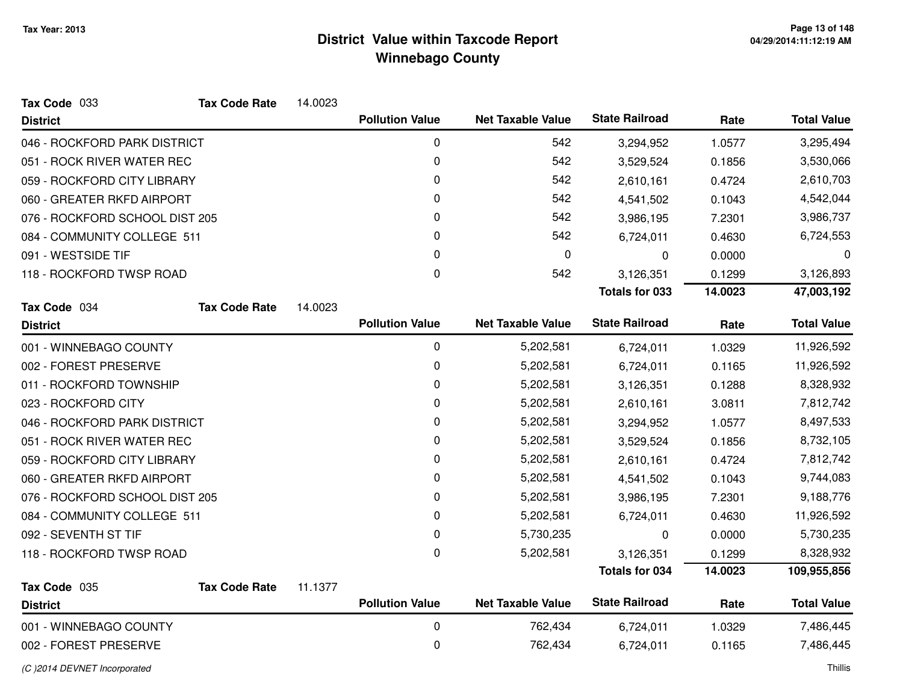| Tax Code 033                   | <b>Tax Code Rate</b> | 14.0023 |                        |                          |                       |         |                    |
|--------------------------------|----------------------|---------|------------------------|--------------------------|-----------------------|---------|--------------------|
| <b>District</b>                |                      |         | <b>Pollution Value</b> | <b>Net Taxable Value</b> | <b>State Railroad</b> | Rate    | <b>Total Value</b> |
| 046 - ROCKFORD PARK DISTRICT   |                      |         | 0                      | 542                      | 3,294,952             | 1.0577  | 3,295,494          |
| 051 - ROCK RIVER WATER REC     |                      |         | 0                      | 542                      | 3,529,524             | 0.1856  | 3,530,066          |
| 059 - ROCKFORD CITY LIBRARY    |                      |         | 0                      | 542                      | 2,610,161             | 0.4724  | 2,610,703          |
| 060 - GREATER RKFD AIRPORT     |                      |         | 0                      | 542                      | 4,541,502             | 0.1043  | 4,542,044          |
| 076 - ROCKFORD SCHOOL DIST 205 |                      |         | 0                      | 542                      | 3,986,195             | 7.2301  | 3,986,737          |
| 084 - COMMUNITY COLLEGE 511    |                      |         | 0                      | 542                      | 6,724,011             | 0.4630  | 6,724,553          |
| 091 - WESTSIDE TIF             |                      |         | 0                      | $\pmb{0}$                | 0                     | 0.0000  | 0                  |
| 118 - ROCKFORD TWSP ROAD       |                      |         | $\Omega$               | 542                      | 3,126,351             | 0.1299  | 3,126,893          |
|                                |                      |         |                        |                          | <b>Totals for 033</b> | 14.0023 | 47,003,192         |
| Tax Code 034                   | <b>Tax Code Rate</b> | 14.0023 |                        |                          |                       |         |                    |
| <b>District</b>                |                      |         | <b>Pollution Value</b> | <b>Net Taxable Value</b> | <b>State Railroad</b> | Rate    | <b>Total Value</b> |
| 001 - WINNEBAGO COUNTY         |                      |         | 0                      | 5,202,581                | 6,724,011             | 1.0329  | 11,926,592         |
| 002 - FOREST PRESERVE          |                      |         | 0                      | 5,202,581                | 6,724,011             | 0.1165  | 11,926,592         |
| 011 - ROCKFORD TOWNSHIP        |                      |         | 0                      | 5,202,581                | 3,126,351             | 0.1288  | 8,328,932          |
| 023 - ROCKFORD CITY            |                      |         | 0                      | 5,202,581                | 2,610,161             | 3.0811  | 7,812,742          |
| 046 - ROCKFORD PARK DISTRICT   |                      |         | 0                      | 5,202,581                | 3,294,952             | 1.0577  | 8,497,533          |
| 051 - ROCK RIVER WATER REC     |                      |         | 0                      | 5,202,581                | 3,529,524             | 0.1856  | 8,732,105          |
| 059 - ROCKFORD CITY LIBRARY    |                      |         | 0                      | 5,202,581                | 2,610,161             | 0.4724  | 7,812,742          |
| 060 - GREATER RKFD AIRPORT     |                      |         | 0                      | 5,202,581                | 4,541,502             | 0.1043  | 9,744,083          |
| 076 - ROCKFORD SCHOOL DIST 205 |                      |         | 0                      | 5,202,581                | 3,986,195             | 7.2301  | 9,188,776          |
| 084 - COMMUNITY COLLEGE 511    |                      |         | 0                      | 5,202,581                | 6,724,011             | 0.4630  | 11,926,592         |
| 092 - SEVENTH ST TIF           |                      |         | 0                      | 5,730,235                | 0                     | 0.0000  | 5,730,235          |
| 118 - ROCKFORD TWSP ROAD       |                      |         | 0                      | 5,202,581                | 3,126,351             | 0.1299  | 8,328,932          |
|                                |                      |         |                        |                          | <b>Totals for 034</b> | 14.0023 | 109,955,856        |
| Tax Code 035                   | <b>Tax Code Rate</b> | 11.1377 |                        |                          |                       |         |                    |
| <b>District</b>                |                      |         | <b>Pollution Value</b> | <b>Net Taxable Value</b> | <b>State Railroad</b> | Rate    | <b>Total Value</b> |
| 001 - WINNEBAGO COUNTY         |                      |         | 0                      | 762,434                  | 6,724,011             | 1.0329  | 7,486,445          |
| 002 - FOREST PRESERVE          |                      |         | 0                      | 762,434                  | 6,724,011             | 0.1165  | 7,486,445          |
|                                |                      |         |                        |                          |                       |         |                    |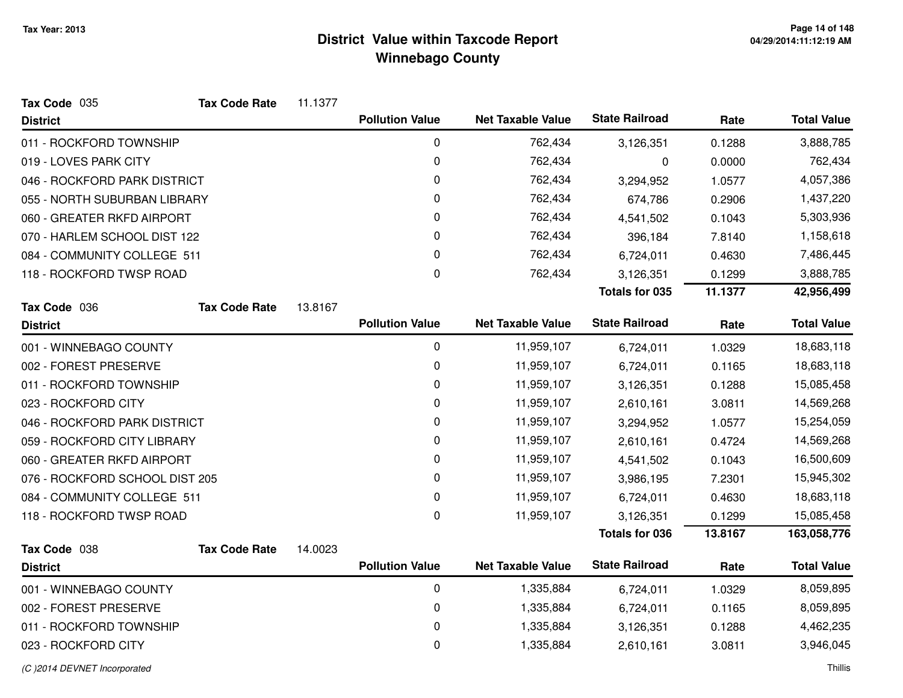| Tax Code 035                   | <b>Tax Code Rate</b> | 11.1377 |                        |                          |                       |         |                    |
|--------------------------------|----------------------|---------|------------------------|--------------------------|-----------------------|---------|--------------------|
| <b>District</b>                |                      |         | <b>Pollution Value</b> | <b>Net Taxable Value</b> | <b>State Railroad</b> | Rate    | <b>Total Value</b> |
| 011 - ROCKFORD TOWNSHIP        |                      |         | 0                      | 762,434                  | 3,126,351             | 0.1288  | 3,888,785          |
| 019 - LOVES PARK CITY          |                      |         | 0                      | 762,434                  | 0                     | 0.0000  | 762,434            |
| 046 - ROCKFORD PARK DISTRICT   |                      |         | 0                      | 762,434                  | 3,294,952             | 1.0577  | 4,057,386          |
| 055 - NORTH SUBURBAN LIBRARY   |                      |         | 0                      | 762,434                  | 674,786               | 0.2906  | 1,437,220          |
| 060 - GREATER RKFD AIRPORT     |                      |         | 0                      | 762,434                  | 4,541,502             | 0.1043  | 5,303,936          |
| 070 - HARLEM SCHOOL DIST 122   |                      |         | 0                      | 762,434                  | 396,184               | 7.8140  | 1,158,618          |
| 084 - COMMUNITY COLLEGE 511    |                      |         | 0                      | 762,434                  | 6,724,011             | 0.4630  | 7,486,445          |
| 118 - ROCKFORD TWSP ROAD       |                      |         | 0                      | 762,434                  | 3,126,351             | 0.1299  | 3,888,785          |
|                                |                      |         |                        |                          | <b>Totals for 035</b> | 11.1377 | 42,956,499         |
| Tax Code 036                   | <b>Tax Code Rate</b> | 13.8167 |                        |                          |                       |         |                    |
| <b>District</b>                |                      |         | <b>Pollution Value</b> | <b>Net Taxable Value</b> | <b>State Railroad</b> | Rate    | <b>Total Value</b> |
| 001 - WINNEBAGO COUNTY         |                      |         | 0                      | 11,959,107               | 6,724,011             | 1.0329  | 18,683,118         |
| 002 - FOREST PRESERVE          |                      |         | 0                      | 11,959,107               | 6,724,011             | 0.1165  | 18,683,118         |
| 011 - ROCKFORD TOWNSHIP        |                      |         | 0                      | 11,959,107               | 3,126,351             | 0.1288  | 15,085,458         |
| 023 - ROCKFORD CITY            |                      |         | 0                      | 11,959,107               | 2,610,161             | 3.0811  | 14,569,268         |
| 046 - ROCKFORD PARK DISTRICT   |                      |         | 0                      | 11,959,107               | 3,294,952             | 1.0577  | 15,254,059         |
| 059 - ROCKFORD CITY LIBRARY    |                      |         | 0                      | 11,959,107               | 2,610,161             | 0.4724  | 14,569,268         |
| 060 - GREATER RKFD AIRPORT     |                      |         | 0                      | 11,959,107               | 4,541,502             | 0.1043  | 16,500,609         |
| 076 - ROCKFORD SCHOOL DIST 205 |                      |         | 0                      | 11,959,107               | 3,986,195             | 7.2301  | 15,945,302         |
| 084 - COMMUNITY COLLEGE 511    |                      |         | 0                      | 11,959,107               | 6,724,011             | 0.4630  | 18,683,118         |
| 118 - ROCKFORD TWSP ROAD       |                      |         | 0                      | 11,959,107               | 3,126,351             | 0.1299  | 15,085,458         |
|                                |                      |         |                        |                          | <b>Totals for 036</b> | 13.8167 | 163,058,776        |
| Tax Code 038                   | <b>Tax Code Rate</b> | 14.0023 |                        |                          |                       |         |                    |
| <b>District</b>                |                      |         | <b>Pollution Value</b> | <b>Net Taxable Value</b> | <b>State Railroad</b> | Rate    | <b>Total Value</b> |
| 001 - WINNEBAGO COUNTY         |                      |         | 0                      | 1,335,884                | 6,724,011             | 1.0329  | 8,059,895          |
| 002 - FOREST PRESERVE          |                      |         | 0                      | 1,335,884                | 6,724,011             | 0.1165  | 8,059,895          |
| 011 - ROCKFORD TOWNSHIP        |                      |         | 0                      | 1,335,884                | 3,126,351             | 0.1288  | 4,462,235          |
| 023 - ROCKFORD CITY            |                      |         | 0                      | 1,335,884                | 2,610,161             | 3.0811  | 3,946,045          |

#### (C )2014 DEVNET Incorporated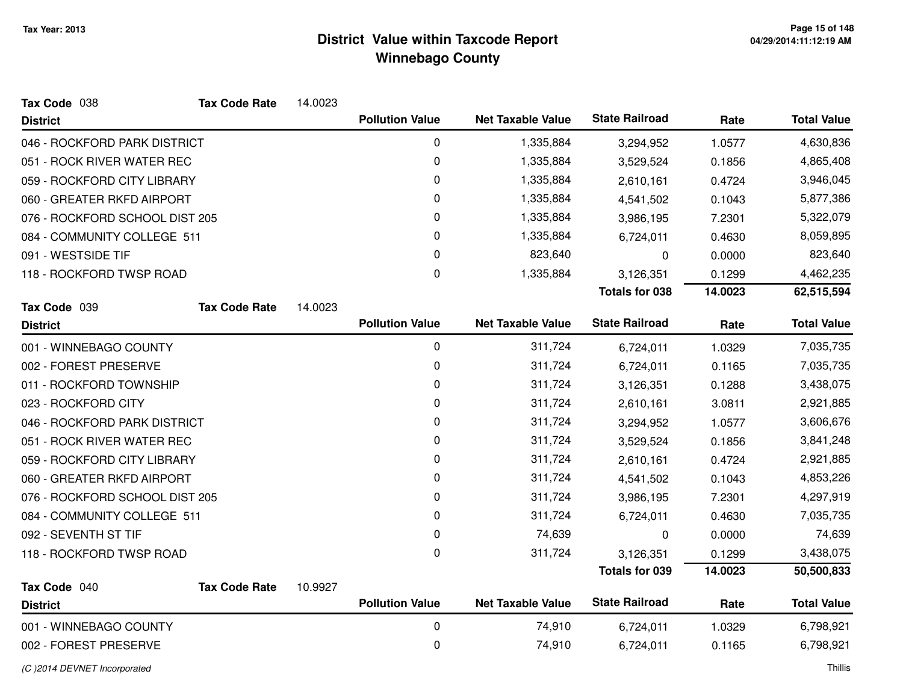| Tax Code 038                   | <b>Tax Code Rate</b> | 14.0023 |                        |                          |                       |         |                    |
|--------------------------------|----------------------|---------|------------------------|--------------------------|-----------------------|---------|--------------------|
| <b>District</b>                |                      |         | <b>Pollution Value</b> | <b>Net Taxable Value</b> | <b>State Railroad</b> | Rate    | <b>Total Value</b> |
| 046 - ROCKFORD PARK DISTRICT   |                      |         | $\pmb{0}$              | 1,335,884                | 3,294,952             | 1.0577  | 4,630,836          |
| 051 - ROCK RIVER WATER REC     |                      |         | 0                      | 1,335,884                | 3,529,524             | 0.1856  | 4,865,408          |
| 059 - ROCKFORD CITY LIBRARY    |                      |         | $\pmb{0}$              | 1,335,884                | 2,610,161             | 0.4724  | 3,946,045          |
| 060 - GREATER RKFD AIRPORT     |                      |         | 0                      | 1,335,884                | 4,541,502             | 0.1043  | 5,877,386          |
| 076 - ROCKFORD SCHOOL DIST 205 |                      |         | $\pmb{0}$              | 1,335,884                | 3,986,195             | 7.2301  | 5,322,079          |
| 084 - COMMUNITY COLLEGE 511    |                      |         | 0                      | 1,335,884                | 6,724,011             | 0.4630  | 8,059,895          |
| 091 - WESTSIDE TIF             |                      |         | $\pmb{0}$              | 823,640                  | 0                     | 0.0000  | 823,640            |
| 118 - ROCKFORD TWSP ROAD       |                      |         | 0                      | 1,335,884                | 3,126,351             | 0.1299  | 4,462,235          |
|                                |                      |         |                        |                          | <b>Totals for 038</b> | 14.0023 | 62,515,594         |
| Tax Code 039                   | <b>Tax Code Rate</b> | 14.0023 |                        |                          |                       |         |                    |
| <b>District</b>                |                      |         | <b>Pollution Value</b> | <b>Net Taxable Value</b> | <b>State Railroad</b> | Rate    | <b>Total Value</b> |
| 001 - WINNEBAGO COUNTY         |                      |         | 0                      | 311,724                  | 6,724,011             | 1.0329  | 7,035,735          |
| 002 - FOREST PRESERVE          |                      |         | 0                      | 311,724                  | 6,724,011             | 0.1165  | 7,035,735          |
| 011 - ROCKFORD TOWNSHIP        |                      |         | 0                      | 311,724                  | 3,126,351             | 0.1288  | 3,438,075          |
| 023 - ROCKFORD CITY            |                      |         | 0                      | 311,724                  | 2,610,161             | 3.0811  | 2,921,885          |
| 046 - ROCKFORD PARK DISTRICT   |                      |         | 0                      | 311,724                  | 3,294,952             | 1.0577  | 3,606,676          |
| 051 - ROCK RIVER WATER REC     |                      |         | 0                      | 311,724                  | 3,529,524             | 0.1856  | 3,841,248          |
| 059 - ROCKFORD CITY LIBRARY    |                      |         | 0                      | 311,724                  | 2,610,161             | 0.4724  | 2,921,885          |
| 060 - GREATER RKFD AIRPORT     |                      |         | 0                      | 311,724                  | 4,541,502             | 0.1043  | 4,853,226          |
| 076 - ROCKFORD SCHOOL DIST 205 |                      |         | 0                      | 311,724                  | 3,986,195             | 7.2301  | 4,297,919          |
| 084 - COMMUNITY COLLEGE 511    |                      |         | 0                      | 311,724                  | 6,724,011             | 0.4630  | 7,035,735          |
| 092 - SEVENTH ST TIF           |                      |         | 0                      | 74,639                   | 0                     | 0.0000  | 74,639             |
| 118 - ROCKFORD TWSP ROAD       |                      |         | $\mathbf{0}$           | 311,724                  | 3,126,351             | 0.1299  | 3,438,075          |
|                                |                      |         |                        |                          | <b>Totals for 039</b> | 14.0023 | 50,500,833         |
| Tax Code 040                   | <b>Tax Code Rate</b> | 10.9927 |                        |                          |                       |         |                    |
| <b>District</b>                |                      |         | <b>Pollution Value</b> | <b>Net Taxable Value</b> | <b>State Railroad</b> | Rate    | <b>Total Value</b> |
| 001 - WINNEBAGO COUNTY         |                      |         | 0                      | 74,910                   | 6,724,011             | 1.0329  | 6,798,921          |
| 002 - FOREST PRESERVE          |                      |         | $\pmb{0}$              | 74,910                   | 6,724,011             | 0.1165  | 6,798,921          |
|                                |                      |         |                        |                          |                       |         |                    |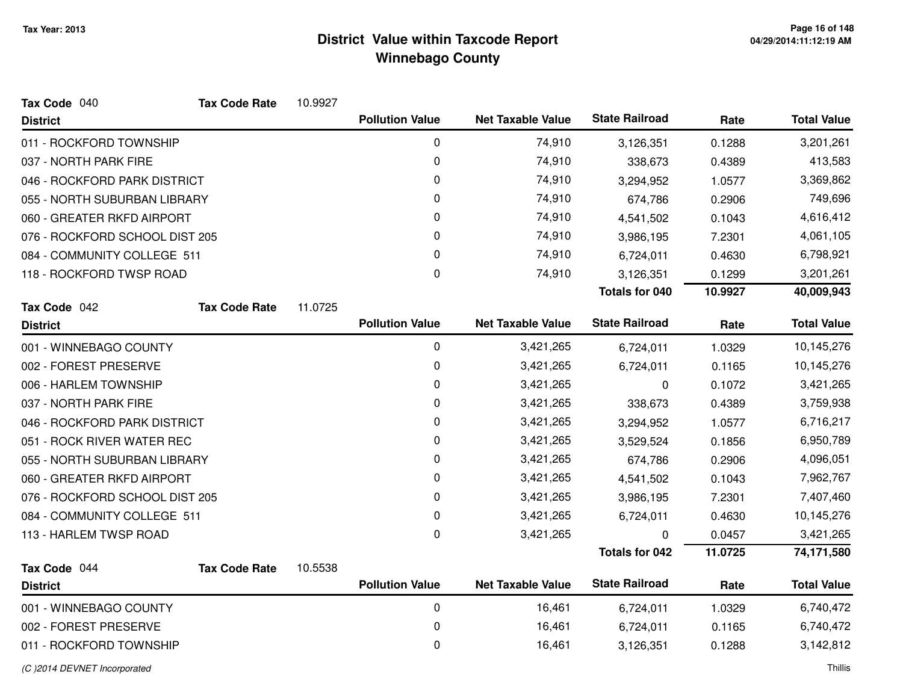| Tax Code 040                   | <b>Tax Code Rate</b> | 10.9927 |                        |                          |                       |         |                    |
|--------------------------------|----------------------|---------|------------------------|--------------------------|-----------------------|---------|--------------------|
| <b>District</b>                |                      |         | <b>Pollution Value</b> | <b>Net Taxable Value</b> | <b>State Railroad</b> | Rate    | <b>Total Value</b> |
| 011 - ROCKFORD TOWNSHIP        |                      |         | 0                      | 74,910                   | 3,126,351             | 0.1288  | 3,201,261          |
| 037 - NORTH PARK FIRE          |                      |         | 0                      | 74,910                   | 338,673               | 0.4389  | 413,583            |
| 046 - ROCKFORD PARK DISTRICT   |                      |         | 0                      | 74,910                   | 3,294,952             | 1.0577  | 3,369,862          |
| 055 - NORTH SUBURBAN LIBRARY   |                      |         | 0                      | 74,910                   | 674,786               | 0.2906  | 749,696            |
| 060 - GREATER RKFD AIRPORT     |                      |         | 0                      | 74,910                   | 4,541,502             | 0.1043  | 4,616,412          |
| 076 - ROCKFORD SCHOOL DIST 205 |                      |         | 0                      | 74,910                   | 3,986,195             | 7.2301  | 4,061,105          |
| 084 - COMMUNITY COLLEGE 511    |                      |         | 0                      | 74,910                   | 6,724,011             | 0.4630  | 6,798,921          |
| 118 - ROCKFORD TWSP ROAD       |                      |         | 0                      | 74,910                   | 3,126,351             | 0.1299  | 3,201,261          |
|                                |                      |         |                        |                          | Totals for 040        | 10.9927 | 40,009,943         |
| Tax Code 042                   | <b>Tax Code Rate</b> | 11.0725 |                        |                          |                       |         |                    |
| <b>District</b>                |                      |         | <b>Pollution Value</b> | <b>Net Taxable Value</b> | <b>State Railroad</b> | Rate    | <b>Total Value</b> |
| 001 - WINNEBAGO COUNTY         |                      |         | 0                      | 3,421,265                | 6,724,011             | 1.0329  | 10,145,276         |
| 002 - FOREST PRESERVE          |                      |         | 0                      | 3,421,265                | 6,724,011             | 0.1165  | 10,145,276         |
| 006 - HARLEM TOWNSHIP          |                      |         | 0                      | 3,421,265                | 0                     | 0.1072  | 3,421,265          |
| 037 - NORTH PARK FIRE          |                      |         | 0                      | 3,421,265                | 338,673               | 0.4389  | 3,759,938          |
| 046 - ROCKFORD PARK DISTRICT   |                      |         | 0                      | 3,421,265                | 3,294,952             | 1.0577  | 6,716,217          |
| 051 - ROCK RIVER WATER REC     |                      |         | 0                      | 3,421,265                | 3,529,524             | 0.1856  | 6,950,789          |
| 055 - NORTH SUBURBAN LIBRARY   |                      |         | 0                      | 3,421,265                | 674,786               | 0.2906  | 4,096,051          |
| 060 - GREATER RKFD AIRPORT     |                      |         | 0                      | 3,421,265                | 4,541,502             | 0.1043  | 7,962,767          |
| 076 - ROCKFORD SCHOOL DIST 205 |                      |         | 0                      | 3,421,265                | 3,986,195             | 7.2301  | 7,407,460          |
| 084 - COMMUNITY COLLEGE 511    |                      |         | 0                      | 3,421,265                | 6,724,011             | 0.4630  | 10,145,276         |
| 113 - HARLEM TWSP ROAD         |                      |         | 0                      | 3,421,265                | 0                     | 0.0457  | 3,421,265          |
|                                |                      |         |                        |                          | <b>Totals for 042</b> | 11.0725 | 74,171,580         |
| Tax Code 044                   | <b>Tax Code Rate</b> | 10.5538 |                        |                          |                       |         |                    |
| <b>District</b>                |                      |         | <b>Pollution Value</b> | <b>Net Taxable Value</b> | <b>State Railroad</b> | Rate    | <b>Total Value</b> |
| 001 - WINNEBAGO COUNTY         |                      |         | 0                      | 16,461                   | 6,724,011             | 1.0329  | 6,740,472          |
| 002 - FOREST PRESERVE          |                      |         | 0                      | 16,461                   | 6,724,011             | 0.1165  | 6,740,472          |
| 011 - ROCKFORD TOWNSHIP        |                      |         | 0                      | 16,461                   | 3,126,351             | 0.1288  | 3,142,812          |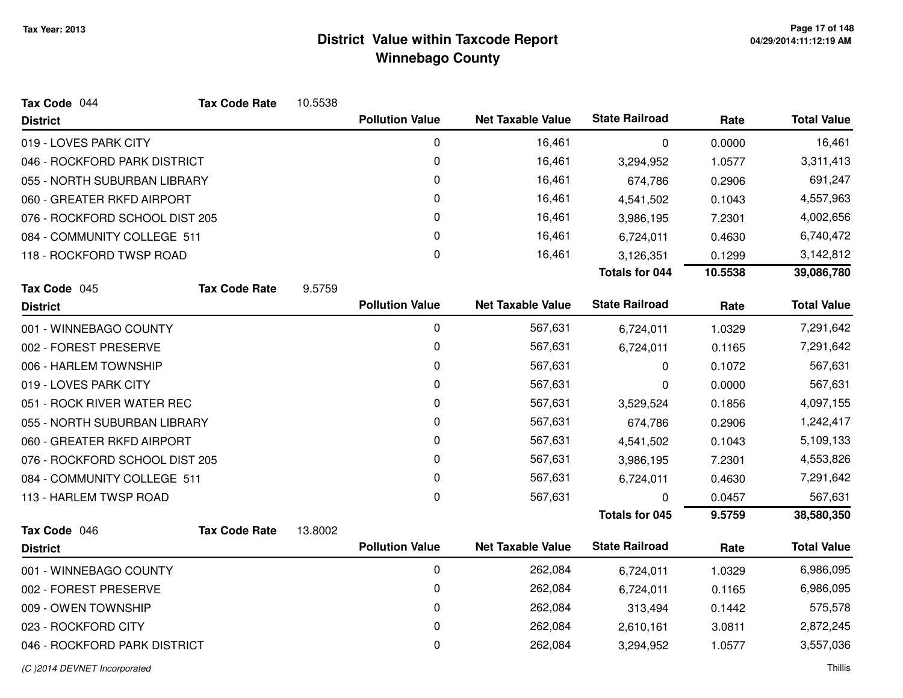| Tax Code 044                   | <b>Tax Code Rate</b> | 10.5538 |                        |                          |                       |         |                    |
|--------------------------------|----------------------|---------|------------------------|--------------------------|-----------------------|---------|--------------------|
| <b>District</b>                |                      |         | <b>Pollution Value</b> | <b>Net Taxable Value</b> | <b>State Railroad</b> | Rate    | <b>Total Value</b> |
| 019 - LOVES PARK CITY          |                      |         | 0                      | 16,461                   | 0                     | 0.0000  | 16,461             |
| 046 - ROCKFORD PARK DISTRICT   |                      |         | 0                      | 16,461                   | 3,294,952             | 1.0577  | 3,311,413          |
| 055 - NORTH SUBURBAN LIBRARY   |                      |         | 0                      | 16,461                   | 674,786               | 0.2906  | 691,247            |
| 060 - GREATER RKFD AIRPORT     |                      |         | 0                      | 16,461                   | 4,541,502             | 0.1043  | 4,557,963          |
| 076 - ROCKFORD SCHOOL DIST 205 |                      |         | 0                      | 16,461                   | 3,986,195             | 7.2301  | 4,002,656          |
| 084 - COMMUNITY COLLEGE 511    |                      |         | 0                      | 16,461                   | 6,724,011             | 0.4630  | 6,740,472          |
| 118 - ROCKFORD TWSP ROAD       |                      |         | 0                      | 16,461                   | 3,126,351             | 0.1299  | 3,142,812          |
|                                |                      |         |                        |                          | <b>Totals for 044</b> | 10.5538 | 39,086,780         |
| Tax Code 045                   | <b>Tax Code Rate</b> | 9.5759  |                        |                          |                       |         |                    |
| <b>District</b>                |                      |         | <b>Pollution Value</b> | <b>Net Taxable Value</b> | <b>State Railroad</b> | Rate    | <b>Total Value</b> |
| 001 - WINNEBAGO COUNTY         |                      |         | $\mathbf 0$            | 567,631                  | 6,724,011             | 1.0329  | 7,291,642          |
| 002 - FOREST PRESERVE          |                      |         | $\mathbf 0$            | 567,631                  | 6,724,011             | 0.1165  | 7,291,642          |
| 006 - HARLEM TOWNSHIP          |                      |         | 0                      | 567,631                  | 0                     | 0.1072  | 567,631            |
| 019 - LOVES PARK CITY          |                      |         | 0                      | 567,631                  | 0                     | 0.0000  | 567,631            |
| 051 - ROCK RIVER WATER REC     |                      |         | 0                      | 567,631                  | 3,529,524             | 0.1856  | 4,097,155          |
| 055 - NORTH SUBURBAN LIBRARY   |                      |         | 0                      | 567,631                  | 674,786               | 0.2906  | 1,242,417          |
| 060 - GREATER RKFD AIRPORT     |                      |         | 0                      | 567,631                  | 4,541,502             | 0.1043  | 5,109,133          |
| 076 - ROCKFORD SCHOOL DIST 205 |                      |         | 0                      | 567,631                  | 3,986,195             | 7.2301  | 4,553,826          |
| 084 - COMMUNITY COLLEGE 511    |                      |         | 0                      | 567,631                  | 6,724,011             | 0.4630  | 7,291,642          |
| 113 - HARLEM TWSP ROAD         |                      |         | 0                      | 567,631                  | O                     | 0.0457  | 567,631            |
|                                |                      |         |                        |                          | <b>Totals for 045</b> | 9.5759  | 38,580,350         |
| Tax Code 046                   | <b>Tax Code Rate</b> | 13.8002 |                        |                          |                       |         |                    |
| <b>District</b>                |                      |         | <b>Pollution Value</b> | <b>Net Taxable Value</b> | <b>State Railroad</b> | Rate    | <b>Total Value</b> |
| 001 - WINNEBAGO COUNTY         |                      |         | $\mathbf 0$            | 262,084                  | 6,724,011             | 1.0329  | 6,986,095          |
| 002 - FOREST PRESERVE          |                      |         | 0                      | 262,084                  | 6,724,011             | 0.1165  | 6,986,095          |
| 009 - OWEN TOWNSHIP            |                      |         | 0                      | 262,084                  | 313,494               | 0.1442  | 575,578            |
| 023 - ROCKFORD CITY            |                      |         | 0                      | 262,084                  | 2,610,161             | 3.0811  | 2,872,245          |
| 046 - ROCKFORD PARK DISTRICT   |                      |         | $\mathbf 0$            | 262,084                  | 3,294,952             | 1.0577  | 3,557,036          |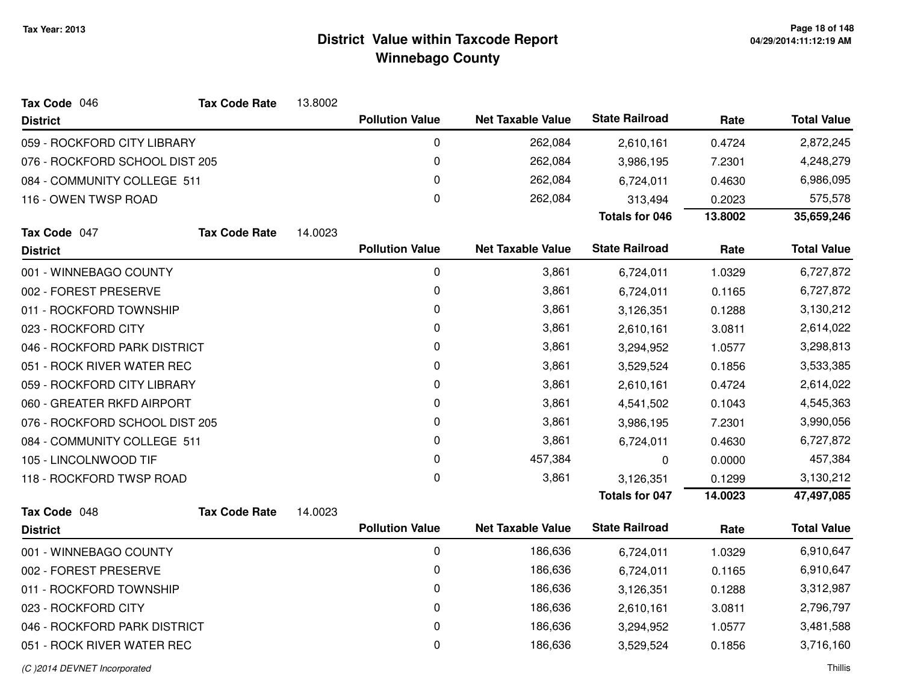| Tax Code 046                   | <b>Tax Code Rate</b> | 13.8002 |                        |                          |                       |           |                    |
|--------------------------------|----------------------|---------|------------------------|--------------------------|-----------------------|-----------|--------------------|
| <b>District</b>                |                      |         | <b>Pollution Value</b> | <b>Net Taxable Value</b> | <b>State Railroad</b> | Rate      | <b>Total Value</b> |
| 059 - ROCKFORD CITY LIBRARY    |                      |         | 0                      | 262,084                  | 2,610,161             | 0.4724    | 2,872,245          |
| 076 - ROCKFORD SCHOOL DIST 205 |                      |         | 0                      | 262,084                  | 3,986,195             | 7.2301    | 4,248,279          |
| 084 - COMMUNITY COLLEGE 511    |                      |         | 0                      | 262,084                  | 6,724,011             | 0.4630    | 6,986,095          |
| 116 - OWEN TWSP ROAD           |                      |         | $\Omega$               | 262,084                  | 313,494               | 0.2023    | 575,578            |
|                                |                      |         |                        |                          | <b>Totals for 046</b> | 13.8002   | 35,659,246         |
| Tax Code 047                   | <b>Tax Code Rate</b> | 14.0023 |                        |                          |                       |           |                    |
| <b>District</b>                |                      |         | <b>Pollution Value</b> | <b>Net Taxable Value</b> | <b>State Railroad</b> | Rate      | <b>Total Value</b> |
| 001 - WINNEBAGO COUNTY         |                      |         | 0                      | 3,861                    | 6,724,011             | 1.0329    | 6,727,872          |
| 002 - FOREST PRESERVE          |                      |         | 0                      | 3,861                    | 6,724,011             | 0.1165    | 6,727,872          |
| 011 - ROCKFORD TOWNSHIP        |                      |         | 0                      | 3,861                    | 3,126,351             | 0.1288    | 3,130,212          |
| 023 - ROCKFORD CITY            |                      |         | 0                      | 3,861                    | 2,610,161             | 3.0811    | 2,614,022          |
| 046 - ROCKFORD PARK DISTRICT   |                      | 0       | 3,861                  | 3,294,952                | 1.0577                | 3,298,813 |                    |
| 051 - ROCK RIVER WATER REC     |                      | 0       | 3,861                  | 3,529,524                | 0.1856                | 3,533,385 |                    |
| 059 - ROCKFORD CITY LIBRARY    |                      | 0       | 3,861                  | 2,610,161                | 0.4724                | 2,614,022 |                    |
| 060 - GREATER RKFD AIRPORT     |                      |         | 0                      | 3,861                    | 4,541,502             | 0.1043    | 4,545,363          |
| 076 - ROCKFORD SCHOOL DIST 205 |                      |         | 0                      | 3,861                    | 3,986,195             | 7.2301    | 3,990,056          |
| 084 - COMMUNITY COLLEGE 511    |                      |         | 0                      | 3,861                    | 6,724,011             | 0.4630    | 6,727,872          |
| 105 - LINCOLNWOOD TIF          |                      |         | 0                      | 457,384                  | $\mathbf 0$           | 0.0000    | 457,384            |
| 118 - ROCKFORD TWSP ROAD       |                      |         | 0                      | 3,861                    | 3,126,351             | 0.1299    | 3,130,212          |
|                                |                      |         |                        |                          | <b>Totals for 047</b> | 14.0023   | 47,497,085         |
| Tax Code 048                   | <b>Tax Code Rate</b> | 14.0023 |                        |                          |                       |           |                    |
| <b>District</b>                |                      |         | <b>Pollution Value</b> | <b>Net Taxable Value</b> | <b>State Railroad</b> | Rate      | <b>Total Value</b> |
| 001 - WINNEBAGO COUNTY         |                      |         | 0                      | 186,636                  | 6,724,011             | 1.0329    | 6,910,647          |
| 002 - FOREST PRESERVE          |                      |         | 0                      | 186,636                  | 6,724,011             | 0.1165    | 6,910,647          |
| 011 - ROCKFORD TOWNSHIP        |                      |         | 0                      | 186,636                  | 3,126,351             | 0.1288    | 3,312,987          |
| 023 - ROCKFORD CITY            |                      |         | 0                      | 186,636                  | 2,610,161             | 3.0811    | 2,796,797          |
| 046 - ROCKFORD PARK DISTRICT   |                      |         | 0                      | 186,636                  | 3,294,952             | 1.0577    | 3,481,588          |
| 051 - ROCK RIVER WATER REC     |                      |         | 0                      | 186,636                  | 3,529,524             | 0.1856    | 3,716,160          |
|                                |                      |         |                        |                          |                       |           |                    |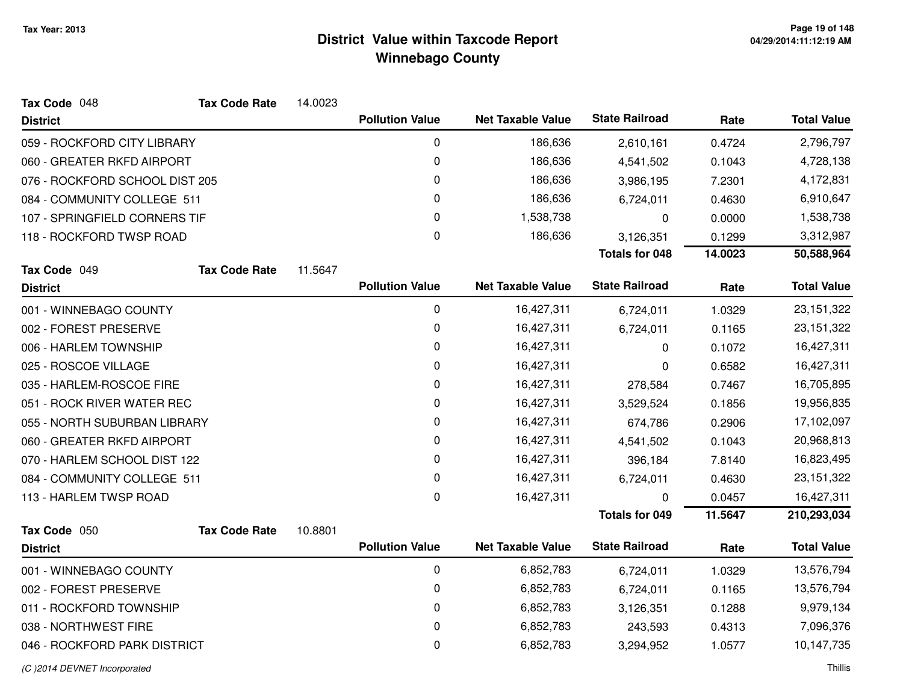| Tax Code 048                   | <b>Tax Code Rate</b> | 14.0023 |                        |                          |                       |         |                    |
|--------------------------------|----------------------|---------|------------------------|--------------------------|-----------------------|---------|--------------------|
| <b>District</b>                |                      |         | <b>Pollution Value</b> | <b>Net Taxable Value</b> | <b>State Railroad</b> | Rate    | <b>Total Value</b> |
| 059 - ROCKFORD CITY LIBRARY    |                      |         | $\mathbf 0$            | 186,636                  | 2,610,161             | 0.4724  | 2,796,797          |
| 060 - GREATER RKFD AIRPORT     |                      |         | 0                      | 186,636                  | 4,541,502             | 0.1043  | 4,728,138          |
| 076 - ROCKFORD SCHOOL DIST 205 |                      |         | 0                      | 186,636                  | 3,986,195             | 7.2301  | 4,172,831          |
| 084 - COMMUNITY COLLEGE 511    |                      |         | $\pmb{0}$              | 186,636                  | 6,724,011             | 0.4630  | 6,910,647          |
| 107 - SPRINGFIELD CORNERS TIF  |                      |         | 0                      | 1,538,738                | 0                     | 0.0000  | 1,538,738          |
| 118 - ROCKFORD TWSP ROAD       |                      |         | $\pmb{0}$              | 186,636                  | 3,126,351             | 0.1299  | 3,312,987          |
|                                |                      |         |                        |                          | <b>Totals for 048</b> | 14.0023 | 50,588,964         |
| Tax Code 049                   | <b>Tax Code Rate</b> | 11.5647 |                        |                          |                       |         |                    |
| <b>District</b>                |                      |         | <b>Pollution Value</b> | <b>Net Taxable Value</b> | <b>State Railroad</b> | Rate    | <b>Total Value</b> |
| 001 - WINNEBAGO COUNTY         |                      |         | $\mathbf 0$            | 16,427,311               | 6,724,011             | 1.0329  | 23, 151, 322       |
| 002 - FOREST PRESERVE          |                      |         | 0                      | 16,427,311               | 6,724,011             | 0.1165  | 23, 151, 322       |
| 006 - HARLEM TOWNSHIP          |                      |         | 0                      | 16,427,311               | 0                     | 0.1072  | 16,427,311         |
| 025 - ROSCOE VILLAGE           |                      |         | 0                      | 16,427,311               | 0                     | 0.6582  | 16,427,311         |
| 035 - HARLEM-ROSCOE FIRE       |                      |         | 0                      | 16,427,311               | 278,584               | 0.7467  | 16,705,895         |
| 051 - ROCK RIVER WATER REC     |                      |         | 0                      | 16,427,311               | 3,529,524             | 0.1856  | 19,956,835         |
| 055 - NORTH SUBURBAN LIBRARY   |                      |         | 0                      | 16,427,311               | 674,786               | 0.2906  | 17,102,097         |
| 060 - GREATER RKFD AIRPORT     |                      |         | $\pmb{0}$              | 16,427,311               | 4,541,502             | 0.1043  | 20,968,813         |
| 070 - HARLEM SCHOOL DIST 122   |                      |         | 0                      | 16,427,311               | 396,184               | 7.8140  | 16,823,495         |
| 084 - COMMUNITY COLLEGE 511    |                      |         | 0                      | 16,427,311               | 6,724,011             | 0.4630  | 23, 151, 322       |
| 113 - HARLEM TWSP ROAD         |                      |         | 0                      | 16,427,311               | O                     | 0.0457  | 16,427,311         |
|                                |                      |         |                        |                          | <b>Totals for 049</b> | 11.5647 | 210,293,034        |
| Tax Code 050                   | <b>Tax Code Rate</b> | 10.8801 |                        |                          |                       |         |                    |
| <b>District</b>                |                      |         | <b>Pollution Value</b> | <b>Net Taxable Value</b> | <b>State Railroad</b> | Rate    | <b>Total Value</b> |
| 001 - WINNEBAGO COUNTY         |                      |         | $\mathbf 0$            | 6,852,783                | 6,724,011             | 1.0329  | 13,576,794         |
| 002 - FOREST PRESERVE          |                      |         | 0                      | 6,852,783                | 6,724,011             | 0.1165  | 13,576,794         |
| 011 - ROCKFORD TOWNSHIP        |                      |         | 0                      | 6,852,783                | 3,126,351             | 0.1288  | 9,979,134          |
| 038 - NORTHWEST FIRE           |                      |         | 0                      | 6,852,783                | 243,593               | 0.4313  | 7,096,376          |
| 046 - ROCKFORD PARK DISTRICT   |                      |         | $\pmb{0}$              | 6,852,783                | 3,294,952             | 1.0577  | 10,147,735         |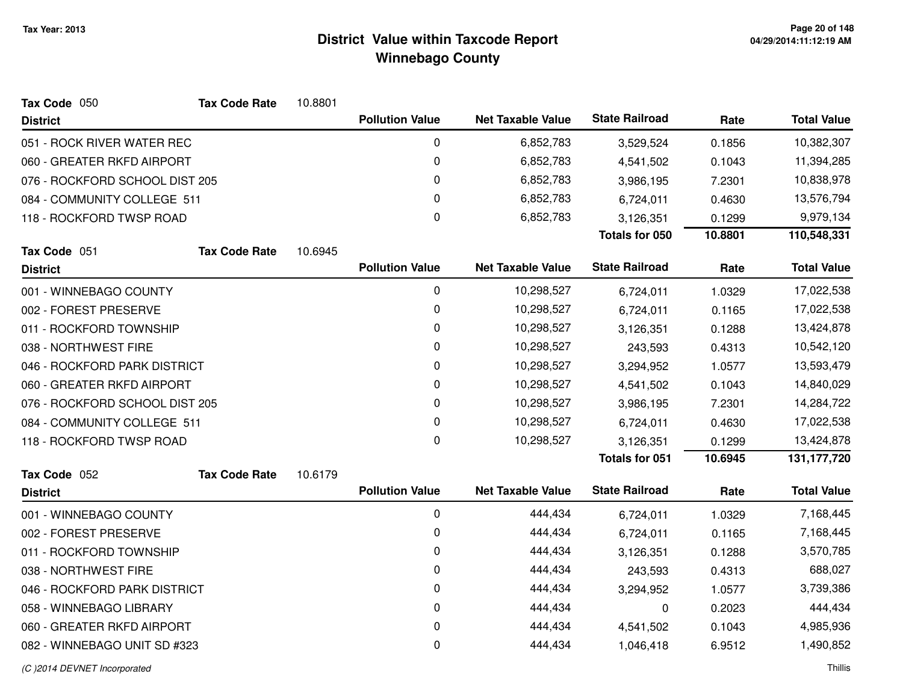| Tax Code 050                   | <b>Tax Code Rate</b> | 10.8801 |                        |                          |                       |         |                    |
|--------------------------------|----------------------|---------|------------------------|--------------------------|-----------------------|---------|--------------------|
| <b>District</b>                |                      |         | <b>Pollution Value</b> | <b>Net Taxable Value</b> | <b>State Railroad</b> | Rate    | <b>Total Value</b> |
| 051 - ROCK RIVER WATER REC     |                      |         | 0                      | 6,852,783                | 3,529,524             | 0.1856  | 10,382,307         |
| 060 - GREATER RKFD AIRPORT     |                      |         | 0                      | 6,852,783                | 4,541,502             | 0.1043  | 11,394,285         |
| 076 - ROCKFORD SCHOOL DIST 205 |                      |         | 0                      | 6,852,783                | 3,986,195             | 7.2301  | 10,838,978         |
| 084 - COMMUNITY COLLEGE 511    |                      |         | 0                      | 6,852,783                | 6,724,011             | 0.4630  | 13,576,794         |
| 118 - ROCKFORD TWSP ROAD       |                      |         | 0                      | 6,852,783                | 3,126,351             | 0.1299  | 9,979,134          |
|                                |                      |         |                        |                          | Totals for 050        | 10.8801 | 110,548,331        |
| Tax Code 051                   | <b>Tax Code Rate</b> | 10.6945 |                        |                          |                       |         |                    |
| <b>District</b>                |                      |         | <b>Pollution Value</b> | <b>Net Taxable Value</b> | <b>State Railroad</b> | Rate    | <b>Total Value</b> |
| 001 - WINNEBAGO COUNTY         |                      |         | $\pmb{0}$              | 10,298,527               | 6,724,011             | 1.0329  | 17,022,538         |
| 002 - FOREST PRESERVE          |                      |         | 0                      | 10,298,527               | 6,724,011             | 0.1165  | 17,022,538         |
| 011 - ROCKFORD TOWNSHIP        |                      |         | 0                      | 10,298,527               | 3,126,351             | 0.1288  | 13,424,878         |
| 038 - NORTHWEST FIRE           |                      |         | 0                      | 10,298,527               | 243,593               | 0.4313  | 10,542,120         |
| 046 - ROCKFORD PARK DISTRICT   |                      |         | 0                      | 10,298,527               | 3,294,952             | 1.0577  | 13,593,479         |
| 060 - GREATER RKFD AIRPORT     |                      |         | 0                      | 10,298,527               | 4,541,502             | 0.1043  | 14,840,029         |
| 076 - ROCKFORD SCHOOL DIST 205 |                      |         | 0                      | 10,298,527               | 3,986,195             | 7.2301  | 14,284,722         |
| 084 - COMMUNITY COLLEGE 511    |                      |         | 0                      | 10,298,527               | 6,724,011             | 0.4630  | 17,022,538         |
| 118 - ROCKFORD TWSP ROAD       |                      |         | 0                      | 10,298,527               | 3,126,351             | 0.1299  | 13,424,878         |
|                                |                      |         |                        |                          | <b>Totals for 051</b> | 10.6945 | 131, 177, 720      |
| Tax Code 052                   | <b>Tax Code Rate</b> | 10.6179 |                        |                          |                       |         |                    |
| <b>District</b>                |                      |         | <b>Pollution Value</b> | <b>Net Taxable Value</b> | <b>State Railroad</b> | Rate    | <b>Total Value</b> |
| 001 - WINNEBAGO COUNTY         |                      |         | 0                      | 444,434                  | 6,724,011             | 1.0329  | 7,168,445          |
| 002 - FOREST PRESERVE          |                      |         | 0                      | 444,434                  | 6,724,011             | 0.1165  | 7,168,445          |
| 011 - ROCKFORD TOWNSHIP        |                      |         | 0                      | 444,434                  | 3,126,351             | 0.1288  | 3,570,785          |
| 038 - NORTHWEST FIRE           |                      |         | 0                      | 444,434                  | 243,593               | 0.4313  | 688,027            |
| 046 - ROCKFORD PARK DISTRICT   |                      |         | 0                      | 444,434                  | 3,294,952             | 1.0577  | 3,739,386          |
| 058 - WINNEBAGO LIBRARY        |                      |         | 0                      | 444,434                  | 0                     | 0.2023  | 444,434            |
| 060 - GREATER RKFD AIRPORT     |                      |         | 0                      | 444,434                  | 4,541,502             | 0.1043  | 4,985,936          |
| 082 - WINNEBAGO UNIT SD #323   |                      |         | 0                      | 444,434                  | 1,046,418             | 6.9512  | 1,490,852          |
|                                |                      |         |                        |                          |                       |         |                    |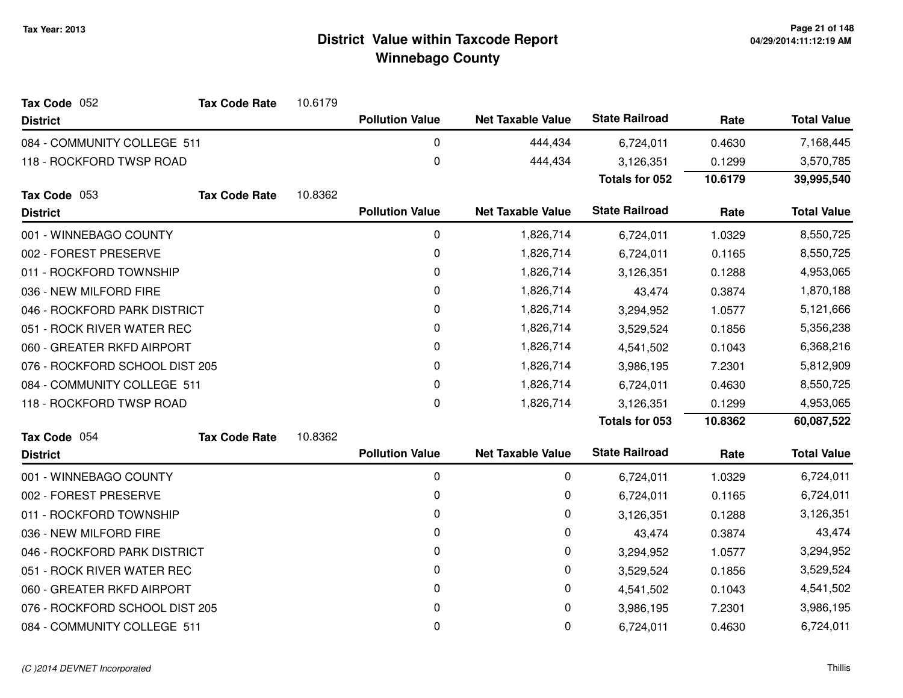| Tax Code 052                   | <b>Tax Code Rate</b> | 10.6179 |                        |                          |                       |           |                    |
|--------------------------------|----------------------|---------|------------------------|--------------------------|-----------------------|-----------|--------------------|
| <b>District</b>                |                      |         | <b>Pollution Value</b> | <b>Net Taxable Value</b> | <b>State Railroad</b> | Rate      | <b>Total Value</b> |
| 084 - COMMUNITY COLLEGE 511    |                      |         | 0                      | 444,434                  | 6,724,011             | 0.4630    | 7,168,445          |
| 118 - ROCKFORD TWSP ROAD       |                      |         | $\pmb{0}$              | 444,434                  | 3,126,351             | 0.1299    | 3,570,785          |
|                                |                      |         |                        |                          | Totals for 052        | 10.6179   | 39,995,540         |
| Tax Code 053                   | <b>Tax Code Rate</b> | 10.8362 |                        |                          |                       |           |                    |
| <b>District</b>                |                      |         | <b>Pollution Value</b> | <b>Net Taxable Value</b> | <b>State Railroad</b> | Rate      | <b>Total Value</b> |
| 001 - WINNEBAGO COUNTY         |                      |         | 0                      | 1,826,714                | 6,724,011             | 1.0329    | 8,550,725          |
| 002 - FOREST PRESERVE          |                      |         | 0                      | 1,826,714                | 6,724,011             | 0.1165    | 8,550,725          |
| 011 - ROCKFORD TOWNSHIP        |                      |         | 0                      | 1,826,714                | 3,126,351             | 0.1288    | 4,953,065          |
| 036 - NEW MILFORD FIRE         |                      |         | 0                      | 1,826,714                | 43,474                | 0.3874    | 1,870,188          |
| 046 - ROCKFORD PARK DISTRICT   |                      |         | 0                      | 1,826,714                | 3,294,952             | 1.0577    | 5,121,666          |
| 051 - ROCK RIVER WATER REC     |                      |         | 0                      | 1,826,714                | 3,529,524             | 0.1856    | 5,356,238          |
| 060 - GREATER RKFD AIRPORT     |                      | 0       | 1,826,714              | 4,541,502                | 0.1043                | 6,368,216 |                    |
| 076 - ROCKFORD SCHOOL DIST 205 |                      |         | 0                      | 1,826,714                | 3,986,195             | 7.2301    | 5,812,909          |
| 084 - COMMUNITY COLLEGE 511    |                      |         | 0                      | 1,826,714                | 6,724,011             | 0.4630    | 8,550,725          |
| 118 - ROCKFORD TWSP ROAD       |                      |         | 0                      | 1,826,714                | 3,126,351             | 0.1299    | 4,953,065          |
|                                |                      |         |                        |                          | Totals for 053        | 10.8362   | 60,087,522         |
| Tax Code 054                   | <b>Tax Code Rate</b> | 10.8362 |                        |                          |                       |           |                    |
| <b>District</b>                |                      |         | <b>Pollution Value</b> | <b>Net Taxable Value</b> | <b>State Railroad</b> | Rate      | <b>Total Value</b> |
| 001 - WINNEBAGO COUNTY         |                      |         | 0                      | 0                        | 6,724,011             | 1.0329    | 6,724,011          |
| 002 - FOREST PRESERVE          |                      |         | 0                      | 0                        | 6,724,011             | 0.1165    | 6,724,011          |
| 011 - ROCKFORD TOWNSHIP        |                      |         | 0                      | 0                        | 3,126,351             | 0.1288    | 3,126,351          |
| 036 - NEW MILFORD FIRE         |                      |         | 0                      | 0                        | 43,474                | 0.3874    | 43,474             |
| 046 - ROCKFORD PARK DISTRICT   |                      |         | 0                      | 0                        | 3,294,952             | 1.0577    | 3,294,952          |
| 051 - ROCK RIVER WATER REC     |                      |         | 0                      | 0                        | 3,529,524             | 0.1856    | 3,529,524          |
| 060 - GREATER RKFD AIRPORT     |                      |         | 0                      | 0                        | 4,541,502             | 0.1043    | 4,541,502          |
| 076 - ROCKFORD SCHOOL DIST 205 |                      |         | 0                      | 0                        | 3,986,195             | 7.2301    | 3,986,195          |
| 084 - COMMUNITY COLLEGE 511    |                      |         | 0                      | 0                        | 6,724,011             | 0.4630    | 6,724,011          |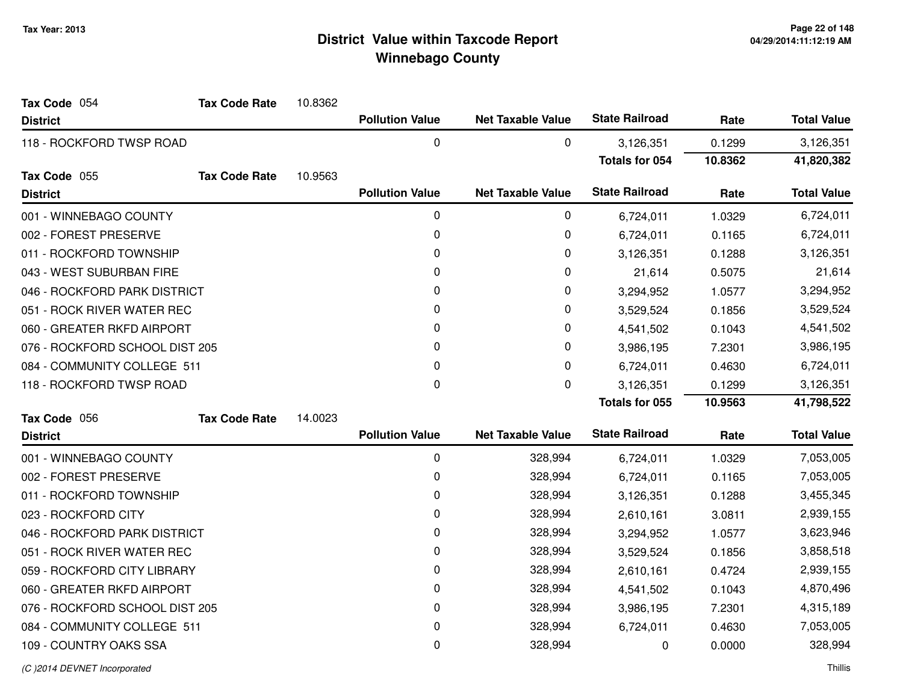| Tax Code 054                   | <b>Tax Code Rate</b> | 10.8362 |                        |                          |                       |           |                    |
|--------------------------------|----------------------|---------|------------------------|--------------------------|-----------------------|-----------|--------------------|
| <b>District</b>                |                      |         | <b>Pollution Value</b> | <b>Net Taxable Value</b> | <b>State Railroad</b> | Rate      | <b>Total Value</b> |
| 118 - ROCKFORD TWSP ROAD       |                      |         | $\mathbf 0$            | 0                        | 3,126,351             | 0.1299    | 3,126,351          |
|                                |                      |         |                        |                          | <b>Totals for 054</b> | 10.8362   | 41,820,382         |
| Tax Code 055                   | <b>Tax Code Rate</b> | 10.9563 |                        |                          |                       |           |                    |
| <b>District</b>                |                      |         | <b>Pollution Value</b> | <b>Net Taxable Value</b> | <b>State Railroad</b> | Rate      | <b>Total Value</b> |
| 001 - WINNEBAGO COUNTY         |                      |         | 0                      | 0                        | 6,724,011             | 1.0329    | 6,724,011          |
| 002 - FOREST PRESERVE          |                      |         | 0                      | 0                        | 6,724,011             | 0.1165    | 6,724,011          |
| 011 - ROCKFORD TOWNSHIP        |                      |         | 0                      | 0                        | 3,126,351             | 0.1288    | 3,126,351          |
| 043 - WEST SUBURBAN FIRE       |                      |         | 0                      | 0                        | 21,614                | 0.5075    | 21,614             |
| 046 - ROCKFORD PARK DISTRICT   |                      |         | 0                      | 0                        | 3,294,952             | 1.0577    | 3,294,952          |
| 051 - ROCK RIVER WATER REC     |                      |         | 0                      | 0                        | 3,529,524             | 0.1856    | 3,529,524          |
| 060 - GREATER RKFD AIRPORT     |                      |         | 0                      | 0                        | 4,541,502             | 0.1043    | 4,541,502          |
| 076 - ROCKFORD SCHOOL DIST 205 |                      | 0       | 0                      | 3,986,195                | 7.2301                | 3,986,195 |                    |
| 084 - COMMUNITY COLLEGE 511    |                      |         | $\mathbf{0}$           | $\pmb{0}$                | 6,724,011             | 0.4630    | 6,724,011          |
| 118 - ROCKFORD TWSP ROAD       |                      |         | 0                      | 0                        | 3,126,351             | 0.1299    | 3,126,351          |
|                                |                      |         |                        |                          | Totals for 055        | 10.9563   | 41,798,522         |
| Tax Code 056                   | <b>Tax Code Rate</b> | 14.0023 |                        |                          |                       |           |                    |
| <b>District</b>                |                      |         | <b>Pollution Value</b> | <b>Net Taxable Value</b> | <b>State Railroad</b> | Rate      | <b>Total Value</b> |
| 001 - WINNEBAGO COUNTY         |                      |         | $\pmb{0}$              | 328,994                  | 6,724,011             | 1.0329    | 7,053,005          |
| 002 - FOREST PRESERVE          |                      |         | 0                      | 328,994                  | 6,724,011             | 0.1165    | 7,053,005          |
| 011 - ROCKFORD TOWNSHIP        |                      |         | 0                      | 328,994                  | 3,126,351             | 0.1288    | 3,455,345          |
| 023 - ROCKFORD CITY            |                      |         | 0                      | 328,994                  | 2,610,161             | 3.0811    | 2,939,155          |
| 046 - ROCKFORD PARK DISTRICT   |                      |         | 0                      | 328,994                  | 3,294,952             | 1.0577    | 3,623,946          |
| 051 - ROCK RIVER WATER REC     |                      |         | 0                      | 328,994                  | 3,529,524             | 0.1856    | 3,858,518          |
| 059 - ROCKFORD CITY LIBRARY    |                      |         | 0                      | 328,994                  | 2,610,161             | 0.4724    | 2,939,155          |
| 060 - GREATER RKFD AIRPORT     |                      |         | 0                      | 328,994                  | 4,541,502             | 0.1043    | 4,870,496          |
| 076 - ROCKFORD SCHOOL DIST 205 |                      |         | 0                      | 328,994                  | 3,986,195             | 7.2301    | 4,315,189          |
| 084 - COMMUNITY COLLEGE 511    |                      |         |                        |                          | 6,724,011             | 0.4630    | 7,053,005          |
|                                |                      |         | 0                      | 328,994                  |                       |           |                    |
| 109 - COUNTRY OAKS SSA         |                      |         | $\mathbf 0$            | 328,994                  | 0                     | 0.0000    | 328,994            |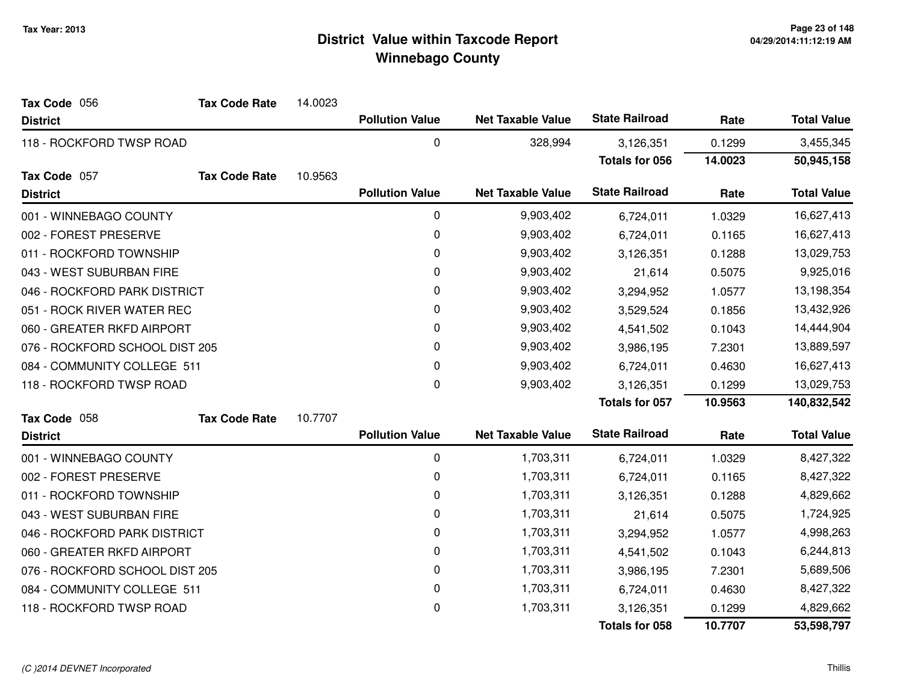| Tax Code 056                   | <b>Tax Code Rate</b>     | 14.0023 |                        |                          |                       |         |                    |
|--------------------------------|--------------------------|---------|------------------------|--------------------------|-----------------------|---------|--------------------|
| <b>District</b>                |                          |         | <b>Pollution Value</b> | <b>Net Taxable Value</b> | <b>State Railroad</b> | Rate    | <b>Total Value</b> |
| 118 - ROCKFORD TWSP ROAD       |                          |         | 0                      | 328,994                  | 3,126,351             | 0.1299  | 3,455,345          |
|                                |                          |         |                        |                          | <b>Totals for 056</b> | 14.0023 | 50,945,158         |
| Tax Code 057                   | <b>Tax Code Rate</b>     | 10.9563 |                        |                          |                       |         |                    |
| <b>District</b>                |                          |         | <b>Pollution Value</b> | <b>Net Taxable Value</b> | <b>State Railroad</b> | Rate    | <b>Total Value</b> |
| 001 - WINNEBAGO COUNTY         |                          |         | 0                      | 9,903,402                | 6,724,011             | 1.0329  | 16,627,413         |
| 002 - FOREST PRESERVE          |                          |         | 0                      | 9,903,402                | 6,724,011             | 0.1165  | 16,627,413         |
| 011 - ROCKFORD TOWNSHIP        |                          |         | 0                      | 9,903,402                | 3,126,351             | 0.1288  | 13,029,753         |
| 043 - WEST SUBURBAN FIRE       |                          |         | 0                      | 9,903,402                | 21,614                | 0.5075  | 9,925,016          |
| 046 - ROCKFORD PARK DISTRICT   |                          |         | 0                      | 9,903,402                | 3,294,952             | 1.0577  | 13,198,354         |
| 051 - ROCK RIVER WATER REC     |                          |         | 0                      | 9,903,402                | 3,529,524             | 0.1856  | 13,432,926         |
| 060 - GREATER RKFD AIRPORT     |                          |         | 0                      | 9,903,402                | 4,541,502             | 0.1043  | 14,444,904         |
| 076 - ROCKFORD SCHOOL DIST 205 |                          |         | 0                      | 9,903,402                | 3,986,195             | 7.2301  | 13,889,597         |
| 084 - COMMUNITY COLLEGE 511    |                          |         | 0                      | 9,903,402                | 6,724,011             | 0.4630  | 16,627,413         |
|                                | 118 - ROCKFORD TWSP ROAD |         | 0                      | 9,903,402                | 3,126,351             | 0.1299  | 13,029,753         |
|                                |                          |         |                        |                          | <b>Totals for 057</b> | 10.9563 | 140,832,542        |
| Tax Code 058                   | <b>Tax Code Rate</b>     | 10.7707 |                        |                          |                       |         |                    |
| <b>District</b>                |                          |         | <b>Pollution Value</b> | <b>Net Taxable Value</b> | <b>State Railroad</b> | Rate    | <b>Total Value</b> |
| 001 - WINNEBAGO COUNTY         |                          |         | 0                      | 1,703,311                | 6,724,011             | 1.0329  | 8,427,322          |
| 002 - FOREST PRESERVE          |                          |         | 0                      | 1,703,311                | 6,724,011             | 0.1165  | 8,427,322          |
| 011 - ROCKFORD TOWNSHIP        |                          |         | 0                      | 1,703,311                | 3,126,351             | 0.1288  | 4,829,662          |
| 043 - WEST SUBURBAN FIRE       |                          |         | 0                      | 1,703,311                | 21,614                | 0.5075  | 1,724,925          |
| 046 - ROCKFORD PARK DISTRICT   |                          |         | 0                      | 1,703,311                | 3,294,952             | 1.0577  | 4,998,263          |
| 060 - GREATER RKFD AIRPORT     |                          |         | 0                      | 1,703,311                | 4,541,502             | 0.1043  | 6,244,813          |
| 076 - ROCKFORD SCHOOL DIST 205 |                          |         | 0                      | 1,703,311                | 3,986,195             | 7.2301  | 5,689,506          |
| 084 - COMMUNITY COLLEGE 511    |                          |         | 0                      | 1,703,311                | 6,724,011             | 0.4630  | 8,427,322          |
| 118 - ROCKFORD TWSP ROAD       |                          |         | 0                      | 1,703,311                | 3,126,351             | 0.1299  | 4,829,662          |
|                                |                          |         |                        |                          | <b>Totals for 058</b> | 10.7707 | 53,598,797         |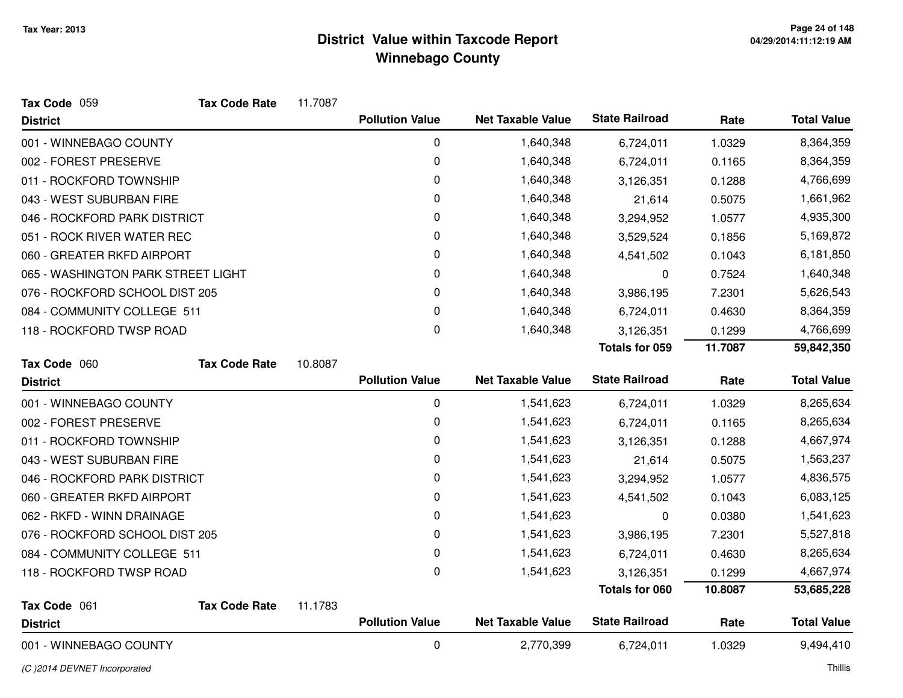| Tax Code 059                       | <b>Tax Code Rate</b> | 11.7087 |                        |                          |                       |         |                    |
|------------------------------------|----------------------|---------|------------------------|--------------------------|-----------------------|---------|--------------------|
| <b>District</b>                    |                      |         | <b>Pollution Value</b> | <b>Net Taxable Value</b> | <b>State Railroad</b> | Rate    | <b>Total Value</b> |
| 001 - WINNEBAGO COUNTY             |                      |         | $\pmb{0}$              | 1,640,348                | 6,724,011             | 1.0329  | 8,364,359          |
| 002 - FOREST PRESERVE              |                      |         | 0                      | 1,640,348                | 6,724,011             | 0.1165  | 8,364,359          |
| 011 - ROCKFORD TOWNSHIP            |                      |         | 0                      | 1,640,348                | 3,126,351             | 0.1288  | 4,766,699          |
| 043 - WEST SUBURBAN FIRE           |                      |         | 0                      | 1,640,348                | 21,614                | 0.5075  | 1,661,962          |
| 046 - ROCKFORD PARK DISTRICT       |                      |         | 0                      | 1,640,348                | 3,294,952             | 1.0577  | 4,935,300          |
| 051 - ROCK RIVER WATER REC         |                      |         | 0                      | 1,640,348                | 3,529,524             | 0.1856  | 5,169,872          |
| 060 - GREATER RKFD AIRPORT         |                      |         | 0                      | 1,640,348                | 4,541,502             | 0.1043  | 6,181,850          |
| 065 - WASHINGTON PARK STREET LIGHT |                      |         | 0                      | 1,640,348                | 0                     | 0.7524  | 1,640,348          |
| 076 - ROCKFORD SCHOOL DIST 205     |                      |         | 0                      | 1,640,348                | 3,986,195             | 7.2301  | 5,626,543          |
| 084 - COMMUNITY COLLEGE 511        |                      |         | 0                      | 1,640,348                | 6,724,011             | 0.4630  | 8,364,359          |
| 118 - ROCKFORD TWSP ROAD           |                      |         | 0                      | 1,640,348                | 3,126,351             | 0.1299  | 4,766,699          |
|                                    |                      |         |                        |                          | <b>Totals for 059</b> | 11.7087 | 59,842,350         |
| Tax Code 060                       | <b>Tax Code Rate</b> | 10.8087 |                        |                          |                       |         |                    |
| <b>District</b>                    |                      |         | <b>Pollution Value</b> | <b>Net Taxable Value</b> | <b>State Railroad</b> | Rate    | <b>Total Value</b> |
| 001 - WINNEBAGO COUNTY             |                      |         | 0                      | 1,541,623                | 6,724,011             | 1.0329  | 8,265,634          |
| 002 - FOREST PRESERVE              |                      |         | 0                      | 1,541,623                | 6,724,011             | 0.1165  | 8,265,634          |
| 011 - ROCKFORD TOWNSHIP            |                      |         | 0                      | 1,541,623                | 3,126,351             | 0.1288  | 4,667,974          |
| 043 - WEST SUBURBAN FIRE           |                      |         | 0                      | 1,541,623                | 21,614                | 0.5075  | 1,563,237          |
| 046 - ROCKFORD PARK DISTRICT       |                      |         | 0                      | 1,541,623                | 3,294,952             | 1.0577  | 4,836,575          |
| 060 - GREATER RKFD AIRPORT         |                      |         | 0                      | 1,541,623                | 4,541,502             | 0.1043  | 6,083,125          |
| 062 - RKFD - WINN DRAINAGE         |                      |         | 0                      | 1,541,623                | 0                     | 0.0380  | 1,541,623          |
| 076 - ROCKFORD SCHOOL DIST 205     |                      |         | 0                      | 1,541,623                | 3,986,195             | 7.2301  | 5,527,818          |
| 084 - COMMUNITY COLLEGE 511        |                      |         | 0                      | 1,541,623                | 6,724,011             | 0.4630  | 8,265,634          |
| 118 - ROCKFORD TWSP ROAD           |                      |         | $\pmb{0}$              | 1,541,623                | 3,126,351             | 0.1299  | 4,667,974          |
|                                    |                      |         |                        |                          | <b>Totals for 060</b> | 10.8087 | 53,685,228         |
| Tax Code 061                       | <b>Tax Code Rate</b> | 11.1783 |                        |                          |                       |         |                    |
| <b>District</b>                    |                      |         | <b>Pollution Value</b> | <b>Net Taxable Value</b> | <b>State Railroad</b> | Rate    | <b>Total Value</b> |
| 001 - WINNEBAGO COUNTY             |                      |         | 0                      | 2,770,399                | 6,724,011             | 1.0329  | 9,494,410          |

(C )2014 DEVNET Incorporated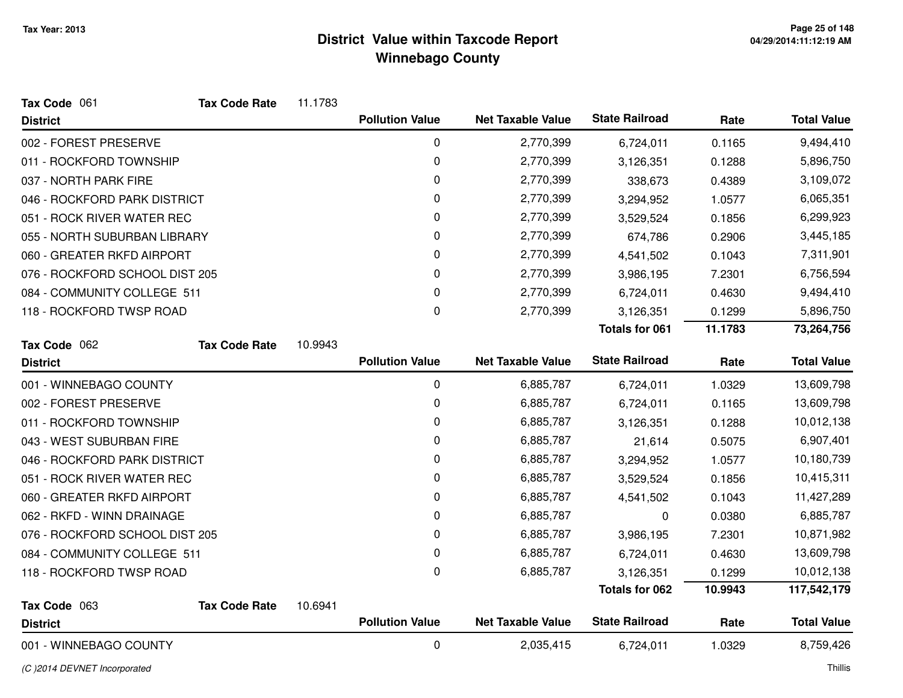| Tax Code 061                   | <b>Tax Code Rate</b> | 11.1783 |                        |                          |                       |         |                    |
|--------------------------------|----------------------|---------|------------------------|--------------------------|-----------------------|---------|--------------------|
| <b>District</b>                |                      |         | <b>Pollution Value</b> | <b>Net Taxable Value</b> | <b>State Railroad</b> | Rate    | <b>Total Value</b> |
| 002 - FOREST PRESERVE          |                      |         | 0                      | 2,770,399                | 6,724,011             | 0.1165  | 9,494,410          |
| 011 - ROCKFORD TOWNSHIP        |                      |         | $\mathbf 0$            | 2,770,399                | 3,126,351             | 0.1288  | 5,896,750          |
| 037 - NORTH PARK FIRE          |                      |         | 0                      | 2,770,399                | 338,673               | 0.4389  | 3,109,072          |
| 046 - ROCKFORD PARK DISTRICT   |                      |         | 0                      | 2,770,399                | 3,294,952             | 1.0577  | 6,065,351          |
| 051 - ROCK RIVER WATER REC     |                      |         | 0                      | 2,770,399                | 3,529,524             | 0.1856  | 6,299,923          |
| 055 - NORTH SUBURBAN LIBRARY   |                      |         | 0                      | 2,770,399                | 674,786               | 0.2906  | 3,445,185          |
| 060 - GREATER RKFD AIRPORT     |                      |         | 0                      | 2,770,399                | 4,541,502             | 0.1043  | 7,311,901          |
| 076 - ROCKFORD SCHOOL DIST 205 |                      |         | 0                      | 2,770,399                | 3,986,195             | 7.2301  | 6,756,594          |
| 084 - COMMUNITY COLLEGE 511    |                      |         | 0                      | 2,770,399                | 6,724,011             | 0.4630  | 9,494,410          |
| 118 - ROCKFORD TWSP ROAD       |                      |         | 0                      | 2,770,399                | 3,126,351             | 0.1299  | 5,896,750          |
|                                |                      |         |                        |                          | <b>Totals for 061</b> | 11.1783 | 73,264,756         |
| Tax Code 062                   | <b>Tax Code Rate</b> | 10.9943 |                        |                          |                       |         |                    |
| <b>District</b>                |                      |         | <b>Pollution Value</b> | <b>Net Taxable Value</b> | <b>State Railroad</b> | Rate    | <b>Total Value</b> |
| 001 - WINNEBAGO COUNTY         |                      |         | 0                      | 6,885,787                | 6,724,011             | 1.0329  | 13,609,798         |
| 002 - FOREST PRESERVE          |                      |         | 0                      | 6,885,787                | 6,724,011             | 0.1165  | 13,609,798         |
| 011 - ROCKFORD TOWNSHIP        |                      |         | 0                      | 6,885,787                | 3,126,351             | 0.1288  | 10,012,138         |
| 043 - WEST SUBURBAN FIRE       |                      |         | 0                      | 6,885,787                | 21,614                | 0.5075  | 6,907,401          |
| 046 - ROCKFORD PARK DISTRICT   |                      |         | 0                      | 6,885,787                | 3,294,952             | 1.0577  | 10,180,739         |
| 051 - ROCK RIVER WATER REC     |                      |         | 0                      | 6,885,787                | 3,529,524             | 0.1856  | 10,415,311         |
| 060 - GREATER RKFD AIRPORT     |                      |         | 0                      | 6,885,787                | 4,541,502             | 0.1043  | 11,427,289         |
| 062 - RKFD - WINN DRAINAGE     |                      |         | 0                      | 6,885,787                | $\mathbf 0$           | 0.0380  | 6,885,787          |
| 076 - ROCKFORD SCHOOL DIST 205 |                      |         | 0                      | 6,885,787                | 3,986,195             | 7.2301  | 10,871,982         |
| 084 - COMMUNITY COLLEGE 511    |                      |         | 0                      | 6,885,787                | 6,724,011             | 0.4630  | 13,609,798         |
| 118 - ROCKFORD TWSP ROAD       |                      |         | 0                      | 6,885,787                | 3,126,351             | 0.1299  | 10,012,138         |
|                                |                      |         |                        |                          | <b>Totals for 062</b> | 10.9943 | 117,542,179        |
| Tax Code 063                   | <b>Tax Code Rate</b> | 10.6941 |                        |                          |                       |         |                    |
| <b>District</b>                |                      |         | <b>Pollution Value</b> | <b>Net Taxable Value</b> | <b>State Railroad</b> | Rate    | <b>Total Value</b> |
| 001 - WINNEBAGO COUNTY         |                      |         | $\mathbf 0$            | 2,035,415                | 6,724,011             | 1.0329  | 8,759,426          |

(C )2014 DEVNET Incorporated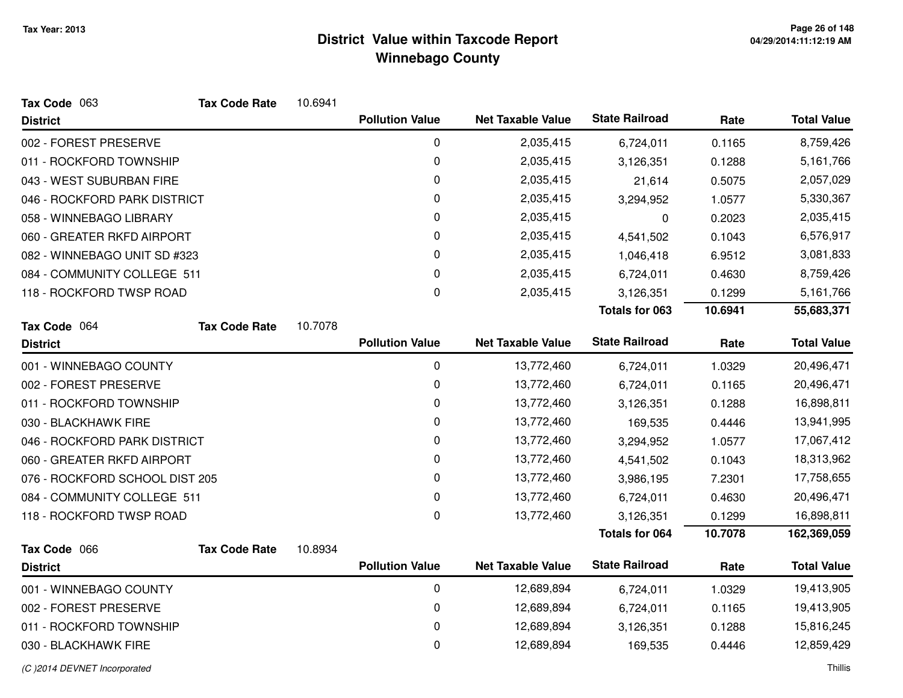| Tax Code 063                   | <b>Tax Code Rate</b> | 10.6941 |                        |                          |                       |         |                    |
|--------------------------------|----------------------|---------|------------------------|--------------------------|-----------------------|---------|--------------------|
| <b>District</b>                |                      |         | <b>Pollution Value</b> | <b>Net Taxable Value</b> | <b>State Railroad</b> | Rate    | <b>Total Value</b> |
| 002 - FOREST PRESERVE          |                      |         | 0                      | 2,035,415                | 6,724,011             | 0.1165  | 8,759,426          |
| 011 - ROCKFORD TOWNSHIP        |                      |         | 0                      | 2,035,415                | 3,126,351             | 0.1288  | 5,161,766          |
| 043 - WEST SUBURBAN FIRE       |                      |         | 0                      | 2,035,415                | 21,614                | 0.5075  | 2,057,029          |
| 046 - ROCKFORD PARK DISTRICT   |                      |         | 0                      | 2,035,415                | 3,294,952             | 1.0577  | 5,330,367          |
| 058 - WINNEBAGO LIBRARY        |                      |         | 0                      | 2,035,415                | $\pmb{0}$             | 0.2023  | 2,035,415          |
| 060 - GREATER RKFD AIRPORT     |                      |         | 0                      | 2,035,415                | 4,541,502             | 0.1043  | 6,576,917          |
| 082 - WINNEBAGO UNIT SD #323   |                      |         | 0                      | 2,035,415                | 1,046,418             | 6.9512  | 3,081,833          |
| 084 - COMMUNITY COLLEGE 511    |                      |         | 0                      | 2,035,415                | 6,724,011             | 0.4630  | 8,759,426          |
| 118 - ROCKFORD TWSP ROAD       |                      |         | 0                      | 2,035,415                | 3,126,351             | 0.1299  | 5,161,766          |
|                                |                      |         |                        |                          | <b>Totals for 063</b> | 10.6941 | 55,683,371         |
| Tax Code 064                   | <b>Tax Code Rate</b> | 10.7078 |                        |                          |                       |         |                    |
| <b>District</b>                |                      |         | <b>Pollution Value</b> | <b>Net Taxable Value</b> | <b>State Railroad</b> | Rate    | <b>Total Value</b> |
| 001 - WINNEBAGO COUNTY         |                      |         | 0                      | 13,772,460               | 6,724,011             | 1.0329  | 20,496,471         |
| 002 - FOREST PRESERVE          |                      |         | 0                      | 13,772,460               | 6,724,011             | 0.1165  | 20,496,471         |
| 011 - ROCKFORD TOWNSHIP        |                      |         | 0                      | 13,772,460               | 3,126,351             | 0.1288  | 16,898,811         |
| 030 - BLACKHAWK FIRE           |                      |         | 0                      | 13,772,460               | 169,535               | 0.4446  | 13,941,995         |
| 046 - ROCKFORD PARK DISTRICT   |                      |         | 0                      | 13,772,460               | 3,294,952             | 1.0577  | 17,067,412         |
| 060 - GREATER RKFD AIRPORT     |                      |         | 0                      | 13,772,460               | 4,541,502             | 0.1043  | 18,313,962         |
| 076 - ROCKFORD SCHOOL DIST 205 |                      |         | 0                      | 13,772,460               | 3,986,195             | 7.2301  | 17,758,655         |
| 084 - COMMUNITY COLLEGE 511    |                      |         | 0                      | 13,772,460               | 6,724,011             | 0.4630  | 20,496,471         |
| 118 - ROCKFORD TWSP ROAD       |                      |         | $\mathbf 0$            | 13,772,460               | 3,126,351             | 0.1299  | 16,898,811         |
|                                |                      |         |                        |                          | <b>Totals for 064</b> | 10.7078 | 162,369,059        |
| Tax Code 066                   | <b>Tax Code Rate</b> | 10.8934 |                        |                          |                       |         |                    |
| <b>District</b>                |                      |         | <b>Pollution Value</b> | <b>Net Taxable Value</b> | <b>State Railroad</b> | Rate    | <b>Total Value</b> |
| 001 - WINNEBAGO COUNTY         |                      |         | $\mathbf 0$            | 12,689,894               | 6,724,011             | 1.0329  | 19,413,905         |
| 002 - FOREST PRESERVE          |                      |         | 0                      | 12,689,894               | 6,724,011             | 0.1165  | 19,413,905         |
| 011 - ROCKFORD TOWNSHIP        |                      |         | 0                      | 12,689,894               | 3,126,351             | 0.1288  | 15,816,245         |
| 030 - BLACKHAWK FIRE           |                      |         | 0                      | 12,689,894               | 169,535               | 0.4446  | 12,859,429         |
| (C) 2014 DEVNET Incorporated   |                      |         |                        |                          |                       |         | Thillis            |

d and the contract of the contract of the contract of the contract of the contract of the contract of the contract of the contract of the contract of the contract of the contract of the contract of the contract of the cont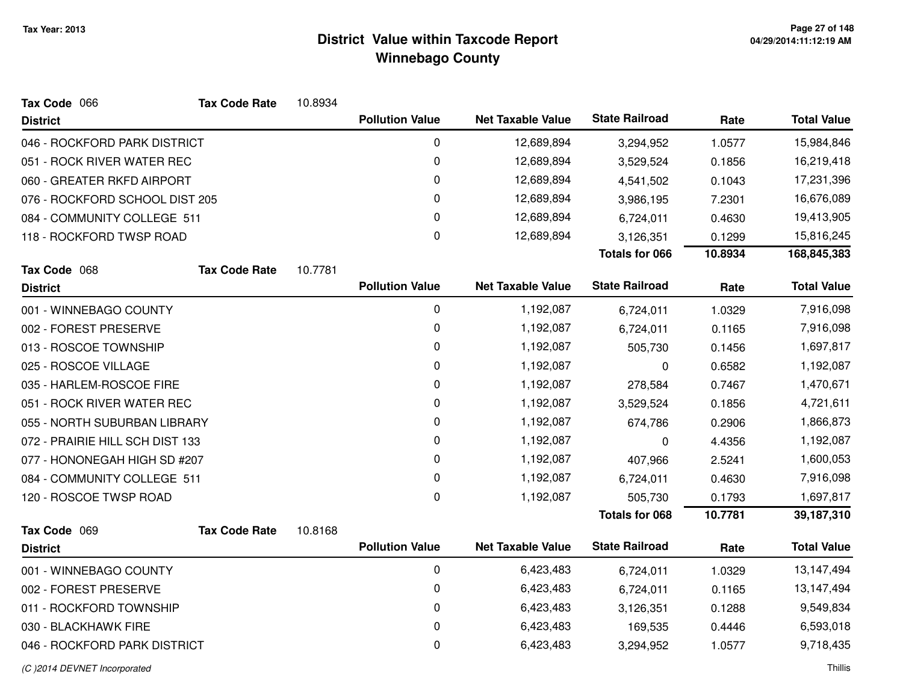| Tax Code 066                    | <b>Tax Code Rate</b> | 10.8934 |                        |                          |                       |         |                    |
|---------------------------------|----------------------|---------|------------------------|--------------------------|-----------------------|---------|--------------------|
| <b>District</b>                 |                      |         | <b>Pollution Value</b> | <b>Net Taxable Value</b> | <b>State Railroad</b> | Rate    | <b>Total Value</b> |
| 046 - ROCKFORD PARK DISTRICT    |                      |         | 0                      | 12,689,894               | 3,294,952             | 1.0577  | 15,984,846         |
| 051 - ROCK RIVER WATER REC      |                      |         | 0                      | 12,689,894               | 3,529,524             | 0.1856  | 16,219,418         |
| 060 - GREATER RKFD AIRPORT      |                      |         | 0                      | 12,689,894               | 4,541,502             | 0.1043  | 17,231,396         |
| 076 - ROCKFORD SCHOOL DIST 205  |                      |         | 0                      | 12,689,894               | 3,986,195             | 7.2301  | 16,676,089         |
| 084 - COMMUNITY COLLEGE 511     |                      |         | 0                      | 12,689,894               | 6,724,011             | 0.4630  | 19,413,905         |
| 118 - ROCKFORD TWSP ROAD        |                      |         | 0                      | 12,689,894               | 3,126,351             | 0.1299  | 15,816,245         |
|                                 |                      |         |                        |                          | <b>Totals for 066</b> | 10.8934 | 168,845,383        |
| Tax Code 068                    | <b>Tax Code Rate</b> | 10.7781 |                        |                          |                       |         |                    |
| <b>District</b>                 |                      |         | <b>Pollution Value</b> | <b>Net Taxable Value</b> | <b>State Railroad</b> | Rate    | <b>Total Value</b> |
| 001 - WINNEBAGO COUNTY          |                      |         | 0                      | 1,192,087                | 6,724,011             | 1.0329  | 7,916,098          |
| 002 - FOREST PRESERVE           |                      |         | 0                      | 1,192,087                | 6,724,011             | 0.1165  | 7,916,098          |
| 013 - ROSCOE TOWNSHIP           |                      |         | 0                      | 1,192,087                | 505,730               | 0.1456  | 1,697,817          |
| 025 - ROSCOE VILLAGE            |                      |         | 0                      | 1,192,087                | 0                     | 0.6582  | 1,192,087          |
| 035 - HARLEM-ROSCOE FIRE        |                      |         | 0                      | 1,192,087                | 278,584               | 0.7467  | 1,470,671          |
| 051 - ROCK RIVER WATER REC      |                      |         | 0                      | 1,192,087                | 3,529,524             | 0.1856  | 4,721,611          |
| 055 - NORTH SUBURBAN LIBRARY    |                      |         | 0                      | 1,192,087                | 674,786               | 0.2906  | 1,866,873          |
| 072 - PRAIRIE HILL SCH DIST 133 |                      |         | 0                      | 1,192,087                | 0                     | 4.4356  | 1,192,087          |
| 077 - HONONEGAH HIGH SD #207    |                      |         | 0                      | 1,192,087                | 407,966               | 2.5241  | 1,600,053          |
| 084 - COMMUNITY COLLEGE 511     |                      |         | 0                      | 1,192,087                | 6,724,011             | 0.4630  | 7,916,098          |
| 120 - ROSCOE TWSP ROAD          |                      |         | 0                      | 1,192,087                | 505,730               | 0.1793  | 1,697,817          |
|                                 |                      |         |                        |                          | <b>Totals for 068</b> | 10.7781 | 39,187,310         |
| Tax Code 069                    | <b>Tax Code Rate</b> | 10.8168 |                        |                          |                       |         |                    |
| <b>District</b>                 |                      |         | <b>Pollution Value</b> | <b>Net Taxable Value</b> | <b>State Railroad</b> | Rate    | <b>Total Value</b> |
| 001 - WINNEBAGO COUNTY          |                      |         | 0                      | 6,423,483                | 6,724,011             | 1.0329  | 13,147,494         |
| 002 - FOREST PRESERVE           |                      |         | 0                      | 6,423,483                | 6,724,011             | 0.1165  | 13,147,494         |
| 011 - ROCKFORD TOWNSHIP         |                      |         | 0                      | 6,423,483                | 3,126,351             | 0.1288  | 9,549,834          |
| 030 - BLACKHAWK FIRE            |                      |         | 0                      | 6,423,483                | 169,535               | 0.4446  | 6,593,018          |
| 046 - ROCKFORD PARK DISTRICT    |                      |         | $\mathbf 0$            | 6,423,483                | 3,294,952             | 1.0577  | 9,718,435          |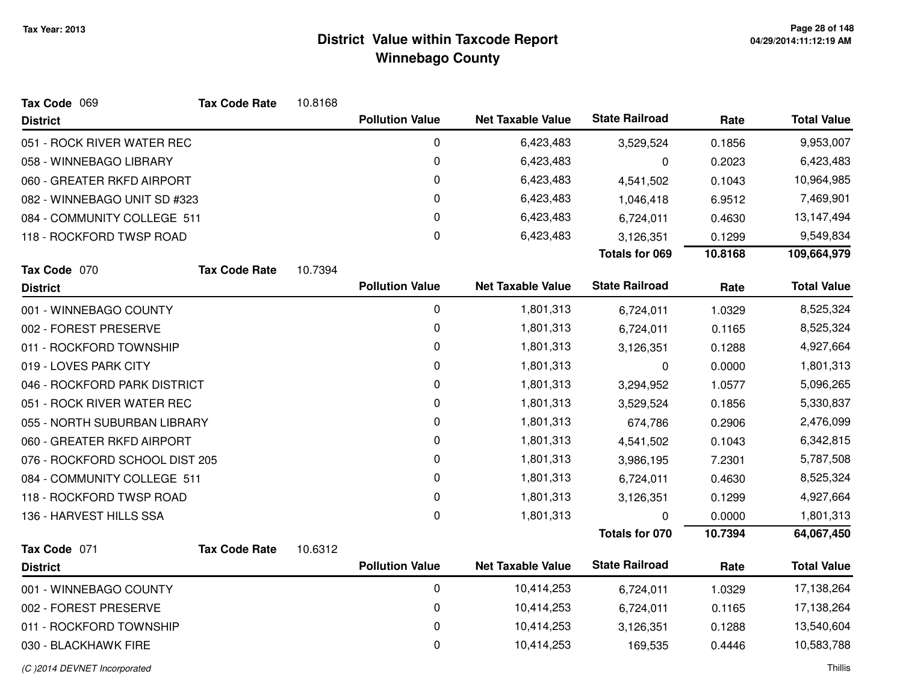| Tax Code 069                   | <b>Tax Code Rate</b> | 10.8168 |                        |                          |                       |         |                    |
|--------------------------------|----------------------|---------|------------------------|--------------------------|-----------------------|---------|--------------------|
| <b>District</b>                |                      |         | <b>Pollution Value</b> | <b>Net Taxable Value</b> | <b>State Railroad</b> | Rate    | <b>Total Value</b> |
| 051 - ROCK RIVER WATER REC     |                      |         | $\pmb{0}$              | 6,423,483                | 3,529,524             | 0.1856  | 9,953,007          |
| 058 - WINNEBAGO LIBRARY        |                      |         | $\pmb{0}$              | 6,423,483                | 0                     | 0.2023  | 6,423,483          |
| 060 - GREATER RKFD AIRPORT     |                      |         | 0                      | 6,423,483                | 4,541,502             | 0.1043  | 10,964,985         |
| 082 - WINNEBAGO UNIT SD #323   |                      |         | $\pmb{0}$              | 6,423,483                | 1,046,418             | 6.9512  | 7,469,901          |
| 084 - COMMUNITY COLLEGE 511    |                      |         | 0                      | 6,423,483                | 6,724,011             | 0.4630  | 13,147,494         |
| 118 - ROCKFORD TWSP ROAD       |                      |         | $\pmb{0}$              | 6,423,483                | 3,126,351             | 0.1299  | 9,549,834          |
|                                |                      |         |                        |                          | <b>Totals for 069</b> | 10.8168 | 109,664,979        |
| Tax Code 070                   | <b>Tax Code Rate</b> | 10.7394 |                        |                          |                       |         |                    |
| <b>District</b>                |                      |         | <b>Pollution Value</b> | <b>Net Taxable Value</b> | <b>State Railroad</b> | Rate    | <b>Total Value</b> |
| 001 - WINNEBAGO COUNTY         |                      |         | $\pmb{0}$              | 1,801,313                | 6,724,011             | 1.0329  | 8,525,324          |
| 002 - FOREST PRESERVE          |                      |         | $\pmb{0}$              | 1,801,313                | 6,724,011             | 0.1165  | 8,525,324          |
| 011 - ROCKFORD TOWNSHIP        |                      |         | $\pmb{0}$              | 1,801,313                | 3,126,351             | 0.1288  | 4,927,664          |
| 019 - LOVES PARK CITY          |                      |         | 0                      | 1,801,313                | 0                     | 0.0000  | 1,801,313          |
| 046 - ROCKFORD PARK DISTRICT   |                      |         | 0                      | 1,801,313                | 3,294,952             | 1.0577  | 5,096,265          |
| 051 - ROCK RIVER WATER REC     |                      |         | 0                      | 1,801,313                | 3,529,524             | 0.1856  | 5,330,837          |
| 055 - NORTH SUBURBAN LIBRARY   |                      |         | 0                      | 1,801,313                | 674,786               | 0.2906  | 2,476,099          |
| 060 - GREATER RKFD AIRPORT     |                      |         | 0                      | 1,801,313                | 4,541,502             | 0.1043  | 6,342,815          |
| 076 - ROCKFORD SCHOOL DIST 205 |                      |         | 0                      | 1,801,313                | 3,986,195             | 7.2301  | 5,787,508          |
| 084 - COMMUNITY COLLEGE 511    |                      |         | 0                      | 1,801,313                | 6,724,011             | 0.4630  | 8,525,324          |
| 118 - ROCKFORD TWSP ROAD       |                      |         | 0                      | 1,801,313                | 3,126,351             | 0.1299  | 4,927,664          |
| 136 - HARVEST HILLS SSA        |                      |         | $\pmb{0}$              | 1,801,313                | 0                     | 0.0000  | 1,801,313          |
|                                |                      |         |                        |                          | Totals for 070        | 10.7394 | 64,067,450         |
| Tax Code 071                   | <b>Tax Code Rate</b> | 10.6312 |                        |                          |                       |         |                    |
| <b>District</b>                |                      |         | <b>Pollution Value</b> | <b>Net Taxable Value</b> | <b>State Railroad</b> | Rate    | <b>Total Value</b> |
| 001 - WINNEBAGO COUNTY         |                      |         | $\pmb{0}$              | 10,414,253               | 6,724,011             | 1.0329  | 17,138,264         |
| 002 - FOREST PRESERVE          |                      |         | 0                      | 10,414,253               | 6,724,011             | 0.1165  | 17,138,264         |
| 011 - ROCKFORD TOWNSHIP        |                      |         | $\pmb{0}$              | 10,414,253               | 3,126,351             | 0.1288  | 13,540,604         |
| 030 - BLACKHAWK FIRE           |                      |         | 0                      | 10,414,253               | 169,535               | 0.4446  | 10,583,788         |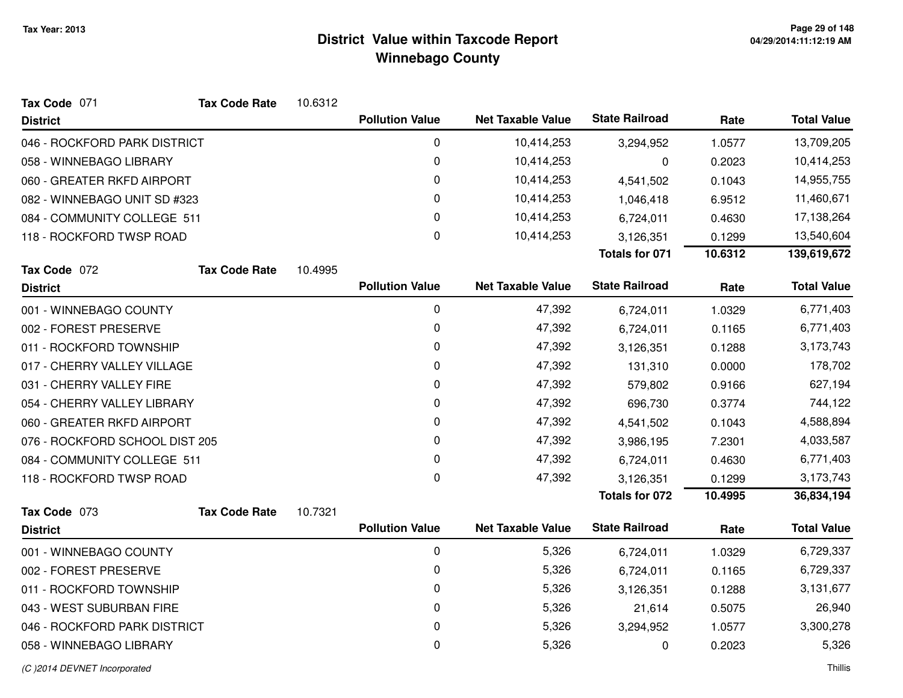| Tax Code 071                   | <b>Tax Code Rate</b> | 10.6312 |                        |                          |                       |         |                    |
|--------------------------------|----------------------|---------|------------------------|--------------------------|-----------------------|---------|--------------------|
| <b>District</b>                |                      |         | <b>Pollution Value</b> | <b>Net Taxable Value</b> | <b>State Railroad</b> | Rate    | <b>Total Value</b> |
| 046 - ROCKFORD PARK DISTRICT   |                      |         | 0                      | 10,414,253               | 3,294,952             | 1.0577  | 13,709,205         |
| 058 - WINNEBAGO LIBRARY        |                      |         | 0                      | 10,414,253               | 0                     | 0.2023  | 10,414,253         |
| 060 - GREATER RKFD AIRPORT     |                      |         | 0                      | 10,414,253               | 4,541,502             | 0.1043  | 14,955,755         |
| 082 - WINNEBAGO UNIT SD #323   |                      |         | 0                      | 10,414,253               | 1,046,418             | 6.9512  | 11,460,671         |
| 084 - COMMUNITY COLLEGE 511    |                      |         | 0                      | 10,414,253               | 6,724,011             | 0.4630  | 17,138,264         |
| 118 - ROCKFORD TWSP ROAD       |                      |         | 0                      | 10,414,253               | 3,126,351             | 0.1299  | 13,540,604         |
|                                |                      |         |                        |                          | <b>Totals for 071</b> | 10.6312 | 139,619,672        |
| Tax Code 072                   | <b>Tax Code Rate</b> | 10.4995 |                        |                          |                       |         |                    |
| <b>District</b>                |                      |         | <b>Pollution Value</b> | <b>Net Taxable Value</b> | <b>State Railroad</b> | Rate    | <b>Total Value</b> |
| 001 - WINNEBAGO COUNTY         |                      |         | $\mathbf 0$            | 47,392                   | 6,724,011             | 1.0329  | 6,771,403          |
| 002 - FOREST PRESERVE          |                      |         | 0                      | 47,392                   | 6,724,011             | 0.1165  | 6,771,403          |
| 011 - ROCKFORD TOWNSHIP        |                      |         | 0                      | 47,392                   | 3,126,351             | 0.1288  | 3,173,743          |
| 017 - CHERRY VALLEY VILLAGE    |                      |         | 0                      | 47,392                   | 131,310               | 0.0000  | 178,702            |
| 031 - CHERRY VALLEY FIRE       |                      |         | 0                      | 47,392                   | 579,802               | 0.9166  | 627,194            |
| 054 - CHERRY VALLEY LIBRARY    |                      |         | 0                      | 47,392                   | 696,730               | 0.3774  | 744,122            |
| 060 - GREATER RKFD AIRPORT     |                      |         | $\Omega$               | 47,392                   | 4,541,502             | 0.1043  | 4,588,894          |
| 076 - ROCKFORD SCHOOL DIST 205 |                      |         | 0                      | 47,392                   | 3,986,195             | 7.2301  | 4,033,587          |
| 084 - COMMUNITY COLLEGE 511    |                      |         | 0                      | 47,392                   | 6,724,011             | 0.4630  | 6,771,403          |
| 118 - ROCKFORD TWSP ROAD       |                      |         | 0                      | 47,392                   | 3,126,351             | 0.1299  | 3,173,743          |
|                                |                      |         |                        |                          | <b>Totals for 072</b> | 10.4995 | 36,834,194         |
| Tax Code 073                   | <b>Tax Code Rate</b> | 10.7321 |                        |                          |                       |         |                    |
| <b>District</b>                |                      |         | <b>Pollution Value</b> | <b>Net Taxable Value</b> | <b>State Railroad</b> | Rate    | <b>Total Value</b> |
| 001 - WINNEBAGO COUNTY         |                      |         | $\mathbf 0$            | 5,326                    | 6,724,011             | 1.0329  | 6,729,337          |
| 002 - FOREST PRESERVE          |                      |         | 0                      | 5,326                    | 6,724,011             | 0.1165  | 6,729,337          |
| 011 - ROCKFORD TOWNSHIP        |                      |         | 0                      | 5,326                    | 3,126,351             | 0.1288  | 3,131,677          |
| 043 - WEST SUBURBAN FIRE       |                      |         | 0                      | 5,326                    | 21,614                | 0.5075  | 26,940             |
| 046 - ROCKFORD PARK DISTRICT   |                      |         | 0                      | 5,326                    | 3,294,952             | 1.0577  | 3,300,278          |
| 058 - WINNEBAGO LIBRARY        |                      |         | 0                      | 5,326                    | 0                     | 0.2023  | 5,326              |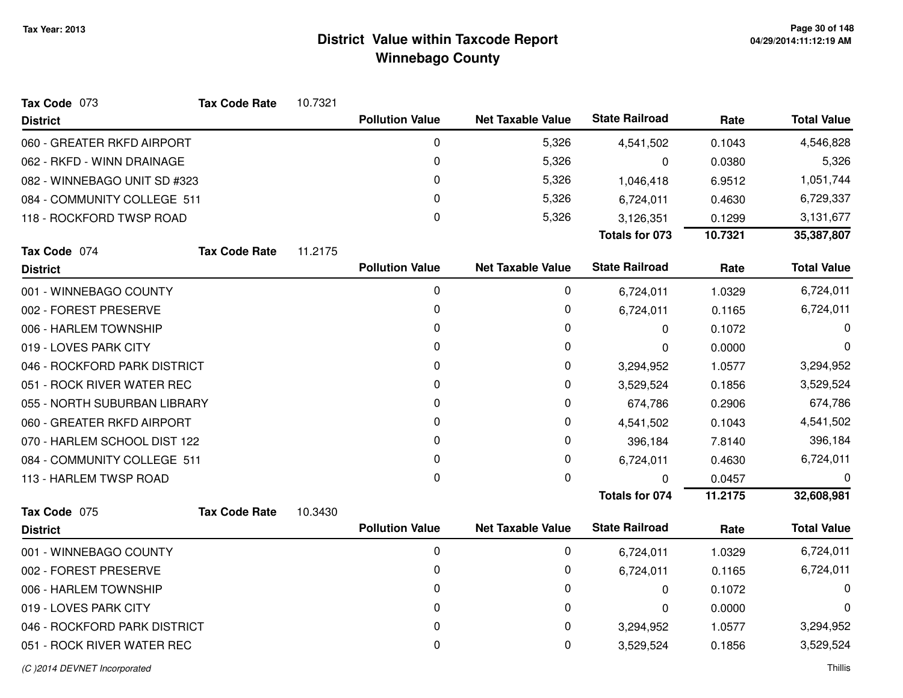| Tax Code 073                 | <b>Tax Code Rate</b> | 10.7321 |                        |                          |                       |         |                    |
|------------------------------|----------------------|---------|------------------------|--------------------------|-----------------------|---------|--------------------|
| <b>District</b>              |                      |         | <b>Pollution Value</b> | <b>Net Taxable Value</b> | <b>State Railroad</b> | Rate    | <b>Total Value</b> |
| 060 - GREATER RKFD AIRPORT   |                      |         | 0                      | 5,326                    | 4,541,502             | 0.1043  | 4,546,828          |
| 062 - RKFD - WINN DRAINAGE   |                      |         | 0                      | 5,326                    | 0                     | 0.0380  | 5,326              |
| 082 - WINNEBAGO UNIT SD #323 |                      |         | 0                      | 5,326                    | 1,046,418             | 6.9512  | 1,051,744          |
| 084 - COMMUNITY COLLEGE 511  |                      |         | 0                      | 5,326                    | 6,724,011             | 0.4630  | 6,729,337          |
| 118 - ROCKFORD TWSP ROAD     |                      |         | 0                      | 5,326                    | 3,126,351             | 0.1299  | 3,131,677          |
|                              |                      |         |                        |                          | <b>Totals for 073</b> | 10.7321 | 35,387,807         |
| Tax Code 074                 | <b>Tax Code Rate</b> | 11.2175 |                        |                          |                       |         |                    |
| <b>District</b>              |                      |         | <b>Pollution Value</b> | <b>Net Taxable Value</b> | <b>State Railroad</b> | Rate    | <b>Total Value</b> |
| 001 - WINNEBAGO COUNTY       |                      |         | 0                      | 0                        | 6,724,011             | 1.0329  | 6,724,011          |
| 002 - FOREST PRESERVE        |                      |         | 0                      | 0                        | 6,724,011             | 0.1165  | 6,724,011          |
| 006 - HARLEM TOWNSHIP        |                      |         | 0                      | 0                        | 0                     | 0.1072  | 0                  |
| 019 - LOVES PARK CITY        |                      |         | 0                      | 0                        | 0                     | 0.0000  | 0                  |
| 046 - ROCKFORD PARK DISTRICT |                      |         | 0                      | 0                        | 3,294,952             | 1.0577  | 3,294,952          |
| 051 - ROCK RIVER WATER REC   |                      |         | 0                      | 0                        | 3,529,524             | 0.1856  | 3,529,524          |
| 055 - NORTH SUBURBAN LIBRARY |                      |         | 0                      | 0                        | 674,786               | 0.2906  | 674,786            |
| 060 - GREATER RKFD AIRPORT   |                      |         | 0                      | 0                        | 4,541,502             | 0.1043  | 4,541,502          |
| 070 - HARLEM SCHOOL DIST 122 |                      |         | 0                      | 0                        | 396,184               | 7.8140  | 396,184            |
| 084 - COMMUNITY COLLEGE 511  |                      |         | 0                      | 0                        | 6,724,011             | 0.4630  | 6,724,011          |
| 113 - HARLEM TWSP ROAD       |                      |         | 0                      | 0                        | $\Omega$              | 0.0457  | 0                  |
|                              |                      |         |                        |                          | <b>Totals for 074</b> | 11.2175 | 32,608,981         |
| Tax Code 075                 | <b>Tax Code Rate</b> | 10.3430 |                        |                          |                       |         |                    |
| <b>District</b>              |                      |         | <b>Pollution Value</b> | <b>Net Taxable Value</b> | <b>State Railroad</b> | Rate    | <b>Total Value</b> |
| 001 - WINNEBAGO COUNTY       |                      |         | $\pmb{0}$              | 0                        | 6,724,011             | 1.0329  | 6,724,011          |
| 002 - FOREST PRESERVE        |                      |         | 0                      | 0                        | 6,724,011             | 0.1165  | 6,724,011          |
| 006 - HARLEM TOWNSHIP        |                      |         | 0                      | 0                        | 0                     | 0.1072  | 0                  |
| 019 - LOVES PARK CITY        |                      |         | 0                      | 0                        | 0                     | 0.0000  | 0                  |
| 046 - ROCKFORD PARK DISTRICT |                      |         | 0                      | 0                        | 3,294,952             | 1.0577  | 3,294,952          |
| 051 - ROCK RIVER WATER REC   |                      |         | 0                      | 0                        | 3,529,524             | 0.1856  | 3,529,524          |
|                              |                      |         |                        |                          |                       |         |                    |

#### (C )2014 DEVNET Incorporated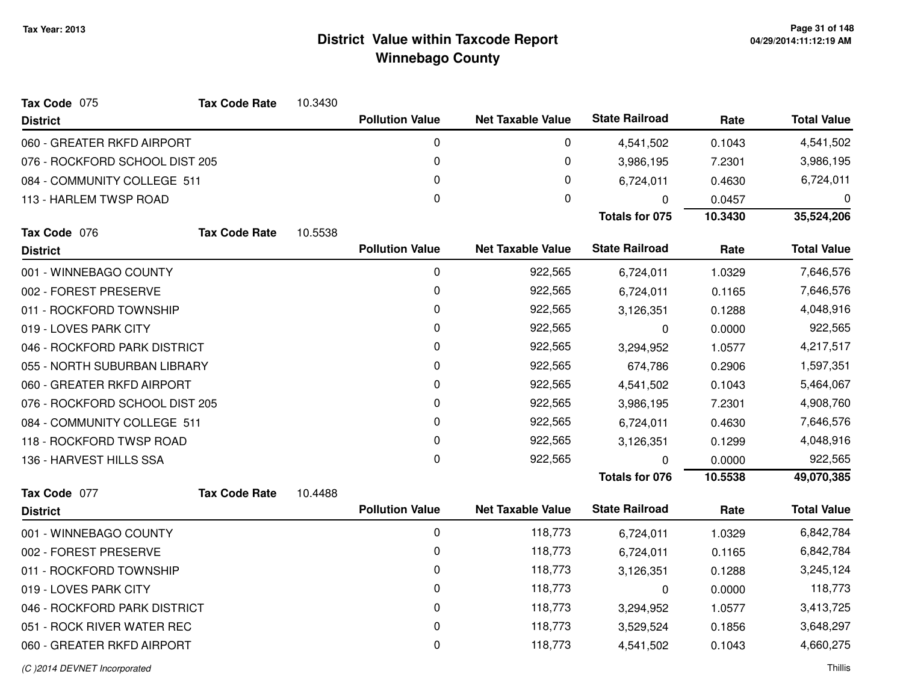| Tax Code 075                   | <b>Tax Code Rate</b> | 10.3430 |                        |                          |                       |           |                    |
|--------------------------------|----------------------|---------|------------------------|--------------------------|-----------------------|-----------|--------------------|
| <b>District</b>                |                      |         | <b>Pollution Value</b> | <b>Net Taxable Value</b> | <b>State Railroad</b> | Rate      | <b>Total Value</b> |
| 060 - GREATER RKFD AIRPORT     |                      |         | 0                      | 0                        | 4,541,502             | 0.1043    | 4,541,502          |
| 076 - ROCKFORD SCHOOL DIST 205 |                      |         | 0                      | 0                        | 3,986,195             | 7.2301    | 3,986,195          |
| 084 - COMMUNITY COLLEGE 511    |                      |         | 0                      | 0                        | 6,724,011             | 0.4630    | 6,724,011          |
| 113 - HARLEM TWSP ROAD         |                      |         | $\mathbf 0$            | 0                        | 0                     | 0.0457    | 0                  |
|                                |                      |         |                        |                          | <b>Totals for 075</b> | 10.3430   | 35,524,206         |
| Tax Code 076                   | <b>Tax Code Rate</b> | 10.5538 |                        |                          |                       |           |                    |
| <b>District</b>                |                      |         | <b>Pollution Value</b> | <b>Net Taxable Value</b> | <b>State Railroad</b> | Rate      | <b>Total Value</b> |
| 001 - WINNEBAGO COUNTY         |                      |         | $\mathbf 0$            | 922,565                  | 6,724,011             | 1.0329    | 7,646,576          |
| 002 - FOREST PRESERVE          |                      |         | 0                      | 922,565                  | 6,724,011             | 0.1165    | 7,646,576          |
| 011 - ROCKFORD TOWNSHIP        |                      |         | 0                      | 922,565                  | 3,126,351             | 0.1288    | 4,048,916          |
| 019 - LOVES PARK CITY          |                      |         | 0                      | 922,565                  | 0                     | 0.0000    | 922,565            |
| 046 - ROCKFORD PARK DISTRICT   |                      | 0       | 922,565                | 3,294,952                | 1.0577                | 4,217,517 |                    |
| 055 - NORTH SUBURBAN LIBRARY   |                      |         | 0                      | 922,565                  | 674,786               | 0.2906    | 1,597,351          |
| 060 - GREATER RKFD AIRPORT     |                      |         | 0                      | 922,565                  | 4,541,502             | 0.1043    | 5,464,067          |
| 076 - ROCKFORD SCHOOL DIST 205 |                      |         | 0                      | 922,565                  | 3,986,195             | 7.2301    | 4,908,760          |
| 084 - COMMUNITY COLLEGE 511    |                      |         | $\Omega$               | 922,565                  | 6,724,011             | 0.4630    | 7,646,576          |
| 118 - ROCKFORD TWSP ROAD       |                      |         | 0                      | 922,565                  | 3,126,351             | 0.1299    | 4,048,916          |
| 136 - HARVEST HILLS SSA        |                      |         | 0                      | 922,565                  | $\Omega$              | 0.0000    | 922,565            |
|                                |                      |         |                        |                          | <b>Totals for 076</b> | 10.5538   | 49,070,385         |
| Tax Code 077                   | <b>Tax Code Rate</b> | 10.4488 |                        |                          |                       |           |                    |
| <b>District</b>                |                      |         | <b>Pollution Value</b> | <b>Net Taxable Value</b> | <b>State Railroad</b> | Rate      | <b>Total Value</b> |
| 001 - WINNEBAGO COUNTY         |                      |         | $\mathbf 0$            | 118,773                  | 6,724,011             | 1.0329    | 6,842,784          |
| 002 - FOREST PRESERVE          |                      |         | 0                      | 118,773                  | 6,724,011             | 0.1165    | 6,842,784          |
| 011 - ROCKFORD TOWNSHIP        |                      |         | 0                      | 118,773                  | 3,126,351             | 0.1288    | 3,245,124          |
| 019 - LOVES PARK CITY          |                      |         | 0                      | 118,773                  | 0                     | 0.0000    | 118,773            |
| 046 - ROCKFORD PARK DISTRICT   |                      |         | $\pmb{0}$              | 118,773                  | 3,294,952             | 1.0577    | 3,413,725          |
| 051 - ROCK RIVER WATER REC     |                      |         | 0                      | 118,773                  | 3,529,524             | 0.1856    | 3,648,297          |
| 060 - GREATER RKFD AIRPORT     |                      |         | 0                      | 118,773                  | 4,541,502             | 0.1043    | 4,660,275          |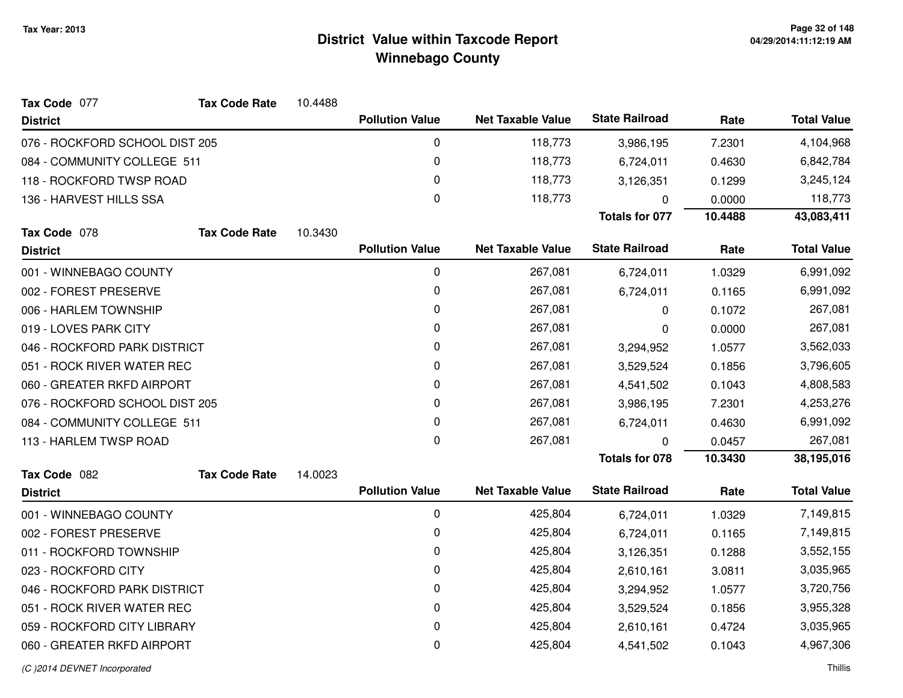| Tax Code 077                   | <b>Tax Code Rate</b> | 10.4488 |                        |                          |                       |         |                    |
|--------------------------------|----------------------|---------|------------------------|--------------------------|-----------------------|---------|--------------------|
| <b>District</b>                |                      |         | <b>Pollution Value</b> | <b>Net Taxable Value</b> | <b>State Railroad</b> | Rate    | <b>Total Value</b> |
| 076 - ROCKFORD SCHOOL DIST 205 |                      |         | 0                      | 118,773                  | 3,986,195             | 7.2301  | 4,104,968          |
| 084 - COMMUNITY COLLEGE 511    |                      |         | 0                      | 118,773                  | 6,724,011             | 0.4630  | 6,842,784          |
| 118 - ROCKFORD TWSP ROAD       |                      |         | 0                      | 118,773                  | 3,126,351             | 0.1299  | 3,245,124          |
| 136 - HARVEST HILLS SSA        |                      |         | 0                      | 118,773                  | $\Omega$              | 0.0000  | 118,773            |
|                                |                      |         |                        |                          | <b>Totals for 077</b> | 10.4488 | 43,083,411         |
| Tax Code 078                   | <b>Tax Code Rate</b> | 10.3430 |                        |                          |                       |         |                    |
| <b>District</b>                |                      |         | <b>Pollution Value</b> | <b>Net Taxable Value</b> | <b>State Railroad</b> | Rate    | <b>Total Value</b> |
| 001 - WINNEBAGO COUNTY         |                      |         | 0                      | 267,081                  | 6,724,011             | 1.0329  | 6,991,092          |
| 002 - FOREST PRESERVE          |                      |         | 0                      | 267,081                  | 6,724,011             | 0.1165  | 6,991,092          |
| 006 - HARLEM TOWNSHIP          |                      |         | 0                      | 267,081                  | $\Omega$              | 0.1072  | 267,081            |
| 019 - LOVES PARK CITY          |                      |         | 0                      | 267,081                  | 0                     | 0.0000  | 267,081            |
| 046 - ROCKFORD PARK DISTRICT   |                      |         | 0                      | 267,081                  | 3,294,952             | 1.0577  | 3,562,033          |
| 051 - ROCK RIVER WATER REC     |                      |         | 0                      | 267,081                  | 3,529,524             | 0.1856  | 3,796,605          |
| 060 - GREATER RKFD AIRPORT     |                      |         | 0                      | 267,081                  | 4,541,502             | 0.1043  | 4,808,583          |
| 076 - ROCKFORD SCHOOL DIST 205 |                      |         | 0                      | 267,081                  | 3,986,195             | 7.2301  | 4,253,276          |
| 084 - COMMUNITY COLLEGE 511    |                      |         | 0                      | 267,081                  | 6,724,011             | 0.4630  | 6,991,092          |
| 113 - HARLEM TWSP ROAD         |                      |         | 0                      | 267,081                  | $\Omega$              | 0.0457  | 267,081            |
|                                |                      |         |                        |                          | <b>Totals for 078</b> | 10.3430 | 38,195,016         |
| Tax Code 082                   | <b>Tax Code Rate</b> | 14.0023 |                        |                          |                       |         |                    |
| <b>District</b>                |                      |         | <b>Pollution Value</b> | <b>Net Taxable Value</b> | <b>State Railroad</b> | Rate    | <b>Total Value</b> |
| 001 - WINNEBAGO COUNTY         |                      |         | 0                      | 425,804                  | 6,724,011             | 1.0329  | 7,149,815          |
| 002 - FOREST PRESERVE          |                      |         | 0                      | 425,804                  | 6,724,011             | 0.1165  | 7,149,815          |
| 011 - ROCKFORD TOWNSHIP        |                      |         | 0                      | 425,804                  | 3,126,351             | 0.1288  | 3,552,155          |
| 023 - ROCKFORD CITY            |                      |         | 0                      | 425,804                  | 2,610,161             | 3.0811  | 3,035,965          |
| 046 - ROCKFORD PARK DISTRICT   |                      |         | 0                      | 425,804                  | 3,294,952             | 1.0577  | 3,720,756          |
| 051 - ROCK RIVER WATER REC     |                      |         | 0                      | 425,804                  | 3,529,524             | 0.1856  | 3,955,328          |
| 059 - ROCKFORD CITY LIBRARY    |                      |         | 0                      | 425,804                  | 2,610,161             | 0.4724  | 3,035,965          |
| 060 - GREATER RKFD AIRPORT     |                      |         | $\Omega$               | 425,804                  | 4,541,502             | 0.1043  | 4,967,306          |
|                                |                      |         |                        |                          |                       |         |                    |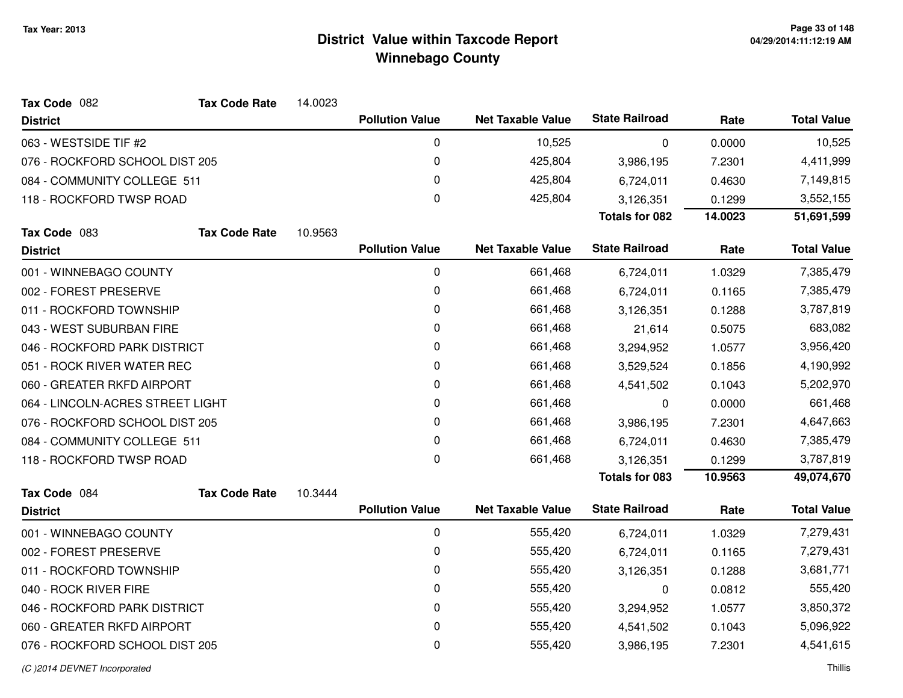| Tax Code 082                     | <b>Tax Code Rate</b>        | 14.0023 |                        |                          |                       |           |                    |
|----------------------------------|-----------------------------|---------|------------------------|--------------------------|-----------------------|-----------|--------------------|
| <b>District</b>                  |                             |         | <b>Pollution Value</b> | <b>Net Taxable Value</b> | <b>State Railroad</b> | Rate      | <b>Total Value</b> |
| 063 - WESTSIDE TIF #2            |                             |         | 0                      | 10,525                   | 0                     | 0.0000    | 10,525             |
| 076 - ROCKFORD SCHOOL DIST 205   |                             |         | 0                      | 425,804                  | 3,986,195             | 7.2301    | 4,411,999          |
|                                  | 084 - COMMUNITY COLLEGE 511 |         | 0                      | 425,804                  | 6,724,011             | 0.4630    | 7,149,815          |
| 118 - ROCKFORD TWSP ROAD         |                             |         | $\mathbf 0$            | 425,804                  | 3,126,351             | 0.1299    | 3,552,155          |
|                                  |                             |         |                        |                          | <b>Totals for 082</b> | 14.0023   | 51,691,599         |
| Tax Code 083                     | <b>Tax Code Rate</b>        | 10.9563 |                        |                          |                       |           |                    |
| <b>District</b>                  |                             |         | <b>Pollution Value</b> | <b>Net Taxable Value</b> | <b>State Railroad</b> | Rate      | <b>Total Value</b> |
| 001 - WINNEBAGO COUNTY           |                             |         | $\mathbf 0$            | 661,468                  | 6,724,011             | 1.0329    | 7,385,479          |
| 002 - FOREST PRESERVE            |                             |         | 0                      | 661,468                  | 6,724,011             | 0.1165    | 7,385,479          |
| 011 - ROCKFORD TOWNSHIP          |                             |         | 0                      | 661,468                  | 3,126,351             | 0.1288    | 3,787,819          |
| 043 - WEST SUBURBAN FIRE         |                             |         | 0                      | 661,468                  | 21,614                | 0.5075    | 683,082            |
| 046 - ROCKFORD PARK DISTRICT     |                             | 0       | 661,468                | 3,294,952                | 1.0577                | 3,956,420 |                    |
| 051 - ROCK RIVER WATER REC       |                             | 0       | 661,468                | 3,529,524                | 0.1856                | 4,190,992 |                    |
| 060 - GREATER RKFD AIRPORT       |                             |         | 0                      | 661,468                  | 4,541,502             | 0.1043    | 5,202,970          |
| 064 - LINCOLN-ACRES STREET LIGHT |                             |         | 0                      | 661,468                  | 0                     | 0.0000    | 661,468            |
| 076 - ROCKFORD SCHOOL DIST 205   |                             |         | $\Omega$               | 661,468                  | 3,986,195             | 7.2301    | 4,647,663          |
| 084 - COMMUNITY COLLEGE 511      |                             |         | 0                      | 661,468                  | 6,724,011             | 0.4630    | 7,385,479          |
| 118 - ROCKFORD TWSP ROAD         |                             |         | 0                      | 661,468                  | 3,126,351             | 0.1299    | 3,787,819          |
|                                  |                             |         |                        |                          | <b>Totals for 083</b> | 10.9563   | 49,074,670         |
| Tax Code 084                     | <b>Tax Code Rate</b>        | 10.3444 |                        |                          |                       |           |                    |
| <b>District</b>                  |                             |         | <b>Pollution Value</b> | <b>Net Taxable Value</b> | <b>State Railroad</b> | Rate      | <b>Total Value</b> |
| 001 - WINNEBAGO COUNTY           |                             |         | $\mathbf 0$            | 555,420                  | 6,724,011             | 1.0329    | 7,279,431          |
| 002 - FOREST PRESERVE            |                             |         | 0                      | 555,420                  | 6,724,011             | 0.1165    | 7,279,431          |
| 011 - ROCKFORD TOWNSHIP          |                             |         | 0                      | 555,420                  | 3,126,351             | 0.1288    | 3,681,771          |
| 040 - ROCK RIVER FIRE            |                             |         | 0                      | 555,420                  | 0                     | 0.0812    | 555,420            |
| 046 - ROCKFORD PARK DISTRICT     |                             |         | $\pmb{0}$              | 555,420                  | 3,294,952             | 1.0577    | 3,850,372          |
| 060 - GREATER RKFD AIRPORT       |                             |         | 0                      | 555,420                  | 4,541,502             | 0.1043    | 5,096,922          |
| 076 - ROCKFORD SCHOOL DIST 205   |                             |         | 0                      | 555,420                  | 3,986,195             | 7.2301    | 4,541,615          |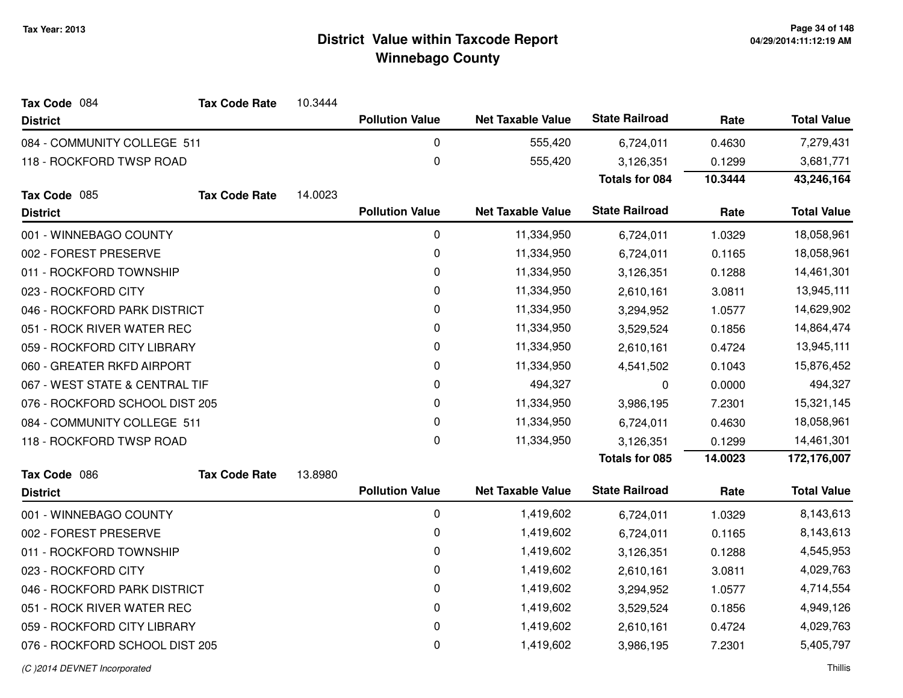| <b>Pollution Value</b><br><b>District</b>       |             |                          |                       |         |                    |
|-------------------------------------------------|-------------|--------------------------|-----------------------|---------|--------------------|
|                                                 |             | <b>Net Taxable Value</b> | <b>State Railroad</b> | Rate    | <b>Total Value</b> |
| 084 - COMMUNITY COLLEGE 511                     | $\mathbf 0$ | 555,420                  | 6,724,011             | 0.4630  | 7,279,431          |
| 118 - ROCKFORD TWSP ROAD                        | 0           | 555,420                  | 3,126,351             | 0.1299  | 3,681,771          |
|                                                 |             |                          | <b>Totals for 084</b> | 10.3444 | 43,246,164         |
| Tax Code 085<br><b>Tax Code Rate</b><br>14.0023 |             |                          |                       |         |                    |
| <b>Pollution Value</b><br><b>District</b>       |             | <b>Net Taxable Value</b> | <b>State Railroad</b> | Rate    | <b>Total Value</b> |
| 001 - WINNEBAGO COUNTY                          | $\mathbf 0$ | 11,334,950               | 6,724,011             | 1.0329  | 18,058,961         |
| 002 - FOREST PRESERVE                           | $\pmb{0}$   | 11,334,950               | 6,724,011             | 0.1165  | 18,058,961         |
| 011 - ROCKFORD TOWNSHIP                         | 0           | 11,334,950               | 3,126,351             | 0.1288  | 14,461,301         |
| 023 - ROCKFORD CITY                             | 0           | 11,334,950               | 2,610,161             | 3.0811  | 13,945,111         |
| 046 - ROCKFORD PARK DISTRICT                    | 0           | 11,334,950               | 3,294,952             | 1.0577  | 14,629,902         |
| 051 - ROCK RIVER WATER REC                      | 0           | 11,334,950               | 3,529,524             | 0.1856  | 14,864,474         |
| 059 - ROCKFORD CITY LIBRARY                     | 0           | 11,334,950               | 2,610,161             | 0.4724  | 13,945,111         |
| 060 - GREATER RKFD AIRPORT                      | 0           | 11,334,950               | 4,541,502             | 0.1043  | 15,876,452         |
| 067 - WEST STATE & CENTRAL TIF                  | 0           | 494,327                  | 0                     | 0.0000  | 494,327            |
| 076 - ROCKFORD SCHOOL DIST 205                  | 0           | 11,334,950               | 3,986,195             | 7.2301  | 15,321,145         |
| 084 - COMMUNITY COLLEGE 511                     | 0           | 11,334,950               | 6,724,011             | 0.4630  | 18,058,961         |
| 118 - ROCKFORD TWSP ROAD                        | 0           | 11,334,950               | 3,126,351             | 0.1299  | 14,461,301         |
|                                                 |             |                          | <b>Totals for 085</b> | 14.0023 | 172,176,007        |
| Tax Code 086<br><b>Tax Code Rate</b><br>13.8980 |             |                          |                       |         |                    |
| <b>Pollution Value</b><br><b>District</b>       |             | <b>Net Taxable Value</b> | <b>State Railroad</b> | Rate    | <b>Total Value</b> |
| 001 - WINNEBAGO COUNTY                          | $\mathbf 0$ | 1,419,602                | 6,724,011             | 1.0329  | 8,143,613          |
| 002 - FOREST PRESERVE                           | 0           | 1,419,602                | 6,724,011             | 0.1165  | 8,143,613          |
| 011 - ROCKFORD TOWNSHIP                         | 0           | 1,419,602                | 3,126,351             | 0.1288  | 4,545,953          |
| 023 - ROCKFORD CITY                             | 0           | 1,419,602                | 2,610,161             | 3.0811  | 4,029,763          |
| 046 - ROCKFORD PARK DISTRICT                    | 0           | 1,419,602                | 3,294,952             | 1.0577  | 4,714,554          |
| 051 - ROCK RIVER WATER REC                      | 0           | 1,419,602                | 3,529,524             | 0.1856  | 4,949,126          |
| 059 - ROCKFORD CITY LIBRARY                     | 0           | 1,419,602                | 2,610,161             | 0.4724  | 4,029,763          |
| 076 - ROCKFORD SCHOOL DIST 205                  | 0           | 1,419,602                | 3,986,195             | 7.2301  | 5,405,797          |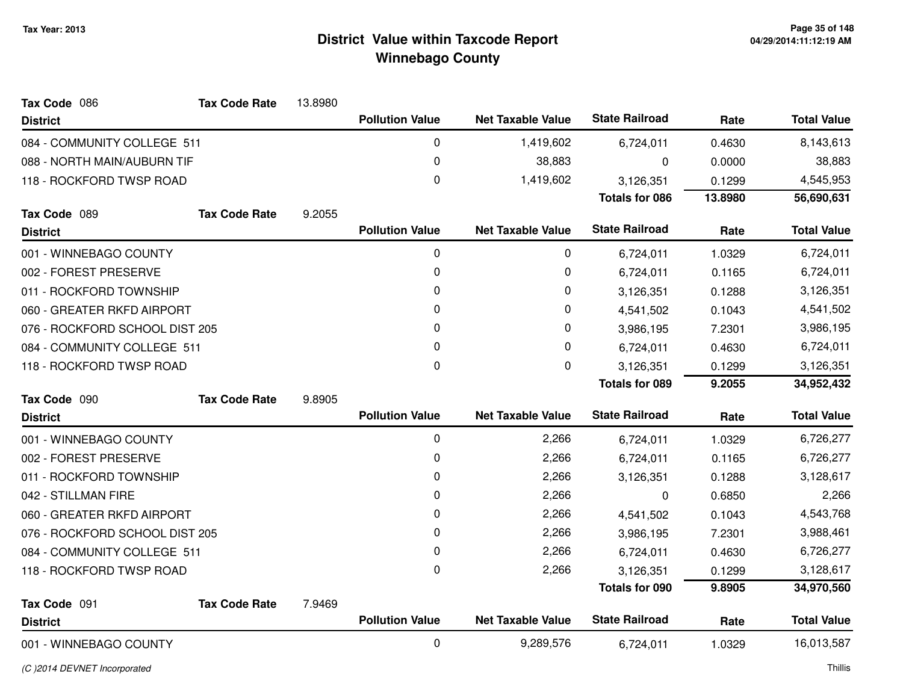| Tax Code 086                   | <b>Tax Code Rate</b> | 13.8980 |                        |                          |                       |         |                    |
|--------------------------------|----------------------|---------|------------------------|--------------------------|-----------------------|---------|--------------------|
| <b>District</b>                |                      |         | <b>Pollution Value</b> | <b>Net Taxable Value</b> | <b>State Railroad</b> | Rate    | <b>Total Value</b> |
| 084 - COMMUNITY COLLEGE 511    |                      |         | 0                      | 1,419,602                | 6,724,011             | 0.4630  | 8,143,613          |
| 088 - NORTH MAIN/AUBURN TIF    |                      |         | 0                      | 38,883                   | 0                     | 0.0000  | 38,883             |
| 118 - ROCKFORD TWSP ROAD       |                      |         | 0                      | 1,419,602                | 3,126,351             | 0.1299  | 4,545,953          |
|                                |                      |         |                        |                          | <b>Totals for 086</b> | 13.8980 | 56,690,631         |
| Tax Code 089                   | <b>Tax Code Rate</b> | 9.2055  |                        |                          |                       |         |                    |
| <b>District</b>                |                      |         | <b>Pollution Value</b> | <b>Net Taxable Value</b> | <b>State Railroad</b> | Rate    | <b>Total Value</b> |
| 001 - WINNEBAGO COUNTY         |                      |         | 0                      | 0                        | 6,724,011             | 1.0329  | 6,724,011          |
| 002 - FOREST PRESERVE          |                      |         | 0                      | 0                        | 6,724,011             | 0.1165  | 6,724,011          |
| 011 - ROCKFORD TOWNSHIP        |                      |         | 0                      | 0                        | 3,126,351             | 0.1288  | 3,126,351          |
| 060 - GREATER RKFD AIRPORT     |                      |         | 0                      | 0                        | 4,541,502             | 0.1043  | 4,541,502          |
| 076 - ROCKFORD SCHOOL DIST 205 |                      |         | 0                      | 0                        | 3,986,195             | 7.2301  | 3,986,195          |
| 084 - COMMUNITY COLLEGE 511    |                      |         | 0                      | 0                        | 6,724,011             | 0.4630  | 6,724,011          |
| 118 - ROCKFORD TWSP ROAD       |                      |         | 0                      | 0                        | 3,126,351             | 0.1299  | 3,126,351          |
|                                |                      |         |                        |                          | <b>Totals for 089</b> | 9.2055  | 34,952,432         |
| Tax Code 090                   | <b>Tax Code Rate</b> | 9.8905  |                        |                          |                       |         |                    |
| <b>District</b>                |                      |         | <b>Pollution Value</b> | <b>Net Taxable Value</b> | <b>State Railroad</b> | Rate    | <b>Total Value</b> |
| 001 - WINNEBAGO COUNTY         |                      |         | 0                      | 2,266                    | 6,724,011             | 1.0329  | 6,726,277          |
| 002 - FOREST PRESERVE          |                      |         | 0                      | 2,266                    | 6,724,011             | 0.1165  | 6,726,277          |
| 011 - ROCKFORD TOWNSHIP        |                      |         | 0                      | 2,266                    | 3,126,351             | 0.1288  | 3,128,617          |
| 042 - STILLMAN FIRE            |                      |         | 0                      | 2,266                    | 0                     | 0.6850  | 2,266              |
| 060 - GREATER RKFD AIRPORT     |                      |         | 0                      | 2,266                    | 4,541,502             | 0.1043  | 4,543,768          |
| 076 - ROCKFORD SCHOOL DIST 205 |                      |         | 0                      | 2,266                    | 3,986,195             | 7.2301  | 3,988,461          |
| 084 - COMMUNITY COLLEGE 511    |                      |         | 0                      | 2,266                    | 6,724,011             | 0.4630  | 6,726,277          |
| 118 - ROCKFORD TWSP ROAD       |                      |         | 0                      | 2,266                    | 3,126,351             | 0.1299  | 3,128,617          |
|                                |                      |         |                        |                          | <b>Totals for 090</b> | 9.8905  | 34,970,560         |
| Tax Code 091                   | <b>Tax Code Rate</b> | 7.9469  |                        |                          |                       |         |                    |
| <b>District</b>                |                      |         | <b>Pollution Value</b> | <b>Net Taxable Value</b> | <b>State Railroad</b> | Rate    | <b>Total Value</b> |
| 001 - WINNEBAGO COUNTY         |                      |         | 0                      | 9,289,576                | 6,724,011             | 1.0329  | 16,013,587         |

(C )2014 DEVNET Incorporated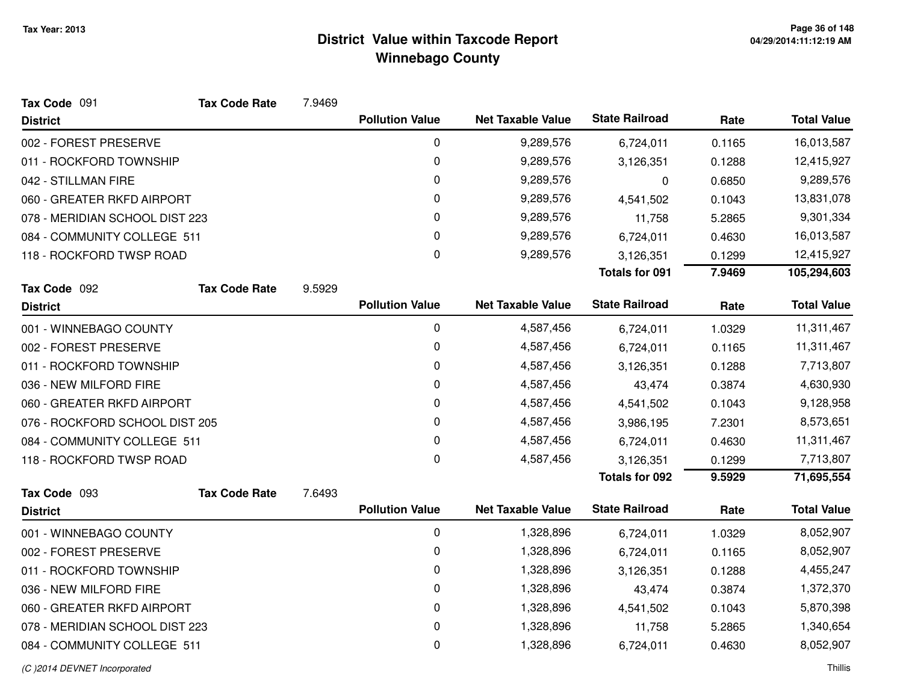| Tax Code 091                   | <b>Tax Code Rate</b> | 7.9469 |                        |                          |                       |        |                    |
|--------------------------------|----------------------|--------|------------------------|--------------------------|-----------------------|--------|--------------------|
| <b>District</b>                |                      |        | <b>Pollution Value</b> | <b>Net Taxable Value</b> | <b>State Railroad</b> | Rate   | <b>Total Value</b> |
| 002 - FOREST PRESERVE          |                      |        | 0                      | 9,289,576                | 6,724,011             | 0.1165 | 16,013,587         |
| 011 - ROCKFORD TOWNSHIP        |                      |        | 0                      | 9,289,576                | 3,126,351             | 0.1288 | 12,415,927         |
| 042 - STILLMAN FIRE            |                      |        | 0                      | 9,289,576                | $\mathbf 0$           | 0.6850 | 9,289,576          |
| 060 - GREATER RKFD AIRPORT     |                      |        | 0                      | 9,289,576                | 4,541,502             | 0.1043 | 13,831,078         |
| 078 - MERIDIAN SCHOOL DIST 223 |                      |        | 0                      | 9,289,576                | 11,758                | 5.2865 | 9,301,334          |
| 084 - COMMUNITY COLLEGE 511    |                      |        | 0                      | 9,289,576                | 6,724,011             | 0.4630 | 16,013,587         |
| 118 - ROCKFORD TWSP ROAD       |                      |        | $\mathbf 0$            | 9,289,576                | 3,126,351             | 0.1299 | 12,415,927         |
|                                |                      |        |                        |                          | <b>Totals for 091</b> | 7.9469 | 105,294,603        |
| Tax Code 092                   | <b>Tax Code Rate</b> | 9.5929 |                        |                          |                       |        |                    |
| <b>District</b>                |                      |        | <b>Pollution Value</b> | <b>Net Taxable Value</b> | <b>State Railroad</b> | Rate   | <b>Total Value</b> |
| 001 - WINNEBAGO COUNTY         |                      |        | 0                      | 4,587,456                | 6,724,011             | 1.0329 | 11,311,467         |
| 002 - FOREST PRESERVE          |                      |        | 0                      | 4,587,456                | 6,724,011             | 0.1165 | 11,311,467         |
| 011 - ROCKFORD TOWNSHIP        |                      |        | 0                      | 4,587,456                | 3,126,351             | 0.1288 | 7,713,807          |
| 036 - NEW MILFORD FIRE         |                      |        | 0                      | 4,587,456                | 43,474                | 0.3874 | 4,630,930          |
| 060 - GREATER RKFD AIRPORT     |                      |        | 0                      | 4,587,456                | 4,541,502             | 0.1043 | 9,128,958          |
| 076 - ROCKFORD SCHOOL DIST 205 |                      |        | 0                      | 4,587,456                | 3,986,195             | 7.2301 | 8,573,651          |
| 084 - COMMUNITY COLLEGE 511    |                      |        | 0                      | 4,587,456                | 6,724,011             | 0.4630 | 11,311,467         |
| 118 - ROCKFORD TWSP ROAD       |                      |        | $\mathbf 0$            | 4,587,456                | 3,126,351             | 0.1299 | 7,713,807          |
|                                |                      |        |                        |                          | <b>Totals for 092</b> | 9.5929 | 71,695,554         |
| Tax Code 093                   | <b>Tax Code Rate</b> | 7.6493 |                        |                          |                       |        |                    |
| <b>District</b>                |                      |        | <b>Pollution Value</b> | <b>Net Taxable Value</b> | <b>State Railroad</b> | Rate   | <b>Total Value</b> |
| 001 - WINNEBAGO COUNTY         |                      |        | 0                      | 1,328,896                | 6,724,011             | 1.0329 | 8,052,907          |
| 002 - FOREST PRESERVE          |                      |        | 0                      | 1,328,896                | 6,724,011             | 0.1165 | 8,052,907          |
| 011 - ROCKFORD TOWNSHIP        |                      |        | 0                      | 1,328,896                | 3,126,351             | 0.1288 | 4,455,247          |
| 036 - NEW MILFORD FIRE         |                      |        | 0                      | 1,328,896                | 43,474                | 0.3874 | 1,372,370          |
| 060 - GREATER RKFD AIRPORT     |                      |        | 0                      | 1,328,896                | 4,541,502             | 0.1043 | 5,870,398          |
| 078 - MERIDIAN SCHOOL DIST 223 |                      |        | 0                      | 1,328,896                | 11,758                | 5.2865 | 1,340,654          |
| 084 - COMMUNITY COLLEGE 511    |                      |        | 0                      | 1,328,896                | 6,724,011             | 0.4630 | 8,052,907          |
|                                |                      |        |                        |                          |                       |        |                    |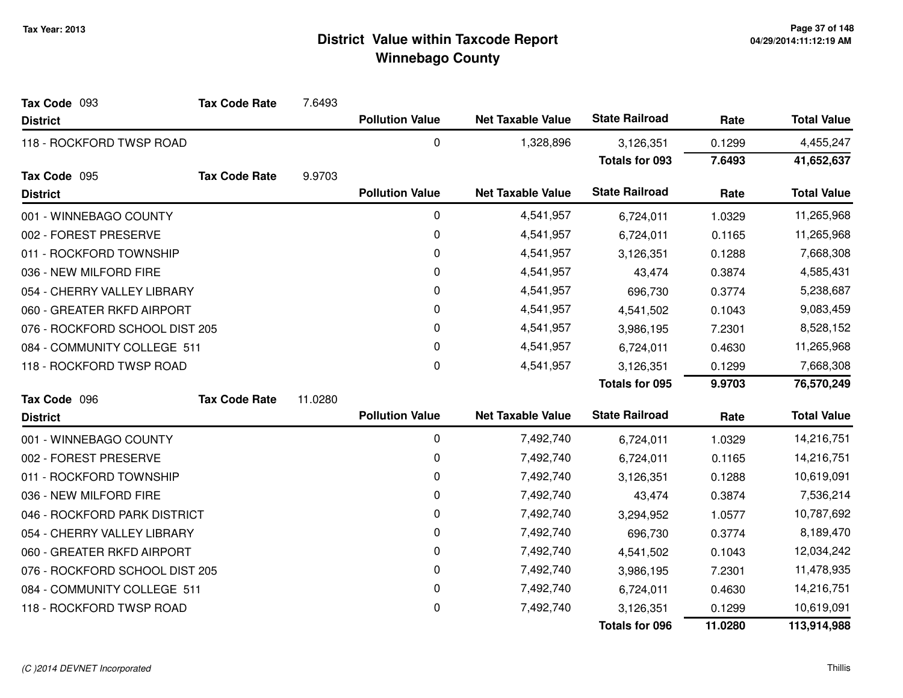| Tax Code 093                   | <b>Tax Code Rate</b> | 7.6493  |                        |                          |                       |         |                    |
|--------------------------------|----------------------|---------|------------------------|--------------------------|-----------------------|---------|--------------------|
| <b>District</b>                |                      |         | <b>Pollution Value</b> | <b>Net Taxable Value</b> | <b>State Railroad</b> | Rate    | <b>Total Value</b> |
| 118 - ROCKFORD TWSP ROAD       |                      |         | 0                      | 1,328,896                | 3,126,351             | 0.1299  | 4,455,247          |
|                                |                      |         |                        |                          | <b>Totals for 093</b> | 7.6493  | 41,652,637         |
| Tax Code 095                   | <b>Tax Code Rate</b> | 9.9703  |                        |                          |                       |         |                    |
| <b>District</b>                |                      |         | <b>Pollution Value</b> | <b>Net Taxable Value</b> | <b>State Railroad</b> | Rate    | <b>Total Value</b> |
| 001 - WINNEBAGO COUNTY         |                      |         | 0                      | 4,541,957                | 6,724,011             | 1.0329  | 11,265,968         |
| 002 - FOREST PRESERVE          |                      |         | 0                      | 4,541,957                | 6,724,011             | 0.1165  | 11,265,968         |
| 011 - ROCKFORD TOWNSHIP        |                      |         | 0                      | 4,541,957                | 3,126,351             | 0.1288  | 7,668,308          |
| 036 - NEW MILFORD FIRE         |                      |         | 0                      | 4,541,957                | 43,474                | 0.3874  | 4,585,431          |
| 054 - CHERRY VALLEY LIBRARY    |                      |         | $\pmb{0}$              | 4,541,957                | 696,730               | 0.3774  | 5,238,687          |
| 060 - GREATER RKFD AIRPORT     |                      |         | 0                      | 4,541,957                | 4,541,502             | 0.1043  | 9,083,459          |
| 076 - ROCKFORD SCHOOL DIST 205 |                      |         | 0                      | 4,541,957                | 3,986,195             | 7.2301  | 8,528,152          |
| 084 - COMMUNITY COLLEGE 511    |                      |         | 0                      | 4,541,957                | 6,724,011             | 0.4630  | 11,265,968         |
| 118 - ROCKFORD TWSP ROAD       |                      |         | 0                      | 4,541,957                | 3,126,351             | 0.1299  | 7,668,308          |
|                                |                      |         |                        |                          | <b>Totals for 095</b> | 9.9703  | 76,570,249         |
| Tax Code 096                   | <b>Tax Code Rate</b> | 11.0280 |                        |                          |                       |         |                    |
| <b>District</b>                |                      |         | <b>Pollution Value</b> | <b>Net Taxable Value</b> | <b>State Railroad</b> | Rate    | <b>Total Value</b> |
| 001 - WINNEBAGO COUNTY         |                      |         | 0                      | 7,492,740                | 6,724,011             | 1.0329  | 14,216,751         |
| 002 - FOREST PRESERVE          |                      |         | 0                      | 7,492,740                | 6,724,011             | 0.1165  | 14,216,751         |
| 011 - ROCKFORD TOWNSHIP        |                      |         | 0                      | 7,492,740                | 3,126,351             | 0.1288  | 10,619,091         |
| 036 - NEW MILFORD FIRE         |                      |         | 0                      | 7,492,740                | 43,474                | 0.3874  | 7,536,214          |
| 046 - ROCKFORD PARK DISTRICT   |                      |         | 0                      | 7,492,740                | 3,294,952             | 1.0577  | 10,787,692         |
| 054 - CHERRY VALLEY LIBRARY    |                      |         | 0                      | 7,492,740                | 696,730               | 0.3774  | 8,189,470          |
| 060 - GREATER RKFD AIRPORT     |                      |         | 0                      | 7,492,740                | 4,541,502             | 0.1043  | 12,034,242         |
| 076 - ROCKFORD SCHOOL DIST 205 |                      |         | 0                      | 7,492,740                | 3,986,195             | 7.2301  | 11,478,935         |
| 084 - COMMUNITY COLLEGE 511    |                      |         | $\pmb{0}$              | 7,492,740                | 6,724,011             | 0.4630  | 14,216,751         |
| 118 - ROCKFORD TWSP ROAD       |                      |         | 0                      | 7,492,740                | 3,126,351             | 0.1299  | 10,619,091         |
|                                |                      |         |                        |                          | <b>Totals for 096</b> | 11.0280 | 113,914,988        |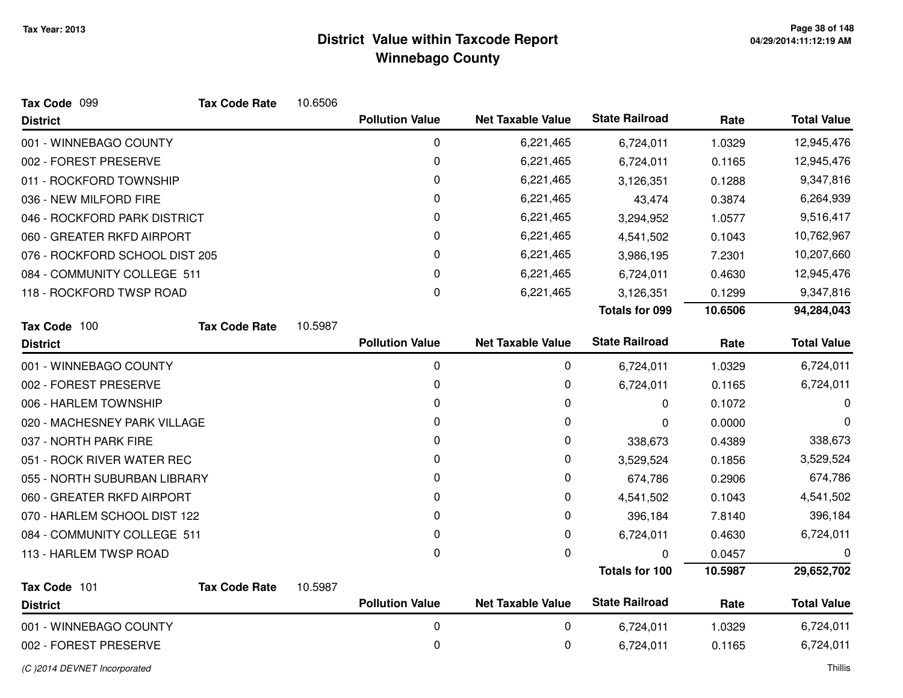| Tax Code 099                   | <b>Tax Code Rate</b> | 10.6506 |                        |                          |                       |         |                    |
|--------------------------------|----------------------|---------|------------------------|--------------------------|-----------------------|---------|--------------------|
| <b>District</b>                |                      |         | <b>Pollution Value</b> | <b>Net Taxable Value</b> | <b>State Railroad</b> | Rate    | <b>Total Value</b> |
| 001 - WINNEBAGO COUNTY         |                      |         | 0                      | 6,221,465                | 6,724,011             | 1.0329  | 12,945,476         |
| 002 - FOREST PRESERVE          |                      |         | 0                      | 6,221,465                | 6,724,011             | 0.1165  | 12,945,476         |
| 011 - ROCKFORD TOWNSHIP        |                      |         | 0                      | 6,221,465                | 3,126,351             | 0.1288  | 9,347,816          |
| 036 - NEW MILFORD FIRE         |                      |         | 0                      | 6,221,465                | 43,474                | 0.3874  | 6,264,939          |
| 046 - ROCKFORD PARK DISTRICT   |                      |         | 0                      | 6,221,465                | 3,294,952             | 1.0577  | 9,516,417          |
| 060 - GREATER RKFD AIRPORT     |                      |         | 0                      | 6,221,465                | 4,541,502             | 0.1043  | 10,762,967         |
| 076 - ROCKFORD SCHOOL DIST 205 |                      |         | 0                      | 6,221,465                | 3,986,195             | 7.2301  | 10,207,660         |
| 084 - COMMUNITY COLLEGE 511    |                      |         | 0                      | 6,221,465                | 6,724,011             | 0.4630  | 12,945,476         |
| 118 - ROCKFORD TWSP ROAD       |                      |         | 0                      | 6,221,465                | 3,126,351             | 0.1299  | 9,347,816          |
|                                |                      |         |                        |                          | <b>Totals for 099</b> | 10.6506 | 94,284,043         |
| Tax Code 100                   | <b>Tax Code Rate</b> | 10.5987 |                        |                          |                       |         |                    |
| <b>District</b>                |                      |         | <b>Pollution Value</b> | <b>Net Taxable Value</b> | <b>State Railroad</b> | Rate    | <b>Total Value</b> |
| 001 - WINNEBAGO COUNTY         |                      |         | $\pmb{0}$              | 0                        | 6,724,011             | 1.0329  | 6,724,011          |
| 002 - FOREST PRESERVE          |                      |         | 0                      | 0                        | 6,724,011             | 0.1165  | 6,724,011          |
| 006 - HARLEM TOWNSHIP          |                      |         | 0                      | 0                        | 0                     | 0.1072  | 0                  |
| 020 - MACHESNEY PARK VILLAGE   |                      |         | 0                      | 0                        | 0                     | 0.0000  | 0                  |
| 037 - NORTH PARK FIRE          |                      |         | 0                      | 0                        | 338,673               | 0.4389  | 338,673            |
| 051 - ROCK RIVER WATER REC     |                      |         | 0                      | 0                        | 3,529,524             | 0.1856  | 3,529,524          |
| 055 - NORTH SUBURBAN LIBRARY   |                      |         | 0                      | 0                        | 674,786               | 0.2906  | 674,786            |
| 060 - GREATER RKFD AIRPORT     |                      |         | 0                      | 0                        | 4,541,502             | 0.1043  | 4,541,502          |
| 070 - HARLEM SCHOOL DIST 122   |                      |         | 0                      | 0                        | 396,184               | 7.8140  | 396,184            |
| 084 - COMMUNITY COLLEGE 511    |                      |         | 0                      | 0                        | 6,724,011             | 0.4630  | 6,724,011          |
| 113 - HARLEM TWSP ROAD         |                      |         | 0                      | $\mathbf 0$              | $\Omega$              | 0.0457  | 0                  |
|                                |                      |         |                        |                          | <b>Totals for 100</b> | 10.5987 | 29,652,702         |
| Tax Code 101                   | <b>Tax Code Rate</b> | 10.5987 | <b>Pollution Value</b> | <b>Net Taxable Value</b> | <b>State Railroad</b> | Rate    | <b>Total Value</b> |
| <b>District</b>                |                      |         |                        |                          |                       |         |                    |
| 001 - WINNEBAGO COUNTY         |                      |         | 0                      | 0                        | 6,724,011             | 1.0329  | 6,724,011          |
| 002 - FOREST PRESERVE          |                      |         | $\mathbf 0$            | 0                        | 6,724,011             | 0.1165  | 6,724,011          |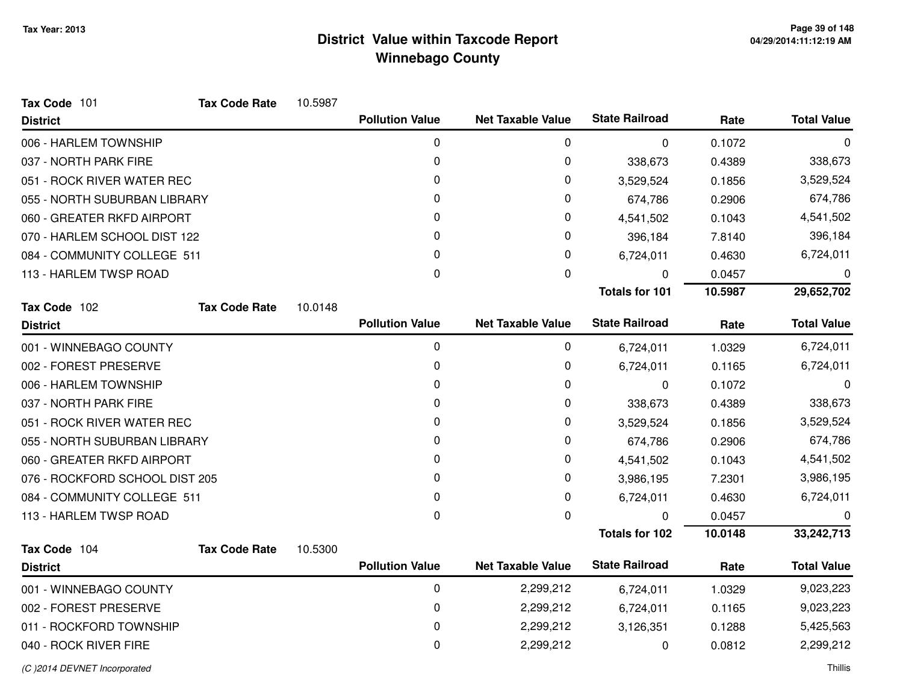| Tax Code 101                   | <b>Tax Code Rate</b> | 10.5987 |                        |                          |                       |         |                    |
|--------------------------------|----------------------|---------|------------------------|--------------------------|-----------------------|---------|--------------------|
| <b>District</b>                |                      |         | <b>Pollution Value</b> | <b>Net Taxable Value</b> | <b>State Railroad</b> | Rate    | <b>Total Value</b> |
| 006 - HARLEM TOWNSHIP          |                      |         | 0                      | 0                        | 0                     | 0.1072  | 0                  |
| 037 - NORTH PARK FIRE          |                      |         | 0                      | 0                        | 338,673               | 0.4389  | 338,673            |
| 051 - ROCK RIVER WATER REC     |                      |         | $\Omega$               | 0                        | 3,529,524             | 0.1856  | 3,529,524          |
| 055 - NORTH SUBURBAN LIBRARY   |                      |         | 0                      | 0                        | 674,786               | 0.2906  | 674,786            |
| 060 - GREATER RKFD AIRPORT     |                      |         | $\mathbf{0}$           | 0                        | 4,541,502             | 0.1043  | 4,541,502          |
| 070 - HARLEM SCHOOL DIST 122   |                      |         | $\Omega$               | 0                        | 396,184               | 7.8140  | 396,184            |
| 084 - COMMUNITY COLLEGE 511    |                      |         | 0                      | 0                        | 6,724,011             | 0.4630  | 6,724,011          |
| 113 - HARLEM TWSP ROAD         |                      |         | 0                      | 0                        | 0                     | 0.0457  | 0                  |
|                                |                      |         |                        |                          | <b>Totals for 101</b> | 10.5987 | 29,652,702         |
| Tax Code 102                   | <b>Tax Code Rate</b> | 10.0148 |                        |                          |                       |         |                    |
| <b>District</b>                |                      |         | <b>Pollution Value</b> | <b>Net Taxable Value</b> | <b>State Railroad</b> | Rate    | <b>Total Value</b> |
| 001 - WINNEBAGO COUNTY         |                      |         | 0                      | 0                        | 6,724,011             | 1.0329  | 6,724,011          |
| 002 - FOREST PRESERVE          |                      |         | 0                      | 0                        | 6,724,011             | 0.1165  | 6,724,011          |
| 006 - HARLEM TOWNSHIP          |                      |         | 0                      | 0                        | 0                     | 0.1072  | 0                  |
| 037 - NORTH PARK FIRE          |                      |         | 0                      | 0                        | 338,673               | 0.4389  | 338,673            |
| 051 - ROCK RIVER WATER REC     |                      |         | 0                      | 0                        | 3,529,524             | 0.1856  | 3,529,524          |
| 055 - NORTH SUBURBAN LIBRARY   |                      |         | 0                      | 0                        | 674,786               | 0.2906  | 674,786            |
| 060 - GREATER RKFD AIRPORT     |                      |         | 0                      | 0                        | 4,541,502             | 0.1043  | 4,541,502          |
| 076 - ROCKFORD SCHOOL DIST 205 |                      |         | 0                      | 0                        | 3,986,195             | 7.2301  | 3,986,195          |
| 084 - COMMUNITY COLLEGE 511    |                      |         | 0                      | 0                        | 6,724,011             | 0.4630  | 6,724,011          |
| 113 - HARLEM TWSP ROAD         |                      |         | 0                      | 0                        | 0                     | 0.0457  | 0                  |
|                                |                      |         |                        |                          | <b>Totals for 102</b> | 10.0148 | 33,242,713         |
| Tax Code 104                   | <b>Tax Code Rate</b> | 10.5300 |                        |                          |                       |         |                    |
| <b>District</b>                |                      |         | <b>Pollution Value</b> | <b>Net Taxable Value</b> | <b>State Railroad</b> | Rate    | <b>Total Value</b> |
| 001 - WINNEBAGO COUNTY         |                      |         | 0                      | 2,299,212                | 6,724,011             | 1.0329  | 9,023,223          |
| 002 - FOREST PRESERVE          |                      |         | 0                      | 2,299,212                | 6,724,011             | 0.1165  | 9,023,223          |
| 011 - ROCKFORD TOWNSHIP        |                      |         | 0                      | 2,299,212                | 3,126,351             | 0.1288  | 5,425,563          |
| 040 - ROCK RIVER FIRE          |                      |         | 0                      | 2,299,212                | 0                     | 0.0812  | 2,299,212          |
|                                |                      |         |                        |                          |                       |         |                    |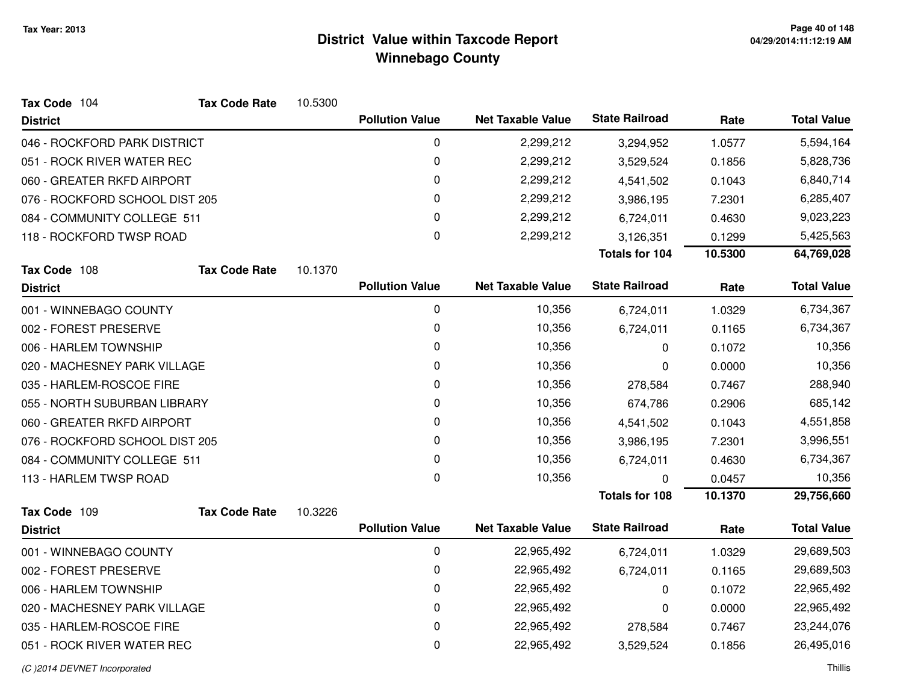| Tax Code 104                   | <b>Tax Code Rate</b> | 10.5300 |                        |                          |                       |         |                    |
|--------------------------------|----------------------|---------|------------------------|--------------------------|-----------------------|---------|--------------------|
| <b>District</b>                |                      |         | <b>Pollution Value</b> | <b>Net Taxable Value</b> | <b>State Railroad</b> | Rate    | <b>Total Value</b> |
| 046 - ROCKFORD PARK DISTRICT   |                      |         | 0                      | 2,299,212                | 3,294,952             | 1.0577  | 5,594,164          |
| 051 - ROCK RIVER WATER REC     |                      |         | 0                      | 2,299,212                | 3,529,524             | 0.1856  | 5,828,736          |
| 060 - GREATER RKFD AIRPORT     |                      |         | 0                      | 2,299,212                | 4,541,502             | 0.1043  | 6,840,714          |
| 076 - ROCKFORD SCHOOL DIST 205 |                      |         | $\mathbf 0$            | 2,299,212                | 3,986,195             | 7.2301  | 6,285,407          |
| 084 - COMMUNITY COLLEGE 511    |                      |         | 0                      | 2,299,212                | 6,724,011             | 0.4630  | 9,023,223          |
| 118 - ROCKFORD TWSP ROAD       |                      |         | 0                      | 2,299,212                | 3,126,351             | 0.1299  | 5,425,563          |
|                                |                      |         |                        |                          | Totals for 104        | 10.5300 | 64,769,028         |
| Tax Code 108                   | <b>Tax Code Rate</b> | 10.1370 |                        |                          |                       |         |                    |
| <b>District</b>                |                      |         | <b>Pollution Value</b> | <b>Net Taxable Value</b> | <b>State Railroad</b> | Rate    | <b>Total Value</b> |
| 001 - WINNEBAGO COUNTY         |                      |         | $\mathbf 0$            | 10,356                   | 6,724,011             | 1.0329  | 6,734,367          |
| 002 - FOREST PRESERVE          |                      |         | 0                      | 10,356                   | 6,724,011             | 0.1165  | 6,734,367          |
| 006 - HARLEM TOWNSHIP          |                      |         | 0                      | 10,356                   | 0                     | 0.1072  | 10,356             |
| 020 - MACHESNEY PARK VILLAGE   |                      |         | 0                      | 10,356                   | 0                     | 0.0000  | 10,356             |
| 035 - HARLEM-ROSCOE FIRE       |                      |         | 0                      | 10,356                   | 278,584               | 0.7467  | 288,940            |
| 055 - NORTH SUBURBAN LIBRARY   |                      |         | 0                      | 10,356                   | 674,786               | 0.2906  | 685,142            |
| 060 - GREATER RKFD AIRPORT     |                      |         | 0                      | 10,356                   | 4,541,502             | 0.1043  | 4,551,858          |
| 076 - ROCKFORD SCHOOL DIST 205 |                      |         | 0                      | 10,356                   | 3,986,195             | 7.2301  | 3,996,551          |
| 084 - COMMUNITY COLLEGE 511    |                      |         | 0                      | 10,356                   | 6,724,011             | 0.4630  | 6,734,367          |
| 113 - HARLEM TWSP ROAD         |                      |         | $\Omega$               | 10,356                   | 0                     | 0.0457  | 10,356             |
|                                |                      |         |                        |                          | <b>Totals for 108</b> | 10.1370 | 29,756,660         |
| Tax Code 109                   | <b>Tax Code Rate</b> | 10.3226 |                        |                          | <b>State Railroad</b> |         |                    |
| <b>District</b>                |                      |         | <b>Pollution Value</b> | <b>Net Taxable Value</b> |                       | Rate    | <b>Total Value</b> |
| 001 - WINNEBAGO COUNTY         |                      |         | $\mathbf 0$            | 22,965,492               | 6,724,011             | 1.0329  | 29,689,503         |
| 002 - FOREST PRESERVE          |                      |         | 0                      | 22,965,492               | 6,724,011             | 0.1165  | 29,689,503         |
| 006 - HARLEM TOWNSHIP          |                      |         | 0                      | 22,965,492               | 0                     | 0.1072  | 22,965,492         |
| 020 - MACHESNEY PARK VILLAGE   |                      |         | 0                      | 22,965,492               | 0                     | 0.0000  | 22,965,492         |
| 035 - HARLEM-ROSCOE FIRE       |                      |         | 0                      | 22,965,492               | 278,584               | 0.7467  | 23,244,076         |
| 051 - ROCK RIVER WATER REC     |                      |         | 0                      | 22,965,492               | 3,529,524             | 0.1856  | 26,495,016         |
|                                |                      |         |                        |                          |                       |         |                    |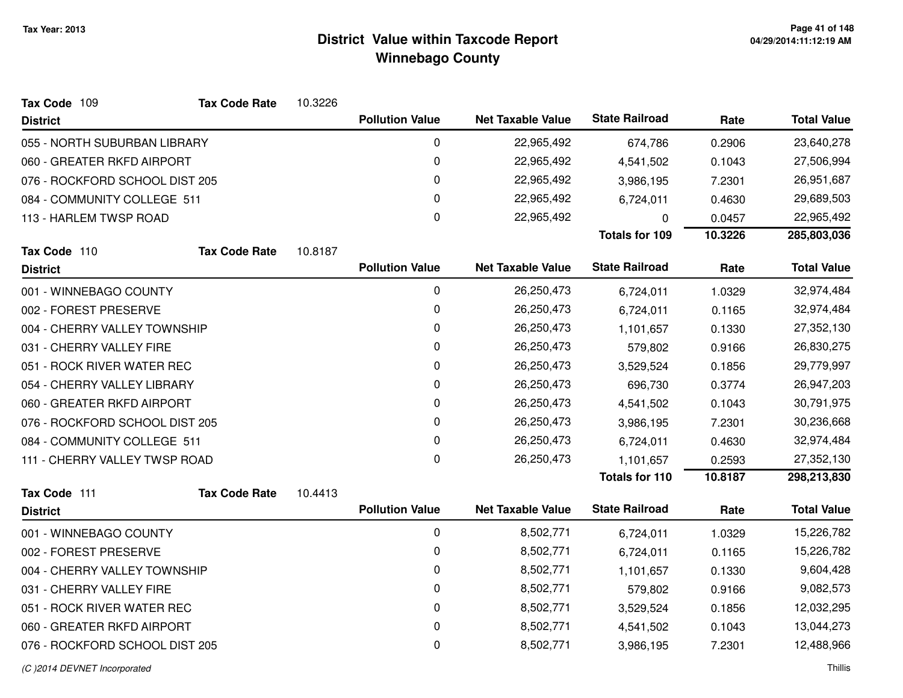| Tax Code 109                   | <b>Tax Code Rate</b> | 10.3226 |                        |                          |                       |         |                    |
|--------------------------------|----------------------|---------|------------------------|--------------------------|-----------------------|---------|--------------------|
| <b>District</b>                |                      |         | <b>Pollution Value</b> | <b>Net Taxable Value</b> | <b>State Railroad</b> | Rate    | <b>Total Value</b> |
| 055 - NORTH SUBURBAN LIBRARY   |                      |         | 0                      | 22,965,492               | 674,786               | 0.2906  | 23,640,278         |
| 060 - GREATER RKFD AIRPORT     |                      |         | 0                      | 22,965,492               | 4,541,502             | 0.1043  | 27,506,994         |
| 076 - ROCKFORD SCHOOL DIST 205 |                      |         | 0                      | 22,965,492               | 3,986,195             | 7.2301  | 26,951,687         |
| 084 - COMMUNITY COLLEGE 511    |                      |         | 0                      | 22,965,492               | 6,724,011             | 0.4630  | 29,689,503         |
| 113 - HARLEM TWSP ROAD         |                      |         | 0                      | 22,965,492               | 0                     | 0.0457  | 22,965,492         |
|                                |                      |         |                        |                          | <b>Totals for 109</b> | 10.3226 | 285,803,036        |
| Tax Code 110                   | <b>Tax Code Rate</b> | 10.8187 |                        |                          |                       |         |                    |
| <b>District</b>                |                      |         | <b>Pollution Value</b> | <b>Net Taxable Value</b> | <b>State Railroad</b> | Rate    | <b>Total Value</b> |
| 001 - WINNEBAGO COUNTY         |                      |         | 0                      | 26,250,473               | 6,724,011             | 1.0329  | 32,974,484         |
| 002 - FOREST PRESERVE          |                      |         | 0                      | 26,250,473               | 6,724,011             | 0.1165  | 32,974,484         |
| 004 - CHERRY VALLEY TOWNSHIP   |                      |         | 0                      | 26,250,473               | 1,101,657             | 0.1330  | 27,352,130         |
| 031 - CHERRY VALLEY FIRE       |                      |         | 0                      | 26,250,473               | 579,802               | 0.9166  | 26,830,275         |
| 051 - ROCK RIVER WATER REC     |                      |         | $\mathbf 0$            | 26,250,473               | 3,529,524             | 0.1856  | 29,779,997         |
| 054 - CHERRY VALLEY LIBRARY    |                      |         | 0                      | 26,250,473               | 696,730               | 0.3774  | 26,947,203         |
| 060 - GREATER RKFD AIRPORT     |                      |         | 0                      | 26,250,473               | 4,541,502             | 0.1043  | 30,791,975         |
| 076 - ROCKFORD SCHOOL DIST 205 |                      |         | 0                      | 26,250,473               | 3,986,195             | 7.2301  | 30,236,668         |
| 084 - COMMUNITY COLLEGE 511    |                      |         | 0                      | 26,250,473               | 6,724,011             | 0.4630  | 32,974,484         |
| 111 - CHERRY VALLEY TWSP ROAD  |                      |         | 0                      | 26,250,473               | 1,101,657             | 0.2593  | 27,352,130         |
|                                |                      |         |                        |                          | <b>Totals for 110</b> | 10.8187 | 298,213,830        |
| Tax Code 111                   | <b>Tax Code Rate</b> | 10.4413 |                        |                          | <b>State Railroad</b> |         |                    |
| <b>District</b>                |                      |         | <b>Pollution Value</b> | <b>Net Taxable Value</b> |                       | Rate    | <b>Total Value</b> |
| 001 - WINNEBAGO COUNTY         |                      |         | 0                      | 8,502,771                | 6,724,011             | 1.0329  | 15,226,782         |
| 002 - FOREST PRESERVE          |                      |         | 0                      | 8,502,771                | 6,724,011             | 0.1165  | 15,226,782         |
| 004 - CHERRY VALLEY TOWNSHIP   |                      |         | 0                      | 8,502,771                | 1,101,657             | 0.1330  | 9,604,428          |
| 031 - CHERRY VALLEY FIRE       |                      |         | 0                      | 8,502,771                | 579,802               | 0.9166  | 9,082,573          |
| 051 - ROCK RIVER WATER REC     |                      |         | 0                      | 8,502,771                | 3,529,524             | 0.1856  | 12,032,295         |
| 060 - GREATER RKFD AIRPORT     |                      |         | 0                      | 8,502,771                | 4,541,502             | 0.1043  | 13,044,273         |
| 076 - ROCKFORD SCHOOL DIST 205 |                      |         | $\mathbf 0$            | 8,502,771                | 3,986,195             | 7.2301  | 12,488,966         |
|                                |                      |         |                        |                          |                       |         |                    |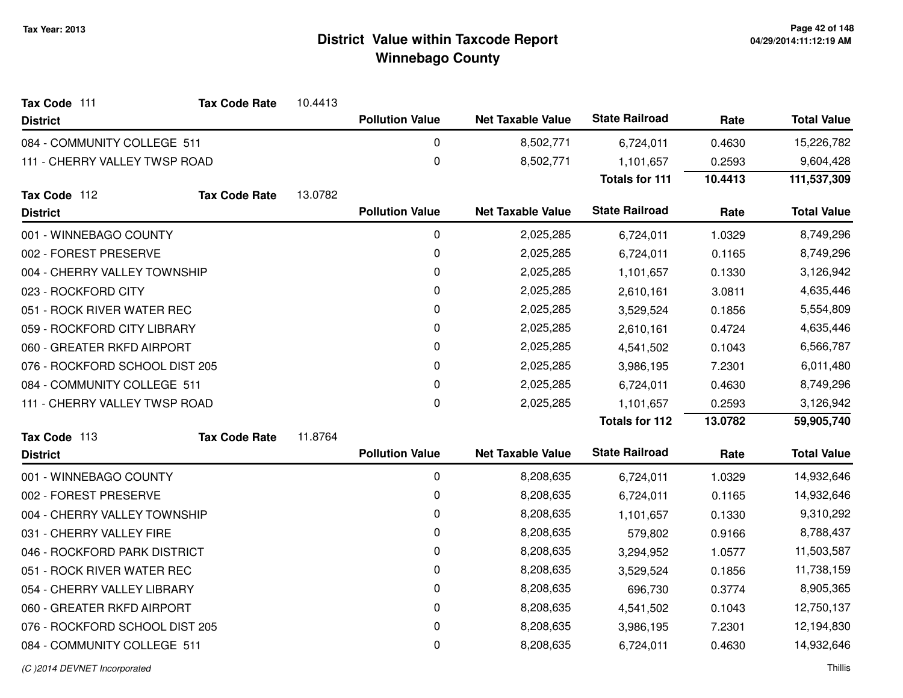| Tax Code 111                   | <b>Tax Code Rate</b> | 10.4413 |                        |                          |                       |         |                    |
|--------------------------------|----------------------|---------|------------------------|--------------------------|-----------------------|---------|--------------------|
| <b>District</b>                |                      |         | <b>Pollution Value</b> | <b>Net Taxable Value</b> | <b>State Railroad</b> | Rate    | <b>Total Value</b> |
| 084 - COMMUNITY COLLEGE 511    |                      |         | 0                      | 8,502,771                | 6,724,011             | 0.4630  | 15,226,782         |
| 111 - CHERRY VALLEY TWSP ROAD  |                      |         | 0                      | 8,502,771                | 1,101,657             | 0.2593  | 9,604,428          |
|                                |                      |         |                        |                          | <b>Totals for 111</b> | 10.4413 | 111,537,309        |
| Tax Code 112                   | <b>Tax Code Rate</b> | 13.0782 |                        |                          |                       |         |                    |
| <b>District</b>                |                      |         | <b>Pollution Value</b> | <b>Net Taxable Value</b> | <b>State Railroad</b> | Rate    | <b>Total Value</b> |
| 001 - WINNEBAGO COUNTY         |                      |         | 0                      | 2,025,285                | 6,724,011             | 1.0329  | 8,749,296          |
| 002 - FOREST PRESERVE          |                      |         | 0                      | 2,025,285                | 6,724,011             | 0.1165  | 8,749,296          |
| 004 - CHERRY VALLEY TOWNSHIP   |                      |         | 0                      | 2,025,285                | 1,101,657             | 0.1330  | 3,126,942          |
| 023 - ROCKFORD CITY            |                      |         | 0                      | 2,025,285                | 2,610,161             | 3.0811  | 4,635,446          |
| 051 - ROCK RIVER WATER REC     |                      |         | 0                      | 2,025,285                | 3,529,524             | 0.1856  | 5,554,809          |
| 059 - ROCKFORD CITY LIBRARY    |                      |         | 0                      | 2,025,285                | 2,610,161             | 0.4724  | 4,635,446          |
| 060 - GREATER RKFD AIRPORT     |                      |         | 0                      | 2,025,285                | 4,541,502             | 0.1043  | 6,566,787          |
| 076 - ROCKFORD SCHOOL DIST 205 |                      |         | 0                      | 2,025,285                | 3,986,195             | 7.2301  | 6,011,480          |
| 084 - COMMUNITY COLLEGE 511    |                      |         | 0                      | 2,025,285                | 6,724,011             | 0.4630  | 8,749,296          |
| 111 - CHERRY VALLEY TWSP ROAD  |                      |         | 0                      | 2,025,285                | 1,101,657             | 0.2593  | 3,126,942          |
|                                |                      |         |                        |                          | <b>Totals for 112</b> | 13.0782 | 59,905,740         |
| Tax Code 113                   | <b>Tax Code Rate</b> | 11.8764 |                        |                          |                       |         |                    |
| <b>District</b>                |                      |         | <b>Pollution Value</b> | <b>Net Taxable Value</b> | <b>State Railroad</b> | Rate    | <b>Total Value</b> |
| 001 - WINNEBAGO COUNTY         |                      |         | 0                      | 8,208,635                | 6,724,011             | 1.0329  | 14,932,646         |
| 002 - FOREST PRESERVE          |                      |         | 0                      | 8,208,635                | 6,724,011             | 0.1165  | 14,932,646         |
| 004 - CHERRY VALLEY TOWNSHIP   |                      |         | 0                      | 8,208,635                | 1,101,657             | 0.1330  | 9,310,292          |
| 031 - CHERRY VALLEY FIRE       |                      |         | 0                      | 8,208,635                | 579,802               | 0.9166  | 8,788,437          |
| 046 - ROCKFORD PARK DISTRICT   |                      |         | 0                      | 8,208,635                | 3,294,952             | 1.0577  | 11,503,587         |
| 051 - ROCK RIVER WATER REC     |                      |         | 0                      | 8,208,635                | 3,529,524             | 0.1856  | 11,738,159         |
| 054 - CHERRY VALLEY LIBRARY    |                      |         | 0                      | 8,208,635                | 696,730               | 0.3774  | 8,905,365          |
| 060 - GREATER RKFD AIRPORT     |                      |         | 0                      | 8,208,635                | 4,541,502             | 0.1043  | 12,750,137         |
| 076 - ROCKFORD SCHOOL DIST 205 |                      |         | 0                      | 8,208,635                | 3,986,195             | 7.2301  | 12,194,830         |
| 084 - COMMUNITY COLLEGE 511    |                      |         | 0                      | 8,208,635                | 6,724,011             | 0.4630  | 14,932,646         |
|                                |                      |         |                        |                          |                       |         |                    |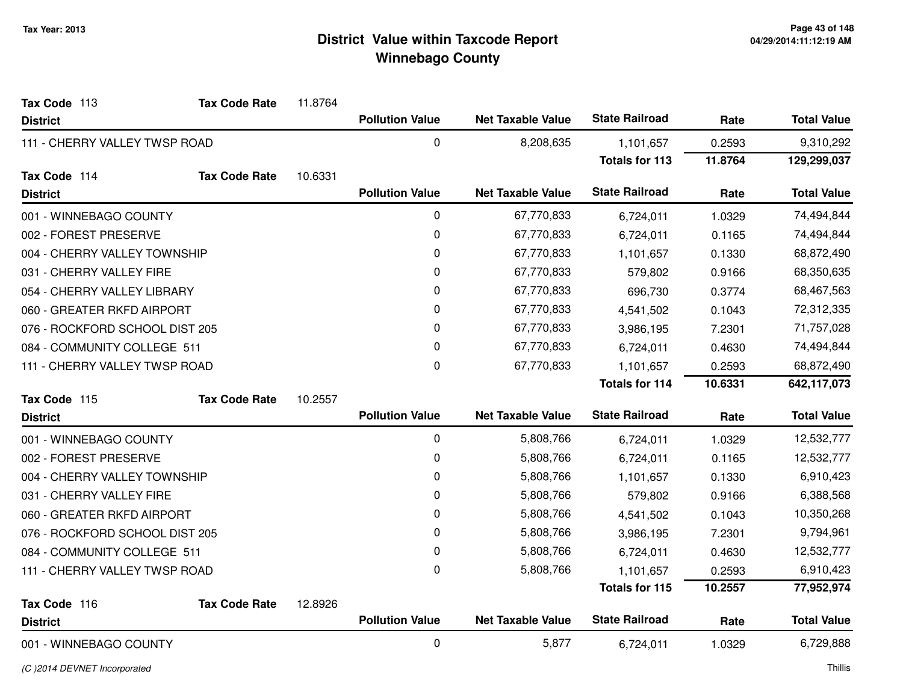| Tax Code 113                   | <b>Tax Code Rate</b> | 11.8764 |                        |                          |                       |         |                    |
|--------------------------------|----------------------|---------|------------------------|--------------------------|-----------------------|---------|--------------------|
| <b>District</b>                |                      |         | <b>Pollution Value</b> | <b>Net Taxable Value</b> | <b>State Railroad</b> | Rate    | <b>Total Value</b> |
| 111 - CHERRY VALLEY TWSP ROAD  |                      |         | 0                      | 8,208,635                | 1,101,657             | 0.2593  | 9,310,292          |
|                                |                      |         |                        |                          | <b>Totals for 113</b> | 11.8764 | 129,299,037        |
| Tax Code 114                   | <b>Tax Code Rate</b> | 10.6331 |                        |                          |                       |         |                    |
| <b>District</b>                |                      |         | <b>Pollution Value</b> | <b>Net Taxable Value</b> | <b>State Railroad</b> | Rate    | <b>Total Value</b> |
| 001 - WINNEBAGO COUNTY         |                      |         | $\mathbf 0$            | 67,770,833               | 6,724,011             | 1.0329  | 74,494,844         |
| 002 - FOREST PRESERVE          |                      |         | 0                      | 67,770,833               | 6,724,011             | 0.1165  | 74,494,844         |
| 004 - CHERRY VALLEY TOWNSHIP   |                      |         | 0                      | 67,770,833               | 1,101,657             | 0.1330  | 68,872,490         |
| 031 - CHERRY VALLEY FIRE       |                      |         | 0                      | 67,770,833               | 579,802               | 0.9166  | 68,350,635         |
| 054 - CHERRY VALLEY LIBRARY    |                      |         | 0                      | 67,770,833               | 696,730               | 0.3774  | 68,467,563         |
| 060 - GREATER RKFD AIRPORT     |                      |         | 0                      | 67,770,833               | 4,541,502             | 0.1043  | 72,312,335         |
| 076 - ROCKFORD SCHOOL DIST 205 |                      |         | 0                      | 67,770,833               | 3,986,195             | 7.2301  | 71,757,028         |
| 084 - COMMUNITY COLLEGE 511    |                      |         | 0                      | 67,770,833               | 6,724,011             | 0.4630  | 74,494,844         |
| 111 - CHERRY VALLEY TWSP ROAD  |                      |         | 0                      | 67,770,833               | 1,101,657             | 0.2593  | 68,872,490         |
|                                |                      |         |                        |                          | <b>Totals for 114</b> | 10.6331 | 642,117,073        |
| Tax Code 115                   | <b>Tax Code Rate</b> | 10.2557 |                        |                          |                       |         |                    |
| <b>District</b>                |                      |         | <b>Pollution Value</b> | <b>Net Taxable Value</b> | <b>State Railroad</b> | Rate    | <b>Total Value</b> |
| 001 - WINNEBAGO COUNTY         |                      |         | $\pmb{0}$              | 5,808,766                | 6,724,011             | 1.0329  | 12,532,777         |
| 002 - FOREST PRESERVE          |                      |         | 0                      | 5,808,766                | 6,724,011             | 0.1165  | 12,532,777         |
| 004 - CHERRY VALLEY TOWNSHIP   |                      |         | 0                      | 5,808,766                | 1,101,657             | 0.1330  | 6,910,423          |
| 031 - CHERRY VALLEY FIRE       |                      |         | 0                      | 5,808,766                | 579,802               | 0.9166  | 6,388,568          |
| 060 - GREATER RKFD AIRPORT     |                      |         | $\pmb{0}$              | 5,808,766                | 4,541,502             | 0.1043  | 10,350,268         |
| 076 - ROCKFORD SCHOOL DIST 205 |                      |         | 0                      | 5,808,766                | 3,986,195             | 7.2301  | 9,794,961          |
| 084 - COMMUNITY COLLEGE 511    |                      |         | 0                      | 5,808,766                | 6,724,011             | 0.4630  | 12,532,777         |
| 111 - CHERRY VALLEY TWSP ROAD  |                      |         | 0                      | 5,808,766                | 1,101,657             | 0.2593  | 6,910,423          |
|                                |                      |         |                        |                          | <b>Totals for 115</b> | 10.2557 | 77,952,974         |
| Tax Code 116                   | <b>Tax Code Rate</b> | 12.8926 |                        |                          |                       |         |                    |
| <b>District</b>                |                      |         | <b>Pollution Value</b> | <b>Net Taxable Value</b> | <b>State Railroad</b> | Rate    | <b>Total Value</b> |
| 001 - WINNEBAGO COUNTY         |                      |         | 0                      | 5,877                    | 6,724,011             | 1.0329  | 6,729,888          |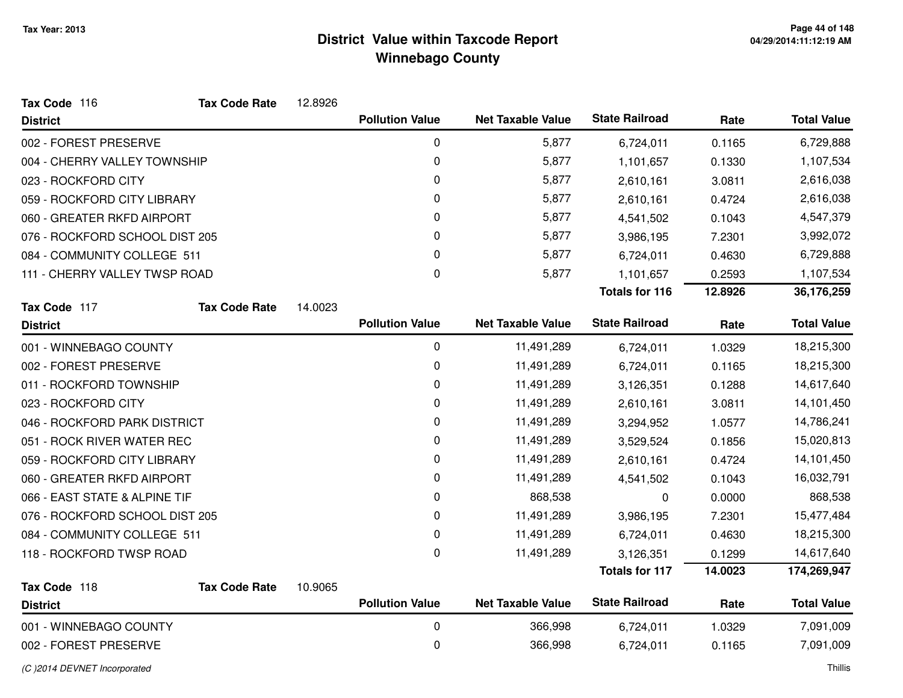| Tax Code 116                   | <b>Tax Code Rate</b> | 12.8926 |                        |                          |                       |         |                    |
|--------------------------------|----------------------|---------|------------------------|--------------------------|-----------------------|---------|--------------------|
| <b>District</b>                |                      |         | <b>Pollution Value</b> | <b>Net Taxable Value</b> | <b>State Railroad</b> | Rate    | <b>Total Value</b> |
| 002 - FOREST PRESERVE          |                      |         | $\mathbf 0$            | 5,877                    | 6,724,011             | 0.1165  | 6,729,888          |
| 004 - CHERRY VALLEY TOWNSHIP   |                      |         | $\mathbf 0$            | 5,877                    | 1,101,657             | 0.1330  | 1,107,534          |
| 023 - ROCKFORD CITY            |                      |         | 0                      | 5,877                    | 2,610,161             | 3.0811  | 2,616,038          |
| 059 - ROCKFORD CITY LIBRARY    |                      |         | 0                      | 5,877                    | 2,610,161             | 0.4724  | 2,616,038          |
| 060 - GREATER RKFD AIRPORT     |                      |         | 0                      | 5,877                    | 4,541,502             | 0.1043  | 4,547,379          |
| 076 - ROCKFORD SCHOOL DIST 205 |                      |         | 0                      | 5,877                    | 3,986,195             | 7.2301  | 3,992,072          |
| 084 - COMMUNITY COLLEGE 511    |                      |         | 0                      | 5,877                    | 6,724,011             | 0.4630  | 6,729,888          |
| 111 - CHERRY VALLEY TWSP ROAD  |                      |         | 0                      | 5,877                    | 1,101,657             | 0.2593  | 1,107,534          |
|                                |                      |         |                        |                          | <b>Totals for 116</b> | 12.8926 | 36,176,259         |
| Tax Code 117                   | <b>Tax Code Rate</b> | 14.0023 |                        |                          |                       |         |                    |
| <b>District</b>                |                      |         | <b>Pollution Value</b> | <b>Net Taxable Value</b> | <b>State Railroad</b> | Rate    | <b>Total Value</b> |
| 001 - WINNEBAGO COUNTY         |                      |         | 0                      | 11,491,289               | 6,724,011             | 1.0329  | 18,215,300         |
| 002 - FOREST PRESERVE          |                      |         | 0                      | 11,491,289               | 6,724,011             | 0.1165  | 18,215,300         |
| 011 - ROCKFORD TOWNSHIP        |                      |         | 0                      | 11,491,289               | 3,126,351             | 0.1288  | 14,617,640         |
| 023 - ROCKFORD CITY            |                      |         | 0                      | 11,491,289               | 2,610,161             | 3.0811  | 14,101,450         |
| 046 - ROCKFORD PARK DISTRICT   |                      |         | 0                      | 11,491,289               | 3,294,952             | 1.0577  | 14,786,241         |
| 051 - ROCK RIVER WATER REC     |                      |         | 0                      | 11,491,289               | 3,529,524             | 0.1856  | 15,020,813         |
| 059 - ROCKFORD CITY LIBRARY    |                      |         | 0                      | 11,491,289               | 2,610,161             | 0.4724  | 14,101,450         |
| 060 - GREATER RKFD AIRPORT     |                      |         | 0                      | 11,491,289               | 4,541,502             | 0.1043  | 16,032,791         |
| 066 - EAST STATE & ALPINE TIF  |                      |         | 0                      | 868,538                  | 0                     | 0.0000  | 868,538            |
| 076 - ROCKFORD SCHOOL DIST 205 |                      |         | 0                      | 11,491,289               | 3,986,195             | 7.2301  | 15,477,484         |
| 084 - COMMUNITY COLLEGE 511    |                      |         | $\pmb{0}$              | 11,491,289               | 6,724,011             | 0.4630  | 18,215,300         |
| 118 - ROCKFORD TWSP ROAD       |                      |         | 0                      | 11,491,289               | 3,126,351             | 0.1299  | 14,617,640         |
|                                |                      |         |                        |                          | <b>Totals for 117</b> | 14.0023 | 174,269,947        |
| Tax Code 118                   | <b>Tax Code Rate</b> | 10.9065 |                        |                          |                       |         |                    |
| <b>District</b>                |                      |         | <b>Pollution Value</b> | <b>Net Taxable Value</b> | <b>State Railroad</b> | Rate    | <b>Total Value</b> |
| 001 - WINNEBAGO COUNTY         |                      |         | $\mathbf 0$            | 366,998                  | 6,724,011             | 1.0329  | 7,091,009          |
| 002 - FOREST PRESERVE          |                      |         | 0                      | 366,998                  | 6,724,011             | 0.1165  | 7,091,009          |

(C )2014 DEVNET Incorporated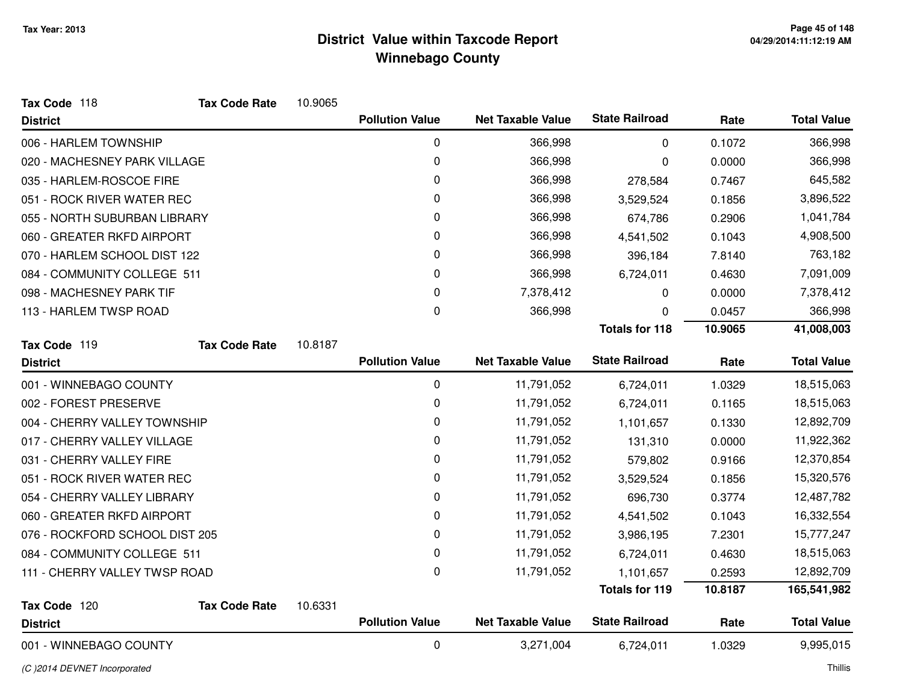| Tax Code 118                   | <b>Tax Code Rate</b> | 10.9065 |                        |                          |                       |         |                    |
|--------------------------------|----------------------|---------|------------------------|--------------------------|-----------------------|---------|--------------------|
| <b>District</b>                |                      |         | <b>Pollution Value</b> | <b>Net Taxable Value</b> | <b>State Railroad</b> | Rate    | <b>Total Value</b> |
| 006 - HARLEM TOWNSHIP          |                      |         | 0                      | 366,998                  | 0                     | 0.1072  | 366,998            |
| 020 - MACHESNEY PARK VILLAGE   |                      |         | 0                      | 366,998                  | 0                     | 0.0000  | 366,998            |
| 035 - HARLEM-ROSCOE FIRE       |                      |         | 0                      | 366,998                  | 278,584               | 0.7467  | 645,582            |
| 051 - ROCK RIVER WATER REC     |                      |         | 0                      | 366,998                  | 3,529,524             | 0.1856  | 3,896,522          |
| 055 - NORTH SUBURBAN LIBRARY   |                      |         | 0                      | 366,998                  | 674,786               | 0.2906  | 1,041,784          |
| 060 - GREATER RKFD AIRPORT     |                      |         | 0                      | 366,998                  | 4,541,502             | 0.1043  | 4,908,500          |
| 070 - HARLEM SCHOOL DIST 122   |                      |         | 0                      | 366,998                  | 396,184               | 7.8140  | 763,182            |
| 084 - COMMUNITY COLLEGE 511    |                      |         | 0                      | 366,998                  | 6,724,011             | 0.4630  | 7,091,009          |
| 098 - MACHESNEY PARK TIF       |                      |         | 0                      | 7,378,412                | 0                     | 0.0000  | 7,378,412          |
| 113 - HARLEM TWSP ROAD         |                      |         | 0                      | 366,998                  | 0                     | 0.0457  | 366,998            |
|                                |                      |         |                        |                          | <b>Totals for 118</b> | 10.9065 | 41,008,003         |
| Tax Code 119                   | <b>Tax Code Rate</b> | 10.8187 |                        |                          |                       |         |                    |
| <b>District</b>                |                      |         | <b>Pollution Value</b> | <b>Net Taxable Value</b> | <b>State Railroad</b> | Rate    | <b>Total Value</b> |
| 001 - WINNEBAGO COUNTY         |                      |         | 0                      | 11,791,052               | 6,724,011             | 1.0329  | 18,515,063         |
| 002 - FOREST PRESERVE          |                      |         | 0                      | 11,791,052               | 6,724,011             | 0.1165  | 18,515,063         |
| 004 - CHERRY VALLEY TOWNSHIP   |                      |         | 0                      | 11,791,052               | 1,101,657             | 0.1330  | 12,892,709         |
| 017 - CHERRY VALLEY VILLAGE    |                      |         | 0                      | 11,791,052               | 131,310               | 0.0000  | 11,922,362         |
| 031 - CHERRY VALLEY FIRE       |                      |         | 0                      | 11,791,052               | 579,802               | 0.9166  | 12,370,854         |
| 051 - ROCK RIVER WATER REC     |                      |         | 0                      | 11,791,052               | 3,529,524             | 0.1856  | 15,320,576         |
| 054 - CHERRY VALLEY LIBRARY    |                      |         | 0                      | 11,791,052               | 696,730               | 0.3774  | 12,487,782         |
| 060 - GREATER RKFD AIRPORT     |                      |         | 0                      | 11,791,052               | 4,541,502             | 0.1043  | 16,332,554         |
| 076 - ROCKFORD SCHOOL DIST 205 |                      |         | 0                      | 11,791,052               | 3,986,195             | 7.2301  | 15,777,247         |
| 084 - COMMUNITY COLLEGE 511    |                      |         | 0                      | 11,791,052               | 6,724,011             | 0.4630  | 18,515,063         |
| 111 - CHERRY VALLEY TWSP ROAD  |                      |         | $\mathbf{0}$           | 11,791,052               | 1,101,657             | 0.2593  | 12,892,709         |
|                                |                      |         |                        |                          | <b>Totals for 119</b> | 10.8187 | 165,541,982        |
| Tax Code 120                   | <b>Tax Code Rate</b> | 10.6331 |                        |                          |                       |         |                    |
| <b>District</b>                |                      |         | <b>Pollution Value</b> | <b>Net Taxable Value</b> | <b>State Railroad</b> | Rate    | <b>Total Value</b> |
| 001 - WINNEBAGO COUNTY         |                      |         | $\mathbf 0$            | 3,271,004                | 6,724,011             | 1.0329  | 9,995,015          |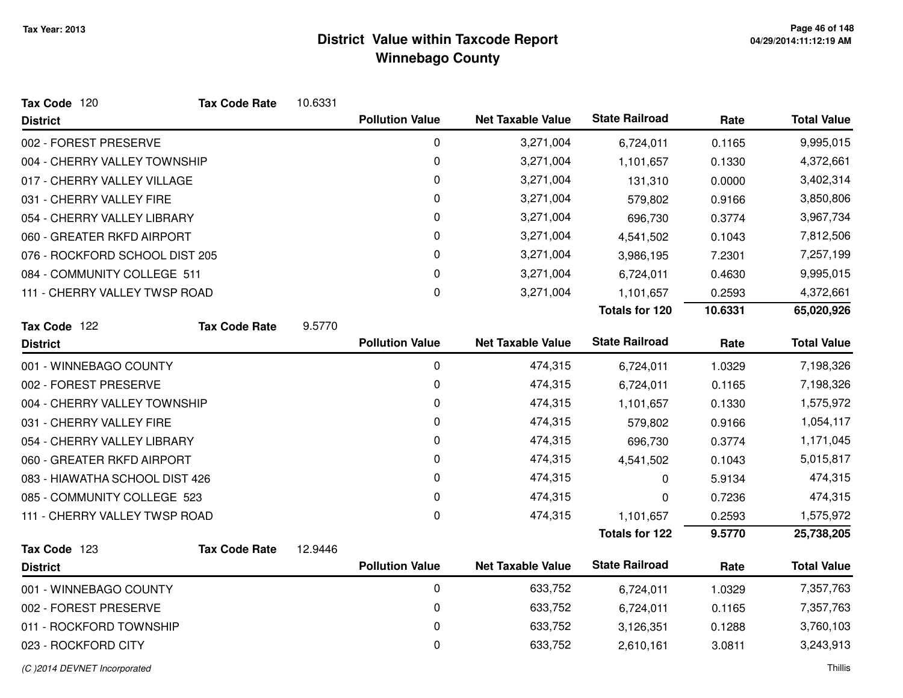| Tax Code 120                   | <b>Tax Code Rate</b> | 10.6331 |                        |                          |                       |         |                    |
|--------------------------------|----------------------|---------|------------------------|--------------------------|-----------------------|---------|--------------------|
| <b>District</b>                |                      |         | <b>Pollution Value</b> | <b>Net Taxable Value</b> | <b>State Railroad</b> | Rate    | <b>Total Value</b> |
| 002 - FOREST PRESERVE          |                      |         | 0                      | 3,271,004                | 6,724,011             | 0.1165  | 9,995,015          |
| 004 - CHERRY VALLEY TOWNSHIP   |                      |         | 0                      | 3,271,004                | 1,101,657             | 0.1330  | 4,372,661          |
| 017 - CHERRY VALLEY VILLAGE    |                      |         | 0                      | 3,271,004                | 131,310               | 0.0000  | 3,402,314          |
| 031 - CHERRY VALLEY FIRE       |                      |         | $\mathbf 0$            | 3,271,004                | 579,802               | 0.9166  | 3,850,806          |
| 054 - CHERRY VALLEY LIBRARY    |                      |         | $\mathbf 0$            | 3,271,004                | 696,730               | 0.3774  | 3,967,734          |
| 060 - GREATER RKFD AIRPORT     |                      |         | 0                      | 3,271,004                | 4,541,502             | 0.1043  | 7,812,506          |
| 076 - ROCKFORD SCHOOL DIST 205 |                      |         | 0                      | 3,271,004                | 3,986,195             | 7.2301  | 7,257,199          |
| 084 - COMMUNITY COLLEGE 511    |                      |         | 0                      | 3,271,004                | 6,724,011             | 0.4630  | 9,995,015          |
| 111 - CHERRY VALLEY TWSP ROAD  |                      |         | $\mathbf 0$            | 3,271,004                | 1,101,657             | 0.2593  | 4,372,661          |
|                                |                      |         |                        |                          | <b>Totals for 120</b> | 10.6331 | 65,020,926         |
| Tax Code 122                   | <b>Tax Code Rate</b> | 9.5770  |                        |                          |                       |         |                    |
| <b>District</b>                |                      |         | <b>Pollution Value</b> | <b>Net Taxable Value</b> | <b>State Railroad</b> | Rate    | <b>Total Value</b> |
| 001 - WINNEBAGO COUNTY         |                      |         | $\pmb{0}$              | 474,315                  | 6,724,011             | 1.0329  | 7,198,326          |
| 002 - FOREST PRESERVE          |                      |         | 0                      | 474,315                  | 6,724,011             | 0.1165  | 7,198,326          |
| 004 - CHERRY VALLEY TOWNSHIP   |                      |         | 0                      | 474,315                  | 1,101,657             | 0.1330  | 1,575,972          |
| 031 - CHERRY VALLEY FIRE       |                      |         | 0                      | 474,315                  | 579,802               | 0.9166  | 1,054,117          |
| 054 - CHERRY VALLEY LIBRARY    |                      |         | 0                      | 474,315                  | 696,730               | 0.3774  | 1,171,045          |
| 060 - GREATER RKFD AIRPORT     |                      |         | 0                      | 474,315                  | 4,541,502             | 0.1043  | 5,015,817          |
| 083 - HIAWATHA SCHOOL DIST 426 |                      |         | 0                      | 474,315                  | 0                     | 5.9134  | 474,315            |
| 085 - COMMUNITY COLLEGE 523    |                      |         | 0                      | 474,315                  | 0                     | 0.7236  | 474,315            |
| 111 - CHERRY VALLEY TWSP ROAD  |                      |         | 0                      | 474,315                  | 1,101,657             | 0.2593  | 1,575,972          |
|                                |                      |         |                        |                          | <b>Totals for 122</b> | 9.5770  | 25,738,205         |
| Tax Code 123                   | <b>Tax Code Rate</b> | 12.9446 |                        |                          |                       |         |                    |
| <b>District</b>                |                      |         | <b>Pollution Value</b> | <b>Net Taxable Value</b> | <b>State Railroad</b> | Rate    | <b>Total Value</b> |
| 001 - WINNEBAGO COUNTY         |                      |         | 0                      | 633,752                  | 6,724,011             | 1.0329  | 7,357,763          |
| 002 - FOREST PRESERVE          |                      |         | 0                      | 633,752                  | 6,724,011             | 0.1165  | 7,357,763          |
| 011 - ROCKFORD TOWNSHIP        |                      |         | 0                      | 633,752                  | 3,126,351             | 0.1288  | 3,760,103          |
| 023 - ROCKFORD CITY            |                      |         | 0                      | 633,752                  | 2,610,161             | 3.0811  | 3,243,913          |
|                                |                      |         |                        |                          |                       |         |                    |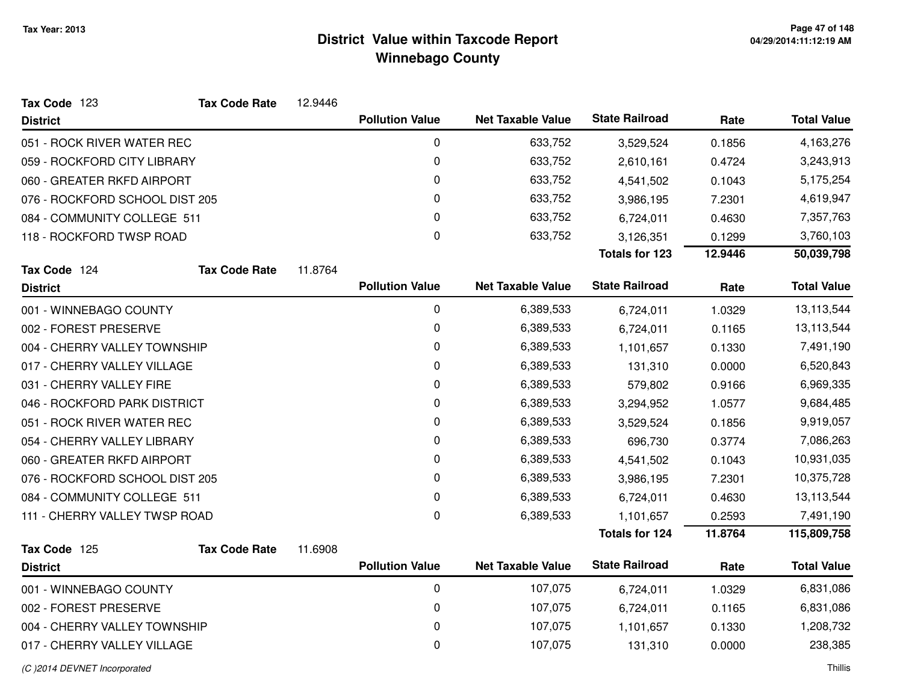| Tax Code 123                   | <b>Tax Code Rate</b> | 12.9446 |                        |                          |                       |         |                    |
|--------------------------------|----------------------|---------|------------------------|--------------------------|-----------------------|---------|--------------------|
| <b>District</b>                |                      |         | <b>Pollution Value</b> | <b>Net Taxable Value</b> | <b>State Railroad</b> | Rate    | <b>Total Value</b> |
| 051 - ROCK RIVER WATER REC     |                      |         | 0                      | 633,752                  | 3,529,524             | 0.1856  | 4,163,276          |
| 059 - ROCKFORD CITY LIBRARY    |                      |         | 0                      | 633,752                  | 2,610,161             | 0.4724  | 3,243,913          |
| 060 - GREATER RKFD AIRPORT     |                      |         | 0                      | 633,752                  | 4,541,502             | 0.1043  | 5,175,254          |
| 076 - ROCKFORD SCHOOL DIST 205 |                      |         | 0                      | 633,752                  | 3,986,195             | 7.2301  | 4,619,947          |
| 084 - COMMUNITY COLLEGE 511    |                      |         | 0                      | 633,752                  | 6,724,011             | 0.4630  | 7,357,763          |
| 118 - ROCKFORD TWSP ROAD       |                      |         | 0                      | 633,752                  | 3,126,351             | 0.1299  | 3,760,103          |
|                                |                      |         |                        |                          | <b>Totals for 123</b> | 12.9446 | 50,039,798         |
| Tax Code 124                   | <b>Tax Code Rate</b> | 11.8764 |                        |                          |                       |         |                    |
| <b>District</b>                |                      |         | <b>Pollution Value</b> | <b>Net Taxable Value</b> | <b>State Railroad</b> | Rate    | <b>Total Value</b> |
| 001 - WINNEBAGO COUNTY         |                      |         | $\pmb{0}$              | 6,389,533                | 6,724,011             | 1.0329  | 13,113,544         |
| 002 - FOREST PRESERVE          |                      |         | 0                      | 6,389,533                | 6,724,011             | 0.1165  | 13,113,544         |
| 004 - CHERRY VALLEY TOWNSHIP   |                      |         | 0                      | 6,389,533                | 1,101,657             | 0.1330  | 7,491,190          |
| 017 - CHERRY VALLEY VILLAGE    |                      |         | 0                      | 6,389,533                | 131,310               | 0.0000  | 6,520,843          |
| 031 - CHERRY VALLEY FIRE       |                      |         | 0                      | 6,389,533                | 579,802               | 0.9166  | 6,969,335          |
| 046 - ROCKFORD PARK DISTRICT   |                      |         | 0                      | 6,389,533                | 3,294,952             | 1.0577  | 9,684,485          |
| 051 - ROCK RIVER WATER REC     |                      |         | 0                      | 6,389,533                | 3,529,524             | 0.1856  | 9,919,057          |
| 054 - CHERRY VALLEY LIBRARY    |                      |         | 0                      | 6,389,533                | 696,730               | 0.3774  | 7,086,263          |
| 060 - GREATER RKFD AIRPORT     |                      |         | 0                      | 6,389,533                | 4,541,502             | 0.1043  | 10,931,035         |
| 076 - ROCKFORD SCHOOL DIST 205 |                      |         | 0                      | 6,389,533                | 3,986,195             | 7.2301  | 10,375,728         |
| 084 - COMMUNITY COLLEGE 511    |                      |         | 0                      | 6,389,533                | 6,724,011             | 0.4630  | 13,113,544         |
| 111 - CHERRY VALLEY TWSP ROAD  |                      |         | 0                      | 6,389,533                | 1,101,657             | 0.2593  | 7,491,190          |
|                                |                      |         |                        |                          | <b>Totals for 124</b> | 11.8764 | 115,809,758        |
| Tax Code 125                   | <b>Tax Code Rate</b> | 11.6908 |                        |                          |                       |         |                    |
| <b>District</b>                |                      |         | <b>Pollution Value</b> | <b>Net Taxable Value</b> | <b>State Railroad</b> | Rate    | <b>Total Value</b> |
| 001 - WINNEBAGO COUNTY         |                      |         | $\pmb{0}$              | 107,075                  | 6,724,011             | 1.0329  | 6,831,086          |
| 002 - FOREST PRESERVE          |                      |         | 0                      | 107,075                  | 6,724,011             | 0.1165  | 6,831,086          |
| 004 - CHERRY VALLEY TOWNSHIP   |                      |         | 0                      | 107,075                  | 1,101,657             | 0.1330  | 1,208,732          |

#### 017 - CHERRY VALLEY VILLAGE<sup>0</sup> 107,075 131,310 0.0000 238,385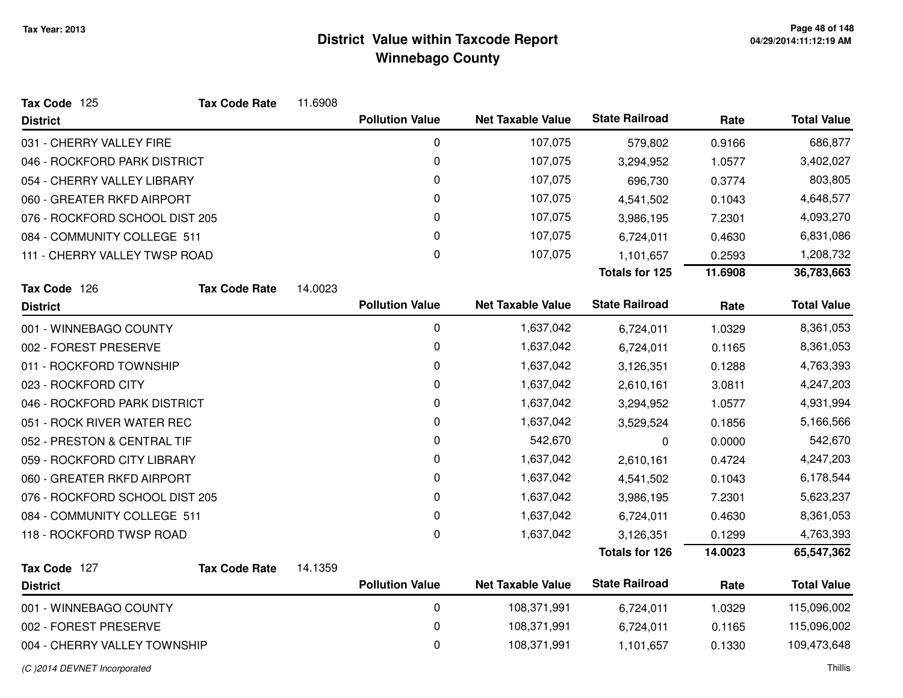| Tax Code 125                   | <b>Tax Code Rate</b> | 11.6908 |                        |                          |                       |         |                    |
|--------------------------------|----------------------|---------|------------------------|--------------------------|-----------------------|---------|--------------------|
| <b>District</b>                |                      |         | <b>Pollution Value</b> | <b>Net Taxable Value</b> | <b>State Railroad</b> | Rate    | <b>Total Value</b> |
| 031 - CHERRY VALLEY FIRE       |                      |         | $\mathbf 0$            | 107,075                  | 579,802               | 0.9166  | 686,877            |
| 046 - ROCKFORD PARK DISTRICT   |                      |         | 0                      | 107,075                  | 3,294,952             | 1.0577  | 3,402,027          |
| 054 - CHERRY VALLEY LIBRARY    |                      |         | 0                      | 107,075                  | 696,730               | 0.3774  | 803,805            |
| 060 - GREATER RKFD AIRPORT     |                      |         | 0                      | 107,075                  | 4,541,502             | 0.1043  | 4,648,577          |
| 076 - ROCKFORD SCHOOL DIST 205 |                      |         | 0                      | 107,075                  | 3,986,195             | 7.2301  | 4,093,270          |
| 084 - COMMUNITY COLLEGE 511    |                      |         | 0                      | 107,075                  | 6,724,011             | 0.4630  | 6,831,086          |
| 111 - CHERRY VALLEY TWSP ROAD  |                      |         | 0                      | 107,075                  | 1,101,657             | 0.2593  | 1,208,732          |
|                                |                      |         |                        |                          | <b>Totals for 125</b> | 11.6908 | 36,783,663         |
| Tax Code 126                   | <b>Tax Code Rate</b> | 14.0023 |                        |                          |                       |         |                    |
| <b>District</b>                |                      |         | <b>Pollution Value</b> | <b>Net Taxable Value</b> | <b>State Railroad</b> | Rate    | <b>Total Value</b> |
| 001 - WINNEBAGO COUNTY         |                      |         | $\mathbf 0$            | 1,637,042                | 6,724,011             | 1.0329  | 8,361,053          |
| 002 - FOREST PRESERVE          |                      |         | 0                      | 1,637,042                | 6,724,011             | 0.1165  | 8,361,053          |
| 011 - ROCKFORD TOWNSHIP        |                      |         | $\pmb{0}$              | 1,637,042                | 3,126,351             | 0.1288  | 4,763,393          |
| 023 - ROCKFORD CITY            |                      |         | 0                      | 1,637,042                | 2,610,161             | 3.0811  | 4,247,203          |
| 046 - ROCKFORD PARK DISTRICT   |                      |         | 0                      | 1,637,042                | 3,294,952             | 1.0577  | 4,931,994          |
| 051 - ROCK RIVER WATER REC     |                      |         | 0                      | 1,637,042                | 3,529,524             | 0.1856  | 5,166,566          |
| 052 - PRESTON & CENTRAL TIF    |                      |         | 0                      | 542,670                  | 0                     | 0.0000  | 542,670            |
| 059 - ROCKFORD CITY LIBRARY    |                      |         | 0                      | 1,637,042                | 2,610,161             | 0.4724  | 4,247,203          |
| 060 - GREATER RKFD AIRPORT     |                      |         | 0                      | 1,637,042                | 4,541,502             | 0.1043  | 6,178,544          |
| 076 - ROCKFORD SCHOOL DIST 205 |                      |         | $\mathbf 0$            | 1,637,042                | 3,986,195             | 7.2301  | 5,623,237          |
| 084 - COMMUNITY COLLEGE 511    |                      |         | 0                      | 1,637,042                | 6,724,011             | 0.4630  | 8,361,053          |
| 118 - ROCKFORD TWSP ROAD       |                      |         | $\Omega$               | 1,637,042                | 3,126,351             | 0.1299  | 4,763,393          |
|                                |                      |         |                        |                          | <b>Totals for 126</b> | 14.0023 | 65,547,362         |
| Tax Code 127                   | <b>Tax Code Rate</b> | 14.1359 |                        |                          |                       |         |                    |
| <b>District</b>                |                      |         | <b>Pollution Value</b> | <b>Net Taxable Value</b> | <b>State Railroad</b> | Rate    | <b>Total Value</b> |
| 001 - WINNEBAGO COUNTY         |                      |         | 0                      | 108,371,991              | 6,724,011             | 1.0329  | 115,096,002        |
| 002 - FOREST PRESERVE          |                      |         | $\mathbf 0$            | 108,371,991              | 6,724,011             | 0.1165  | 115,096,002        |
| 004 - CHERRY VALLEY TOWNSHIP   |                      |         | 0                      | 108,371,991              | 1,101,657             | 0.1330  | 109,473,648        |
|                                |                      |         |                        |                          |                       |         |                    |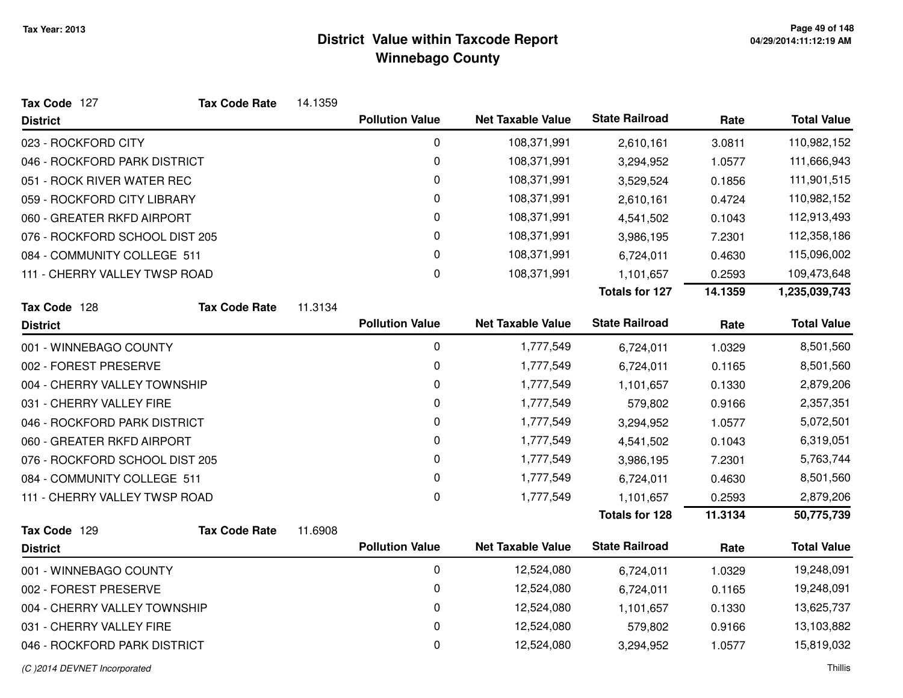| Tax Code 127                   | <b>Tax Code Rate</b> | 14.1359 |                        |                          |                       |         |                    |
|--------------------------------|----------------------|---------|------------------------|--------------------------|-----------------------|---------|--------------------|
| <b>District</b>                |                      |         | <b>Pollution Value</b> | <b>Net Taxable Value</b> | <b>State Railroad</b> | Rate    | <b>Total Value</b> |
| 023 - ROCKFORD CITY            |                      |         | $\mathbf 0$            | 108,371,991              | 2,610,161             | 3.0811  | 110,982,152        |
| 046 - ROCKFORD PARK DISTRICT   |                      |         | $\pmb{0}$              | 108,371,991              | 3,294,952             | 1.0577  | 111,666,943        |
| 051 - ROCK RIVER WATER REC     |                      |         | 0                      | 108,371,991              | 3,529,524             | 0.1856  | 111,901,515        |
| 059 - ROCKFORD CITY LIBRARY    |                      |         | $\pmb{0}$              | 108,371,991              | 2,610,161             | 0.4724  | 110,982,152        |
| 060 - GREATER RKFD AIRPORT     |                      |         | 0                      | 108,371,991              | 4,541,502             | 0.1043  | 112,913,493        |
| 076 - ROCKFORD SCHOOL DIST 205 |                      |         | 0                      | 108,371,991              | 3,986,195             | 7.2301  | 112,358,186        |
| 084 - COMMUNITY COLLEGE 511    |                      |         | 0                      | 108,371,991              | 6,724,011             | 0.4630  | 115,096,002        |
| 111 - CHERRY VALLEY TWSP ROAD  |                      |         | 0                      | 108,371,991              | 1,101,657             | 0.2593  | 109,473,648        |
|                                |                      |         |                        |                          | <b>Totals for 127</b> | 14.1359 | 1,235,039,743      |
| Tax Code 128                   | <b>Tax Code Rate</b> | 11.3134 |                        |                          |                       |         |                    |
| <b>District</b>                |                      |         | <b>Pollution Value</b> | <b>Net Taxable Value</b> | <b>State Railroad</b> | Rate    | <b>Total Value</b> |
| 001 - WINNEBAGO COUNTY         |                      |         | 0                      | 1,777,549                | 6,724,011             | 1.0329  | 8,501,560          |
| 002 - FOREST PRESERVE          |                      |         | 0                      | 1,777,549                | 6,724,011             | 0.1165  | 8,501,560          |
| 004 - CHERRY VALLEY TOWNSHIP   |                      |         | 0                      | 1,777,549                | 1,101,657             | 0.1330  | 2,879,206          |
| 031 - CHERRY VALLEY FIRE       |                      |         | 0                      | 1,777,549                | 579,802               | 0.9166  | 2,357,351          |
| 046 - ROCKFORD PARK DISTRICT   |                      |         | $\mathbf 0$            | 1,777,549                | 3,294,952             | 1.0577  | 5,072,501          |
| 060 - GREATER RKFD AIRPORT     |                      |         | $\pmb{0}$              | 1,777,549                | 4,541,502             | 0.1043  | 6,319,051          |
| 076 - ROCKFORD SCHOOL DIST 205 |                      |         | 0                      | 1,777,549                | 3,986,195             | 7.2301  | 5,763,744          |
| 084 - COMMUNITY COLLEGE 511    |                      |         | $\pmb{0}$              | 1,777,549                | 6,724,011             | 0.4630  | 8,501,560          |
| 111 - CHERRY VALLEY TWSP ROAD  |                      |         | $\mathbf 0$            | 1,777,549                | 1,101,657             | 0.2593  | 2,879,206          |
|                                |                      |         |                        |                          | <b>Totals for 128</b> | 11.3134 | 50,775,739         |
| Tax Code 129                   | <b>Tax Code Rate</b> | 11.6908 |                        |                          |                       |         |                    |
| <b>District</b>                |                      |         | <b>Pollution Value</b> | <b>Net Taxable Value</b> | <b>State Railroad</b> | Rate    | <b>Total Value</b> |
| 001 - WINNEBAGO COUNTY         |                      |         | $\mathbf 0$            | 12,524,080               | 6,724,011             | 1.0329  | 19,248,091         |
| 002 - FOREST PRESERVE          |                      |         | 0                      | 12,524,080               | 6,724,011             | 0.1165  | 19,248,091         |
| 004 - CHERRY VALLEY TOWNSHIP   |                      |         | 0                      | 12,524,080               | 1,101,657             | 0.1330  | 13,625,737         |
| 031 - CHERRY VALLEY FIRE       |                      |         | 0                      | 12,524,080               | 579,802               | 0.9166  | 13,103,882         |
| 046 - ROCKFORD PARK DISTRICT   |                      |         | 0                      | 12,524,080               | 3,294,952             | 1.0577  | 15,819,032         |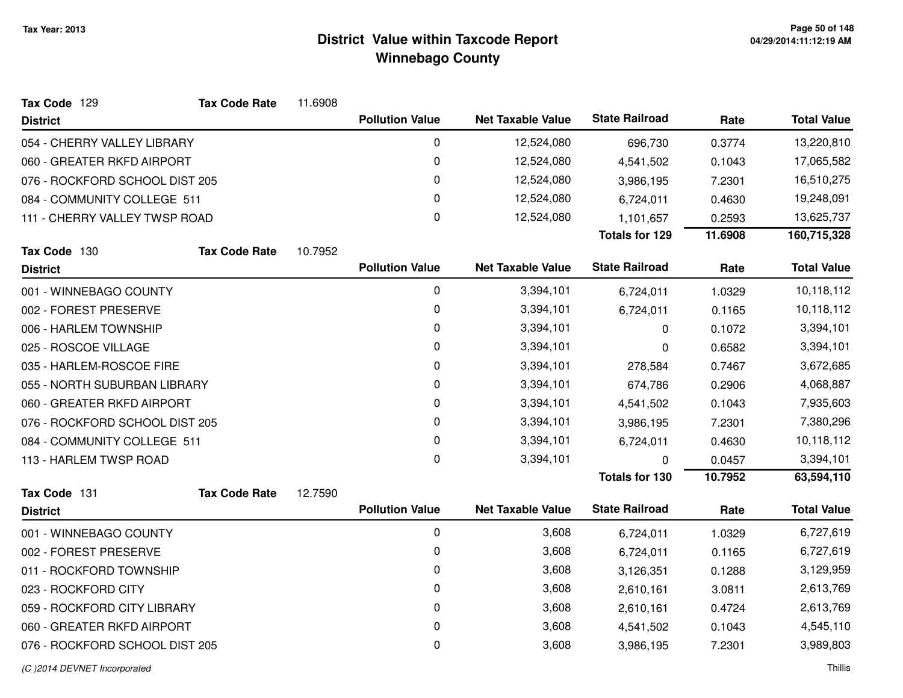| <b>State Railroad</b><br><b>Net Taxable Value</b><br><b>Pollution Value</b><br>Rate<br><b>District</b> | <b>Total Value</b> |
|--------------------------------------------------------------------------------------------------------|--------------------|
|                                                                                                        |                    |
| 0<br>12,524,080<br>054 - CHERRY VALLEY LIBRARY<br>696,730<br>0.3774                                    | 13,220,810         |
| 0<br>060 - GREATER RKFD AIRPORT<br>12,524,080<br>4,541,502<br>0.1043                                   | 17,065,582         |
| 0<br>12,524,080<br>076 - ROCKFORD SCHOOL DIST 205<br>3,986,195<br>7.2301                               | 16,510,275         |
| 0<br>084 - COMMUNITY COLLEGE 511<br>12,524,080<br>6,724,011<br>0.4630                                  | 19,248,091         |
| $\mathbf 0$<br>111 - CHERRY VALLEY TWSP ROAD<br>12,524,080<br>1,101,657<br>0.2593                      | 13,625,737         |
| <b>Totals for 129</b><br>11.6908                                                                       | 160,715,328        |
| Tax Code 130<br><b>Tax Code Rate</b><br>10.7952                                                        |                    |
| <b>State Railroad</b><br><b>Pollution Value</b><br><b>Net Taxable Value</b><br>Rate<br><b>District</b> | <b>Total Value</b> |
| $\pmb{0}$<br>3,394,101<br>001 - WINNEBAGO COUNTY<br>1.0329<br>6,724,011                                | 10,118,112         |
| 0<br>002 - FOREST PRESERVE<br>3,394,101<br>6,724,011<br>0.1165                                         | 10,118,112         |
| 0<br>006 - HARLEM TOWNSHIP<br>3,394,101<br>0<br>0.1072                                                 | 3,394,101          |
| 025 - ROSCOE VILLAGE<br>0<br>3,394,101<br>0.6582<br>0                                                  | 3,394,101          |
| 0<br>3,394,101<br>035 - HARLEM-ROSCOE FIRE<br>278,584<br>0.7467                                        | 3,672,685          |
| 0<br>3,394,101<br>055 - NORTH SUBURBAN LIBRARY<br>0.2906<br>674,786                                    | 4,068,887          |
| 0<br>3,394,101<br>060 - GREATER RKFD AIRPORT<br>4,541,502<br>0.1043                                    | 7,935,603          |
| 0<br>076 - ROCKFORD SCHOOL DIST 205<br>3,394,101<br>3,986,195<br>7.2301                                | 7,380,296          |
| 0<br>084 - COMMUNITY COLLEGE 511<br>3,394,101<br>0.4630<br>6,724,011                                   | 10,118,112         |
| 0<br>113 - HARLEM TWSP ROAD<br>3,394,101<br>0.0457<br>$\Omega$                                         | 3,394,101          |
| <b>Totals for 130</b><br>10.7952                                                                       | 63,594,110         |
| Tax Code 131<br><b>Tax Code Rate</b><br>12.7590                                                        |                    |
| <b>State Railroad</b><br><b>Pollution Value</b><br><b>Net Taxable Value</b><br>Rate<br><b>District</b> | <b>Total Value</b> |
| $\pmb{0}$<br>3,608<br>001 - WINNEBAGO COUNTY<br>1.0329<br>6,724,011                                    | 6,727,619          |
| 0<br>3,608<br>002 - FOREST PRESERVE<br>6,724,011<br>0.1165                                             | 6,727,619          |
| 0<br>3,608<br>011 - ROCKFORD TOWNSHIP<br>0.1288<br>3,126,351                                           | 3,129,959          |
| $\Omega$<br>3,608<br>023 - ROCKFORD CITY<br>3.0811<br>2,610,161                                        | 2,613,769          |
| 0<br>3,608<br>059 - ROCKFORD CITY LIBRARY<br>0.4724<br>2,610,161                                       | 2,613,769          |
| 060 - GREATER RKFD AIRPORT<br>0<br>3,608<br>0.1043<br>4,541,502                                        | 4,545,110          |
| 0<br>3,608<br>076 - ROCKFORD SCHOOL DIST 205<br>7.2301<br>3,986,195                                    | 3,989,803          |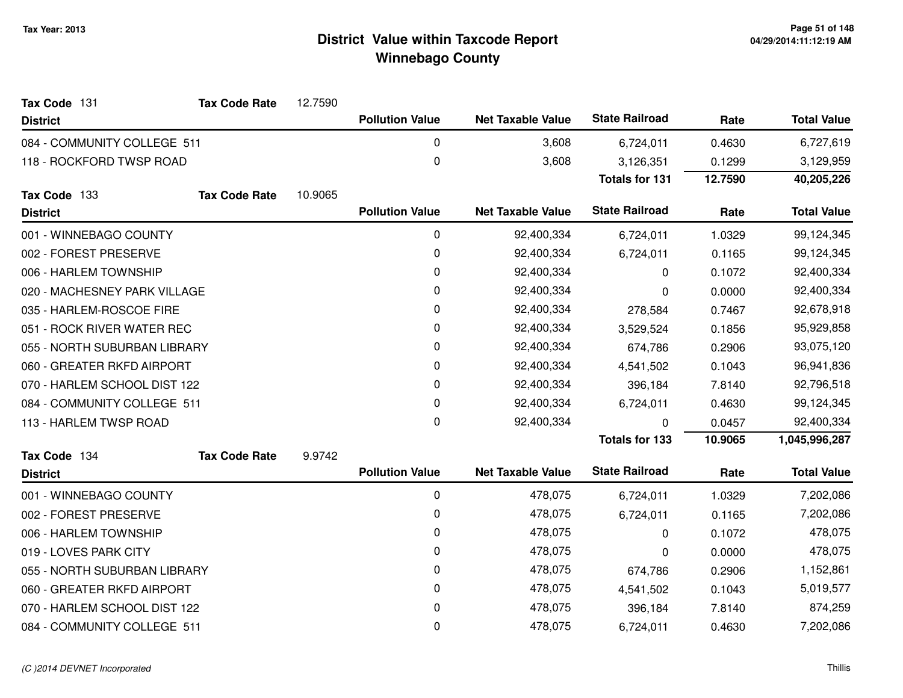| Tax Code 131                 | <b>Tax Code Rate</b> | 12.7590 |                        |                          |                       |            |                    |
|------------------------------|----------------------|---------|------------------------|--------------------------|-----------------------|------------|--------------------|
| <b>District</b>              |                      |         | <b>Pollution Value</b> | <b>Net Taxable Value</b> | <b>State Railroad</b> | Rate       | <b>Total Value</b> |
| 084 - COMMUNITY COLLEGE 511  |                      |         | 0                      | 3,608                    | 6,724,011             | 0.4630     | 6,727,619          |
| 118 - ROCKFORD TWSP ROAD     |                      |         | $\mathsf 0$            | 3,608                    | 3,126,351             | 0.1299     | 3,129,959          |
|                              |                      |         |                        |                          | <b>Totals for 131</b> | 12.7590    | 40,205,226         |
| Tax Code 133                 | <b>Tax Code Rate</b> | 10.9065 |                        |                          |                       |            |                    |
| <b>District</b>              |                      |         | <b>Pollution Value</b> | <b>Net Taxable Value</b> | <b>State Railroad</b> | Rate       | <b>Total Value</b> |
| 001 - WINNEBAGO COUNTY       |                      |         | 0                      | 92,400,334               | 6,724,011             | 1.0329     | 99,124,345         |
| 002 - FOREST PRESERVE        |                      |         | $\pmb{0}$              | 92,400,334               | 6,724,011             | 0.1165     | 99,124,345         |
| 006 - HARLEM TOWNSHIP        |                      | 0       | 92,400,334             | 0                        | 0.1072                | 92,400,334 |                    |
| 020 - MACHESNEY PARK VILLAGE |                      | 0       | 92,400,334             | 0                        | 0.0000                | 92,400,334 |                    |
| 035 - HARLEM-ROSCOE FIRE     |                      | 0       | 92,400,334             | 278,584                  | 0.7467                | 92,678,918 |                    |
| 051 - ROCK RIVER WATER REC   |                      |         | 0                      | 92,400,334               | 3,529,524             | 0.1856     | 95,929,858         |
| 055 - NORTH SUBURBAN LIBRARY |                      |         | 0                      | 92,400,334               | 674,786               | 0.2906     | 93,075,120         |
| 060 - GREATER RKFD AIRPORT   |                      |         | 0                      | 92,400,334               | 4,541,502             | 0.1043     | 96,941,836         |
| 070 - HARLEM SCHOOL DIST 122 |                      |         | $\mathbf 0$            | 92,400,334               | 396,184               | 7.8140     | 92,796,518         |
| 084 - COMMUNITY COLLEGE 511  |                      |         | 0                      | 92,400,334               | 6,724,011             | 0.4630     | 99,124,345         |
| 113 - HARLEM TWSP ROAD       |                      |         | 0                      | 92,400,334               | $\Omega$              | 0.0457     | 92,400,334         |
|                              |                      |         |                        |                          | <b>Totals for 133</b> | 10.9065    | 1,045,996,287      |
| Tax Code 134                 | <b>Tax Code Rate</b> | 9.9742  |                        |                          |                       |            |                    |
| <b>District</b>              |                      |         | <b>Pollution Value</b> | <b>Net Taxable Value</b> | <b>State Railroad</b> | Rate       | <b>Total Value</b> |
| 001 - WINNEBAGO COUNTY       |                      |         | 0                      | 478,075                  | 6,724,011             | 1.0329     | 7,202,086          |
| 002 - FOREST PRESERVE        |                      |         | $\mathbf 0$            | 478,075                  | 6,724,011             | 0.1165     | 7,202,086          |
| 006 - HARLEM TOWNSHIP        |                      |         | 0                      | 478,075                  | 0                     | 0.1072     | 478,075            |
| 019 - LOVES PARK CITY        |                      |         | 0                      | 478,075                  | 0                     | 0.0000     | 478,075            |
| 055 - NORTH SUBURBAN LIBRARY |                      |         | 0                      | 478,075                  | 674,786               | 0.2906     | 1,152,861          |
| 060 - GREATER RKFD AIRPORT   |                      |         | 0                      | 478,075                  | 4,541,502             | 0.1043     | 5,019,577          |
| 070 - HARLEM SCHOOL DIST 122 |                      |         | 0                      | 478,075                  | 396,184               | 7.8140     | 874,259            |
| 084 - COMMUNITY COLLEGE 511  |                      |         | 0                      | 478,075                  | 6,724,011             | 0.4630     | 7,202,086          |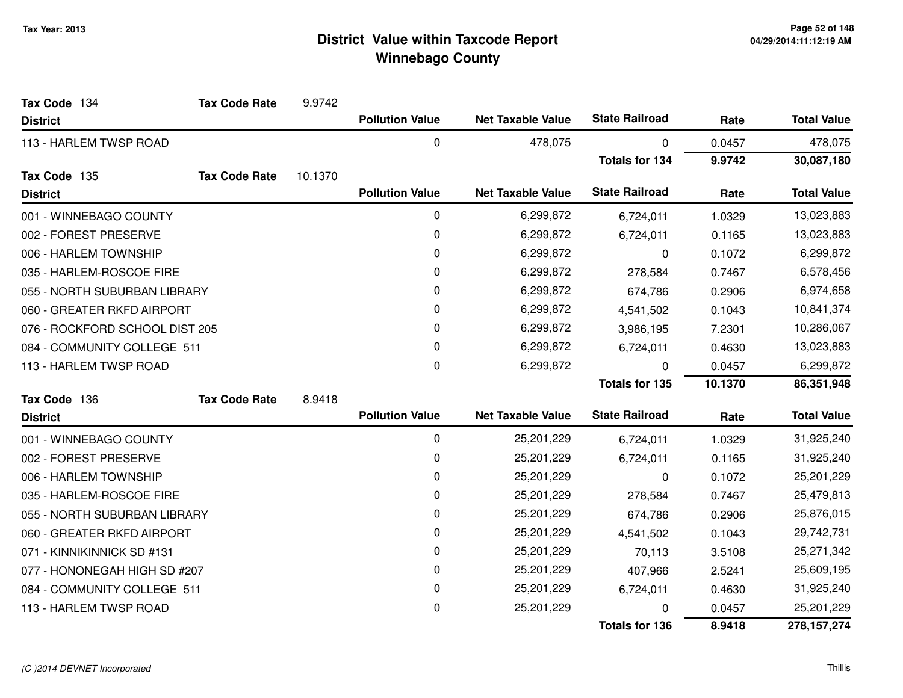| Tax Code 134                   | <b>Tax Code Rate</b> | 9.9742  |                        |                          |                       |            |                    |
|--------------------------------|----------------------|---------|------------------------|--------------------------|-----------------------|------------|--------------------|
| <b>District</b>                |                      |         | <b>Pollution Value</b> | <b>Net Taxable Value</b> | <b>State Railroad</b> | Rate       | <b>Total Value</b> |
| 113 - HARLEM TWSP ROAD         |                      |         | 0                      | 478,075                  | 0                     | 0.0457     | 478,075            |
|                                |                      |         |                        |                          | <b>Totals for 134</b> | 9.9742     | 30,087,180         |
| Tax Code 135                   | <b>Tax Code Rate</b> | 10.1370 |                        |                          |                       |            |                    |
| <b>District</b>                |                      |         | <b>Pollution Value</b> | <b>Net Taxable Value</b> | <b>State Railroad</b> | Rate       | <b>Total Value</b> |
| 001 - WINNEBAGO COUNTY         |                      |         | 0                      | 6,299,872                | 6,724,011             | 1.0329     | 13,023,883         |
| 002 - FOREST PRESERVE          |                      |         | 0                      | 6,299,872                | 6,724,011             | 0.1165     | 13,023,883         |
| 006 - HARLEM TOWNSHIP          |                      |         | 0                      | 6,299,872                | 0                     | 0.1072     | 6,299,872          |
| 035 - HARLEM-ROSCOE FIRE       |                      | 0       | 6,299,872              | 278,584                  | 0.7467                | 6,578,456  |                    |
| 055 - NORTH SUBURBAN LIBRARY   |                      |         | 0                      | 6,299,872                | 674,786               | 0.2906     | 6,974,658          |
| 060 - GREATER RKFD AIRPORT     |                      | 0       | 6,299,872              | 4,541,502                | 0.1043                | 10,841,374 |                    |
| 076 - ROCKFORD SCHOOL DIST 205 |                      |         | 0                      | 6,299,872                | 3,986,195             | 7.2301     | 10,286,067         |
| 084 - COMMUNITY COLLEGE 511    |                      |         | 0                      | 6,299,872                | 6,724,011             | 0.4630     | 13,023,883         |
| 113 - HARLEM TWSP ROAD         |                      |         | 0                      | 6,299,872                | 0                     | 0.0457     | 6,299,872          |
|                                |                      |         |                        |                          | <b>Totals for 135</b> | 10.1370    | 86,351,948         |
| Tax Code 136                   | <b>Tax Code Rate</b> | 8.9418  |                        |                          |                       |            |                    |
| <b>District</b>                |                      |         | <b>Pollution Value</b> | <b>Net Taxable Value</b> | <b>State Railroad</b> | Rate       | <b>Total Value</b> |
| 001 - WINNEBAGO COUNTY         |                      |         | 0                      | 25,201,229               | 6,724,011             | 1.0329     | 31,925,240         |
| 002 - FOREST PRESERVE          |                      |         | 0                      | 25,201,229               | 6,724,011             | 0.1165     | 31,925,240         |
| 006 - HARLEM TOWNSHIP          |                      |         | 0                      | 25,201,229               | $\mathbf{0}$          | 0.1072     | 25,201,229         |
| 035 - HARLEM-ROSCOE FIRE       |                      |         | 0                      | 25,201,229               | 278,584               | 0.7467     | 25,479,813         |
| 055 - NORTH SUBURBAN LIBRARY   |                      |         | 0                      | 25,201,229               | 674,786               | 0.2906     | 25,876,015         |
| 060 - GREATER RKFD AIRPORT     |                      |         | 0                      | 25,201,229               | 4,541,502             | 0.1043     | 29,742,731         |
| 071 - KINNIKINNICK SD #131     |                      |         | 0                      | 25,201,229               | 70,113                | 3.5108     | 25,271,342         |
| 077 - HONONEGAH HIGH SD #207   |                      |         | 0                      | 25,201,229               | 407,966               | 2.5241     | 25,609,195         |
| 084 - COMMUNITY COLLEGE 511    |                      |         | 0                      | 25,201,229               | 6,724,011             | 0.4630     | 31,925,240         |
| 113 - HARLEM TWSP ROAD         |                      |         | 0                      | 25,201,229               | 0                     | 0.0457     | 25,201,229         |
|                                |                      |         |                        |                          | <b>Totals for 136</b> | 8.9418     | 278, 157, 274      |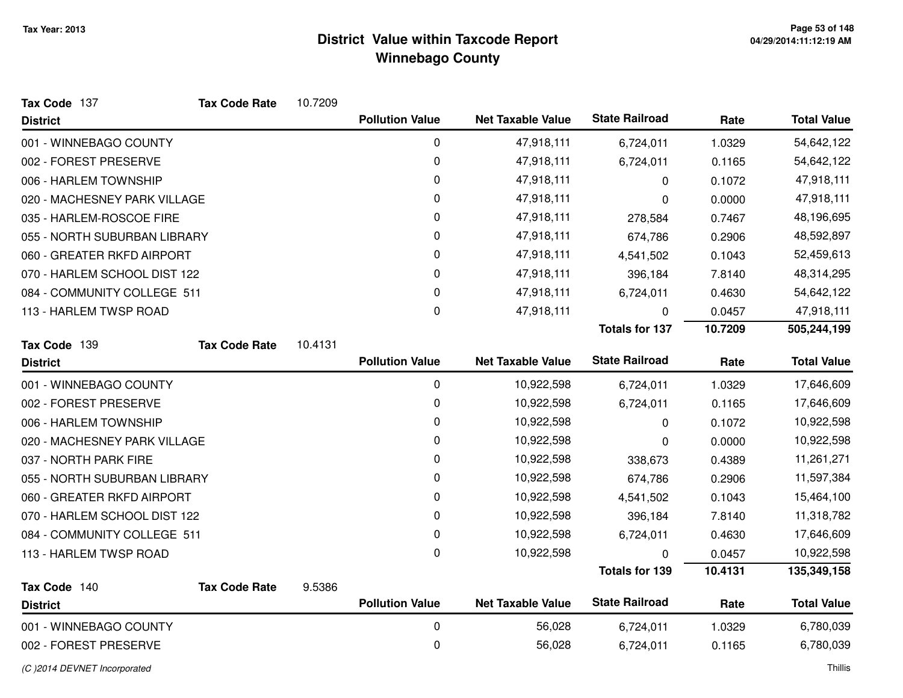| Tax Code 137                 | <b>Tax Code Rate</b> | 10.7209 |                        |                          |                       |         |                    |
|------------------------------|----------------------|---------|------------------------|--------------------------|-----------------------|---------|--------------------|
| <b>District</b>              |                      |         | <b>Pollution Value</b> | <b>Net Taxable Value</b> | <b>State Railroad</b> | Rate    | <b>Total Value</b> |
| 001 - WINNEBAGO COUNTY       |                      |         | 0                      | 47,918,111               | 6,724,011             | 1.0329  | 54,642,122         |
| 002 - FOREST PRESERVE        |                      |         | 0                      | 47,918,111               | 6,724,011             | 0.1165  | 54,642,122         |
| 006 - HARLEM TOWNSHIP        |                      |         | 0                      | 47,918,111               | 0                     | 0.1072  | 47,918,111         |
| 020 - MACHESNEY PARK VILLAGE |                      |         | 0                      | 47,918,111               | 0                     | 0.0000  | 47,918,111         |
| 035 - HARLEM-ROSCOE FIRE     |                      |         | 0                      | 47,918,111               | 278,584               | 0.7467  | 48,196,695         |
| 055 - NORTH SUBURBAN LIBRARY |                      |         | 0                      | 47,918,111               | 674,786               | 0.2906  | 48,592,897         |
| 060 - GREATER RKFD AIRPORT   |                      |         | 0                      | 47,918,111               | 4,541,502             | 0.1043  | 52,459,613         |
| 070 - HARLEM SCHOOL DIST 122 |                      |         | 0                      | 47,918,111               | 396,184               | 7.8140  | 48,314,295         |
| 084 - COMMUNITY COLLEGE 511  |                      |         | 0                      | 47,918,111               | 6,724,011             | 0.4630  | 54,642,122         |
| 113 - HARLEM TWSP ROAD       |                      |         | $\mathsf 0$            | 47,918,111               | 0                     | 0.0457  | 47,918,111         |
|                              |                      |         |                        |                          | <b>Totals for 137</b> | 10.7209 | 505,244,199        |
| Tax Code 139                 | <b>Tax Code Rate</b> | 10.4131 |                        |                          |                       |         |                    |
| <b>District</b>              |                      |         | <b>Pollution Value</b> | <b>Net Taxable Value</b> | <b>State Railroad</b> | Rate    | <b>Total Value</b> |
| 001 - WINNEBAGO COUNTY       |                      |         | 0                      | 10,922,598               | 6,724,011             | 1.0329  | 17,646,609         |
| 002 - FOREST PRESERVE        |                      |         | 0                      | 10,922,598               | 6,724,011             | 0.1165  | 17,646,609         |
| 006 - HARLEM TOWNSHIP        |                      |         | 0                      | 10,922,598               | 0                     | 0.1072  | 10,922,598         |
| 020 - MACHESNEY PARK VILLAGE |                      |         | 0                      | 10,922,598               | 0                     | 0.0000  | 10,922,598         |
| 037 - NORTH PARK FIRE        |                      |         | 0                      | 10,922,598               | 338,673               | 0.4389  | 11,261,271         |
| 055 - NORTH SUBURBAN LIBRARY |                      |         | 0                      | 10,922,598               | 674,786               | 0.2906  | 11,597,384         |
| 060 - GREATER RKFD AIRPORT   |                      |         | 0                      | 10,922,598               | 4,541,502             | 0.1043  | 15,464,100         |
| 070 - HARLEM SCHOOL DIST 122 |                      |         | 0                      | 10,922,598               | 396,184               | 7.8140  | 11,318,782         |
| 084 - COMMUNITY COLLEGE 511  |                      |         | 0                      | 10,922,598               | 6,724,011             | 0.4630  | 17,646,609         |
| 113 - HARLEM TWSP ROAD       |                      |         | $\mathbf 0$            | 10,922,598               | 0                     | 0.0457  | 10,922,598         |
|                              |                      |         |                        |                          | <b>Totals for 139</b> | 10.4131 | 135,349,158        |
| Tax Code 140                 | <b>Tax Code Rate</b> | 9.5386  |                        |                          |                       |         |                    |
| <b>District</b>              |                      |         | <b>Pollution Value</b> | <b>Net Taxable Value</b> | <b>State Railroad</b> | Rate    | <b>Total Value</b> |
| 001 - WINNEBAGO COUNTY       |                      |         | $\pmb{0}$              | 56,028                   | 6,724,011             | 1.0329  | 6,780,039          |
| 002 - FOREST PRESERVE        |                      |         | $\mathbf 0$            | 56,028                   | 6,724,011             | 0.1165  | 6,780,039          |
| (C) 2014 DEVNET Incorporated |                      |         |                        |                          |                       |         | Thillis            |

d and the contract of the contract of the contract of the contract of the contract of the contract of the contract of the contract of the contract of the contract of the contract of the contract of the contract of the cont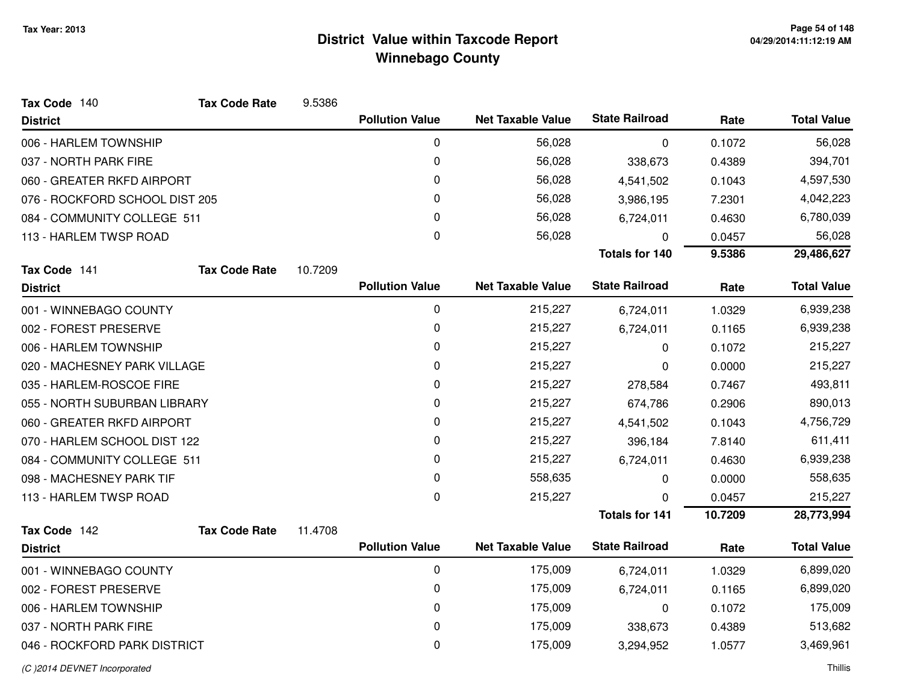| Tax Code 140                   | <b>Tax Code Rate</b> | 9.5386  |                        |                          |                       |         |                    |
|--------------------------------|----------------------|---------|------------------------|--------------------------|-----------------------|---------|--------------------|
| <b>District</b>                |                      |         | <b>Pollution Value</b> | <b>Net Taxable Value</b> | <b>State Railroad</b> | Rate    | <b>Total Value</b> |
| 006 - HARLEM TOWNSHIP          |                      |         | 0                      | 56,028                   | 0                     | 0.1072  | 56,028             |
| 037 - NORTH PARK FIRE          |                      |         | 0                      | 56,028                   | 338,673               | 0.4389  | 394,701            |
| 060 - GREATER RKFD AIRPORT     |                      |         | 0                      | 56,028                   | 4,541,502             | 0.1043  | 4,597,530          |
| 076 - ROCKFORD SCHOOL DIST 205 |                      |         | 0                      | 56,028                   | 3,986,195             | 7.2301  | 4,042,223          |
| 084 - COMMUNITY COLLEGE 511    |                      |         | 0                      | 56,028                   | 6,724,011             | 0.4630  | 6,780,039          |
| 113 - HARLEM TWSP ROAD         |                      |         | $\mathbf 0$            | 56,028                   | 0                     | 0.0457  | 56,028             |
|                                |                      |         |                        |                          | <b>Totals for 140</b> | 9.5386  | 29,486,627         |
| Tax Code 141                   | <b>Tax Code Rate</b> | 10.7209 |                        |                          |                       |         |                    |
| <b>District</b>                |                      |         | <b>Pollution Value</b> | <b>Net Taxable Value</b> | <b>State Railroad</b> | Rate    | <b>Total Value</b> |
| 001 - WINNEBAGO COUNTY         |                      |         | 0                      | 215,227                  | 6,724,011             | 1.0329  | 6,939,238          |
| 002 - FOREST PRESERVE          |                      |         | 0                      | 215,227                  | 6,724,011             | 0.1165  | 6,939,238          |
| 006 - HARLEM TOWNSHIP          |                      |         | 0                      | 215,227                  | 0                     | 0.1072  | 215,227            |
| 020 - MACHESNEY PARK VILLAGE   |                      |         | 0                      | 215,227                  | 0                     | 0.0000  | 215,227            |
| 035 - HARLEM-ROSCOE FIRE       |                      |         | 0                      | 215,227                  | 278,584               | 0.7467  | 493,811            |
| 055 - NORTH SUBURBAN LIBRARY   |                      |         | 0                      | 215,227                  | 674,786               | 0.2906  | 890,013            |
| 060 - GREATER RKFD AIRPORT     |                      |         | 0                      | 215,227                  | 4,541,502             | 0.1043  | 4,756,729          |
| 070 - HARLEM SCHOOL DIST 122   |                      |         | 0                      | 215,227                  | 396,184               | 7.8140  | 611,411            |
| 084 - COMMUNITY COLLEGE 511    |                      |         | 0                      | 215,227                  | 6,724,011             | 0.4630  | 6,939,238          |
| 098 - MACHESNEY PARK TIF       |                      |         | 0                      | 558,635                  | 0                     | 0.0000  | 558,635            |
| 113 - HARLEM TWSP ROAD         |                      |         | 0                      | 215,227                  | 0                     | 0.0457  | 215,227            |
|                                |                      |         |                        |                          | <b>Totals for 141</b> | 10.7209 | 28,773,994         |
| Tax Code 142                   | <b>Tax Code Rate</b> | 11.4708 | <b>Pollution Value</b> | <b>Net Taxable Value</b> | <b>State Railroad</b> |         | <b>Total Value</b> |
| <b>District</b>                |                      |         |                        |                          |                       | Rate    |                    |
| 001 - WINNEBAGO COUNTY         |                      |         | 0                      | 175,009                  | 6,724,011             | 1.0329  | 6,899,020          |
| 002 - FOREST PRESERVE          |                      |         | 0                      | 175,009                  | 6,724,011             | 0.1165  | 6,899,020          |
| 006 - HARLEM TOWNSHIP          |                      |         | 0                      | 175,009                  | 0                     | 0.1072  | 175,009            |
| 037 - NORTH PARK FIRE          |                      |         | 0                      | 175,009                  | 338,673               | 0.4389  | 513,682            |
| 046 - ROCKFORD PARK DISTRICT   |                      |         | 0                      | 175,009                  | 3,294,952             | 1.0577  | 3,469,961          |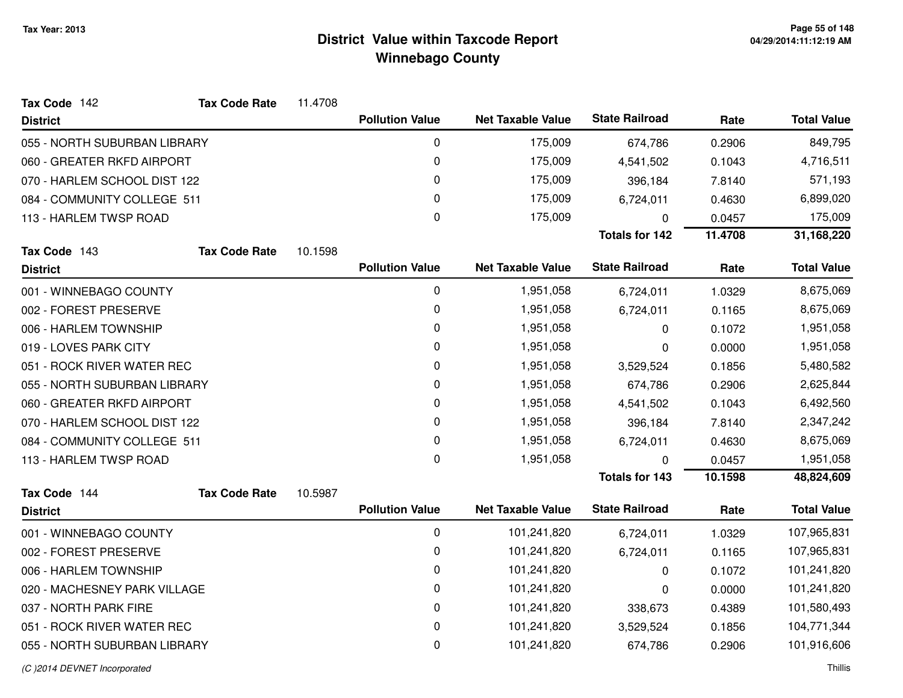| Tax Code 142                 | <b>Tax Code Rate</b> | 11.4708 |                        |                          |                       |         |                    |
|------------------------------|----------------------|---------|------------------------|--------------------------|-----------------------|---------|--------------------|
| <b>District</b>              |                      |         | <b>Pollution Value</b> | <b>Net Taxable Value</b> | <b>State Railroad</b> | Rate    | <b>Total Value</b> |
| 055 - NORTH SUBURBAN LIBRARY |                      |         | 0                      | 175,009                  | 674,786               | 0.2906  | 849,795            |
| 060 - GREATER RKFD AIRPORT   |                      |         | 0                      | 175,009                  | 4,541,502             | 0.1043  | 4,716,511          |
| 070 - HARLEM SCHOOL DIST 122 |                      |         | 0                      | 175,009                  | 396,184               | 7.8140  | 571,193            |
| 084 - COMMUNITY COLLEGE 511  |                      |         | 0                      | 175,009                  | 6,724,011             | 0.4630  | 6,899,020          |
| 113 - HARLEM TWSP ROAD       |                      |         | 0                      | 175,009                  | $\Omega$              | 0.0457  | 175,009            |
|                              |                      |         |                        |                          | <b>Totals for 142</b> | 11.4708 | 31,168,220         |
| Tax Code 143                 | <b>Tax Code Rate</b> | 10.1598 |                        |                          |                       |         |                    |
| <b>District</b>              |                      |         | <b>Pollution Value</b> | <b>Net Taxable Value</b> | <b>State Railroad</b> | Rate    | <b>Total Value</b> |
| 001 - WINNEBAGO COUNTY       |                      |         | $\pmb{0}$              | 1,951,058                | 6,724,011             | 1.0329  | 8,675,069          |
| 002 - FOREST PRESERVE        |                      |         | 0                      | 1,951,058                | 6,724,011             | 0.1165  | 8,675,069          |
| 006 - HARLEM TOWNSHIP        |                      |         | 0                      | 1,951,058                | 0                     | 0.1072  | 1,951,058          |
| 019 - LOVES PARK CITY        |                      |         | 0                      | 1,951,058                | 0                     | 0.0000  | 1,951,058          |
| 051 - ROCK RIVER WATER REC   |                      |         | 0                      | 1,951,058                | 3,529,524             | 0.1856  | 5,480,582          |
| 055 - NORTH SUBURBAN LIBRARY |                      |         | 0                      | 1,951,058                | 674,786               | 0.2906  | 2,625,844          |
| 060 - GREATER RKFD AIRPORT   |                      |         | 0                      | 1,951,058                | 4,541,502             | 0.1043  | 6,492,560          |
| 070 - HARLEM SCHOOL DIST 122 |                      |         | 0                      | 1,951,058                | 396,184               | 7.8140  | 2,347,242          |
| 084 - COMMUNITY COLLEGE 511  |                      |         | 0                      | 1,951,058                | 6,724,011             | 0.4630  | 8,675,069          |
| 113 - HARLEM TWSP ROAD       |                      |         | 0                      | 1,951,058                | $\mathbf{0}$          | 0.0457  | 1,951,058          |
|                              |                      |         |                        |                          | <b>Totals for 143</b> | 10.1598 | 48,824,609         |
| Tax Code 144                 | <b>Tax Code Rate</b> | 10.5987 |                        |                          |                       |         |                    |
| <b>District</b>              |                      |         | <b>Pollution Value</b> | <b>Net Taxable Value</b> | <b>State Railroad</b> | Rate    | <b>Total Value</b> |
| 001 - WINNEBAGO COUNTY       |                      |         | 0                      | 101,241,820              | 6,724,011             | 1.0329  | 107,965,831        |
| 002 - FOREST PRESERVE        |                      |         | 0                      | 101,241,820              | 6,724,011             | 0.1165  | 107,965,831        |
| 006 - HARLEM TOWNSHIP        |                      |         | 0                      | 101,241,820              | 0                     | 0.1072  | 101,241,820        |
| 020 - MACHESNEY PARK VILLAGE |                      |         | 0                      | 101,241,820              | 0                     | 0.0000  | 101,241,820        |
| 037 - NORTH PARK FIRE        |                      |         | $\mathbf 0$            | 101,241,820              | 338,673               | 0.4389  | 101,580,493        |
| 051 - ROCK RIVER WATER REC   |                      |         | 0                      | 101,241,820              | 3,529,524             | 0.1856  | 104,771,344        |
| 055 - NORTH SUBURBAN LIBRARY |                      |         | 0                      | 101,241,820              | 674,786               | 0.2906  | 101,916,606        |
|                              |                      |         |                        |                          |                       |         |                    |

### (C )2014 DEVNET Incorporated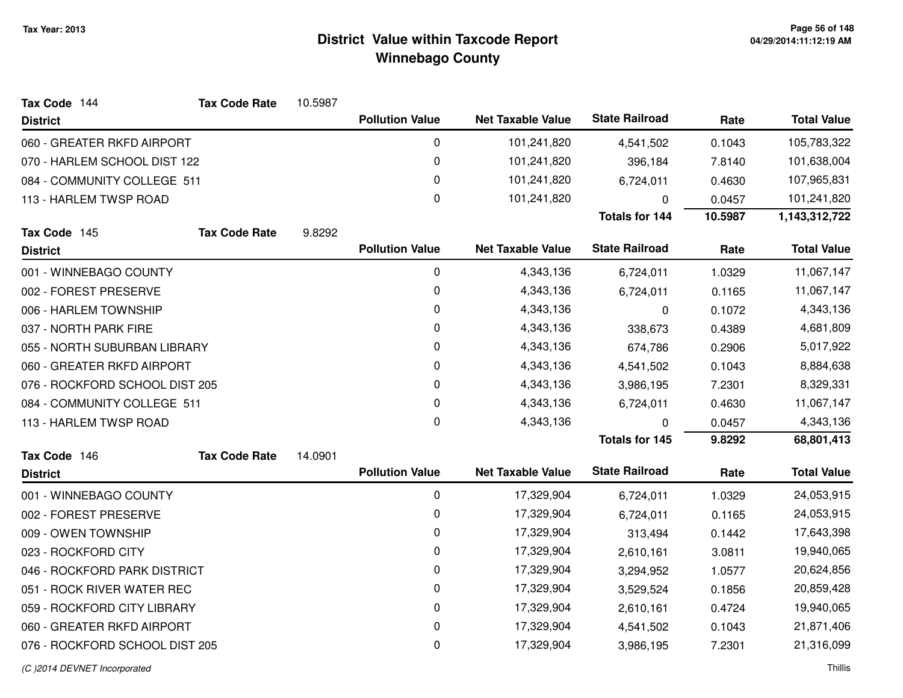| Tax Code 144                   | <b>Tax Code Rate</b> | 10.5987   |                        |                          |                       |           |                    |
|--------------------------------|----------------------|-----------|------------------------|--------------------------|-----------------------|-----------|--------------------|
| <b>District</b>                |                      |           | <b>Pollution Value</b> | <b>Net Taxable Value</b> | <b>State Railroad</b> | Rate      | <b>Total Value</b> |
| 060 - GREATER RKFD AIRPORT     |                      |           | 0                      | 101,241,820              | 4,541,502             | 0.1043    | 105,783,322        |
| 070 - HARLEM SCHOOL DIST 122   |                      |           | $\pmb{0}$              | 101,241,820              | 396,184               | 7.8140    | 101,638,004        |
| 084 - COMMUNITY COLLEGE 511    |                      |           | 0                      | 101,241,820              | 6,724,011             | 0.4630    | 107,965,831        |
| 113 - HARLEM TWSP ROAD         |                      |           | $\pmb{0}$              | 101,241,820              | 0                     | 0.0457    | 101,241,820        |
|                                |                      |           |                        |                          | <b>Totals for 144</b> | 10.5987   | 1,143,312,722      |
| Tax Code 145                   | <b>Tax Code Rate</b> | 9.8292    |                        |                          |                       |           |                    |
| <b>District</b>                |                      |           | <b>Pollution Value</b> | <b>Net Taxable Value</b> | <b>State Railroad</b> | Rate      | <b>Total Value</b> |
| 001 - WINNEBAGO COUNTY         |                      |           | 0                      | 4,343,136                | 6,724,011             | 1.0329    | 11,067,147         |
| 002 - FOREST PRESERVE          |                      |           | $\pmb{0}$              | 4,343,136                | 6,724,011             | 0.1165    | 11,067,147         |
| 006 - HARLEM TOWNSHIP          |                      |           | 0                      | 4,343,136                | 0                     | 0.1072    | 4,343,136          |
| 037 - NORTH PARK FIRE          |                      | $\pmb{0}$ | 4,343,136              | 338,673                  | 0.4389                | 4,681,809 |                    |
| 055 - NORTH SUBURBAN LIBRARY   |                      |           | 0                      | 4,343,136                | 674,786               | 0.2906    | 5,017,922          |
| 060 - GREATER RKFD AIRPORT     |                      |           | $\pmb{0}$              | 4,343,136                | 4,541,502             | 0.1043    | 8,884,638          |
| 076 - ROCKFORD SCHOOL DIST 205 |                      | 0         | 4,343,136              | 3,986,195                | 7.2301                | 8,329,331 |                    |
| 084 - COMMUNITY COLLEGE 511    |                      |           | $\pmb{0}$              | 4,343,136                | 6,724,011             | 0.4630    | 11,067,147         |
| 113 - HARLEM TWSP ROAD         |                      |           | 0                      | 4,343,136                | 0                     | 0.0457    | 4,343,136          |
|                                |                      |           |                        |                          | Totals for 145        | 9.8292    | 68,801,413         |
| Tax Code 146                   | <b>Tax Code Rate</b> | 14.0901   |                        |                          |                       |           |                    |
| <b>District</b>                |                      |           | <b>Pollution Value</b> | <b>Net Taxable Value</b> | <b>State Railroad</b> | Rate      | <b>Total Value</b> |
| 001 - WINNEBAGO COUNTY         |                      |           | 0                      | 17,329,904               | 6,724,011             | 1.0329    | 24,053,915         |
| 002 - FOREST PRESERVE          |                      |           | 0                      | 17,329,904               | 6,724,011             | 0.1165    | 24,053,915         |
| 009 - OWEN TOWNSHIP            |                      |           | $\pmb{0}$              | 17,329,904               | 313,494               | 0.1442    | 17,643,398         |
| 023 - ROCKFORD CITY            |                      |           | 0                      | 17,329,904               | 2,610,161             | 3.0811    | 19,940,065         |
| 046 - ROCKFORD PARK DISTRICT   |                      |           | $\pmb{0}$              | 17,329,904               | 3,294,952             | 1.0577    | 20,624,856         |
| 051 - ROCK RIVER WATER REC     |                      |           | 0                      | 17,329,904               | 3,529,524             | 0.1856    | 20,859,428         |
| 059 - ROCKFORD CITY LIBRARY    |                      |           | $\pmb{0}$              | 17,329,904               | 2,610,161             | 0.4724    | 19,940,065         |
| 060 - GREATER RKFD AIRPORT     |                      |           | 0                      | 17,329,904               | 4,541,502             | 0.1043    | 21,871,406         |
| 076 - ROCKFORD SCHOOL DIST 205 |                      |           | $\pmb{0}$              | 17,329,904               | 3,986,195             | 7.2301    | 21,316,099         |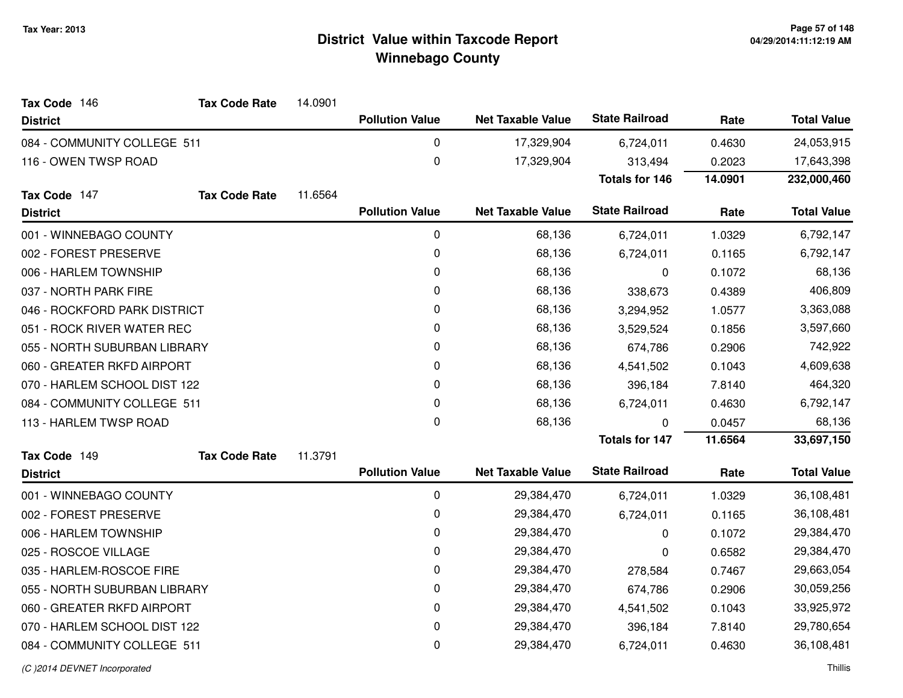| Tax Code 146                 | <b>Tax Code Rate</b> | 14.0901   |                        |                          |                       |           |                    |
|------------------------------|----------------------|-----------|------------------------|--------------------------|-----------------------|-----------|--------------------|
| <b>District</b>              |                      |           | <b>Pollution Value</b> | <b>Net Taxable Value</b> | <b>State Railroad</b> | Rate      | <b>Total Value</b> |
| 084 - COMMUNITY COLLEGE 511  |                      |           | 0                      | 17,329,904               | 6,724,011             | 0.4630    | 24,053,915         |
| 116 - OWEN TWSP ROAD         |                      |           | 0                      | 17,329,904               | 313,494               | 0.2023    | 17,643,398         |
|                              |                      |           |                        |                          | <b>Totals for 146</b> | 14.0901   | 232,000,460        |
| Tax Code 147                 | <b>Tax Code Rate</b> | 11.6564   |                        |                          |                       |           |                    |
| <b>District</b>              |                      |           | <b>Pollution Value</b> | <b>Net Taxable Value</b> | <b>State Railroad</b> | Rate      | <b>Total Value</b> |
| 001 - WINNEBAGO COUNTY       |                      |           | 0                      | 68,136                   | 6,724,011             | 1.0329    | 6,792,147          |
| 002 - FOREST PRESERVE        |                      |           | 0                      | 68,136                   | 6,724,011             | 0.1165    | 6,792,147          |
| 006 - HARLEM TOWNSHIP        |                      |           | 0                      | 68,136                   | 0                     | 0.1072    | 68,136             |
| 037 - NORTH PARK FIRE        |                      |           | $\pmb{0}$              | 68,136                   | 338,673               | 0.4389    | 406,809            |
| 046 - ROCKFORD PARK DISTRICT |                      | 0         | 68,136                 | 3,294,952                | 1.0577                | 3,363,088 |                    |
| 051 - ROCK RIVER WATER REC   |                      |           | 0                      | 68,136                   | 3,529,524             | 0.1856    | 3,597,660          |
| 055 - NORTH SUBURBAN LIBRARY |                      |           | 0                      | 68,136                   | 674,786               | 0.2906    | 742,922            |
| 060 - GREATER RKFD AIRPORT   |                      | $\pmb{0}$ | 68,136                 | 4,541,502                | 0.1043                | 4,609,638 |                    |
| 070 - HARLEM SCHOOL DIST 122 |                      |           | 0                      | 68,136                   | 396,184               | 7.8140    | 464,320            |
| 084 - COMMUNITY COLLEGE 511  |                      |           | 0                      | 68,136                   | 6,724,011             | 0.4630    | 6,792,147          |
| 113 - HARLEM TWSP ROAD       |                      |           | 0                      | 68,136                   | 0                     | 0.0457    | 68,136             |
|                              |                      |           |                        |                          | <b>Totals for 147</b> | 11.6564   | 33,697,150         |
| Tax Code 149                 | <b>Tax Code Rate</b> | 11.3791   |                        |                          |                       |           |                    |
| <b>District</b>              |                      |           | <b>Pollution Value</b> | <b>Net Taxable Value</b> | <b>State Railroad</b> | Rate      | <b>Total Value</b> |
| 001 - WINNEBAGO COUNTY       |                      |           | 0                      | 29,384,470               | 6,724,011             | 1.0329    | 36,108,481         |
| 002 - FOREST PRESERVE        |                      |           | 0                      | 29,384,470               | 6,724,011             | 0.1165    | 36,108,481         |
| 006 - HARLEM TOWNSHIP        |                      |           | $\pmb{0}$              | 29,384,470               | 0                     | 0.1072    | 29,384,470         |
| 025 - ROSCOE VILLAGE         |                      |           | 0                      | 29,384,470               | 0                     | 0.6582    | 29,384,470         |
| 035 - HARLEM-ROSCOE FIRE     |                      |           | $\pmb{0}$              | 29,384,470               | 278,584               | 0.7467    | 29,663,054         |
| 055 - NORTH SUBURBAN LIBRARY |                      |           | 0                      | 29,384,470               | 674,786               | 0.2906    | 30,059,256         |
| 060 - GREATER RKFD AIRPORT   |                      |           | $\pmb{0}$              | 29,384,470               | 4,541,502             | 0.1043    | 33,925,972         |
| 070 - HARLEM SCHOOL DIST 122 |                      |           | 0                      | 29,384,470               | 396,184               | 7.8140    | 29,780,654         |
| 084 - COMMUNITY COLLEGE 511  |                      |           | $\pmb{0}$              | 29,384,470               | 6,724,011             | 0.4630    | 36,108,481         |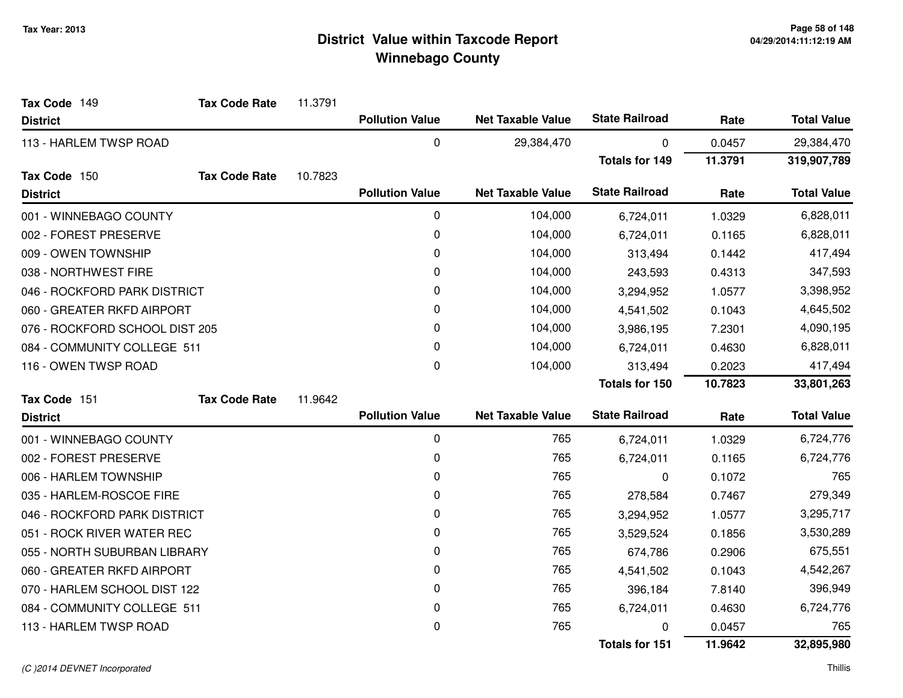| Tax Code 149                   | <b>Tax Code Rate</b> | 11.3791 |                        |                          |                       |         |                    |
|--------------------------------|----------------------|---------|------------------------|--------------------------|-----------------------|---------|--------------------|
| <b>District</b>                |                      |         | <b>Pollution Value</b> | <b>Net Taxable Value</b> | <b>State Railroad</b> | Rate    | <b>Total Value</b> |
| 113 - HARLEM TWSP ROAD         |                      |         | 0                      | 29,384,470               | 0                     | 0.0457  | 29,384,470         |
|                                |                      |         |                        |                          | <b>Totals for 149</b> | 11.3791 | 319,907,789        |
| Tax Code 150                   | <b>Tax Code Rate</b> | 10.7823 |                        |                          |                       |         |                    |
| <b>District</b>                |                      |         | <b>Pollution Value</b> | <b>Net Taxable Value</b> | <b>State Railroad</b> | Rate    | <b>Total Value</b> |
| 001 - WINNEBAGO COUNTY         |                      |         | 0                      | 104,000                  | 6,724,011             | 1.0329  | 6,828,011          |
| 002 - FOREST PRESERVE          |                      |         | 0                      | 104,000                  | 6,724,011             | 0.1165  | 6,828,011          |
| 009 - OWEN TOWNSHIP            |                      |         | 0                      | 104,000                  | 313,494               | 0.1442  | 417,494            |
| 038 - NORTHWEST FIRE           |                      |         | 0                      | 104,000                  | 243,593               | 0.4313  | 347,593            |
| 046 - ROCKFORD PARK DISTRICT   |                      |         | 0                      | 104,000                  | 3,294,952             | 1.0577  | 3,398,952          |
| 060 - GREATER RKFD AIRPORT     |                      |         | 0                      | 104,000                  | 4,541,502             | 0.1043  | 4,645,502          |
| 076 - ROCKFORD SCHOOL DIST 205 |                      |         | $\mathbf{0}$           | 104,000                  | 3,986,195             | 7.2301  | 4,090,195          |
| 084 - COMMUNITY COLLEGE 511    |                      |         | 0                      | 104,000                  | 6,724,011             | 0.4630  | 6,828,011          |
| 116 - OWEN TWSP ROAD           |                      |         | 0                      | 104,000                  | 313,494               | 0.2023  | 417,494            |
|                                |                      |         |                        |                          | Totals for 150        | 10.7823 | 33,801,263         |
| Tax Code 151                   | <b>Tax Code Rate</b> | 11.9642 |                        |                          |                       |         |                    |
| <b>District</b>                |                      |         | <b>Pollution Value</b> | <b>Net Taxable Value</b> | <b>State Railroad</b> | Rate    | <b>Total Value</b> |
| 001 - WINNEBAGO COUNTY         |                      |         | 0                      | 765                      | 6,724,011             | 1.0329  | 6,724,776          |
| 002 - FOREST PRESERVE          |                      |         | 0                      | 765                      | 6,724,011             | 0.1165  | 6,724,776          |
| 006 - HARLEM TOWNSHIP          |                      |         | 0                      | 765                      | $\Omega$              | 0.1072  | 765                |
| 035 - HARLEM-ROSCOE FIRE       |                      |         | 0                      | 765                      | 278,584               | 0.7467  | 279,349            |
| 046 - ROCKFORD PARK DISTRICT   |                      |         | 0                      | 765                      | 3,294,952             | 1.0577  | 3,295,717          |
| 051 - ROCK RIVER WATER REC     |                      |         | 0                      | 765                      | 3,529,524             | 0.1856  | 3,530,289          |
| 055 - NORTH SUBURBAN LIBRARY   |                      |         | 0                      | 765                      | 674,786               | 0.2906  | 675,551            |
| 060 - GREATER RKFD AIRPORT     |                      |         | 0                      | 765                      | 4,541,502             | 0.1043  | 4,542,267          |
| 070 - HARLEM SCHOOL DIST 122   |                      |         | 0                      | 765                      | 396,184               | 7.8140  | 396,949            |
| 084 - COMMUNITY COLLEGE 511    |                      |         | 0                      | 765                      | 6,724,011             | 0.4630  | 6,724,776          |
| 113 - HARLEM TWSP ROAD         |                      |         | 0                      | 765                      | 0                     | 0.0457  | 765                |
|                                |                      |         |                        |                          | <b>Totals for 151</b> | 11.9642 | 32,895,980         |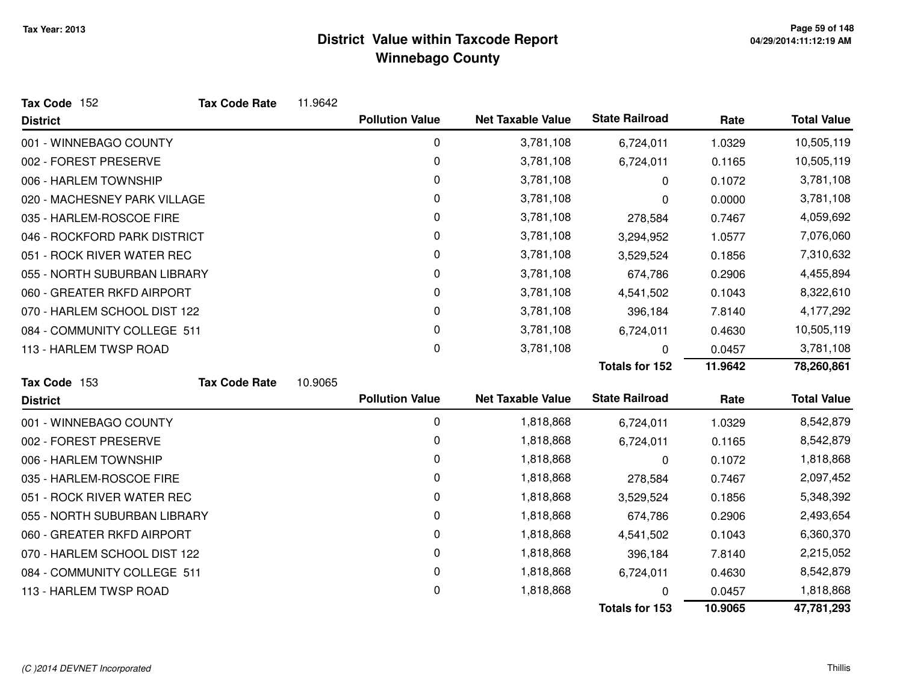| Tax Code 152                 | <b>Tax Code Rate</b> | 11.9642 |                        |                          |                       |           |                    |
|------------------------------|----------------------|---------|------------------------|--------------------------|-----------------------|-----------|--------------------|
| <b>District</b>              |                      |         | <b>Pollution Value</b> | <b>Net Taxable Value</b> | <b>State Railroad</b> | Rate      | <b>Total Value</b> |
| 001 - WINNEBAGO COUNTY       |                      |         | $\mathbf 0$            | 3,781,108                | 6,724,011             | 1.0329    | 10,505,119         |
| 002 - FOREST PRESERVE        |                      |         | 0                      | 3,781,108                | 6,724,011             | 0.1165    | 10,505,119         |
| 006 - HARLEM TOWNSHIP        |                      |         | 0                      | 3,781,108                | 0                     | 0.1072    | 3,781,108          |
| 020 - MACHESNEY PARK VILLAGE |                      |         | 0                      | 3,781,108                | 0                     | 0.0000    | 3,781,108          |
| 035 - HARLEM-ROSCOE FIRE     |                      |         | 0                      | 3,781,108                | 278,584               | 0.7467    | 4,059,692          |
| 046 - ROCKFORD PARK DISTRICT |                      | 0       | 3,781,108              | 3,294,952                | 1.0577                | 7,076,060 |                    |
| 051 - ROCK RIVER WATER REC   |                      |         | 0                      | 3,781,108                | 3,529,524             | 0.1856    | 7,310,632          |
| 055 - NORTH SUBURBAN LIBRARY |                      |         | 0                      | 3,781,108                | 674,786               | 0.2906    | 4,455,894          |
| 060 - GREATER RKFD AIRPORT   |                      |         | 0                      | 3,781,108                | 4,541,502             | 0.1043    | 8,322,610          |
| 070 - HARLEM SCHOOL DIST 122 |                      |         | 0                      | 3,781,108                | 396,184               | 7.8140    | 4,177,292          |
| 084 - COMMUNITY COLLEGE 511  |                      |         | $\mathbf 0$            | 3,781,108                | 6,724,011             | 0.4630    | 10,505,119         |
| 113 - HARLEM TWSP ROAD       |                      |         | 0                      | 3,781,108                | 0                     | 0.0457    | 3,781,108          |
|                              |                      |         |                        |                          | <b>Totals for 152</b> | 11.9642   | 78,260,861         |
| Tax Code 153                 | <b>Tax Code Rate</b> | 10.9065 |                        |                          |                       |           |                    |
| <b>District</b>              |                      |         | <b>Pollution Value</b> | <b>Net Taxable Value</b> | <b>State Railroad</b> | Rate      | <b>Total Value</b> |
| 001 - WINNEBAGO COUNTY       |                      |         | 0                      | 1,818,868                | 6,724,011             | 1.0329    | 8,542,879          |
| 002 - FOREST PRESERVE        |                      |         | 0                      | 1,818,868                | 6,724,011             | 0.1165    | 8,542,879          |
| 006 - HARLEM TOWNSHIP        |                      |         | 0                      | 1,818,868                | 0                     | 0.1072    | 1,818,868          |
| 035 - HARLEM-ROSCOE FIRE     |                      |         | 0                      | 1,818,868                | 278,584               | 0.7467    | 2,097,452          |
| 051 - ROCK RIVER WATER REC   |                      |         | 0                      | 1,818,868                | 3,529,524             | 0.1856    | 5,348,392          |
| 055 - NORTH SUBURBAN LIBRARY |                      |         | 0                      | 1,818,868                | 674,786               | 0.2906    | 2,493,654          |
| 060 - GREATER RKFD AIRPORT   |                      |         | 0                      | 1,818,868                | 4,541,502             | 0.1043    | 6,360,370          |
| 070 - HARLEM SCHOOL DIST 122 |                      |         | 0                      | 1,818,868                | 396,184               | 7.8140    | 2,215,052          |
| 084 - COMMUNITY COLLEGE 511  |                      |         | 0                      | 1,818,868                | 6,724,011             | 0.4630    | 8,542,879          |
| 113 - HARLEM TWSP ROAD       |                      |         | 0                      | 1,818,868                | 0                     | 0.0457    | 1,818,868          |
|                              |                      |         |                        |                          | <b>Totals for 153</b> | 10.9065   | 47,781,293         |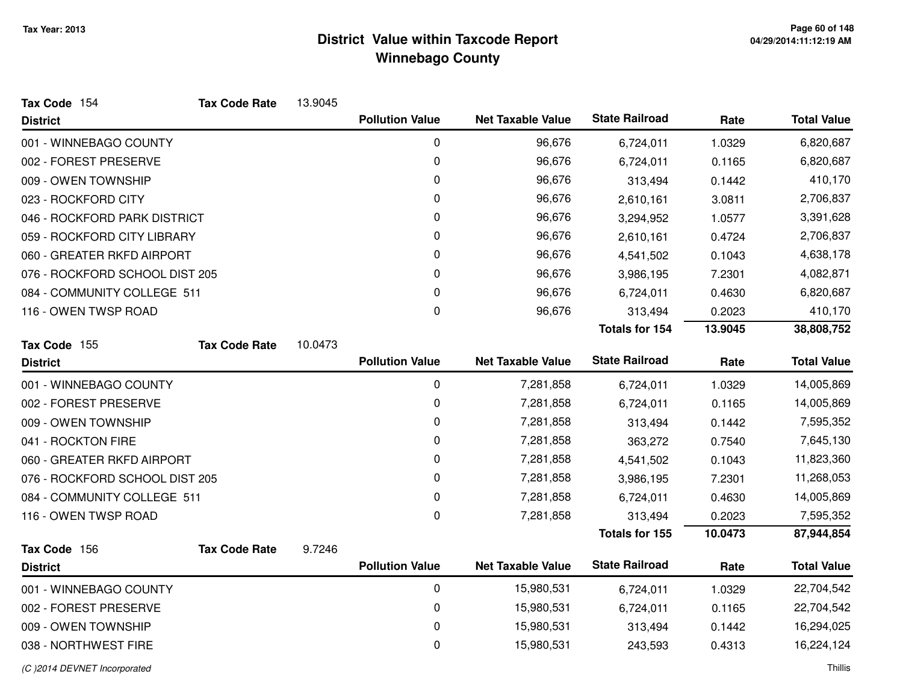| Tax Code 154                   | <b>Tax Code Rate</b> | 13.9045 |                        |                          |                       |         |                    |
|--------------------------------|----------------------|---------|------------------------|--------------------------|-----------------------|---------|--------------------|
| <b>District</b>                |                      |         | <b>Pollution Value</b> | <b>Net Taxable Value</b> | <b>State Railroad</b> | Rate    | <b>Total Value</b> |
| 001 - WINNEBAGO COUNTY         |                      |         | $\mathbf 0$            | 96,676                   | 6,724,011             | 1.0329  | 6,820,687          |
| 002 - FOREST PRESERVE          |                      |         | 0                      | 96,676                   | 6,724,011             | 0.1165  | 6,820,687          |
| 009 - OWEN TOWNSHIP            |                      |         | 0                      | 96,676                   | 313,494               | 0.1442  | 410,170            |
| 023 - ROCKFORD CITY            |                      |         | 0                      | 96,676                   | 2,610,161             | 3.0811  | 2,706,837          |
| 046 - ROCKFORD PARK DISTRICT   |                      |         | 0                      | 96,676                   | 3,294,952             | 1.0577  | 3,391,628          |
| 059 - ROCKFORD CITY LIBRARY    |                      |         | 0                      | 96,676                   | 2,610,161             | 0.4724  | 2,706,837          |
| 060 - GREATER RKFD AIRPORT     |                      |         | 0                      | 96,676                   | 4,541,502             | 0.1043  | 4,638,178          |
| 076 - ROCKFORD SCHOOL DIST 205 |                      |         | 0                      | 96,676                   | 3,986,195             | 7.2301  | 4,082,871          |
| 084 - COMMUNITY COLLEGE 511    |                      |         | 0                      | 96,676                   | 6,724,011             | 0.4630  | 6,820,687          |
| 116 - OWEN TWSP ROAD           |                      |         | 0                      | 96,676                   | 313,494               | 0.2023  | 410,170            |
|                                |                      |         |                        |                          | <b>Totals for 154</b> | 13.9045 | 38,808,752         |
| Tax Code 155                   | <b>Tax Code Rate</b> | 10.0473 |                        |                          |                       |         |                    |
| <b>District</b>                |                      |         | <b>Pollution Value</b> | <b>Net Taxable Value</b> | <b>State Railroad</b> | Rate    | <b>Total Value</b> |
| 001 - WINNEBAGO COUNTY         |                      |         | 0                      | 7,281,858                | 6,724,011             | 1.0329  | 14,005,869         |
| 002 - FOREST PRESERVE          |                      |         | 0                      | 7,281,858                | 6,724,011             | 0.1165  | 14,005,869         |
| 009 - OWEN TOWNSHIP            |                      |         | 0                      | 7,281,858                | 313,494               | 0.1442  | 7,595,352          |
| 041 - ROCKTON FIRE             |                      |         | 0                      | 7,281,858                | 363,272               | 0.7540  | 7,645,130          |
| 060 - GREATER RKFD AIRPORT     |                      |         | 0                      | 7,281,858                | 4,541,502             | 0.1043  | 11,823,360         |
| 076 - ROCKFORD SCHOOL DIST 205 |                      |         | 0                      | 7,281,858                | 3,986,195             | 7.2301  | 11,268,053         |
| 084 - COMMUNITY COLLEGE 511    |                      |         | 0                      | 7,281,858                | 6,724,011             | 0.4630  | 14,005,869         |
| 116 - OWEN TWSP ROAD           |                      |         | 0                      | 7,281,858                | 313,494               | 0.2023  | 7,595,352          |
|                                |                      |         |                        |                          | <b>Totals for 155</b> | 10.0473 | 87,944,854         |
| Tax Code 156                   | <b>Tax Code Rate</b> | 9.7246  |                        |                          |                       |         |                    |
| <b>District</b>                |                      |         | <b>Pollution Value</b> | <b>Net Taxable Value</b> | <b>State Railroad</b> | Rate    | <b>Total Value</b> |
| 001 - WINNEBAGO COUNTY         |                      |         | $\pmb{0}$              | 15,980,531               | 6,724,011             | 1.0329  | 22,704,542         |
| 002 - FOREST PRESERVE          |                      |         | $\mathbf 0$            | 15,980,531               | 6,724,011             | 0.1165  | 22,704,542         |
| 009 - OWEN TOWNSHIP            |                      |         | 0                      | 15,980,531               | 313,494               | 0.1442  | 16,294,025         |
| 038 - NORTHWEST FIRE           |                      |         | 0                      | 15,980,531               | 243,593               | 0.4313  | 16,224,124         |
| (C) 2014 DEVNET Incorporated   |                      |         |                        |                          |                       |         | Thillis            |

d and the contract of the contract of the contract of the contract of the contract of the contract of the contract of the contract of the contract of the contract of the contract of the contract of the contract of the cont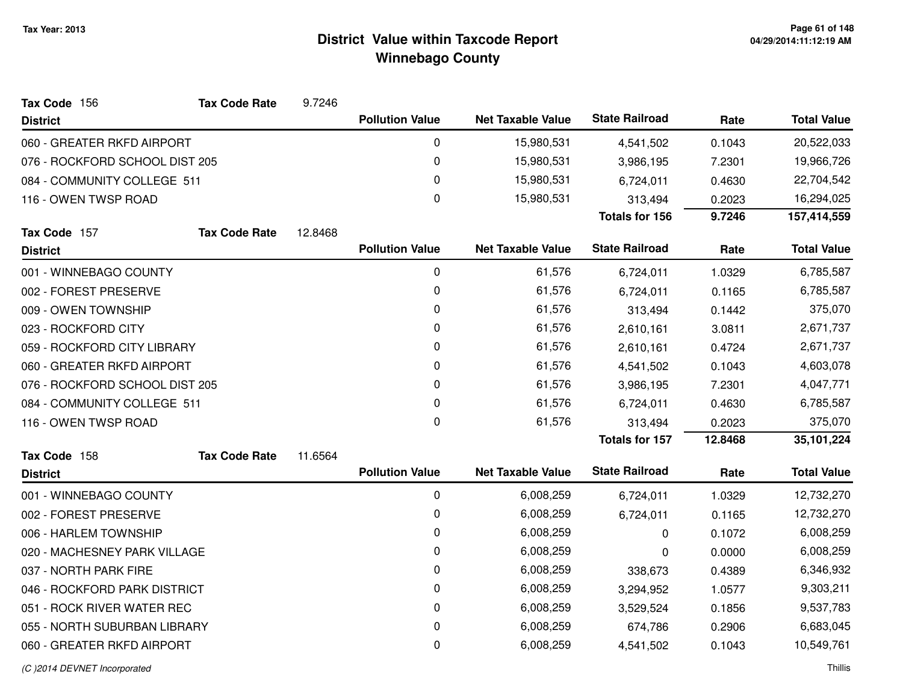| Tax Code 156                   | <b>Tax Code Rate</b> | 9.7246  |                        |                          |                       |           |                    |
|--------------------------------|----------------------|---------|------------------------|--------------------------|-----------------------|-----------|--------------------|
| <b>District</b>                |                      |         | <b>Pollution Value</b> | <b>Net Taxable Value</b> | <b>State Railroad</b> | Rate      | <b>Total Value</b> |
| 060 - GREATER RKFD AIRPORT     |                      |         | 0                      | 15,980,531               | 4,541,502             | 0.1043    | 20,522,033         |
| 076 - ROCKFORD SCHOOL DIST 205 |                      |         | 0                      | 15,980,531               | 3,986,195             | 7.2301    | 19,966,726         |
| 084 - COMMUNITY COLLEGE 511    |                      |         | 0                      | 15,980,531               | 6,724,011             | 0.4630    | 22,704,542         |
| 116 - OWEN TWSP ROAD           |                      |         | 0                      | 15,980,531               | 313,494               | 0.2023    | 16,294,025         |
|                                |                      |         |                        |                          | <b>Totals for 156</b> | 9.7246    | 157,414,559        |
| Tax Code 157                   | <b>Tax Code Rate</b> | 12.8468 |                        |                          |                       |           |                    |
| <b>District</b>                |                      |         | <b>Pollution Value</b> | <b>Net Taxable Value</b> | <b>State Railroad</b> | Rate      | <b>Total Value</b> |
| 001 - WINNEBAGO COUNTY         |                      |         | 0                      | 61,576                   | 6,724,011             | 1.0329    | 6,785,587          |
| 002 - FOREST PRESERVE          |                      |         | 0                      | 61,576                   | 6,724,011             | 0.1165    | 6,785,587          |
| 009 - OWEN TOWNSHIP            |                      |         | 0                      | 61,576                   | 313,494               | 0.1442    | 375,070            |
| 023 - ROCKFORD CITY            |                      |         | 0                      | 61,576                   | 2,610,161             | 3.0811    | 2,671,737          |
| 059 - ROCKFORD CITY LIBRARY    |                      |         | 0                      | 61,576                   | 2,610,161             | 0.4724    | 2,671,737          |
| 060 - GREATER RKFD AIRPORT     |                      | 0       | 61,576                 | 4,541,502                | 0.1043                | 4,603,078 |                    |
| 076 - ROCKFORD SCHOOL DIST 205 |                      |         | 0                      | 61,576                   | 3,986,195             | 7.2301    | 4,047,771          |
| 084 - COMMUNITY COLLEGE 511    |                      |         | 0                      | 61,576                   | 6,724,011             | 0.4630    | 6,785,587          |
| 116 - OWEN TWSP ROAD           |                      |         | 0                      | 61,576                   | 313,494               | 0.2023    | 375,070            |
|                                |                      |         |                        |                          | <b>Totals for 157</b> | 12.8468   | 35,101,224         |
| Tax Code 158                   | <b>Tax Code Rate</b> | 11.6564 |                        |                          |                       |           |                    |
| <b>District</b>                |                      |         | <b>Pollution Value</b> | <b>Net Taxable Value</b> | <b>State Railroad</b> | Rate      | <b>Total Value</b> |
| 001 - WINNEBAGO COUNTY         |                      |         | 0                      | 6,008,259                | 6,724,011             | 1.0329    | 12,732,270         |
| 002 - FOREST PRESERVE          |                      |         | 0                      | 6,008,259                | 6,724,011             | 0.1165    | 12,732,270         |
| 006 - HARLEM TOWNSHIP          |                      |         | $\pmb{0}$              | 6,008,259                | 0                     | 0.1072    | 6,008,259          |
| 020 - MACHESNEY PARK VILLAGE   |                      |         | 0                      | 6,008,259                | 0                     | 0.0000    | 6,008,259          |
| 037 - NORTH PARK FIRE          |                      |         | 0                      | 6,008,259                | 338,673               | 0.4389    | 6,346,932          |
| 046 - ROCKFORD PARK DISTRICT   |                      |         | 0                      | 6,008,259                | 3,294,952             | 1.0577    | 9,303,211          |
| 051 - ROCK RIVER WATER REC     |                      |         | $\pmb{0}$              | 6,008,259                | 3,529,524             | 0.1856    | 9,537,783          |
| 055 - NORTH SUBURBAN LIBRARY   |                      |         | 0                      | 6,008,259                | 674,786               | 0.2906    | 6,683,045          |
| 060 - GREATER RKFD AIRPORT     |                      |         | $\pmb{0}$              | 6,008,259                | 4,541,502             | 0.1043    | 10,549,761         |
|                                |                      |         |                        |                          |                       |           |                    |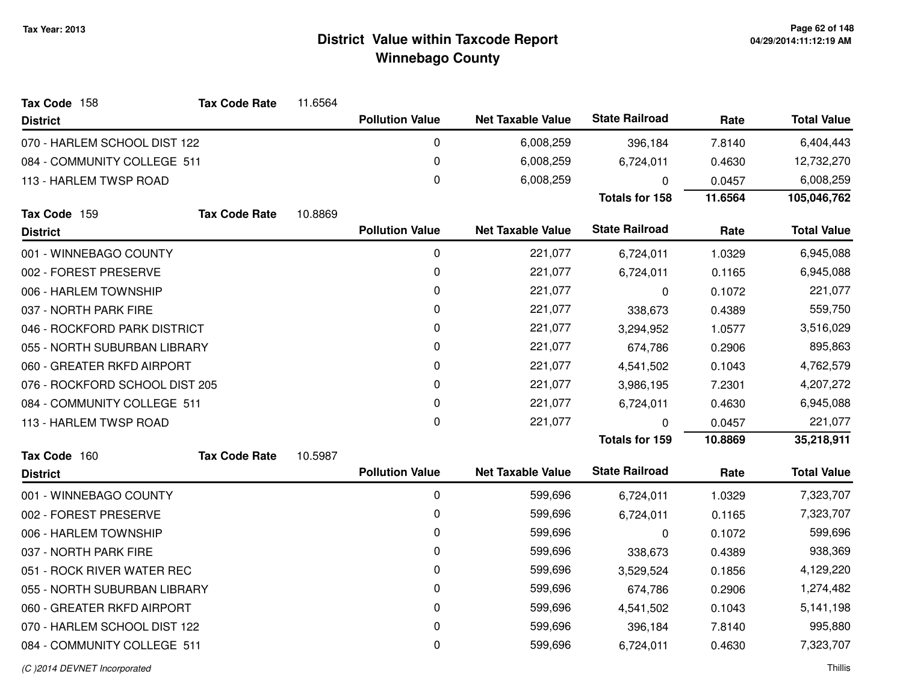| Tax Code 158                   | <b>Tax Code Rate</b> | 11.6564 |                        |                          |                       |         |                    |
|--------------------------------|----------------------|---------|------------------------|--------------------------|-----------------------|---------|--------------------|
| <b>District</b>                |                      |         | <b>Pollution Value</b> | <b>Net Taxable Value</b> | <b>State Railroad</b> | Rate    | <b>Total Value</b> |
| 070 - HARLEM SCHOOL DIST 122   |                      |         | 0                      | 6,008,259                | 396,184               | 7.8140  | 6,404,443          |
| 084 - COMMUNITY COLLEGE 511    |                      |         | 0                      | 6,008,259                | 6,724,011             | 0.4630  | 12,732,270         |
| 113 - HARLEM TWSP ROAD         |                      |         | 0                      | 6,008,259                | $\Omega$              | 0.0457  | 6,008,259          |
|                                |                      |         |                        |                          | Totals for 158        | 11.6564 | 105,046,762        |
| Tax Code 159                   | <b>Tax Code Rate</b> | 10.8869 |                        |                          |                       |         |                    |
| <b>District</b>                |                      |         | <b>Pollution Value</b> | <b>Net Taxable Value</b> | <b>State Railroad</b> | Rate    | <b>Total Value</b> |
| 001 - WINNEBAGO COUNTY         |                      |         | $\pmb{0}$              | 221,077                  | 6,724,011             | 1.0329  | 6,945,088          |
| 002 - FOREST PRESERVE          |                      |         | 0                      | 221,077                  | 6,724,011             | 0.1165  | 6,945,088          |
| 006 - HARLEM TOWNSHIP          |                      |         | 0                      | 221,077                  | 0                     | 0.1072  | 221,077            |
| 037 - NORTH PARK FIRE          |                      |         | 0                      | 221,077                  | 338,673               | 0.4389  | 559,750            |
| 046 - ROCKFORD PARK DISTRICT   |                      |         | 0                      | 221,077                  | 3,294,952             | 1.0577  | 3,516,029          |
| 055 - NORTH SUBURBAN LIBRARY   |                      |         | 0                      | 221,077                  | 674,786               | 0.2906  | 895,863            |
| 060 - GREATER RKFD AIRPORT     |                      |         | 0                      | 221,077                  | 4,541,502             | 0.1043  | 4,762,579          |
| 076 - ROCKFORD SCHOOL DIST 205 |                      |         | 0                      | 221,077                  | 3,986,195             | 7.2301  | 4,207,272          |
| 084 - COMMUNITY COLLEGE 511    |                      |         | 0                      | 221,077                  | 6,724,011             | 0.4630  | 6,945,088          |
| 113 - HARLEM TWSP ROAD         |                      |         | 0                      | 221,077                  | U                     | 0.0457  | 221,077            |
|                                |                      |         |                        |                          | <b>Totals for 159</b> | 10.8869 | 35,218,911         |
| Tax Code 160                   | <b>Tax Code Rate</b> | 10.5987 |                        |                          |                       |         |                    |
| <b>District</b>                |                      |         | <b>Pollution Value</b> | <b>Net Taxable Value</b> | <b>State Railroad</b> | Rate    | <b>Total Value</b> |
| 001 - WINNEBAGO COUNTY         |                      |         | 0                      | 599,696                  | 6,724,011             | 1.0329  | 7,323,707          |
| 002 - FOREST PRESERVE          |                      |         | 0                      | 599,696                  | 6,724,011             | 0.1165  | 7,323,707          |
| 006 - HARLEM TOWNSHIP          |                      |         | 0                      | 599,696                  | 0                     | 0.1072  | 599,696            |
| 037 - NORTH PARK FIRE          |                      |         | 0                      | 599,696                  | 338,673               | 0.4389  | 938,369            |
| 051 - ROCK RIVER WATER REC     |                      |         | 0                      | 599,696                  | 3,529,524             | 0.1856  | 4,129,220          |
| 055 - NORTH SUBURBAN LIBRARY   |                      |         | 0                      | 599,696                  | 674,786               | 0.2906  | 1,274,482          |
| 060 - GREATER RKFD AIRPORT     |                      |         | 0                      | 599,696                  | 4,541,502             | 0.1043  | 5,141,198          |
| 070 - HARLEM SCHOOL DIST 122   |                      |         | 0                      | 599,696                  | 396,184               | 7.8140  | 995,880            |
| 084 - COMMUNITY COLLEGE 511    |                      |         | 0                      | 599,696                  | 6,724,011             | 0.4630  | 7,323,707          |
|                                |                      |         |                        |                          |                       |         |                    |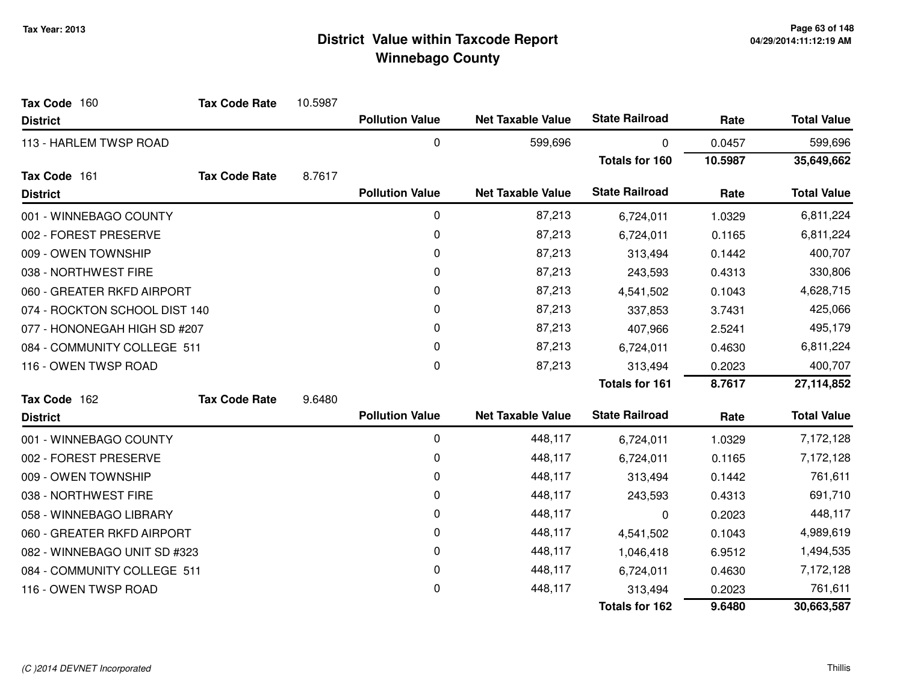| Tax Code 160                  | <b>Tax Code Rate</b> | 10.5987 |                        |                          |                       |         |                    |
|-------------------------------|----------------------|---------|------------------------|--------------------------|-----------------------|---------|--------------------|
| <b>District</b>               |                      |         | <b>Pollution Value</b> | <b>Net Taxable Value</b> | <b>State Railroad</b> | Rate    | <b>Total Value</b> |
| 113 - HARLEM TWSP ROAD        |                      |         | 0                      | 599,696                  | 0                     | 0.0457  | 599,696            |
|                               |                      |         |                        |                          | <b>Totals for 160</b> | 10.5987 | 35,649,662         |
| Tax Code 161                  | <b>Tax Code Rate</b> | 8.7617  |                        |                          |                       |         |                    |
| <b>District</b>               |                      |         | <b>Pollution Value</b> | <b>Net Taxable Value</b> | <b>State Railroad</b> | Rate    | <b>Total Value</b> |
| 001 - WINNEBAGO COUNTY        |                      |         | 0                      | 87,213                   | 6,724,011             | 1.0329  | 6,811,224          |
| 002 - FOREST PRESERVE         |                      |         | 0                      | 87,213                   | 6,724,011             | 0.1165  | 6,811,224          |
| 009 - OWEN TOWNSHIP           |                      |         | 0                      | 87,213                   | 313,494               | 0.1442  | 400,707            |
| 038 - NORTHWEST FIRE          |                      |         | 0                      | 87,213                   | 243,593               | 0.4313  | 330,806            |
| 060 - GREATER RKFD AIRPORT    |                      |         | $\pmb{0}$              | 87,213                   | 4,541,502             | 0.1043  | 4,628,715          |
| 074 - ROCKTON SCHOOL DIST 140 |                      |         | 0                      | 87,213                   | 337,853               | 3.7431  | 425,066            |
| 077 - HONONEGAH HIGH SD #207  |                      | 0       | 87,213                 | 407,966                  | 2.5241                | 495,179 |                    |
| 084 - COMMUNITY COLLEGE 511   |                      |         | 0                      | 87,213                   | 6,724,011             | 0.4630  | 6,811,224          |
| 116 - OWEN TWSP ROAD          |                      |         | $\mathbf 0$            | 87,213                   | 313,494               | 0.2023  | 400,707            |
|                               |                      |         |                        |                          | <b>Totals for 161</b> | 8.7617  | 27,114,852         |
| Tax Code 162                  | <b>Tax Code Rate</b> | 9.6480  |                        |                          |                       |         |                    |
| <b>District</b>               |                      |         | <b>Pollution Value</b> | <b>Net Taxable Value</b> | <b>State Railroad</b> | Rate    | <b>Total Value</b> |
| 001 - WINNEBAGO COUNTY        |                      |         | 0                      | 448,117                  | 6,724,011             | 1.0329  | 7,172,128          |
| 002 - FOREST PRESERVE         |                      |         | 0                      | 448,117                  | 6,724,011             | 0.1165  | 7,172,128          |
| 009 - OWEN TOWNSHIP           |                      |         | 0                      | 448,117                  | 313,494               | 0.1442  | 761,611            |
| 038 - NORTHWEST FIRE          |                      |         | 0                      | 448,117                  | 243,593               | 0.4313  | 691,710            |
| 058 - WINNEBAGO LIBRARY       |                      |         | 0                      | 448,117                  | $\Omega$              | 0.2023  | 448,117            |
| 060 - GREATER RKFD AIRPORT    |                      |         | 0                      | 448,117                  | 4,541,502             | 0.1043  | 4,989,619          |
| 082 - WINNEBAGO UNIT SD #323  |                      |         | 0                      | 448,117                  | 1,046,418             | 6.9512  | 1,494,535          |
| 084 - COMMUNITY COLLEGE 511   |                      |         | 0                      | 448,117                  | 6,724,011             | 0.4630  | 7,172,128          |
| 116 - OWEN TWSP ROAD          |                      |         | 0                      | 448,117                  | 313,494               | 0.2023  | 761,611            |
|                               |                      |         |                        |                          | <b>Totals for 162</b> | 9.6480  | 30,663,587         |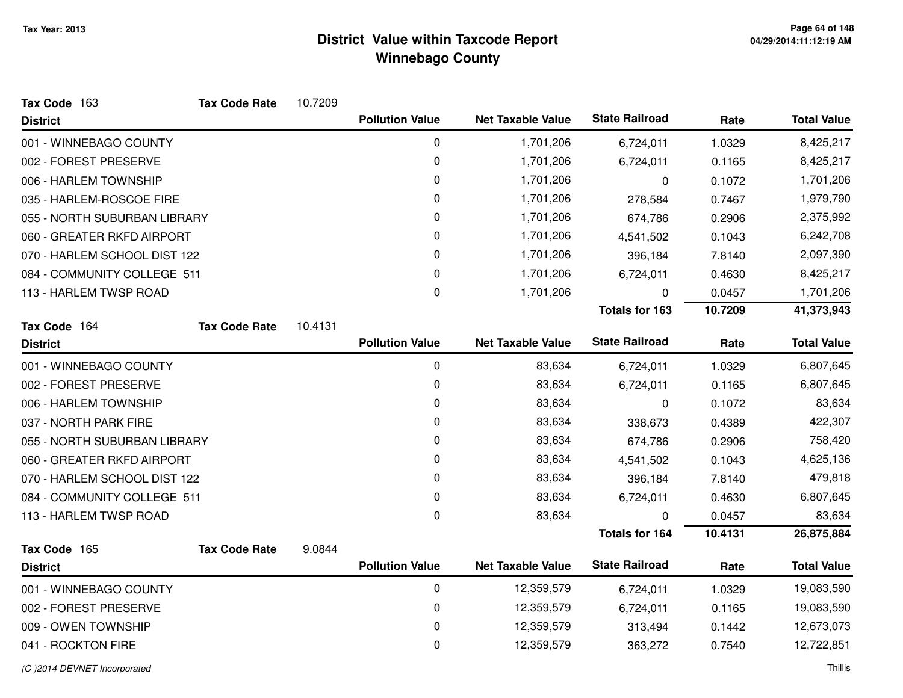| Tax Code 163                 | <b>Tax Code Rate</b> | 10.7209 |                        |                          |                       |         |                    |
|------------------------------|----------------------|---------|------------------------|--------------------------|-----------------------|---------|--------------------|
| <b>District</b>              |                      |         | <b>Pollution Value</b> | <b>Net Taxable Value</b> | <b>State Railroad</b> | Rate    | <b>Total Value</b> |
| 001 - WINNEBAGO COUNTY       |                      |         | 0                      | 1,701,206                | 6,724,011             | 1.0329  | 8,425,217          |
| 002 - FOREST PRESERVE        |                      |         | 0                      | 1,701,206                | 6,724,011             | 0.1165  | 8,425,217          |
| 006 - HARLEM TOWNSHIP        |                      |         | 0                      | 1,701,206                | 0                     | 0.1072  | 1,701,206          |
| 035 - HARLEM-ROSCOE FIRE     |                      |         | 0                      | 1,701,206                | 278,584               | 0.7467  | 1,979,790          |
| 055 - NORTH SUBURBAN LIBRARY |                      |         | 0                      | 1,701,206                | 674,786               | 0.2906  | 2,375,992          |
| 060 - GREATER RKFD AIRPORT   |                      |         | 0                      | 1,701,206                | 4,541,502             | 0.1043  | 6,242,708          |
| 070 - HARLEM SCHOOL DIST 122 |                      |         | 0                      | 1,701,206                | 396,184               | 7.8140  | 2,097,390          |
| 084 - COMMUNITY COLLEGE 511  |                      |         | 0                      | 1,701,206                | 6,724,011             | 0.4630  | 8,425,217          |
| 113 - HARLEM TWSP ROAD       |                      |         | 0                      | 1,701,206                | 0                     | 0.0457  | 1,701,206          |
|                              |                      |         |                        |                          | <b>Totals for 163</b> | 10.7209 | 41,373,943         |
| Tax Code 164                 | <b>Tax Code Rate</b> | 10.4131 |                        |                          |                       |         |                    |
| <b>District</b>              |                      |         | <b>Pollution Value</b> | <b>Net Taxable Value</b> | <b>State Railroad</b> | Rate    | <b>Total Value</b> |
| 001 - WINNEBAGO COUNTY       |                      |         | $\pmb{0}$              | 83,634                   | 6,724,011             | 1.0329  | 6,807,645          |
| 002 - FOREST PRESERVE        |                      |         | 0                      | 83,634                   | 6,724,011             | 0.1165  | 6,807,645          |
| 006 - HARLEM TOWNSHIP        |                      |         | 0                      | 83,634                   | 0                     | 0.1072  | 83,634             |
| 037 - NORTH PARK FIRE        |                      |         | 0                      | 83,634                   | 338,673               | 0.4389  | 422,307            |
| 055 - NORTH SUBURBAN LIBRARY |                      |         | 0                      | 83,634                   | 674,786               | 0.2906  | 758,420            |
| 060 - GREATER RKFD AIRPORT   |                      |         | 0                      | 83,634                   | 4,541,502             | 0.1043  | 4,625,136          |
| 070 - HARLEM SCHOOL DIST 122 |                      |         | 0                      | 83,634                   | 396,184               | 7.8140  | 479,818            |
| 084 - COMMUNITY COLLEGE 511  |                      |         | 0                      | 83,634                   | 6,724,011             | 0.4630  | 6,807,645          |
| 113 - HARLEM TWSP ROAD       |                      |         | 0                      | 83,634                   | 0                     | 0.0457  | 83,634             |
|                              |                      |         |                        |                          | <b>Totals for 164</b> | 10.4131 | 26,875,884         |
| Tax Code 165                 | <b>Tax Code Rate</b> | 9.0844  |                        |                          |                       |         |                    |
| <b>District</b>              |                      |         | <b>Pollution Value</b> | <b>Net Taxable Value</b> | <b>State Railroad</b> | Rate    | <b>Total Value</b> |
| 001 - WINNEBAGO COUNTY       |                      |         | 0                      | 12,359,579               | 6,724,011             | 1.0329  | 19,083,590         |
| 002 - FOREST PRESERVE        |                      |         | 0                      | 12,359,579               | 6,724,011             | 0.1165  | 19,083,590         |
| 009 - OWEN TOWNSHIP          |                      |         | 0                      | 12,359,579               | 313,494               | 0.1442  | 12,673,073         |
| 041 - ROCKTON FIRE           |                      |         | 0                      | 12,359,579               | 363,272               | 0.7540  | 12,722,851         |
|                              |                      |         |                        |                          |                       |         |                    |

(C )2014 DEVNET Incorporated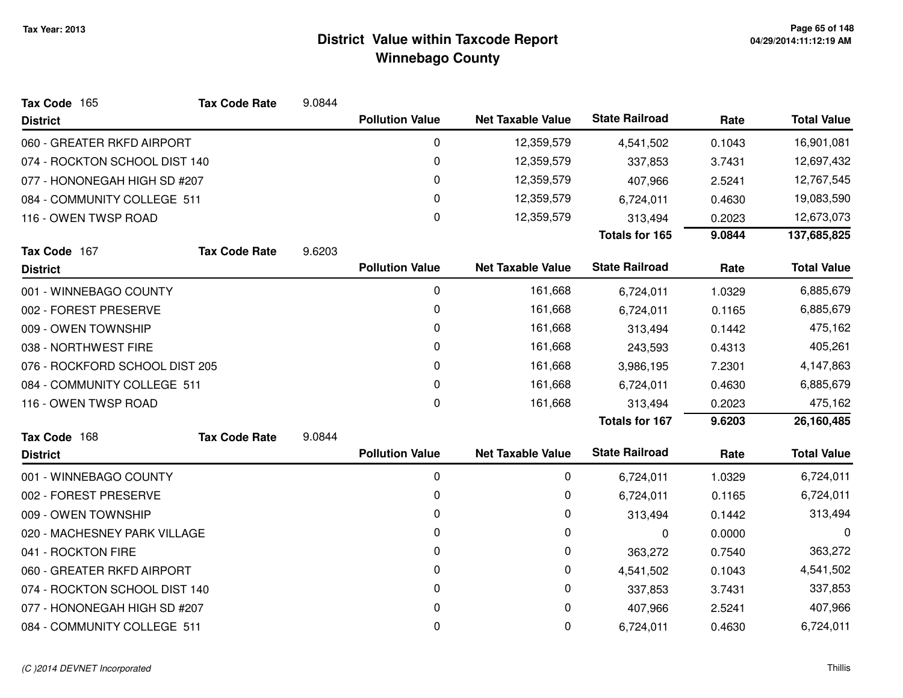| Tax Code 165                   | <b>Tax Code Rate</b>        | 9.0844 |                        |                          |                       |                      |                    |
|--------------------------------|-----------------------------|--------|------------------------|--------------------------|-----------------------|----------------------|--------------------|
| <b>District</b>                |                             |        | <b>Pollution Value</b> | <b>Net Taxable Value</b> | <b>State Railroad</b> | Rate                 | <b>Total Value</b> |
| 060 - GREATER RKFD AIRPORT     |                             |        | 0                      | 12,359,579               | 4,541,502             | 0.1043               | 16,901,081         |
| 074 - ROCKTON SCHOOL DIST 140  |                             |        | 0                      | 12,359,579               | 337,853               | 3.7431               | 12,697,432         |
| 077 - HONONEGAH HIGH SD #207   |                             |        | 0                      | 12,359,579               | 407,966               | 2.5241               | 12,767,545         |
| 084 - COMMUNITY COLLEGE 511    |                             |        | 0                      | 12,359,579               | 6,724,011             | 0.4630<br>19,083,590 |                    |
| 116 - OWEN TWSP ROAD           |                             |        | 0                      | 12,359,579               | 313,494               | 0.2023               | 12,673,073         |
|                                |                             |        |                        |                          | <b>Totals for 165</b> | 9.0844               | 137,685,825        |
| Tax Code 167                   | <b>Tax Code Rate</b>        | 9.6203 |                        |                          |                       |                      |                    |
| <b>District</b>                |                             |        | <b>Pollution Value</b> | <b>Net Taxable Value</b> | <b>State Railroad</b> | Rate                 | <b>Total Value</b> |
| 001 - WINNEBAGO COUNTY         |                             |        | 0                      | 161,668                  | 6,724,011             | 1.0329               | 6,885,679          |
| 002 - FOREST PRESERVE          |                             |        | 0                      | 161,668                  | 6,724,011             | 0.1165               | 6,885,679          |
| 009 - OWEN TOWNSHIP            |                             |        | 0                      | 161,668                  | 313,494               | 0.1442               | 475,162            |
| 038 - NORTHWEST FIRE           |                             |        | 0                      | 161,668                  | 243,593               | 0.4313               | 405,261            |
| 076 - ROCKFORD SCHOOL DIST 205 |                             |        | 0                      | 161,668                  | 3,986,195             | 7.2301               | 4,147,863          |
|                                | 084 - COMMUNITY COLLEGE 511 |        | 0                      | 161,668                  | 6,724,011             | 0.4630               | 6,885,679          |
| 116 - OWEN TWSP ROAD           |                             |        | 0                      | 161,668                  | 313,494               | 0.2023               | 475,162            |
|                                |                             |        |                        |                          | <b>Totals for 167</b> | 9.6203               | 26,160,485         |
| Tax Code 168                   | <b>Tax Code Rate</b>        | 9.0844 |                        |                          |                       |                      |                    |
| <b>District</b>                |                             |        | <b>Pollution Value</b> | <b>Net Taxable Value</b> | <b>State Railroad</b> | Rate                 | <b>Total Value</b> |
| 001 - WINNEBAGO COUNTY         |                             |        | 0                      | 0                        | 6,724,011             | 1.0329               | 6,724,011          |
| 002 - FOREST PRESERVE          |                             |        | 0                      | 0                        | 6,724,011             | 0.1165               | 6,724,011          |
| 009 - OWEN TOWNSHIP            |                             |        | 0                      | 0                        | 313,494               | 0.1442               | 313,494            |
| 020 - MACHESNEY PARK VILLAGE   |                             |        | 0                      | 0                        | 0                     | 0.0000               | 0                  |
| 041 - ROCKTON FIRE             |                             |        | 0                      | 0                        | 363,272               | 0.7540               | 363,272            |
| 060 - GREATER RKFD AIRPORT     |                             |        | 0                      | 0                        | 4,541,502             | 0.1043               | 4,541,502          |
| 074 - ROCKTON SCHOOL DIST 140  |                             |        | 0                      | 0                        | 337,853               | 3.7431               | 337,853            |
| 077 - HONONEGAH HIGH SD #207   |                             |        | 0                      | 0                        | 407,966               | 2.5241               | 407,966            |
| 084 - COMMUNITY COLLEGE 511    |                             |        | 0                      | 0                        | 6,724,011             | 0.4630               | 6,724,011          |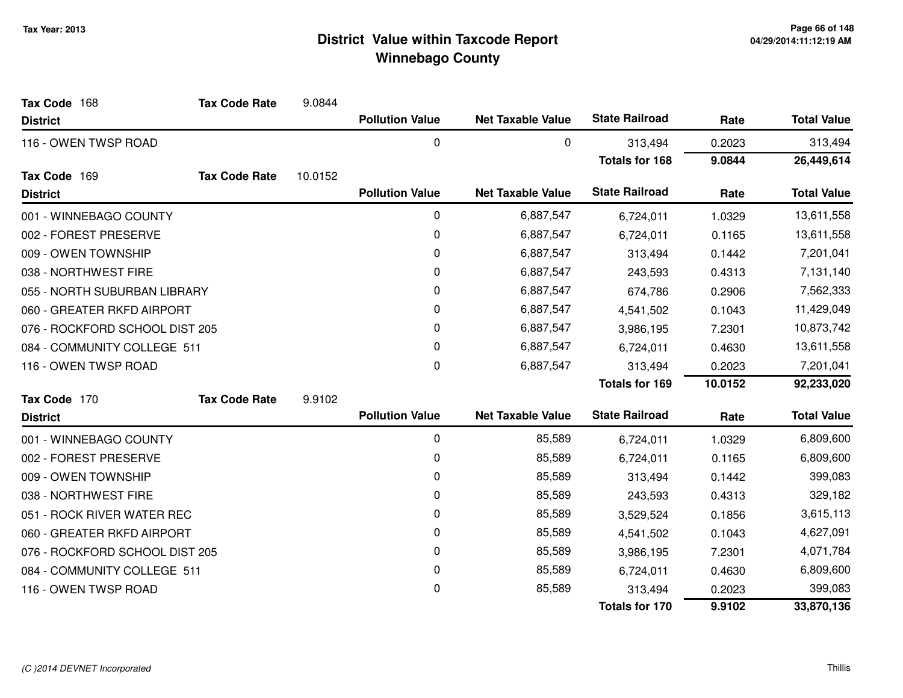| Tax Code 168                   | <b>Tax Code Rate</b> | 9.0844  |                        |                          |                       |            |                    |
|--------------------------------|----------------------|---------|------------------------|--------------------------|-----------------------|------------|--------------------|
| <b>District</b>                |                      |         | <b>Pollution Value</b> | <b>Net Taxable Value</b> | <b>State Railroad</b> | Rate       | <b>Total Value</b> |
| 116 - OWEN TWSP ROAD           |                      |         | 0                      | 0                        | 313,494               | 0.2023     | 313,494            |
|                                |                      |         |                        |                          | <b>Totals for 168</b> | 9.0844     | 26,449,614         |
| Tax Code 169                   | <b>Tax Code Rate</b> | 10.0152 |                        |                          |                       |            |                    |
| <b>District</b>                |                      |         | <b>Pollution Value</b> | <b>Net Taxable Value</b> | <b>State Railroad</b> | Rate       | <b>Total Value</b> |
| 001 - WINNEBAGO COUNTY         |                      |         | 0                      | 6,887,547                | 6,724,011             | 1.0329     | 13,611,558         |
| 002 - FOREST PRESERVE          |                      |         | 0                      | 6,887,547                | 6,724,011             | 0.1165     | 13,611,558         |
| 009 - OWEN TOWNSHIP            |                      |         | 0                      | 6,887,547                | 313,494               | 0.1442     | 7,201,041          |
| 038 - NORTHWEST FIRE           |                      |         | 0                      | 6,887,547                | 243,593               | 0.4313     | 7,131,140          |
| 055 - NORTH SUBURBAN LIBRARY   |                      |         | 0                      | 6,887,547                | 674,786               | 0.2906     | 7,562,333          |
| 060 - GREATER RKFD AIRPORT     |                      |         | 0                      | 6,887,547                | 4,541,502             | 0.1043     | 11,429,049         |
| 076 - ROCKFORD SCHOOL DIST 205 |                      | 0       | 6,887,547              | 3,986,195                | 7.2301                | 10,873,742 |                    |
| 084 - COMMUNITY COLLEGE 511    |                      |         | 0                      | 6,887,547                | 6,724,011             | 0.4630     | 13,611,558         |
| 116 - OWEN TWSP ROAD           |                      |         | 0                      | 6,887,547                | 313,494               | 0.2023     | 7,201,041          |
|                                |                      |         |                        |                          | <b>Totals for 169</b> | 10.0152    | 92,233,020         |
| Tax Code 170                   | <b>Tax Code Rate</b> | 9.9102  |                        |                          |                       |            |                    |
| <b>District</b>                |                      |         | <b>Pollution Value</b> | <b>Net Taxable Value</b> | <b>State Railroad</b> | Rate       | <b>Total Value</b> |
| 001 - WINNEBAGO COUNTY         |                      |         | 0                      | 85,589                   | 6,724,011             | 1.0329     | 6,809,600          |
| 002 - FOREST PRESERVE          |                      |         | 0                      | 85,589                   | 6,724,011             | 0.1165     | 6,809,600          |
| 009 - OWEN TOWNSHIP            |                      |         | 0                      | 85,589                   | 313,494               | 0.1442     | 399,083            |
| 038 - NORTHWEST FIRE           |                      |         | 0                      | 85,589                   | 243,593               | 0.4313     | 329,182            |
| 051 - ROCK RIVER WATER REC     |                      |         | 0                      | 85,589                   | 3,529,524             | 0.1856     | 3,615,113          |
| 060 - GREATER RKFD AIRPORT     |                      |         | 0                      | 85,589                   | 4,541,502             | 0.1043     | 4,627,091          |
| 076 - ROCKFORD SCHOOL DIST 205 |                      |         | 0                      | 85,589                   | 3,986,195             | 7.2301     | 4,071,784          |
| 084 - COMMUNITY COLLEGE 511    |                      |         | 0                      | 85,589                   | 6,724,011             | 0.4630     | 6,809,600          |
| 116 - OWEN TWSP ROAD           |                      |         | 0                      | 85,589                   | 313,494               | 0.2023     | 399,083            |
|                                |                      |         |                        |                          | <b>Totals for 170</b> | 9.9102     | 33,870,136         |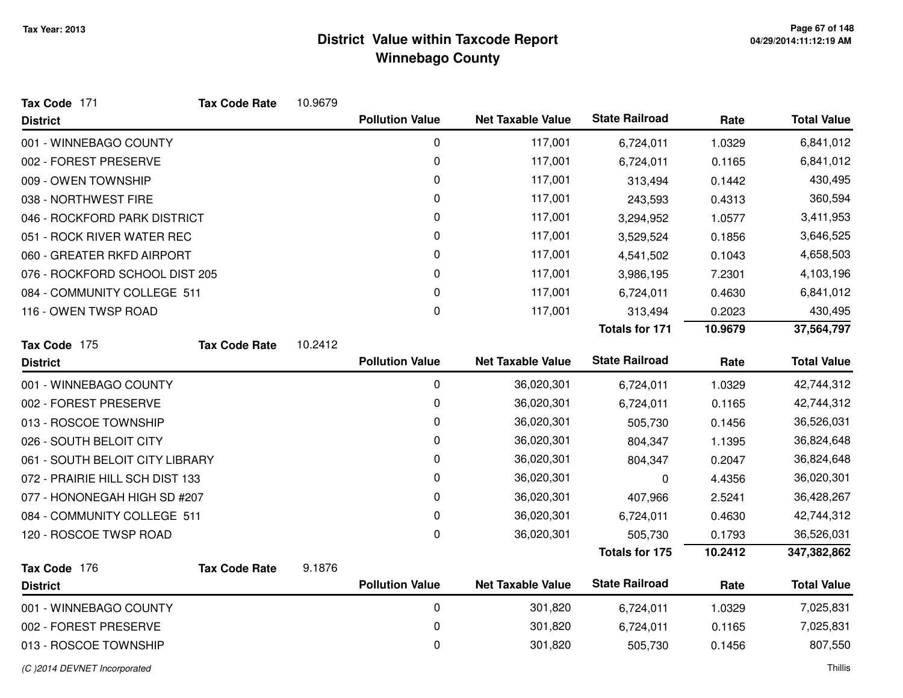| Tax Code 171                    | <b>Tax Code Rate</b> | 10.9679 |                        |                          |                       |         |                    |
|---------------------------------|----------------------|---------|------------------------|--------------------------|-----------------------|---------|--------------------|
| <b>District</b>                 |                      |         | <b>Pollution Value</b> | <b>Net Taxable Value</b> | <b>State Railroad</b> | Rate    | <b>Total Value</b> |
| 001 - WINNEBAGO COUNTY          |                      |         | $\pmb{0}$              | 117,001                  | 6,724,011             | 1.0329  | 6,841,012          |
| 002 - FOREST PRESERVE           |                      |         | 0                      | 117,001                  | 6,724,011             | 0.1165  | 6,841,012          |
| 009 - OWEN TOWNSHIP             |                      |         | 0                      | 117,001                  | 313,494               | 0.1442  | 430,495            |
| 038 - NORTHWEST FIRE            |                      |         | 0                      | 117,001                  | 243,593               | 0.4313  | 360,594            |
| 046 - ROCKFORD PARK DISTRICT    |                      |         | 0                      | 117,001                  | 3,294,952             | 1.0577  | 3,411,953          |
| 051 - ROCK RIVER WATER REC      |                      |         | 0                      | 117,001                  | 3,529,524             | 0.1856  | 3,646,525          |
| 060 - GREATER RKFD AIRPORT      |                      |         | 0                      | 117,001                  | 4,541,502             | 0.1043  | 4,658,503          |
| 076 - ROCKFORD SCHOOL DIST 205  |                      |         | 0                      | 117,001                  | 3,986,195             | 7.2301  | 4,103,196          |
| 084 - COMMUNITY COLLEGE 511     |                      |         | 0                      | 117,001                  | 6,724,011             | 0.4630  | 6,841,012          |
| 116 - OWEN TWSP ROAD            |                      |         | 0                      | 117,001                  | 313,494               | 0.2023  | 430,495            |
|                                 |                      |         |                        |                          | <b>Totals for 171</b> | 10.9679 | 37,564,797         |
| Tax Code 175                    | <b>Tax Code Rate</b> | 10.2412 |                        |                          |                       |         |                    |
| <b>District</b>                 |                      |         | <b>Pollution Value</b> | <b>Net Taxable Value</b> | <b>State Railroad</b> | Rate    | <b>Total Value</b> |
| 001 - WINNEBAGO COUNTY          |                      |         | 0                      | 36,020,301               | 6,724,011             | 1.0329  | 42,744,312         |
| 002 - FOREST PRESERVE           |                      |         | 0                      | 36,020,301               | 6,724,011             | 0.1165  | 42,744,312         |
| 013 - ROSCOE TOWNSHIP           |                      |         | 0                      | 36,020,301               | 505,730               | 0.1456  | 36,526,031         |
| 026 - SOUTH BELOIT CITY         |                      |         | 0                      | 36,020,301               | 804,347               | 1.1395  | 36,824,648         |
| 061 - SOUTH BELOIT CITY LIBRARY |                      |         | 0                      | 36,020,301               | 804,347               | 0.2047  | 36,824,648         |
| 072 - PRAIRIE HILL SCH DIST 133 |                      |         | 0                      | 36,020,301               | 0                     | 4.4356  | 36,020,301         |
| 077 - HONONEGAH HIGH SD #207    |                      |         | 0                      | 36,020,301               | 407,966               | 2.5241  | 36,428,267         |
| 084 - COMMUNITY COLLEGE 511     |                      |         | 0                      | 36,020,301               | 6,724,011             | 0.4630  | 42,744,312         |
| 120 - ROSCOE TWSP ROAD          |                      |         | 0                      | 36,020,301               | 505,730               | 0.1793  | 36,526,031         |
|                                 |                      |         |                        |                          | <b>Totals for 175</b> | 10.2412 | 347,382,862        |
| Tax Code 176                    | <b>Tax Code Rate</b> | 9.1876  |                        |                          |                       |         |                    |
| <b>District</b>                 |                      |         | <b>Pollution Value</b> | <b>Net Taxable Value</b> | <b>State Railroad</b> | Rate    | <b>Total Value</b> |
| 001 - WINNEBAGO COUNTY          |                      |         | 0                      | 301,820                  | 6,724,011             | 1.0329  | 7,025,831          |
| 002 - FOREST PRESERVE           |                      |         | 0                      | 301,820                  | 6,724,011             | 0.1165  | 7,025,831          |
| 013 - ROSCOE TOWNSHIP           |                      |         | 0                      | 301,820                  | 505,730               | 0.1456  | 807,550            |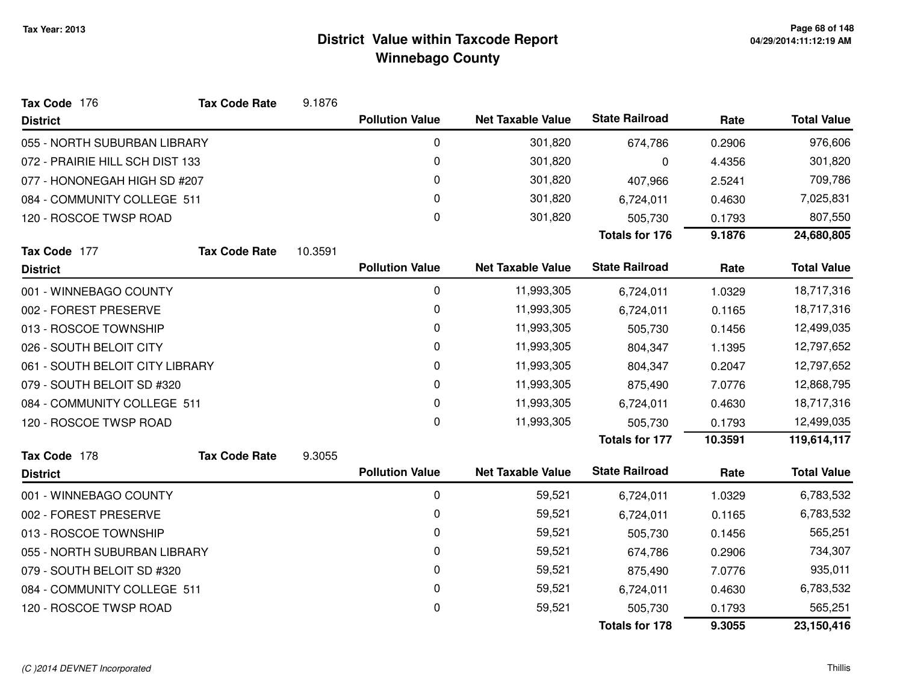| Tax Code 176                    | <b>Tax Code Rate</b> | 9.1876  |                        |                          |                       |         |                    |
|---------------------------------|----------------------|---------|------------------------|--------------------------|-----------------------|---------|--------------------|
| <b>District</b>                 |                      |         | <b>Pollution Value</b> | <b>Net Taxable Value</b> | <b>State Railroad</b> | Rate    | <b>Total Value</b> |
| 055 - NORTH SUBURBAN LIBRARY    |                      |         | 0                      | 301,820                  | 674,786               | 0.2906  | 976,606            |
| 072 - PRAIRIE HILL SCH DIST 133 |                      |         | 0                      | 301,820                  | 0                     | 4.4356  | 301,820            |
| 077 - HONONEGAH HIGH SD #207    |                      |         | 0                      | 301,820                  | 407,966               | 2.5241  | 709,786            |
| 084 - COMMUNITY COLLEGE 511     |                      |         | 0                      | 301,820                  | 6,724,011             | 0.4630  | 7,025,831          |
| 120 - ROSCOE TWSP ROAD          |                      |         | 0                      | 301,820                  | 505,730               | 0.1793  | 807,550            |
|                                 |                      |         |                        |                          | <b>Totals for 176</b> | 9.1876  | 24,680,805         |
| Tax Code 177                    | <b>Tax Code Rate</b> | 10.3591 |                        |                          |                       |         |                    |
| <b>District</b>                 |                      |         | <b>Pollution Value</b> | <b>Net Taxable Value</b> | <b>State Railroad</b> | Rate    | <b>Total Value</b> |
| 001 - WINNEBAGO COUNTY          |                      |         | 0                      | 11,993,305               | 6,724,011             | 1.0329  | 18,717,316         |
| 002 - FOREST PRESERVE           |                      |         | 0                      | 11,993,305               | 6,724,011             | 0.1165  | 18,717,316         |
| 013 - ROSCOE TOWNSHIP           |                      |         | 0                      | 11,993,305               | 505,730               | 0.1456  | 12,499,035         |
| 026 - SOUTH BELOIT CITY         |                      |         | 0                      | 11,993,305               | 804,347               | 1.1395  | 12,797,652         |
| 061 - SOUTH BELOIT CITY LIBRARY |                      |         | 0                      | 11,993,305               | 804,347               | 0.2047  | 12,797,652         |
| 079 - SOUTH BELOIT SD #320      |                      |         | 0                      | 11,993,305               | 875,490               | 7.0776  | 12,868,795         |
| 084 - COMMUNITY COLLEGE 511     |                      |         | 0                      | 11,993,305               | 6,724,011             | 0.4630  | 18,717,316         |
| 120 - ROSCOE TWSP ROAD          |                      |         | 0                      | 11,993,305               | 505,730               | 0.1793  | 12,499,035         |
|                                 |                      |         |                        |                          | <b>Totals for 177</b> | 10.3591 | 119,614,117        |
| Tax Code 178                    | <b>Tax Code Rate</b> | 9.3055  |                        |                          |                       |         |                    |
| <b>District</b>                 |                      |         | <b>Pollution Value</b> | <b>Net Taxable Value</b> | <b>State Railroad</b> | Rate    | <b>Total Value</b> |
| 001 - WINNEBAGO COUNTY          |                      |         | 0                      | 59,521                   | 6,724,011             | 1.0329  | 6,783,532          |
| 002 - FOREST PRESERVE           |                      |         | 0                      | 59,521                   | 6,724,011             | 0.1165  | 6,783,532          |
| 013 - ROSCOE TOWNSHIP           |                      |         | 0                      | 59,521                   | 505,730               | 0.1456  | 565,251            |
| 055 - NORTH SUBURBAN LIBRARY    |                      |         | 0                      | 59,521                   | 674,786               | 0.2906  | 734,307            |
| 079 - SOUTH BELOIT SD #320      |                      |         | 0                      | 59,521                   | 875,490               | 7.0776  | 935,011            |
| 084 - COMMUNITY COLLEGE 511     |                      |         | 0                      | 59,521                   | 6,724,011             | 0.4630  | 6,783,532          |
| 120 - ROSCOE TWSP ROAD          |                      |         | 0                      | 59,521                   | 505,730               | 0.1793  | 565,251            |
|                                 |                      |         |                        |                          | <b>Totals for 178</b> | 9.3055  | 23,150,416         |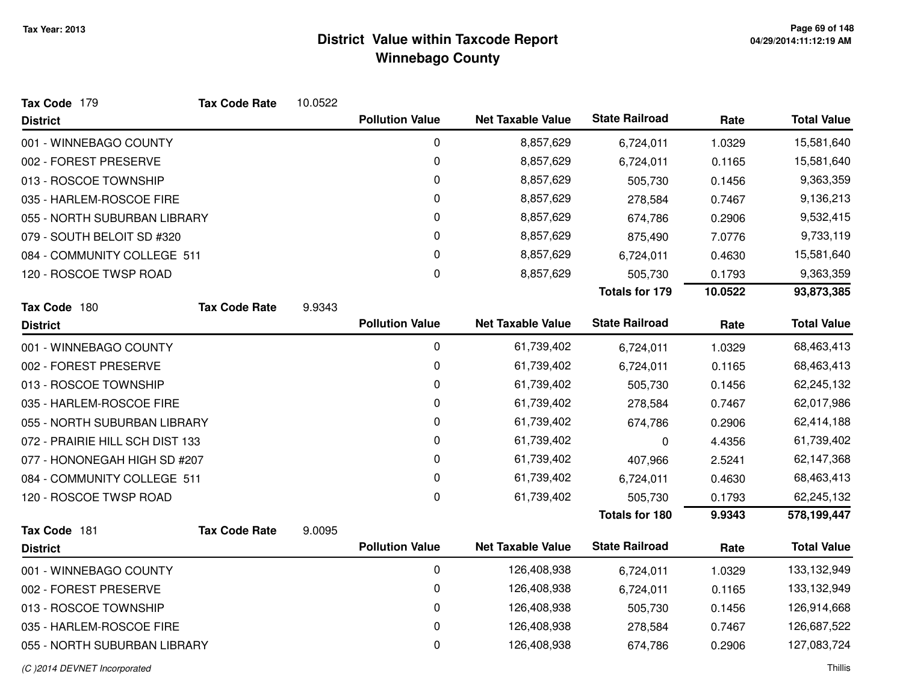| Tax Code 179                    | <b>Tax Code Rate</b> | 10.0522 |                        |                          |                       |         |                    |
|---------------------------------|----------------------|---------|------------------------|--------------------------|-----------------------|---------|--------------------|
| <b>District</b>                 |                      |         | <b>Pollution Value</b> | <b>Net Taxable Value</b> | <b>State Railroad</b> | Rate    | <b>Total Value</b> |
| 001 - WINNEBAGO COUNTY          |                      |         | 0                      | 8,857,629                | 6,724,011             | 1.0329  | 15,581,640         |
| 002 - FOREST PRESERVE           |                      |         | 0                      | 8,857,629                | 6,724,011             | 0.1165  | 15,581,640         |
| 013 - ROSCOE TOWNSHIP           |                      |         | 0                      | 8,857,629                | 505,730               | 0.1456  | 9,363,359          |
| 035 - HARLEM-ROSCOE FIRE        |                      |         | 0                      | 8,857,629                | 278,584               | 0.7467  | 9,136,213          |
| 055 - NORTH SUBURBAN LIBRARY    |                      |         | 0                      | 8,857,629                | 674,786               | 0.2906  | 9,532,415          |
| 079 - SOUTH BELOIT SD #320      |                      |         | 0                      | 8,857,629                | 875,490               | 7.0776  | 9,733,119          |
| 084 - COMMUNITY COLLEGE 511     |                      |         | 0                      | 8,857,629                | 6,724,011             | 0.4630  | 15,581,640         |
| 120 - ROSCOE TWSP ROAD          |                      |         | 0                      | 8,857,629                | 505,730               | 0.1793  | 9,363,359          |
|                                 |                      |         |                        |                          | <b>Totals for 179</b> | 10.0522 | 93,873,385         |
| Tax Code 180                    | <b>Tax Code Rate</b> | 9.9343  |                        |                          |                       |         |                    |
| <b>District</b>                 |                      |         | <b>Pollution Value</b> | <b>Net Taxable Value</b> | <b>State Railroad</b> | Rate    | <b>Total Value</b> |
| 001 - WINNEBAGO COUNTY          |                      |         | 0                      | 61,739,402               | 6,724,011             | 1.0329  | 68,463,413         |
| 002 - FOREST PRESERVE           |                      |         | $\pmb{0}$              | 61,739,402               | 6,724,011             | 0.1165  | 68,463,413         |
| 013 - ROSCOE TOWNSHIP           |                      |         | 0                      | 61,739,402               | 505,730               | 0.1456  | 62,245,132         |
| 035 - HARLEM-ROSCOE FIRE        |                      |         | 0                      | 61,739,402               | 278,584               | 0.7467  | 62,017,986         |
| 055 - NORTH SUBURBAN LIBRARY    |                      |         | 0                      | 61,739,402               | 674,786               | 0.2906  | 62,414,188         |
| 072 - PRAIRIE HILL SCH DIST 133 |                      |         | 0                      | 61,739,402               | 0                     | 4.4356  | 61,739,402         |
| 077 - HONONEGAH HIGH SD #207    |                      |         | 0                      | 61,739,402               | 407,966               | 2.5241  | 62,147,368         |
| 084 - COMMUNITY COLLEGE 511     |                      |         | 0                      | 61,739,402               | 6,724,011             | 0.4630  | 68,463,413         |
| 120 - ROSCOE TWSP ROAD          |                      |         | $\mathbf 0$            | 61,739,402               | 505,730               | 0.1793  | 62,245,132         |
|                                 |                      |         |                        |                          | <b>Totals for 180</b> | 9.9343  | 578,199,447        |
| Tax Code 181                    | <b>Tax Code Rate</b> | 9.0095  |                        |                          | <b>State Railroad</b> |         |                    |
| <b>District</b>                 |                      |         | <b>Pollution Value</b> | <b>Net Taxable Value</b> |                       | Rate    | <b>Total Value</b> |
| 001 - WINNEBAGO COUNTY          |                      |         | 0                      | 126,408,938              | 6,724,011             | 1.0329  | 133, 132, 949      |
| 002 - FOREST PRESERVE           |                      |         | 0                      | 126,408,938              | 6,724,011             | 0.1165  | 133, 132, 949      |
| 013 - ROSCOE TOWNSHIP           |                      |         | 0                      | 126,408,938              | 505,730               | 0.1456  | 126,914,668        |
| 035 - HARLEM-ROSCOE FIRE        |                      |         | 0                      | 126,408,938              | 278,584               | 0.7467  | 126,687,522        |
| 055 - NORTH SUBURBAN LIBRARY    |                      |         | 0                      | 126,408,938              | 674,786               | 0.2906  | 127,083,724        |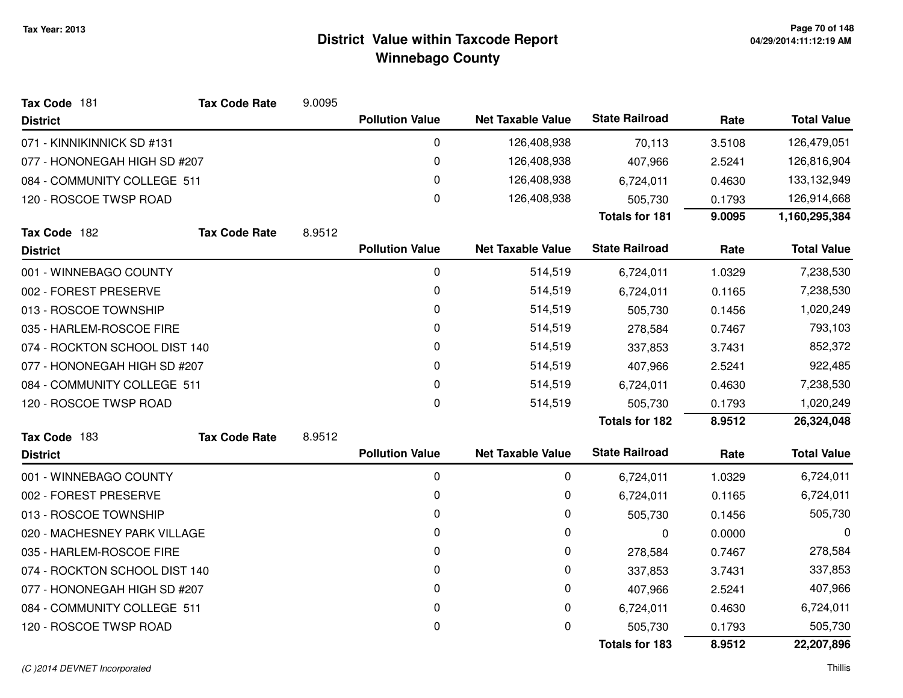| Tax Code 181                     | <b>Tax Code Rate</b> | 9.0095 |                        |                          |                       |         |                    |
|----------------------------------|----------------------|--------|------------------------|--------------------------|-----------------------|---------|--------------------|
| <b>District</b>                  |                      |        | <b>Pollution Value</b> | <b>Net Taxable Value</b> | <b>State Railroad</b> | Rate    | <b>Total Value</b> |
| 071 - KINNIKINNICK SD #131       |                      |        | 0                      | 126,408,938              | 70,113                | 3.5108  | 126,479,051        |
| 077 - HONONEGAH HIGH SD #207     |                      |        | 0                      | 126,408,938              | 407,966               | 2.5241  | 126,816,904        |
| 084 - COMMUNITY COLLEGE 511      |                      |        | 0                      | 126,408,938              | 6,724,011             | 0.4630  | 133,132,949        |
| 120 - ROSCOE TWSP ROAD           |                      |        | $\pmb{0}$              | 126,408,938              | 505,730               | 0.1793  | 126,914,668        |
|                                  |                      |        |                        |                          | <b>Totals for 181</b> | 9.0095  | 1,160,295,384      |
| Tax Code 182                     | <b>Tax Code Rate</b> | 8.9512 |                        |                          |                       |         |                    |
| <b>District</b>                  |                      |        | <b>Pollution Value</b> | <b>Net Taxable Value</b> | <b>State Railroad</b> | Rate    | <b>Total Value</b> |
| 001 - WINNEBAGO COUNTY           |                      |        | 0                      | 514,519                  | 6,724,011             | 1.0329  | 7,238,530          |
| 002 - FOREST PRESERVE            |                      |        | 0                      | 514,519                  | 6,724,011             | 0.1165  | 7,238,530          |
| 013 - ROSCOE TOWNSHIP            |                      |        | 0                      | 514,519                  | 505,730               | 0.1456  | 1,020,249          |
| 035 - HARLEM-ROSCOE FIRE         |                      | 0      | 514,519                | 278,584                  | 0.7467                | 793,103 |                    |
| 074 - ROCKTON SCHOOL DIST 140    |                      |        | 0                      | 514,519                  | 337,853               | 3.7431  | 852,372            |
| 077 - HONONEGAH HIGH SD #207     |                      | 0      | 514,519                | 407,966                  | 2.5241                | 922,485 |                    |
| 084 - COMMUNITY COLLEGE 511      |                      |        | 0                      | 514,519                  | 6,724,011             | 0.4630  | 7,238,530          |
| 120 - ROSCOE TWSP ROAD           |                      |        | 0                      | 514,519                  | 505,730               | 0.1793  | 1,020,249          |
|                                  |                      |        |                        |                          | <b>Totals for 182</b> | 8.9512  | 26,324,048         |
| Tax Code 183                     | <b>Tax Code Rate</b> | 8.9512 |                        |                          |                       |         |                    |
| <b>District</b>                  |                      |        | <b>Pollution Value</b> | <b>Net Taxable Value</b> | <b>State Railroad</b> | Rate    | <b>Total Value</b> |
| 001 - WINNEBAGO COUNTY           |                      |        | 0                      | 0                        | 6,724,011             | 1.0329  | 6,724,011          |
| 002 - FOREST PRESERVE            |                      |        | $\pmb{0}$              | 0                        | 6,724,011             | 0.1165  | 6,724,011          |
| 013 - ROSCOE TOWNSHIP            |                      |        | 0                      | 0                        | 505,730               | 0.1456  | 505,730            |
| 020 - MACHESNEY PARK VILLAGE     |                      |        | 0                      | 0                        | 0                     | 0.0000  | 0                  |
| 035 - HARLEM-ROSCOE FIRE         |                      |        | 0                      | 0                        | 278,584               | 0.7467  | 278,584            |
| ROCKTON SCHOOL DIST 140<br>074 - |                      |        | 0                      | 0                        | 337,853               | 3.7431  | 337,853            |
| 077 - HONONEGAH HIGH SD #207     |                      |        | 0                      | 0                        | 407,966               | 2.5241  | 407,966            |
| 084 - COMMUNITY COLLEGE 511      |                      |        | 0                      | 0                        | 6,724,011             | 0.4630  | 6,724,011          |
| 120 - ROSCOE TWSP ROAD           |                      |        | 0                      | 0                        | 505,730               | 0.1793  | 505,730            |
|                                  |                      |        |                        |                          | <b>Totals for 183</b> | 8.9512  | 22,207,896         |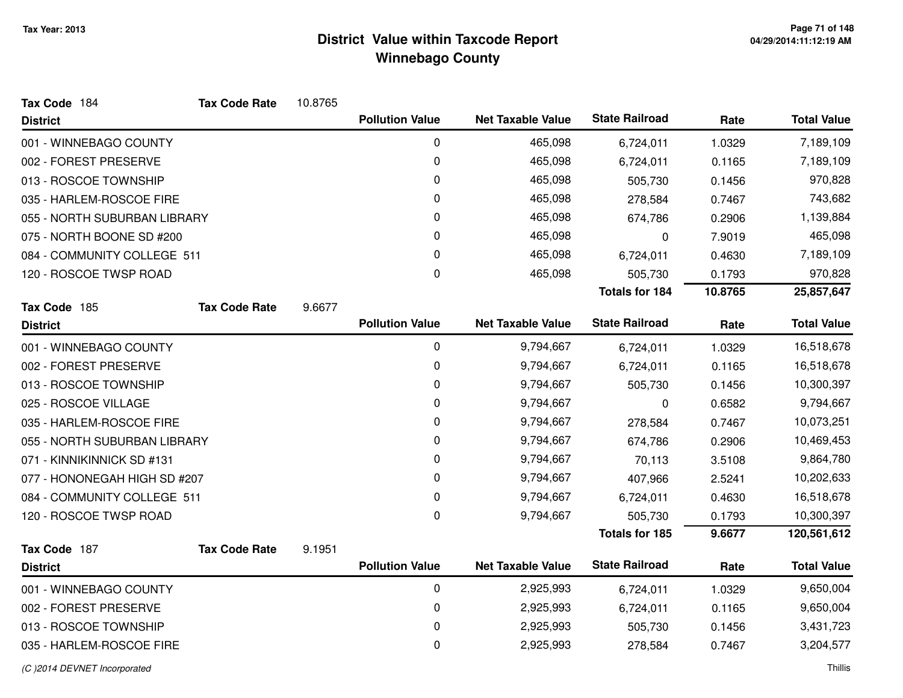| Tax Code 184                 | <b>Tax Code Rate</b> | 10.8765 |                        |                          |                       |         |                    |
|------------------------------|----------------------|---------|------------------------|--------------------------|-----------------------|---------|--------------------|
| <b>District</b>              |                      |         | <b>Pollution Value</b> | <b>Net Taxable Value</b> | <b>State Railroad</b> | Rate    | <b>Total Value</b> |
| 001 - WINNEBAGO COUNTY       |                      |         | 0                      | 465,098                  | 6,724,011             | 1.0329  | 7,189,109          |
| 002 - FOREST PRESERVE        |                      |         | 0                      | 465,098                  | 6,724,011             | 0.1165  | 7,189,109          |
| 013 - ROSCOE TOWNSHIP        |                      |         | 0                      | 465,098                  | 505,730               | 0.1456  | 970,828            |
| 035 - HARLEM-ROSCOE FIRE     |                      |         | 0                      | 465,098                  | 278,584               | 0.7467  | 743,682            |
| 055 - NORTH SUBURBAN LIBRARY |                      |         | 0                      | 465,098                  | 674,786               | 0.2906  | 1,139,884          |
| 075 - NORTH BOONE SD #200    |                      |         | 0                      | 465,098                  | 0                     | 7.9019  | 465,098            |
| 084 - COMMUNITY COLLEGE 511  |                      |         | 0                      | 465,098                  | 6,724,011             | 0.4630  | 7,189,109          |
| 120 - ROSCOE TWSP ROAD       |                      |         | 0                      | 465,098                  | 505,730               | 0.1793  | 970,828            |
|                              |                      |         |                        |                          | <b>Totals for 184</b> | 10.8765 | 25,857,647         |
| Tax Code 185                 | <b>Tax Code Rate</b> | 9.6677  |                        |                          |                       |         |                    |
| <b>District</b>              |                      |         | <b>Pollution Value</b> | <b>Net Taxable Value</b> | <b>State Railroad</b> | Rate    | <b>Total Value</b> |
| 001 - WINNEBAGO COUNTY       |                      |         | 0                      | 9,794,667                | 6,724,011             | 1.0329  | 16,518,678         |
| 002 - FOREST PRESERVE        |                      |         | 0                      | 9,794,667                | 6,724,011             | 0.1165  | 16,518,678         |
| 013 - ROSCOE TOWNSHIP        |                      |         | 0                      | 9,794,667                | 505,730               | 0.1456  | 10,300,397         |
| 025 - ROSCOE VILLAGE         |                      |         | 0                      | 9,794,667                | 0                     | 0.6582  | 9,794,667          |
| 035 - HARLEM-ROSCOE FIRE     |                      |         | 0                      | 9,794,667                | 278,584               | 0.7467  | 10,073,251         |
| 055 - NORTH SUBURBAN LIBRARY |                      |         | 0                      | 9,794,667                | 674,786               | 0.2906  | 10,469,453         |
| 071 - KINNIKINNICK SD #131   |                      |         | 0                      | 9,794,667                | 70,113                | 3.5108  | 9,864,780          |
| 077 - HONONEGAH HIGH SD #207 |                      |         | 0                      | 9,794,667                | 407,966               | 2.5241  | 10,202,633         |
| 084 - COMMUNITY COLLEGE 511  |                      |         | $\mathbf 0$            | 9,794,667                | 6,724,011             | 0.4630  | 16,518,678         |
| 120 - ROSCOE TWSP ROAD       |                      |         | 0                      | 9,794,667                | 505,730               | 0.1793  | 10,300,397         |
|                              |                      |         |                        |                          | Totals for 185        | 9.6677  | 120,561,612        |
| Tax Code 187                 | <b>Tax Code Rate</b> | 9.1951  |                        |                          |                       |         |                    |
| <b>District</b>              |                      |         | <b>Pollution Value</b> | <b>Net Taxable Value</b> | <b>State Railroad</b> | Rate    | <b>Total Value</b> |
| 001 - WINNEBAGO COUNTY       |                      |         | $\mathbf 0$            | 2,925,993                | 6,724,011             | 1.0329  | 9,650,004          |
| 002 - FOREST PRESERVE        |                      |         | 0                      | 2,925,993                | 6,724,011             | 0.1165  | 9,650,004          |
| 013 - ROSCOE TOWNSHIP        |                      |         | $\mathbf 0$            | 2,925,993                | 505,730               | 0.1456  | 3,431,723          |
| 035 - HARLEM-ROSCOE FIRE     |                      |         | 0                      | 2,925,993                | 278,584               | 0.7467  | 3,204,577          |
|                              |                      |         |                        |                          |                       |         |                    |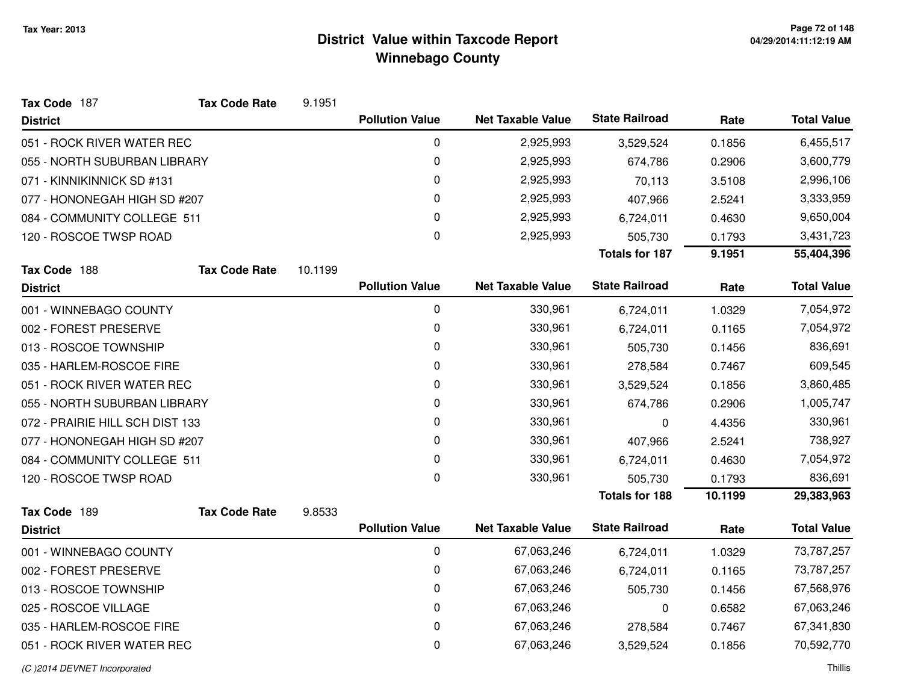| Tax Code 187                    | <b>Tax Code Rate</b> | 9.1951  |                        |                          |                       |           |                    |
|---------------------------------|----------------------|---------|------------------------|--------------------------|-----------------------|-----------|--------------------|
| <b>District</b>                 |                      |         | <b>Pollution Value</b> | <b>Net Taxable Value</b> | <b>State Railroad</b> | Rate      | <b>Total Value</b> |
| 051 - ROCK RIVER WATER REC      |                      |         | 0                      | 2,925,993                | 3,529,524             | 0.1856    | 6,455,517          |
| 055 - NORTH SUBURBAN LIBRARY    |                      |         | 0                      | 2,925,993                | 674,786               | 0.2906    | 3,600,779          |
| 071 - KINNIKINNICK SD #131      |                      |         | 0                      | 2,925,993                | 70,113                | 3.5108    | 2,996,106          |
| 077 - HONONEGAH HIGH SD #207    |                      | 0       | 2,925,993              | 407,966                  | 2.5241                | 3,333,959 |                    |
| 084 - COMMUNITY COLLEGE 511     |                      |         | 0                      | 2,925,993                | 6,724,011             | 0.4630    | 9,650,004          |
| 120 - ROSCOE TWSP ROAD          |                      |         | 0                      | 2,925,993                | 505,730               | 0.1793    | 3,431,723          |
|                                 |                      |         |                        |                          | <b>Totals for 187</b> | 9.1951    | 55,404,396         |
| Tax Code 188                    | <b>Tax Code Rate</b> | 10.1199 |                        |                          |                       |           |                    |
| <b>District</b>                 |                      |         | <b>Pollution Value</b> | <b>Net Taxable Value</b> | <b>State Railroad</b> | Rate      | <b>Total Value</b> |
| 001 - WINNEBAGO COUNTY          |                      |         | 0                      | 330,961                  | 6,724,011             | 1.0329    | 7,054,972          |
| 002 - FOREST PRESERVE           |                      |         | 0                      | 330,961                  | 6,724,011             | 0.1165    | 7,054,972          |
| 013 - ROSCOE TOWNSHIP           |                      |         | 0                      | 330,961                  | 505,730               | 0.1456    | 836,691            |
| 035 - HARLEM-ROSCOE FIRE        |                      |         | 0                      | 330,961                  | 278,584               | 0.7467    | 609,545            |
| 051 - ROCK RIVER WATER REC      |                      |         | $\pmb{0}$              | 330,961                  | 3,529,524             | 0.1856    | 3,860,485          |
| 055 - NORTH SUBURBAN LIBRARY    |                      |         | 0                      | 330,961                  | 674,786               | 0.2906    | 1,005,747          |
| 072 - PRAIRIE HILL SCH DIST 133 |                      |         | 0                      | 330,961                  | 0                     | 4.4356    | 330,961            |
| 077 - HONONEGAH HIGH SD #207    |                      |         | 0                      | 330,961                  | 407,966               | 2.5241    | 738,927            |
| 084 - COMMUNITY COLLEGE 511     |                      |         | $\pmb{0}$              | 330,961                  | 6,724,011             | 0.4630    | 7,054,972          |
| 120 - ROSCOE TWSP ROAD          |                      |         | $\mathbf{0}$           | 330,961                  | 505,730               | 0.1793    | 836,691            |
|                                 |                      |         |                        |                          | <b>Totals for 188</b> | 10.1199   | 29,383,963         |
| Tax Code 189                    | <b>Tax Code Rate</b> | 9.8533  |                        |                          |                       |           |                    |
| <b>District</b>                 |                      |         | <b>Pollution Value</b> | <b>Net Taxable Value</b> | <b>State Railroad</b> | Rate      | <b>Total Value</b> |
| 001 - WINNEBAGO COUNTY          |                      |         | 0                      | 67,063,246               | 6,724,011             | 1.0329    | 73,787,257         |
| 002 - FOREST PRESERVE           |                      |         | 0                      | 67,063,246               | 6,724,011             | 0.1165    | 73,787,257         |
| 013 - ROSCOE TOWNSHIP           |                      |         | 0                      | 67,063,246               | 505,730               | 0.1456    | 67,568,976         |
| 025 - ROSCOE VILLAGE            |                      |         | 0                      | 67,063,246               | $\mathbf 0$           | 0.6582    | 67,063,246         |
| 035 - HARLEM-ROSCOE FIRE        |                      |         | 0                      | 67,063,246               | 278,584               | 0.7467    | 67,341,830         |
| 051 - ROCK RIVER WATER REC      |                      |         | 0                      | 67,063,246               | 3,529,524             | 0.1856    | 70,592,770         |
|                                 |                      |         |                        |                          |                       |           |                    |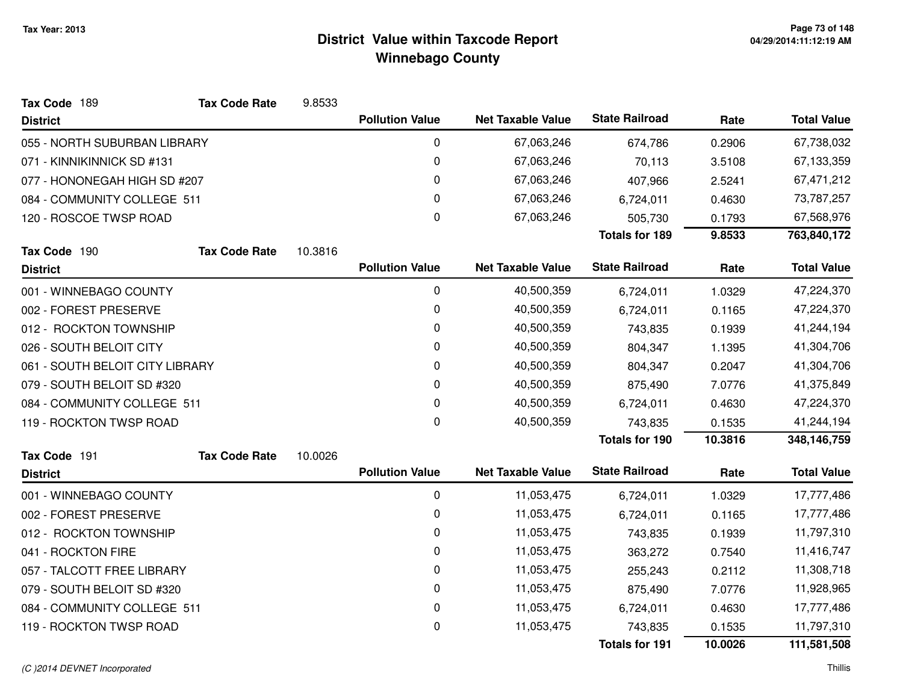| Tax Code 189                    | <b>Tax Code Rate</b> | 9.8533  |                        |                          |                       |         |                    |
|---------------------------------|----------------------|---------|------------------------|--------------------------|-----------------------|---------|--------------------|
| <b>District</b>                 |                      |         | <b>Pollution Value</b> | <b>Net Taxable Value</b> | <b>State Railroad</b> | Rate    | <b>Total Value</b> |
| 055 - NORTH SUBURBAN LIBRARY    |                      |         | 0                      | 67,063,246               | 674,786               | 0.2906  | 67,738,032         |
| 071 - KINNIKINNICK SD #131      |                      |         | $\mathbf 0$            | 67,063,246               | 70,113                | 3.5108  | 67,133,359         |
| 077 - HONONEGAH HIGH SD #207    |                      |         | 0                      | 67,063,246               | 407,966               | 2.5241  | 67,471,212         |
| 084 - COMMUNITY COLLEGE 511     |                      |         | 0                      | 67,063,246               | 6,724,011             | 0.4630  | 73,787,257         |
| 120 - ROSCOE TWSP ROAD          |                      |         | $\mathbf 0$            | 67,063,246               | 505,730               | 0.1793  | 67,568,976         |
|                                 |                      |         |                        |                          | <b>Totals for 189</b> | 9.8533  | 763,840,172        |
| Tax Code 190                    | <b>Tax Code Rate</b> | 10.3816 |                        |                          |                       |         |                    |
| <b>District</b>                 |                      |         | <b>Pollution Value</b> | <b>Net Taxable Value</b> | <b>State Railroad</b> | Rate    | <b>Total Value</b> |
| 001 - WINNEBAGO COUNTY          |                      |         | 0                      | 40,500,359               | 6,724,011             | 1.0329  | 47,224,370         |
| 002 - FOREST PRESERVE           |                      |         | 0                      | 40,500,359               | 6,724,011             | 0.1165  | 47,224,370         |
| 012 - ROCKTON TOWNSHIP          |                      |         | 0                      | 40,500,359               | 743,835               | 0.1939  | 41,244,194         |
| 026 - SOUTH BELOIT CITY         |                      |         | 0                      | 40,500,359               | 804,347               | 1.1395  | 41,304,706         |
| 061 - SOUTH BELOIT CITY LIBRARY |                      |         | 0                      | 40,500,359               | 804,347               | 0.2047  | 41,304,706         |
| 079 - SOUTH BELOIT SD #320      |                      |         | 0                      | 40,500,359               | 875,490               | 7.0776  | 41,375,849         |
| 084 - COMMUNITY COLLEGE 511     |                      |         | 0                      | 40,500,359               | 6,724,011             | 0.4630  | 47,224,370         |
| 119 - ROCKTON TWSP ROAD         |                      |         | 0                      | 40,500,359               | 743,835               | 0.1535  | 41,244,194         |
|                                 |                      |         |                        |                          | <b>Totals for 190</b> | 10.3816 | 348,146,759        |
| Tax Code 191                    | <b>Tax Code Rate</b> | 10.0026 |                        |                          |                       |         |                    |
| <b>District</b>                 |                      |         | <b>Pollution Value</b> | <b>Net Taxable Value</b> | <b>State Railroad</b> | Rate    | <b>Total Value</b> |
| 001 - WINNEBAGO COUNTY          |                      |         | $\pmb{0}$              | 11,053,475               | 6,724,011             | 1.0329  | 17,777,486         |
| 002 - FOREST PRESERVE           |                      |         | 0                      | 11,053,475               | 6,724,011             | 0.1165  | 17,777,486         |
| 012 - ROCKTON TOWNSHIP          |                      |         | 0                      | 11,053,475               | 743,835               | 0.1939  | 11,797,310         |
| 041 - ROCKTON FIRE              |                      |         | 0                      | 11,053,475               | 363,272               | 0.7540  | 11,416,747         |
| 057 - TALCOTT FREE LIBRARY      |                      |         | 0                      | 11,053,475               | 255,243               | 0.2112  | 11,308,718         |
| 079 - SOUTH BELOIT SD #320      |                      |         | 0                      | 11,053,475               | 875,490               | 7.0776  | 11,928,965         |
| 084 - COMMUNITY COLLEGE 511     |                      |         | $\pmb{0}$              | 11,053,475               | 6,724,011             | 0.4630  | 17,777,486         |
| 119 - ROCKTON TWSP ROAD         |                      |         | 0                      | 11,053,475               | 743,835               | 0.1535  | 11,797,310         |
|                                 |                      |         |                        |                          | <b>Totals for 191</b> | 10.0026 | 111,581,508        |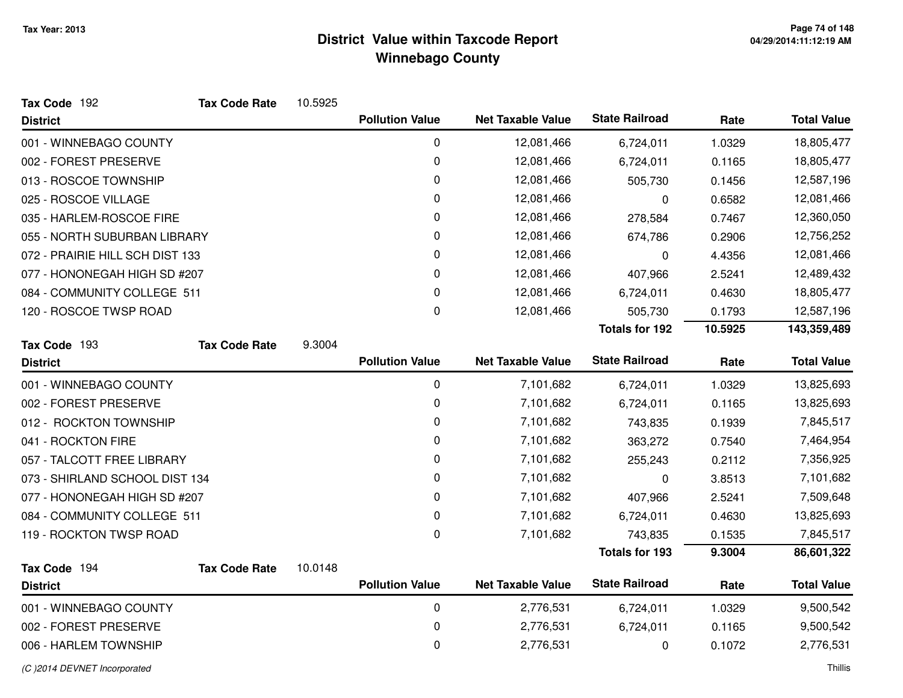| Tax Code 192                    | <b>Tax Code Rate</b> | 10.5925 |                        |                          |                       |         |                    |
|---------------------------------|----------------------|---------|------------------------|--------------------------|-----------------------|---------|--------------------|
| <b>District</b>                 |                      |         | <b>Pollution Value</b> | <b>Net Taxable Value</b> | <b>State Railroad</b> | Rate    | <b>Total Value</b> |
| 001 - WINNEBAGO COUNTY          |                      |         | 0                      | 12,081,466               | 6,724,011             | 1.0329  | 18,805,477         |
| 002 - FOREST PRESERVE           |                      |         | 0                      | 12,081,466               | 6,724,011             | 0.1165  | 18,805,477         |
| 013 - ROSCOE TOWNSHIP           |                      |         | 0                      | 12,081,466               | 505,730               | 0.1456  | 12,587,196         |
| 025 - ROSCOE VILLAGE            |                      |         | 0                      | 12,081,466               | 0                     | 0.6582  | 12,081,466         |
| 035 - HARLEM-ROSCOE FIRE        |                      |         | 0                      | 12,081,466               | 278,584               | 0.7467  | 12,360,050         |
| 055 - NORTH SUBURBAN LIBRARY    |                      |         | 0                      | 12,081,466               | 674,786               | 0.2906  | 12,756,252         |
| 072 - PRAIRIE HILL SCH DIST 133 |                      |         | 0                      | 12,081,466               | 0                     | 4.4356  | 12,081,466         |
| 077 - HONONEGAH HIGH SD #207    |                      |         | 0                      | 12,081,466               | 407,966               | 2.5241  | 12,489,432         |
| 084 - COMMUNITY COLLEGE 511     |                      |         | 0                      | 12,081,466               | 6,724,011             | 0.4630  | 18,805,477         |
| 120 - ROSCOE TWSP ROAD          |                      |         | 0                      | 12,081,466               | 505,730               | 0.1793  | 12,587,196         |
|                                 |                      |         |                        |                          | <b>Totals for 192</b> | 10.5925 | 143,359,489        |
| Tax Code 193                    | <b>Tax Code Rate</b> | 9.3004  |                        |                          |                       |         |                    |
| <b>District</b>                 |                      |         | <b>Pollution Value</b> | <b>Net Taxable Value</b> | <b>State Railroad</b> | Rate    | <b>Total Value</b> |
| 001 - WINNEBAGO COUNTY          |                      |         | 0                      | 7,101,682                | 6,724,011             | 1.0329  | 13,825,693         |
| 002 - FOREST PRESERVE           |                      |         | 0                      | 7,101,682                | 6,724,011             | 0.1165  | 13,825,693         |
| 012 - ROCKTON TOWNSHIP          |                      |         | 0                      | 7,101,682                | 743,835               | 0.1939  | 7,845,517          |
| 041 - ROCKTON FIRE              |                      |         | 0                      | 7,101,682                | 363,272               | 0.7540  | 7,464,954          |
| 057 - TALCOTT FREE LIBRARY      |                      |         | 0                      | 7,101,682                | 255,243               | 0.2112  | 7,356,925          |
| 073 - SHIRLAND SCHOOL DIST 134  |                      |         | 0                      | 7,101,682                | 0                     | 3.8513  | 7,101,682          |
| 077 - HONONEGAH HIGH SD #207    |                      |         | 0                      | 7,101,682                | 407,966               | 2.5241  | 7,509,648          |
| 084 - COMMUNITY COLLEGE 511     |                      |         | 0                      | 7,101,682                | 6,724,011             | 0.4630  | 13,825,693         |
| 119 - ROCKTON TWSP ROAD         |                      |         | 0                      | 7,101,682                | 743,835               | 0.1535  | 7,845,517          |
|                                 |                      |         |                        |                          | <b>Totals for 193</b> | 9.3004  | 86,601,322         |
| Tax Code 194                    | <b>Tax Code Rate</b> | 10.0148 |                        |                          |                       |         |                    |
| <b>District</b>                 |                      |         | <b>Pollution Value</b> | <b>Net Taxable Value</b> | <b>State Railroad</b> | Rate    | <b>Total Value</b> |
| 001 - WINNEBAGO COUNTY          |                      |         | 0                      | 2,776,531                | 6,724,011             | 1.0329  | 9,500,542          |
| 002 - FOREST PRESERVE           |                      |         | 0                      | 2,776,531                | 6,724,011             | 0.1165  | 9,500,542          |
| 006 - HARLEM TOWNSHIP           |                      |         | 0                      | 2,776,531                | 0                     | 0.1072  | 2,776,531          |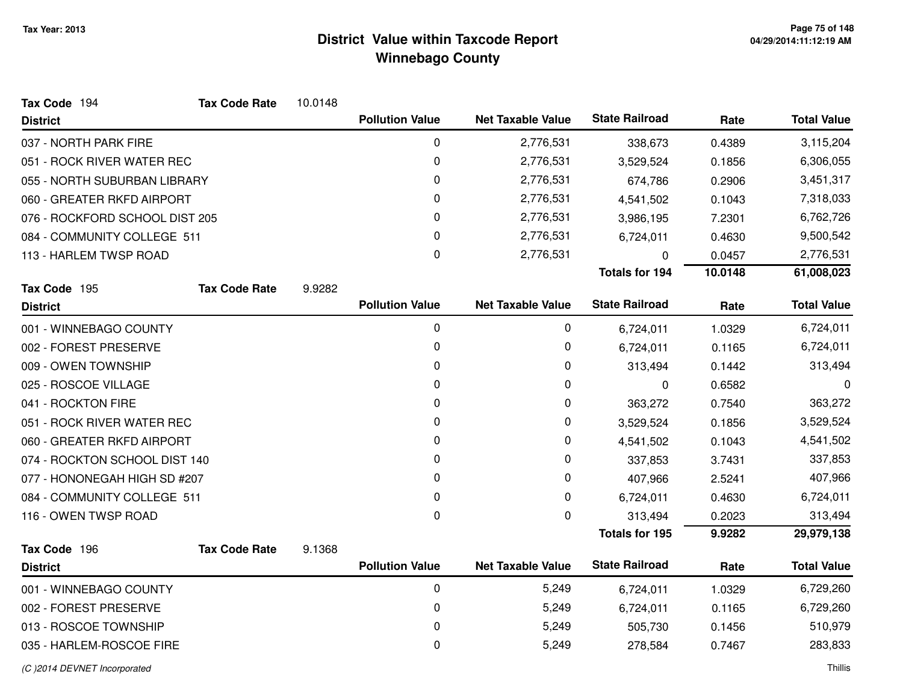| Tax Code 194                   | <b>Tax Code Rate</b> | 10.0148 |                        |                          |                       |         |                    |
|--------------------------------|----------------------|---------|------------------------|--------------------------|-----------------------|---------|--------------------|
| <b>District</b>                |                      |         | <b>Pollution Value</b> | <b>Net Taxable Value</b> | <b>State Railroad</b> | Rate    | <b>Total Value</b> |
| 037 - NORTH PARK FIRE          |                      |         | 0                      | 2,776,531                | 338,673               | 0.4389  | 3,115,204          |
| 051 - ROCK RIVER WATER REC     |                      |         | 0                      | 2,776,531                | 3,529,524             | 0.1856  | 6,306,055          |
| 055 - NORTH SUBURBAN LIBRARY   |                      |         | 0                      | 2,776,531                | 674,786               | 0.2906  | 3,451,317          |
| 060 - GREATER RKFD AIRPORT     |                      |         | 0                      | 2,776,531                | 4,541,502             | 0.1043  | 7,318,033          |
| 076 - ROCKFORD SCHOOL DIST 205 |                      |         | 0                      | 2,776,531                | 3,986,195             | 7.2301  | 6,762,726          |
| 084 - COMMUNITY COLLEGE 511    |                      |         | 0                      | 2,776,531                | 6,724,011             | 0.4630  | 9,500,542          |
| 113 - HARLEM TWSP ROAD         |                      |         | 0                      | 2,776,531                | 0                     | 0.0457  | 2,776,531          |
|                                |                      |         |                        |                          | <b>Totals for 194</b> | 10.0148 | 61,008,023         |
| Tax Code 195                   | <b>Tax Code Rate</b> | 9.9282  |                        |                          |                       |         |                    |
| <b>District</b>                |                      |         | <b>Pollution Value</b> | <b>Net Taxable Value</b> | <b>State Railroad</b> | Rate    | <b>Total Value</b> |
| 001 - WINNEBAGO COUNTY         |                      |         | 0                      | 0                        | 6,724,011             | 1.0329  | 6,724,011          |
| 002 - FOREST PRESERVE          |                      |         | 0                      | 0                        | 6,724,011             | 0.1165  | 6,724,011          |
| 009 - OWEN TOWNSHIP            |                      |         | 0                      | 0                        | 313,494               | 0.1442  | 313,494            |
| 025 - ROSCOE VILLAGE           |                      |         | 0                      | 0                        | 0                     | 0.6582  | 0                  |
| 041 - ROCKTON FIRE             |                      |         | 0                      | 0                        | 363,272               | 0.7540  | 363,272            |
| 051 - ROCK RIVER WATER REC     |                      |         | 0                      | 0                        | 3,529,524             | 0.1856  | 3,529,524          |
| 060 - GREATER RKFD AIRPORT     |                      |         | 0                      | 0                        | 4,541,502             | 0.1043  | 4,541,502          |
| 074 - ROCKTON SCHOOL DIST 140  |                      |         | 0                      | 0                        | 337,853               | 3.7431  | 337,853            |
| 077 - HONONEGAH HIGH SD #207   |                      |         | 0                      | 0                        | 407,966               | 2.5241  | 407,966            |
| 084 - COMMUNITY COLLEGE 511    |                      |         | 0                      | 0                        | 6,724,011             | 0.4630  | 6,724,011          |
| 116 - OWEN TWSP ROAD           |                      |         | 0                      | 0                        | 313,494               | 0.2023  | 313,494            |
|                                |                      |         |                        |                          | <b>Totals for 195</b> | 9.9282  | 29,979,138         |
| Tax Code 196                   | <b>Tax Code Rate</b> | 9.1368  |                        |                          |                       |         |                    |
| <b>District</b>                |                      |         | <b>Pollution Value</b> | <b>Net Taxable Value</b> | <b>State Railroad</b> | Rate    | <b>Total Value</b> |
| 001 - WINNEBAGO COUNTY         |                      |         | 0                      | 5,249                    | 6,724,011             | 1.0329  | 6,729,260          |
| 002 - FOREST PRESERVE          |                      |         | 0                      | 5,249                    | 6,724,011             | 0.1165  | 6,729,260          |
| 013 - ROSCOE TOWNSHIP          |                      |         | 0                      | 5,249                    | 505,730               | 0.1456  | 510,979            |
| 035 - HARLEM-ROSCOE FIRE       |                      |         | 0                      | 5,249                    | 278,584               | 0.7467  | 283,833            |
|                                |                      |         |                        |                          |                       |         |                    |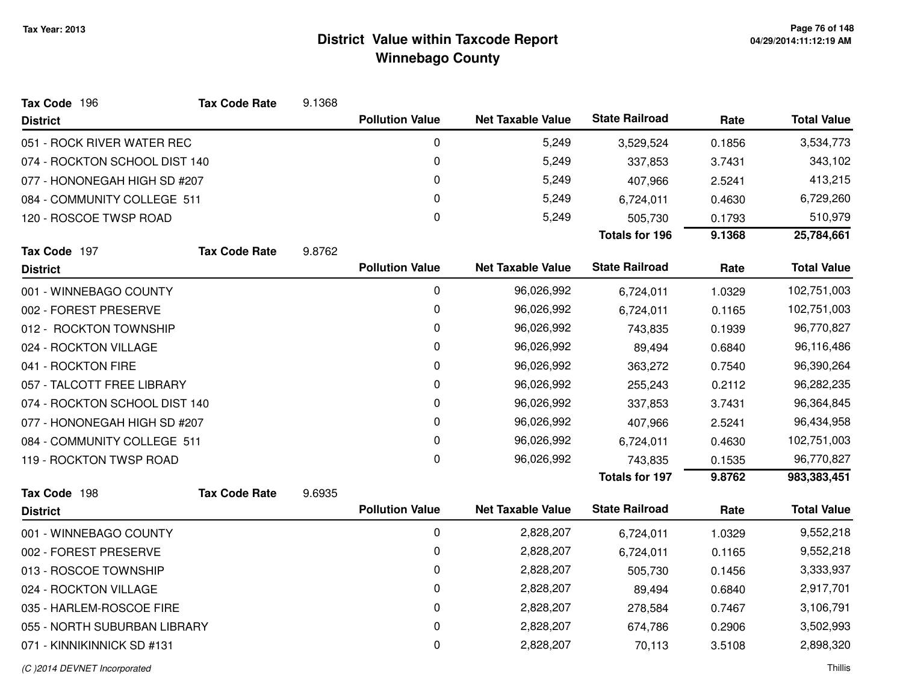| Tax Code 196                  | <b>Tax Code Rate</b> | 9.1368 |                        |                          |                       |        |                    |
|-------------------------------|----------------------|--------|------------------------|--------------------------|-----------------------|--------|--------------------|
| <b>District</b>               |                      |        | <b>Pollution Value</b> | <b>Net Taxable Value</b> | <b>State Railroad</b> | Rate   | <b>Total Value</b> |
| 051 - ROCK RIVER WATER REC    |                      |        | 0                      | 5,249                    | 3,529,524             | 0.1856 | 3,534,773          |
| 074 - ROCKTON SCHOOL DIST 140 |                      |        | 0                      | 5,249                    | 337,853               | 3.7431 | 343,102            |
| 077 - HONONEGAH HIGH SD #207  |                      |        | 0                      | 5,249                    | 407,966               | 2.5241 | 413,215            |
| 084 - COMMUNITY COLLEGE 511   |                      |        | 0                      | 5,249                    | 6,724,011             | 0.4630 | 6,729,260          |
| 120 - ROSCOE TWSP ROAD        |                      |        | 0                      | 5,249                    | 505,730               | 0.1793 | 510,979            |
|                               |                      |        |                        |                          | <b>Totals for 196</b> | 9.1368 | 25,784,661         |
| Tax Code 197                  | <b>Tax Code Rate</b> | 9.8762 |                        |                          |                       |        |                    |
| <b>District</b>               |                      |        | <b>Pollution Value</b> | <b>Net Taxable Value</b> | <b>State Railroad</b> | Rate   | <b>Total Value</b> |
| 001 - WINNEBAGO COUNTY        |                      |        | 0                      | 96,026,992               | 6,724,011             | 1.0329 | 102,751,003        |
| 002 - FOREST PRESERVE         |                      |        | 0                      | 96,026,992               | 6,724,011             | 0.1165 | 102,751,003        |
| 012 - ROCKTON TOWNSHIP        |                      |        | 0                      | 96,026,992               | 743,835               | 0.1939 | 96,770,827         |
| 024 - ROCKTON VILLAGE         |                      |        | 0                      | 96,026,992               | 89,494                | 0.6840 | 96,116,486         |
| 041 - ROCKTON FIRE            |                      |        | 0                      | 96,026,992               | 363,272               | 0.7540 | 96,390,264         |
| 057 - TALCOTT FREE LIBRARY    |                      |        | 0                      | 96,026,992               | 255,243               | 0.2112 | 96,282,235         |
| 074 - ROCKTON SCHOOL DIST 140 |                      |        | 0                      | 96,026,992               | 337,853               | 3.7431 | 96,364,845         |
| 077 - HONONEGAH HIGH SD #207  |                      |        | 0                      | 96,026,992               | 407,966               | 2.5241 | 96,434,958         |
| 084 - COMMUNITY COLLEGE 511   |                      |        | 0                      | 96,026,992               | 6,724,011             | 0.4630 | 102,751,003        |
| 119 - ROCKTON TWSP ROAD       |                      |        | 0                      | 96,026,992               | 743,835               | 0.1535 | 96,770,827         |
|                               |                      |        |                        |                          | <b>Totals for 197</b> | 9.8762 | 983,383,451        |
| Tax Code 198                  | <b>Tax Code Rate</b> | 9.6935 |                        |                          |                       |        |                    |
| <b>District</b>               |                      |        | <b>Pollution Value</b> | <b>Net Taxable Value</b> | <b>State Railroad</b> | Rate   | <b>Total Value</b> |
| 001 - WINNEBAGO COUNTY        |                      |        | 0                      | 2,828,207                | 6,724,011             | 1.0329 | 9,552,218          |
| 002 - FOREST PRESERVE         |                      |        | 0                      | 2,828,207                | 6,724,011             | 0.1165 | 9,552,218          |
| 013 - ROSCOE TOWNSHIP         |                      |        | 0                      | 2,828,207                | 505,730               | 0.1456 | 3,333,937          |
| 024 - ROCKTON VILLAGE         |                      |        | 0                      | 2,828,207                | 89,494                | 0.6840 | 2,917,701          |
| 035 - HARLEM-ROSCOE FIRE      |                      |        | 0                      | 2,828,207                | 278,584               | 0.7467 | 3,106,791          |
| 055 - NORTH SUBURBAN LIBRARY  |                      |        | 0                      | 2,828,207                | 674,786               | 0.2906 | 3,502,993          |
| 071 - KINNIKINNICK SD #131    |                      |        | 0                      | 2,828,207                | 70,113                | 3.5108 | 2,898,320          |
|                               |                      |        |                        |                          |                       |        |                    |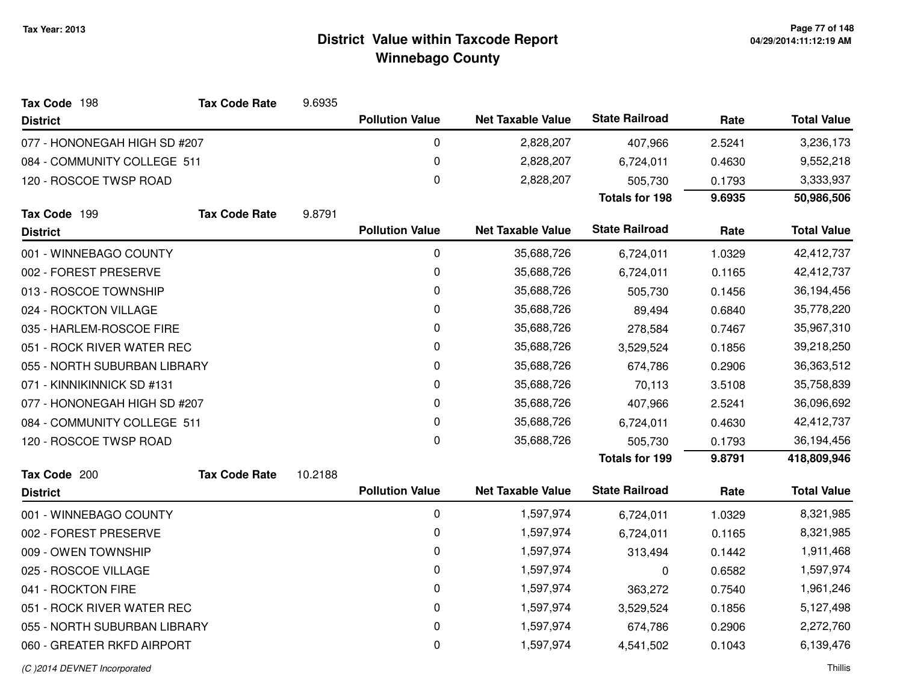| Tax Code 198<br><b>Tax Code Rate</b> | 9.6935  |                        |                          |                       |        |                    |
|--------------------------------------|---------|------------------------|--------------------------|-----------------------|--------|--------------------|
| <b>District</b>                      |         | <b>Pollution Value</b> | <b>Net Taxable Value</b> | <b>State Railroad</b> | Rate   | <b>Total Value</b> |
| 077 - HONONEGAH HIGH SD #207         |         | 0                      | 2,828,207                | 407,966               | 2.5241 | 3,236,173          |
| 084 - COMMUNITY COLLEGE 511          |         | 0                      | 2,828,207                | 6,724,011             | 0.4630 | 9,552,218          |
| 120 - ROSCOE TWSP ROAD               |         | 0                      | 2,828,207                | 505,730               | 0.1793 | 3,333,937          |
|                                      |         |                        |                          | <b>Totals for 198</b> | 9.6935 | 50,986,506         |
| Tax Code 199<br><b>Tax Code Rate</b> | 9.8791  |                        |                          |                       |        |                    |
| <b>District</b>                      |         | <b>Pollution Value</b> | <b>Net Taxable Value</b> | <b>State Railroad</b> | Rate   | <b>Total Value</b> |
| 001 - WINNEBAGO COUNTY               |         | 0                      | 35,688,726               | 6,724,011             | 1.0329 | 42,412,737         |
| 002 - FOREST PRESERVE                |         | 0                      | 35,688,726               | 6,724,011             | 0.1165 | 42,412,737         |
| 013 - ROSCOE TOWNSHIP                |         | $\pmb{0}$              | 35,688,726               | 505,730               | 0.1456 | 36,194,456         |
| 024 - ROCKTON VILLAGE                |         | 0                      | 35,688,726               | 89,494                | 0.6840 | 35,778,220         |
| 035 - HARLEM-ROSCOE FIRE             |         | 0                      | 35,688,726               | 278,584               | 0.7467 | 35,967,310         |
| 051 - ROCK RIVER WATER REC           |         | 0                      | 35,688,726               | 3,529,524             | 0.1856 | 39,218,250         |
| 055 - NORTH SUBURBAN LIBRARY         |         | 0                      | 35,688,726               | 674,786               | 0.2906 | 36,363,512         |
| 071 - KINNIKINNICK SD #131           |         | 0                      | 35,688,726               | 70,113                | 3.5108 | 35,758,839         |
| 077 - HONONEGAH HIGH SD #207         |         | 0                      | 35,688,726               | 407,966               | 2.5241 | 36,096,692         |
| 084 - COMMUNITY COLLEGE 511          |         | 0                      | 35,688,726               | 6,724,011             | 0.4630 | 42,412,737         |
| 120 - ROSCOE TWSP ROAD               |         | $\mathbf 0$            | 35,688,726               | 505,730               | 0.1793 | 36,194,456         |
|                                      |         |                        |                          | <b>Totals for 199</b> | 9.8791 | 418,809,946        |
| Tax Code 200<br><b>Tax Code Rate</b> | 10.2188 |                        |                          |                       |        |                    |
| <b>District</b>                      |         | <b>Pollution Value</b> | <b>Net Taxable Value</b> | <b>State Railroad</b> | Rate   | <b>Total Value</b> |
| 001 - WINNEBAGO COUNTY               |         | 0                      | 1,597,974                | 6,724,011             | 1.0329 | 8,321,985          |
| 002 - FOREST PRESERVE                |         | 0                      | 1,597,974                | 6,724,011             | 0.1165 | 8,321,985          |
| 009 - OWEN TOWNSHIP                  |         | $\pmb{0}$              | 1,597,974                | 313,494               | 0.1442 | 1,911,468          |
| 025 - ROSCOE VILLAGE                 |         | 0                      | 1,597,974                | 0                     | 0.6582 | 1,597,974          |
| 041 - ROCKTON FIRE                   |         | 0                      | 1,597,974                | 363,272               | 0.7540 | 1,961,246          |
| 051 - ROCK RIVER WATER REC           |         | 0                      | 1,597,974                | 3,529,524             | 0.1856 | 5,127,498          |
| 055 - NORTH SUBURBAN LIBRARY         |         | $\pmb{0}$              | 1,597,974                | 674,786               | 0.2906 | 2,272,760          |
| 060 - GREATER RKFD AIRPORT           |         | 0                      | 1,597,974                | 4,541,502             | 0.1043 | 6,139,476          |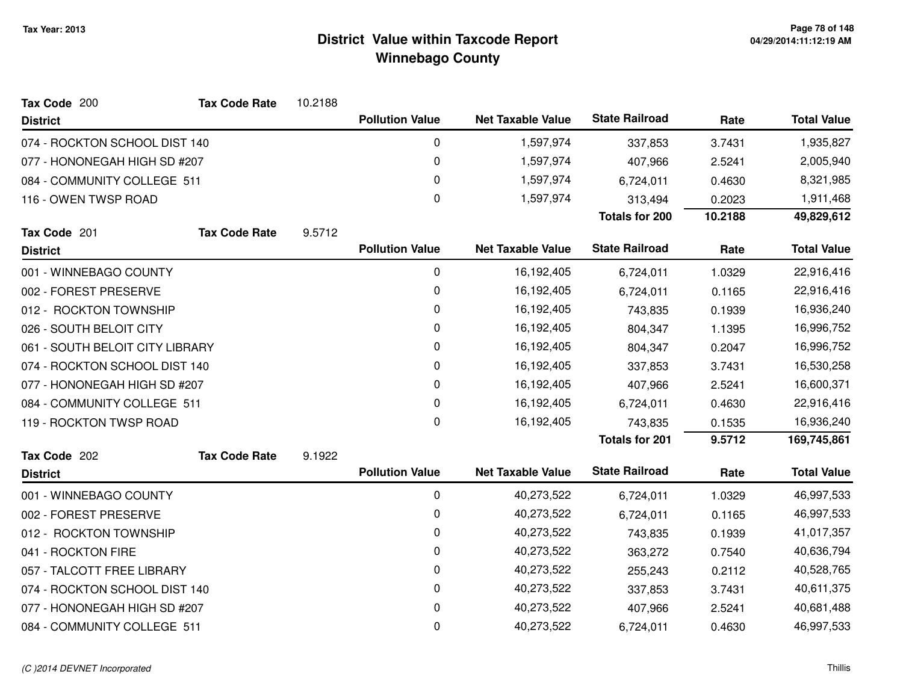| Tax Code 200                    | <b>Tax Code Rate</b> | 10.2188 |                        |                          |                       |         |                    |
|---------------------------------|----------------------|---------|------------------------|--------------------------|-----------------------|---------|--------------------|
| <b>District</b>                 |                      |         | <b>Pollution Value</b> | <b>Net Taxable Value</b> | <b>State Railroad</b> | Rate    | <b>Total Value</b> |
| 074 - ROCKTON SCHOOL DIST 140   |                      |         | 0                      | 1,597,974                | 337,853               | 3.7431  | 1,935,827          |
| 077 - HONONEGAH HIGH SD #207    |                      |         | $\mathbf 0$            | 1,597,974                | 407,966               | 2.5241  | 2,005,940          |
| 084 - COMMUNITY COLLEGE 511     |                      |         | 0                      | 1,597,974                | 6,724,011             | 0.4630  | 8,321,985          |
| 116 - OWEN TWSP ROAD            |                      |         | 0                      | 1,597,974                | 313,494               | 0.2023  | 1,911,468          |
|                                 |                      |         |                        |                          | <b>Totals for 200</b> | 10.2188 | 49,829,612         |
| Tax Code 201                    | <b>Tax Code Rate</b> | 9.5712  |                        |                          |                       |         |                    |
| <b>District</b>                 |                      |         | <b>Pollution Value</b> | <b>Net Taxable Value</b> | <b>State Railroad</b> | Rate    | <b>Total Value</b> |
| 001 - WINNEBAGO COUNTY          |                      |         | 0                      | 16,192,405               | 6,724,011             | 1.0329  | 22,916,416         |
| 002 - FOREST PRESERVE           |                      |         | 0                      | 16,192,405               | 6,724,011             | 0.1165  | 22,916,416         |
| 012 - ROCKTON TOWNSHIP          |                      |         | 0                      | 16,192,405               | 743,835               | 0.1939  | 16,936,240         |
| 026 - SOUTH BELOIT CITY         |                      |         | 0                      | 16,192,405               | 804,347               | 1.1395  | 16,996,752         |
| 061 - SOUTH BELOIT CITY LIBRARY |                      |         | 0                      | 16,192,405               | 804,347               | 0.2047  | 16,996,752         |
| 074 - ROCKTON SCHOOL DIST 140   |                      |         | 0                      | 16,192,405               | 337,853               | 3.7431  | 16,530,258         |
| 077 - HONONEGAH HIGH SD #207    |                      |         | 0                      | 16,192,405               | 407,966               | 2.5241  | 16,600,371         |
| 084 - COMMUNITY COLLEGE 511     |                      |         | 0                      | 16,192,405               | 6,724,011             | 0.4630  | 22,916,416         |
| 119 - ROCKTON TWSP ROAD         |                      |         | 0                      | 16,192,405               | 743,835               | 0.1535  | 16,936,240         |
|                                 |                      |         |                        |                          | <b>Totals for 201</b> | 9.5712  | 169,745,861        |
| Tax Code 202                    | <b>Tax Code Rate</b> | 9.1922  |                        |                          |                       |         |                    |
| <b>District</b>                 |                      |         | <b>Pollution Value</b> | <b>Net Taxable Value</b> | <b>State Railroad</b> | Rate    | <b>Total Value</b> |
| 001 - WINNEBAGO COUNTY          |                      |         | 0                      | 40,273,522               | 6,724,011             | 1.0329  | 46,997,533         |
| 002 - FOREST PRESERVE           |                      |         | 0                      | 40,273,522               | 6,724,011             | 0.1165  | 46,997,533         |
| 012 - ROCKTON TOWNSHIP          |                      |         | 0                      | 40,273,522               | 743,835               | 0.1939  | 41,017,357         |
| 041 - ROCKTON FIRE              |                      |         | 0                      | 40,273,522               | 363,272               | 0.7540  | 40,636,794         |
| 057 - TALCOTT FREE LIBRARY      |                      |         | 0                      | 40,273,522               | 255,243               | 0.2112  | 40,528,765         |
| 074 - ROCKTON SCHOOL DIST 140   |                      |         | 0                      | 40,273,522               | 337,853               | 3.7431  | 40,611,375         |
| 077 - HONONEGAH HIGH SD #207    |                      |         | 0                      | 40,273,522               | 407,966               | 2.5241  | 40,681,488         |
| 084 - COMMUNITY COLLEGE 511     |                      |         | 0                      | 40,273,522               | 6,724,011             | 0.4630  | 46,997,533         |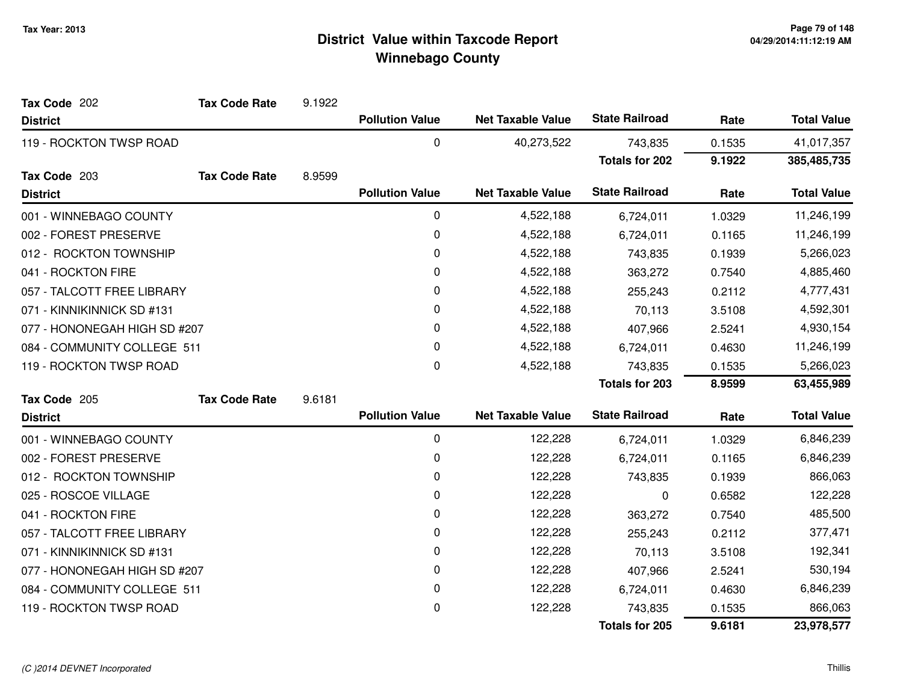| Tax Code 202                 | <b>Tax Code Rate</b> | 9.1922 |                        |                          |                       |        |                    |
|------------------------------|----------------------|--------|------------------------|--------------------------|-----------------------|--------|--------------------|
| <b>District</b>              |                      |        | <b>Pollution Value</b> | <b>Net Taxable Value</b> | <b>State Railroad</b> | Rate   | <b>Total Value</b> |
| 119 - ROCKTON TWSP ROAD      |                      |        | 0                      | 40,273,522               | 743,835               | 0.1535 | 41,017,357         |
|                              |                      |        |                        |                          | <b>Totals for 202</b> | 9.1922 | 385,485,735        |
| Tax Code 203                 | <b>Tax Code Rate</b> | 8.9599 |                        |                          |                       |        |                    |
| <b>District</b>              |                      |        | <b>Pollution Value</b> | <b>Net Taxable Value</b> | <b>State Railroad</b> | Rate   | <b>Total Value</b> |
| 001 - WINNEBAGO COUNTY       |                      |        | 0                      | 4,522,188                | 6,724,011             | 1.0329 | 11,246,199         |
| 002 - FOREST PRESERVE        |                      |        | 0                      | 4,522,188                | 6,724,011             | 0.1165 | 11,246,199         |
| 012 - ROCKTON TOWNSHIP       |                      |        | 0                      | 4,522,188                | 743,835               | 0.1939 | 5,266,023          |
| 041 - ROCKTON FIRE           |                      |        | 0                      | 4,522,188                | 363,272               | 0.7540 | 4,885,460          |
| 057 - TALCOTT FREE LIBRARY   |                      |        | 0                      | 4,522,188                | 255,243               | 0.2112 | 4,777,431          |
| 071 - KINNIKINNICK SD #131   |                      |        | 0                      | 4,522,188                | 70,113                | 3.5108 | 4,592,301          |
| 077 - HONONEGAH HIGH SD #207 |                      |        | 0                      | 4,522,188                | 407,966               | 2.5241 | 4,930,154          |
| 084 - COMMUNITY COLLEGE 511  |                      |        | 0                      | 4,522,188                | 6,724,011             | 0.4630 | 11,246,199         |
| 119 - ROCKTON TWSP ROAD      |                      |        | 0                      | 4,522,188                | 743,835               | 0.1535 | 5,266,023          |
|                              |                      |        |                        |                          | <b>Totals for 203</b> | 8.9599 | 63,455,989         |
| Tax Code 205                 | <b>Tax Code Rate</b> | 9.6181 |                        |                          |                       |        |                    |
| <b>District</b>              |                      |        | <b>Pollution Value</b> | <b>Net Taxable Value</b> | <b>State Railroad</b> | Rate   | <b>Total Value</b> |
| 001 - WINNEBAGO COUNTY       |                      |        | $\pmb{0}$              | 122,228                  | 6,724,011             | 1.0329 | 6,846,239          |
| 002 - FOREST PRESERVE        |                      |        | 0                      | 122,228                  | 6,724,011             | 0.1165 | 6,846,239          |
| 012 - ROCKTON TOWNSHIP       |                      |        | 0                      | 122,228                  | 743,835               | 0.1939 | 866,063            |
| 025 - ROSCOE VILLAGE         |                      |        | 0                      | 122,228                  | 0                     | 0.6582 | 122,228            |
| 041 - ROCKTON FIRE           |                      |        | 0                      | 122,228                  | 363,272               | 0.7540 | 485,500            |
| 057 - TALCOTT FREE LIBRARY   |                      |        | 0                      | 122,228                  | 255,243               | 0.2112 | 377,471            |
| 071 - KINNIKINNICK SD #131   |                      |        | 0                      | 122,228                  | 70,113                | 3.5108 | 192,341            |
| 077 - HONONEGAH HIGH SD #207 |                      |        | 0                      | 122,228                  | 407,966               | 2.5241 | 530,194            |
| 084 - COMMUNITY COLLEGE 511  |                      |        | 0                      | 122,228                  | 6,724,011             | 0.4630 | 6,846,239          |
| 119 - ROCKTON TWSP ROAD      |                      |        | 0                      | 122,228                  | 743,835               | 0.1535 | 866,063            |
|                              |                      |        |                        |                          | <b>Totals for 205</b> | 9.6181 | 23,978,577         |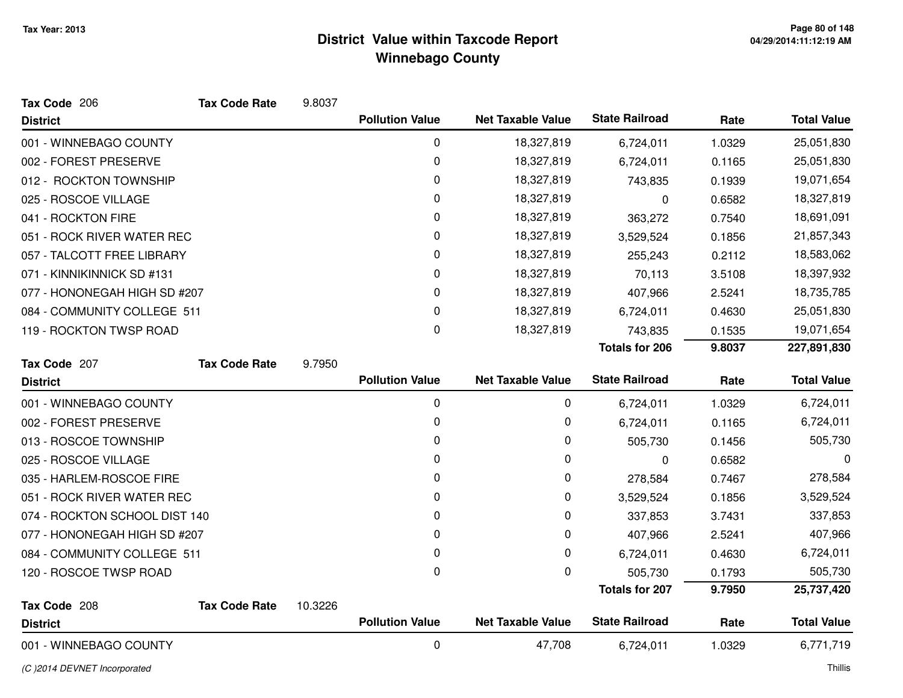| Tax Code 206                  | <b>Tax Code Rate</b> | 9.8037  |                        |                          |                       |        |                    |
|-------------------------------|----------------------|---------|------------------------|--------------------------|-----------------------|--------|--------------------|
| <b>District</b>               |                      |         | <b>Pollution Value</b> | <b>Net Taxable Value</b> | <b>State Railroad</b> | Rate   | <b>Total Value</b> |
| 001 - WINNEBAGO COUNTY        |                      |         | 0                      | 18,327,819               | 6,724,011             | 1.0329 | 25,051,830         |
| 002 - FOREST PRESERVE         |                      |         | 0                      | 18,327,819               | 6,724,011             | 0.1165 | 25,051,830         |
| 012 - ROCKTON TOWNSHIP        |                      |         | 0                      | 18,327,819               | 743,835               | 0.1939 | 19,071,654         |
| 025 - ROSCOE VILLAGE          |                      |         | 0                      | 18,327,819               | 0                     | 0.6582 | 18,327,819         |
| 041 - ROCKTON FIRE            |                      |         | 0                      | 18,327,819               | 363,272               | 0.7540 | 18,691,091         |
| 051 - ROCK RIVER WATER REC    |                      |         | 0                      | 18,327,819               | 3,529,524             | 0.1856 | 21,857,343         |
| 057 - TALCOTT FREE LIBRARY    |                      |         | 0                      | 18,327,819               | 255,243               | 0.2112 | 18,583,062         |
| 071 - KINNIKINNICK SD #131    |                      |         | 0                      | 18,327,819               | 70,113                | 3.5108 | 18,397,932         |
| 077 - HONONEGAH HIGH SD #207  |                      |         | 0                      | 18,327,819               | 407,966               | 2.5241 | 18,735,785         |
| 084 - COMMUNITY COLLEGE 511   |                      |         | 0                      | 18,327,819               | 6,724,011             | 0.4630 | 25,051,830         |
| 119 - ROCKTON TWSP ROAD       |                      |         | 0                      | 18,327,819               | 743,835               | 0.1535 | 19,071,654         |
|                               |                      |         |                        |                          | <b>Totals for 206</b> | 9.8037 | 227,891,830        |
| Tax Code 207                  | <b>Tax Code Rate</b> | 9.7950  |                        |                          |                       |        |                    |
| <b>District</b>               |                      |         | <b>Pollution Value</b> | <b>Net Taxable Value</b> | <b>State Railroad</b> | Rate   | <b>Total Value</b> |
| 001 - WINNEBAGO COUNTY        |                      |         | 0                      | 0                        | 6,724,011             | 1.0329 | 6,724,011          |
| 002 - FOREST PRESERVE         |                      |         | 0                      | 0                        | 6,724,011             | 0.1165 | 6,724,011          |
| 013 - ROSCOE TOWNSHIP         |                      |         | 0                      | 0                        | 505,730               | 0.1456 | 505,730            |
| 025 - ROSCOE VILLAGE          |                      |         | 0                      | 0                        | 0                     | 0.6582 | 0                  |
| 035 - HARLEM-ROSCOE FIRE      |                      |         | 0                      | 0                        | 278,584               | 0.7467 | 278,584            |
| 051 - ROCK RIVER WATER REC    |                      |         | 0                      | 0                        | 3,529,524             | 0.1856 | 3,529,524          |
| 074 - ROCKTON SCHOOL DIST 140 |                      |         | 0                      | 0                        | 337,853               | 3.7431 | 337,853            |
| 077 - HONONEGAH HIGH SD #207  |                      |         | 0                      | 0                        | 407,966               | 2.5241 | 407,966            |
| 084 - COMMUNITY COLLEGE 511   |                      |         | 0                      | 0                        | 6,724,011             | 0.4630 | 6,724,011          |
| 120 - ROSCOE TWSP ROAD        |                      |         | 0                      | $\mathbf 0$              | 505,730               | 0.1793 | 505,730            |
|                               |                      |         |                        |                          | <b>Totals for 207</b> | 9.7950 | 25,737,420         |
| Tax Code 208                  | <b>Tax Code Rate</b> | 10.3226 |                        |                          |                       |        |                    |
| <b>District</b>               |                      |         | <b>Pollution Value</b> | <b>Net Taxable Value</b> | <b>State Railroad</b> | Rate   | <b>Total Value</b> |
| 001 - WINNEBAGO COUNTY        |                      |         | 0                      | 47,708                   | 6,724,011             | 1.0329 | 6,771,719          |

(C )2014 DEVNET Incorporated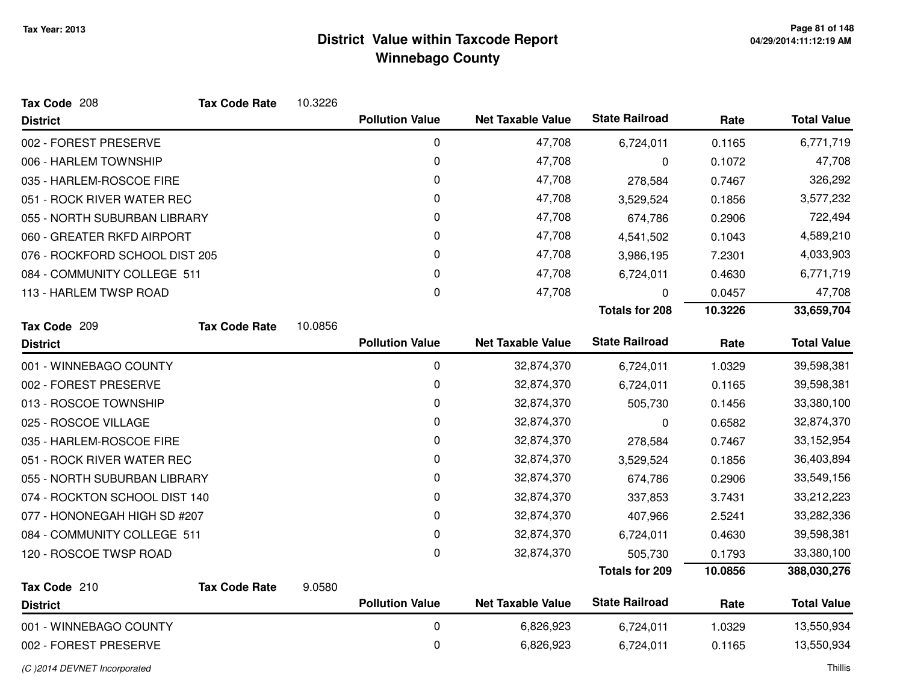| Tax Code 208                   | <b>Tax Code Rate</b> | 10.3226 |                        |                          |                       |         |                    |
|--------------------------------|----------------------|---------|------------------------|--------------------------|-----------------------|---------|--------------------|
| <b>District</b>                |                      |         | <b>Pollution Value</b> | <b>Net Taxable Value</b> | <b>State Railroad</b> | Rate    | <b>Total Value</b> |
| 002 - FOREST PRESERVE          |                      |         | $\pmb{0}$              | 47,708                   | 6,724,011             | 0.1165  | 6,771,719          |
| 006 - HARLEM TOWNSHIP          |                      |         | 0                      | 47,708                   | 0                     | 0.1072  | 47,708             |
| 035 - HARLEM-ROSCOE FIRE       |                      |         | 0                      | 47,708                   | 278,584               | 0.7467  | 326,292            |
| 051 - ROCK RIVER WATER REC     |                      |         | 0                      | 47,708                   | 3,529,524             | 0.1856  | 3,577,232          |
| 055 - NORTH SUBURBAN LIBRARY   |                      |         | 0                      | 47,708                   | 674,786               | 0.2906  | 722,494            |
| 060 - GREATER RKFD AIRPORT     |                      |         | 0                      | 47,708                   | 4,541,502             | 0.1043  | 4,589,210          |
| 076 - ROCKFORD SCHOOL DIST 205 |                      |         | 0                      | 47,708                   | 3,986,195             | 7.2301  | 4,033,903          |
| 084 - COMMUNITY COLLEGE 511    |                      |         | 0                      | 47,708                   | 6,724,011             | 0.4630  | 6,771,719          |
| 113 - HARLEM TWSP ROAD         |                      |         | 0                      | 47,708                   | 0                     | 0.0457  | 47,708             |
|                                |                      |         |                        |                          | <b>Totals for 208</b> | 10.3226 | 33,659,704         |
| Tax Code 209                   | <b>Tax Code Rate</b> | 10.0856 |                        |                          |                       |         |                    |
| <b>District</b>                |                      |         | <b>Pollution Value</b> | <b>Net Taxable Value</b> | <b>State Railroad</b> | Rate    | <b>Total Value</b> |
| 001 - WINNEBAGO COUNTY         |                      |         | $\pmb{0}$              | 32,874,370               | 6,724,011             | 1.0329  | 39,598,381         |
| 002 - FOREST PRESERVE          |                      |         | 0                      | 32,874,370               | 6,724,011             | 0.1165  | 39,598,381         |
| 013 - ROSCOE TOWNSHIP          |                      |         | 0                      | 32,874,370               | 505,730               | 0.1456  | 33,380,100         |
| 025 - ROSCOE VILLAGE           |                      |         | 0                      | 32,874,370               | 0                     | 0.6582  | 32,874,370         |
| 035 - HARLEM-ROSCOE FIRE       |                      |         | 0                      | 32,874,370               | 278,584               | 0.7467  | 33,152,954         |
| 051 - ROCK RIVER WATER REC     |                      |         | 0                      | 32,874,370               | 3,529,524             | 0.1856  | 36,403,894         |
| 055 - NORTH SUBURBAN LIBRARY   |                      |         | 0                      | 32,874,370               | 674,786               | 0.2906  | 33,549,156         |
| 074 - ROCKTON SCHOOL DIST 140  |                      |         | 0                      | 32,874,370               | 337,853               | 3.7431  | 33,212,223         |
| 077 - HONONEGAH HIGH SD #207   |                      |         | 0                      | 32,874,370               | 407,966               | 2.5241  | 33,282,336         |
| 084 - COMMUNITY COLLEGE 511    |                      |         | 0                      | 32,874,370               | 6,724,011             | 0.4630  | 39,598,381         |
| 120 - ROSCOE TWSP ROAD         |                      |         | 0                      | 32,874,370               | 505,730               | 0.1793  | 33,380,100         |
|                                |                      |         |                        |                          | <b>Totals for 209</b> | 10.0856 | 388,030,276        |
| Tax Code 210                   | <b>Tax Code Rate</b> | 9.0580  |                        |                          |                       |         |                    |
| <b>District</b>                |                      |         | <b>Pollution Value</b> | <b>Net Taxable Value</b> | <b>State Railroad</b> | Rate    | <b>Total Value</b> |
| 001 - WINNEBAGO COUNTY         |                      |         | 0                      | 6,826,923                | 6,724,011             | 1.0329  | 13,550,934         |
| 002 - FOREST PRESERVE          |                      |         | 0                      | 6,826,923                | 6,724,011             | 0.1165  | 13,550,934         |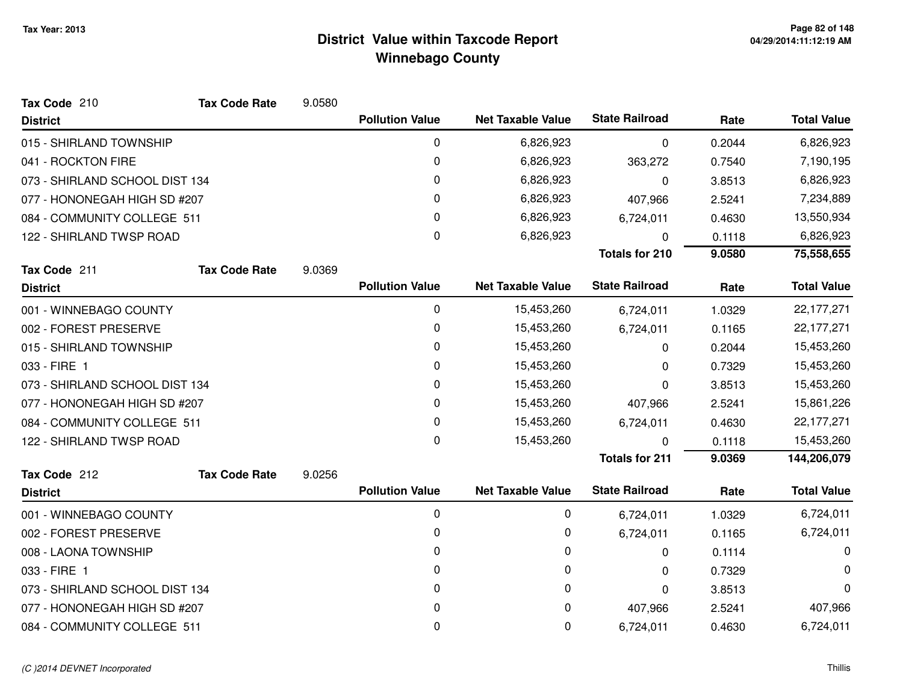| Tax Code 210                   | <b>Tax Code Rate</b> | 9.0580 |                        |                          |                       |        |                    |
|--------------------------------|----------------------|--------|------------------------|--------------------------|-----------------------|--------|--------------------|
| <b>District</b>                |                      |        | <b>Pollution Value</b> | <b>Net Taxable Value</b> | <b>State Railroad</b> | Rate   | <b>Total Value</b> |
| 015 - SHIRLAND TOWNSHIP        |                      |        | 0                      | 6,826,923                | $\Omega$              | 0.2044 | 6,826,923          |
| 041 - ROCKTON FIRE             |                      |        | 0                      | 6,826,923                | 363,272               | 0.7540 | 7,190,195          |
| 073 - SHIRLAND SCHOOL DIST 134 |                      |        | 0                      | 6,826,923                | 0                     | 3.8513 | 6,826,923          |
| 077 - HONONEGAH HIGH SD #207   |                      |        | 0                      | 6,826,923                | 407,966               | 2.5241 | 7,234,889          |
| 084 - COMMUNITY COLLEGE 511    |                      |        | 0                      | 6,826,923                | 6,724,011             | 0.4630 | 13,550,934         |
| 122 - SHIRLAND TWSP ROAD       |                      |        | 0                      | 6,826,923                | $\Omega$              | 0.1118 | 6,826,923          |
|                                |                      |        |                        |                          | <b>Totals for 210</b> | 9.0580 | 75,558,655         |
| Tax Code 211                   | <b>Tax Code Rate</b> | 9.0369 |                        |                          |                       |        |                    |
| <b>District</b>                |                      |        | <b>Pollution Value</b> | <b>Net Taxable Value</b> | <b>State Railroad</b> | Rate   | <b>Total Value</b> |
| 001 - WINNEBAGO COUNTY         |                      |        | 0                      | 15,453,260               | 6,724,011             | 1.0329 | 22,177,271         |
| 002 - FOREST PRESERVE          |                      |        | 0                      | 15,453,260               | 6,724,011             | 0.1165 | 22, 177, 271       |
| 015 - SHIRLAND TOWNSHIP        |                      |        | 0                      | 15,453,260               | 0                     | 0.2044 | 15,453,260         |
| 033 - FIRE 1                   |                      |        | 0                      | 15,453,260               | 0                     | 0.7329 | 15,453,260         |
| 073 - SHIRLAND SCHOOL DIST 134 |                      |        | 0                      | 15,453,260               | 0                     | 3.8513 | 15,453,260         |
| 077 - HONONEGAH HIGH SD #207   |                      |        | 0                      | 15,453,260               | 407,966               | 2.5241 | 15,861,226         |
| 084 - COMMUNITY COLLEGE 511    |                      |        | 0                      | 15,453,260               | 6,724,011             | 0.4630 | 22, 177, 271       |
| 122 - SHIRLAND TWSP ROAD       |                      |        | $\Omega$               | 15,453,260               | O                     | 0.1118 | 15,453,260         |
|                                |                      |        |                        |                          | <b>Totals for 211</b> | 9.0369 | 144,206,079        |
| Tax Code 212                   | <b>Tax Code Rate</b> | 9.0256 |                        |                          |                       |        |                    |
| <b>District</b>                |                      |        | <b>Pollution Value</b> | <b>Net Taxable Value</b> | <b>State Railroad</b> | Rate   | <b>Total Value</b> |
| 001 - WINNEBAGO COUNTY         |                      |        | $\mathbf 0$            | 0                        | 6,724,011             | 1.0329 | 6,724,011          |
| 002 - FOREST PRESERVE          |                      |        | 0                      | 0                        | 6,724,011             | 0.1165 | 6,724,011          |
| 008 - LAONA TOWNSHIP           |                      |        | 0                      | 0                        | 0                     | 0.1114 | 0                  |
| 033 - FIRE 1                   |                      |        | $\Omega$               | 0                        | 0                     | 0.7329 | 0                  |
| 073 - SHIRLAND SCHOOL DIST 134 |                      |        | 0                      | 0                        | 0                     | 3.8513 | 0                  |
| 077 - HONONEGAH HIGH SD #207   |                      |        | 0                      | 0                        | 407,966               | 2.5241 | 407,966            |
| 084 - COMMUNITY COLLEGE 511    |                      |        | 0                      | 0                        | 6,724,011             | 0.4630 | 6,724,011          |
|                                |                      |        |                        |                          |                       |        |                    |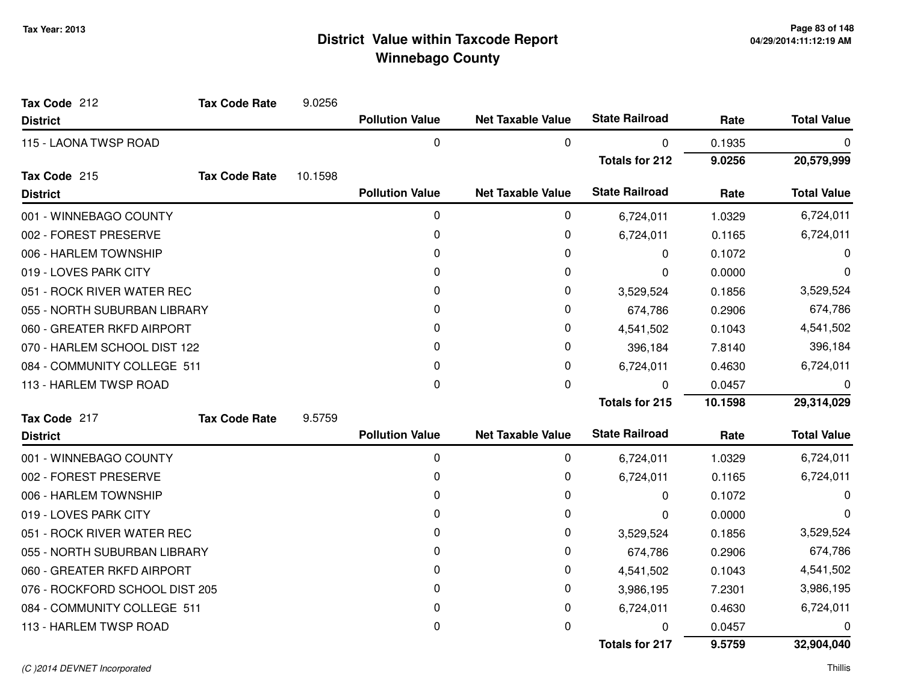| Tax Code 212                   | <b>Tax Code Rate</b> | 9.0256  |                        |                          |                       |         |                    |
|--------------------------------|----------------------|---------|------------------------|--------------------------|-----------------------|---------|--------------------|
| <b>District</b>                |                      |         | <b>Pollution Value</b> | <b>Net Taxable Value</b> | <b>State Railroad</b> | Rate    | <b>Total Value</b> |
| 115 - LAONA TWSP ROAD          |                      |         | 0                      | 0                        | 0                     | 0.1935  | 0                  |
|                                |                      |         |                        |                          | <b>Totals for 212</b> | 9.0256  | 20,579,999         |
| Tax Code 215                   | <b>Tax Code Rate</b> | 10.1598 |                        |                          |                       |         |                    |
| <b>District</b>                |                      |         | <b>Pollution Value</b> | <b>Net Taxable Value</b> | <b>State Railroad</b> | Rate    | <b>Total Value</b> |
| 001 - WINNEBAGO COUNTY         |                      |         | 0                      | 0                        | 6,724,011             | 1.0329  | 6,724,011          |
| 002 - FOREST PRESERVE          |                      |         | 0                      | 0                        | 6,724,011             | 0.1165  | 6,724,011          |
| 006 - HARLEM TOWNSHIP          |                      |         | 0                      | 0                        | 0                     | 0.1072  | O                  |
| 019 - LOVES PARK CITY          |                      |         | 0                      | 0                        | 0                     | 0.0000  | 0                  |
| 051 - ROCK RIVER WATER REC     |                      |         | 0                      | 0                        | 3,529,524             | 0.1856  | 3,529,524          |
| 055 - NORTH SUBURBAN LIBRARY   |                      |         | 0                      | 0                        | 674,786               | 0.2906  | 674,786            |
| 060 - GREATER RKFD AIRPORT     |                      |         | 0                      | 0                        | 4,541,502             | 0.1043  | 4,541,502          |
| 070 - HARLEM SCHOOL DIST 122   |                      |         | 0                      | 0                        | 396,184               | 7.8140  | 396,184            |
| 084 - COMMUNITY COLLEGE 511    |                      |         | 0                      | 0                        | 6,724,011             | 0.4630  | 6,724,011          |
| 113 - HARLEM TWSP ROAD         |                      |         | 0                      | 0                        | $\Omega$              | 0.0457  | 0                  |
|                                |                      |         |                        |                          | <b>Totals for 215</b> | 10.1598 | 29,314,029         |
| Tax Code 217                   | <b>Tax Code Rate</b> | 9.5759  |                        |                          |                       |         |                    |
| <b>District</b>                |                      |         | <b>Pollution Value</b> | <b>Net Taxable Value</b> | <b>State Railroad</b> | Rate    | <b>Total Value</b> |
| 001 - WINNEBAGO COUNTY         |                      |         | 0                      | 0                        | 6,724,011             | 1.0329  | 6,724,011          |
| 002 - FOREST PRESERVE          |                      |         | 0                      | 0                        | 6,724,011             | 0.1165  | 6,724,011          |
| 006 - HARLEM TOWNSHIP          |                      |         | 0                      | 0                        | 0                     | 0.1072  | 0                  |
| 019 - LOVES PARK CITY          |                      |         | 0                      | 0                        | 0                     | 0.0000  | 0                  |
| 051 - ROCK RIVER WATER REC     |                      |         | 0                      | 0                        | 3,529,524             | 0.1856  | 3,529,524          |
| 055 - NORTH SUBURBAN LIBRARY   |                      |         | 0                      | 0                        | 674,786               | 0.2906  | 674,786            |
| 060 - GREATER RKFD AIRPORT     |                      |         | 0                      | 0                        | 4,541,502             | 0.1043  | 4,541,502          |
| 076 - ROCKFORD SCHOOL DIST 205 |                      |         | 0                      | 0                        | 3,986,195             | 7.2301  | 3,986,195          |
| 084 - COMMUNITY COLLEGE 511    |                      |         | 0                      | 0                        | 6,724,011             | 0.4630  | 6,724,011          |
| 113 - HARLEM TWSP ROAD         |                      |         | 0                      | 0                        | 0                     | 0.0457  | 0                  |
|                                |                      |         |                        |                          | Totals for 217        | 9.5759  | 32,904,040         |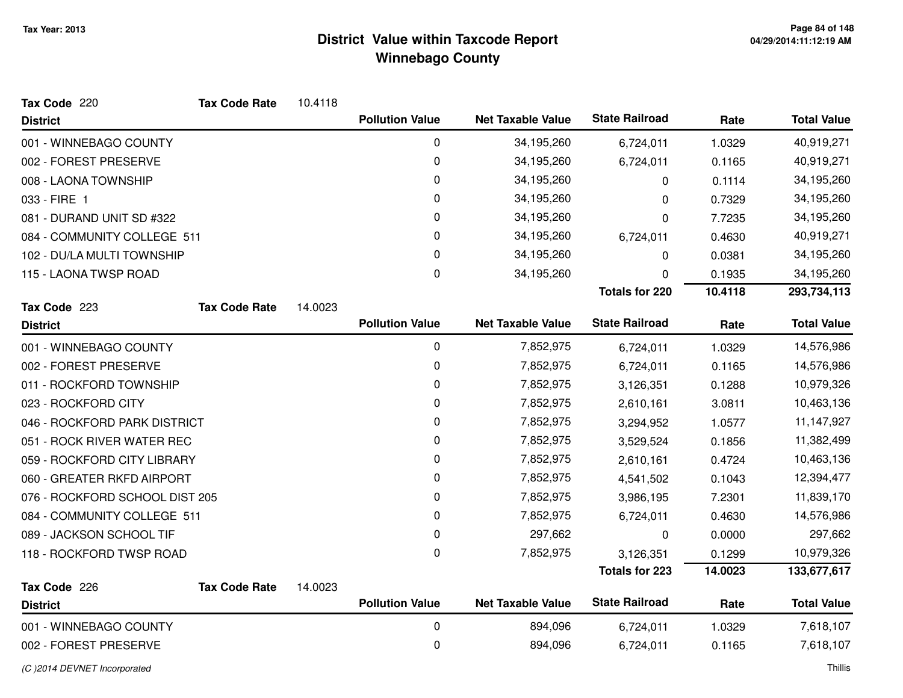| Tax Code 220                   | <b>Tax Code Rate</b> | 10.4118 |                        |                          |                       |         |                    |
|--------------------------------|----------------------|---------|------------------------|--------------------------|-----------------------|---------|--------------------|
| <b>District</b>                |                      |         | <b>Pollution Value</b> | <b>Net Taxable Value</b> | <b>State Railroad</b> | Rate    | <b>Total Value</b> |
| 001 - WINNEBAGO COUNTY         |                      |         | 0                      | 34,195,260               | 6,724,011             | 1.0329  | 40,919,271         |
| 002 - FOREST PRESERVE          |                      |         | 0                      | 34,195,260               | 6,724,011             | 0.1165  | 40,919,271         |
| 008 - LAONA TOWNSHIP           |                      |         | 0                      | 34,195,260               | 0                     | 0.1114  | 34,195,260         |
| 033 - FIRE 1                   |                      |         | 0                      | 34,195,260               | 0                     | 0.7329  | 34,195,260         |
| 081 - DURAND UNIT SD #322      |                      |         | 0                      | 34,195,260               | 0                     | 7.7235  | 34,195,260         |
| 084 - COMMUNITY COLLEGE 511    |                      |         | 0                      | 34,195,260               | 6,724,011             | 0.4630  | 40,919,271         |
| 102 - DU/LA MULTI TOWNSHIP     |                      |         | 0                      | 34,195,260               | 0                     | 0.0381  | 34,195,260         |
| 115 - LAONA TWSP ROAD          |                      |         | 0                      | 34,195,260               | 0                     | 0.1935  | 34,195,260         |
|                                |                      |         |                        |                          | <b>Totals for 220</b> | 10.4118 | 293,734,113        |
| Tax Code 223                   | <b>Tax Code Rate</b> | 14.0023 |                        |                          |                       |         |                    |
| <b>District</b>                |                      |         | <b>Pollution Value</b> | <b>Net Taxable Value</b> | <b>State Railroad</b> | Rate    | <b>Total Value</b> |
| 001 - WINNEBAGO COUNTY         |                      |         | 0                      | 7,852,975                | 6,724,011             | 1.0329  | 14,576,986         |
| 002 - FOREST PRESERVE          |                      |         | 0                      | 7,852,975                | 6,724,011             | 0.1165  | 14,576,986         |
| 011 - ROCKFORD TOWNSHIP        |                      |         | 0                      | 7,852,975                | 3,126,351             | 0.1288  | 10,979,326         |
| 023 - ROCKFORD CITY            |                      |         | 0                      | 7,852,975                | 2,610,161             | 3.0811  | 10,463,136         |
| 046 - ROCKFORD PARK DISTRICT   |                      |         | 0                      | 7,852,975                | 3,294,952             | 1.0577  | 11,147,927         |
| 051 - ROCK RIVER WATER REC     |                      |         | 0                      | 7,852,975                | 3,529,524             | 0.1856  | 11,382,499         |
| 059 - ROCKFORD CITY LIBRARY    |                      |         | 0                      | 7,852,975                | 2,610,161             | 0.4724  | 10,463,136         |
| 060 - GREATER RKFD AIRPORT     |                      |         | 0                      | 7,852,975                | 4,541,502             | 0.1043  | 12,394,477         |
| 076 - ROCKFORD SCHOOL DIST 205 |                      |         | 0                      | 7,852,975                | 3,986,195             | 7.2301  | 11,839,170         |
| 084 - COMMUNITY COLLEGE 511    |                      |         | 0                      | 7,852,975                | 6,724,011             | 0.4630  | 14,576,986         |
| 089 - JACKSON SCHOOL TIF       |                      |         | 0                      | 297,662                  | 0                     | 0.0000  | 297,662            |
| 118 - ROCKFORD TWSP ROAD       |                      |         | 0                      | 7,852,975                | 3,126,351             | 0.1299  | 10,979,326         |
|                                |                      |         |                        |                          | <b>Totals for 223</b> | 14.0023 | 133,677,617        |
| Tax Code 226                   | <b>Tax Code Rate</b> | 14.0023 |                        |                          |                       |         |                    |
| <b>District</b>                |                      |         | <b>Pollution Value</b> | <b>Net Taxable Value</b> | <b>State Railroad</b> | Rate    | <b>Total Value</b> |
| 001 - WINNEBAGO COUNTY         |                      |         | 0                      | 894,096                  | 6,724,011             | 1.0329  | 7,618,107          |
| 002 - FOREST PRESERVE          |                      |         | 0                      | 894,096                  | 6,724,011             | 0.1165  | 7,618,107          |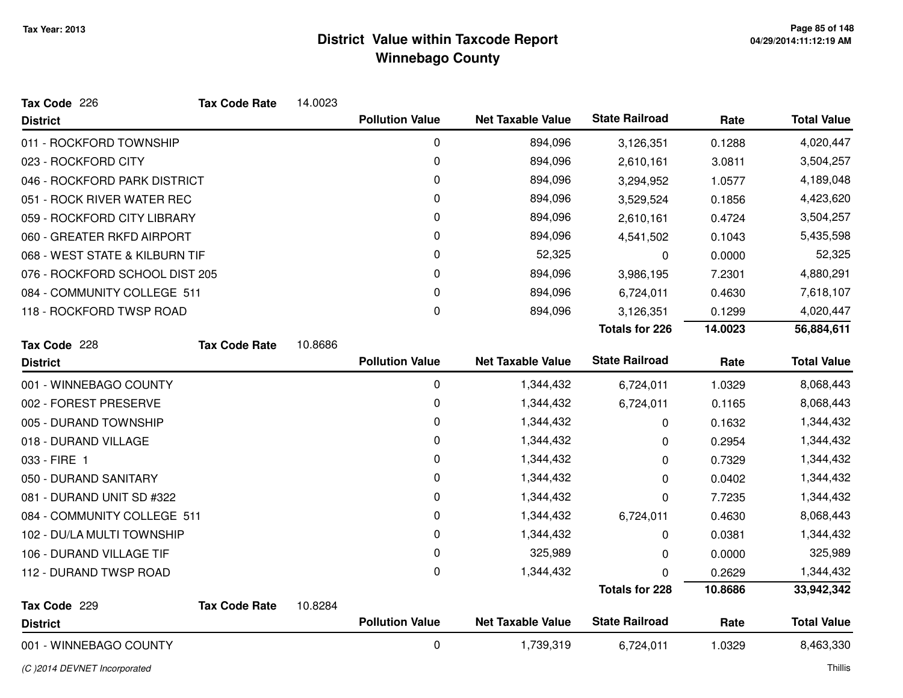| Tax Code 226                   | <b>Tax Code Rate</b> | 14.0023 |                        |                          |                       |         |                    |
|--------------------------------|----------------------|---------|------------------------|--------------------------|-----------------------|---------|--------------------|
| <b>District</b>                |                      |         | <b>Pollution Value</b> | <b>Net Taxable Value</b> | <b>State Railroad</b> | Rate    | <b>Total Value</b> |
| 011 - ROCKFORD TOWNSHIP        |                      |         | $\mathbf 0$            | 894,096                  | 3,126,351             | 0.1288  | 4,020,447          |
| 023 - ROCKFORD CITY            |                      |         | 0                      | 894,096                  | 2,610,161             | 3.0811  | 3,504,257          |
| 046 - ROCKFORD PARK DISTRICT   |                      |         | 0                      | 894,096                  | 3,294,952             | 1.0577  | 4,189,048          |
| 051 - ROCK RIVER WATER REC     |                      |         | 0                      | 894,096                  | 3,529,524             | 0.1856  | 4,423,620          |
| 059 - ROCKFORD CITY LIBRARY    |                      |         | 0                      | 894,096                  | 2,610,161             | 0.4724  | 3,504,257          |
| 060 - GREATER RKFD AIRPORT     |                      |         | 0                      | 894,096                  | 4,541,502             | 0.1043  | 5,435,598          |
| 068 - WEST STATE & KILBURN TIF |                      |         | 0                      | 52,325                   | 0                     | 0.0000  | 52,325             |
| 076 - ROCKFORD SCHOOL DIST 205 |                      |         | 0                      | 894,096                  | 3,986,195             | 7.2301  | 4,880,291          |
| 084 - COMMUNITY COLLEGE 511    |                      |         | 0                      | 894,096                  | 6,724,011             | 0.4630  | 7,618,107          |
| 118 - ROCKFORD TWSP ROAD       |                      |         | 0                      | 894,096                  | 3,126,351             | 0.1299  | 4,020,447          |
|                                |                      |         |                        |                          | <b>Totals for 226</b> | 14.0023 | 56,884,611         |
| Tax Code 228                   | <b>Tax Code Rate</b> | 10.8686 |                        |                          |                       |         |                    |
| <b>District</b>                |                      |         | <b>Pollution Value</b> | <b>Net Taxable Value</b> | <b>State Railroad</b> | Rate    | <b>Total Value</b> |
|                                |                      |         |                        |                          |                       |         |                    |
| 001 - WINNEBAGO COUNTY         |                      |         | 0                      | 1,344,432                | 6,724,011             | 1.0329  | 8,068,443          |
| 002 - FOREST PRESERVE          |                      |         | 0                      | 1,344,432                | 6,724,011             | 0.1165  | 8,068,443          |
| 005 - DURAND TOWNSHIP          |                      |         | 0                      | 1,344,432                | 0                     | 0.1632  | 1,344,432          |
| 018 - DURAND VILLAGE           |                      |         | 0                      | 1,344,432                | 0                     | 0.2954  | 1,344,432          |
| 033 - FIRE 1                   |                      |         | 0                      | 1,344,432                | 0                     | 0.7329  | 1,344,432          |
| 050 - DURAND SANITARY          |                      |         | 0                      | 1,344,432                | 0                     | 0.0402  | 1,344,432          |
| 081 - DURAND UNIT SD #322      |                      |         | 0                      | 1,344,432                | 0                     | 7.7235  | 1,344,432          |
| 084 - COMMUNITY COLLEGE 511    |                      |         | 0                      | 1,344,432                | 6,724,011             | 0.4630  | 8,068,443          |
| 102 - DU/LA MULTI TOWNSHIP     |                      |         | 0                      | 1,344,432                | 0                     | 0.0381  | 1,344,432          |
| 106 - DURAND VILLAGE TIF       |                      |         | 0                      | 325,989                  | 0                     | 0.0000  | 325,989            |
| 112 - DURAND TWSP ROAD         |                      |         | 0                      | 1,344,432                | 0                     | 0.2629  | 1,344,432          |
|                                |                      |         |                        |                          | <b>Totals for 228</b> | 10.8686 | 33,942,342         |
| Tax Code 229                   | <b>Tax Code Rate</b> | 10.8284 |                        |                          |                       |         |                    |
| <b>District</b>                |                      |         | <b>Pollution Value</b> | <b>Net Taxable Value</b> | <b>State Railroad</b> | Rate    | <b>Total Value</b> |

(C )2014 DEVNET Incorporated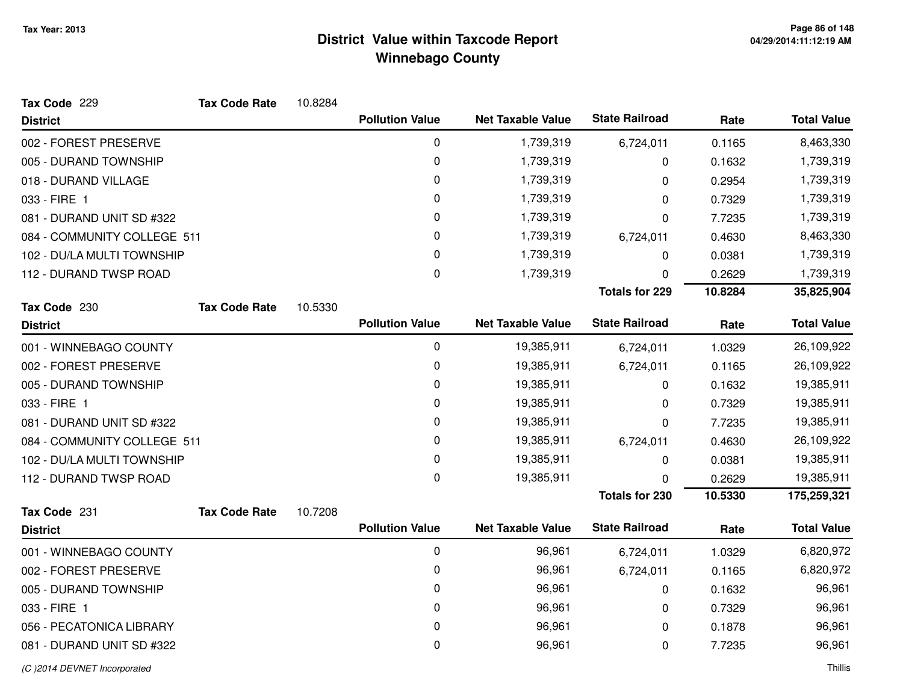| Tax Code 229                | <b>Tax Code Rate</b> | 10.8284 |                        |                          |                       |         |                    |
|-----------------------------|----------------------|---------|------------------------|--------------------------|-----------------------|---------|--------------------|
| <b>District</b>             |                      |         | <b>Pollution Value</b> | <b>Net Taxable Value</b> | <b>State Railroad</b> | Rate    | <b>Total Value</b> |
| 002 - FOREST PRESERVE       |                      |         | $\pmb{0}$              | 1,739,319                | 6,724,011             | 0.1165  | 8,463,330          |
| 005 - DURAND TOWNSHIP       |                      |         | 0                      | 1,739,319                | 0                     | 0.1632  | 1,739,319          |
| 018 - DURAND VILLAGE        |                      |         | 0                      | 1,739,319                | 0                     | 0.2954  | 1,739,319          |
| 033 - FIRE 1                |                      |         | 0                      | 1,739,319                | 0                     | 0.7329  | 1,739,319          |
| 081 - DURAND UNIT SD #322   |                      |         | $\pmb{0}$              | 1,739,319                | 0                     | 7.7235  | 1,739,319          |
| 084 - COMMUNITY COLLEGE 511 |                      |         | 0                      | 1,739,319                | 6,724,011             | 0.4630  | 8,463,330          |
| 102 - DU/LA MULTI TOWNSHIP  |                      |         | 0                      | 1,739,319                | 0                     | 0.0381  | 1,739,319          |
| 112 - DURAND TWSP ROAD      |                      |         | $\mathbf 0$            | 1,739,319                | 0                     | 0.2629  | 1,739,319          |
|                             |                      |         |                        |                          | <b>Totals for 229</b> | 10.8284 | 35,825,904         |
| Tax Code 230                | <b>Tax Code Rate</b> | 10.5330 |                        |                          |                       |         |                    |
| <b>District</b>             |                      |         | <b>Pollution Value</b> | <b>Net Taxable Value</b> | <b>State Railroad</b> | Rate    | <b>Total Value</b> |
| 001 - WINNEBAGO COUNTY      |                      |         | $\pmb{0}$              | 19,385,911               | 6,724,011             | 1.0329  | 26,109,922         |
| 002 - FOREST PRESERVE       |                      |         | 0                      | 19,385,911               | 6,724,011             | 0.1165  | 26,109,922         |
| 005 - DURAND TOWNSHIP       |                      |         | 0                      | 19,385,911               | 0                     | 0.1632  | 19,385,911         |
| 033 - FIRE 1                |                      |         | 0                      | 19,385,911               | 0                     | 0.7329  | 19,385,911         |
| 081 - DURAND UNIT SD #322   |                      |         | 0                      | 19,385,911               | 0                     | 7.7235  | 19,385,911         |
| 084 - COMMUNITY COLLEGE 511 |                      |         | 0                      | 19,385,911               | 6,724,011             | 0.4630  | 26,109,922         |
| 102 - DU/LA MULTI TOWNSHIP  |                      |         | 0                      | 19,385,911               | 0                     | 0.0381  | 19,385,911         |
| 112 - DURAND TWSP ROAD      |                      |         | 0                      | 19,385,911               | 0                     | 0.2629  | 19,385,911         |
|                             |                      |         |                        |                          | <b>Totals for 230</b> | 10.5330 | 175,259,321        |
| Tax Code 231                | <b>Tax Code Rate</b> | 10.7208 |                        |                          |                       |         |                    |
| <b>District</b>             |                      |         | <b>Pollution Value</b> | <b>Net Taxable Value</b> | <b>State Railroad</b> | Rate    | <b>Total Value</b> |
| 001 - WINNEBAGO COUNTY      |                      |         | $\pmb{0}$              | 96,961                   | 6,724,011             | 1.0329  | 6,820,972          |
| 002 - FOREST PRESERVE       |                      |         | 0                      | 96,961                   | 6,724,011             | 0.1165  | 6,820,972          |
| 005 - DURAND TOWNSHIP       |                      |         | 0                      | 96,961                   | 0                     | 0.1632  | 96,961             |
| 033 - FIRE 1                |                      |         | 0                      | 96,961                   | 0                     | 0.7329  | 96,961             |
| 056 - PECATONICA LIBRARY    |                      |         | 0                      | 96,961                   | 0                     | 0.1878  | 96,961             |
| 081 - DURAND UNIT SD #322   |                      |         | 0                      | 96,961                   | 0                     | 7.7235  | 96,961             |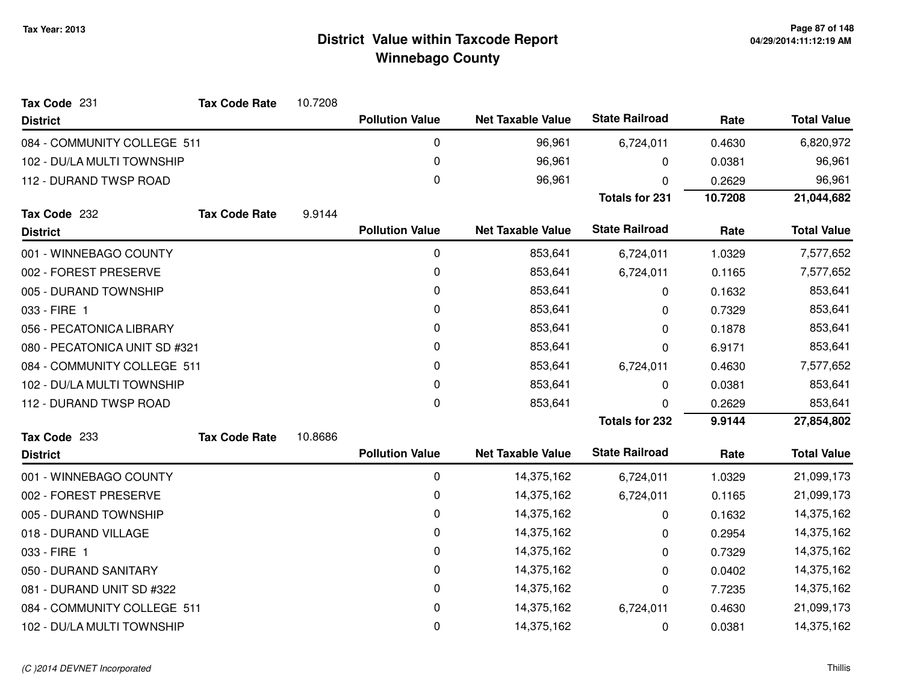| Tax Code 231                  | <b>Tax Code Rate</b> | 10.7208 |                        |                          |                       |         |                    |
|-------------------------------|----------------------|---------|------------------------|--------------------------|-----------------------|---------|--------------------|
| <b>District</b>               |                      |         | <b>Pollution Value</b> | <b>Net Taxable Value</b> | <b>State Railroad</b> | Rate    | <b>Total Value</b> |
| 084 - COMMUNITY COLLEGE 511   |                      |         | 0                      | 96,961                   | 6,724,011             | 0.4630  | 6,820,972          |
| 102 - DU/LA MULTI TOWNSHIP    |                      |         | 0                      | 96,961                   | 0                     | 0.0381  | 96,961             |
| 112 - DURAND TWSP ROAD        |                      |         | 0                      | 96,961                   | 0                     | 0.2629  | 96,961             |
|                               |                      |         |                        |                          | <b>Totals for 231</b> | 10.7208 | 21,044,682         |
| Tax Code 232                  | <b>Tax Code Rate</b> | 9.9144  |                        |                          |                       |         |                    |
| <b>District</b>               |                      |         | <b>Pollution Value</b> | <b>Net Taxable Value</b> | <b>State Railroad</b> | Rate    | <b>Total Value</b> |
| 001 - WINNEBAGO COUNTY        |                      |         | 0                      | 853,641                  | 6,724,011             | 1.0329  | 7,577,652          |
| 002 - FOREST PRESERVE         |                      |         | 0                      | 853,641                  | 6,724,011             | 0.1165  | 7,577,652          |
| 005 - DURAND TOWNSHIP         |                      |         | 0                      | 853,641                  | 0                     | 0.1632  | 853,641            |
| 033 - FIRE 1                  |                      |         | 0                      | 853,641                  | 0                     | 0.7329  | 853,641            |
| 056 - PECATONICA LIBRARY      |                      |         | 0                      | 853,641                  | 0                     | 0.1878  | 853,641            |
| 080 - PECATONICA UNIT SD #321 |                      |         | 0                      | 853,641                  | 0                     | 6.9171  | 853,641            |
| 084 - COMMUNITY COLLEGE 511   |                      |         | 0                      | 853,641                  | 6,724,011             | 0.4630  | 7,577,652          |
| 102 - DU/LA MULTI TOWNSHIP    |                      |         | 0                      | 853,641                  | 0                     | 0.0381  | 853,641            |
| 112 - DURAND TWSP ROAD        |                      |         | 0                      | 853,641                  | 0                     | 0.2629  | 853,641            |
|                               |                      |         |                        |                          | <b>Totals for 232</b> | 9.9144  | 27,854,802         |
| Tax Code 233                  | <b>Tax Code Rate</b> | 10.8686 |                        |                          |                       |         |                    |
| <b>District</b>               |                      |         | <b>Pollution Value</b> | <b>Net Taxable Value</b> | <b>State Railroad</b> | Rate    | <b>Total Value</b> |
| 001 - WINNEBAGO COUNTY        |                      |         | 0                      | 14,375,162               | 6,724,011             | 1.0329  | 21,099,173         |
| 002 - FOREST PRESERVE         |                      |         | 0                      | 14,375,162               | 6,724,011             | 0.1165  | 21,099,173         |
| 005 - DURAND TOWNSHIP         |                      |         | 0                      | 14,375,162               | 0                     | 0.1632  | 14,375,162         |
| 018 - DURAND VILLAGE          |                      |         | 0                      | 14,375,162               | 0                     | 0.2954  | 14,375,162         |
| 033 - FIRE 1                  |                      |         | 0                      | 14,375,162               | 0                     | 0.7329  | 14,375,162         |
| 050 - DURAND SANITARY         |                      |         | 0                      | 14,375,162               | 0                     | 0.0402  | 14,375,162         |
| 081 - DURAND UNIT SD #322     |                      |         | $\pmb{0}$              | 14,375,162               | 0                     | 7.7235  | 14,375,162         |
| 084 - COMMUNITY COLLEGE 511   |                      |         | 0                      | 14,375,162               | 6,724,011             | 0.4630  | 21,099,173         |
| 102 - DU/LA MULTI TOWNSHIP    |                      |         | 0                      | 14,375,162               | 0                     | 0.0381  | 14,375,162         |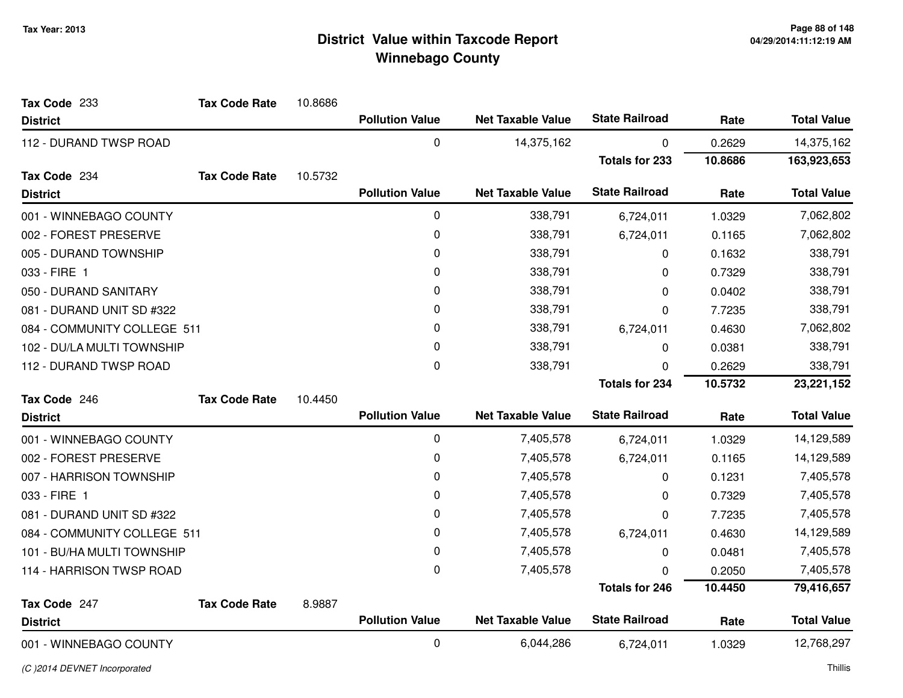| Tax Code 233                | <b>Tax Code Rate</b> | 10.8686 |                        |                          |                       |         |                    |
|-----------------------------|----------------------|---------|------------------------|--------------------------|-----------------------|---------|--------------------|
| <b>District</b>             |                      |         | <b>Pollution Value</b> | <b>Net Taxable Value</b> | <b>State Railroad</b> | Rate    | <b>Total Value</b> |
| 112 - DURAND TWSP ROAD      |                      |         | $\mathbf 0$            | 14,375,162               | 0                     | 0.2629  | 14,375,162         |
|                             |                      |         |                        |                          | <b>Totals for 233</b> | 10.8686 | 163,923,653        |
| Tax Code 234                | <b>Tax Code Rate</b> | 10.5732 |                        |                          |                       |         |                    |
| <b>District</b>             |                      |         | <b>Pollution Value</b> | <b>Net Taxable Value</b> | <b>State Railroad</b> | Rate    | <b>Total Value</b> |
| 001 - WINNEBAGO COUNTY      |                      |         | $\mathbf 0$            | 338,791                  | 6,724,011             | 1.0329  | 7,062,802          |
| 002 - FOREST PRESERVE       |                      |         | 0                      | 338,791                  | 6,724,011             | 0.1165  | 7,062,802          |
| 005 - DURAND TOWNSHIP       |                      |         | 0                      | 338,791                  | 0                     | 0.1632  | 338,791            |
| 033 - FIRE 1                |                      |         | 0                      | 338,791                  | 0                     | 0.7329  | 338,791            |
| 050 - DURAND SANITARY       |                      |         | 0                      | 338,791                  | 0                     | 0.0402  | 338,791            |
| 081 - DURAND UNIT SD #322   |                      |         | 0                      | 338,791                  | 0                     | 7.7235  | 338,791            |
| 084 - COMMUNITY COLLEGE 511 |                      |         | 0                      | 338,791                  | 6,724,011             | 0.4630  | 7,062,802          |
| 102 - DU/LA MULTI TOWNSHIP  |                      |         | 0                      | 338,791                  | 0                     | 0.0381  | 338,791            |
| 112 - DURAND TWSP ROAD      |                      |         | $\mathbf 0$            | 338,791                  | 0                     | 0.2629  | 338,791            |
|                             |                      |         |                        |                          | <b>Totals for 234</b> | 10.5732 | 23,221,152         |
| Tax Code 246                | <b>Tax Code Rate</b> | 10.4450 |                        |                          |                       |         |                    |
| <b>District</b>             |                      |         | <b>Pollution Value</b> | <b>Net Taxable Value</b> | <b>State Railroad</b> | Rate    | <b>Total Value</b> |
| 001 - WINNEBAGO COUNTY      |                      |         | $\pmb{0}$              | 7,405,578                | 6,724,011             | 1.0329  | 14,129,589         |
| 002 - FOREST PRESERVE       |                      |         | $\mathbf 0$            | 7,405,578                | 6,724,011             | 0.1165  | 14,129,589         |
| 007 - HARRISON TOWNSHIP     |                      |         | 0                      | 7,405,578                | 0                     | 0.1231  | 7,405,578          |
| 033 - FIRE 1                |                      |         | 0                      | 7,405,578                | 0                     | 0.7329  | 7,405,578          |
| 081 - DURAND UNIT SD #322   |                      |         | 0                      | 7,405,578                | 0                     | 7.7235  | 7,405,578          |
| 084 - COMMUNITY COLLEGE 511 |                      |         | 0                      | 7,405,578                | 6,724,011             | 0.4630  | 14,129,589         |
| 101 - BU/HA MULTI TOWNSHIP  |                      |         | 0                      | 7,405,578                | 0                     | 0.0481  | 7,405,578          |
| 114 - HARRISON TWSP ROAD    |                      |         | $\Omega$               | 7,405,578                | O                     | 0.2050  | 7,405,578          |
|                             |                      |         |                        |                          | <b>Totals for 246</b> | 10.4450 | 79,416,657         |
| Tax Code 247                | <b>Tax Code Rate</b> | 8.9887  |                        |                          |                       |         |                    |
| <b>District</b>             |                      |         | <b>Pollution Value</b> | <b>Net Taxable Value</b> | <b>State Railroad</b> | Rate    | <b>Total Value</b> |
| 001 - WINNEBAGO COUNTY      |                      |         | $\mathbf 0$            | 6,044,286                | 6,724,011             | 1.0329  | 12,768,297         |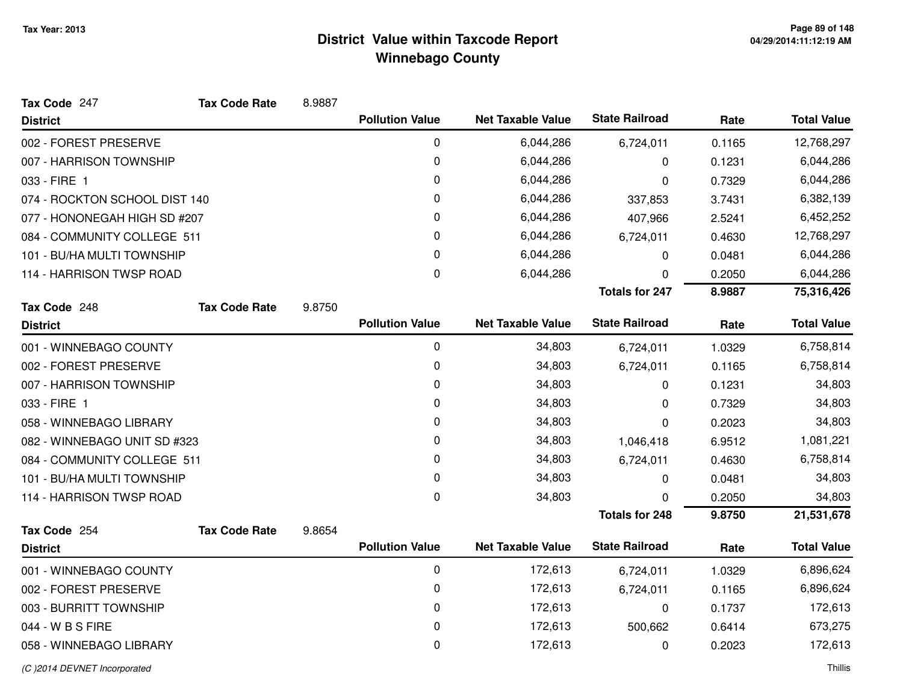| Tax Code 247                  | <b>Tax Code Rate</b> | 8.9887 |                        |                          |                       |        |                    |
|-------------------------------|----------------------|--------|------------------------|--------------------------|-----------------------|--------|--------------------|
| <b>District</b>               |                      |        | <b>Pollution Value</b> | <b>Net Taxable Value</b> | <b>State Railroad</b> | Rate   | <b>Total Value</b> |
| 002 - FOREST PRESERVE         |                      |        | 0                      | 6,044,286                | 6,724,011             | 0.1165 | 12,768,297         |
| 007 - HARRISON TOWNSHIP       |                      |        | 0                      | 6,044,286                | 0                     | 0.1231 | 6,044,286          |
| 033 - FIRE 1                  |                      |        | 0                      | 6,044,286                | 0                     | 0.7329 | 6,044,286          |
| 074 - ROCKTON SCHOOL DIST 140 |                      |        | 0                      | 6,044,286                | 337,853               | 3.7431 | 6,382,139          |
| 077 - HONONEGAH HIGH SD #207  |                      |        | 0                      | 6,044,286                | 407,966               | 2.5241 | 6,452,252          |
| 084 - COMMUNITY COLLEGE 511   |                      |        | 0                      | 6,044,286                | 6,724,011             | 0.4630 | 12,768,297         |
| 101 - BU/HA MULTI TOWNSHIP    |                      |        | 0                      | 6,044,286                | 0                     | 0.0481 | 6,044,286          |
| 114 - HARRISON TWSP ROAD      |                      |        | $\mathbf 0$            | 6,044,286                | 0                     | 0.2050 | 6,044,286          |
|                               |                      |        |                        |                          | <b>Totals for 247</b> | 8.9887 | 75,316,426         |
| Tax Code 248                  | <b>Tax Code Rate</b> | 9.8750 |                        |                          |                       |        |                    |
| <b>District</b>               |                      |        | <b>Pollution Value</b> | <b>Net Taxable Value</b> | <b>State Railroad</b> | Rate   | <b>Total Value</b> |
| 001 - WINNEBAGO COUNTY        |                      |        | 0                      | 34,803                   | 6,724,011             | 1.0329 | 6,758,814          |
| 002 - FOREST PRESERVE         |                      |        | $\pmb{0}$              | 34,803                   | 6,724,011             | 0.1165 | 6,758,814          |
| 007 - HARRISON TOWNSHIP       |                      |        | 0                      | 34,803                   | 0                     | 0.1231 | 34,803             |
| 033 - FIRE 1                  |                      |        | 0                      | 34,803                   | 0                     | 0.7329 | 34,803             |
| 058 - WINNEBAGO LIBRARY       |                      |        | 0                      | 34,803                   | 0                     | 0.2023 | 34,803             |
| 082 - WINNEBAGO UNIT SD #323  |                      |        | 0                      | 34,803                   | 1,046,418             | 6.9512 | 1,081,221          |
| 084 - COMMUNITY COLLEGE 511   |                      |        | 0                      | 34,803                   | 6,724,011             | 0.4630 | 6,758,814          |
| 101 - BU/HA MULTI TOWNSHIP    |                      |        | 0                      | 34,803                   | 0                     | 0.0481 | 34,803             |
| 114 - HARRISON TWSP ROAD      |                      |        | 0                      | 34,803                   | 0                     | 0.2050 | 34,803             |
|                               |                      |        |                        |                          | <b>Totals for 248</b> | 9.8750 | 21,531,678         |
| Tax Code 254                  | <b>Tax Code Rate</b> | 9.8654 |                        |                          |                       |        |                    |
| <b>District</b>               |                      |        | <b>Pollution Value</b> | <b>Net Taxable Value</b> | <b>State Railroad</b> | Rate   | <b>Total Value</b> |
| 001 - WINNEBAGO COUNTY        |                      |        | 0                      | 172,613                  | 6,724,011             | 1.0329 | 6,896,624          |
| 002 - FOREST PRESERVE         |                      |        | 0                      | 172,613                  | 6,724,011             | 0.1165 | 6,896,624          |
| 003 - BURRITT TOWNSHIP        |                      |        | 0                      | 172,613                  | 0                     | 0.1737 | 172,613            |
| 044 - W B S FIRE              |                      |        | 0                      | 172,613                  | 500,662               | 0.6414 | 673,275            |
| 058 - WINNEBAGO LIBRARY       |                      |        | 0                      | 172,613                  | 0                     | 0.2023 | 172,613            |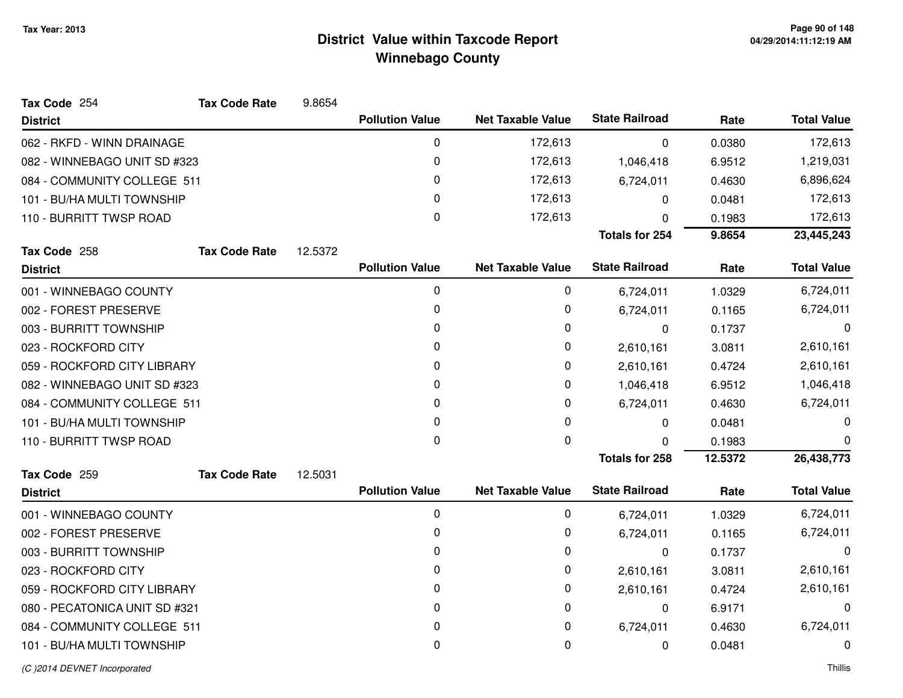| Tax Code 254                  | <b>Tax Code Rate</b> | 9.8654  |                        |                          |                       |         |                    |
|-------------------------------|----------------------|---------|------------------------|--------------------------|-----------------------|---------|--------------------|
| <b>District</b>               |                      |         | <b>Pollution Value</b> | <b>Net Taxable Value</b> | <b>State Railroad</b> | Rate    | <b>Total Value</b> |
| 062 - RKFD - WINN DRAINAGE    |                      |         | $\mathbf 0$            | 172,613                  | 0                     | 0.0380  | 172,613            |
| 082 - WINNEBAGO UNIT SD #323  |                      |         | 0                      | 172,613                  | 1,046,418             | 6.9512  | 1,219,031          |
| 084 - COMMUNITY COLLEGE 511   |                      |         | 0                      | 172,613                  | 6,724,011             | 0.4630  | 6,896,624          |
| 101 - BU/HA MULTI TOWNSHIP    |                      |         | 0                      | 172,613                  | $\Omega$              | 0.0481  | 172,613            |
| 110 - BURRITT TWSP ROAD       |                      |         | 0                      | 172,613                  | 0                     | 0.1983  | 172,613            |
|                               |                      |         |                        |                          | <b>Totals for 254</b> | 9.8654  | 23,445,243         |
| Tax Code 258                  | <b>Tax Code Rate</b> | 12.5372 |                        |                          |                       |         |                    |
| <b>District</b>               |                      |         | <b>Pollution Value</b> | <b>Net Taxable Value</b> | <b>State Railroad</b> | Rate    | <b>Total Value</b> |
| 001 - WINNEBAGO COUNTY        |                      |         | 0                      | 0                        | 6,724,011             | 1.0329  | 6,724,011          |
| 002 - FOREST PRESERVE         |                      |         | 0                      | 0                        | 6,724,011             | 0.1165  | 6,724,011          |
| 003 - BURRITT TOWNSHIP        |                      |         | 0                      | 0                        | 0                     | 0.1737  | 0                  |
| 023 - ROCKFORD CITY           |                      |         | 0                      | 0                        | 2,610,161             | 3.0811  | 2,610,161          |
| 059 - ROCKFORD CITY LIBRARY   |                      |         | 0                      | 0                        | 2,610,161             | 0.4724  | 2,610,161          |
| 082 - WINNEBAGO UNIT SD #323  |                      |         | 0                      | 0                        | 1,046,418             | 6.9512  | 1,046,418          |
| 084 - COMMUNITY COLLEGE 511   |                      |         | 0                      | 0                        | 6,724,011             | 0.4630  | 6,724,011          |
| 101 - BU/HA MULTI TOWNSHIP    |                      |         | 0                      | 0                        | 0                     | 0.0481  | 0                  |
| 110 - BURRITT TWSP ROAD       |                      |         | 0                      | $\Omega$                 | <sup>0</sup>          | 0.1983  | 0                  |
|                               |                      |         |                        |                          | <b>Totals for 258</b> | 12.5372 | 26,438,773         |
| Tax Code 259                  | <b>Tax Code Rate</b> | 12.5031 |                        |                          |                       |         |                    |
| <b>District</b>               |                      |         | <b>Pollution Value</b> | <b>Net Taxable Value</b> | <b>State Railroad</b> | Rate    | <b>Total Value</b> |
| 001 - WINNEBAGO COUNTY        |                      |         | 0                      | 0                        | 6,724,011             | 1.0329  | 6,724,011          |
| 002 - FOREST PRESERVE         |                      |         | 0                      | 0                        | 6,724,011             | 0.1165  | 6,724,011          |
| 003 - BURRITT TOWNSHIP        |                      |         | 0                      | 0                        | $\mathbf 0$           | 0.1737  | 0                  |
| 023 - ROCKFORD CITY           |                      |         | 0                      | 0                        | 2,610,161             | 3.0811  | 2,610,161          |
| 059 - ROCKFORD CITY LIBRARY   |                      |         | 0                      | 0                        | 2,610,161             | 0.4724  | 2,610,161          |
| 080 - PECATONICA UNIT SD #321 |                      |         | 0                      | 0                        | 0                     | 6.9171  | 0                  |
| 084 - COMMUNITY COLLEGE 511   |                      |         | 0                      | 0                        | 6,724,011             | 0.4630  | 6,724,011          |
| 101 - BU/HA MULTI TOWNSHIP    |                      |         | 0                      | 0                        | 0                     | 0.0481  | 0                  |
|                               |                      |         |                        |                          |                       |         |                    |

#### (C )2014 DEVNET Incorporated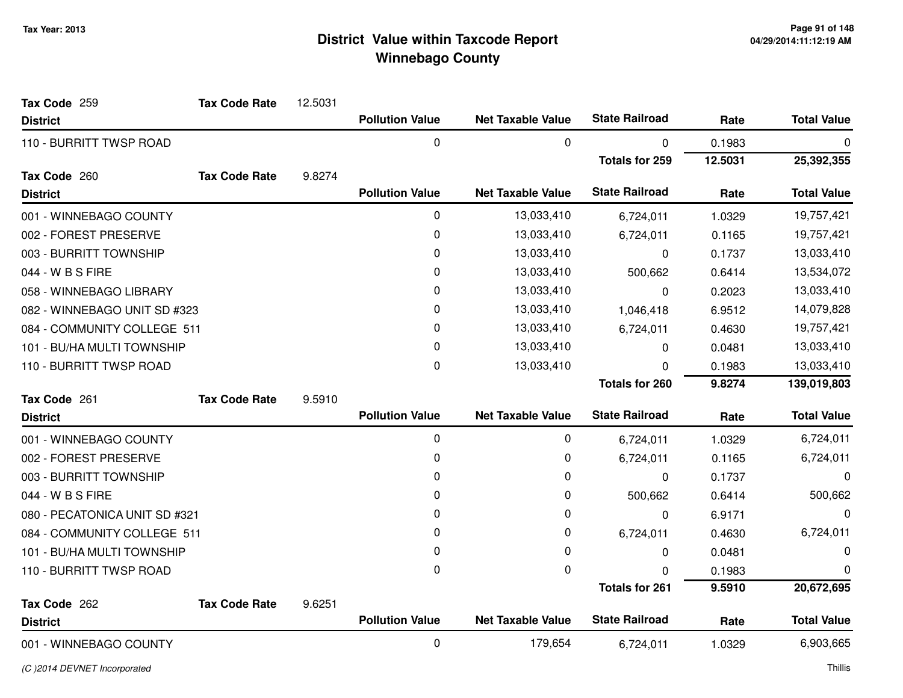| Tax Code 259                  | <b>Tax Code Rate</b> | 12.5031 |                        |                          |                       |         |                    |
|-------------------------------|----------------------|---------|------------------------|--------------------------|-----------------------|---------|--------------------|
| <b>District</b>               |                      |         | <b>Pollution Value</b> | <b>Net Taxable Value</b> | <b>State Railroad</b> | Rate    | <b>Total Value</b> |
| 110 - BURRITT TWSP ROAD       |                      |         | 0                      | 0                        | 0                     | 0.1983  | 0                  |
|                               |                      |         |                        |                          | <b>Totals for 259</b> | 12.5031 | 25,392,355         |
| Tax Code 260                  | <b>Tax Code Rate</b> | 9.8274  |                        |                          |                       |         |                    |
| <b>District</b>               |                      |         | <b>Pollution Value</b> | <b>Net Taxable Value</b> | <b>State Railroad</b> | Rate    | <b>Total Value</b> |
| 001 - WINNEBAGO COUNTY        |                      |         | 0                      | 13,033,410               | 6,724,011             | 1.0329  | 19,757,421         |
| 002 - FOREST PRESERVE         |                      |         | $\mathbf 0$            | 13,033,410               | 6,724,011             | 0.1165  | 19,757,421         |
| 003 - BURRITT TOWNSHIP        |                      |         | 0                      | 13,033,410               | 0                     | 0.1737  | 13,033,410         |
| 044 - W B S FIRE              |                      |         | 0                      | 13,033,410               | 500,662               | 0.6414  | 13,534,072         |
| 058 - WINNEBAGO LIBRARY       |                      |         | 0                      | 13,033,410               | 0                     | 0.2023  | 13,033,410         |
| 082 - WINNEBAGO UNIT SD #323  |                      |         | 0                      | 13,033,410               | 1,046,418             | 6.9512  | 14,079,828         |
| 084 - COMMUNITY COLLEGE 511   |                      |         | 0                      | 13,033,410               | 6,724,011             | 0.4630  | 19,757,421         |
| 101 - BU/HA MULTI TOWNSHIP    |                      |         | 0                      | 13,033,410               | 0                     | 0.0481  | 13,033,410         |
| 110 - BURRITT TWSP ROAD       |                      |         | 0                      | 13,033,410               | 0                     | 0.1983  | 13,033,410         |
|                               |                      |         |                        |                          | <b>Totals for 260</b> | 9.8274  | 139,019,803        |
| Tax Code 261                  | <b>Tax Code Rate</b> | 9.5910  |                        |                          |                       |         |                    |
| <b>District</b>               |                      |         | <b>Pollution Value</b> | <b>Net Taxable Value</b> | <b>State Railroad</b> | Rate    | <b>Total Value</b> |
| 001 - WINNEBAGO COUNTY        |                      |         | $\pmb{0}$              | 0                        | 6,724,011             | 1.0329  | 6,724,011          |
| 002 - FOREST PRESERVE         |                      |         | 0                      | 0                        | 6,724,011             | 0.1165  | 6,724,011          |
| 003 - BURRITT TOWNSHIP        |                      |         | 0                      | 0                        | 0                     | 0.1737  | 0                  |
| 044 - W B S FIRE              |                      |         | 0                      | 0                        | 500,662               | 0.6414  | 500,662            |
| 080 - PECATONICA UNIT SD #321 |                      |         | 0                      | 0                        | 0                     | 6.9171  | 0                  |
| 084 - COMMUNITY COLLEGE 511   |                      |         | 0                      | 0                        | 6,724,011             | 0.4630  | 6,724,011          |
| 101 - BU/HA MULTI TOWNSHIP    |                      |         | 0                      | 0                        | 0                     | 0.0481  | 0                  |
| 110 - BURRITT TWSP ROAD       |                      |         | 0                      | 0                        | 0                     | 0.1983  | 0                  |
|                               |                      |         |                        |                          | <b>Totals for 261</b> | 9.5910  | 20,672,695         |
| Tax Code 262                  | <b>Tax Code Rate</b> | 9.6251  |                        |                          |                       |         |                    |
| <b>District</b>               |                      |         | <b>Pollution Value</b> | <b>Net Taxable Value</b> | <b>State Railroad</b> | Rate    | <b>Total Value</b> |
| 001 - WINNEBAGO COUNTY        |                      |         | 0                      | 179,654                  | 6,724,011             | 1.0329  | 6,903,665          |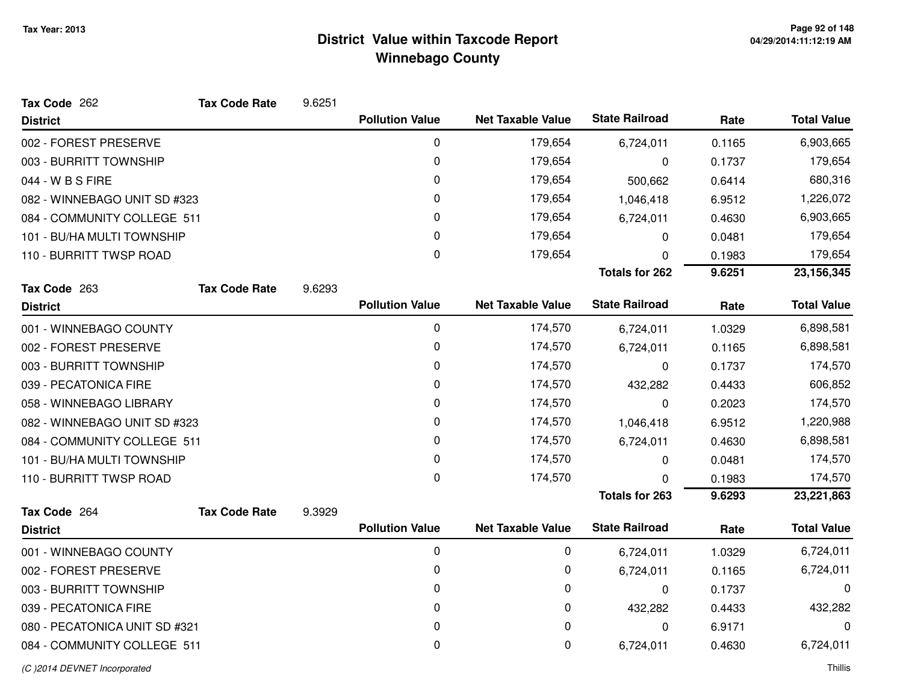| Tax Code 262                  | <b>Tax Code Rate</b> | 9.6251 |                        |                          |                       |        |                    |
|-------------------------------|----------------------|--------|------------------------|--------------------------|-----------------------|--------|--------------------|
| <b>District</b>               |                      |        | <b>Pollution Value</b> | <b>Net Taxable Value</b> | <b>State Railroad</b> | Rate   | <b>Total Value</b> |
| 002 - FOREST PRESERVE         |                      |        | $\pmb{0}$              | 179,654                  | 6,724,011             | 0.1165 | 6,903,665          |
| 003 - BURRITT TOWNSHIP        |                      |        | 0                      | 179,654                  | 0                     | 0.1737 | 179,654            |
| 044 - W B S FIRE              |                      |        | 0                      | 179,654                  | 500,662               | 0.6414 | 680,316            |
| 082 - WINNEBAGO UNIT SD #323  |                      |        | 0                      | 179,654                  | 1,046,418             | 6.9512 | 1,226,072          |
| 084 - COMMUNITY COLLEGE 511   |                      |        | 0                      | 179,654                  | 6,724,011             | 0.4630 | 6,903,665          |
| 101 - BU/HA MULTI TOWNSHIP    |                      |        | 0                      | 179,654                  | 0                     | 0.0481 | 179,654            |
| 110 - BURRITT TWSP ROAD       |                      |        | $\mathbf 0$            | 179,654                  | 0                     | 0.1983 | 179,654            |
|                               |                      |        |                        |                          | <b>Totals for 262</b> | 9.6251 | 23, 156, 345       |
| Tax Code 263                  | <b>Tax Code Rate</b> | 9.6293 |                        |                          |                       |        |                    |
| <b>District</b>               |                      |        | <b>Pollution Value</b> | <b>Net Taxable Value</b> | <b>State Railroad</b> | Rate   | <b>Total Value</b> |
| 001 - WINNEBAGO COUNTY        |                      |        | 0                      | 174,570                  | 6,724,011             | 1.0329 | 6,898,581          |
| 002 - FOREST PRESERVE         |                      |        | 0                      | 174,570                  | 6,724,011             | 0.1165 | 6,898,581          |
| 003 - BURRITT TOWNSHIP        |                      |        | 0                      | 174,570                  | $\mathbf 0$           | 0.1737 | 174,570            |
| 039 - PECATONICA FIRE         |                      |        | 0                      | 174,570                  | 432,282               | 0.4433 | 606,852            |
| 058 - WINNEBAGO LIBRARY       |                      |        | 0                      | 174,570                  | 0                     | 0.2023 | 174,570            |
| 082 - WINNEBAGO UNIT SD #323  |                      |        | 0                      | 174,570                  | 1,046,418             | 6.9512 | 1,220,988          |
| 084 - COMMUNITY COLLEGE 511   |                      |        | 0                      | 174,570                  | 6,724,011             | 0.4630 | 6,898,581          |
| 101 - BU/HA MULTI TOWNSHIP    |                      |        | 0                      | 174,570                  | 0                     | 0.0481 | 174,570            |
| 110 - BURRITT TWSP ROAD       |                      |        | 0                      | 174,570                  | 0                     | 0.1983 | 174,570            |
|                               |                      |        |                        |                          | <b>Totals for 263</b> | 9.6293 | 23,221,863         |
| Tax Code 264                  | <b>Tax Code Rate</b> | 9.3929 |                        |                          |                       |        |                    |
| <b>District</b>               |                      |        | <b>Pollution Value</b> | <b>Net Taxable Value</b> | <b>State Railroad</b> | Rate   | <b>Total Value</b> |
| 001 - WINNEBAGO COUNTY        |                      |        | 0                      | 0                        | 6,724,011             | 1.0329 | 6,724,011          |
| 002 - FOREST PRESERVE         |                      |        | 0                      | 0                        | 6,724,011             | 0.1165 | 6,724,011          |
| 003 - BURRITT TOWNSHIP        |                      |        | $\pmb{0}$              | 0                        | 0                     | 0.1737 | 0                  |
| 039 - PECATONICA FIRE         |                      |        | 0                      | 0                        | 432,282               | 0.4433 | 432,282            |
| 080 - PECATONICA UNIT SD #321 |                      |        | $\pmb{0}$              | 0                        | 0                     | 6.9171 | 0                  |
| 084 - COMMUNITY COLLEGE 511   |                      |        | 0                      | 0                        | 6,724,011             | 0.4630 | 6,724,011          |
| (C) 2014 DEVNET Incorporated  |                      |        |                        |                          |                       |        | Thillis            |

d and the contract of the contract of the contract of the contract of the contract of the contract of the contract of the contract of the contract of the contract of the contract of the contract of the contract of the cont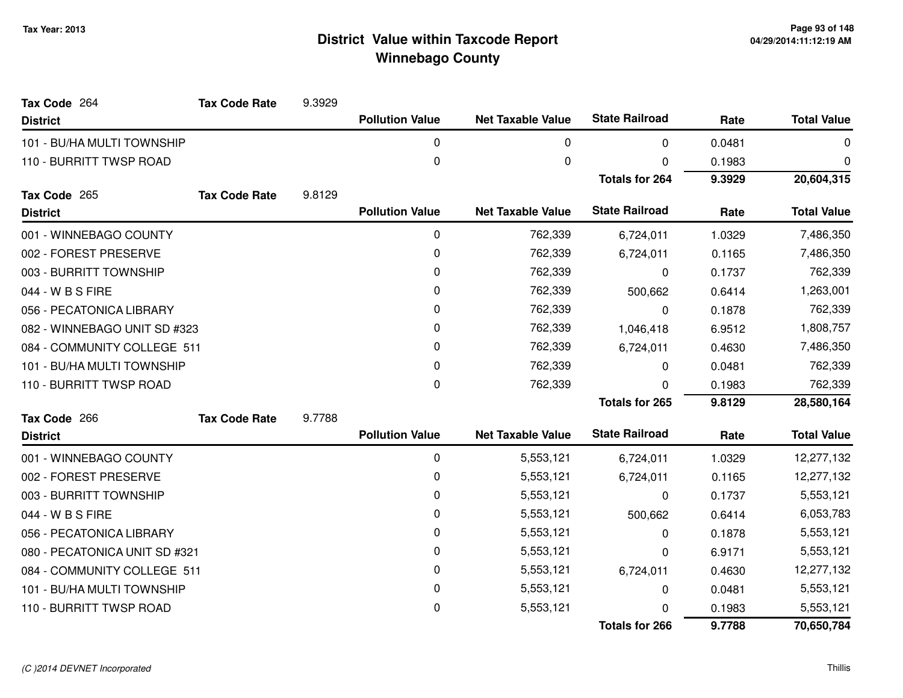| Tax Code 264                  | <b>Tax Code Rate</b> | 9.3929 |                        |                          |                       |        |                    |
|-------------------------------|----------------------|--------|------------------------|--------------------------|-----------------------|--------|--------------------|
| <b>District</b>               |                      |        | <b>Pollution Value</b> | <b>Net Taxable Value</b> | <b>State Railroad</b> | Rate   | <b>Total Value</b> |
| 101 - BU/HA MULTI TOWNSHIP    |                      |        | 0                      | 0                        | $\Omega$              | 0.0481 | 0                  |
| 110 - BURRITT TWSP ROAD       |                      |        | $\pmb{0}$              | 0                        | 0                     | 0.1983 | 0                  |
|                               |                      |        |                        |                          | <b>Totals for 264</b> | 9.3929 | 20,604,315         |
| Tax Code 265                  | <b>Tax Code Rate</b> | 9.8129 |                        |                          |                       |        |                    |
| <b>District</b>               |                      |        | <b>Pollution Value</b> | <b>Net Taxable Value</b> | <b>State Railroad</b> | Rate   | <b>Total Value</b> |
| 001 - WINNEBAGO COUNTY        |                      |        | 0                      | 762,339                  | 6,724,011             | 1.0329 | 7,486,350          |
| 002 - FOREST PRESERVE         |                      |        | 0                      | 762,339                  | 6,724,011             | 0.1165 | 7,486,350          |
| 003 - BURRITT TOWNSHIP        |                      |        | 0                      | 762,339                  | $\Omega$              | 0.1737 | 762,339            |
| 044 - W B S FIRE              |                      |        | 0                      | 762,339                  | 500,662               | 0.6414 | 1,263,001          |
| 056 - PECATONICA LIBRARY      |                      |        | $\mathbf{0}$           | 762,339                  | 0                     | 0.1878 | 762,339            |
| 082 - WINNEBAGO UNIT SD #323  |                      |        | 0                      | 762,339                  | 1,046,418             | 6.9512 | 1,808,757          |
| 084 - COMMUNITY COLLEGE 511   |                      |        | 0                      | 762,339                  | 6,724,011             | 0.4630 | 7,486,350          |
| 101 - BU/HA MULTI TOWNSHIP    |                      |        | $\mathbf{0}$           | 762,339                  | 0                     | 0.0481 | 762,339            |
| 110 - BURRITT TWSP ROAD       |                      |        | 0                      | 762,339                  | 0                     | 0.1983 | 762,339            |
|                               |                      |        |                        |                          | Totals for 265        | 9.8129 | 28,580,164         |
| Tax Code 266                  | <b>Tax Code Rate</b> | 9.7788 |                        |                          |                       |        |                    |
| <b>District</b>               |                      |        | <b>Pollution Value</b> | <b>Net Taxable Value</b> | <b>State Railroad</b> | Rate   | <b>Total Value</b> |
| 001 - WINNEBAGO COUNTY        |                      |        | 0                      | 5,553,121                | 6,724,011             | 1.0329 | 12,277,132         |
| 002 - FOREST PRESERVE         |                      |        | 0                      | 5,553,121                | 6,724,011             | 0.1165 | 12,277,132         |
| 003 - BURRITT TOWNSHIP        |                      |        | 0                      | 5,553,121                | 0                     | 0.1737 | 5,553,121          |
| 044 - W B S FIRE              |                      |        | 0                      | 5,553,121                | 500,662               | 0.6414 | 6,053,783          |
| 056 - PECATONICA LIBRARY      |                      |        | 0                      | 5,553,121                | 0                     | 0.1878 | 5,553,121          |
| 080 - PECATONICA UNIT SD #321 |                      |        | 0                      | 5,553,121                | 0                     | 6.9171 | 5,553,121          |
| 084 - COMMUNITY COLLEGE 511   |                      |        | 0                      | 5,553,121                | 6,724,011             | 0.4630 | 12,277,132         |
| 101 - BU/HA MULTI TOWNSHIP    |                      |        | 0                      | 5,553,121                | 0                     | 0.0481 | 5,553,121          |
| 110 - BURRITT TWSP ROAD       |                      |        | 0                      | 5,553,121                | 0                     | 0.1983 | 5,553,121          |
|                               |                      |        |                        |                          | <b>Totals for 266</b> | 9.7788 | 70,650,784         |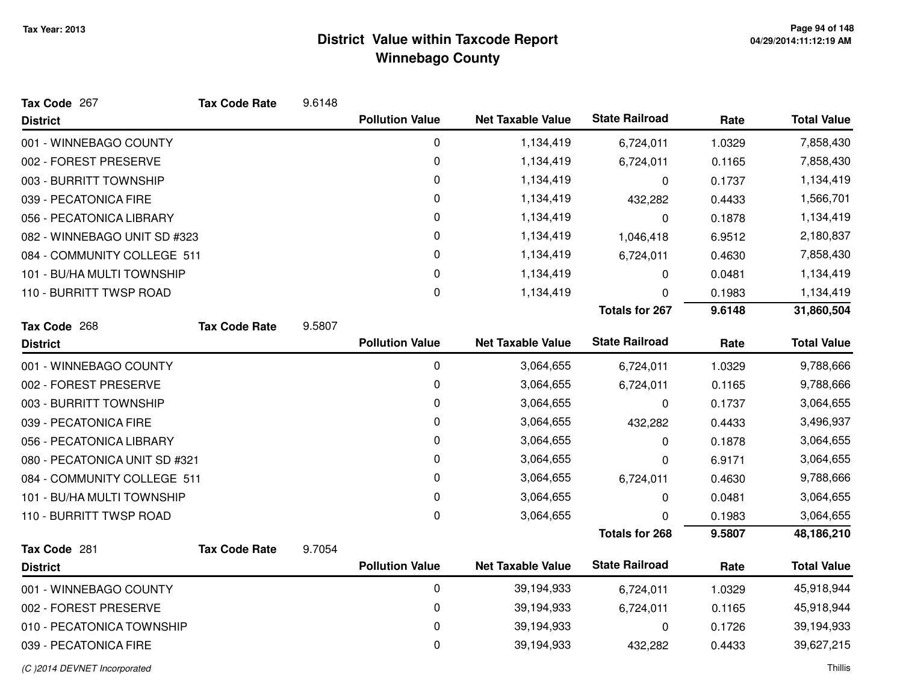| Tax Code 267                  | <b>Tax Code Rate</b> | 9.6148 |                        |                          |                       |        |                    |
|-------------------------------|----------------------|--------|------------------------|--------------------------|-----------------------|--------|--------------------|
| <b>District</b>               |                      |        | <b>Pollution Value</b> | <b>Net Taxable Value</b> | <b>State Railroad</b> | Rate   | <b>Total Value</b> |
| 001 - WINNEBAGO COUNTY        |                      |        | 0                      | 1,134,419                | 6,724,011             | 1.0329 | 7,858,430          |
| 002 - FOREST PRESERVE         |                      |        | 0                      | 1,134,419                | 6,724,011             | 0.1165 | 7,858,430          |
| 003 - BURRITT TOWNSHIP        |                      |        | 0                      | 1,134,419                | 0                     | 0.1737 | 1,134,419          |
| 039 - PECATONICA FIRE         |                      |        | 0                      | 1,134,419                | 432,282               | 0.4433 | 1,566,701          |
| 056 - PECATONICA LIBRARY      |                      |        | 0                      | 1,134,419                | $\pmb{0}$             | 0.1878 | 1,134,419          |
| 082 - WINNEBAGO UNIT SD #323  |                      |        | 0                      | 1,134,419                | 1,046,418             | 6.9512 | 2,180,837          |
| 084 - COMMUNITY COLLEGE 511   |                      |        | 0                      | 1,134,419                | 6,724,011             | 0.4630 | 7,858,430          |
| 101 - BU/HA MULTI TOWNSHIP    |                      |        | 0                      | 1,134,419                | 0                     | 0.0481 | 1,134,419          |
| 110 - BURRITT TWSP ROAD       |                      |        | 0                      | 1,134,419                | 0                     | 0.1983 | 1,134,419          |
|                               |                      |        |                        |                          | <b>Totals for 267</b> | 9.6148 | 31,860,504         |
| Tax Code 268                  | <b>Tax Code Rate</b> | 9.5807 |                        |                          |                       |        |                    |
| <b>District</b>               |                      |        | <b>Pollution Value</b> | <b>Net Taxable Value</b> | <b>State Railroad</b> | Rate   | <b>Total Value</b> |
| 001 - WINNEBAGO COUNTY        |                      |        | 0                      | 3,064,655                | 6,724,011             | 1.0329 | 9,788,666          |
| 002 - FOREST PRESERVE         |                      |        | 0                      | 3,064,655                | 6,724,011             | 0.1165 | 9,788,666          |
| 003 - BURRITT TOWNSHIP        |                      |        | 0                      | 3,064,655                | 0                     | 0.1737 | 3,064,655          |
| 039 - PECATONICA FIRE         |                      |        | 0                      | 3,064,655                | 432,282               | 0.4433 | 3,496,937          |
| 056 - PECATONICA LIBRARY      |                      |        | 0                      | 3,064,655                | 0                     | 0.1878 | 3,064,655          |
| 080 - PECATONICA UNIT SD #321 |                      |        | 0                      | 3,064,655                | 0                     | 6.9171 | 3,064,655          |
| 084 - COMMUNITY COLLEGE 511   |                      |        | 0                      | 3,064,655                | 6,724,011             | 0.4630 | 9,788,666          |
| 101 - BU/HA MULTI TOWNSHIP    |                      |        | 0                      | 3,064,655                | 0                     | 0.0481 | 3,064,655          |
| 110 - BURRITT TWSP ROAD       |                      |        | 0                      | 3,064,655                | 0                     | 0.1983 | 3,064,655          |
|                               |                      |        |                        |                          | <b>Totals for 268</b> | 9.5807 | 48,186,210         |
| Tax Code 281                  | <b>Tax Code Rate</b> | 9.7054 |                        |                          |                       |        |                    |
| <b>District</b>               |                      |        | <b>Pollution Value</b> | <b>Net Taxable Value</b> | <b>State Railroad</b> | Rate   | <b>Total Value</b> |
| 001 - WINNEBAGO COUNTY        |                      |        | $\pmb{0}$              | 39,194,933               | 6,724,011             | 1.0329 | 45,918,944         |
| 002 - FOREST PRESERVE         |                      |        | 0                      | 39,194,933               | 6,724,011             | 0.1165 | 45,918,944         |
| 010 - PECATONICA TOWNSHIP     |                      |        | 0                      | 39,194,933               | 0                     | 0.1726 | 39,194,933         |
| 039 - PECATONICA FIRE         |                      |        | 0                      | 39,194,933               | 432,282               | 0.4433 | 39,627,215         |
| (C) 2014 DEVNET Incorporated  |                      |        |                        |                          |                       |        | Thillis            |

d and the contract of the contract of the contract of the contract of the contract of the contract of the contract of the contract of the contract of the contract of the contract of the contract of the contract of the cont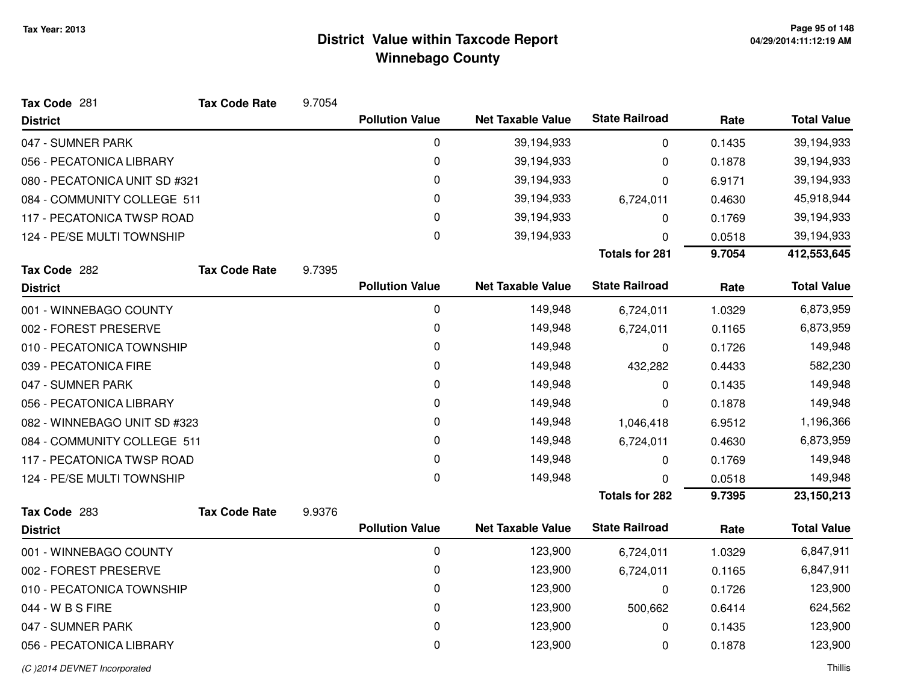| Tax Code 281                  | <b>Tax Code Rate</b> | 9.7054 |                        |                          |                       |        |                    |
|-------------------------------|----------------------|--------|------------------------|--------------------------|-----------------------|--------|--------------------|
| <b>District</b>               |                      |        | <b>Pollution Value</b> | <b>Net Taxable Value</b> | <b>State Railroad</b> | Rate   | <b>Total Value</b> |
| 047 - SUMNER PARK             |                      |        | 0                      | 39,194,933               | 0                     | 0.1435 | 39,194,933         |
| 056 - PECATONICA LIBRARY      |                      |        | 0                      | 39,194,933               | 0                     | 0.1878 | 39,194,933         |
| 080 - PECATONICA UNIT SD #321 |                      |        | 0                      | 39,194,933               | 0                     | 6.9171 | 39,194,933         |
| 084 - COMMUNITY COLLEGE 511   |                      |        | 0                      | 39,194,933               | 6,724,011             | 0.4630 | 45,918,944         |
| 117 - PECATONICA TWSP ROAD    |                      |        | 0                      | 39,194,933               | 0                     | 0.1769 | 39,194,933         |
| 124 - PE/SE MULTI TOWNSHIP    |                      |        | 0                      | 39,194,933               | 0                     | 0.0518 | 39,194,933         |
|                               |                      |        |                        |                          | <b>Totals for 281</b> | 9.7054 | 412,553,645        |
| Tax Code 282                  | <b>Tax Code Rate</b> | 9.7395 |                        |                          |                       |        |                    |
| <b>District</b>               |                      |        | <b>Pollution Value</b> | <b>Net Taxable Value</b> | <b>State Railroad</b> | Rate   | <b>Total Value</b> |
| 001 - WINNEBAGO COUNTY        |                      |        | 0                      | 149,948                  | 6,724,011             | 1.0329 | 6,873,959          |
| 002 - FOREST PRESERVE         |                      |        | 0                      | 149,948                  | 6,724,011             | 0.1165 | 6,873,959          |
| 010 - PECATONICA TOWNSHIP     |                      |        | 0                      | 149,948                  | $\mathbf{0}$          | 0.1726 | 149,948            |
| 039 - PECATONICA FIRE         |                      |        | 0                      | 149,948                  | 432,282               | 0.4433 | 582,230            |
| 047 - SUMNER PARK             |                      |        | 0                      | 149,948                  | 0                     | 0.1435 | 149,948            |
| 056 - PECATONICA LIBRARY      |                      |        | 0                      | 149,948                  | 0                     | 0.1878 | 149,948            |
| 082 - WINNEBAGO UNIT SD #323  |                      |        | 0                      | 149,948                  | 1,046,418             | 6.9512 | 1,196,366          |
| 084 - COMMUNITY COLLEGE 511   |                      |        | 0                      | 149,948                  | 6,724,011             | 0.4630 | 6,873,959          |
| 117 - PECATONICA TWSP ROAD    |                      |        | 0                      | 149,948                  | 0                     | 0.1769 | 149,948            |
| 124 - PE/SE MULTI TOWNSHIP    |                      |        | 0                      | 149,948                  | 0                     | 0.0518 | 149,948            |
|                               |                      |        |                        |                          | <b>Totals for 282</b> | 9.7395 | 23, 150, 213       |
| Tax Code 283                  | <b>Tax Code Rate</b> | 9.9376 |                        |                          |                       |        |                    |
| <b>District</b>               |                      |        | <b>Pollution Value</b> | <b>Net Taxable Value</b> | <b>State Railroad</b> | Rate   | <b>Total Value</b> |
| 001 - WINNEBAGO COUNTY        |                      |        | 0                      | 123,900                  | 6,724,011             | 1.0329 | 6,847,911          |
| 002 - FOREST PRESERVE         |                      |        | 0                      | 123,900                  | 6,724,011             | 0.1165 | 6,847,911          |
| 010 - PECATONICA TOWNSHIP     |                      |        | 0                      | 123,900                  | $\Omega$              | 0.1726 | 123,900            |
| 044 - W B S FIRE              |                      |        | 0                      | 123,900                  | 500,662               | 0.6414 | 624,562            |
| 047 - SUMNER PARK             |                      |        | 0                      | 123,900                  | 0                     | 0.1435 | 123,900            |
| 056 - PECATONICA LIBRARY      |                      |        | 0                      | 123,900                  | 0                     | 0.1878 | 123,900            |
|                               |                      |        |                        |                          |                       |        |                    |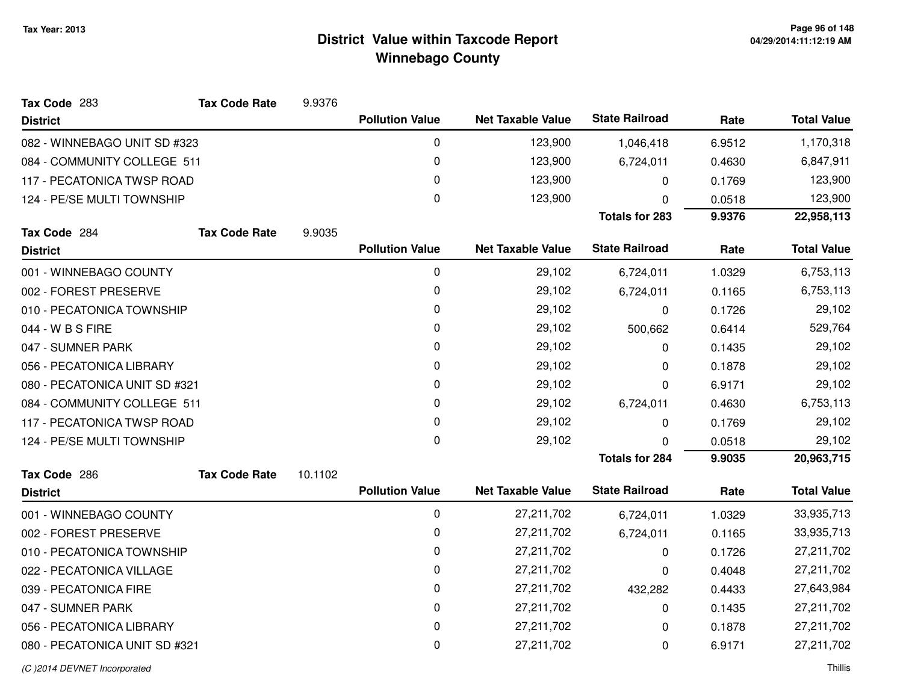| Tax Code 283                  | <b>Tax Code Rate</b> | 9.9376  |                        |                          |                       |        |                    |
|-------------------------------|----------------------|---------|------------------------|--------------------------|-----------------------|--------|--------------------|
| <b>District</b>               |                      |         | <b>Pollution Value</b> | <b>Net Taxable Value</b> | <b>State Railroad</b> | Rate   | <b>Total Value</b> |
| 082 - WINNEBAGO UNIT SD #323  |                      |         | 0                      | 123,900                  | 1,046,418             | 6.9512 | 1,170,318          |
| 084 - COMMUNITY COLLEGE 511   |                      |         | 0                      | 123,900                  | 6,724,011             | 0.4630 | 6,847,911          |
| 117 - PECATONICA TWSP ROAD    |                      |         | 0                      | 123,900                  | 0                     | 0.1769 | 123,900            |
| 124 - PE/SE MULTI TOWNSHIP    |                      |         | $\mathbf 0$            | 123,900                  | 0                     | 0.0518 | 123,900            |
|                               |                      |         |                        |                          | <b>Totals for 283</b> | 9.9376 | 22,958,113         |
| Tax Code 284                  | <b>Tax Code Rate</b> | 9.9035  |                        |                          |                       |        |                    |
| <b>District</b>               |                      |         | <b>Pollution Value</b> | <b>Net Taxable Value</b> | <b>State Railroad</b> | Rate   | <b>Total Value</b> |
| 001 - WINNEBAGO COUNTY        |                      |         | 0                      | 29,102                   | 6,724,011             | 1.0329 | 6,753,113          |
| 002 - FOREST PRESERVE         |                      |         | 0                      | 29,102                   | 6,724,011             | 0.1165 | 6,753,113          |
| 010 - PECATONICA TOWNSHIP     |                      |         | 0                      | 29,102                   | 0                     | 0.1726 | 29,102             |
| 044 - W B S FIRE              |                      |         | 0                      | 29,102                   | 500,662               | 0.6414 | 529,764            |
| 047 - SUMNER PARK             |                      |         | 0                      | 29,102                   | 0                     | 0.1435 | 29,102             |
| 056 - PECATONICA LIBRARY      |                      |         | 0                      | 29,102                   | 0                     | 0.1878 | 29,102             |
| 080 - PECATONICA UNIT SD #321 |                      |         | 0                      | 29,102                   | 0                     | 6.9171 | 29,102             |
| 084 - COMMUNITY COLLEGE 511   |                      |         | 0                      | 29,102                   | 6,724,011             | 0.4630 | 6,753,113          |
| 117 - PECATONICA TWSP ROAD    |                      |         | 0                      | 29,102                   | 0                     | 0.1769 | 29,102             |
| 124 - PE/SE MULTI TOWNSHIP    |                      |         | 0                      | 29,102                   | $\Omega$              | 0.0518 | 29,102             |
|                               |                      |         |                        |                          | <b>Totals for 284</b> | 9.9035 | 20,963,715         |
| Tax Code 286                  | <b>Tax Code Rate</b> | 10.1102 |                        |                          |                       |        |                    |
| <b>District</b>               |                      |         | <b>Pollution Value</b> | <b>Net Taxable Value</b> | <b>State Railroad</b> | Rate   | <b>Total Value</b> |
| 001 - WINNEBAGO COUNTY        |                      |         | 0                      | 27,211,702               | 6,724,011             | 1.0329 | 33,935,713         |
| 002 - FOREST PRESERVE         |                      |         | 0                      | 27,211,702               | 6,724,011             | 0.1165 | 33,935,713         |
| 010 - PECATONICA TOWNSHIP     |                      |         | 0                      | 27,211,702               | 0                     | 0.1726 | 27,211,702         |
| 022 - PECATONICA VILLAGE      |                      |         | 0                      | 27,211,702               | 0                     | 0.4048 | 27,211,702         |
| 039 - PECATONICA FIRE         |                      |         | $\pmb{0}$              | 27,211,702               | 432,282               | 0.4433 | 27,643,984         |
| 047 - SUMNER PARK             |                      |         | 0                      | 27,211,702               | 0                     | 0.1435 | 27,211,702         |
| 056 - PECATONICA LIBRARY      |                      |         | 0                      | 27,211,702               | 0                     | 0.1878 | 27,211,702         |
| 080 - PECATONICA UNIT SD #321 |                      |         | 0                      | 27,211,702               | 0                     | 6.9171 | 27,211,702         |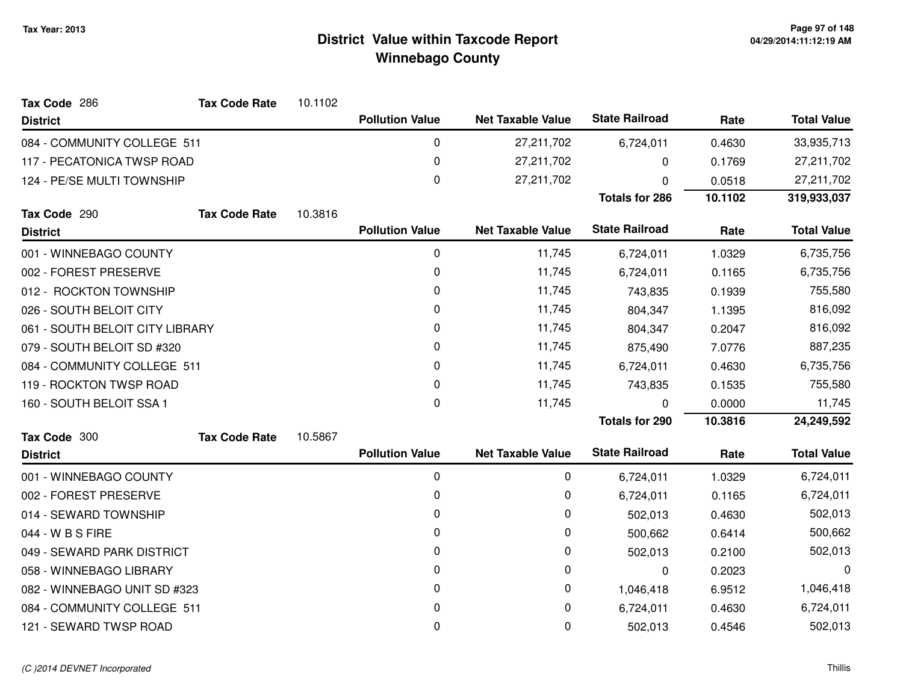| Tax Code 286                    | <b>Tax Code Rate</b> | 10.1102 |                        |                          |                       |         |                    |
|---------------------------------|----------------------|---------|------------------------|--------------------------|-----------------------|---------|--------------------|
| <b>District</b>                 |                      |         | <b>Pollution Value</b> | <b>Net Taxable Value</b> | <b>State Railroad</b> | Rate    | <b>Total Value</b> |
| 084 - COMMUNITY COLLEGE 511     |                      |         | 0                      | 27,211,702               | 6,724,011             | 0.4630  | 33,935,713         |
| 117 - PECATONICA TWSP ROAD      |                      |         | 0                      | 27,211,702               | 0                     | 0.1769  | 27,211,702         |
| 124 - PE/SE MULTI TOWNSHIP      |                      |         | 0                      | 27,211,702               | 0                     | 0.0518  | 27,211,702         |
|                                 |                      |         |                        |                          | <b>Totals for 286</b> | 10.1102 | 319,933,037        |
| Tax Code 290                    | <b>Tax Code Rate</b> | 10.3816 |                        |                          |                       |         |                    |
| <b>District</b>                 |                      |         | <b>Pollution Value</b> | <b>Net Taxable Value</b> | <b>State Railroad</b> | Rate    | <b>Total Value</b> |
| 001 - WINNEBAGO COUNTY          |                      |         | 0                      | 11,745                   | 6,724,011             | 1.0329  | 6,735,756          |
| 002 - FOREST PRESERVE           |                      |         | 0                      | 11,745                   | 6,724,011             | 0.1165  | 6,735,756          |
| 012 - ROCKTON TOWNSHIP          |                      |         | 0                      | 11,745                   | 743,835               | 0.1939  | 755,580            |
| 026 - SOUTH BELOIT CITY         |                      |         | 0                      | 11,745                   | 804,347               | 1.1395  | 816,092            |
| 061 - SOUTH BELOIT CITY LIBRARY |                      | 0       | 11,745                 | 804,347                  | 0.2047                | 816,092 |                    |
| 079 - SOUTH BELOIT SD #320      |                      |         | 0                      | 11,745                   | 875,490               | 7.0776  | 887,235            |
| 084 - COMMUNITY COLLEGE 511     |                      |         | 0                      | 11,745                   | 6,724,011             | 0.4630  | 6,735,756          |
| 119 - ROCKTON TWSP ROAD         |                      |         | 0                      | 11,745                   | 743,835               | 0.1535  | 755,580            |
| 160 - SOUTH BELOIT SSA 1        |                      |         | 0                      | 11,745                   | $\Omega$              | 0.0000  | 11,745             |
|                                 |                      |         |                        |                          | <b>Totals for 290</b> | 10.3816 | 24,249,592         |
| Tax Code 300                    | <b>Tax Code Rate</b> | 10.5867 |                        |                          |                       |         |                    |
| <b>District</b>                 |                      |         | <b>Pollution Value</b> | <b>Net Taxable Value</b> | <b>State Railroad</b> | Rate    | <b>Total Value</b> |
| 001 - WINNEBAGO COUNTY          |                      |         | 0                      | 0                        | 6,724,011             | 1.0329  | 6,724,011          |
| 002 - FOREST PRESERVE           |                      |         | 0                      | 0                        | 6,724,011             | 0.1165  | 6,724,011          |
| 014 - SEWARD TOWNSHIP           |                      |         | 0                      | 0                        | 502,013               | 0.4630  | 502,013            |
| 044 - W B S FIRE                |                      |         | 0                      | 0                        | 500,662               | 0.6414  | 500,662            |
| 049 - SEWARD PARK DISTRICT      |                      |         | 0                      | 0                        | 502,013               | 0.2100  | 502,013            |
| 058 - WINNEBAGO LIBRARY         |                      |         | 0                      | 0                        | 0                     | 0.2023  | 0                  |
| 082 - WINNEBAGO UNIT SD #323    |                      |         | 0                      | 0                        | 1,046,418             | 6.9512  | 1,046,418          |
| 084 - COMMUNITY COLLEGE 511     |                      |         | 0                      | 0                        | 6,724,011             | 0.4630  | 6,724,011          |
| 121 - SEWARD TWSP ROAD          |                      |         | 0                      | 0                        | 502,013               | 0.4546  | 502,013            |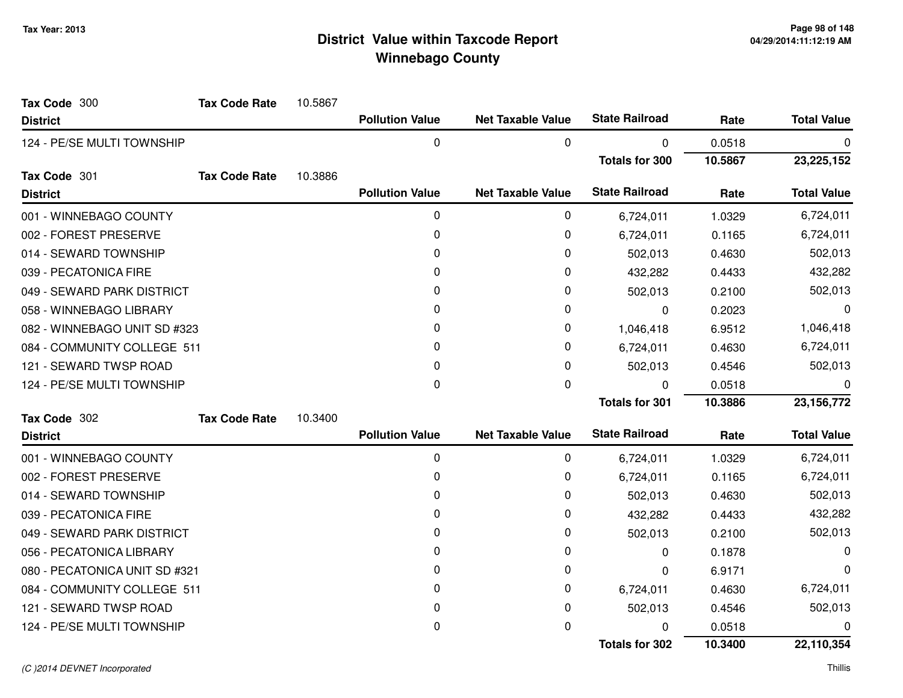| Tax Code 300                  | <b>Tax Code Rate</b> | 10.5867 |                        |                          |                       |         |                    |
|-------------------------------|----------------------|---------|------------------------|--------------------------|-----------------------|---------|--------------------|
| <b>District</b>               |                      |         | <b>Pollution Value</b> | <b>Net Taxable Value</b> | <b>State Railroad</b> | Rate    | <b>Total Value</b> |
| 124 - PE/SE MULTI TOWNSHIP    |                      |         | 0                      | 0                        | 0                     | 0.0518  | 0                  |
|                               |                      |         |                        |                          | <b>Totals for 300</b> | 10.5867 | 23,225,152         |
| Tax Code 301                  | <b>Tax Code Rate</b> | 10.3886 |                        |                          |                       |         |                    |
| <b>District</b>               |                      |         | <b>Pollution Value</b> | <b>Net Taxable Value</b> | <b>State Railroad</b> | Rate    | <b>Total Value</b> |
| 001 - WINNEBAGO COUNTY        |                      |         | 0                      | 0                        | 6,724,011             | 1.0329  | 6,724,011          |
| 002 - FOREST PRESERVE         |                      |         | 0                      | 0                        | 6,724,011             | 0.1165  | 6,724,011          |
| 014 - SEWARD TOWNSHIP         |                      |         | 0                      | 0                        | 502,013               | 0.4630  | 502,013            |
| 039 - PECATONICA FIRE         |                      |         | $\Omega$               | 0                        | 432,282               | 0.4433  | 432,282            |
| 049 - SEWARD PARK DISTRICT    |                      |         | 0                      | 0                        | 502,013               | 0.2100  | 502,013            |
| 058 - WINNEBAGO LIBRARY       |                      |         | 0                      | 0                        | 0                     | 0.2023  | 0                  |
| 082 - WINNEBAGO UNIT SD #323  |                      |         | 0                      | 0                        | 1,046,418             | 6.9512  | 1,046,418          |
| 084 - COMMUNITY COLLEGE 511   |                      |         | 0                      | 0                        | 6,724,011             | 0.4630  | 6,724,011          |
| 121 - SEWARD TWSP ROAD        |                      |         | 0                      | 0                        | 502,013               | 0.4546  | 502,013            |
| 124 - PE/SE MULTI TOWNSHIP    |                      |         | 0                      | 0                        | $\Omega$              | 0.0518  | 0                  |
|                               |                      |         |                        |                          | <b>Totals for 301</b> | 10.3886 | 23, 156, 772       |
| Tax Code 302                  | <b>Tax Code Rate</b> | 10.3400 |                        |                          |                       |         |                    |
| <b>District</b>               |                      |         | <b>Pollution Value</b> | <b>Net Taxable Value</b> | <b>State Railroad</b> | Rate    | <b>Total Value</b> |
| 001 - WINNEBAGO COUNTY        |                      |         | 0                      | 0                        | 6,724,011             | 1.0329  | 6,724,011          |
| 002 - FOREST PRESERVE         |                      |         | 0                      | 0                        | 6,724,011             | 0.1165  | 6,724,011          |
| 014 - SEWARD TOWNSHIP         |                      |         | 0                      | 0                        | 502,013               | 0.4630  | 502,013            |
| 039 - PECATONICA FIRE         |                      |         | 0                      | 0                        | 432,282               | 0.4433  | 432,282            |
| 049 - SEWARD PARK DISTRICT    |                      |         | 0                      | 0                        | 502,013               | 0.2100  | 502,013            |
| 056 - PECATONICA LIBRARY      |                      |         | 0                      | 0                        | 0                     | 0.1878  | 0                  |
| 080 - PECATONICA UNIT SD #321 |                      |         | 0                      | 0                        | 0                     | 6.9171  | 0                  |
| 084 - COMMUNITY COLLEGE 511   |                      |         | 0                      | 0                        | 6,724,011             | 0.4630  | 6,724,011          |
| 121 - SEWARD TWSP ROAD        |                      |         | 0                      | 0                        | 502,013               | 0.4546  | 502,013            |
| 124 - PE/SE MULTI TOWNSHIP    |                      |         | 0                      | 0                        | ŋ                     | 0.0518  | 0                  |
|                               |                      |         |                        |                          | <b>Totals for 302</b> | 10.3400 | 22,110,354         |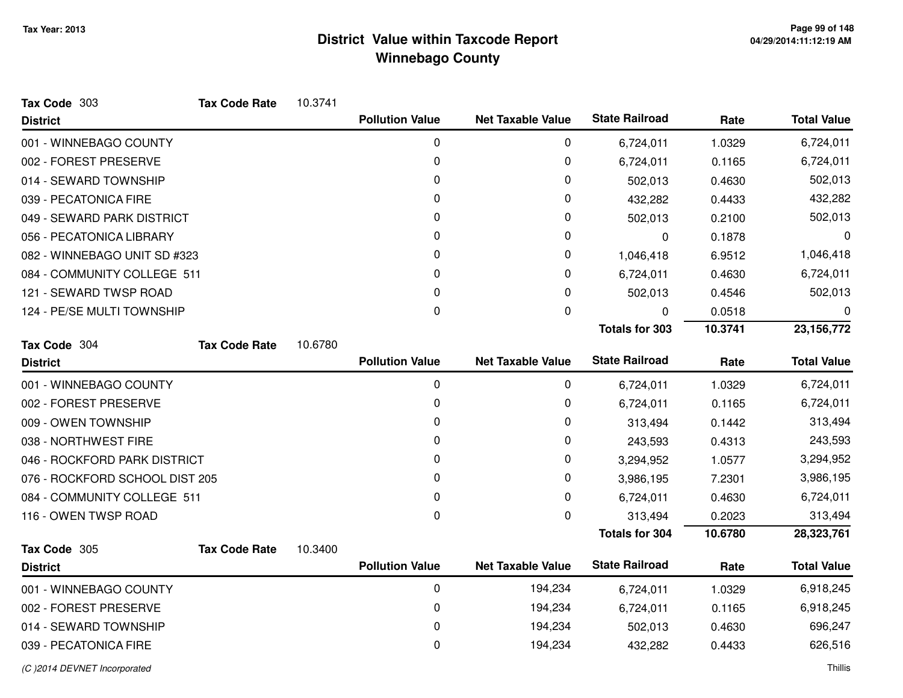| Tax Code 303                   | <b>Tax Code Rate</b> | 10.3741 |                        |                          |                       |           |                    |
|--------------------------------|----------------------|---------|------------------------|--------------------------|-----------------------|-----------|--------------------|
| <b>District</b>                |                      |         | <b>Pollution Value</b> | <b>Net Taxable Value</b> | <b>State Railroad</b> | Rate      | <b>Total Value</b> |
| 001 - WINNEBAGO COUNTY         |                      |         | 0                      | 0                        | 6,724,011             | 1.0329    | 6,724,011          |
| 002 - FOREST PRESERVE          |                      |         | $\mathbf{0}$           | 0                        | 6,724,011             | 0.1165    | 6,724,011          |
| 014 - SEWARD TOWNSHIP          |                      |         | 0                      | 0                        | 502,013               | 0.4630    | 502,013            |
| 039 - PECATONICA FIRE          |                      |         | $\Omega$               | 0                        | 432,282               | 0.4433    | 432,282            |
| 049 - SEWARD PARK DISTRICT     |                      |         | 0                      | 0                        | 502,013               | 0.2100    | 502,013            |
| 056 - PECATONICA LIBRARY       |                      |         | 0                      | 0                        | 0                     | 0.1878    | 0                  |
| 082 - WINNEBAGO UNIT SD #323   |                      | 0       | 0                      | 1,046,418                | 6.9512                | 1,046,418 |                    |
| 084 - COMMUNITY COLLEGE 511    |                      |         | 0                      | 0                        | 6,724,011             | 0.4630    | 6,724,011          |
| 121 - SEWARD TWSP ROAD         |                      |         | $\Omega$               | 0                        | 502,013               | 0.4546    | 502,013            |
| 124 - PE/SE MULTI TOWNSHIP     |                      |         | 0                      | 0                        | 0                     | 0.0518    | 0                  |
|                                |                      |         |                        |                          | <b>Totals for 303</b> | 10.3741   | 23,156,772         |
| Tax Code 304                   | <b>Tax Code Rate</b> | 10.6780 |                        |                          |                       |           |                    |
| <b>District</b>                |                      |         | <b>Pollution Value</b> | <b>Net Taxable Value</b> | <b>State Railroad</b> | Rate      | <b>Total Value</b> |
| 001 - WINNEBAGO COUNTY         |                      |         | 0                      | 0                        | 6,724,011             | 1.0329    | 6,724,011          |
| 002 - FOREST PRESERVE          |                      |         | 0                      | 0                        | 6,724,011             | 0.1165    | 6,724,011          |
| 009 - OWEN TOWNSHIP            |                      |         | 0                      | 0                        | 313,494               | 0.1442    | 313,494            |
| 038 - NORTHWEST FIRE           |                      |         | 0                      | 0                        | 243,593               | 0.4313    | 243,593            |
| 046 - ROCKFORD PARK DISTRICT   |                      |         | 0                      | 0                        | 3,294,952             | 1.0577    | 3,294,952          |
| 076 - ROCKFORD SCHOOL DIST 205 |                      |         | 0                      | 0                        | 3,986,195             | 7.2301    | 3,986,195          |
| 084 - COMMUNITY COLLEGE 511    |                      |         | 0                      | 0                        | 6,724,011             | 0.4630    | 6,724,011          |
| 116 - OWEN TWSP ROAD           |                      |         | 0                      | 0                        | 313,494               | 0.2023    | 313,494            |
|                                |                      |         |                        |                          | <b>Totals for 304</b> | 10.6780   | 28,323,761         |
| Tax Code 305                   | <b>Tax Code Rate</b> | 10.3400 |                        |                          |                       |           |                    |
| <b>District</b>                |                      |         | <b>Pollution Value</b> | <b>Net Taxable Value</b> | <b>State Railroad</b> | Rate      | <b>Total Value</b> |
| 001 - WINNEBAGO COUNTY         |                      |         | $\mathbf 0$            | 194,234                  | 6,724,011             | 1.0329    | 6,918,245          |
| 002 - FOREST PRESERVE          |                      |         | 0                      | 194,234                  | 6,724,011             | 0.1165    | 6,918,245          |
| 014 - SEWARD TOWNSHIP          |                      |         | 0                      | 194,234                  | 502,013               | 0.4630    | 696,247            |
| 039 - PECATONICA FIRE          |                      |         | 0                      | 194,234                  | 432,282               | 0.4433    | 626,516            |
| (C) 2014 DEVNET Incorporated   |                      |         |                        |                          |                       |           | Thillis            |

d and the contract of the contract of the contract of the contract of the contract of the contract of the contract of the contract of the contract of the contract of the contract of the contract of the contract of the cont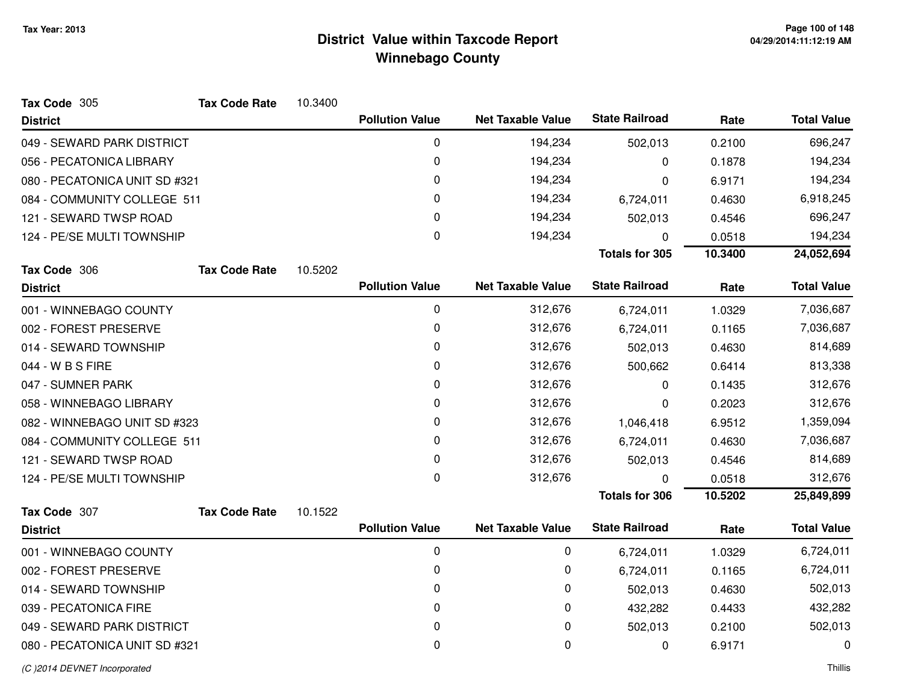| Tax Code 305                  | <b>Tax Code Rate</b> | 10.3400 |                        |                          |                       |         |                    |
|-------------------------------|----------------------|---------|------------------------|--------------------------|-----------------------|---------|--------------------|
| <b>District</b>               |                      |         | <b>Pollution Value</b> | <b>Net Taxable Value</b> | <b>State Railroad</b> | Rate    | <b>Total Value</b> |
| 049 - SEWARD PARK DISTRICT    |                      |         | $\mathbf 0$            | 194,234                  | 502,013               | 0.2100  | 696,247            |
| 056 - PECATONICA LIBRARY      |                      |         | 0                      | 194,234                  | 0                     | 0.1878  | 194,234            |
| 080 - PECATONICA UNIT SD #321 |                      |         | 0                      | 194,234                  | 0                     | 6.9171  | 194,234            |
| 084 - COMMUNITY COLLEGE 511   |                      |         | 0                      | 194,234                  | 6,724,011             | 0.4630  | 6,918,245          |
| 121 - SEWARD TWSP ROAD        |                      |         | 0                      | 194,234                  | 502,013               | 0.4546  | 696,247            |
| 124 - PE/SE MULTI TOWNSHIP    |                      |         | $\mathbf 0$            | 194,234                  | 0                     | 0.0518  | 194,234            |
|                               |                      |         |                        |                          | <b>Totals for 305</b> | 10.3400 | 24,052,694         |
| Tax Code 306                  | <b>Tax Code Rate</b> | 10.5202 |                        |                          |                       |         |                    |
| <b>District</b>               |                      |         | <b>Pollution Value</b> | <b>Net Taxable Value</b> | <b>State Railroad</b> | Rate    | <b>Total Value</b> |
| 001 - WINNEBAGO COUNTY        |                      |         | $\mathbf 0$            | 312,676                  | 6,724,011             | 1.0329  | 7,036,687          |
| 002 - FOREST PRESERVE         |                      |         | 0                      | 312,676                  | 6,724,011             | 0.1165  | 7,036,687          |
| 014 - SEWARD TOWNSHIP         |                      |         | 0                      | 312,676                  | 502,013               | 0.4630  | 814,689            |
| 044 - W B S FIRE              |                      |         | 0                      | 312,676                  | 500,662               | 0.6414  | 813,338            |
| 047 - SUMNER PARK             |                      |         | 0                      | 312,676                  | 0                     | 0.1435  | 312,676            |
| 058 - WINNEBAGO LIBRARY       |                      |         | 0                      | 312,676                  | 0                     | 0.2023  | 312,676            |
| 082 - WINNEBAGO UNIT SD #323  |                      |         | 0                      | 312,676                  | 1,046,418             | 6.9512  | 1,359,094          |
| 084 - COMMUNITY COLLEGE 511   |                      |         | 0                      | 312,676                  | 6,724,011             | 0.4630  | 7,036,687          |
| 121 - SEWARD TWSP ROAD        |                      |         | 0                      | 312,676                  | 502,013               | 0.4546  | 814,689            |
| 124 - PE/SE MULTI TOWNSHIP    |                      |         | $\mathbf 0$            | 312,676                  | $\Omega$              | 0.0518  | 312,676            |
|                               |                      |         |                        |                          | <b>Totals for 306</b> | 10.5202 | 25,849,899         |
| Tax Code 307                  | <b>Tax Code Rate</b> | 10.1522 |                        |                          |                       |         |                    |
| <b>District</b>               |                      |         | <b>Pollution Value</b> | <b>Net Taxable Value</b> | <b>State Railroad</b> | Rate    | <b>Total Value</b> |
| 001 - WINNEBAGO COUNTY        |                      |         | $\mathbf 0$            | 0                        | 6,724,011             | 1.0329  | 6,724,011          |
| 002 - FOREST PRESERVE         |                      |         | 0                      | 0                        | 6,724,011             | 0.1165  | 6,724,011          |
| 014 - SEWARD TOWNSHIP         |                      |         | 0                      | 0                        | 502,013               | 0.4630  | 502,013            |
| 039 - PECATONICA FIRE         |                      |         | 0                      | 0                        | 432,282               | 0.4433  | 432,282            |
| 049 - SEWARD PARK DISTRICT    |                      |         | 0                      | 0                        | 502,013               | 0.2100  | 502,013            |
| 080 - PECATONICA UNIT SD #321 |                      |         | 0                      | 0                        | 0                     | 6.9171  | 0                  |
|                               |                      |         |                        |                          |                       |         |                    |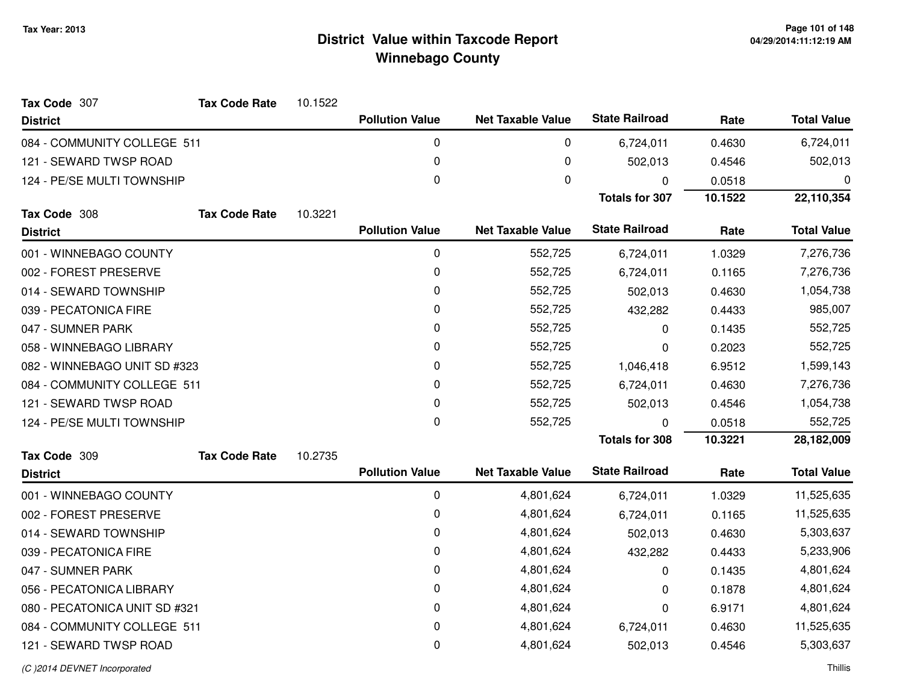| Tax Code 307                  | <b>Tax Code Rate</b> | 10.1522 |                        |                          |                       |           |                    |
|-------------------------------|----------------------|---------|------------------------|--------------------------|-----------------------|-----------|--------------------|
| <b>District</b>               |                      |         | <b>Pollution Value</b> | <b>Net Taxable Value</b> | <b>State Railroad</b> | Rate      | <b>Total Value</b> |
| 084 - COMMUNITY COLLEGE 511   |                      |         | 0                      | 0                        | 6,724,011             | 0.4630    | 6,724,011          |
| 121 - SEWARD TWSP ROAD        |                      |         | $\pmb{0}$              | 0                        | 502,013               | 0.4546    | 502,013            |
| 124 - PE/SE MULTI TOWNSHIP    |                      |         | $\mathbf 0$            | 0                        | 0                     | 0.0518    | 0                  |
|                               |                      |         |                        |                          | <b>Totals for 307</b> | 10.1522   | 22,110,354         |
| Tax Code 308                  | <b>Tax Code Rate</b> | 10.3221 |                        |                          | <b>State Railroad</b> |           |                    |
| <b>District</b>               |                      |         | <b>Pollution Value</b> | <b>Net Taxable Value</b> |                       | Rate      | <b>Total Value</b> |
| 001 - WINNEBAGO COUNTY        |                      |         | 0                      | 552,725                  | 6,724,011             | 1.0329    | 7,276,736          |
| 002 - FOREST PRESERVE         |                      |         | 0                      | 552,725                  | 6,724,011             | 0.1165    | 7,276,736          |
| 014 - SEWARD TOWNSHIP         |                      |         | 0                      | 552,725                  | 502,013               | 0.4630    | 1,054,738          |
| 039 - PECATONICA FIRE         |                      |         | 0                      | 552,725                  | 432,282               | 0.4433    | 985,007            |
| 047 - SUMNER PARK             |                      |         | 0                      | 552,725                  | 0                     | 0.1435    | 552,725            |
| 058 - WINNEBAGO LIBRARY       |                      |         | 0                      | 552,725                  | 0                     | 0.2023    | 552,725            |
| 082 - WINNEBAGO UNIT SD #323  |                      | 0       | 552,725                | 1,046,418                | 6.9512                | 1,599,143 |                    |
| 084 - COMMUNITY COLLEGE 511   |                      |         | 0                      | 552,725                  | 6,724,011             | 0.4630    | 7,276,736          |
| 121 - SEWARD TWSP ROAD        |                      |         | 0                      | 552,725                  | 502,013               | 0.4546    | 1,054,738          |
| 124 - PE/SE MULTI TOWNSHIP    |                      |         | 0                      | 552,725                  | 0                     | 0.0518    | 552,725            |
|                               |                      |         |                        |                          | <b>Totals for 308</b> | 10.3221   | 28,182,009         |
| Tax Code 309                  | <b>Tax Code Rate</b> | 10.2735 |                        |                          |                       |           |                    |
| <b>District</b>               |                      |         | <b>Pollution Value</b> | <b>Net Taxable Value</b> | <b>State Railroad</b> | Rate      | <b>Total Value</b> |
| 001 - WINNEBAGO COUNTY        |                      |         | 0                      | 4,801,624                | 6,724,011             | 1.0329    | 11,525,635         |
| 002 - FOREST PRESERVE         |                      |         | 0                      | 4,801,624                | 6,724,011             | 0.1165    | 11,525,635         |
| 014 - SEWARD TOWNSHIP         |                      |         | 0                      | 4,801,624                | 502,013               | 0.4630    | 5,303,637          |
| 039 - PECATONICA FIRE         |                      |         | 0                      | 4,801,624                | 432,282               | 0.4433    | 5,233,906          |
| 047 - SUMNER PARK             |                      |         | 0                      | 4,801,624                | 0                     | 0.1435    | 4,801,624          |
| 056 - PECATONICA LIBRARY      |                      |         | 0                      | 4,801,624                | 0                     | 0.1878    | 4,801,624          |
| 080 - PECATONICA UNIT SD #321 |                      |         | $\pmb{0}$              | 4,801,624                | 0                     | 6.9171    | 4,801,624          |
| 084 - COMMUNITY COLLEGE 511   |                      |         | 0                      | 4,801,624                | 6,724,011             | 0.4630    | 11,525,635         |
| 121 - SEWARD TWSP ROAD        |                      |         | $\pmb{0}$              | 4,801,624                | 502,013               | 0.4546    | 5,303,637          |
|                               |                      |         |                        |                          |                       |           |                    |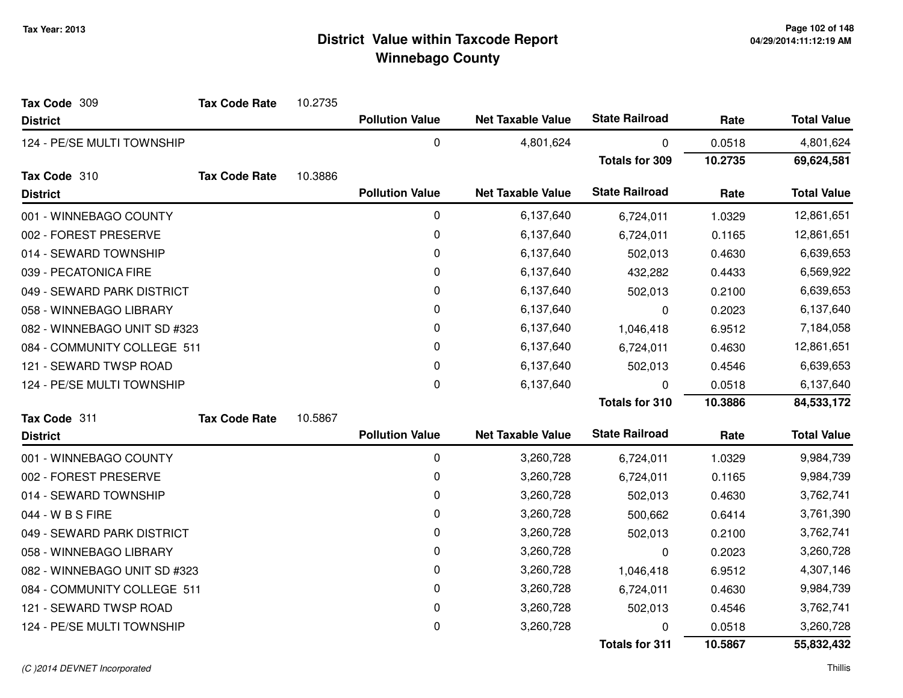| Tax Code 309                 | <b>Tax Code Rate</b> | 10.2735 |                        |                          |                       |         |                    |
|------------------------------|----------------------|---------|------------------------|--------------------------|-----------------------|---------|--------------------|
| <b>District</b>              |                      |         | <b>Pollution Value</b> | <b>Net Taxable Value</b> | <b>State Railroad</b> | Rate    | <b>Total Value</b> |
| 124 - PE/SE MULTI TOWNSHIP   |                      |         | $\mathbf 0$            | 4,801,624                | 0                     | 0.0518  | 4,801,624          |
|                              |                      |         |                        |                          | <b>Totals for 309</b> | 10.2735 | 69,624,581         |
| Tax Code 310                 | <b>Tax Code Rate</b> | 10.3886 |                        |                          |                       |         |                    |
| <b>District</b>              |                      |         | <b>Pollution Value</b> | <b>Net Taxable Value</b> | <b>State Railroad</b> | Rate    | <b>Total Value</b> |
| 001 - WINNEBAGO COUNTY       |                      |         | 0                      | 6,137,640                | 6,724,011             | 1.0329  | 12,861,651         |
| 002 - FOREST PRESERVE        |                      |         | 0                      | 6,137,640                | 6,724,011             | 0.1165  | 12,861,651         |
| 014 - SEWARD TOWNSHIP        |                      |         | 0                      | 6,137,640                | 502,013               | 0.4630  | 6,639,653          |
| 039 - PECATONICA FIRE        |                      |         | 0                      | 6,137,640                | 432,282               | 0.4433  | 6,569,922          |
| 049 - SEWARD PARK DISTRICT   |                      |         | 0                      | 6,137,640                | 502,013               | 0.2100  | 6,639,653          |
| 058 - WINNEBAGO LIBRARY      |                      |         | 0                      | 6,137,640                | 0                     | 0.2023  | 6,137,640          |
| 082 - WINNEBAGO UNIT SD #323 |                      |         | 0                      | 6,137,640                | 1,046,418             | 6.9512  | 7,184,058          |
| 084 - COMMUNITY COLLEGE 511  |                      |         | 0                      | 6,137,640                | 6,724,011             | 0.4630  | 12,861,651         |
| 121 - SEWARD TWSP ROAD       |                      |         | 0                      | 6,137,640                | 502,013               | 0.4546  | 6,639,653          |
| 124 - PE/SE MULTI TOWNSHIP   |                      |         | 0                      | 6,137,640                | $\Omega$              | 0.0518  | 6,137,640          |
|                              |                      |         |                        |                          | <b>Totals for 310</b> | 10.3886 | 84,533,172         |
| Tax Code 311                 | <b>Tax Code Rate</b> | 10.5867 |                        |                          |                       |         |                    |
| <b>District</b>              |                      |         | <b>Pollution Value</b> | <b>Net Taxable Value</b> | <b>State Railroad</b> | Rate    | <b>Total Value</b> |
| 001 - WINNEBAGO COUNTY       |                      |         | $\mathbf 0$            | 3,260,728                | 6,724,011             | 1.0329  | 9,984,739          |
| 002 - FOREST PRESERVE        |                      |         | 0                      | 3,260,728                | 6,724,011             | 0.1165  | 9,984,739          |
| 014 - SEWARD TOWNSHIP        |                      |         | 0                      | 3,260,728                | 502,013               | 0.4630  | 3,762,741          |
| 044 - W B S FIRE             |                      |         | 0                      | 3,260,728                | 500,662               | 0.6414  | 3,761,390          |
| 049 - SEWARD PARK DISTRICT   |                      |         | 0                      | 3,260,728                | 502,013               | 0.2100  | 3,762,741          |
| 058 - WINNEBAGO LIBRARY      |                      |         | 0                      | 3,260,728                | 0                     | 0.2023  | 3,260,728          |
| 082 - WINNEBAGO UNIT SD #323 |                      |         | 0                      | 3,260,728                | 1,046,418             | 6.9512  | 4,307,146          |
| 084 - COMMUNITY COLLEGE 511  |                      |         | $\mathbf 0$            | 3,260,728                | 6,724,011             | 0.4630  | 9,984,739          |
| 121 - SEWARD TWSP ROAD       |                      |         | 0                      | 3,260,728                | 502,013               | 0.4546  | 3,762,741          |
| 124 - PE/SE MULTI TOWNSHIP   |                      |         | 0                      | 3,260,728                | 0                     | 0.0518  | 3,260,728          |
|                              |                      |         |                        |                          | <b>Totals for 311</b> | 10.5867 | 55,832,432         |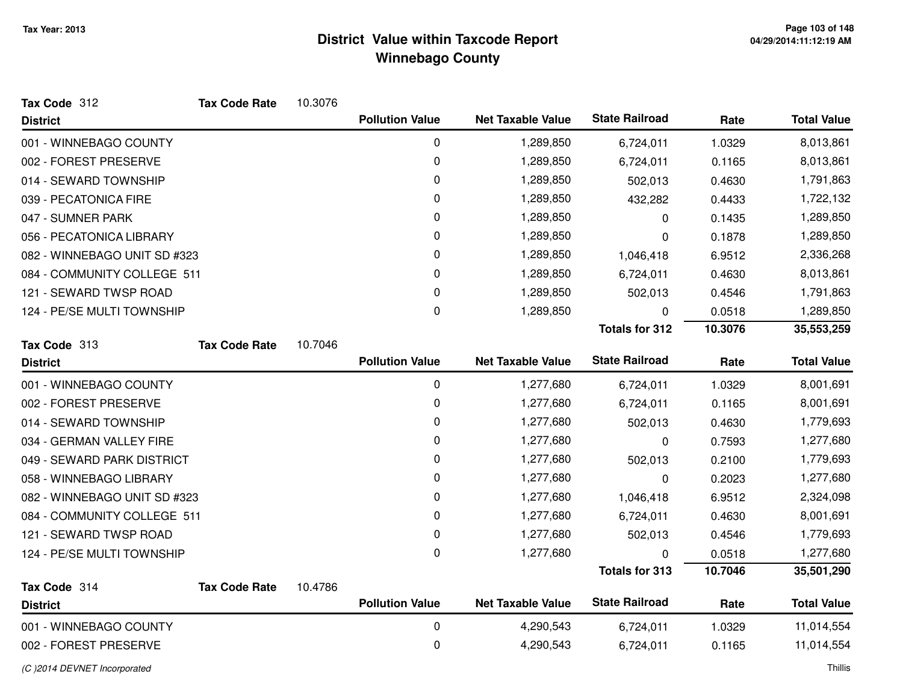| Tax Code 312                 | <b>Tax Code Rate</b> | 10.3076 |                        |                          |                       |         |                    |
|------------------------------|----------------------|---------|------------------------|--------------------------|-----------------------|---------|--------------------|
| <b>District</b>              |                      |         | <b>Pollution Value</b> | <b>Net Taxable Value</b> | <b>State Railroad</b> | Rate    | <b>Total Value</b> |
| 001 - WINNEBAGO COUNTY       |                      |         | 0                      | 1,289,850                | 6,724,011             | 1.0329  | 8,013,861          |
| 002 - FOREST PRESERVE        |                      |         | 0                      | 1,289,850                | 6,724,011             | 0.1165  | 8,013,861          |
| 014 - SEWARD TOWNSHIP        |                      |         | 0                      | 1,289,850                | 502,013               | 0.4630  | 1,791,863          |
| 039 - PECATONICA FIRE        |                      |         | 0                      | 1,289,850                | 432,282               | 0.4433  | 1,722,132          |
| 047 - SUMNER PARK            |                      |         | 0                      | 1,289,850                | 0                     | 0.1435  | 1,289,850          |
| 056 - PECATONICA LIBRARY     |                      |         | 0                      | 1,289,850                | 0                     | 0.1878  | 1,289,850          |
| 082 - WINNEBAGO UNIT SD #323 |                      |         | 0                      | 1,289,850                | 1,046,418             | 6.9512  | 2,336,268          |
| 084 - COMMUNITY COLLEGE 511  |                      |         | 0                      | 1,289,850                | 6,724,011             | 0.4630  | 8,013,861          |
| 121 - SEWARD TWSP ROAD       |                      |         | 0                      | 1,289,850                | 502,013               | 0.4546  | 1,791,863          |
| 124 - PE/SE MULTI TOWNSHIP   |                      |         | 0                      | 1,289,850                | $\mathbf{0}$          | 0.0518  | 1,289,850          |
|                              |                      |         |                        |                          | <b>Totals for 312</b> | 10.3076 | 35,553,259         |
| Tax Code 313                 | <b>Tax Code Rate</b> | 10.7046 |                        |                          |                       |         |                    |
| <b>District</b>              |                      |         | <b>Pollution Value</b> | <b>Net Taxable Value</b> | <b>State Railroad</b> | Rate    | <b>Total Value</b> |
| 001 - WINNEBAGO COUNTY       |                      |         | $\pmb{0}$              | 1,277,680                | 6,724,011             | 1.0329  | 8,001,691          |
| 002 - FOREST PRESERVE        |                      |         | 0                      | 1,277,680                | 6,724,011             | 0.1165  | 8,001,691          |
| 014 - SEWARD TOWNSHIP        |                      |         | 0                      | 1,277,680                | 502,013               | 0.4630  | 1,779,693          |
| 034 - GERMAN VALLEY FIRE     |                      |         | 0                      | 1,277,680                | 0                     | 0.7593  | 1,277,680          |
| 049 - SEWARD PARK DISTRICT   |                      |         | 0                      | 1,277,680                | 502,013               | 0.2100  | 1,779,693          |
| 058 - WINNEBAGO LIBRARY      |                      |         | 0                      | 1,277,680                | $\Omega$              | 0.2023  | 1,277,680          |
| 082 - WINNEBAGO UNIT SD #323 |                      |         | 0                      | 1,277,680                | 1,046,418             | 6.9512  | 2,324,098          |
| 084 - COMMUNITY COLLEGE 511  |                      |         | 0                      | 1,277,680                | 6,724,011             | 0.4630  | 8,001,691          |
| 121 - SEWARD TWSP ROAD       |                      |         | 0                      | 1,277,680                | 502,013               | 0.4546  | 1,779,693          |
| 124 - PE/SE MULTI TOWNSHIP   |                      |         | 0                      | 1,277,680                | $\mathbf{0}$          | 0.0518  | 1,277,680          |
|                              |                      |         |                        |                          | <b>Totals for 313</b> | 10.7046 | 35,501,290         |
| Tax Code 314                 | <b>Tax Code Rate</b> | 10.4786 |                        |                          |                       |         |                    |
| <b>District</b>              |                      |         | <b>Pollution Value</b> | <b>Net Taxable Value</b> | <b>State Railroad</b> | Rate    | <b>Total Value</b> |
| 001 - WINNEBAGO COUNTY       |                      |         | $\pmb{0}$              | 4,290,543                | 6,724,011             | 1.0329  | 11,014,554         |
| 002 - FOREST PRESERVE        |                      |         | $\mathbf 0$            | 4,290,543                | 6,724,011             | 0.1165  | 11,014,554         |
|                              |                      |         |                        |                          |                       |         |                    |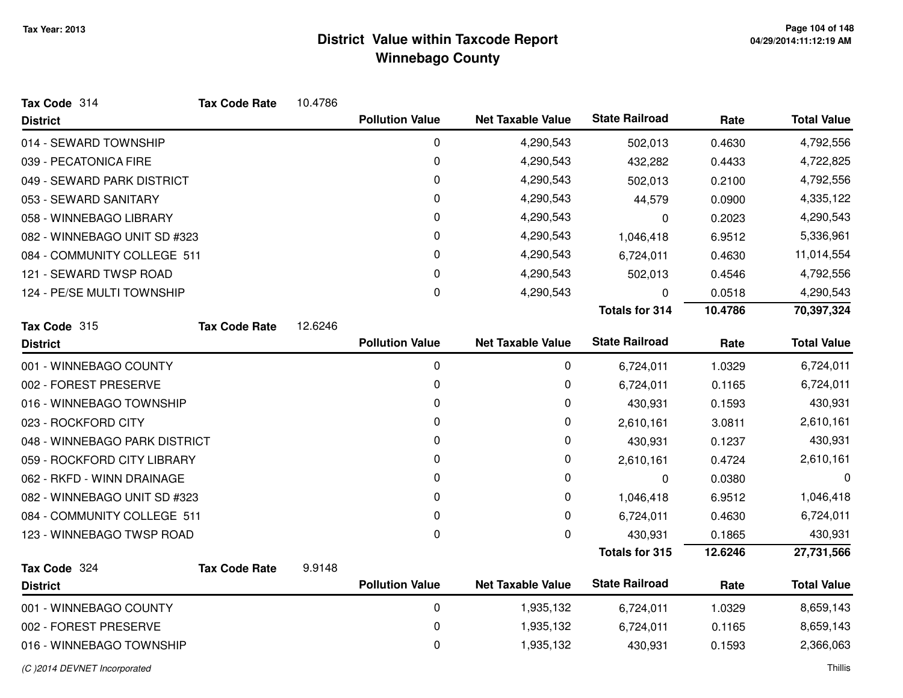| Tax Code 314                  | <b>Tax Code Rate</b> | 10.4786 |                        |                          |                       |         |                    |
|-------------------------------|----------------------|---------|------------------------|--------------------------|-----------------------|---------|--------------------|
| <b>District</b>               |                      |         | <b>Pollution Value</b> | <b>Net Taxable Value</b> | <b>State Railroad</b> | Rate    | <b>Total Value</b> |
| 014 - SEWARD TOWNSHIP         |                      |         | $\mathbf 0$            | 4,290,543                | 502,013               | 0.4630  | 4,792,556          |
| 039 - PECATONICA FIRE         |                      |         | 0                      | 4,290,543                | 432,282               | 0.4433  | 4,722,825          |
| 049 - SEWARD PARK DISTRICT    |                      |         | 0                      | 4,290,543                | 502,013               | 0.2100  | 4,792,556          |
| 053 - SEWARD SANITARY         |                      |         | 0                      | 4,290,543                | 44,579                | 0.0900  | 4,335,122          |
| 058 - WINNEBAGO LIBRARY       |                      |         | 0                      | 4,290,543                | $\mathbf 0$           | 0.2023  | 4,290,543          |
| 082 - WINNEBAGO UNIT SD #323  |                      |         | 0                      | 4,290,543                | 1,046,418             | 6.9512  | 5,336,961          |
| 084 - COMMUNITY COLLEGE 511   |                      |         | 0                      | 4,290,543                | 6,724,011             | 0.4630  | 11,014,554         |
| 121 - SEWARD TWSP ROAD        |                      |         | 0                      | 4,290,543                | 502,013               | 0.4546  | 4,792,556          |
| 124 - PE/SE MULTI TOWNSHIP    |                      |         | 0                      | 4,290,543                | 0                     | 0.0518  | 4,290,543          |
|                               |                      |         |                        |                          | <b>Totals for 314</b> | 10.4786 | 70,397,324         |
| Tax Code 315                  | <b>Tax Code Rate</b> | 12.6246 |                        |                          |                       |         |                    |
| <b>District</b>               |                      |         | <b>Pollution Value</b> | <b>Net Taxable Value</b> | <b>State Railroad</b> | Rate    | <b>Total Value</b> |
| 001 - WINNEBAGO COUNTY        |                      |         | 0                      | 0                        | 6,724,011             | 1.0329  | 6,724,011          |
| 002 - FOREST PRESERVE         |                      |         | 0                      | 0                        | 6,724,011             | 0.1165  | 6,724,011          |
| 016 - WINNEBAGO TOWNSHIP      |                      |         | 0                      | 0                        | 430,931               | 0.1593  | 430,931            |
| 023 - ROCKFORD CITY           |                      |         | 0                      | 0                        | 2,610,161             | 3.0811  | 2,610,161          |
| 048 - WINNEBAGO PARK DISTRICT |                      |         | 0                      | 0                        | 430,931               | 0.1237  | 430,931            |
| 059 - ROCKFORD CITY LIBRARY   |                      |         | 0                      | 0                        | 2,610,161             | 0.4724  | 2,610,161          |
| 062 - RKFD - WINN DRAINAGE    |                      |         | 0                      | 0                        | 0                     | 0.0380  | 0                  |
| 082 - WINNEBAGO UNIT SD #323  |                      |         | 0                      | 0                        | 1,046,418             | 6.9512  | 1,046,418          |
| 084 - COMMUNITY COLLEGE 511   |                      |         | 0                      | 0                        | 6,724,011             | 0.4630  | 6,724,011          |
| 123 - WINNEBAGO TWSP ROAD     |                      |         | $\Omega$               | 0                        | 430,931               | 0.1865  | 430,931            |
|                               |                      |         |                        |                          | <b>Totals for 315</b> | 12.6246 | 27,731,566         |
| Tax Code 324                  | <b>Tax Code Rate</b> | 9.9148  |                        |                          |                       |         |                    |
| <b>District</b>               |                      |         | <b>Pollution Value</b> | <b>Net Taxable Value</b> | <b>State Railroad</b> | Rate    | <b>Total Value</b> |
| 001 - WINNEBAGO COUNTY        |                      |         | 0                      | 1,935,132                | 6,724,011             | 1.0329  | 8,659,143          |
| 002 - FOREST PRESERVE         |                      |         | 0                      | 1,935,132                | 6,724,011             | 0.1165  | 8,659,143          |
| 016 - WINNEBAGO TOWNSHIP      |                      |         | 0                      | 1,935,132                | 430,931               | 0.1593  | 2,366,063          |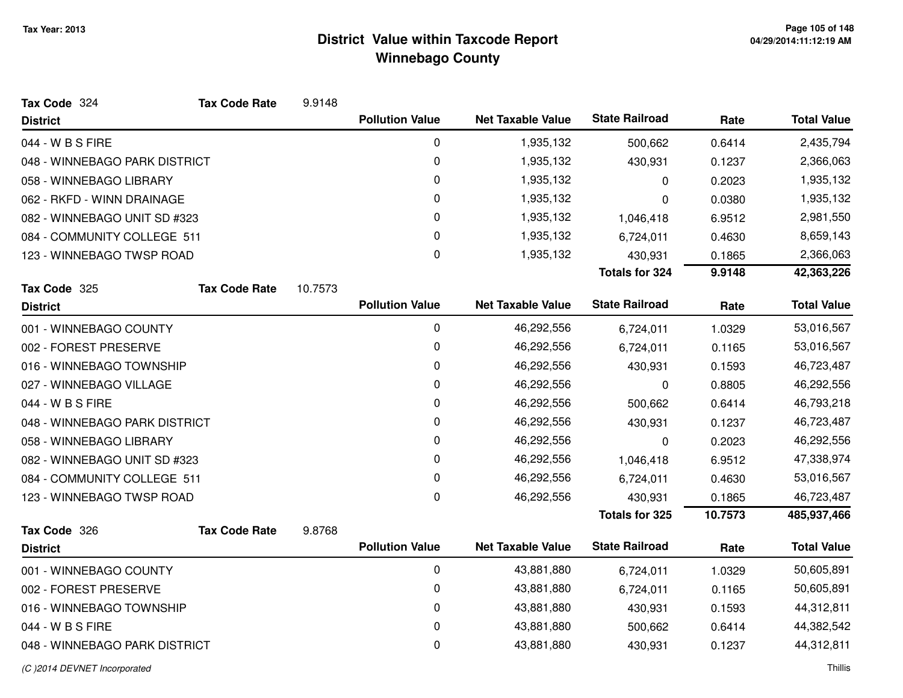| Tax Code 324                  | <b>Tax Code Rate</b> | 9.9148  |                        |                          |                       |         |                    |
|-------------------------------|----------------------|---------|------------------------|--------------------------|-----------------------|---------|--------------------|
| <b>District</b>               |                      |         | <b>Pollution Value</b> | <b>Net Taxable Value</b> | <b>State Railroad</b> | Rate    | <b>Total Value</b> |
| 044 - W B S FIRE              |                      |         | 0                      | 1,935,132                | 500,662               | 0.6414  | 2,435,794          |
| 048 - WINNEBAGO PARK DISTRICT |                      |         | $\pmb{0}$              | 1,935,132                | 430,931               | 0.1237  | 2,366,063          |
| 058 - WINNEBAGO LIBRARY       |                      |         | $\pmb{0}$              | 1,935,132                | 0                     | 0.2023  | 1,935,132          |
| 062 - RKFD - WINN DRAINAGE    |                      |         | 0                      | 1,935,132                | 0                     | 0.0380  | 1,935,132          |
| 082 - WINNEBAGO UNIT SD #323  |                      |         | 0                      | 1,935,132                | 1,046,418             | 6.9512  | 2,981,550          |
| 084 - COMMUNITY COLLEGE 511   |                      |         | 0                      | 1,935,132                | 6,724,011             | 0.4630  | 8,659,143          |
| 123 - WINNEBAGO TWSP ROAD     |                      |         | $\mathbf 0$            | 1,935,132                | 430,931               | 0.1865  | 2,366,063          |
|                               |                      |         |                        |                          | <b>Totals for 324</b> | 9.9148  | 42,363,226         |
| Tax Code 325                  | <b>Tax Code Rate</b> | 10.7573 |                        |                          |                       |         |                    |
| <b>District</b>               |                      |         | <b>Pollution Value</b> | <b>Net Taxable Value</b> | <b>State Railroad</b> | Rate    | <b>Total Value</b> |
| 001 - WINNEBAGO COUNTY        |                      |         | $\pmb{0}$              | 46,292,556               | 6,724,011             | 1.0329  | 53,016,567         |
| 002 - FOREST PRESERVE         |                      |         | 0                      | 46,292,556               | 6,724,011             | 0.1165  | 53,016,567         |
| 016 - WINNEBAGO TOWNSHIP      |                      |         | $\pmb{0}$              | 46,292,556               | 430,931               | 0.1593  | 46,723,487         |
| 027 - WINNEBAGO VILLAGE       |                      |         | 0                      | 46,292,556               | 0                     | 0.8805  | 46,292,556         |
| 044 - W B S FIRE              |                      |         | 0                      | 46,292,556               | 500,662               | 0.6414  | 46,793,218         |
| 048 - WINNEBAGO PARK DISTRICT |                      |         | $\pmb{0}$              | 46,292,556               | 430,931               | 0.1237  | 46,723,487         |
| 058 - WINNEBAGO LIBRARY       |                      |         | 0                      | 46,292,556               | $\mathbf 0$           | 0.2023  | 46,292,556         |
| 082 - WINNEBAGO UNIT SD #323  |                      |         | 0                      | 46,292,556               | 1,046,418             | 6.9512  | 47,338,974         |
| 084 - COMMUNITY COLLEGE 511   |                      |         | 0                      | 46,292,556               | 6,724,011             | 0.4630  | 53,016,567         |
| 123 - WINNEBAGO TWSP ROAD     |                      |         | 0                      | 46,292,556               | 430,931               | 0.1865  | 46,723,487         |
|                               |                      |         |                        |                          | <b>Totals for 325</b> | 10.7573 | 485,937,466        |
| Tax Code 326                  | <b>Tax Code Rate</b> | 9.8768  |                        |                          |                       |         |                    |
| <b>District</b>               |                      |         | <b>Pollution Value</b> | <b>Net Taxable Value</b> | <b>State Railroad</b> | Rate    | <b>Total Value</b> |
| 001 - WINNEBAGO COUNTY        |                      |         | 0                      | 43,881,880               | 6,724,011             | 1.0329  | 50,605,891         |
| 002 - FOREST PRESERVE         |                      |         | 0                      | 43,881,880               | 6,724,011             | 0.1165  | 50,605,891         |
| 016 - WINNEBAGO TOWNSHIP      |                      |         | $\pmb{0}$              | 43,881,880               | 430,931               | 0.1593  | 44,312,811         |
| 044 - W B S FIRE              |                      |         | 0                      | 43,881,880               | 500,662               | 0.6414  | 44,382,542         |
| 048 - WINNEBAGO PARK DISTRICT |                      |         | 0                      | 43,881,880               | 430,931               | 0.1237  | 44,312,811         |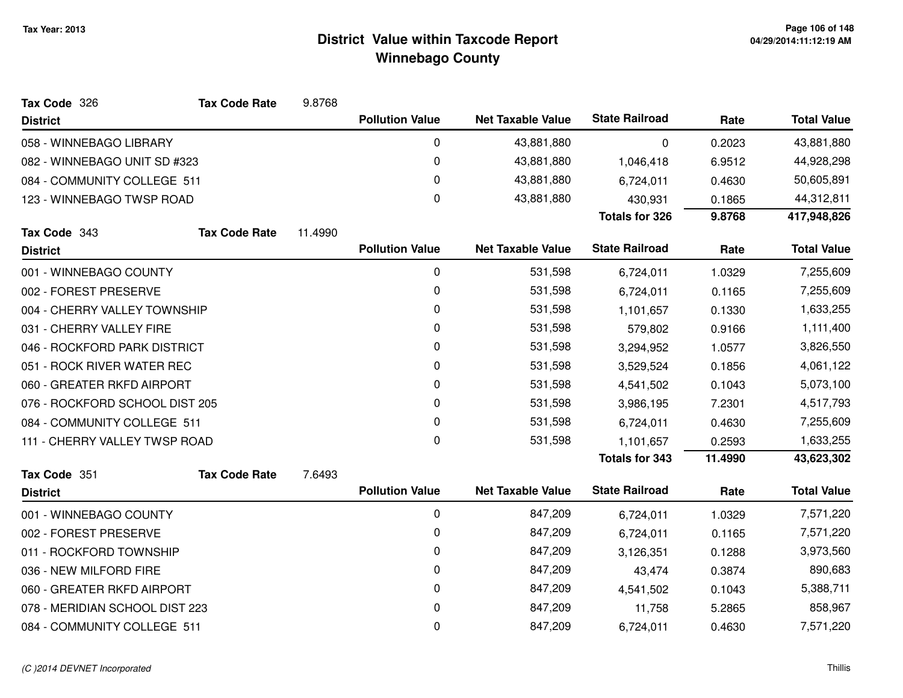| Tax Code 326                   | <b>Tax Code Rate</b> | 9.8768  |                        |                          |                       |           |                    |
|--------------------------------|----------------------|---------|------------------------|--------------------------|-----------------------|-----------|--------------------|
| <b>District</b>                |                      |         | <b>Pollution Value</b> | <b>Net Taxable Value</b> | <b>State Railroad</b> | Rate      | <b>Total Value</b> |
| 058 - WINNEBAGO LIBRARY        |                      |         | 0                      | 43,881,880               | $\mathbf 0$           | 0.2023    | 43,881,880         |
| 082 - WINNEBAGO UNIT SD #323   |                      |         | 0                      | 43,881,880               | 1,046,418             | 6.9512    | 44,928,298         |
| 084 - COMMUNITY COLLEGE 511    |                      |         | 0                      | 43,881,880               | 6,724,011             | 0.4630    | 50,605,891         |
| 123 - WINNEBAGO TWSP ROAD      |                      |         | $\pmb{0}$              | 43,881,880               | 430,931               | 0.1865    | 44,312,811         |
|                                |                      |         |                        |                          | <b>Totals for 326</b> | 9.8768    | 417,948,826        |
| Tax Code 343                   | <b>Tax Code Rate</b> | 11.4990 |                        |                          |                       |           |                    |
| <b>District</b>                |                      |         | <b>Pollution Value</b> | <b>Net Taxable Value</b> | <b>State Railroad</b> | Rate      | <b>Total Value</b> |
| 001 - WINNEBAGO COUNTY         |                      |         | 0                      | 531,598                  | 6,724,011             | 1.0329    | 7,255,609          |
| 002 - FOREST PRESERVE          |                      |         | 0                      | 531,598                  | 6,724,011             | 0.1165    | 7,255,609          |
| 004 - CHERRY VALLEY TOWNSHIP   |                      |         | 0                      | 531,598                  | 1,101,657             | 0.1330    | 1,633,255          |
| 031 - CHERRY VALLEY FIRE       |                      |         | 0                      | 531,598                  | 579,802               | 0.9166    | 1,111,400          |
| 046 - ROCKFORD PARK DISTRICT   |                      |         | 0                      | 531,598                  | 3,294,952             | 1.0577    | 3,826,550          |
| 051 - ROCK RIVER WATER REC     |                      | 0       | 531,598                | 3,529,524                | 0.1856                | 4,061,122 |                    |
| 060 - GREATER RKFD AIRPORT     |                      |         | 0                      | 531,598                  | 4,541,502             | 0.1043    | 5,073,100          |
| 076 - ROCKFORD SCHOOL DIST 205 |                      |         | 0                      | 531,598                  | 3,986,195             | 7.2301    | 4,517,793          |
| 084 - COMMUNITY COLLEGE 511    |                      |         | 0                      | 531,598                  | 6,724,011             | 0.4630    | 7,255,609          |
| 111 - CHERRY VALLEY TWSP ROAD  |                      |         | 0                      | 531,598                  | 1,101,657             | 0.2593    | 1,633,255          |
|                                |                      |         |                        |                          | <b>Totals for 343</b> | 11.4990   | 43,623,302         |
| Tax Code 351                   | <b>Tax Code Rate</b> | 7.6493  |                        |                          |                       |           |                    |
| <b>District</b>                |                      |         | <b>Pollution Value</b> | <b>Net Taxable Value</b> | <b>State Railroad</b> | Rate      | <b>Total Value</b> |
| 001 - WINNEBAGO COUNTY         |                      |         | $\pmb{0}$              | 847,209                  | 6,724,011             | 1.0329    | 7,571,220          |
| 002 - FOREST PRESERVE          |                      |         | 0                      | 847,209                  | 6,724,011             | 0.1165    | 7,571,220          |
| 011 - ROCKFORD TOWNSHIP        |                      |         | 0                      | 847,209                  | 3,126,351             | 0.1288    | 3,973,560          |
| 036 - NEW MILFORD FIRE         |                      |         | 0                      | 847,209                  | 43,474                | 0.3874    | 890,683            |
| 060 - GREATER RKFD AIRPORT     |                      |         | 0                      | 847,209                  | 4,541,502             | 0.1043    | 5,388,711          |
| 078 - MERIDIAN SCHOOL DIST 223 |                      |         | 0                      | 847,209                  | 11,758                | 5.2865    | 858,967            |
| 084 - COMMUNITY COLLEGE 511    |                      |         | 0                      | 847,209                  | 6,724,011             | 0.4630    | 7,571,220          |
|                                |                      |         |                        |                          |                       |           |                    |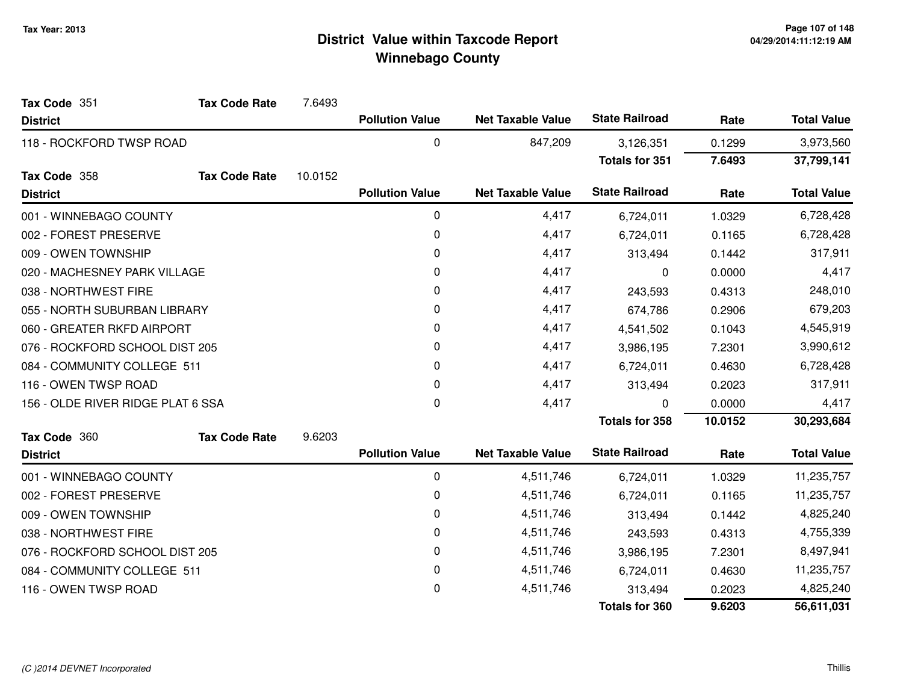| Tax Code 351                      | <b>Tax Code Rate</b> | 7.6493  |                        |                          |                       |           |                    |
|-----------------------------------|----------------------|---------|------------------------|--------------------------|-----------------------|-----------|--------------------|
| <b>District</b>                   |                      |         | <b>Pollution Value</b> | <b>Net Taxable Value</b> | <b>State Railroad</b> | Rate      | <b>Total Value</b> |
| 118 - ROCKFORD TWSP ROAD          |                      |         | 0                      | 847,209                  | 3,126,351             | 0.1299    | 3,973,560          |
|                                   |                      |         |                        |                          | <b>Totals for 351</b> | 7.6493    | 37,799,141         |
| Tax Code 358                      | <b>Tax Code Rate</b> | 10.0152 |                        |                          |                       |           |                    |
| <b>District</b>                   |                      |         | <b>Pollution Value</b> | <b>Net Taxable Value</b> | <b>State Railroad</b> | Rate      | <b>Total Value</b> |
| 001 - WINNEBAGO COUNTY            |                      |         | 0                      | 4,417                    | 6,724,011             | 1.0329    | 6,728,428          |
| 002 - FOREST PRESERVE             |                      |         | 0                      | 4,417                    | 6,724,011             | 0.1165    | 6,728,428          |
| 009 - OWEN TOWNSHIP               |                      |         | 0                      | 4,417                    | 313,494               | 0.1442    | 317,911            |
| 020 - MACHESNEY PARK VILLAGE      |                      |         | 0                      | 4,417                    | 0                     | 0.0000    | 4,417              |
| 038 - NORTHWEST FIRE              |                      |         | 0                      | 4,417                    | 243,593               | 0.4313    | 248,010            |
| 055 - NORTH SUBURBAN LIBRARY      |                      |         | 0                      | 4,417                    | 674,786               | 0.2906    | 679,203            |
| 060 - GREATER RKFD AIRPORT        |                      | 0       | 4,417                  | 4,541,502                | 0.1043                | 4,545,919 |                    |
| 076 - ROCKFORD SCHOOL DIST 205    |                      | 0       | 4,417                  | 3,986,195                | 7.2301                | 3,990,612 |                    |
| 084 - COMMUNITY COLLEGE 511       |                      |         | 0                      | 4,417                    | 6,724,011             | 0.4630    | 6,728,428          |
| 116 - OWEN TWSP ROAD              |                      |         | 0                      | 4,417                    | 313,494               | 0.2023    | 317,911            |
| 156 - OLDE RIVER RIDGE PLAT 6 SSA |                      |         | 0                      | 4,417                    | 0                     | 0.0000    | 4,417              |
|                                   |                      |         |                        |                          | <b>Totals for 358</b> | 10.0152   | 30,293,684         |
| Tax Code 360                      | <b>Tax Code Rate</b> | 9.6203  |                        |                          |                       |           |                    |
| <b>District</b>                   |                      |         | <b>Pollution Value</b> | <b>Net Taxable Value</b> | <b>State Railroad</b> | Rate      | <b>Total Value</b> |
| 001 - WINNEBAGO COUNTY            |                      |         | 0                      | 4,511,746                | 6,724,011             | 1.0329    | 11,235,757         |
| 002 - FOREST PRESERVE             |                      |         | 0                      | 4,511,746                | 6,724,011             | 0.1165    | 11,235,757         |
| 009 - OWEN TOWNSHIP               |                      |         | 0                      | 4,511,746                | 313,494               | 0.1442    | 4,825,240          |
| 038 - NORTHWEST FIRE              |                      |         | 0                      | 4,511,746                | 243,593               | 0.4313    | 4,755,339          |
| 076 - ROCKFORD SCHOOL DIST 205    |                      |         | 0                      | 4,511,746                | 3,986,195             | 7.2301    | 8,497,941          |
| 084 - COMMUNITY COLLEGE 511       |                      |         | 0                      | 4,511,746                | 6,724,011             | 0.4630    | 11,235,757         |
| 116 - OWEN TWSP ROAD              |                      |         | 0                      | 4,511,746                | 313,494               | 0.2023    | 4,825,240          |
|                                   |                      |         |                        |                          | <b>Totals for 360</b> | 9.6203    | 56,611,031         |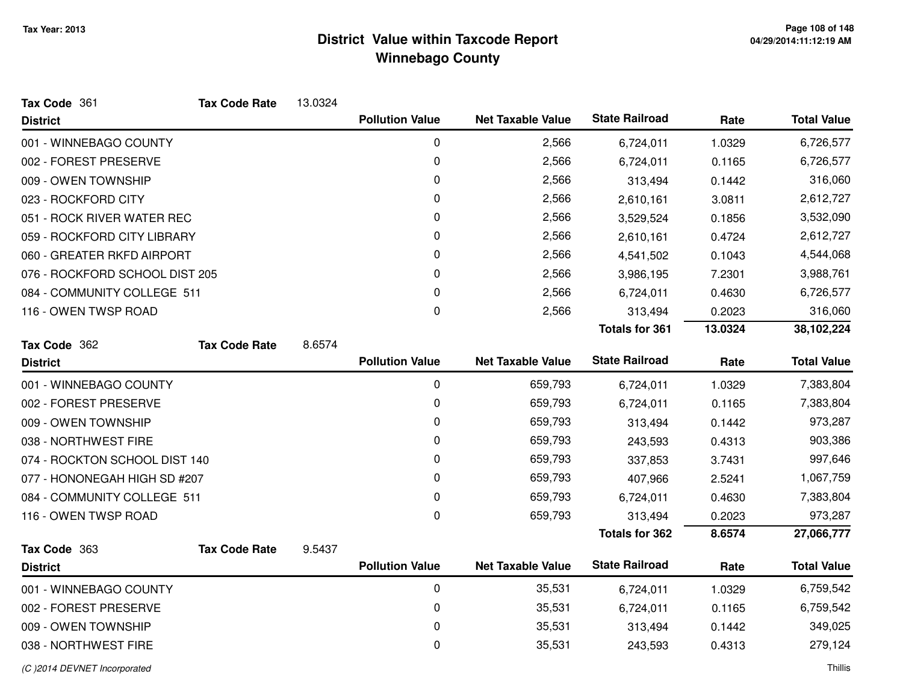| Tax Code 361                   | <b>Tax Code Rate</b> | 13.0324 |                        |                          |                       |         |                    |
|--------------------------------|----------------------|---------|------------------------|--------------------------|-----------------------|---------|--------------------|
| <b>District</b>                |                      |         | <b>Pollution Value</b> | <b>Net Taxable Value</b> | <b>State Railroad</b> | Rate    | <b>Total Value</b> |
| 001 - WINNEBAGO COUNTY         |                      |         | $\mathbf 0$            | 2,566                    | 6,724,011             | 1.0329  | 6,726,577          |
| 002 - FOREST PRESERVE          |                      |         | 0                      | 2,566                    | 6,724,011             | 0.1165  | 6,726,577          |
| 009 - OWEN TOWNSHIP            |                      |         | 0                      | 2,566                    | 313,494               | 0.1442  | 316,060            |
| 023 - ROCKFORD CITY            |                      |         | 0                      | 2,566                    | 2,610,161             | 3.0811  | 2,612,727          |
| 051 - ROCK RIVER WATER REC     |                      |         | 0                      | 2,566                    | 3,529,524             | 0.1856  | 3,532,090          |
| 059 - ROCKFORD CITY LIBRARY    |                      |         | 0                      | 2,566                    | 2,610,161             | 0.4724  | 2,612,727          |
| 060 - GREATER RKFD AIRPORT     |                      |         | 0                      | 2,566                    | 4,541,502             | 0.1043  | 4,544,068          |
| 076 - ROCKFORD SCHOOL DIST 205 |                      |         | 0                      | 2,566                    | 3,986,195             | 7.2301  | 3,988,761          |
| 084 - COMMUNITY COLLEGE 511    |                      |         | 0                      | 2,566                    | 6,724,011             | 0.4630  | 6,726,577          |
| 116 - OWEN TWSP ROAD           |                      |         | 0                      | 2,566                    | 313,494               | 0.2023  | 316,060            |
|                                |                      |         |                        |                          | <b>Totals for 361</b> | 13.0324 | 38,102,224         |
| Tax Code 362                   | <b>Tax Code Rate</b> | 8.6574  |                        |                          |                       |         |                    |
| <b>District</b>                |                      |         | <b>Pollution Value</b> | <b>Net Taxable Value</b> | <b>State Railroad</b> | Rate    | <b>Total Value</b> |
| 001 - WINNEBAGO COUNTY         |                      |         | 0                      | 659,793                  | 6,724,011             | 1.0329  | 7,383,804          |
| 002 - FOREST PRESERVE          |                      |         | 0                      | 659,793                  | 6,724,011             | 0.1165  | 7,383,804          |
| 009 - OWEN TOWNSHIP            |                      |         | 0                      | 659,793                  | 313,494               | 0.1442  | 973,287            |
| 038 - NORTHWEST FIRE           |                      |         | 0                      | 659,793                  | 243,593               | 0.4313  | 903,386            |
| 074 - ROCKTON SCHOOL DIST 140  |                      |         | 0                      | 659,793                  | 337,853               | 3.7431  | 997,646            |
| 077 - HONONEGAH HIGH SD #207   |                      |         | 0                      | 659,793                  | 407,966               | 2.5241  | 1,067,759          |
| 084 - COMMUNITY COLLEGE 511    |                      |         | 0                      | 659,793                  | 6,724,011             | 0.4630  | 7,383,804          |
| 116 - OWEN TWSP ROAD           |                      |         | 0                      | 659,793                  | 313,494               | 0.2023  | 973,287            |
|                                |                      |         |                        |                          | Totals for 362        | 8.6574  | 27,066,777         |
| Tax Code 363                   | <b>Tax Code Rate</b> | 9.5437  |                        |                          |                       |         |                    |
| <b>District</b>                |                      |         | <b>Pollution Value</b> | <b>Net Taxable Value</b> | <b>State Railroad</b> | Rate    | <b>Total Value</b> |
| 001 - WINNEBAGO COUNTY         |                      |         | 0                      | 35,531                   | 6,724,011             | 1.0329  | 6,759,542          |
| 002 - FOREST PRESERVE          |                      |         | 0                      | 35,531                   | 6,724,011             | 0.1165  | 6,759,542          |
| 009 - OWEN TOWNSHIP            |                      |         | 0                      | 35,531                   | 313,494               | 0.1442  | 349,025            |
| 038 - NORTHWEST FIRE           |                      |         | 0                      | 35,531                   | 243,593               | 0.4313  | 279,124            |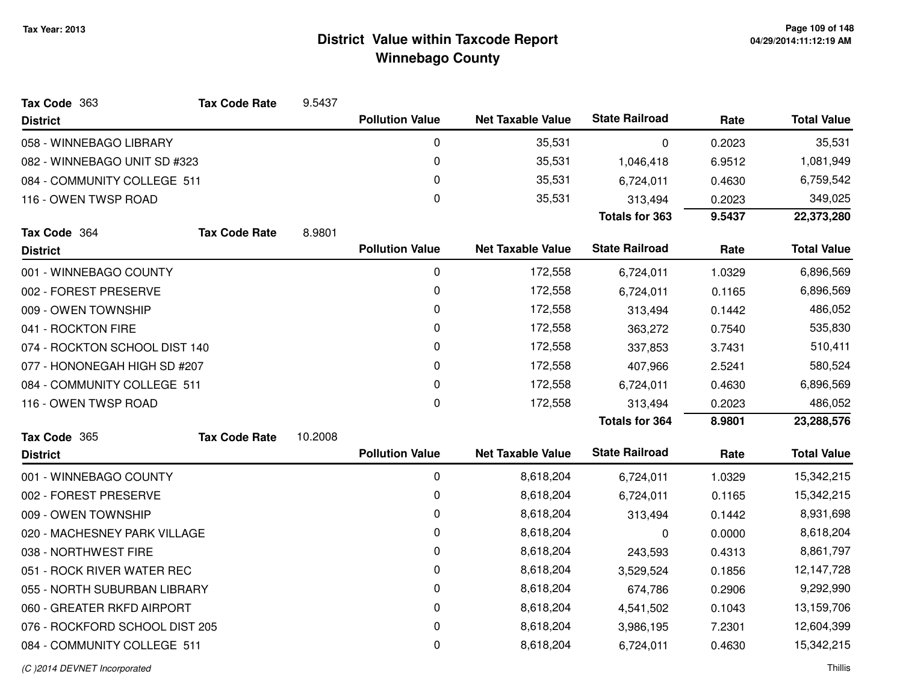| Tax Code 363                   | <b>Tax Code Rate</b> | 9.5437  |                        |                          |                       |        |                    |
|--------------------------------|----------------------|---------|------------------------|--------------------------|-----------------------|--------|--------------------|
| <b>District</b>                |                      |         | <b>Pollution Value</b> | <b>Net Taxable Value</b> | <b>State Railroad</b> | Rate   | <b>Total Value</b> |
| 058 - WINNEBAGO LIBRARY        |                      |         | 0                      | 35,531                   | 0                     | 0.2023 | 35,531             |
| 082 - WINNEBAGO UNIT SD #323   |                      |         | 0                      | 35,531                   | 1,046,418             | 6.9512 | 1,081,949          |
| 084 - COMMUNITY COLLEGE 511    |                      |         | 0                      | 35,531                   | 6,724,011             | 0.4630 | 6,759,542          |
| 116 - OWEN TWSP ROAD           |                      |         | 0                      | 35,531                   | 313,494               | 0.2023 | 349,025            |
|                                |                      |         |                        |                          | <b>Totals for 363</b> | 9.5437 | 22,373,280         |
| Tax Code 364                   | <b>Tax Code Rate</b> | 8.9801  |                        |                          |                       |        |                    |
| <b>District</b>                |                      |         | <b>Pollution Value</b> | <b>Net Taxable Value</b> | <b>State Railroad</b> | Rate   | <b>Total Value</b> |
| 001 - WINNEBAGO COUNTY         |                      |         | 0                      | 172,558                  | 6,724,011             | 1.0329 | 6,896,569          |
| 002 - FOREST PRESERVE          |                      |         | 0                      | 172,558                  | 6,724,011             | 0.1165 | 6,896,569          |
| 009 - OWEN TOWNSHIP            |                      |         | 0                      | 172,558                  | 313,494               | 0.1442 | 486,052            |
| 041 - ROCKTON FIRE             |                      |         | 0                      | 172,558                  | 363,272               | 0.7540 | 535,830            |
| 074 - ROCKTON SCHOOL DIST 140  |                      |         | 0                      | 172,558                  | 337,853               | 3.7431 | 510,411            |
| 077 - HONONEGAH HIGH SD #207   |                      |         | 0                      | 172,558                  | 407,966               | 2.5241 | 580,524            |
| 084 - COMMUNITY COLLEGE 511    |                      |         | 0                      | 172,558                  | 6,724,011             | 0.4630 | 6,896,569          |
| 116 - OWEN TWSP ROAD           |                      |         | 0                      | 172,558                  | 313,494               | 0.2023 | 486,052            |
|                                |                      |         |                        |                          | <b>Totals for 364</b> | 8.9801 | 23,288,576         |
| Tax Code 365                   | <b>Tax Code Rate</b> | 10.2008 |                        |                          |                       |        |                    |
| <b>District</b>                |                      |         | <b>Pollution Value</b> | <b>Net Taxable Value</b> | <b>State Railroad</b> | Rate   | <b>Total Value</b> |
| 001 - WINNEBAGO COUNTY         |                      |         | 0                      | 8,618,204                | 6,724,011             | 1.0329 | 15,342,215         |
| 002 - FOREST PRESERVE          |                      |         | 0                      | 8,618,204                | 6,724,011             | 0.1165 | 15,342,215         |
| 009 - OWEN TOWNSHIP            |                      |         | 0                      | 8,618,204                | 313,494               | 0.1442 | 8,931,698          |
| 020 - MACHESNEY PARK VILLAGE   |                      |         | 0                      | 8,618,204                | 0                     | 0.0000 | 8,618,204          |
| 038 - NORTHWEST FIRE           |                      |         | 0                      | 8,618,204                | 243,593               | 0.4313 | 8,861,797          |
| 051 - ROCK RIVER WATER REC     |                      |         | 0                      | 8,618,204                | 3,529,524             | 0.1856 | 12,147,728         |
| 055 - NORTH SUBURBAN LIBRARY   |                      |         | 0                      | 8,618,204                | 674,786               | 0.2906 | 9,292,990          |
| 060 - GREATER RKFD AIRPORT     |                      |         | 0                      | 8,618,204                | 4,541,502             | 0.1043 | 13,159,706         |
| 076 - ROCKFORD SCHOOL DIST 205 |                      |         | 0                      | 8,618,204                | 3,986,195             | 7.2301 | 12,604,399         |
| 084 - COMMUNITY COLLEGE 511    |                      |         | 0                      | 8,618,204                | 6,724,011             | 0.4630 | 15,342,215         |
|                                |                      |         |                        |                          |                       |        |                    |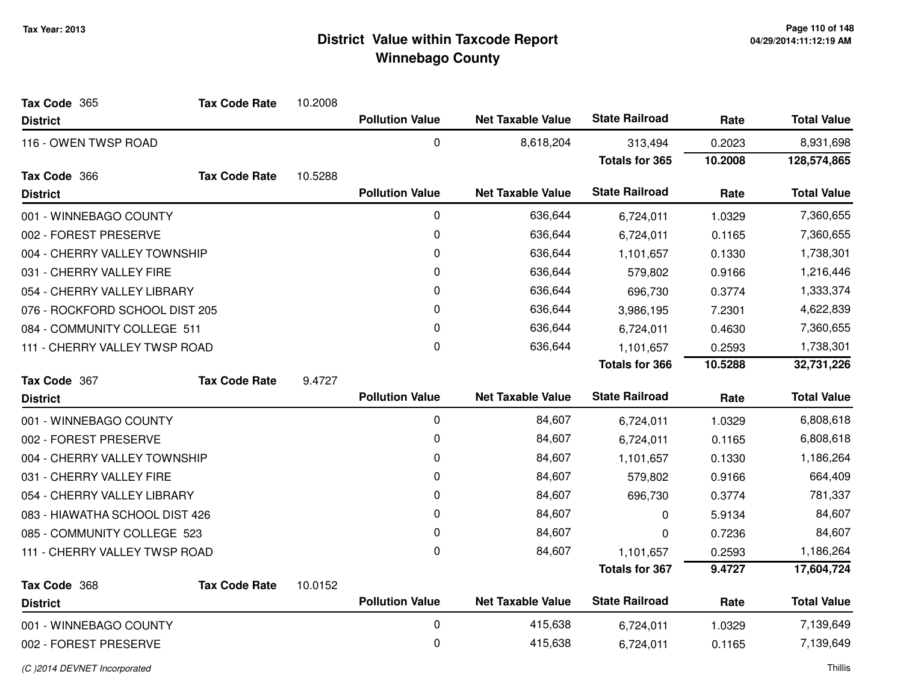| Tax Code 365                   | <b>Tax Code Rate</b> | 10.2008 |                        |                          |                       |         |                    |
|--------------------------------|----------------------|---------|------------------------|--------------------------|-----------------------|---------|--------------------|
| <b>District</b>                |                      |         | <b>Pollution Value</b> | <b>Net Taxable Value</b> | <b>State Railroad</b> | Rate    | <b>Total Value</b> |
| 116 - OWEN TWSP ROAD           |                      |         | 0                      | 8,618,204                | 313,494               | 0.2023  | 8,931,698          |
|                                |                      |         |                        |                          | <b>Totals for 365</b> | 10.2008 | 128,574,865        |
| Tax Code 366                   | <b>Tax Code Rate</b> | 10.5288 |                        |                          |                       |         |                    |
| <b>District</b>                |                      |         | <b>Pollution Value</b> | <b>Net Taxable Value</b> | <b>State Railroad</b> | Rate    | <b>Total Value</b> |
| 001 - WINNEBAGO COUNTY         |                      |         | 0                      | 636,644                  | 6,724,011             | 1.0329  | 7,360,655          |
| 002 - FOREST PRESERVE          |                      |         | 0                      | 636,644                  | 6,724,011             | 0.1165  | 7,360,655          |
| 004 - CHERRY VALLEY TOWNSHIP   |                      |         | 0                      | 636,644                  | 1,101,657             | 0.1330  | 1,738,301          |
| 031 - CHERRY VALLEY FIRE       |                      |         | 0                      | 636,644                  | 579,802               | 0.9166  | 1,216,446          |
| 054 - CHERRY VALLEY LIBRARY    |                      |         | 0                      | 636,644                  | 696,730               | 0.3774  | 1,333,374          |
| 076 - ROCKFORD SCHOOL DIST 205 |                      |         | 0                      | 636,644                  | 3,986,195             | 7.2301  | 4,622,839          |
| 084 - COMMUNITY COLLEGE 511    |                      |         | 0                      | 636,644                  | 6,724,011             | 0.4630  | 7,360,655          |
| 111 - CHERRY VALLEY TWSP ROAD  |                      |         | 0                      | 636,644                  | 1,101,657             | 0.2593  | 1,738,301          |
|                                |                      |         |                        |                          | <b>Totals for 366</b> | 10.5288 | 32,731,226         |
| Tax Code 367                   | <b>Tax Code Rate</b> | 9.4727  |                        |                          |                       |         |                    |
| <b>District</b>                |                      |         | <b>Pollution Value</b> | <b>Net Taxable Value</b> | <b>State Railroad</b> | Rate    | <b>Total Value</b> |
| 001 - WINNEBAGO COUNTY         |                      |         | $\pmb{0}$              | 84,607                   | 6,724,011             | 1.0329  | 6,808,618          |
| 002 - FOREST PRESERVE          |                      |         | $\mathbf 0$            | 84,607                   | 6,724,011             | 0.1165  | 6,808,618          |
| 004 - CHERRY VALLEY TOWNSHIP   |                      |         | 0                      | 84,607                   | 1,101,657             | 0.1330  | 1,186,264          |
| 031 - CHERRY VALLEY FIRE       |                      |         | 0                      | 84,607                   | 579,802               | 0.9166  | 664,409            |
| 054 - CHERRY VALLEY LIBRARY    |                      |         | 0                      | 84,607                   | 696,730               | 0.3774  | 781,337            |
| 083 - HIAWATHA SCHOOL DIST 426 |                      |         | 0                      | 84,607                   | 0                     | 5.9134  | 84,607             |
| 085 - COMMUNITY COLLEGE 523    |                      |         | 0                      | 84,607                   | 0                     | 0.7236  | 84,607             |
| 111 - CHERRY VALLEY TWSP ROAD  |                      |         | $\mathbf 0$            | 84,607                   | 1,101,657             | 0.2593  | 1,186,264          |
|                                |                      |         |                        |                          | <b>Totals for 367</b> | 9.4727  | 17,604,724         |
| Tax Code 368                   | <b>Tax Code Rate</b> | 10.0152 |                        |                          |                       |         |                    |
| <b>District</b>                |                      |         | <b>Pollution Value</b> | <b>Net Taxable Value</b> | <b>State Railroad</b> | Rate    | <b>Total Value</b> |
| 001 - WINNEBAGO COUNTY         |                      |         | $\mathbf 0$            | 415,638                  | 6,724,011             | 1.0329  | 7,139,649          |
| 002 - FOREST PRESERVE          |                      |         | 0                      | 415,638                  | 6,724,011             | 0.1165  | 7,139,649          |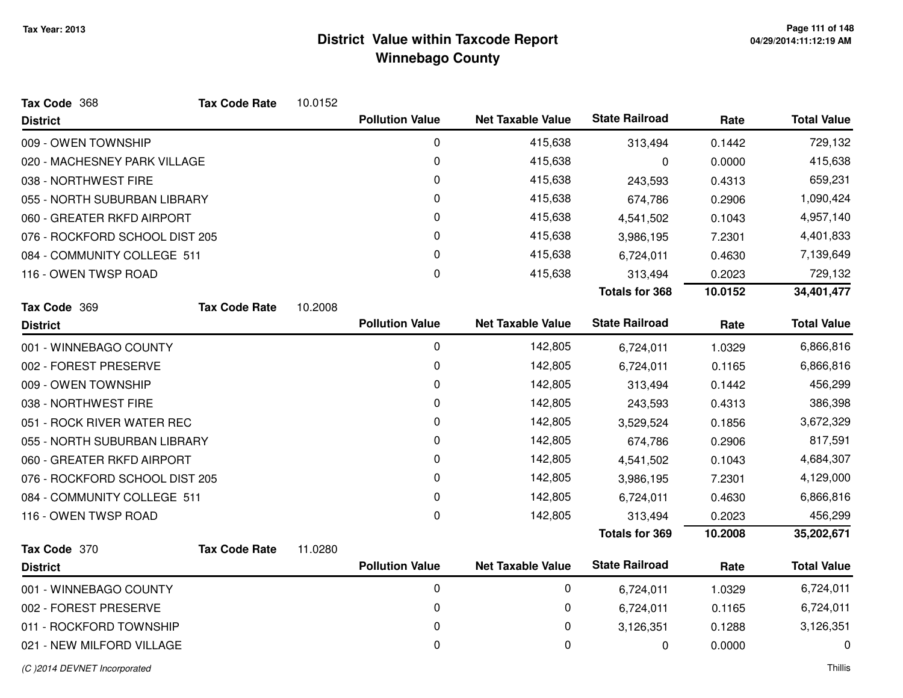| Tax Code 368                   | <b>Tax Code Rate</b> | 10.0152 |                        |                          |                       |         |                    |
|--------------------------------|----------------------|---------|------------------------|--------------------------|-----------------------|---------|--------------------|
| <b>District</b>                |                      |         | <b>Pollution Value</b> | <b>Net Taxable Value</b> | <b>State Railroad</b> | Rate    | <b>Total Value</b> |
| 009 - OWEN TOWNSHIP            |                      |         | $\mathbf 0$            | 415,638                  | 313,494               | 0.1442  | 729,132            |
| 020 - MACHESNEY PARK VILLAGE   |                      |         | 0                      | 415,638                  | 0                     | 0.0000  | 415,638            |
| 038 - NORTHWEST FIRE           |                      |         | 0                      | 415,638                  | 243,593               | 0.4313  | 659,231            |
| 055 - NORTH SUBURBAN LIBRARY   |                      |         | 0                      | 415,638                  | 674,786               | 0.2906  | 1,090,424          |
| 060 - GREATER RKFD AIRPORT     |                      |         | 0                      | 415,638                  | 4,541,502             | 0.1043  | 4,957,140          |
| 076 - ROCKFORD SCHOOL DIST 205 |                      |         | 0                      | 415,638                  | 3,986,195             | 7.2301  | 4,401,833          |
| 084 - COMMUNITY COLLEGE 511    |                      |         | 0                      | 415,638                  | 6,724,011             | 0.4630  | 7,139,649          |
| 116 - OWEN TWSP ROAD           |                      |         | 0                      | 415,638                  | 313,494               | 0.2023  | 729,132            |
|                                |                      |         |                        |                          | <b>Totals for 368</b> | 10.0152 | 34,401,477         |
| Tax Code 369                   | <b>Tax Code Rate</b> | 10.2008 |                        |                          |                       |         |                    |
| <b>District</b>                |                      |         | <b>Pollution Value</b> | <b>Net Taxable Value</b> | <b>State Railroad</b> | Rate    | <b>Total Value</b> |
| 001 - WINNEBAGO COUNTY         |                      |         | 0                      | 142,805                  | 6,724,011             | 1.0329  | 6,866,816          |
| 002 - FOREST PRESERVE          |                      |         | 0                      | 142,805                  | 6,724,011             | 0.1165  | 6,866,816          |
| 009 - OWEN TOWNSHIP            |                      |         | 0                      | 142,805                  | 313,494               | 0.1442  | 456,299            |
| 038 - NORTHWEST FIRE           |                      |         | 0                      | 142,805                  | 243,593               | 0.4313  | 386,398            |
| 051 - ROCK RIVER WATER REC     |                      |         | 0                      | 142,805                  | 3,529,524             | 0.1856  | 3,672,329          |
| 055 - NORTH SUBURBAN LIBRARY   |                      |         | 0                      | 142,805                  | 674,786               | 0.2906  | 817,591            |
| 060 - GREATER RKFD AIRPORT     |                      |         | 0                      | 142,805                  | 4,541,502             | 0.1043  | 4,684,307          |
| 076 - ROCKFORD SCHOOL DIST 205 |                      |         | $\Omega$               | 142,805                  | 3,986,195             | 7.2301  | 4,129,000          |
| 084 - COMMUNITY COLLEGE 511    |                      |         | 0                      | 142,805                  | 6,724,011             | 0.4630  | 6,866,816          |
| 116 - OWEN TWSP ROAD           |                      |         | 0                      | 142,805                  | 313,494               | 0.2023  | 456,299            |
|                                |                      |         |                        |                          | <b>Totals for 369</b> | 10.2008 | 35,202,671         |
| Tax Code 370                   | <b>Tax Code Rate</b> | 11.0280 |                        |                          |                       |         |                    |
| <b>District</b>                |                      |         | <b>Pollution Value</b> | <b>Net Taxable Value</b> | <b>State Railroad</b> | Rate    | <b>Total Value</b> |
| 001 - WINNEBAGO COUNTY         |                      |         | 0                      | 0                        | 6,724,011             | 1.0329  | 6,724,011          |
| 002 - FOREST PRESERVE          |                      |         | 0                      | 0                        | 6,724,011             | 0.1165  | 6,724,011          |
| 011 - ROCKFORD TOWNSHIP        |                      |         | 0                      | 0                        | 3,126,351             | 0.1288  | 3,126,351          |
| 021 - NEW MILFORD VILLAGE      |                      |         | 0                      | 0                        | 0                     | 0.0000  | 0                  |
|                                |                      |         |                        |                          |                       |         |                    |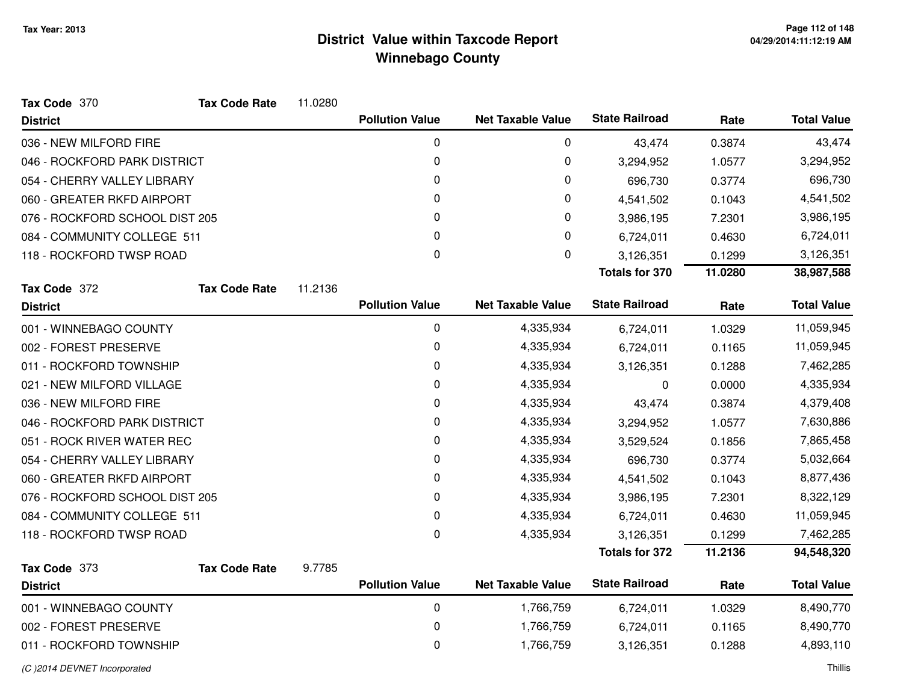| Tax Code 370                   | <b>Tax Code Rate</b> | 11.0280 |                        |                          |                       |         |                    |
|--------------------------------|----------------------|---------|------------------------|--------------------------|-----------------------|---------|--------------------|
| <b>District</b>                |                      |         | <b>Pollution Value</b> | <b>Net Taxable Value</b> | <b>State Railroad</b> | Rate    | <b>Total Value</b> |
| 036 - NEW MILFORD FIRE         |                      |         | 0                      | 0                        | 43,474                | 0.3874  | 43,474             |
| 046 - ROCKFORD PARK DISTRICT   |                      |         | 0                      | 0                        | 3,294,952             | 1.0577  | 3,294,952          |
| 054 - CHERRY VALLEY LIBRARY    |                      |         | 0                      | 0                        | 696,730               | 0.3774  | 696,730            |
| 060 - GREATER RKFD AIRPORT     |                      |         | 0                      | 0                        | 4,541,502             | 0.1043  | 4,541,502          |
| 076 - ROCKFORD SCHOOL DIST 205 |                      |         | 0                      | 0                        | 3,986,195             | 7.2301  | 3,986,195          |
| 084 - COMMUNITY COLLEGE 511    |                      |         | 0                      | $\mathbf 0$              | 6,724,011             | 0.4630  | 6,724,011          |
| 118 - ROCKFORD TWSP ROAD       |                      |         | $\mathbf{0}$           | $\mathbf 0$              | 3,126,351             | 0.1299  | 3,126,351          |
|                                |                      |         |                        |                          | <b>Totals for 370</b> | 11.0280 | 38,987,588         |
| Tax Code 372                   | <b>Tax Code Rate</b> | 11.2136 |                        |                          |                       |         |                    |
| <b>District</b>                |                      |         | <b>Pollution Value</b> | <b>Net Taxable Value</b> | <b>State Railroad</b> | Rate    | <b>Total Value</b> |
| 001 - WINNEBAGO COUNTY         |                      |         | 0                      | 4,335,934                | 6,724,011             | 1.0329  | 11,059,945         |
| 002 - FOREST PRESERVE          |                      |         | 0                      | 4,335,934                | 6,724,011             | 0.1165  | 11,059,945         |
| 011 - ROCKFORD TOWNSHIP        |                      |         | 0                      | 4,335,934                | 3,126,351             | 0.1288  | 7,462,285          |
| 021 - NEW MILFORD VILLAGE      |                      |         | 0                      | 4,335,934                | 0                     | 0.0000  | 4,335,934          |
| 036 - NEW MILFORD FIRE         |                      |         | 0                      | 4,335,934                | 43,474                | 0.3874  | 4,379,408          |
| 046 - ROCKFORD PARK DISTRICT   |                      |         | 0                      | 4,335,934                | 3,294,952             | 1.0577  | 7,630,886          |
| 051 - ROCK RIVER WATER REC     |                      |         | 0                      | 4,335,934                | 3,529,524             | 0.1856  | 7,865,458          |
| 054 - CHERRY VALLEY LIBRARY    |                      |         | 0                      | 4,335,934                | 696,730               | 0.3774  | 5,032,664          |
| 060 - GREATER RKFD AIRPORT     |                      |         | 0                      | 4,335,934                | 4,541,502             | 0.1043  | 8,877,436          |
| 076 - ROCKFORD SCHOOL DIST 205 |                      |         | 0                      | 4,335,934                | 3,986,195             | 7.2301  | 8,322,129          |
| 084 - COMMUNITY COLLEGE 511    |                      |         | 0                      | 4,335,934                | 6,724,011             | 0.4630  | 11,059,945         |
| 118 - ROCKFORD TWSP ROAD       |                      |         | 0                      | 4,335,934                | 3,126,351             | 0.1299  | 7,462,285          |
|                                |                      |         |                        |                          | <b>Totals for 372</b> | 11.2136 | 94,548,320         |
| Tax Code 373                   | <b>Tax Code Rate</b> | 9.7785  |                        |                          |                       |         |                    |
| <b>District</b>                |                      |         | <b>Pollution Value</b> | <b>Net Taxable Value</b> | <b>State Railroad</b> | Rate    | <b>Total Value</b> |
| 001 - WINNEBAGO COUNTY         |                      |         | 0                      | 1,766,759                | 6,724,011             | 1.0329  | 8,490,770          |
| 002 - FOREST PRESERVE          |                      |         | 0                      | 1,766,759                | 6,724,011             | 0.1165  | 8,490,770          |
| 011 - ROCKFORD TOWNSHIP        |                      |         | 0                      | 1,766,759                | 3,126,351             | 0.1288  | 4,893,110          |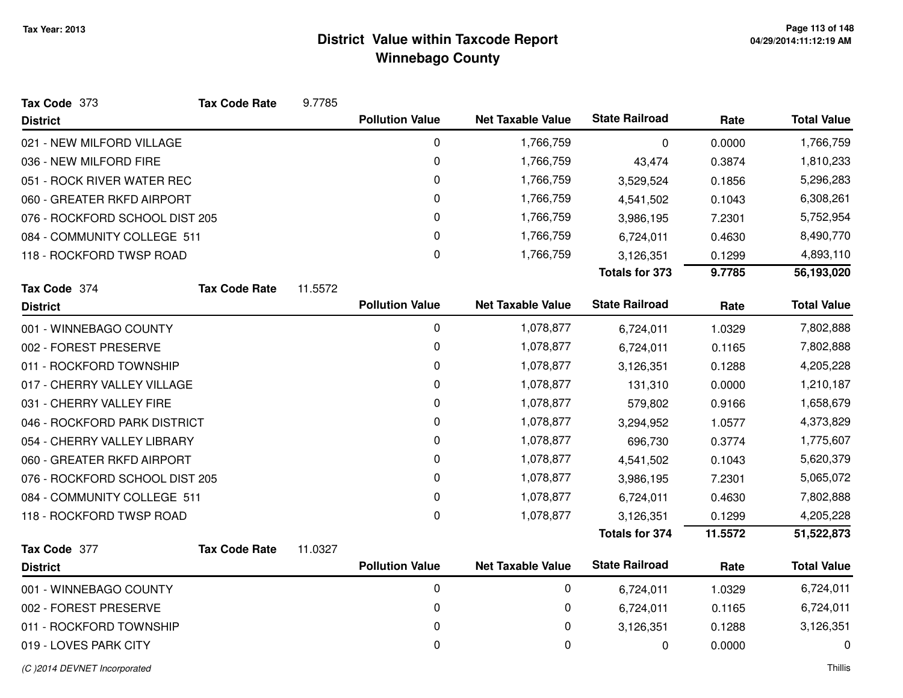| Tax Code 373                   | <b>Tax Code Rate</b> | 9.7785  |                        |                          |                       |         |                    |
|--------------------------------|----------------------|---------|------------------------|--------------------------|-----------------------|---------|--------------------|
| <b>District</b>                |                      |         | <b>Pollution Value</b> | <b>Net Taxable Value</b> | <b>State Railroad</b> | Rate    | <b>Total Value</b> |
| 021 - NEW MILFORD VILLAGE      |                      |         | 0                      | 1,766,759                | 0                     | 0.0000  | 1,766,759          |
| 036 - NEW MILFORD FIRE         |                      |         | 0                      | 1,766,759                | 43,474                | 0.3874  | 1,810,233          |
| 051 - ROCK RIVER WATER REC     |                      |         | 0                      | 1,766,759                | 3,529,524             | 0.1856  | 5,296,283          |
| 060 - GREATER RKFD AIRPORT     |                      |         | 0                      | 1,766,759                | 4,541,502             | 0.1043  | 6,308,261          |
| 076 - ROCKFORD SCHOOL DIST 205 |                      |         | 0                      | 1,766,759                | 3,986,195             | 7.2301  | 5,752,954          |
| 084 - COMMUNITY COLLEGE 511    |                      |         | 0                      | 1,766,759                | 6,724,011             | 0.4630  | 8,490,770          |
| 118 - ROCKFORD TWSP ROAD       |                      |         | 0                      | 1,766,759                | 3,126,351             | 0.1299  | 4,893,110          |
|                                |                      |         |                        |                          | <b>Totals for 373</b> | 9.7785  | 56,193,020         |
| Tax Code 374                   | <b>Tax Code Rate</b> | 11.5572 |                        |                          |                       |         |                    |
| <b>District</b>                |                      |         | <b>Pollution Value</b> | <b>Net Taxable Value</b> | <b>State Railroad</b> | Rate    | <b>Total Value</b> |
| 001 - WINNEBAGO COUNTY         |                      |         | 0                      | 1,078,877                | 6,724,011             | 1.0329  | 7,802,888          |
| 002 - FOREST PRESERVE          |                      |         | 0                      | 1,078,877                | 6,724,011             | 0.1165  | 7,802,888          |
| 011 - ROCKFORD TOWNSHIP        |                      |         | 0                      | 1,078,877                | 3,126,351             | 0.1288  | 4,205,228          |
| 017 - CHERRY VALLEY VILLAGE    |                      |         | 0                      | 1,078,877                | 131,310               | 0.0000  | 1,210,187          |
| 031 - CHERRY VALLEY FIRE       |                      |         | 0                      | 1,078,877                | 579,802               | 0.9166  | 1,658,679          |
| 046 - ROCKFORD PARK DISTRICT   |                      |         | 0                      | 1,078,877                | 3,294,952             | 1.0577  | 4,373,829          |
| 054 - CHERRY VALLEY LIBRARY    |                      |         | 0                      | 1,078,877                | 696,730               | 0.3774  | 1,775,607          |
| 060 - GREATER RKFD AIRPORT     |                      |         | $\pmb{0}$              | 1,078,877                | 4,541,502             | 0.1043  | 5,620,379          |
| 076 - ROCKFORD SCHOOL DIST 205 |                      |         | 0                      | 1,078,877                | 3,986,195             | 7.2301  | 5,065,072          |
| 084 - COMMUNITY COLLEGE 511    |                      |         | 0                      | 1,078,877                | 6,724,011             | 0.4630  | 7,802,888          |
| 118 - ROCKFORD TWSP ROAD       |                      |         | 0                      | 1,078,877                | 3,126,351             | 0.1299  | 4,205,228          |
|                                |                      |         |                        |                          | <b>Totals for 374</b> | 11.5572 | 51,522,873         |
| Tax Code 377                   | <b>Tax Code Rate</b> | 11.0327 |                        |                          |                       |         |                    |
| <b>District</b>                |                      |         | <b>Pollution Value</b> | <b>Net Taxable Value</b> | <b>State Railroad</b> | Rate    | <b>Total Value</b> |
| 001 - WINNEBAGO COUNTY         |                      |         | $\pmb{0}$              | $\mathbf 0$              | 6,724,011             | 1.0329  | 6,724,011          |
| 002 - FOREST PRESERVE          |                      |         | 0                      | 0                        | 6,724,011             | 0.1165  | 6,724,011          |
| 011 - ROCKFORD TOWNSHIP        |                      |         | 0                      | $\pmb{0}$                | 3,126,351             | 0.1288  | 3,126,351          |
| 019 - LOVES PARK CITY          |                      |         | 0                      | $\mathbf 0$              | 0                     | 0.0000  | 0                  |
|                                |                      |         |                        |                          |                       |         |                    |

(C )2014 DEVNET Incorporated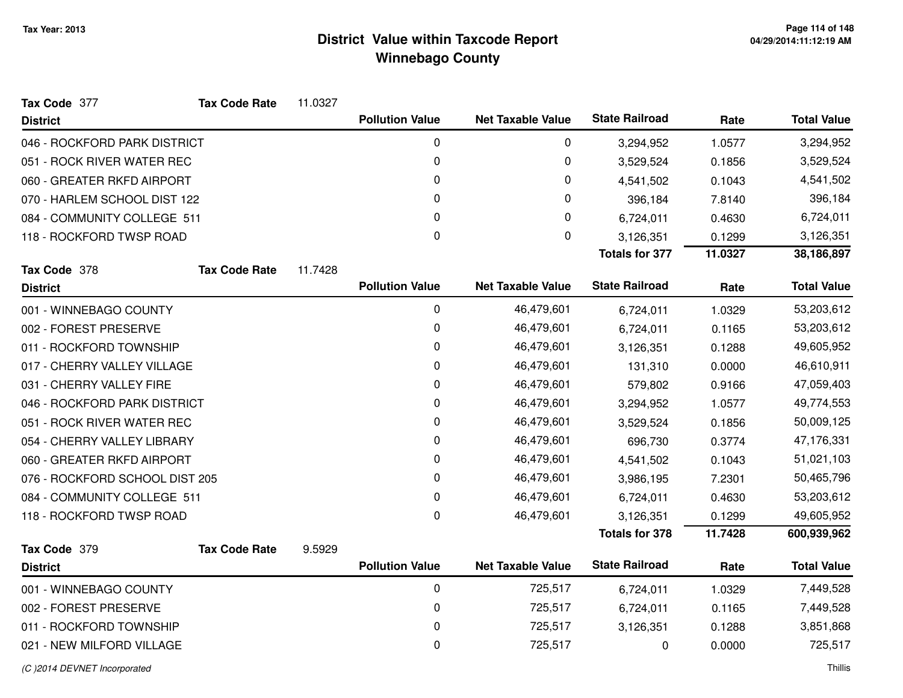| Tax Code 377                   | <b>Tax Code Rate</b> | 11.0327 |                        |                          |                       |         |                    |
|--------------------------------|----------------------|---------|------------------------|--------------------------|-----------------------|---------|--------------------|
| <b>District</b>                |                      |         | <b>Pollution Value</b> | <b>Net Taxable Value</b> | <b>State Railroad</b> | Rate    | <b>Total Value</b> |
| 046 - ROCKFORD PARK DISTRICT   |                      |         | $\mathbf 0$            | 0                        | 3,294,952             | 1.0577  | 3,294,952          |
| 051 - ROCK RIVER WATER REC     |                      |         | 0                      | 0                        | 3,529,524             | 0.1856  | 3,529,524          |
| 060 - GREATER RKFD AIRPORT     |                      |         | 0                      | 0                        | 4,541,502             | 0.1043  | 4,541,502          |
| 070 - HARLEM SCHOOL DIST 122   |                      |         | 0                      | 0                        | 396,184               | 7.8140  | 396,184            |
| 084 - COMMUNITY COLLEGE 511    |                      |         | 0                      | 0                        | 6,724,011             | 0.4630  | 6,724,011          |
| 118 - ROCKFORD TWSP ROAD       |                      |         | 0                      | 0                        | 3,126,351             | 0.1299  | 3,126,351          |
|                                |                      |         |                        |                          | <b>Totals for 377</b> | 11.0327 | 38,186,897         |
| Tax Code 378                   | <b>Tax Code Rate</b> | 11.7428 |                        |                          |                       |         |                    |
| <b>District</b>                |                      |         | <b>Pollution Value</b> | <b>Net Taxable Value</b> | <b>State Railroad</b> | Rate    | <b>Total Value</b> |
| 001 - WINNEBAGO COUNTY         |                      |         | $\mathbf 0$            | 46,479,601               | 6,724,011             | 1.0329  | 53,203,612         |
| 002 - FOREST PRESERVE          |                      |         | 0                      | 46,479,601               | 6,724,011             | 0.1165  | 53,203,612         |
| 011 - ROCKFORD TOWNSHIP        |                      |         | $\mathbf 0$            | 46,479,601               | 3,126,351             | 0.1288  | 49,605,952         |
| 017 - CHERRY VALLEY VILLAGE    |                      |         | 0                      | 46,479,601               | 131,310               | 0.0000  | 46,610,911         |
| 031 - CHERRY VALLEY FIRE       |                      |         | 0                      | 46,479,601               | 579,802               | 0.9166  | 47,059,403         |
| 046 - ROCKFORD PARK DISTRICT   |                      |         | 0                      | 46,479,601               | 3,294,952             | 1.0577  | 49,774,553         |
| 051 - ROCK RIVER WATER REC     |                      |         | 0                      | 46,479,601               | 3,529,524             | 0.1856  | 50,009,125         |
| 054 - CHERRY VALLEY LIBRARY    |                      |         | 0                      | 46,479,601               | 696,730               | 0.3774  | 47,176,331         |
| 060 - GREATER RKFD AIRPORT     |                      |         | 0                      | 46,479,601               | 4,541,502             | 0.1043  | 51,021,103         |
| 076 - ROCKFORD SCHOOL DIST 205 |                      |         | 0                      | 46,479,601               | 3,986,195             | 7.2301  | 50,465,796         |
| 084 - COMMUNITY COLLEGE 511    |                      |         | 0                      | 46,479,601               | 6,724,011             | 0.4630  | 53,203,612         |
| 118 - ROCKFORD TWSP ROAD       |                      |         | 0                      | 46,479,601               | 3,126,351             | 0.1299  | 49,605,952         |
|                                |                      |         |                        |                          | <b>Totals for 378</b> | 11.7428 | 600,939,962        |
| Tax Code 379                   | <b>Tax Code Rate</b> | 9.5929  |                        |                          |                       |         |                    |
| <b>District</b>                |                      |         | <b>Pollution Value</b> | <b>Net Taxable Value</b> | <b>State Railroad</b> | Rate    | <b>Total Value</b> |
| 001 - WINNEBAGO COUNTY         |                      |         | $\mathbf 0$            | 725,517                  | 6,724,011             | 1.0329  | 7,449,528          |
| 002 - FOREST PRESERVE          |                      |         | 0                      | 725,517                  | 6,724,011             | 0.1165  | 7,449,528          |
| 011 - ROCKFORD TOWNSHIP        |                      |         | 0                      | 725,517                  | 3,126,351             | 0.1288  | 3,851,868          |
| 021 - NEW MILFORD VILLAGE      |                      |         | 0                      | 725,517                  | 0                     | 0.0000  | 725,517            |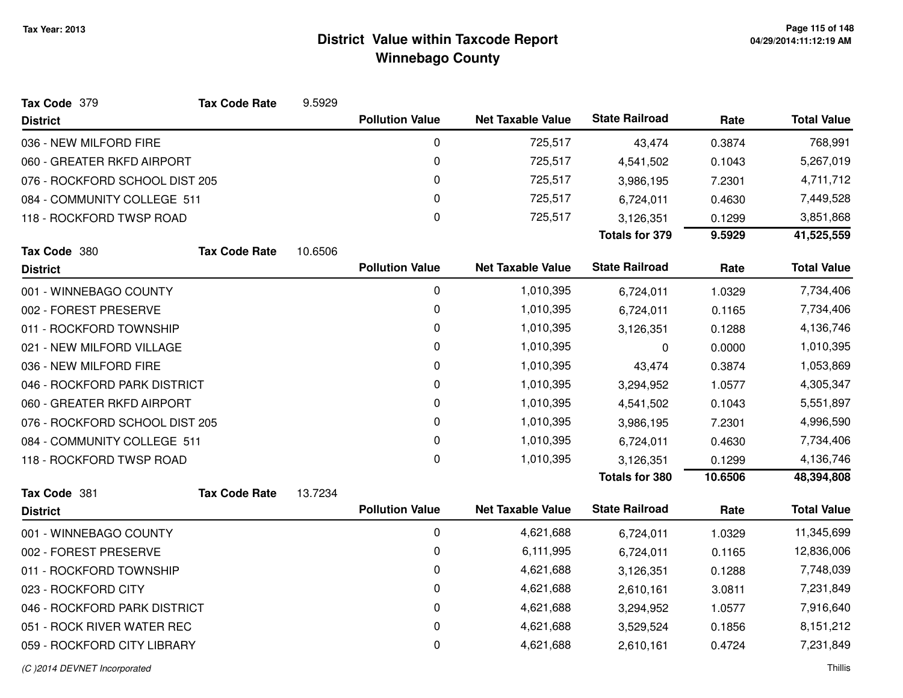| Tax Code 379                   | <b>Tax Code Rate</b> | 9.5929  |                        |                          |                       |         |                    |
|--------------------------------|----------------------|---------|------------------------|--------------------------|-----------------------|---------|--------------------|
| <b>District</b>                |                      |         | <b>Pollution Value</b> | <b>Net Taxable Value</b> | <b>State Railroad</b> | Rate    | <b>Total Value</b> |
| 036 - NEW MILFORD FIRE         |                      |         | $\mathbf 0$            | 725,517                  | 43,474                | 0.3874  | 768,991            |
| 060 - GREATER RKFD AIRPORT     |                      |         | 0                      | 725,517                  | 4,541,502             | 0.1043  | 5,267,019          |
| 076 - ROCKFORD SCHOOL DIST 205 |                      |         | 0                      | 725,517                  | 3,986,195             | 7.2301  | 4,711,712          |
| 084 - COMMUNITY COLLEGE 511    |                      |         | 0                      | 725,517                  | 6,724,011             | 0.4630  | 7,449,528          |
| 118 - ROCKFORD TWSP ROAD       |                      |         | 0                      | 725,517                  | 3,126,351             | 0.1299  | 3,851,868          |
|                                |                      |         |                        |                          | Totals for 379        | 9.5929  | 41,525,559         |
| Tax Code 380                   | <b>Tax Code Rate</b> | 10.6506 |                        |                          |                       |         |                    |
| <b>District</b>                |                      |         | <b>Pollution Value</b> | <b>Net Taxable Value</b> | <b>State Railroad</b> | Rate    | <b>Total Value</b> |
| 001 - WINNEBAGO COUNTY         |                      |         | $\mathbf 0$            | 1,010,395                | 6,724,011             | 1.0329  | 7,734,406          |
| 002 - FOREST PRESERVE          |                      |         | 0                      | 1,010,395                | 6,724,011             | 0.1165  | 7,734,406          |
| 011 - ROCKFORD TOWNSHIP        |                      |         | 0                      | 1,010,395                | 3,126,351             | 0.1288  | 4,136,746          |
| 021 - NEW MILFORD VILLAGE      |                      |         | 0                      | 1,010,395                | 0                     | 0.0000  | 1,010,395          |
| 036 - NEW MILFORD FIRE         |                      |         | 0                      | 1,010,395                | 43,474                | 0.3874  | 1,053,869          |
| 046 - ROCKFORD PARK DISTRICT   |                      |         | 0                      | 1,010,395                | 3,294,952             | 1.0577  | 4,305,347          |
| 060 - GREATER RKFD AIRPORT     |                      |         | 0                      | 1,010,395                | 4,541,502             | 0.1043  | 5,551,897          |
| 076 - ROCKFORD SCHOOL DIST 205 |                      |         | 0                      | 1,010,395                | 3,986,195             | 7.2301  | 4,996,590          |
| 084 - COMMUNITY COLLEGE 511    |                      |         | 0                      | 1,010,395                | 6,724,011             | 0.4630  | 7,734,406          |
| 118 - ROCKFORD TWSP ROAD       |                      |         | $\mathbf 0$            | 1,010,395                | 3,126,351             | 0.1299  | 4,136,746          |
|                                |                      |         |                        |                          | <b>Totals for 380</b> | 10.6506 | 48,394,808         |
| Tax Code 381                   | <b>Tax Code Rate</b> | 13.7234 |                        |                          |                       |         |                    |
| <b>District</b>                |                      |         | <b>Pollution Value</b> | <b>Net Taxable Value</b> | <b>State Railroad</b> | Rate    | <b>Total Value</b> |
| 001 - WINNEBAGO COUNTY         |                      |         | $\pmb{0}$              | 4,621,688                | 6,724,011             | 1.0329  | 11,345,699         |
| 002 - FOREST PRESERVE          |                      |         | 0                      | 6,111,995                | 6,724,011             | 0.1165  | 12,836,006         |
| 011 - ROCKFORD TOWNSHIP        |                      |         | $\mathbf 0$            | 4,621,688                | 3,126,351             | 0.1288  | 7,748,039          |
| 023 - ROCKFORD CITY            |                      |         | 0                      | 4,621,688                | 2,610,161             | 3.0811  | 7,231,849          |
| 046 - ROCKFORD PARK DISTRICT   |                      |         | 0                      | 4,621,688                | 3,294,952             | 1.0577  | 7,916,640          |
| 051 - ROCK RIVER WATER REC     |                      |         | 0                      | 4,621,688                | 3,529,524             | 0.1856  | 8,151,212          |
| 059 - ROCKFORD CITY LIBRARY    |                      |         | 0                      | 4,621,688                | 2,610,161             | 0.4724  | 7,231,849          |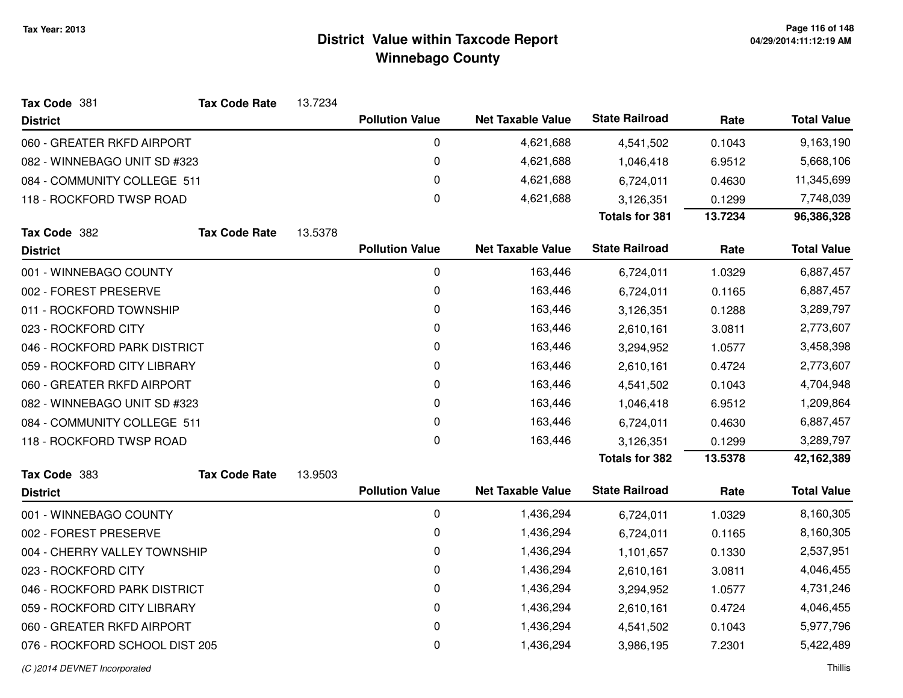| Tax Code 381                   | <b>Tax Code Rate</b> | 13.7234 |                        |                          |                       |         |                    |
|--------------------------------|----------------------|---------|------------------------|--------------------------|-----------------------|---------|--------------------|
| <b>District</b>                |                      |         | <b>Pollution Value</b> | <b>Net Taxable Value</b> | <b>State Railroad</b> | Rate    | <b>Total Value</b> |
| 060 - GREATER RKFD AIRPORT     |                      |         | $\pmb{0}$              | 4,621,688                | 4,541,502             | 0.1043  | 9,163,190          |
| 082 - WINNEBAGO UNIT SD #323   |                      |         | 0                      | 4,621,688                | 1,046,418             | 6.9512  | 5,668,106          |
| 084 - COMMUNITY COLLEGE 511    |                      |         | 0                      | 4,621,688                | 6,724,011             | 0.4630  | 11,345,699         |
| 118 - ROCKFORD TWSP ROAD       |                      |         | $\mathbf 0$            | 4,621,688                | 3,126,351             | 0.1299  | 7,748,039          |
|                                |                      |         |                        |                          | <b>Totals for 381</b> | 13.7234 | 96,386,328         |
| Tax Code 382                   | <b>Tax Code Rate</b> | 13.5378 |                        |                          |                       |         |                    |
| <b>District</b>                |                      |         | <b>Pollution Value</b> | <b>Net Taxable Value</b> | <b>State Railroad</b> | Rate    | <b>Total Value</b> |
| 001 - WINNEBAGO COUNTY         |                      |         | $\mathbf 0$            | 163,446                  | 6,724,011             | 1.0329  | 6,887,457          |
| 002 - FOREST PRESERVE          |                      |         | 0                      | 163,446                  | 6,724,011             | 0.1165  | 6,887,457          |
| 011 - ROCKFORD TOWNSHIP        |                      |         | 0                      | 163,446                  | 3,126,351             | 0.1288  | 3,289,797          |
| 023 - ROCKFORD CITY            |                      |         | 0                      | 163,446                  | 2,610,161             | 3.0811  | 2,773,607          |
| 046 - ROCKFORD PARK DISTRICT   |                      |         | 0                      | 163,446                  | 3,294,952             | 1.0577  | 3,458,398          |
| 059 - ROCKFORD CITY LIBRARY    |                      |         | 0                      | 163,446                  | 2,610,161             | 0.4724  | 2,773,607          |
| 060 - GREATER RKFD AIRPORT     |                      |         | 0                      | 163,446                  | 4,541,502             | 0.1043  | 4,704,948          |
| 082 - WINNEBAGO UNIT SD #323   |                      |         | 0                      | 163,446                  | 1,046,418             | 6.9512  | 1,209,864          |
| 084 - COMMUNITY COLLEGE 511    |                      |         | 0                      | 163,446                  | 6,724,011             | 0.4630  | 6,887,457          |
| 118 - ROCKFORD TWSP ROAD       |                      |         | 0                      | 163,446                  | 3,126,351             | 0.1299  | 3,289,797          |
|                                |                      |         |                        |                          | <b>Totals for 382</b> | 13.5378 | 42,162,389         |
| Tax Code 383                   | <b>Tax Code Rate</b> | 13.9503 |                        |                          |                       |         |                    |
| <b>District</b>                |                      |         | <b>Pollution Value</b> | <b>Net Taxable Value</b> | <b>State Railroad</b> | Rate    | <b>Total Value</b> |
| 001 - WINNEBAGO COUNTY         |                      |         | $\mathbf 0$            | 1,436,294                | 6,724,011             | 1.0329  | 8,160,305          |
| 002 - FOREST PRESERVE          |                      |         | 0                      | 1,436,294                | 6,724,011             | 0.1165  | 8,160,305          |
| 004 - CHERRY VALLEY TOWNSHIP   |                      |         | 0                      | 1,436,294                | 1,101,657             | 0.1330  | 2,537,951          |
| 023 - ROCKFORD CITY            |                      |         | $\Omega$               | 1,436,294                | 2,610,161             | 3.0811  | 4,046,455          |
| 046 - ROCKFORD PARK DISTRICT   |                      |         | 0                      | 1,436,294                | 3,294,952             | 1.0577  | 4,731,246          |
| 059 - ROCKFORD CITY LIBRARY    |                      |         | 0                      | 1,436,294                | 2,610,161             | 0.4724  | 4,046,455          |
| 060 - GREATER RKFD AIRPORT     |                      |         | 0                      | 1,436,294                | 4,541,502             | 0.1043  | 5,977,796          |
| 076 - ROCKFORD SCHOOL DIST 205 |                      |         | 0                      | 1,436,294                | 3,986,195             | 7.2301  | 5,422,489          |
| (C) 2014 DEVNET Incorporated   |                      |         |                        |                          |                       |         | Thillis            |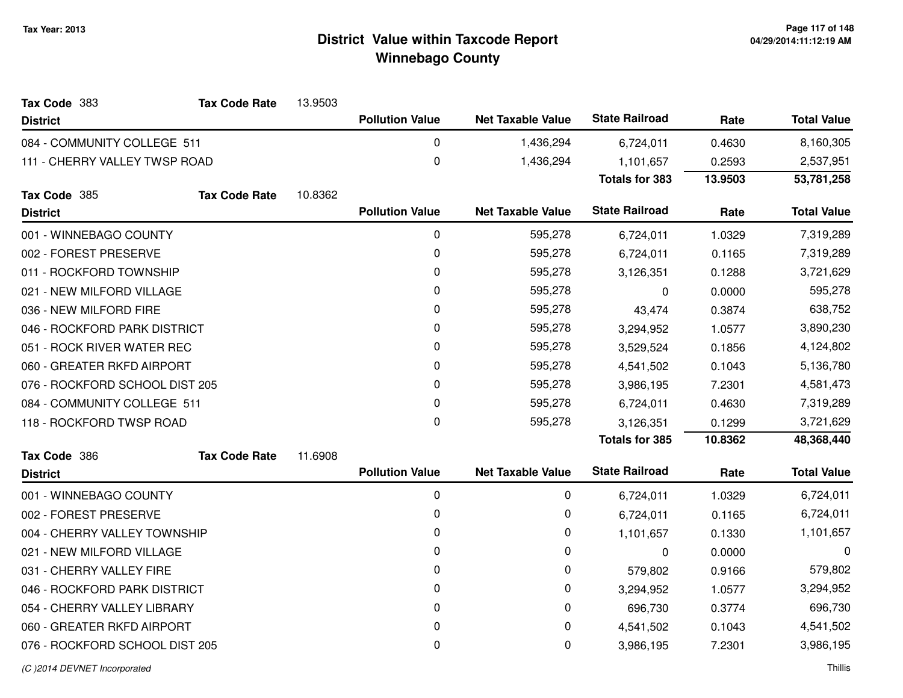| Tax Code 383                   | <b>Tax Code Rate</b> | 13.9503 |                        |                          |                       |         |                    |
|--------------------------------|----------------------|---------|------------------------|--------------------------|-----------------------|---------|--------------------|
| <b>District</b>                |                      |         | <b>Pollution Value</b> | <b>Net Taxable Value</b> | <b>State Railroad</b> | Rate    | <b>Total Value</b> |
| 084 - COMMUNITY COLLEGE 511    |                      |         | 0                      | 1,436,294                | 6,724,011             | 0.4630  | 8,160,305          |
| 111 - CHERRY VALLEY TWSP ROAD  |                      |         | 0                      | 1,436,294                | 1,101,657             | 0.2593  | 2,537,951          |
|                                |                      |         |                        |                          | <b>Totals for 383</b> | 13.9503 | 53,781,258         |
| Tax Code 385                   | <b>Tax Code Rate</b> | 10.8362 |                        |                          |                       |         |                    |
| <b>District</b>                |                      |         | <b>Pollution Value</b> | <b>Net Taxable Value</b> | <b>State Railroad</b> | Rate    | <b>Total Value</b> |
| 001 - WINNEBAGO COUNTY         |                      |         | 0                      | 595,278                  | 6,724,011             | 1.0329  | 7,319,289          |
| 002 - FOREST PRESERVE          |                      |         | 0                      | 595,278                  | 6,724,011             | 0.1165  | 7,319,289          |
| 011 - ROCKFORD TOWNSHIP        |                      |         | 0                      | 595,278                  | 3,126,351             | 0.1288  | 3,721,629          |
| 021 - NEW MILFORD VILLAGE      |                      |         | 0                      | 595,278                  | 0                     | 0.0000  | 595,278            |
| 036 - NEW MILFORD FIRE         |                      |         | 0                      | 595,278                  | 43,474                | 0.3874  | 638,752            |
| 046 - ROCKFORD PARK DISTRICT   |                      |         | 0                      | 595,278                  | 3,294,952             | 1.0577  | 3,890,230          |
| 051 - ROCK RIVER WATER REC     |                      |         | 0                      | 595,278                  | 3,529,524             | 0.1856  | 4,124,802          |
| 060 - GREATER RKFD AIRPORT     |                      |         | 0                      | 595,278                  | 4,541,502             | 0.1043  | 5,136,780          |
| 076 - ROCKFORD SCHOOL DIST 205 |                      |         | 0                      | 595,278                  | 3,986,195             | 7.2301  | 4,581,473          |
| 084 - COMMUNITY COLLEGE 511    |                      |         | 0                      | 595,278                  | 6,724,011             | 0.4630  | 7,319,289          |
| 118 - ROCKFORD TWSP ROAD       |                      |         | 0                      | 595,278                  | 3,126,351             | 0.1299  | 3,721,629          |
|                                |                      |         |                        |                          | <b>Totals for 385</b> | 10.8362 | 48,368,440         |
| Tax Code 386                   | <b>Tax Code Rate</b> | 11.6908 |                        |                          |                       |         |                    |
| <b>District</b>                |                      |         | <b>Pollution Value</b> | <b>Net Taxable Value</b> | <b>State Railroad</b> | Rate    | <b>Total Value</b> |
| 001 - WINNEBAGO COUNTY         |                      |         | 0                      | 0                        | 6,724,011             | 1.0329  | 6,724,011          |
| 002 - FOREST PRESERVE          |                      |         | 0                      | 0                        | 6,724,011             | 0.1165  | 6,724,011          |
| 004 - CHERRY VALLEY TOWNSHIP   |                      |         | 0                      | 0                        | 1,101,657             | 0.1330  | 1,101,657          |
| 021 - NEW MILFORD VILLAGE      |                      |         | 0                      | 0                        | 0                     | 0.0000  | 0                  |
| 031 - CHERRY VALLEY FIRE       |                      |         | 0                      | 0                        | 579,802               | 0.9166  | 579,802            |
| 046 - ROCKFORD PARK DISTRICT   |                      |         | 0                      | 0                        | 3,294,952             | 1.0577  | 3,294,952          |
| 054 - CHERRY VALLEY LIBRARY    |                      |         | 0                      | 0                        | 696,730               | 0.3774  | 696,730            |
| 060 - GREATER RKFD AIRPORT     |                      |         | 0                      | 0                        | 4,541,502             | 0.1043  | 4,541,502          |
| 076 - ROCKFORD SCHOOL DIST 205 |                      |         | 0                      | 0                        | 3,986,195             | 7.2301  | 3,986,195          |
|                                |                      |         |                        |                          |                       |         |                    |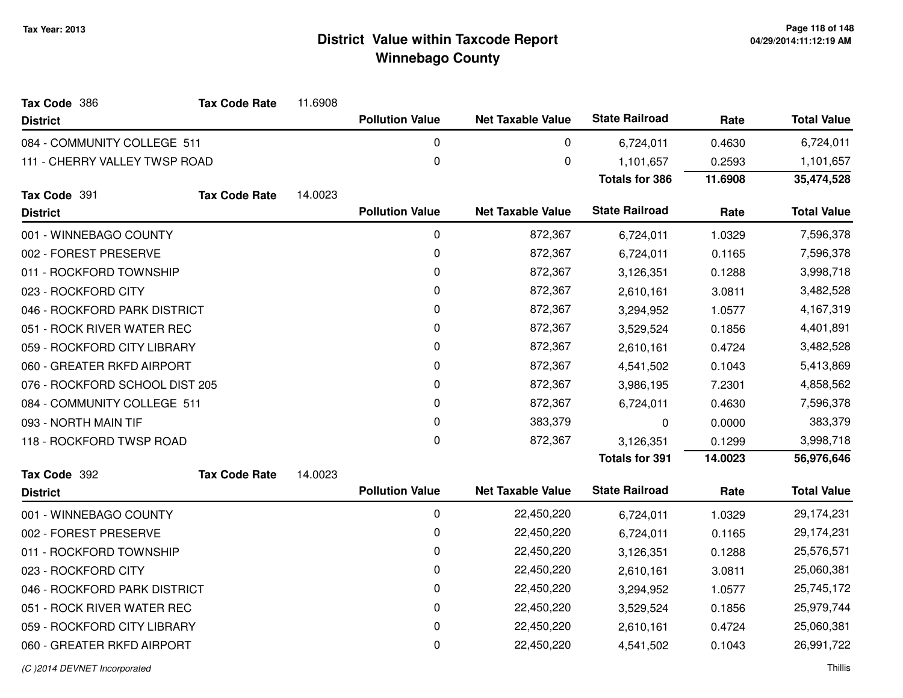| Tax Code 386                   | <b>Tax Code Rate</b> | 11.6908 |                        |                          |                       |         |                    |
|--------------------------------|----------------------|---------|------------------------|--------------------------|-----------------------|---------|--------------------|
| <b>District</b>                |                      |         | <b>Pollution Value</b> | <b>Net Taxable Value</b> | <b>State Railroad</b> | Rate    | <b>Total Value</b> |
| 084 - COMMUNITY COLLEGE 511    |                      |         | 0                      | 0                        | 6,724,011             | 0.4630  | 6,724,011          |
| 111 - CHERRY VALLEY TWSP ROAD  |                      |         | $\mathbf 0$            | 0                        | 1,101,657             | 0.2593  | 1,101,657          |
|                                |                      |         |                        |                          | <b>Totals for 386</b> | 11.6908 | 35,474,528         |
| Tax Code 391                   | <b>Tax Code Rate</b> | 14.0023 |                        |                          |                       |         |                    |
| <b>District</b>                |                      |         | <b>Pollution Value</b> | <b>Net Taxable Value</b> | <b>State Railroad</b> | Rate    | <b>Total Value</b> |
| 001 - WINNEBAGO COUNTY         |                      |         | 0                      | 872,367                  | 6,724,011             | 1.0329  | 7,596,378          |
| 002 - FOREST PRESERVE          |                      |         | 0                      | 872,367                  | 6,724,011             | 0.1165  | 7,596,378          |
| 011 - ROCKFORD TOWNSHIP        |                      |         | 0                      | 872,367                  | 3,126,351             | 0.1288  | 3,998,718          |
| 023 - ROCKFORD CITY            |                      |         | $\pmb{0}$              | 872,367                  | 2,610,161             | 3.0811  | 3,482,528          |
| 046 - ROCKFORD PARK DISTRICT   |                      |         | $\pmb{0}$              | 872,367                  | 3,294,952             | 1.0577  | 4,167,319          |
| 051 - ROCK RIVER WATER REC     |                      |         | 0                      | 872,367                  | 3,529,524             | 0.1856  | 4,401,891          |
| 059 - ROCKFORD CITY LIBRARY    |                      |         | 0                      | 872,367                  | 2,610,161             | 0.4724  | 3,482,528          |
| 060 - GREATER RKFD AIRPORT     |                      |         | 0                      | 872,367                  | 4,541,502             | 0.1043  | 5,413,869          |
| 076 - ROCKFORD SCHOOL DIST 205 |                      |         | 0                      | 872,367                  | 3,986,195             | 7.2301  | 4,858,562          |
| 084 - COMMUNITY COLLEGE 511    |                      |         | 0                      | 872,367                  | 6,724,011             | 0.4630  | 7,596,378          |
| 093 - NORTH MAIN TIF           |                      |         | 0                      | 383,379                  | 0                     | 0.0000  | 383,379            |
| 118 - ROCKFORD TWSP ROAD       |                      |         | 0                      | 872,367                  | 3,126,351             | 0.1299  | 3,998,718          |
|                                |                      |         |                        |                          | <b>Totals for 391</b> | 14.0023 | 56,976,646         |
| Tax Code 392                   | <b>Tax Code Rate</b> | 14.0023 |                        |                          |                       |         |                    |
| <b>District</b>                |                      |         | <b>Pollution Value</b> | <b>Net Taxable Value</b> | <b>State Railroad</b> | Rate    | <b>Total Value</b> |
| 001 - WINNEBAGO COUNTY         |                      |         | 0                      | 22,450,220               | 6,724,011             | 1.0329  | 29,174,231         |
| 002 - FOREST PRESERVE          |                      |         | $\pmb{0}$              | 22,450,220               | 6,724,011             | 0.1165  | 29,174,231         |
| 011 - ROCKFORD TOWNSHIP        |                      |         | 0                      | 22,450,220               | 3,126,351             | 0.1288  | 25,576,571         |
| 023 - ROCKFORD CITY            |                      |         | 0                      | 22,450,220               | 2,610,161             | 3.0811  | 25,060,381         |
| 046 - ROCKFORD PARK DISTRICT   |                      |         | 0                      | 22,450,220               | 3,294,952             | 1.0577  | 25,745,172         |
| 051 - ROCK RIVER WATER REC     |                      |         | $\pmb{0}$              | 22,450,220               | 3,529,524             | 0.1856  | 25,979,744         |
| 059 - ROCKFORD CITY LIBRARY    |                      |         | $\pmb{0}$              | 22,450,220               | 2,610,161             | 0.4724  | 25,060,381         |
| 060 - GREATER RKFD AIRPORT     |                      |         | 0                      | 22,450,220               | 4,541,502             | 0.1043  | 26,991,722         |
|                                |                      |         |                        |                          |                       |         |                    |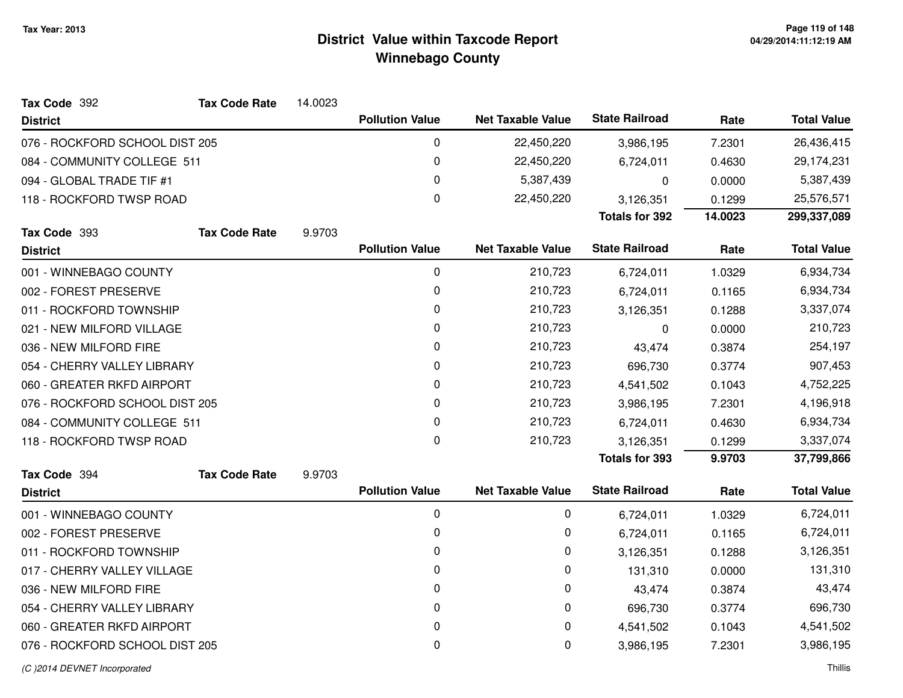| Tax Code 392                   | <b>Tax Code Rate</b> | 14.0023 |                        |                          |                       |         |                    |
|--------------------------------|----------------------|---------|------------------------|--------------------------|-----------------------|---------|--------------------|
| <b>District</b>                |                      |         | <b>Pollution Value</b> | <b>Net Taxable Value</b> | <b>State Railroad</b> | Rate    | <b>Total Value</b> |
| 076 - ROCKFORD SCHOOL DIST 205 |                      |         | 0                      | 22,450,220               | 3,986,195             | 7.2301  | 26,436,415         |
| 084 - COMMUNITY COLLEGE 511    |                      |         | 0                      | 22,450,220               | 6,724,011             | 0.4630  | 29,174,231         |
| 094 - GLOBAL TRADE TIF #1      |                      |         | 0                      | 5,387,439                | 0                     | 0.0000  | 5,387,439          |
| 118 - ROCKFORD TWSP ROAD       |                      |         | 0                      | 22,450,220               | 3,126,351             | 0.1299  | 25,576,571         |
|                                |                      |         |                        |                          | <b>Totals for 392</b> | 14.0023 | 299,337,089        |
| Tax Code 393                   | <b>Tax Code Rate</b> | 9.9703  |                        |                          |                       |         |                    |
| <b>District</b>                |                      |         | <b>Pollution Value</b> | <b>Net Taxable Value</b> | <b>State Railroad</b> | Rate    | <b>Total Value</b> |
| 001 - WINNEBAGO COUNTY         |                      |         | 0                      | 210,723                  | 6,724,011             | 1.0329  | 6,934,734          |
| 002 - FOREST PRESERVE          |                      |         | 0                      | 210,723                  | 6,724,011             | 0.1165  | 6,934,734          |
| 011 - ROCKFORD TOWNSHIP        |                      |         | 0                      | 210,723                  | 3,126,351             | 0.1288  | 3,337,074          |
| 021 - NEW MILFORD VILLAGE      |                      |         | 0                      | 210,723                  | 0                     | 0.0000  | 210,723            |
| 036 - NEW MILFORD FIRE         |                      |         | 0                      | 210,723                  | 43,474                | 0.3874  | 254,197            |
| 054 - CHERRY VALLEY LIBRARY    |                      |         | 0                      | 210,723                  | 696,730               | 0.3774  | 907,453            |
| 060 - GREATER RKFD AIRPORT     |                      |         | 0                      | 210,723                  | 4,541,502             | 0.1043  | 4,752,225          |
| 076 - ROCKFORD SCHOOL DIST 205 |                      |         | 0                      | 210,723                  | 3,986,195             | 7.2301  | 4,196,918          |
| 084 - COMMUNITY COLLEGE 511    |                      |         | 0                      | 210,723                  | 6,724,011             | 0.4630  | 6,934,734          |
| 118 - ROCKFORD TWSP ROAD       |                      |         | 0                      | 210,723                  | 3,126,351             | 0.1299  | 3,337,074          |
|                                |                      |         |                        |                          | <b>Totals for 393</b> | 9.9703  | 37,799,866         |
| Tax Code 394                   | <b>Tax Code Rate</b> | 9.9703  |                        |                          |                       |         |                    |
| <b>District</b>                |                      |         | <b>Pollution Value</b> | <b>Net Taxable Value</b> | <b>State Railroad</b> | Rate    | <b>Total Value</b> |
| 001 - WINNEBAGO COUNTY         |                      |         | 0                      | 0                        | 6,724,011             | 1.0329  | 6,724,011          |
| 002 - FOREST PRESERVE          |                      |         | 0                      | 0                        | 6,724,011             | 0.1165  | 6,724,011          |
| 011 - ROCKFORD TOWNSHIP        |                      |         | 0                      | 0                        | 3,126,351             | 0.1288  | 3,126,351          |
| 017 - CHERRY VALLEY VILLAGE    |                      |         | 0                      | 0                        | 131,310               | 0.0000  | 131,310            |
| 036 - NEW MILFORD FIRE         |                      |         | 0                      | 0                        | 43,474                | 0.3874  | 43,474             |
| 054 - CHERRY VALLEY LIBRARY    |                      |         | 0                      | 0                        | 696,730               | 0.3774  | 696,730            |
| 060 - GREATER RKFD AIRPORT     |                      |         | 0                      | 0                        | 4,541,502             | 0.1043  | 4,541,502          |
| 076 - ROCKFORD SCHOOL DIST 205 |                      |         | 0                      | 0                        | 3,986,195             | 7.2301  | 3,986,195          |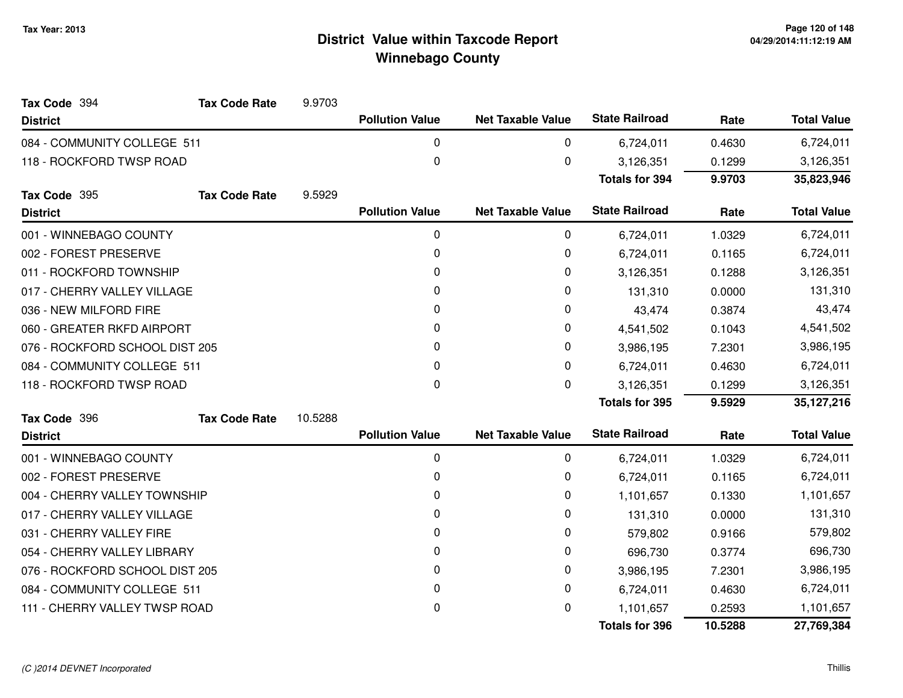| Tax Code 394                   | <b>Tax Code Rate</b> | 9.9703  |                        |                          |                       |         |                    |
|--------------------------------|----------------------|---------|------------------------|--------------------------|-----------------------|---------|--------------------|
| <b>District</b>                |                      |         | <b>Pollution Value</b> | <b>Net Taxable Value</b> | <b>State Railroad</b> | Rate    | <b>Total Value</b> |
| 084 - COMMUNITY COLLEGE 511    |                      |         | $\mathbf{0}$           | 0                        | 6,724,011             | 0.4630  | 6,724,011          |
| 118 - ROCKFORD TWSP ROAD       |                      |         | 0                      | 0                        | 3,126,351             | 0.1299  | 3,126,351          |
|                                |                      |         |                        |                          | <b>Totals for 394</b> | 9.9703  | 35,823,946         |
| Tax Code 395                   | <b>Tax Code Rate</b> | 9.5929  |                        |                          |                       |         |                    |
| <b>District</b>                |                      |         | <b>Pollution Value</b> | <b>Net Taxable Value</b> | <b>State Railroad</b> | Rate    | <b>Total Value</b> |
| 001 - WINNEBAGO COUNTY         |                      |         | 0                      | 0                        | 6,724,011             | 1.0329  | 6,724,011          |
| 002 - FOREST PRESERVE          |                      |         | 0                      | 0                        | 6,724,011             | 0.1165  | 6,724,011          |
| 011 - ROCKFORD TOWNSHIP        |                      |         | 0                      | 0                        | 3,126,351             | 0.1288  | 3,126,351          |
| 017 - CHERRY VALLEY VILLAGE    |                      |         | 0                      | 0                        | 131,310               | 0.0000  | 131,310            |
| 036 - NEW MILFORD FIRE         |                      |         | 0                      | 0                        | 43,474                | 0.3874  | 43,474             |
| 060 - GREATER RKFD AIRPORT     |                      |         | 0                      | 0                        | 4,541,502             | 0.1043  | 4,541,502          |
| 076 - ROCKFORD SCHOOL DIST 205 |                      |         | 0                      | 0                        | 3,986,195             | 7.2301  | 3,986,195          |
| 084 - COMMUNITY COLLEGE 511    |                      |         | 0                      | $\Omega$                 | 6,724,011             | 0.4630  | 6,724,011          |
| 118 - ROCKFORD TWSP ROAD       |                      |         | 0                      | 0                        | 3,126,351             | 0.1299  | 3,126,351          |
|                                |                      |         |                        |                          | <b>Totals for 395</b> | 9.5929  | 35,127,216         |
| Tax Code 396                   | <b>Tax Code Rate</b> | 10.5288 |                        |                          |                       |         |                    |
| <b>District</b>                |                      |         | <b>Pollution Value</b> | <b>Net Taxable Value</b> | <b>State Railroad</b> | Rate    | <b>Total Value</b> |
| 001 - WINNEBAGO COUNTY         |                      |         | 0                      | 0                        | 6,724,011             | 1.0329  | 6,724,011          |
| 002 - FOREST PRESERVE          |                      |         | 0                      | 0                        | 6,724,011             | 0.1165  | 6,724,011          |
| 004 - CHERRY VALLEY TOWNSHIP   |                      |         | 0                      | 0                        | 1,101,657             | 0.1330  | 1,101,657          |
| 017 - CHERRY VALLEY VILLAGE    |                      |         | 0                      | 0                        | 131,310               | 0.0000  | 131,310            |
| 031 - CHERRY VALLEY FIRE       |                      |         | 0                      | 0                        | 579,802               | 0.9166  | 579,802            |
| 054 - CHERRY VALLEY LIBRARY    |                      |         | 0                      | 0                        | 696,730               | 0.3774  | 696,730            |
| 076 - ROCKFORD SCHOOL DIST 205 |                      |         | 0                      | 0                        | 3,986,195             | 7.2301  | 3,986,195          |
| 084 - COMMUNITY COLLEGE 511    |                      |         | 0                      | 0                        | 6,724,011             | 0.4630  | 6,724,011          |
| 111 - CHERRY VALLEY TWSP ROAD  |                      |         | 0                      | 0                        | 1,101,657             | 0.2593  | 1,101,657          |
|                                |                      |         |                        |                          | <b>Totals for 396</b> | 10.5288 | 27,769,384         |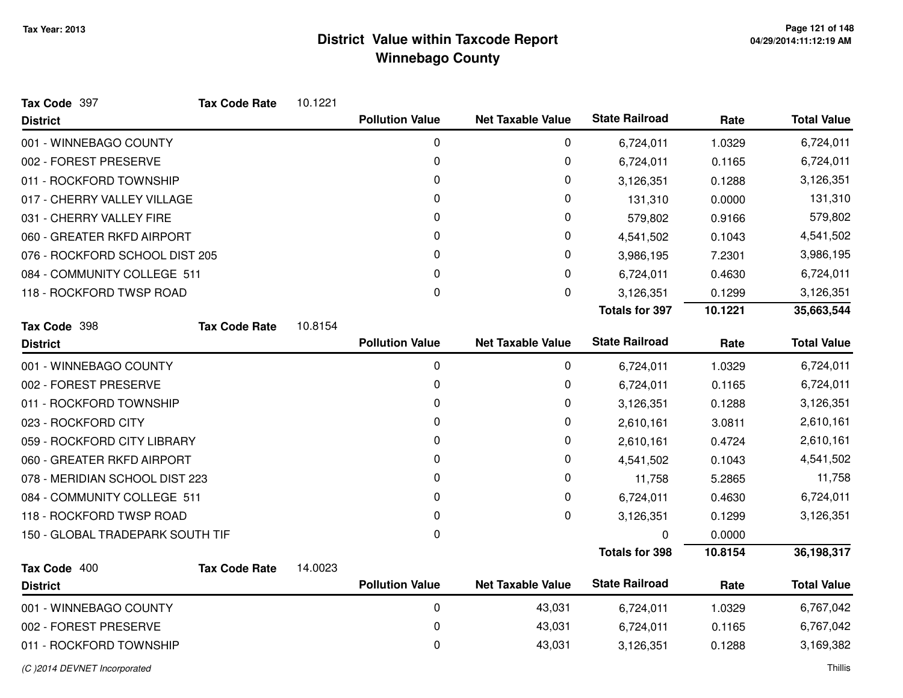| Tax Code 397                     | <b>Tax Code Rate</b> | 10.1221 |                        |                          |                       |         |                    |
|----------------------------------|----------------------|---------|------------------------|--------------------------|-----------------------|---------|--------------------|
| <b>District</b>                  |                      |         | <b>Pollution Value</b> | <b>Net Taxable Value</b> | <b>State Railroad</b> | Rate    | <b>Total Value</b> |
| 001 - WINNEBAGO COUNTY           |                      |         | 0                      | 0                        | 6,724,011             | 1.0329  | 6,724,011          |
| 002 - FOREST PRESERVE            |                      |         | 0                      | 0                        | 6,724,011             | 0.1165  | 6,724,011          |
| 011 - ROCKFORD TOWNSHIP          |                      |         | 0                      | 0                        | 3,126,351             | 0.1288  | 3,126,351          |
| 017 - CHERRY VALLEY VILLAGE      |                      |         | 0                      | 0                        | 131,310               | 0.0000  | 131,310            |
| 031 - CHERRY VALLEY FIRE         |                      |         | 0                      | 0                        | 579,802               | 0.9166  | 579,802            |
| 060 - GREATER RKFD AIRPORT       |                      |         | 0                      | 0                        | 4,541,502             | 0.1043  | 4,541,502          |
| 076 - ROCKFORD SCHOOL DIST 205   |                      |         | 0                      | 0                        | 3,986,195             | 7.2301  | 3,986,195          |
| 084 - COMMUNITY COLLEGE 511      |                      |         | 0                      | 0                        | 6,724,011             | 0.4630  | 6,724,011          |
| 118 - ROCKFORD TWSP ROAD         |                      |         | 0                      | 0                        | 3,126,351             | 0.1299  | 3,126,351          |
|                                  |                      |         |                        |                          | <b>Totals for 397</b> | 10.1221 | 35,663,544         |
| Tax Code 398                     | <b>Tax Code Rate</b> | 10.8154 |                        |                          |                       |         |                    |
| <b>District</b>                  |                      |         | <b>Pollution Value</b> | <b>Net Taxable Value</b> | <b>State Railroad</b> | Rate    | <b>Total Value</b> |
| 001 - WINNEBAGO COUNTY           |                      |         | $\pmb{0}$              | 0                        | 6,724,011             | 1.0329  | 6,724,011          |
| 002 - FOREST PRESERVE            |                      |         | 0                      | 0                        | 6,724,011             | 0.1165  | 6,724,011          |
| 011 - ROCKFORD TOWNSHIP          |                      |         | 0                      | 0                        | 3,126,351             | 0.1288  | 3,126,351          |
| 023 - ROCKFORD CITY              |                      |         | 0                      | 0                        | 2,610,161             | 3.0811  | 2,610,161          |
| 059 - ROCKFORD CITY LIBRARY      |                      |         | 0                      | 0                        | 2,610,161             | 0.4724  | 2,610,161          |
| 060 - GREATER RKFD AIRPORT       |                      |         | 0                      | 0                        | 4,541,502             | 0.1043  | 4,541,502          |
| 078 - MERIDIAN SCHOOL DIST 223   |                      |         | 0                      | 0                        | 11,758                | 5.2865  | 11,758             |
| 084 - COMMUNITY COLLEGE 511      |                      |         | 0                      | 0                        | 6,724,011             | 0.4630  | 6,724,011          |
| 118 - ROCKFORD TWSP ROAD         |                      |         | 0                      | 0                        | 3,126,351             | 0.1299  | 3,126,351          |
| 150 - GLOBAL TRADEPARK SOUTH TIF |                      |         | 0                      |                          | 0                     | 0.0000  |                    |
|                                  |                      |         |                        |                          | <b>Totals for 398</b> | 10.8154 | 36,198,317         |
| Tax Code 400                     | <b>Tax Code Rate</b> | 14.0023 |                        |                          |                       |         |                    |
| <b>District</b>                  |                      |         | <b>Pollution Value</b> | <b>Net Taxable Value</b> | <b>State Railroad</b> | Rate    | <b>Total Value</b> |
| 001 - WINNEBAGO COUNTY           |                      |         | 0                      | 43,031                   | 6,724,011             | 1.0329  | 6,767,042          |
| 002 - FOREST PRESERVE            |                      |         | 0                      | 43,031                   | 6,724,011             | 0.1165  | 6,767,042          |
| 011 - ROCKFORD TOWNSHIP          |                      |         | 0                      | 43,031                   | 3,126,351             | 0.1288  | 3,169,382          |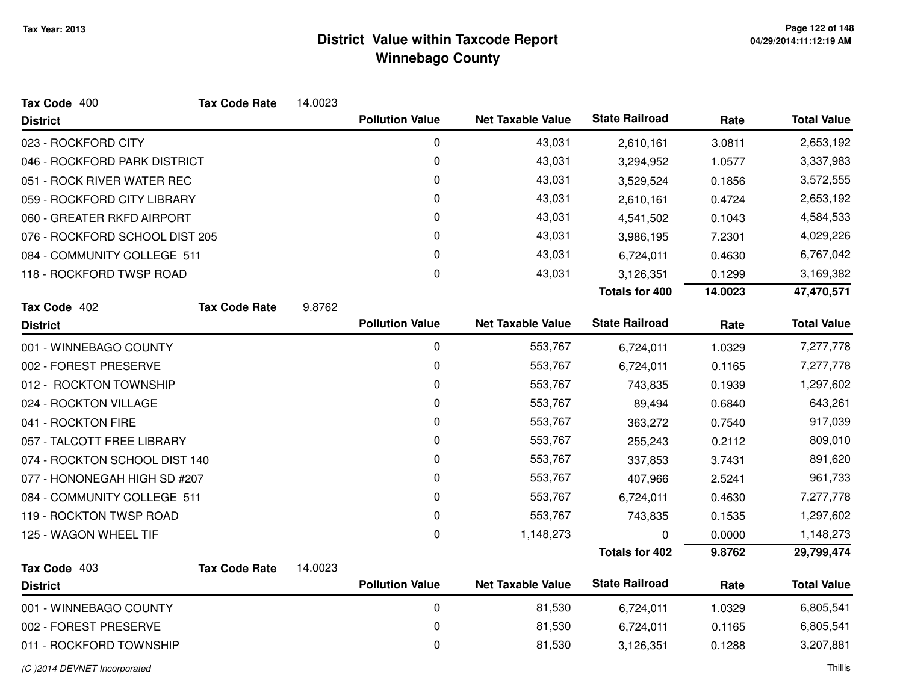| Tax Code 400                   | <b>Tax Code Rate</b> | 14.0023 |                        |                          |                       |         |                    |
|--------------------------------|----------------------|---------|------------------------|--------------------------|-----------------------|---------|--------------------|
| <b>District</b>                |                      |         | <b>Pollution Value</b> | <b>Net Taxable Value</b> | <b>State Railroad</b> | Rate    | <b>Total Value</b> |
| 023 - ROCKFORD CITY            |                      |         | 0                      | 43,031                   | 2,610,161             | 3.0811  | 2,653,192          |
| 046 - ROCKFORD PARK DISTRICT   |                      |         | 0                      | 43,031                   | 3,294,952             | 1.0577  | 3,337,983          |
| 051 - ROCK RIVER WATER REC     |                      |         | 0                      | 43,031                   | 3,529,524             | 0.1856  | 3,572,555          |
| 059 - ROCKFORD CITY LIBRARY    |                      |         | 0                      | 43,031                   | 2,610,161             | 0.4724  | 2,653,192          |
| 060 - GREATER RKFD AIRPORT     |                      |         | 0                      | 43,031                   | 4,541,502             | 0.1043  | 4,584,533          |
| 076 - ROCKFORD SCHOOL DIST 205 |                      |         | 0                      | 43,031                   | 3,986,195             | 7.2301  | 4,029,226          |
| 084 - COMMUNITY COLLEGE 511    |                      |         | 0                      | 43,031                   | 6,724,011             | 0.4630  | 6,767,042          |
| 118 - ROCKFORD TWSP ROAD       |                      |         | 0                      | 43,031                   | 3,126,351             | 0.1299  | 3,169,382          |
|                                |                      |         |                        |                          | <b>Totals for 400</b> | 14.0023 | 47,470,571         |
| Tax Code 402                   | <b>Tax Code Rate</b> | 9.8762  |                        |                          |                       |         |                    |
| <b>District</b>                |                      |         | <b>Pollution Value</b> | <b>Net Taxable Value</b> | <b>State Railroad</b> | Rate    | <b>Total Value</b> |
| 001 - WINNEBAGO COUNTY         |                      |         | 0                      | 553,767                  | 6,724,011             | 1.0329  | 7,277,778          |
| 002 - FOREST PRESERVE          |                      |         | $\mathbf 0$            | 553,767                  | 6,724,011             | 0.1165  | 7,277,778          |
| 012 - ROCKTON TOWNSHIP         |                      |         | 0                      | 553,767                  | 743,835               | 0.1939  | 1,297,602          |
| 024 - ROCKTON VILLAGE          |                      |         | 0                      | 553,767                  | 89,494                | 0.6840  | 643,261            |
| 041 - ROCKTON FIRE             |                      |         | 0                      | 553,767                  | 363,272               | 0.7540  | 917,039            |
| 057 - TALCOTT FREE LIBRARY     |                      |         | 0                      | 553,767                  | 255,243               | 0.2112  | 809,010            |
| 074 - ROCKTON SCHOOL DIST 140  |                      |         | 0                      | 553,767                  | 337,853               | 3.7431  | 891,620            |
| 077 - HONONEGAH HIGH SD #207   |                      |         | 0                      | 553,767                  | 407,966               | 2.5241  | 961,733            |
| 084 - COMMUNITY COLLEGE 511    |                      |         | 0                      | 553,767                  | 6,724,011             | 0.4630  | 7,277,778          |
| 119 - ROCKTON TWSP ROAD        |                      |         | 0                      | 553,767                  | 743,835               | 0.1535  | 1,297,602          |
| 125 - WAGON WHEEL TIF          |                      |         | 0                      | 1,148,273                | 0                     | 0.0000  | 1,148,273          |
|                                |                      |         |                        |                          | <b>Totals for 402</b> | 9.8762  | 29,799,474         |
| Tax Code 403                   | <b>Tax Code Rate</b> | 14.0023 |                        |                          |                       |         |                    |
| <b>District</b>                |                      |         | <b>Pollution Value</b> | <b>Net Taxable Value</b> | <b>State Railroad</b> | Rate    | <b>Total Value</b> |
| 001 - WINNEBAGO COUNTY         |                      |         | 0                      | 81,530                   | 6,724,011             | 1.0329  | 6,805,541          |
| 002 - FOREST PRESERVE          |                      |         | 0                      | 81,530                   | 6,724,011             | 0.1165  | 6,805,541          |
| 011 - ROCKFORD TOWNSHIP        |                      |         | 0                      | 81,530                   | 3,126,351             | 0.1288  | 3,207,881          |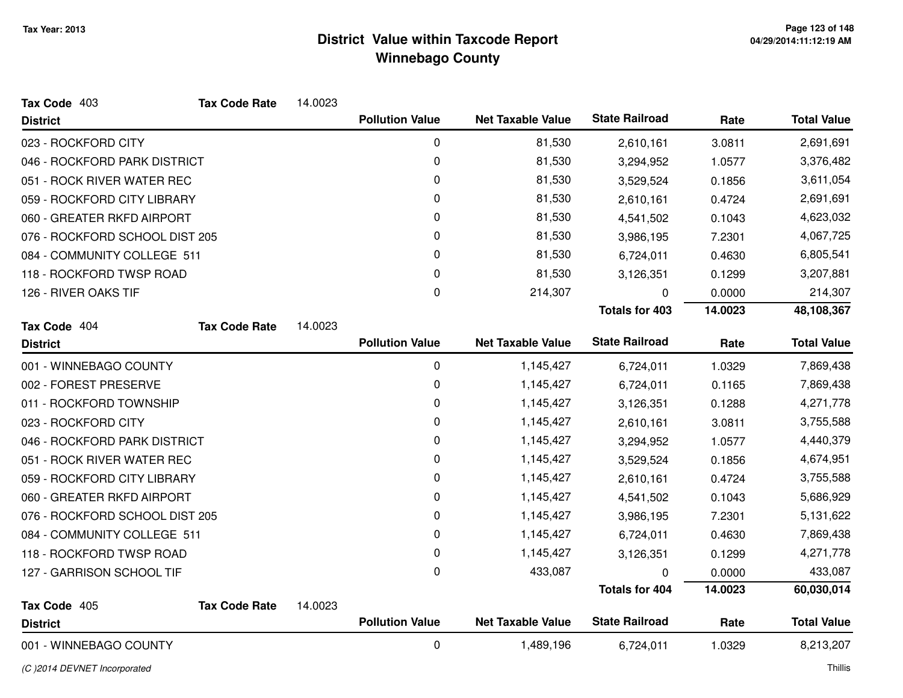| Tax Code 403                   | <b>Tax Code Rate</b> | 14.0023 |                        |                          |                       |         |                    |
|--------------------------------|----------------------|---------|------------------------|--------------------------|-----------------------|---------|--------------------|
| <b>District</b>                |                      |         | <b>Pollution Value</b> | <b>Net Taxable Value</b> | <b>State Railroad</b> | Rate    | <b>Total Value</b> |
| 023 - ROCKFORD CITY            |                      |         | 0                      | 81,530                   | 2,610,161             | 3.0811  | 2,691,691          |
| 046 - ROCKFORD PARK DISTRICT   |                      |         | 0                      | 81,530                   | 3,294,952             | 1.0577  | 3,376,482          |
| 051 - ROCK RIVER WATER REC     |                      |         | 0                      | 81,530                   | 3,529,524             | 0.1856  | 3,611,054          |
| 059 - ROCKFORD CITY LIBRARY    |                      |         | 0                      | 81,530                   | 2,610,161             | 0.4724  | 2,691,691          |
| 060 - GREATER RKFD AIRPORT     |                      |         | 0                      | 81,530                   | 4,541,502             | 0.1043  | 4,623,032          |
| 076 - ROCKFORD SCHOOL DIST 205 |                      |         | 0                      | 81,530                   | 3,986,195             | 7.2301  | 4,067,725          |
| 084 - COMMUNITY COLLEGE 511    |                      |         | 0                      | 81,530                   | 6,724,011             | 0.4630  | 6,805,541          |
| 118 - ROCKFORD TWSP ROAD       |                      |         | 0                      | 81,530                   | 3,126,351             | 0.1299  | 3,207,881          |
| 126 - RIVER OAKS TIF           |                      |         | 0                      | 214,307                  | 0                     | 0.0000  | 214,307            |
|                                |                      |         |                        |                          | <b>Totals for 403</b> | 14.0023 | 48,108,367         |
| Tax Code 404                   | <b>Tax Code Rate</b> | 14.0023 |                        |                          |                       |         |                    |
| <b>District</b>                |                      |         | <b>Pollution Value</b> | <b>Net Taxable Value</b> | <b>State Railroad</b> | Rate    | <b>Total Value</b> |
| 001 - WINNEBAGO COUNTY         |                      |         | 0                      | 1,145,427                | 6,724,011             | 1.0329  | 7,869,438          |
| 002 - FOREST PRESERVE          |                      |         | 0                      | 1,145,427                | 6,724,011             | 0.1165  | 7,869,438          |
| 011 - ROCKFORD TOWNSHIP        |                      |         | 0                      | 1,145,427                | 3,126,351             | 0.1288  | 4,271,778          |
| 023 - ROCKFORD CITY            |                      |         | 0                      | 1,145,427                | 2,610,161             | 3.0811  | 3,755,588          |
| 046 - ROCKFORD PARK DISTRICT   |                      |         | 0                      | 1,145,427                | 3,294,952             | 1.0577  | 4,440,379          |
| 051 - ROCK RIVER WATER REC     |                      |         | 0                      | 1,145,427                | 3,529,524             | 0.1856  | 4,674,951          |
| 059 - ROCKFORD CITY LIBRARY    |                      |         | 0                      | 1,145,427                | 2,610,161             | 0.4724  | 3,755,588          |
| 060 - GREATER RKFD AIRPORT     |                      |         | 0                      | 1,145,427                | 4,541,502             | 0.1043  | 5,686,929          |
| 076 - ROCKFORD SCHOOL DIST 205 |                      |         | 0                      | 1,145,427                | 3,986,195             | 7.2301  | 5,131,622          |
| 084 - COMMUNITY COLLEGE 511    |                      |         | 0                      | 1,145,427                | 6,724,011             | 0.4630  | 7,869,438          |
| 118 - ROCKFORD TWSP ROAD       |                      |         | 0                      | 1,145,427                | 3,126,351             | 0.1299  | 4,271,778          |
| 127 - GARRISON SCHOOL TIF      |                      |         | 0                      | 433,087                  |                       | 0.0000  | 433,087            |
|                                |                      |         |                        |                          | <b>Totals for 404</b> | 14.0023 | 60,030,014         |
| Tax Code 405                   | <b>Tax Code Rate</b> | 14.0023 |                        |                          |                       |         |                    |
| <b>District</b>                |                      |         | <b>Pollution Value</b> | <b>Net Taxable Value</b> | <b>State Railroad</b> | Rate    | <b>Total Value</b> |
| 001 - WINNEBAGO COUNTY         |                      |         | $\mathbf 0$            | 1,489,196                | 6,724,011             | 1.0329  | 8,213,207          |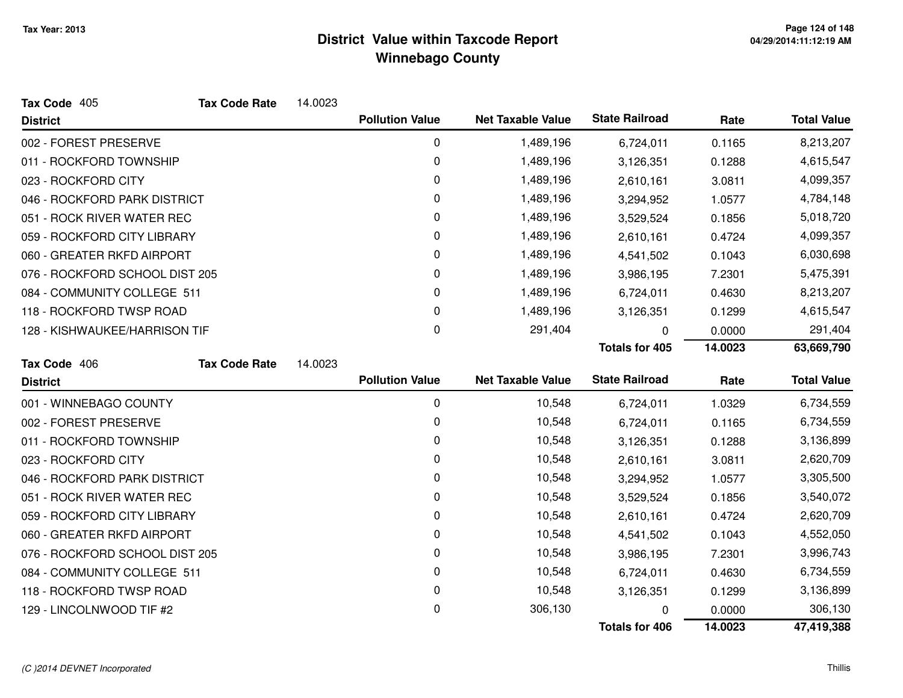| Tax Code 405                   | <b>Tax Code Rate</b> | 14.0023 |                        |                          |                       |         |                    |
|--------------------------------|----------------------|---------|------------------------|--------------------------|-----------------------|---------|--------------------|
| <b>District</b>                |                      |         | <b>Pollution Value</b> | <b>Net Taxable Value</b> | <b>State Railroad</b> | Rate    | <b>Total Value</b> |
| 002 - FOREST PRESERVE          |                      |         | 0                      | 1,489,196                | 6,724,011             | 0.1165  | 8,213,207          |
| 011 - ROCKFORD TOWNSHIP        |                      |         | 0                      | 1,489,196                | 3,126,351             | 0.1288  | 4,615,547          |
| 023 - ROCKFORD CITY            |                      |         | 0                      | 1,489,196                | 2,610,161             | 3.0811  | 4,099,357          |
| 046 - ROCKFORD PARK DISTRICT   |                      |         | 0                      | 1,489,196                | 3,294,952             | 1.0577  | 4,784,148          |
| 051 - ROCK RIVER WATER REC     |                      |         | 0                      | 1,489,196                | 3,529,524             | 0.1856  | 5,018,720          |
| 059 - ROCKFORD CITY LIBRARY    |                      |         | 0                      | 1,489,196                | 2,610,161             | 0.4724  | 4,099,357          |
| 060 - GREATER RKFD AIRPORT     |                      |         | 0                      | 1,489,196                | 4,541,502             | 0.1043  | 6,030,698          |
| 076 - ROCKFORD SCHOOL DIST 205 |                      |         | 0                      | 1,489,196                | 3,986,195             | 7.2301  | 5,475,391          |
| 084 - COMMUNITY COLLEGE 511    |                      |         | 0                      | 1,489,196                | 6,724,011             | 0.4630  | 8,213,207          |
| 118 - ROCKFORD TWSP ROAD       |                      |         | 0                      | 1,489,196                | 3,126,351             | 0.1299  | 4,615,547          |
| 128 - KISHWAUKEE/HARRISON TIF  |                      |         | 0                      | 291,404                  | 0                     | 0.0000  | 291,404            |
|                                |                      |         |                        |                          | <b>Totals for 405</b> | 14.0023 | 63,669,790         |
| Tax Code 406                   | <b>Tax Code Rate</b> | 14.0023 |                        |                          |                       |         |                    |
| <b>District</b>                |                      |         | <b>Pollution Value</b> | <b>Net Taxable Value</b> | <b>State Railroad</b> | Rate    | <b>Total Value</b> |
| 001 - WINNEBAGO COUNTY         |                      |         | $\mathbf 0$            | 10,548                   | 6,724,011             | 1.0329  | 6,734,559          |
| 002 - FOREST PRESERVE          |                      |         | 0                      | 10,548                   | 6,724,011             | 0.1165  | 6,734,559          |
| 011 - ROCKFORD TOWNSHIP        |                      |         | 0                      | 10,548                   | 3,126,351             | 0.1288  | 3,136,899          |
| 023 - ROCKFORD CITY            |                      |         | 0                      | 10,548                   | 2,610,161             | 3.0811  | 2,620,709          |
| 046 - ROCKFORD PARK DISTRICT   |                      |         | 0                      | 10,548                   | 3,294,952             | 1.0577  | 3,305,500          |
| 051 - ROCK RIVER WATER REC     |                      |         | 0                      | 10,548                   | 3,529,524             | 0.1856  | 3,540,072          |
| 059 - ROCKFORD CITY LIBRARY    |                      |         | 0                      | 10,548                   | 2,610,161             | 0.4724  | 2,620,709          |
| 060 - GREATER RKFD AIRPORT     |                      |         | 0                      | 10,548                   | 4,541,502             | 0.1043  | 4,552,050          |
| 076 - ROCKFORD SCHOOL DIST 205 |                      |         | 0                      | 10,548                   | 3,986,195             | 7.2301  | 3,996,743          |
| 084 - COMMUNITY COLLEGE 511    |                      |         | 0                      | 10,548                   | 6,724,011             | 0.4630  | 6,734,559          |
| 118 - ROCKFORD TWSP ROAD       |                      |         | 0                      | 10,548                   | 3,126,351             | 0.1299  | 3,136,899          |
| 129 - LINCOLNWOOD TIF #2       |                      |         | 0                      | 306,130                  |                       | 0.0000  | 306,130            |
|                                |                      |         |                        |                          | <b>Totals for 406</b> | 14.0023 | 47,419,388         |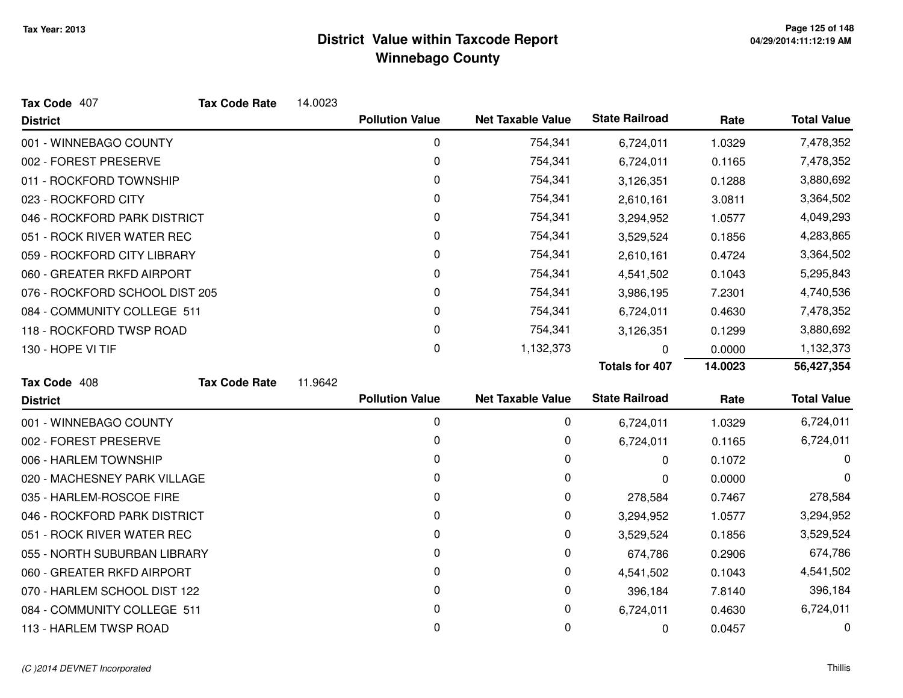| Tax Code 407                   | <b>Tax Code Rate</b> | 14.0023 |                        |                          |                       |         |                    |
|--------------------------------|----------------------|---------|------------------------|--------------------------|-----------------------|---------|--------------------|
| <b>District</b>                |                      |         | <b>Pollution Value</b> | <b>Net Taxable Value</b> | <b>State Railroad</b> | Rate    | <b>Total Value</b> |
| 001 - WINNEBAGO COUNTY         |                      |         | 0                      | 754,341                  | 6,724,011             | 1.0329  | 7,478,352          |
| 002 - FOREST PRESERVE          |                      |         | 0                      | 754,341                  | 6,724,011             | 0.1165  | 7,478,352          |
| 011 - ROCKFORD TOWNSHIP        |                      |         | 0                      | 754,341                  | 3,126,351             | 0.1288  | 3,880,692          |
| 023 - ROCKFORD CITY            |                      |         | 0                      | 754,341                  | 2,610,161             | 3.0811  | 3,364,502          |
| 046 - ROCKFORD PARK DISTRICT   |                      |         | 0                      | 754,341                  | 3,294,952             | 1.0577  | 4,049,293          |
| 051 - ROCK RIVER WATER REC     |                      |         | 0                      | 754,341                  | 3,529,524             | 0.1856  | 4,283,865          |
| 059 - ROCKFORD CITY LIBRARY    |                      |         | 0                      | 754,341                  | 2,610,161             | 0.4724  | 3,364,502          |
| 060 - GREATER RKFD AIRPORT     |                      |         | 0                      | 754,341                  | 4,541,502             | 0.1043  | 5,295,843          |
| 076 - ROCKFORD SCHOOL DIST 205 |                      |         | 0                      | 754,341                  | 3,986,195             | 7.2301  | 4,740,536          |
| 084 - COMMUNITY COLLEGE 511    |                      |         | 0                      | 754,341                  | 6,724,011             | 0.4630  | 7,478,352          |
| 118 - ROCKFORD TWSP ROAD       |                      |         | 0                      | 754,341                  | 3,126,351             | 0.1299  | 3,880,692          |
| 130 - HOPE VI TIF              |                      |         | 0                      | 1,132,373                | 0                     | 0.0000  | 1,132,373          |
|                                |                      |         |                        |                          | <b>Totals for 407</b> | 14.0023 | 56,427,354         |
|                                |                      |         |                        |                          |                       |         |                    |
| Tax Code 408                   | <b>Tax Code Rate</b> | 11.9642 |                        |                          |                       |         |                    |
| <b>District</b>                |                      |         | <b>Pollution Value</b> | <b>Net Taxable Value</b> | <b>State Railroad</b> | Rate    | <b>Total Value</b> |
| 001 - WINNEBAGO COUNTY         |                      |         | $\mathbf 0$            | 0                        | 6,724,011             | 1.0329  | 6,724,011          |
| 002 - FOREST PRESERVE          |                      |         | 0                      | 0                        | 6,724,011             | 0.1165  | 6,724,011          |
| 006 - HARLEM TOWNSHIP          |                      |         | 0                      | 0                        | 0                     | 0.1072  | 0                  |
| 020 - MACHESNEY PARK VILLAGE   |                      |         | 0                      | 0                        | 0                     | 0.0000  | 0                  |
| 035 - HARLEM-ROSCOE FIRE       |                      |         | 0                      | 0                        | 278,584               | 0.7467  | 278,584            |
| 046 - ROCKFORD PARK DISTRICT   |                      |         | 0                      | 0                        | 3,294,952             | 1.0577  | 3,294,952          |
| 051 - ROCK RIVER WATER REC     |                      |         | 0                      | 0                        | 3,529,524             | 0.1856  | 3,529,524          |
| 055 - NORTH SUBURBAN LIBRARY   |                      |         | 0                      | $\mathbf 0$              | 674,786               | 0.2906  | 674,786            |
| 060 - GREATER RKFD AIRPORT     |                      |         | 0                      | $\mathbf 0$              | 4,541,502             | 0.1043  | 4,541,502          |
| 070 - HARLEM SCHOOL DIST 122   |                      |         | 0                      | 0                        | 396,184               | 7.8140  | 396,184            |
| 084 - COMMUNITY COLLEGE 511    |                      |         | 0                      | 0                        | 6,724,011             | 0.4630  | 6,724,011          |

#### (C )2014 DEVNET Incorporated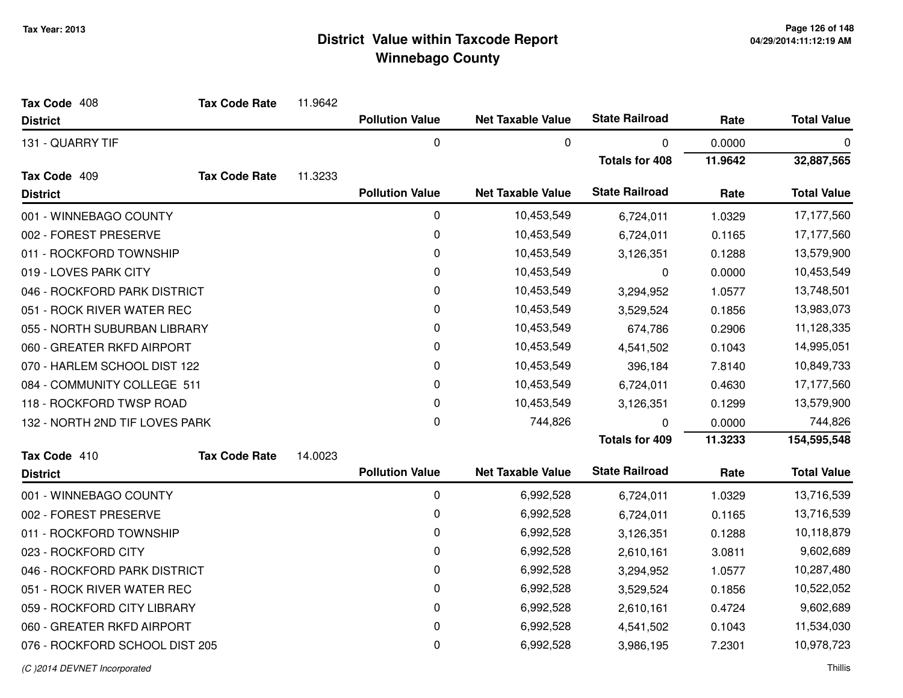| Tax Code 408<br><b>Tax Code Rate</b> | 11.9642 |                        |                          |                       |         |                    |
|--------------------------------------|---------|------------------------|--------------------------|-----------------------|---------|--------------------|
| <b>District</b>                      |         | <b>Pollution Value</b> | <b>Net Taxable Value</b> | <b>State Railroad</b> | Rate    | <b>Total Value</b> |
| 131 - QUARRY TIF                     |         | 0                      | 0                        | 0                     | 0.0000  | 0                  |
|                                      |         |                        |                          | <b>Totals for 408</b> | 11.9642 | 32,887,565         |
| Tax Code 409<br><b>Tax Code Rate</b> | 11.3233 |                        |                          |                       |         |                    |
| <b>District</b>                      |         | <b>Pollution Value</b> | <b>Net Taxable Value</b> | <b>State Railroad</b> | Rate    | <b>Total Value</b> |
| 001 - WINNEBAGO COUNTY               |         | 0                      | 10,453,549               | 6,724,011             | 1.0329  | 17,177,560         |
| 002 - FOREST PRESERVE                |         | 0                      | 10,453,549               | 6,724,011             | 0.1165  | 17,177,560         |
| 011 - ROCKFORD TOWNSHIP              |         | 0                      | 10,453,549               | 3,126,351             | 0.1288  | 13,579,900         |
| 019 - LOVES PARK CITY                |         | 0                      | 10,453,549               | 0                     | 0.0000  | 10,453,549         |
| 046 - ROCKFORD PARK DISTRICT         |         | $\pmb{0}$              | 10,453,549               | 3,294,952             | 1.0577  | 13,748,501         |
| 051 - ROCK RIVER WATER REC           |         | 0                      | 10,453,549               | 3,529,524             | 0.1856  | 13,983,073         |
| 055 - NORTH SUBURBAN LIBRARY         |         | 0                      | 10,453,549               | 674,786               | 0.2906  | 11,128,335         |
| 060 - GREATER RKFD AIRPORT           |         | 0                      | 10,453,549               | 4,541,502             | 0.1043  | 14,995,051         |
| 070 - HARLEM SCHOOL DIST 122         |         | 0                      | 10,453,549               | 396,184               | 7.8140  | 10,849,733         |
| 084 - COMMUNITY COLLEGE 511          |         | 0                      | 10,453,549               | 6,724,011             | 0.4630  | 17,177,560         |
| 118 - ROCKFORD TWSP ROAD             |         | 0                      | 10,453,549               | 3,126,351             | 0.1299  | 13,579,900         |
| 132 - NORTH 2ND TIF LOVES PARK       |         | 0                      | 744,826                  | n                     | 0.0000  | 744,826            |
|                                      |         |                        |                          | <b>Totals for 409</b> | 11.3233 | 154,595,548        |
| Tax Code 410<br><b>Tax Code Rate</b> | 14.0023 |                        |                          |                       |         |                    |
| <b>District</b>                      |         | <b>Pollution Value</b> | <b>Net Taxable Value</b> | <b>State Railroad</b> | Rate    | <b>Total Value</b> |
| 001 - WINNEBAGO COUNTY               |         | 0                      | 6,992,528                | 6,724,011             | 1.0329  | 13,716,539         |
| 002 - FOREST PRESERVE                |         | 0                      | 6,992,528                | 6,724,011             | 0.1165  | 13,716,539         |
| 011 - ROCKFORD TOWNSHIP              |         | $\pmb{0}$              | 6,992,528                | 3,126,351             | 0.1288  | 10,118,879         |
| 023 - ROCKFORD CITY                  |         | 0                      | 6,992,528                | 2,610,161             | 3.0811  | 9,602,689          |
| 046 - ROCKFORD PARK DISTRICT         |         | 0                      | 6,992,528                | 3,294,952             | 1.0577  | 10,287,480         |
| 051 - ROCK RIVER WATER REC           |         | 0                      | 6,992,528                | 3,529,524             | 0.1856  | 10,522,052         |
| 059 - ROCKFORD CITY LIBRARY          |         | 0                      | 6,992,528                | 2,610,161             | 0.4724  | 9,602,689          |
| 060 - GREATER RKFD AIRPORT           |         | 0                      | 6,992,528                | 4,541,502             | 0.1043  | 11,534,030         |
| 076 - ROCKFORD SCHOOL DIST 205       |         | 0                      | 6,992,528                | 3,986,195             | 7.2301  | 10,978,723         |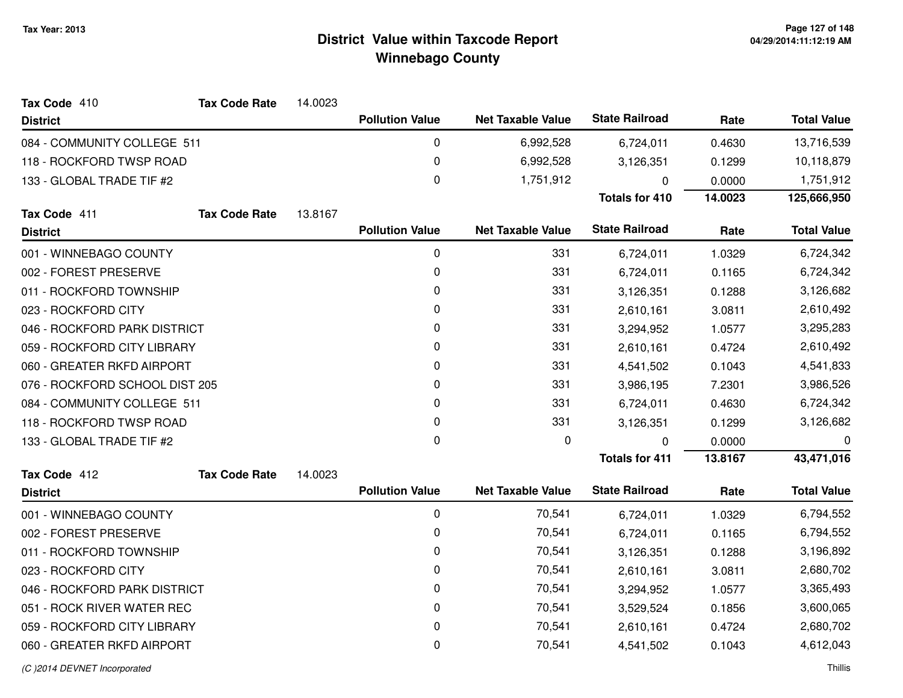| Tax Code 410                   | <b>Tax Code Rate</b> | 14.0023 |                        |                          |                       |         |                    |
|--------------------------------|----------------------|---------|------------------------|--------------------------|-----------------------|---------|--------------------|
| <b>District</b>                |                      |         | <b>Pollution Value</b> | <b>Net Taxable Value</b> | <b>State Railroad</b> | Rate    | <b>Total Value</b> |
| 084 - COMMUNITY COLLEGE 511    |                      |         | $\pmb{0}$              | 6,992,528                | 6,724,011             | 0.4630  | 13,716,539         |
| 118 - ROCKFORD TWSP ROAD       |                      |         | 0                      | 6,992,528                | 3,126,351             | 0.1299  | 10,118,879         |
| 133 - GLOBAL TRADE TIF #2      |                      |         | $\mathbf 0$            | 1,751,912                | $\mathbf{0}$          | 0.0000  | 1,751,912          |
|                                |                      |         |                        |                          | <b>Totals for 410</b> | 14.0023 | 125,666,950        |
| Tax Code 411                   | <b>Tax Code Rate</b> | 13.8167 |                        |                          |                       |         |                    |
| <b>District</b>                |                      |         | <b>Pollution Value</b> | <b>Net Taxable Value</b> | <b>State Railroad</b> | Rate    | <b>Total Value</b> |
| 001 - WINNEBAGO COUNTY         |                      |         | $\pmb{0}$              | 331                      | 6,724,011             | 1.0329  | 6,724,342          |
| 002 - FOREST PRESERVE          |                      |         | 0                      | 331                      | 6,724,011             | 0.1165  | 6,724,342          |
| 011 - ROCKFORD TOWNSHIP        |                      |         | 0                      | 331                      | 3,126,351             | 0.1288  | 3,126,682          |
| 023 - ROCKFORD CITY            |                      |         | 0                      | 331                      | 2,610,161             | 3.0811  | 2,610,492          |
| 046 - ROCKFORD PARK DISTRICT   |                      |         | 0                      | 331                      | 3,294,952             | 1.0577  | 3,295,283          |
| 059 - ROCKFORD CITY LIBRARY    |                      |         | 0                      | 331                      | 2,610,161             | 0.4724  | 2,610,492          |
| 060 - GREATER RKFD AIRPORT     |                      |         | 0                      | 331                      | 4,541,502             | 0.1043  | 4,541,833          |
| 076 - ROCKFORD SCHOOL DIST 205 |                      |         | 0                      | 331                      | 3,986,195             | 7.2301  | 3,986,526          |
| 084 - COMMUNITY COLLEGE 511    |                      |         | 0                      | 331                      | 6,724,011             | 0.4630  | 6,724,342          |
| 118 - ROCKFORD TWSP ROAD       |                      |         | $\pmb{0}$              | 331                      | 3,126,351             | 0.1299  | 3,126,682          |
| 133 - GLOBAL TRADE TIF #2      |                      |         | 0                      | 0                        | 0                     | 0.0000  | 0                  |
|                                |                      |         |                        |                          | <b>Totals for 411</b> | 13.8167 | 43,471,016         |
| Tax Code 412                   | <b>Tax Code Rate</b> | 14.0023 |                        |                          |                       |         |                    |
| <b>District</b>                |                      |         | <b>Pollution Value</b> | <b>Net Taxable Value</b> | <b>State Railroad</b> | Rate    | <b>Total Value</b> |
| 001 - WINNEBAGO COUNTY         |                      |         | 0                      | 70,541                   | 6,724,011             | 1.0329  | 6,794,552          |
| 002 - FOREST PRESERVE          |                      |         | 0                      | 70,541                   | 6,724,011             | 0.1165  | 6,794,552          |
| 011 - ROCKFORD TOWNSHIP        |                      |         | 0                      | 70,541                   | 3,126,351             | 0.1288  | 3,196,892          |
| 023 - ROCKFORD CITY            |                      |         | 0                      | 70,541                   | 2,610,161             | 3.0811  | 2,680,702          |
| 046 - ROCKFORD PARK DISTRICT   |                      |         | 0                      | 70,541                   | 3,294,952             | 1.0577  | 3,365,493          |
| 051 - ROCK RIVER WATER REC     |                      |         | 0                      | 70,541                   | 3,529,524             | 0.1856  | 3,600,065          |
| 059 - ROCKFORD CITY LIBRARY    |                      |         | 0                      | 70,541                   | 2,610,161             | 0.4724  | 2,680,702          |
| 060 - GREATER RKFD AIRPORT     |                      |         | $\mathbf 0$            | 70,541                   | 4,541,502             | 0.1043  | 4,612,043          |
|                                |                      |         |                        |                          |                       |         |                    |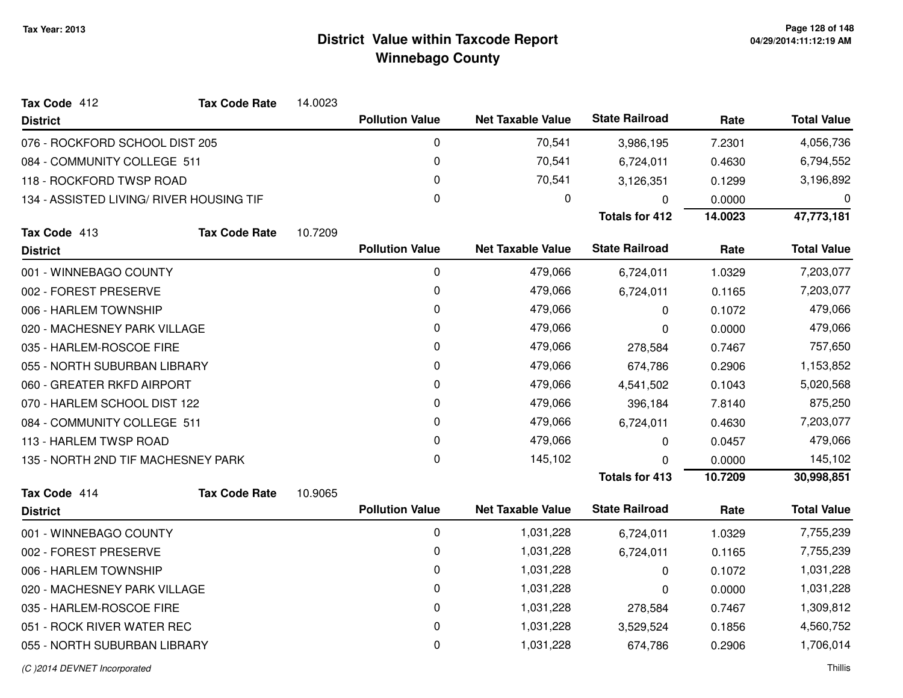| Tax Code 412                             | <b>Tax Code Rate</b> | 14.0023 |                        |                          |                       |         |                    |
|------------------------------------------|----------------------|---------|------------------------|--------------------------|-----------------------|---------|--------------------|
| <b>District</b>                          |                      |         | <b>Pollution Value</b> | <b>Net Taxable Value</b> | <b>State Railroad</b> | Rate    | <b>Total Value</b> |
| 076 - ROCKFORD SCHOOL DIST 205           |                      |         | 0                      | 70,541                   | 3,986,195             | 7.2301  | 4,056,736          |
| 084 - COMMUNITY COLLEGE 511              |                      |         | 0                      | 70,541                   | 6,724,011             | 0.4630  | 6,794,552          |
| 118 - ROCKFORD TWSP ROAD                 |                      |         | 0                      | 70,541                   | 3,126,351             | 0.1299  | 3,196,892          |
| 134 - ASSISTED LIVING/ RIVER HOUSING TIF |                      |         | $\mathbf 0$            | 0                        | 0                     | 0.0000  | 0                  |
|                                          |                      |         |                        |                          | <b>Totals for 412</b> | 14.0023 | 47,773,181         |
| Tax Code 413                             | <b>Tax Code Rate</b> | 10.7209 |                        |                          |                       |         |                    |
| <b>District</b>                          |                      |         | <b>Pollution Value</b> | <b>Net Taxable Value</b> | <b>State Railroad</b> | Rate    | <b>Total Value</b> |
| 001 - WINNEBAGO COUNTY                   |                      |         | 0                      | 479,066                  | 6,724,011             | 1.0329  | 7,203,077          |
| 002 - FOREST PRESERVE                    |                      |         | 0                      | 479,066                  | 6,724,011             | 0.1165  | 7,203,077          |
| 006 - HARLEM TOWNSHIP                    |                      |         | 0                      | 479,066                  | $\mathbf{0}$          | 0.1072  | 479,066            |
| 020 - MACHESNEY PARK VILLAGE             |                      |         | 0                      | 479,066                  | 0                     | 0.0000  | 479,066            |
| 035 - HARLEM-ROSCOE FIRE                 |                      |         | 0                      | 479,066                  | 278,584               | 0.7467  | 757,650            |
| 055 - NORTH SUBURBAN LIBRARY             |                      |         | 0                      | 479,066                  | 674,786               | 0.2906  | 1,153,852          |
| 060 - GREATER RKFD AIRPORT               |                      |         | 0                      | 479,066                  | 4,541,502             | 0.1043  | 5,020,568          |
| 070 - HARLEM SCHOOL DIST 122             |                      |         | 0                      | 479,066                  | 396,184               | 7.8140  | 875,250            |
| 084 - COMMUNITY COLLEGE 511              |                      |         | 0                      | 479,066                  | 6,724,011             | 0.4630  | 7,203,077          |
| 113 - HARLEM TWSP ROAD                   |                      |         | $\mathbf{0}$           | 479,066                  | 0                     | 0.0457  | 479,066            |
| 135 - NORTH 2ND TIF MACHESNEY PARK       |                      |         | 0                      | 145,102                  | 0                     | 0.0000  | 145,102            |
|                                          |                      |         |                        |                          | <b>Totals for 413</b> | 10.7209 | 30,998,851         |
| Tax Code 414                             | <b>Tax Code Rate</b> | 10.9065 |                        |                          |                       |         |                    |
| <b>District</b>                          |                      |         | <b>Pollution Value</b> | <b>Net Taxable Value</b> | <b>State Railroad</b> | Rate    | <b>Total Value</b> |
| 001 - WINNEBAGO COUNTY                   |                      |         | $\pmb{0}$              | 1,031,228                | 6,724,011             | 1.0329  | 7,755,239          |
| 002 - FOREST PRESERVE                    |                      |         | 0                      | 1,031,228                | 6,724,011             | 0.1165  | 7,755,239          |
| 006 - HARLEM TOWNSHIP                    |                      |         | 0                      | 1,031,228                | 0                     | 0.1072  | 1,031,228          |
| 020 - MACHESNEY PARK VILLAGE             |                      |         | 0                      | 1,031,228                | 0                     | 0.0000  | 1,031,228          |
| 035 - HARLEM-ROSCOE FIRE                 |                      |         | 0                      | 1,031,228                | 278,584               | 0.7467  | 1,309,812          |
| 051 - ROCK RIVER WATER REC               |                      |         | 0                      | 1,031,228                | 3,529,524             | 0.1856  | 4,560,752          |
| 055 - NORTH SUBURBAN LIBRARY             |                      |         | $\mathbf{0}$           | 1,031,228                | 674,786               | 0.2906  | 1,706,014          |
|                                          |                      |         |                        |                          |                       |         |                    |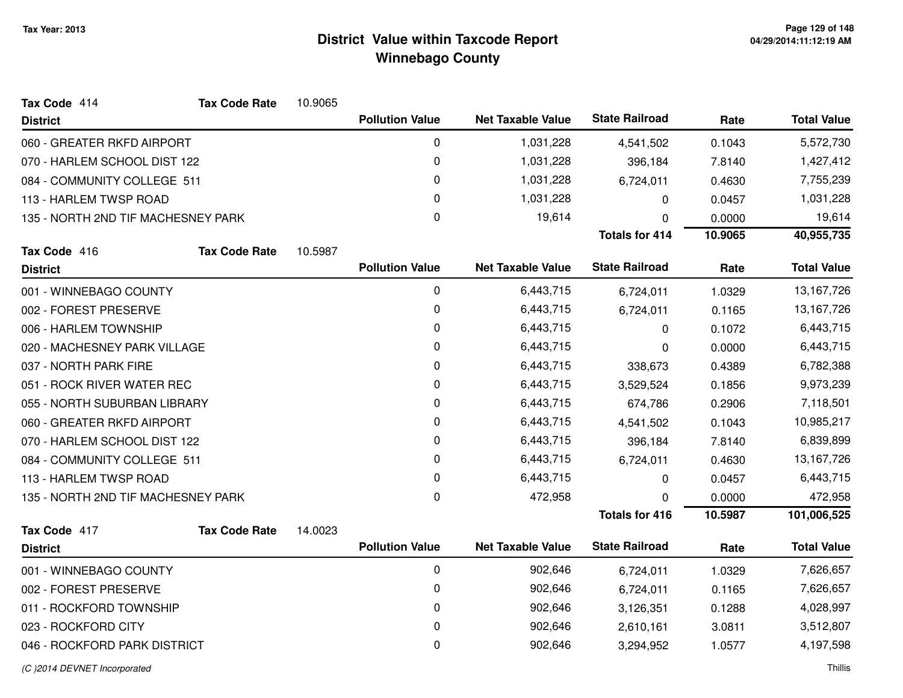| Tax Code 414                       | <b>Tax Code Rate</b> | 10.9065 |                        |                          |                       |         |                    |
|------------------------------------|----------------------|---------|------------------------|--------------------------|-----------------------|---------|--------------------|
| <b>District</b>                    |                      |         | <b>Pollution Value</b> | <b>Net Taxable Value</b> | <b>State Railroad</b> | Rate    | <b>Total Value</b> |
| 060 - GREATER RKFD AIRPORT         |                      |         | 0                      | 1,031,228                | 4,541,502             | 0.1043  | 5,572,730          |
| 070 - HARLEM SCHOOL DIST 122       |                      |         | 0                      | 1,031,228                | 396,184               | 7.8140  | 1,427,412          |
| 084 - COMMUNITY COLLEGE 511        |                      |         | 0                      | 1,031,228                | 6,724,011             | 0.4630  | 7,755,239          |
| 113 - HARLEM TWSP ROAD             |                      |         | 0                      | 1,031,228                | 0                     | 0.0457  | 1,031,228          |
| 135 - NORTH 2ND TIF MACHESNEY PARK |                      |         | 0                      | 19,614                   | $\Omega$              | 0.0000  | 19,614             |
|                                    |                      |         |                        |                          | <b>Totals for 414</b> | 10.9065 | 40,955,735         |
| Tax Code 416                       | <b>Tax Code Rate</b> | 10.5987 |                        |                          |                       |         |                    |
| <b>District</b>                    |                      |         | <b>Pollution Value</b> | <b>Net Taxable Value</b> | <b>State Railroad</b> | Rate    | <b>Total Value</b> |
| 001 - WINNEBAGO COUNTY             |                      |         | 0                      | 6,443,715                | 6,724,011             | 1.0329  | 13,167,726         |
| 002 - FOREST PRESERVE              |                      |         | 0                      | 6,443,715                | 6,724,011             | 0.1165  | 13,167,726         |
| 006 - HARLEM TOWNSHIP              |                      |         | 0                      | 6,443,715                | 0                     | 0.1072  | 6,443,715          |
| 020 - MACHESNEY PARK VILLAGE       |                      |         | 0                      | 6,443,715                | 0                     | 0.0000  | 6,443,715          |
| 037 - NORTH PARK FIRE              |                      |         | 0                      | 6,443,715                | 338,673               | 0.4389  | 6,782,388          |
| 051 - ROCK RIVER WATER REC         |                      |         | 0                      | 6,443,715                | 3,529,524             | 0.1856  | 9,973,239          |
| 055 - NORTH SUBURBAN LIBRARY       |                      |         | 0                      | 6,443,715                | 674,786               | 0.2906  | 7,118,501          |
| 060 - GREATER RKFD AIRPORT         |                      |         | 0                      | 6,443,715                | 4,541,502             | 0.1043  | 10,985,217         |
| 070 - HARLEM SCHOOL DIST 122       |                      |         | 0                      | 6,443,715                | 396,184               | 7.8140  | 6,839,899          |
| 084 - COMMUNITY COLLEGE 511        |                      |         | 0                      | 6,443,715                | 6,724,011             | 0.4630  | 13,167,726         |
| 113 - HARLEM TWSP ROAD             |                      |         | 0                      | 6,443,715                | 0                     | 0.0457  | 6,443,715          |
| 135 - NORTH 2ND TIF MACHESNEY PARK |                      |         | 0                      | 472,958                  | $\Omega$              | 0.0000  | 472,958            |
|                                    |                      |         |                        |                          | <b>Totals for 416</b> | 10.5987 | 101,006,525        |
| Tax Code 417                       | <b>Tax Code Rate</b> | 14.0023 |                        |                          |                       |         |                    |
| <b>District</b>                    |                      |         | <b>Pollution Value</b> | <b>Net Taxable Value</b> | <b>State Railroad</b> | Rate    | <b>Total Value</b> |
| 001 - WINNEBAGO COUNTY             |                      |         | 0                      | 902,646                  | 6,724,011             | 1.0329  | 7,626,657          |
| 002 - FOREST PRESERVE              |                      |         | 0                      | 902,646                  | 6,724,011             | 0.1165  | 7,626,657          |
| 011 - ROCKFORD TOWNSHIP            |                      |         | 0                      | 902,646                  | 3,126,351             | 0.1288  | 4,028,997          |
| 023 - ROCKFORD CITY                |                      |         | 0                      | 902,646                  | 2,610,161             | 3.0811  | 3,512,807          |
| 046 - ROCKFORD PARK DISTRICT       |                      |         | 0                      | 902,646                  | 3,294,952             | 1.0577  | 4,197,598          |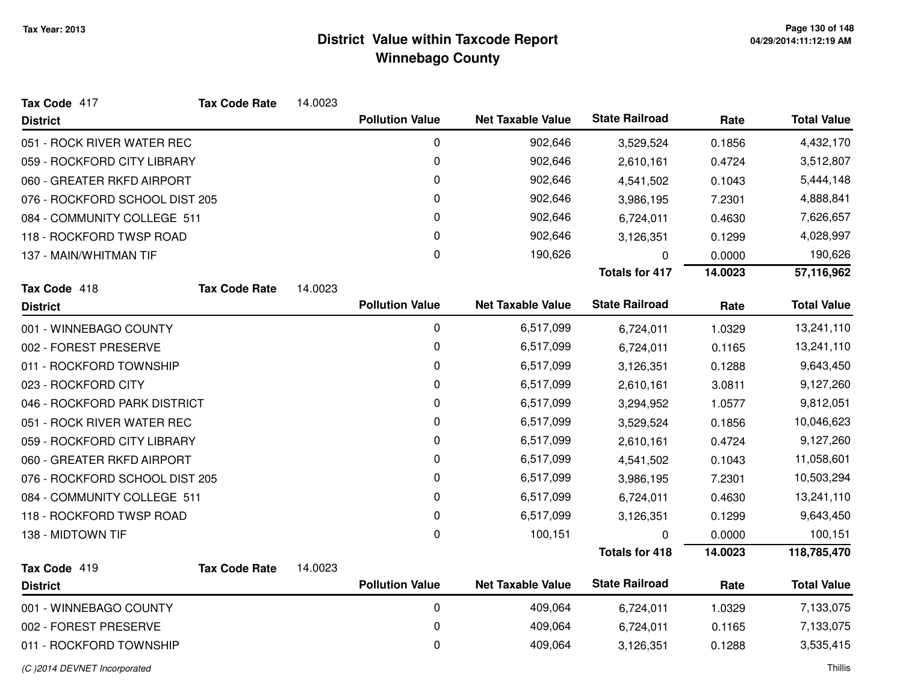| Tax Code 417                   | <b>Tax Code Rate</b> | 14.0023 |                        |                          |                       |         |                    |
|--------------------------------|----------------------|---------|------------------------|--------------------------|-----------------------|---------|--------------------|
| <b>District</b>                |                      |         | <b>Pollution Value</b> | <b>Net Taxable Value</b> | <b>State Railroad</b> | Rate    | <b>Total Value</b> |
| 051 - ROCK RIVER WATER REC     |                      |         | 0                      | 902,646                  | 3,529,524             | 0.1856  | 4,432,170          |
| 059 - ROCKFORD CITY LIBRARY    |                      |         | 0                      | 902,646                  | 2,610,161             | 0.4724  | 3,512,807          |
| 060 - GREATER RKFD AIRPORT     |                      |         | 0                      | 902,646                  | 4,541,502             | 0.1043  | 5,444,148          |
| 076 - ROCKFORD SCHOOL DIST 205 |                      |         | 0                      | 902,646                  | 3,986,195             | 7.2301  | 4,888,841          |
| 084 - COMMUNITY COLLEGE 511    |                      |         | 0                      | 902,646                  | 6,724,011             | 0.4630  | 7,626,657          |
| 118 - ROCKFORD TWSP ROAD       |                      |         | 0                      | 902,646                  | 3,126,351             | 0.1299  | 4,028,997          |
| 137 - MAIN/WHITMAN TIF         |                      |         | $\mathbf 0$            | 190,626                  | $\Omega$              | 0.0000  | 190,626            |
|                                |                      |         |                        |                          | <b>Totals for 417</b> | 14.0023 | 57,116,962         |
| Tax Code 418                   | <b>Tax Code Rate</b> | 14.0023 |                        |                          |                       |         |                    |
| <b>District</b>                |                      |         | <b>Pollution Value</b> | <b>Net Taxable Value</b> | <b>State Railroad</b> | Rate    | <b>Total Value</b> |
| 001 - WINNEBAGO COUNTY         |                      |         | 0                      | 6,517,099                | 6,724,011             | 1.0329  | 13,241,110         |
| 002 - FOREST PRESERVE          |                      |         | 0                      | 6,517,099                | 6,724,011             | 0.1165  | 13,241,110         |
| 011 - ROCKFORD TOWNSHIP        |                      |         | $\pmb{0}$              | 6,517,099                | 3,126,351             | 0.1288  | 9,643,450          |
| 023 - ROCKFORD CITY            |                      |         | 0                      | 6,517,099                | 2,610,161             | 3.0811  | 9,127,260          |
| 046 - ROCKFORD PARK DISTRICT   |                      |         | 0                      | 6,517,099                | 3,294,952             | 1.0577  | 9,812,051          |
| 051 - ROCK RIVER WATER REC     |                      |         | 0                      | 6,517,099                | 3,529,524             | 0.1856  | 10,046,623         |
| 059 - ROCKFORD CITY LIBRARY    |                      |         | 0                      | 6,517,099                | 2,610,161             | 0.4724  | 9,127,260          |
| 060 - GREATER RKFD AIRPORT     |                      |         | 0                      | 6,517,099                | 4,541,502             | 0.1043  | 11,058,601         |
| 076 - ROCKFORD SCHOOL DIST 205 |                      |         | 0                      | 6,517,099                | 3,986,195             | 7.2301  | 10,503,294         |
| 084 - COMMUNITY COLLEGE 511    |                      |         | 0                      | 6,517,099                | 6,724,011             | 0.4630  | 13,241,110         |
| 118 - ROCKFORD TWSP ROAD       |                      |         | $\pmb{0}$              | 6,517,099                | 3,126,351             | 0.1299  | 9,643,450          |
| 138 - MIDTOWN TIF              |                      |         | 0                      | 100,151                  | $\Omega$              | 0.0000  | 100,151            |
|                                |                      |         |                        |                          | <b>Totals for 418</b> | 14.0023 | 118,785,470        |
| Tax Code 419                   | <b>Tax Code Rate</b> | 14.0023 |                        |                          |                       |         |                    |
| <b>District</b>                |                      |         | <b>Pollution Value</b> | <b>Net Taxable Value</b> | <b>State Railroad</b> | Rate    | <b>Total Value</b> |
| 001 - WINNEBAGO COUNTY         |                      |         | 0                      | 409,064                  | 6,724,011             | 1.0329  | 7,133,075          |
| 002 - FOREST PRESERVE          |                      |         | 0                      | 409,064                  | 6,724,011             | 0.1165  | 7,133,075          |
| 011 - ROCKFORD TOWNSHIP        |                      |         | 0                      | 409,064                  | 3,126,351             | 0.1288  | 3,535,415          |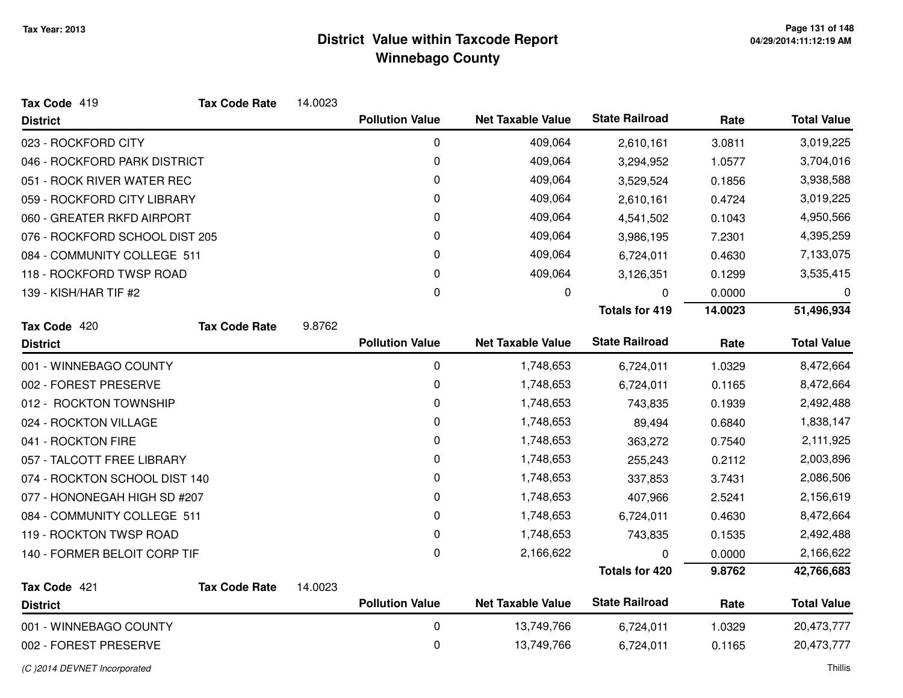| 14.0023 |                        |                                                  |                                                      |                                                |                    |
|---------|------------------------|--------------------------------------------------|------------------------------------------------------|------------------------------------------------|--------------------|
|         | <b>Pollution Value</b> | <b>Net Taxable Value</b>                         | <b>State Railroad</b>                                | Rate                                           | <b>Total Value</b> |
|         | 0                      | 409,064                                          | 2,610,161                                            | 3.0811                                         | 3,019,225          |
|         | 0                      | 409,064                                          | 3,294,952                                            | 1.0577                                         | 3,704,016          |
|         | 0                      | 409,064                                          | 3,529,524                                            | 0.1856                                         | 3,938,588          |
|         | 0                      | 409,064                                          | 2,610,161                                            | 0.4724                                         | 3,019,225          |
|         | $\pmb{0}$              | 409,064                                          | 4,541,502                                            | 0.1043                                         | 4,950,566          |
|         | 0                      | 409,064                                          | 3,986,195                                            | 7.2301                                         | 4,395,259          |
|         | 0                      | 409,064                                          | 6,724,011                                            | 0.4630                                         | 7,133,075          |
|         | 0                      | 409,064                                          | 3,126,351                                            | 0.1299                                         | 3,535,415          |
|         | $\pmb{0}$              | 0                                                | 0                                                    | 0.0000                                         | $\boldsymbol{0}$   |
|         |                        |                                                  | <b>Totals for 419</b>                                | 14.0023                                        | 51,496,934         |
|         |                        |                                                  |                                                      |                                                |                    |
|         |                        |                                                  |                                                      |                                                | <b>Total Value</b> |
|         | $\pmb{0}$              | 1,748,653                                        | 6,724,011                                            | 1.0329                                         | 8,472,664          |
|         | $\pmb{0}$              | 1,748,653                                        | 6,724,011                                            | 0.1165                                         | 8,472,664          |
|         | 0                      | 1,748,653                                        | 743,835                                              | 0.1939                                         | 2,492,488          |
|         | $\pmb{0}$              | 1,748,653                                        | 89,494                                               | 0.6840                                         | 1,838,147          |
|         | 0                      | 1,748,653                                        | 363,272                                              | 0.7540                                         | 2,111,925          |
|         | $\pmb{0}$              | 1,748,653                                        | 255,243                                              | 0.2112                                         | 2,003,896          |
|         | 0                      | 1,748,653                                        | 337,853                                              | 3.7431                                         | 2,086,506          |
|         | $\mathbf 0$            | 1,748,653                                        | 407,966                                              | 2.5241                                         | 2,156,619          |
|         | 0                      | 1,748,653                                        | 6,724,011                                            | 0.4630                                         | 8,472,664          |
|         | 0                      | 1,748,653                                        | 743,835                                              | 0.1535                                         | 2,492,488          |
|         | 0                      | 2,166,622                                        | 0                                                    | 0.0000                                         | 2,166,622          |
|         |                        |                                                  | <b>Totals for 420</b>                                | 9.8762                                         | 42,766,683         |
| 14.0023 |                        |                                                  |                                                      |                                                |                    |
|         |                        |                                                  |                                                      |                                                | <b>Total Value</b> |
|         |                        |                                                  |                                                      |                                                |                    |
|         | $\pmb{0}$              | 13,749,766                                       | 6,724,011                                            | 1.0329                                         | 20,473,777         |
|         | 9.8762                 | <b>Pollution Value</b><br><b>Pollution Value</b> | <b>Net Taxable Value</b><br><b>Net Taxable Value</b> | <b>State Railroad</b><br><b>State Railroad</b> | Rate<br>Rate       |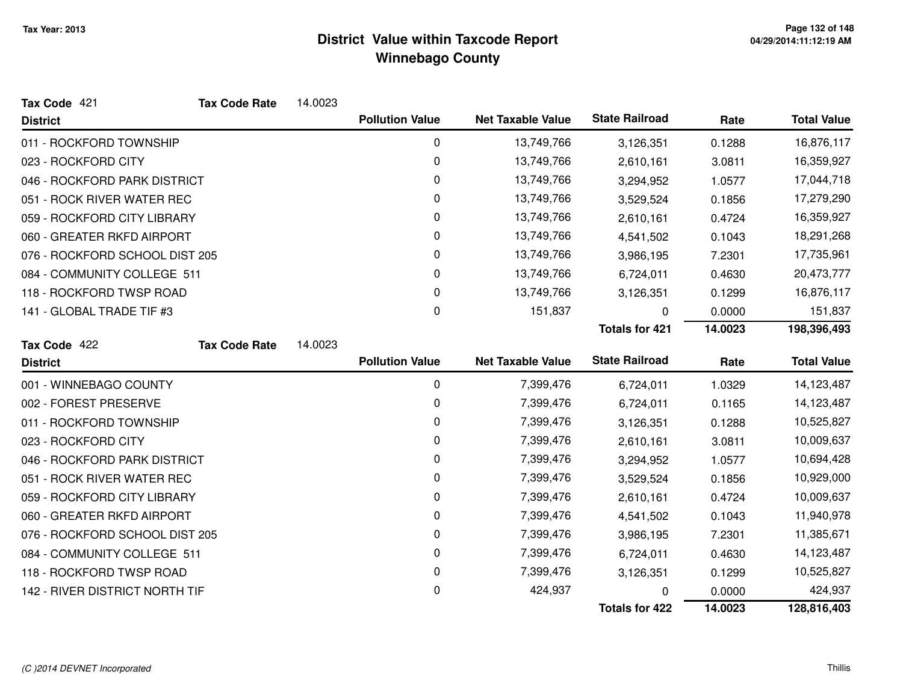| Tax Code 421                   | <b>Tax Code Rate</b> | 14.0023 |                        |                          |                       |         |                    |
|--------------------------------|----------------------|---------|------------------------|--------------------------|-----------------------|---------|--------------------|
| <b>District</b>                |                      |         | <b>Pollution Value</b> | <b>Net Taxable Value</b> | <b>State Railroad</b> | Rate    | <b>Total Value</b> |
| 011 - ROCKFORD TOWNSHIP        |                      |         | $\pmb{0}$              | 13,749,766               | 3,126,351             | 0.1288  | 16,876,117         |
| 023 - ROCKFORD CITY            |                      |         | 0                      | 13,749,766               | 2,610,161             | 3.0811  | 16,359,927         |
| 046 - ROCKFORD PARK DISTRICT   |                      |         | 0                      | 13,749,766               | 3,294,952             | 1.0577  | 17,044,718         |
| 051 - ROCK RIVER WATER REC     |                      |         | 0                      | 13,749,766               | 3,529,524             | 0.1856  | 17,279,290         |
| 059 - ROCKFORD CITY LIBRARY    |                      |         | 0                      | 13,749,766               | 2,610,161             | 0.4724  | 16,359,927         |
| 060 - GREATER RKFD AIRPORT     |                      |         | 0                      | 13,749,766               | 4,541,502             | 0.1043  | 18,291,268         |
| 076 - ROCKFORD SCHOOL DIST 205 |                      |         | 0                      | 13,749,766               | 3,986,195             | 7.2301  | 17,735,961         |
| 084 - COMMUNITY COLLEGE 511    |                      |         | 0                      | 13,749,766               | 6,724,011             | 0.4630  | 20,473,777         |
| 118 - ROCKFORD TWSP ROAD       |                      |         | 0                      | 13,749,766               | 3,126,351             | 0.1299  | 16,876,117         |
| 141 - GLOBAL TRADE TIF #3      |                      |         | 0                      | 151,837                  | U                     | 0.0000  | 151,837            |
|                                |                      |         |                        |                          | <b>Totals for 421</b> | 14.0023 | 198,396,493        |
| Tax Code 422                   | <b>Tax Code Rate</b> | 14.0023 |                        |                          |                       |         |                    |
| <b>District</b>                |                      |         | <b>Pollution Value</b> | <b>Net Taxable Value</b> | <b>State Railroad</b> | Rate    | <b>Total Value</b> |
| 001 - WINNEBAGO COUNTY         |                      |         | $\mathbf 0$            | 7,399,476                | 6,724,011             | 1.0329  | 14,123,487         |
| 002 - FOREST PRESERVE          |                      |         | 0                      | 7,399,476                | 6,724,011             | 0.1165  | 14,123,487         |
| 011 - ROCKFORD TOWNSHIP        |                      |         | 0                      | 7,399,476                | 3,126,351             | 0.1288  | 10,525,827         |
| 023 - ROCKFORD CITY            |                      |         | 0                      | 7,399,476                | 2,610,161             | 3.0811  | 10,009,637         |
| 046 - ROCKFORD PARK DISTRICT   |                      |         | 0                      | 7,399,476                | 3,294,952             | 1.0577  | 10,694,428         |
| 051 - ROCK RIVER WATER REC     |                      |         | 0                      | 7,399,476                | 3,529,524             | 0.1856  | 10,929,000         |
| 059 - ROCKFORD CITY LIBRARY    |                      |         | $\mathbf 0$            | 7,399,476                | 2,610,161             | 0.4724  | 10,009,637         |
| 060 - GREATER RKFD AIRPORT     |                      |         | 0                      | 7,399,476                | 4,541,502             | 0.1043  | 11,940,978         |
| 076 - ROCKFORD SCHOOL DIST 205 |                      |         | 0                      | 7,399,476                | 3,986,195             | 7.2301  | 11,385,671         |
| 084 - COMMUNITY COLLEGE 511    |                      |         | 0                      | 7,399,476                | 6,724,011             | 0.4630  | 14,123,487         |
| 118 - ROCKFORD TWSP ROAD       |                      |         | 0                      | 7,399,476                | 3,126,351             | 0.1299  | 10,525,827         |
| 142 - RIVER DISTRICT NORTH TIF |                      |         | 0                      | 424,937                  | O                     | 0.0000  | 424,937            |
|                                |                      |         |                        |                          | <b>Totals for 422</b> | 14.0023 | 128,816,403        |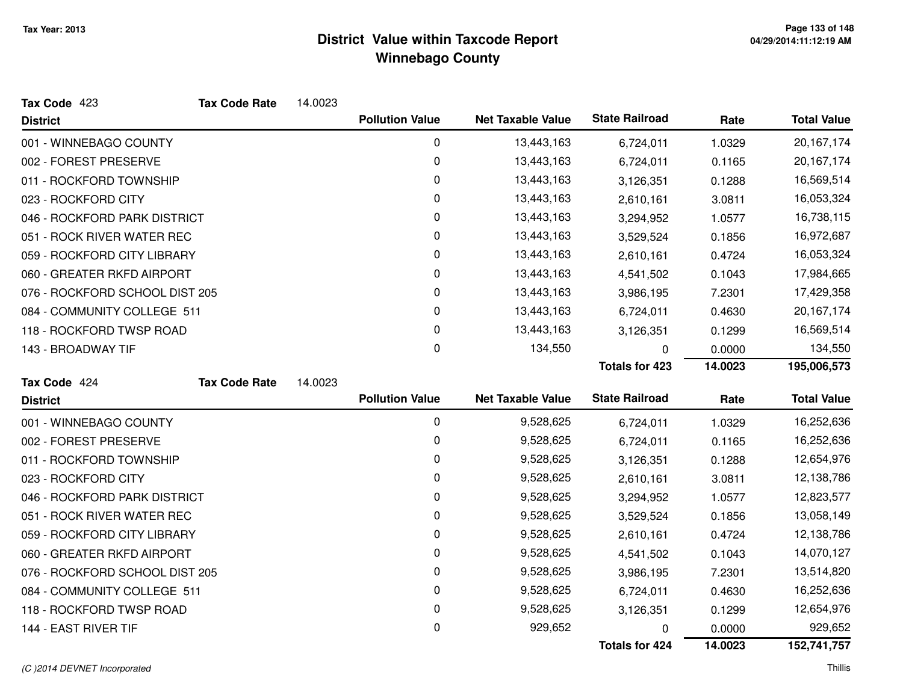| Tax Code 423                   | <b>Tax Code Rate</b> | 14.0023 |                        |                          |                       |         |                    |
|--------------------------------|----------------------|---------|------------------------|--------------------------|-----------------------|---------|--------------------|
| <b>District</b>                |                      |         | <b>Pollution Value</b> | <b>Net Taxable Value</b> | <b>State Railroad</b> | Rate    | <b>Total Value</b> |
| 001 - WINNEBAGO COUNTY         |                      |         | $\mathbf 0$            | 13,443,163               | 6,724,011             | 1.0329  | 20, 167, 174       |
| 002 - FOREST PRESERVE          |                      |         | 0                      | 13,443,163               | 6,724,011             | 0.1165  | 20,167,174         |
| 011 - ROCKFORD TOWNSHIP        |                      |         | 0                      | 13,443,163               | 3,126,351             | 0.1288  | 16,569,514         |
| 023 - ROCKFORD CITY            |                      |         | 0                      | 13,443,163               | 2,610,161             | 3.0811  | 16,053,324         |
| 046 - ROCKFORD PARK DISTRICT   |                      |         | 0                      | 13,443,163               | 3,294,952             | 1.0577  | 16,738,115         |
| 051 - ROCK RIVER WATER REC     |                      |         | 0                      | 13,443,163               | 3,529,524             | 0.1856  | 16,972,687         |
| 059 - ROCKFORD CITY LIBRARY    |                      |         | 0                      | 13,443,163               | 2,610,161             | 0.4724  | 16,053,324         |
| 060 - GREATER RKFD AIRPORT     |                      |         | 0                      | 13,443,163               | 4,541,502             | 0.1043  | 17,984,665         |
| 076 - ROCKFORD SCHOOL DIST 205 |                      |         | 0                      | 13,443,163               | 3,986,195             | 7.2301  | 17,429,358         |
| 084 - COMMUNITY COLLEGE 511    |                      |         | 0                      | 13,443,163               | 6,724,011             | 0.4630  | 20,167,174         |
| 118 - ROCKFORD TWSP ROAD       |                      |         | 0                      | 13,443,163               | 3,126,351             | 0.1299  | 16,569,514         |
| 143 - BROADWAY TIF             |                      |         | $\mathbf 0$            | 134,550                  | 0                     | 0.0000  | 134,550            |
|                                |                      |         |                        |                          | <b>Totals for 423</b> | 14.0023 | 195,006,573        |
| Tax Code 424                   | <b>Tax Code Rate</b> | 14.0023 |                        |                          |                       |         |                    |
| <b>District</b>                |                      |         | <b>Pollution Value</b> | <b>Net Taxable Value</b> | <b>State Railroad</b> | Rate    | <b>Total Value</b> |
| 001 - WINNEBAGO COUNTY         |                      |         | 0                      | 9,528,625                | 6,724,011             | 1.0329  | 16,252,636         |
| 002 - FOREST PRESERVE          |                      |         | 0                      | 9,528,625                | 6,724,011             | 0.1165  | 16,252,636         |
| 011 - ROCKFORD TOWNSHIP        |                      |         | 0                      | 9,528,625                | 3,126,351             | 0.1288  | 12,654,976         |
| 023 - ROCKFORD CITY            |                      |         | 0                      | 9,528,625                | 2,610,161             | 3.0811  | 12,138,786         |
| 046 - ROCKFORD PARK DISTRICT   |                      |         | 0                      | 9,528,625                | 3,294,952             | 1.0577  | 12,823,577         |
| 051 - ROCK RIVER WATER REC     |                      |         | 0                      | 9,528,625                | 3,529,524             | 0.1856  | 13,058,149         |
| 059 - ROCKFORD CITY LIBRARY    |                      |         | 0                      | 9,528,625                | 2,610,161             | 0.4724  | 12,138,786         |
| 060 - GREATER RKFD AIRPORT     |                      |         | 0                      | 9,528,625                | 4,541,502             | 0.1043  | 14,070,127         |
| 076 - ROCKFORD SCHOOL DIST 205 |                      |         | 0                      | 9,528,625                | 3,986,195             | 7.2301  | 13,514,820         |
| 084 - COMMUNITY COLLEGE 511    |                      |         | 0                      | 9,528,625                | 6,724,011             | 0.4630  | 16,252,636         |
| 118 - ROCKFORD TWSP ROAD       |                      |         | 0                      | 9,528,625                | 3,126,351             | 0.1299  | 12,654,976         |
| 144 - EAST RIVER TIF           |                      |         | 0                      | 929,652                  | 0                     | 0.0000  | 929,652            |
|                                |                      |         |                        |                          | <b>Totals for 424</b> | 14.0023 | 152,741,757        |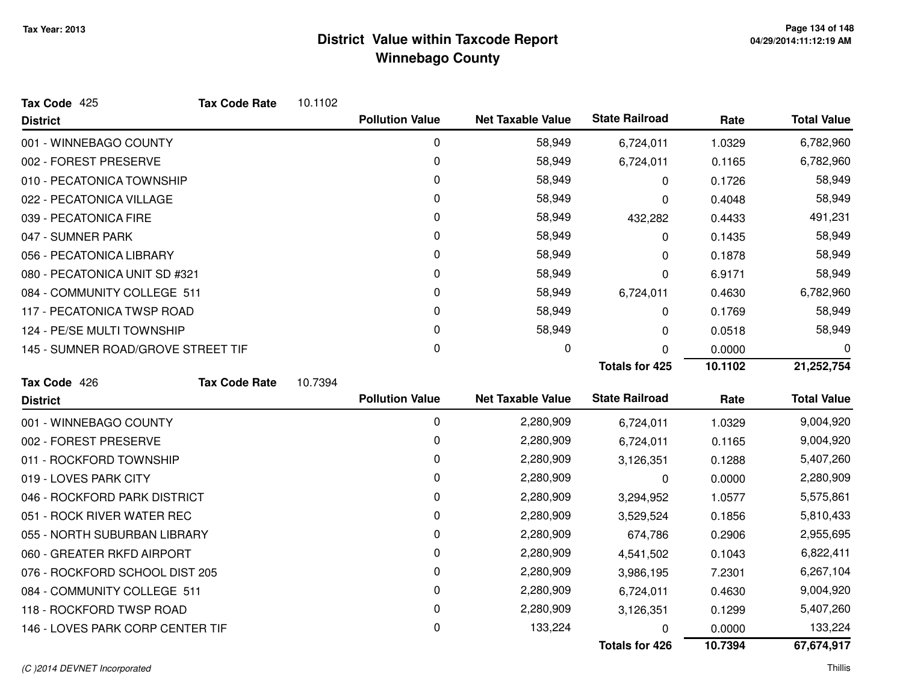| Tax Code 425                       | <b>Tax Code Rate</b> | 10.1102 |                        |                          |                       |         |                    |
|------------------------------------|----------------------|---------|------------------------|--------------------------|-----------------------|---------|--------------------|
| <b>District</b>                    |                      |         | <b>Pollution Value</b> | <b>Net Taxable Value</b> | <b>State Railroad</b> | Rate    | <b>Total Value</b> |
| 001 - WINNEBAGO COUNTY             |                      |         | $\mathbf 0$            | 58,949                   | 6,724,011             | 1.0329  | 6,782,960          |
| 002 - FOREST PRESERVE              |                      |         | 0                      | 58,949                   | 6,724,011             | 0.1165  | 6,782,960          |
| 010 - PECATONICA TOWNSHIP          |                      |         | 0                      | 58,949                   | 0                     | 0.1726  | 58,949             |
| 022 - PECATONICA VILLAGE           |                      |         | 0                      | 58,949                   | 0                     | 0.4048  | 58,949             |
| 039 - PECATONICA FIRE              |                      |         | 0                      | 58,949                   | 432,282               | 0.4433  | 491,231            |
| 047 - SUMNER PARK                  |                      |         | 0                      | 58,949                   | 0                     | 0.1435  | 58,949             |
| 056 - PECATONICA LIBRARY           |                      |         | 0                      | 58,949                   | 0                     | 0.1878  | 58,949             |
| 080 - PECATONICA UNIT SD #321      |                      |         | 0                      | 58,949                   | 0                     | 6.9171  | 58,949             |
| 084 - COMMUNITY COLLEGE 511        |                      |         | 0                      | 58,949                   | 6,724,011             | 0.4630  | 6,782,960          |
| 117 - PECATONICA TWSP ROAD         |                      |         | 0                      | 58,949                   | 0                     | 0.1769  | 58,949             |
| 124 - PE/SE MULTI TOWNSHIP         |                      |         | 0                      | 58,949                   | 0                     | 0.0518  | 58,949             |
| 145 - SUMNER ROAD/GROVE STREET TIF |                      |         | 0                      | 0                        | 0                     | 0.0000  | 0                  |
|                                    |                      |         |                        |                          | <b>Totals for 425</b> | 10.1102 | 21,252,754         |
| Tax Code 426                       | <b>Tax Code Rate</b> | 10.7394 |                        |                          |                       |         |                    |
| <b>District</b>                    |                      |         | <b>Pollution Value</b> | <b>Net Taxable Value</b> | <b>State Railroad</b> | Rate    | <b>Total Value</b> |
| 001 - WINNEBAGO COUNTY             |                      |         | $\mathbf 0$            | 2,280,909                | 6,724,011             | 1.0329  | 9,004,920          |
| 002 - FOREST PRESERVE              |                      |         | 0                      | 2,280,909                | 6,724,011             | 0.1165  | 9,004,920          |
| 011 - ROCKFORD TOWNSHIP            |                      |         | 0                      | 2,280,909                | 3,126,351             | 0.1288  | 5,407,260          |
| 019 - LOVES PARK CITY              |                      |         | 0                      | 2,280,909                | 0                     | 0.0000  | 2,280,909          |
| 046 - ROCKFORD PARK DISTRICT       |                      |         | 0                      | 2,280,909                | 3,294,952             | 1.0577  | 5,575,861          |
| 051 - ROCK RIVER WATER REC         |                      |         | 0                      | 2,280,909                | 3,529,524             | 0.1856  | 5,810,433          |
| 055 - NORTH SUBURBAN LIBRARY       |                      |         | 0                      | 2,280,909                | 674,786               | 0.2906  | 2,955,695          |
| 060 - GREATER RKFD AIRPORT         |                      |         | 0                      | 2,280,909                | 4,541,502             | 0.1043  | 6,822,411          |
| 076 - ROCKFORD SCHOOL DIST 205     |                      |         | 0                      | 2,280,909                | 3,986,195             | 7.2301  | 6,267,104          |
| 084 - COMMUNITY COLLEGE 511        |                      |         | 0                      | 2,280,909                | 6,724,011             | 0.4630  | 9,004,920          |
| 118 - ROCKFORD TWSP ROAD           |                      |         | 0                      | 2,280,909                | 3,126,351             | 0.1299  | 5,407,260          |
| 146 - LOVES PARK CORP CENTER TIF   |                      |         | 0                      | 133,224                  | 0                     | 0.0000  | 133,224            |
|                                    |                      |         |                        |                          | Totals for 426        | 10.7394 | 67,674,917         |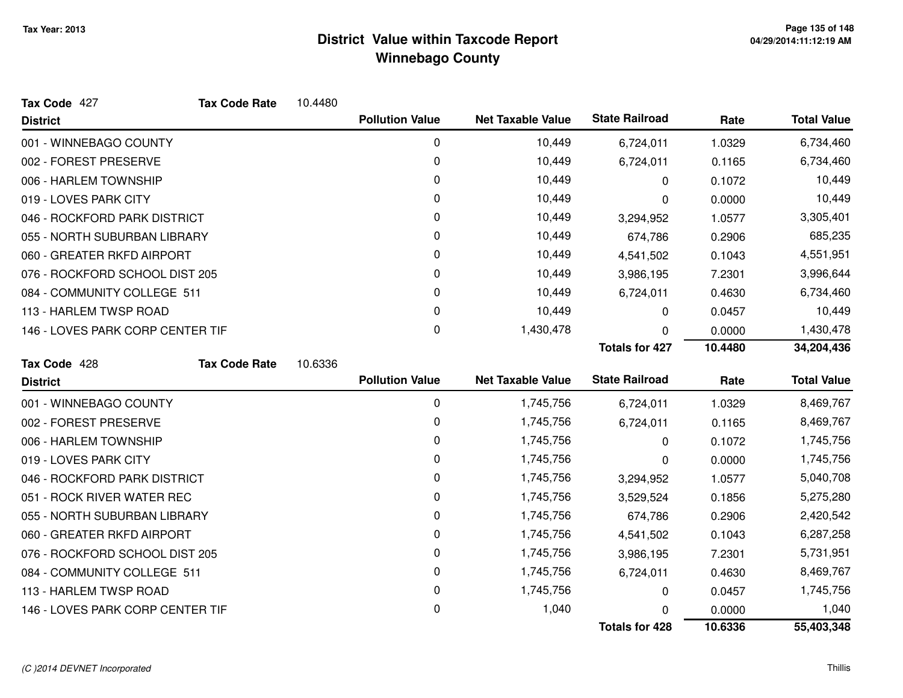| Tax Code 427                     | <b>Tax Code Rate</b> | 10.4480 |                        |                          |                       |         |                    |
|----------------------------------|----------------------|---------|------------------------|--------------------------|-----------------------|---------|--------------------|
| <b>District</b>                  |                      |         | <b>Pollution Value</b> | <b>Net Taxable Value</b> | <b>State Railroad</b> | Rate    | <b>Total Value</b> |
| 001 - WINNEBAGO COUNTY           |                      |         | 0                      | 10,449                   | 6,724,011             | 1.0329  | 6,734,460          |
| 002 - FOREST PRESERVE            |                      |         | 0                      | 10,449                   | 6,724,011             | 0.1165  | 6,734,460          |
| 006 - HARLEM TOWNSHIP            |                      |         | 0                      | 10,449                   | 0                     | 0.1072  | 10,449             |
| 019 - LOVES PARK CITY            |                      |         | 0                      | 10,449                   | 0                     | 0.0000  | 10,449             |
| 046 - ROCKFORD PARK DISTRICT     |                      |         | 0                      | 10,449                   | 3,294,952             | 1.0577  | 3,305,401          |
| 055 - NORTH SUBURBAN LIBRARY     |                      |         | 0                      | 10,449                   | 674,786               | 0.2906  | 685,235            |
| 060 - GREATER RKFD AIRPORT       |                      |         | 0                      | 10,449                   | 4,541,502             | 0.1043  | 4,551,951          |
| 076 - ROCKFORD SCHOOL DIST 205   |                      |         | 0                      | 10,449                   | 3,986,195             | 7.2301  | 3,996,644          |
| 084 - COMMUNITY COLLEGE 511      |                      |         | 0                      | 10,449                   | 6,724,011             | 0.4630  | 6,734,460          |
| 113 - HARLEM TWSP ROAD           |                      |         | $\mathbf 0$            | 10,449                   | 0                     | 0.0457  | 10,449             |
| 146 - LOVES PARK CORP CENTER TIF |                      |         | 0                      | 1,430,478                | 0                     | 0.0000  | 1,430,478          |
|                                  |                      |         |                        |                          | <b>Totals for 427</b> | 10.4480 | 34,204,436         |
| Tax Code 428                     | <b>Tax Code Rate</b> | 10.6336 |                        |                          |                       |         |                    |
| <b>District</b>                  |                      |         | <b>Pollution Value</b> | <b>Net Taxable Value</b> | <b>State Railroad</b> | Rate    | <b>Total Value</b> |
| 001 - WINNEBAGO COUNTY           |                      |         | $\mathbf 0$            | 1,745,756                | 6,724,011             | 1.0329  | 8,469,767          |
| 002 - FOREST PRESERVE            |                      |         | 0                      | 1,745,756                | 6,724,011             | 0.1165  | 8,469,767          |
| 006 - HARLEM TOWNSHIP            |                      |         | 0                      | 1,745,756                | 0                     | 0.1072  | 1,745,756          |
| 019 - LOVES PARK CITY            |                      |         | 0                      | 1,745,756                | 0                     | 0.0000  | 1,745,756          |
| 046 - ROCKFORD PARK DISTRICT     |                      |         | 0                      | 1,745,756                | 3,294,952             | 1.0577  | 5,040,708          |
| 051 - ROCK RIVER WATER REC       |                      |         | 0                      | 1,745,756                | 3,529,524             | 0.1856  | 5,275,280          |
| 055 - NORTH SUBURBAN LIBRARY     |                      |         | 0                      | 1,745,756                | 674,786               | 0.2906  | 2,420,542          |
| 060 - GREATER RKFD AIRPORT       |                      |         |                        |                          |                       |         |                    |
|                                  |                      |         | 0                      | 1,745,756                | 4,541,502             | 0.1043  | 6,287,258          |
| 076 - ROCKFORD SCHOOL DIST 205   |                      |         | 0                      | 1,745,756                | 3,986,195             | 7.2301  | 5,731,951          |
| 084 - COMMUNITY COLLEGE 511      |                      |         | 0                      | 1,745,756                | 6,724,011             | 0.4630  | 8,469,767          |
| 113 - HARLEM TWSP ROAD           |                      |         | 0                      | 1,745,756                | 0                     | 0.0457  | 1,745,756          |
| 146 - LOVES PARK CORP CENTER TIF |                      |         | 0                      | 1,040                    |                       | 0.0000  | 1,040              |

#### (C )2014 DEVNET Incorporated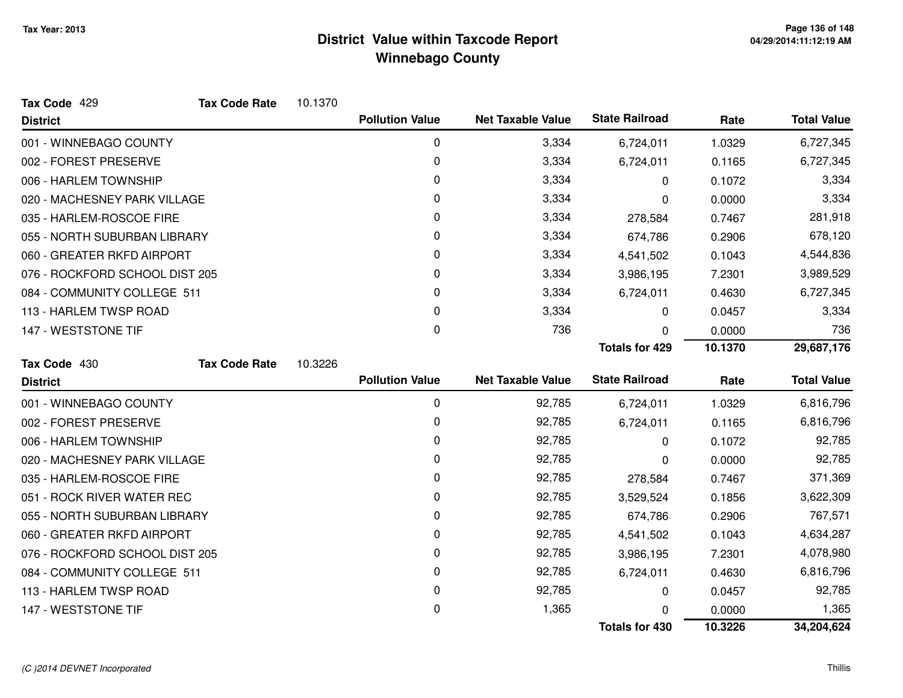| Tax Code 429                   | <b>Tax Code Rate</b> | 10.1370 |                        |                          |                       |         |                    |
|--------------------------------|----------------------|---------|------------------------|--------------------------|-----------------------|---------|--------------------|
| <b>District</b>                |                      |         | <b>Pollution Value</b> | <b>Net Taxable Value</b> | <b>State Railroad</b> | Rate    | <b>Total Value</b> |
| 001 - WINNEBAGO COUNTY         |                      |         | 0                      | 3,334                    | 6,724,011             | 1.0329  | 6,727,345          |
| 002 - FOREST PRESERVE          |                      |         | 0                      | 3,334                    | 6,724,011             | 0.1165  | 6,727,345          |
| 006 - HARLEM TOWNSHIP          |                      |         | 0                      | 3,334                    | 0                     | 0.1072  | 3,334              |
| 020 - MACHESNEY PARK VILLAGE   |                      |         | 0                      | 3,334                    | 0                     | 0.0000  | 3,334              |
| 035 - HARLEM-ROSCOE FIRE       |                      |         | 0                      | 3,334                    | 278,584               | 0.7467  | 281,918            |
| 055 - NORTH SUBURBAN LIBRARY   |                      |         | 0                      | 3,334                    | 674,786               | 0.2906  | 678,120            |
| 060 - GREATER RKFD AIRPORT     |                      |         | 0                      | 3,334                    | 4,541,502             | 0.1043  | 4,544,836          |
| 076 - ROCKFORD SCHOOL DIST 205 |                      |         | 0                      | 3,334                    | 3,986,195             | 7.2301  | 3,989,529          |
| 084 - COMMUNITY COLLEGE 511    |                      |         | 0                      | 3,334                    | 6,724,011             | 0.4630  | 6,727,345          |
| 113 - HARLEM TWSP ROAD         |                      |         | 0                      | 3,334                    | 0                     | 0.0457  | 3,334              |
| 147 - WESTSTONE TIF            |                      |         | $\Omega$               | 736                      | 0                     | 0.0000  | 736                |
|                                |                      |         |                        |                          | <b>Totals for 429</b> | 10.1370 | 29,687,176         |
| Tax Code 430                   | <b>Tax Code Rate</b> | 10.3226 |                        |                          |                       |         |                    |
| <b>District</b>                |                      |         | <b>Pollution Value</b> | <b>Net Taxable Value</b> | <b>State Railroad</b> | Rate    | <b>Total Value</b> |
| 001 - WINNEBAGO COUNTY         |                      |         | 0                      | 92,785                   | 6,724,011             | 1.0329  | 6,816,796          |
| 002 - FOREST PRESERVE          |                      |         | 0                      | 92,785                   | 6,724,011             | 0.1165  | 6,816,796          |
| 006 - HARLEM TOWNSHIP          |                      |         | 0                      | 92,785                   | 0                     | 0.1072  | 92,785             |
| 020 - MACHESNEY PARK VILLAGE   |                      |         | 0                      | 92,785                   | 0                     | 0.0000  | 92,785             |
| 035 - HARLEM-ROSCOE FIRE       |                      |         | 0                      | 92,785                   | 278,584               | 0.7467  | 371,369            |
| 051 - ROCK RIVER WATER REC     |                      |         | 0                      | 92,785                   | 3,529,524             | 0.1856  | 3,622,309          |
| 055 - NORTH SUBURBAN LIBRARY   |                      |         | 0                      | 92,785                   | 674,786               | 0.2906  | 767,571            |
| 060 - GREATER RKFD AIRPORT     |                      |         | 0                      | 92,785                   | 4,541,502             | 0.1043  | 4,634,287          |
| 076 - ROCKFORD SCHOOL DIST 205 |                      |         | 0                      | 92,785                   | 3,986,195             | 7.2301  | 4,078,980          |
| 084 - COMMUNITY COLLEGE 511    |                      |         | 0                      | 92,785                   | 6,724,011             | 0.4630  | 6,816,796          |
| 113 - HARLEM TWSP ROAD         |                      |         | 0                      | 92,785                   | 0                     | 0.0457  | 92,785             |
| 147 - WESTSTONE TIF            |                      |         | 0                      | 1,365                    | 0                     | 0.0000  | 1,365              |
|                                |                      |         |                        |                          |                       |         |                    |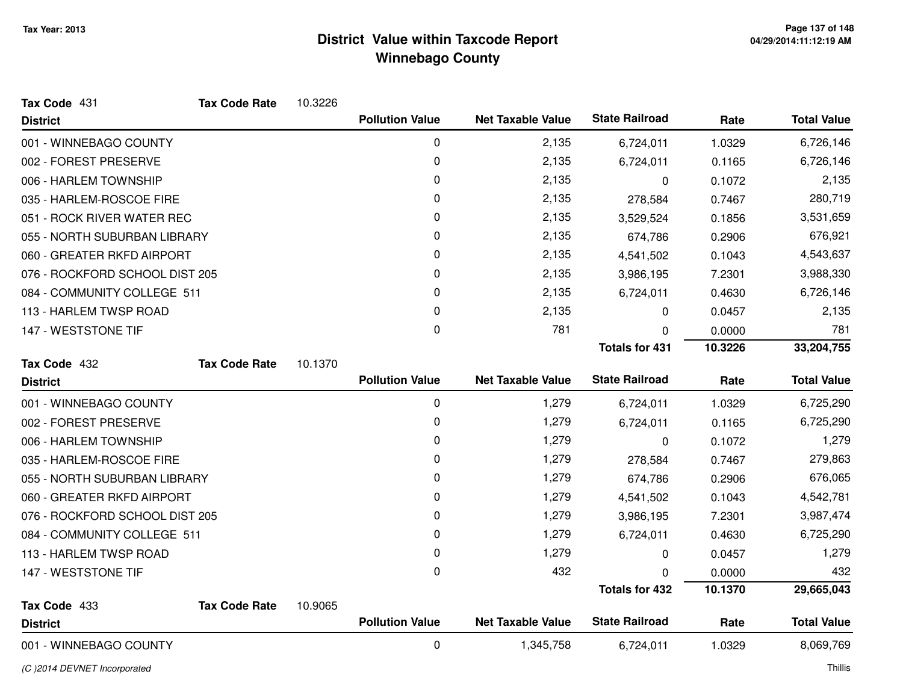| Tax Code 431                   | <b>Tax Code Rate</b> | 10.3226 |                        |                          |                       |         |                    |
|--------------------------------|----------------------|---------|------------------------|--------------------------|-----------------------|---------|--------------------|
| <b>District</b>                |                      |         | <b>Pollution Value</b> | <b>Net Taxable Value</b> | <b>State Railroad</b> | Rate    | <b>Total Value</b> |
| 001 - WINNEBAGO COUNTY         |                      |         | 0                      | 2,135                    | 6,724,011             | 1.0329  | 6,726,146          |
| 002 - FOREST PRESERVE          |                      |         | 0                      | 2,135                    | 6,724,011             | 0.1165  | 6,726,146          |
| 006 - HARLEM TOWNSHIP          |                      |         | 0                      | 2,135                    | 0                     | 0.1072  | 2,135              |
| 035 - HARLEM-ROSCOE FIRE       |                      |         | 0                      | 2,135                    | 278,584               | 0.7467  | 280,719            |
| 051 - ROCK RIVER WATER REC     |                      |         | 0                      | 2,135                    | 3,529,524             | 0.1856  | 3,531,659          |
| 055 - NORTH SUBURBAN LIBRARY   |                      |         | 0                      | 2,135                    | 674,786               | 0.2906  | 676,921            |
| 060 - GREATER RKFD AIRPORT     |                      |         | 0                      | 2,135                    | 4,541,502             | 0.1043  | 4,543,637          |
| 076 - ROCKFORD SCHOOL DIST 205 |                      |         | 0                      | 2,135                    | 3,986,195             | 7.2301  | 3,988,330          |
| 084 - COMMUNITY COLLEGE 511    |                      |         | 0                      | 2,135                    | 6,724,011             | 0.4630  | 6,726,146          |
| 113 - HARLEM TWSP ROAD         |                      |         | 0                      | 2,135                    | 0                     | 0.0457  | 2,135              |
| 147 - WESTSTONE TIF            |                      |         | 0                      | 781                      | 0                     | 0.0000  | 781                |
|                                |                      |         |                        |                          | <b>Totals for 431</b> | 10.3226 | 33,204,755         |
| Tax Code 432                   | <b>Tax Code Rate</b> | 10.1370 |                        |                          |                       |         |                    |
| <b>District</b>                |                      |         | <b>Pollution Value</b> | <b>Net Taxable Value</b> | <b>State Railroad</b> | Rate    | <b>Total Value</b> |
| 001 - WINNEBAGO COUNTY         |                      |         | 0                      | 1,279                    | 6,724,011             | 1.0329  | 6,725,290          |
| 002 - FOREST PRESERVE          |                      |         | 0                      | 1,279                    | 6,724,011             | 0.1165  | 6,725,290          |
| 006 - HARLEM TOWNSHIP          |                      |         | 0                      | 1,279                    | 0                     | 0.1072  | 1,279              |
| 035 - HARLEM-ROSCOE FIRE       |                      |         | 0                      | 1,279                    | 278,584               | 0.7467  | 279,863            |
| 055 - NORTH SUBURBAN LIBRARY   |                      |         | 0                      | 1,279                    | 674,786               | 0.2906  | 676,065            |
| 060 - GREATER RKFD AIRPORT     |                      |         | 0                      | 1,279                    | 4,541,502             | 0.1043  | 4,542,781          |
| 076 - ROCKFORD SCHOOL DIST 205 |                      |         | 0                      | 1,279                    | 3,986,195             | 7.2301  | 3,987,474          |
| 084 - COMMUNITY COLLEGE 511    |                      |         | 0                      | 1,279                    | 6,724,011             | 0.4630  | 6,725,290          |
| 113 - HARLEM TWSP ROAD         |                      |         | 0                      | 1,279                    | 0                     | 0.0457  | 1,279              |
| 147 - WESTSTONE TIF            |                      |         | 0                      | 432                      | 0                     | 0.0000  | 432                |
|                                |                      |         |                        |                          | <b>Totals for 432</b> | 10.1370 | 29,665,043         |
| Tax Code 433                   | <b>Tax Code Rate</b> | 10.9065 |                        |                          |                       |         |                    |
| <b>District</b>                |                      |         | <b>Pollution Value</b> | <b>Net Taxable Value</b> | <b>State Railroad</b> | Rate    | <b>Total Value</b> |
| 001 - WINNEBAGO COUNTY         |                      |         | $\pmb{0}$              | 1,345,758                | 6,724,011             | 1.0329  | 8,069,769          |

(C )2014 DEVNET Incorporated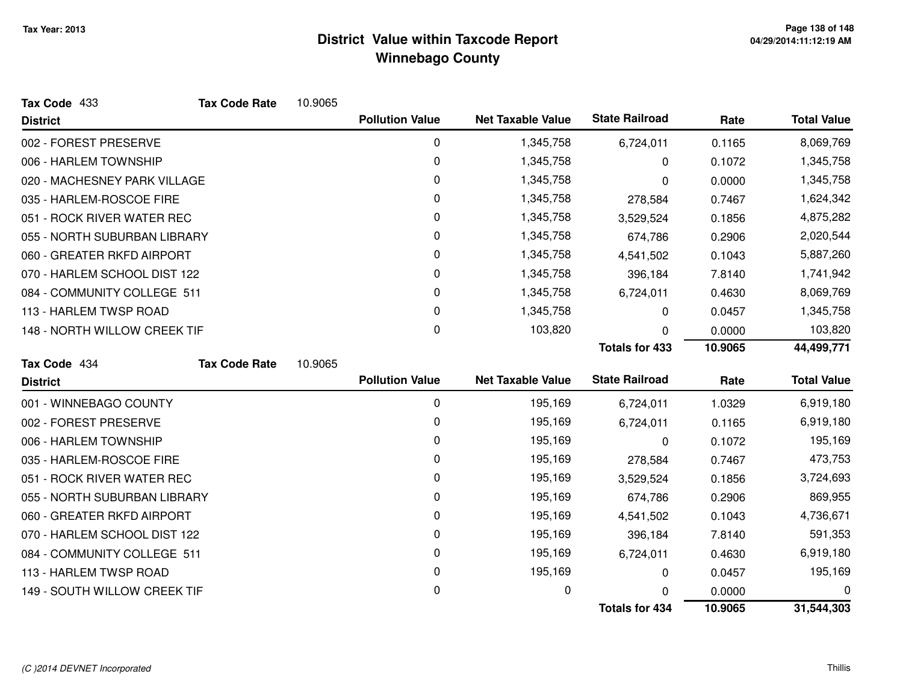| Tax Code 433                 | <b>Tax Code Rate</b> | 10.9065 |                        |                          |                       |         |                    |
|------------------------------|----------------------|---------|------------------------|--------------------------|-----------------------|---------|--------------------|
| <b>District</b>              |                      |         | <b>Pollution Value</b> | <b>Net Taxable Value</b> | <b>State Railroad</b> | Rate    | <b>Total Value</b> |
| 002 - FOREST PRESERVE        |                      |         | 0                      | 1,345,758                | 6,724,011             | 0.1165  | 8,069,769          |
| 006 - HARLEM TOWNSHIP        |                      |         | 0                      | 1,345,758                | 0                     | 0.1072  | 1,345,758          |
| 020 - MACHESNEY PARK VILLAGE |                      |         | 0                      | 1,345,758                | 0                     | 0.0000  | 1,345,758          |
| 035 - HARLEM-ROSCOE FIRE     |                      |         | 0                      | 1,345,758                | 278,584               | 0.7467  | 1,624,342          |
| 051 - ROCK RIVER WATER REC   |                      |         | 0                      | 1,345,758                | 3,529,524             | 0.1856  | 4,875,282          |
| 055 - NORTH SUBURBAN LIBRARY |                      |         | 0                      | 1,345,758                | 674,786               | 0.2906  | 2,020,544          |
| 060 - GREATER RKFD AIRPORT   |                      |         | 0                      | 1,345,758                | 4,541,502             | 0.1043  | 5,887,260          |
| 070 - HARLEM SCHOOL DIST 122 |                      |         | 0                      | 1,345,758                | 396,184               | 7.8140  | 1,741,942          |
| 084 - COMMUNITY COLLEGE 511  |                      |         | 0                      | 1,345,758                | 6,724,011             | 0.4630  | 8,069,769          |
| 113 - HARLEM TWSP ROAD       |                      |         | 0                      | 1,345,758                | 0                     | 0.0457  | 1,345,758          |
| 148 - NORTH WILLOW CREEK TIF |                      |         | 0                      | 103,820                  | 0                     | 0.0000  | 103,820            |
|                              |                      |         |                        |                          | <b>Totals for 433</b> | 10.9065 | 44,499,771         |
| Tax Code 434                 | <b>Tax Code Rate</b> | 10.9065 |                        |                          |                       |         |                    |
| <b>District</b>              |                      |         | <b>Pollution Value</b> | <b>Net Taxable Value</b> | <b>State Railroad</b> | Rate    | <b>Total Value</b> |
| 001 - WINNEBAGO COUNTY       |                      |         | 0                      | 195,169                  | 6,724,011             | 1.0329  | 6,919,180          |
| 002 - FOREST PRESERVE        |                      |         | 0                      | 195,169                  | 6,724,011             | 0.1165  | 6,919,180          |
| 006 - HARLEM TOWNSHIP        |                      |         | 0                      | 195,169                  | 0                     | 0.1072  | 195,169            |
| 035 - HARLEM-ROSCOE FIRE     |                      |         | 0                      | 195,169                  | 278,584               | 0.7467  | 473,753            |
| 051 - ROCK RIVER WATER REC   |                      |         | 0                      | 195,169                  | 3,529,524             | 0.1856  | 3,724,693          |
| 055 - NORTH SUBURBAN LIBRARY |                      |         | 0                      | 195,169                  | 674,786               | 0.2906  | 869,955            |
| 060 - GREATER RKFD AIRPORT   |                      |         | 0                      | 195,169                  | 4,541,502             | 0.1043  | 4,736,671          |
| 070 - HARLEM SCHOOL DIST 122 |                      |         | 0                      | 195,169                  | 396,184               | 7.8140  | 591,353            |
| 084 - COMMUNITY COLLEGE 511  |                      |         | 0                      | 195,169                  | 6,724,011             | 0.4630  | 6,919,180          |
| 113 - HARLEM TWSP ROAD       |                      |         | 0                      | 195,169                  | 0                     | 0.0457  | 195,169            |
| 149 - SOUTH WILLOW CREEK TIF |                      |         | 0                      | 0                        | 0                     | 0.0000  | 0                  |
|                              |                      |         |                        |                          | <b>Totals for 434</b> | 10.9065 | 31,544,303         |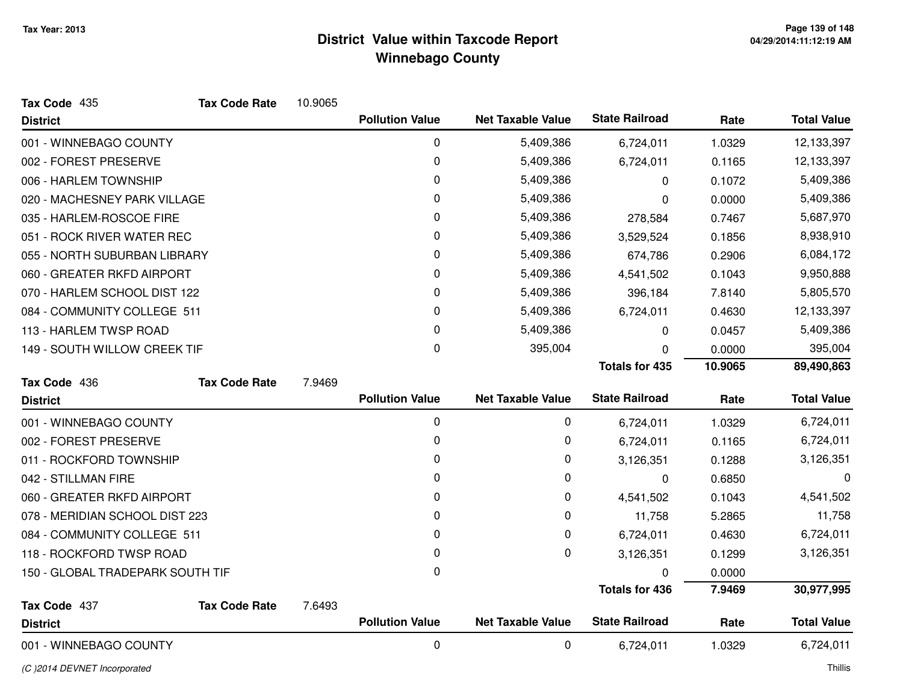| Tax Code 435                     | <b>Tax Code Rate</b> | 10.9065 |                        |                          |                       |         |                    |
|----------------------------------|----------------------|---------|------------------------|--------------------------|-----------------------|---------|--------------------|
| <b>District</b>                  |                      |         | <b>Pollution Value</b> | <b>Net Taxable Value</b> | <b>State Railroad</b> | Rate    | <b>Total Value</b> |
| 001 - WINNEBAGO COUNTY           |                      |         | 0                      | 5,409,386                | 6,724,011             | 1.0329  | 12,133,397         |
| 002 - FOREST PRESERVE            |                      |         | 0                      | 5,409,386                | 6,724,011             | 0.1165  | 12,133,397         |
| 006 - HARLEM TOWNSHIP            |                      |         | 0                      | 5,409,386                | 0                     | 0.1072  | 5,409,386          |
| 020 - MACHESNEY PARK VILLAGE     |                      |         | 0                      | 5,409,386                | 0                     | 0.0000  | 5,409,386          |
| 035 - HARLEM-ROSCOE FIRE         |                      |         | 0                      | 5,409,386                | 278,584               | 0.7467  | 5,687,970          |
| 051 - ROCK RIVER WATER REC       |                      |         | 0                      | 5,409,386                | 3,529,524             | 0.1856  | 8,938,910          |
| 055 - NORTH SUBURBAN LIBRARY     |                      |         | 0                      | 5,409,386                | 674,786               | 0.2906  | 6,084,172          |
| 060 - GREATER RKFD AIRPORT       |                      |         | 0                      | 5,409,386                | 4,541,502             | 0.1043  | 9,950,888          |
| 070 - HARLEM SCHOOL DIST 122     |                      |         | 0                      | 5,409,386                | 396,184               | 7.8140  | 5,805,570          |
| 084 - COMMUNITY COLLEGE 511      |                      |         | 0                      | 5,409,386                | 6,724,011             | 0.4630  | 12,133,397         |
| 113 - HARLEM TWSP ROAD           |                      |         | 0                      | 5,409,386                | 0                     | 0.0457  | 5,409,386          |
| 149 - SOUTH WILLOW CREEK TIF     |                      |         | 0                      | 395,004                  | O                     | 0.0000  | 395,004            |
|                                  |                      |         |                        |                          | <b>Totals for 435</b> | 10.9065 | 89,490,863         |
|                                  |                      |         |                        |                          |                       |         |                    |
| Tax Code 436                     | <b>Tax Code Rate</b> | 7.9469  |                        |                          |                       |         |                    |
| <b>District</b>                  |                      |         | <b>Pollution Value</b> | <b>Net Taxable Value</b> | <b>State Railroad</b> | Rate    | <b>Total Value</b> |
| 001 - WINNEBAGO COUNTY           |                      |         | 0                      | 0                        | 6,724,011             | 1.0329  | 6,724,011          |
| 002 - FOREST PRESERVE            |                      |         | 0                      | $\pmb{0}$                | 6,724,011             | 0.1165  | 6,724,011          |
| 011 - ROCKFORD TOWNSHIP          |                      |         | 0                      | 0                        | 3,126,351             | 0.1288  | 3,126,351          |
| 042 - STILLMAN FIRE              |                      |         | 0                      | $\mathbf 0$              | 0                     | 0.6850  | 0                  |
| 060 - GREATER RKFD AIRPORT       |                      |         | 0                      | $\mathbf 0$              | 4,541,502             | 0.1043  | 4,541,502          |
| 078 - MERIDIAN SCHOOL DIST 223   |                      |         | 0                      | 0                        | 11,758                | 5.2865  | 11,758             |
| 084 - COMMUNITY COLLEGE 511      |                      |         | 0                      | $\mathbf 0$              | 6,724,011             | 0.4630  | 6,724,011          |
| 118 - ROCKFORD TWSP ROAD         |                      |         | 0                      | $\mathbf 0$              | 3,126,351             | 0.1299  | 3,126,351          |
| 150 - GLOBAL TRADEPARK SOUTH TIF |                      |         | 0                      |                          |                       | 0.0000  |                    |
|                                  |                      |         |                        |                          | <b>Totals for 436</b> | 7.9469  | 30,977,995         |
| Tax Code 437                     | <b>Tax Code Rate</b> | 7.6493  |                        |                          |                       |         |                    |
| <b>District</b>                  |                      |         | <b>Pollution Value</b> | <b>Net Taxable Value</b> | <b>State Railroad</b> | Rate    | <b>Total Value</b> |

(C )2014 DEVNET Incorporated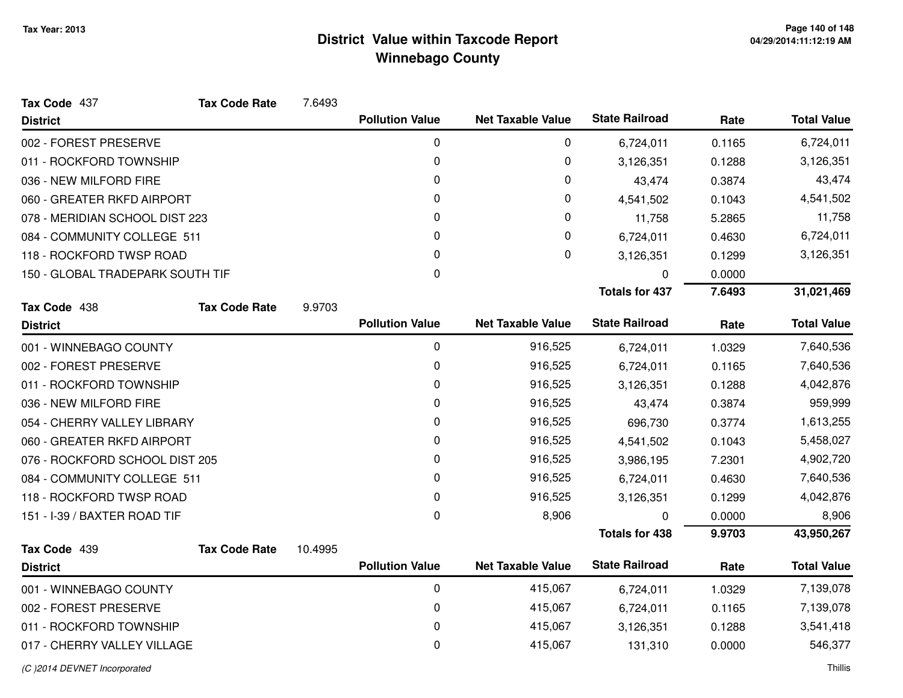| Tax Code 437<br><b>Tax Code Rate</b> | 7.6493  |                        |                          |                       |        |                    |
|--------------------------------------|---------|------------------------|--------------------------|-----------------------|--------|--------------------|
| <b>District</b>                      |         | <b>Pollution Value</b> | <b>Net Taxable Value</b> | <b>State Railroad</b> | Rate   | <b>Total Value</b> |
| 002 - FOREST PRESERVE                |         | 0                      | 0                        | 6,724,011             | 0.1165 | 6,724,011          |
| 011 - ROCKFORD TOWNSHIP              |         | $\pmb{0}$              | 0                        | 3,126,351             | 0.1288 | 3,126,351          |
| 036 - NEW MILFORD FIRE               |         | 0                      | 0                        | 43,474                | 0.3874 | 43,474             |
| 060 - GREATER RKFD AIRPORT           |         | 0                      | 0                        | 4,541,502             | 0.1043 | 4,541,502          |
| 078 - MERIDIAN SCHOOL DIST 223       |         | 0                      | 0                        | 11,758                | 5.2865 | 11,758             |
| 084 - COMMUNITY COLLEGE 511          |         | 0                      | 0                        | 6,724,011             | 0.4630 | 6,724,011          |
| 118 - ROCKFORD TWSP ROAD             |         | $\Omega$               | 0                        | 3,126,351             | 0.1299 | 3,126,351          |
| 150 - GLOBAL TRADEPARK SOUTH TIF     |         | 0                      |                          | 0                     | 0.0000 |                    |
|                                      |         |                        |                          | <b>Totals for 437</b> | 7.6493 | 31,021,469         |
| Tax Code 438<br><b>Tax Code Rate</b> | 9.9703  |                        |                          |                       |        |                    |
| <b>District</b>                      |         | <b>Pollution Value</b> | <b>Net Taxable Value</b> | <b>State Railroad</b> | Rate   | <b>Total Value</b> |
| 001 - WINNEBAGO COUNTY               |         | 0                      | 916,525                  | 6,724,011             | 1.0329 | 7,640,536          |
| 002 - FOREST PRESERVE                |         | 0                      | 916,525                  | 6,724,011             | 0.1165 | 7,640,536          |
| 011 - ROCKFORD TOWNSHIP              |         | 0                      | 916,525                  | 3,126,351             | 0.1288 | 4,042,876          |
| 036 - NEW MILFORD FIRE               |         | 0                      | 916,525                  | 43,474                | 0.3874 | 959,999            |
| 054 - CHERRY VALLEY LIBRARY          |         | $\Omega$               | 916,525                  | 696,730               | 0.3774 | 1,613,255          |
| 060 - GREATER RKFD AIRPORT           |         | 0                      | 916,525                  | 4,541,502             | 0.1043 | 5,458,027          |
| 076 - ROCKFORD SCHOOL DIST 205       |         | 0                      | 916,525                  | 3,986,195             | 7.2301 | 4,902,720          |
| 084 - COMMUNITY COLLEGE 511          |         | 0                      | 916,525                  | 6,724,011             | 0.4630 | 7,640,536          |
| 118 - ROCKFORD TWSP ROAD             |         | 0                      | 916,525                  | 3,126,351             | 0.1299 | 4,042,876          |
| 151 - I-39 / BAXTER ROAD TIF         |         | 0                      | 8,906                    | 0                     | 0.0000 | 8,906              |
|                                      |         |                        |                          | <b>Totals for 438</b> | 9.9703 | 43,950,267         |
| Tax Code 439<br><b>Tax Code Rate</b> | 10.4995 |                        |                          |                       |        |                    |
| <b>District</b>                      |         | <b>Pollution Value</b> | <b>Net Taxable Value</b> | <b>State Railroad</b> | Rate   | <b>Total Value</b> |
| 001 - WINNEBAGO COUNTY               |         | 0                      | 415,067                  | 6,724,011             | 1.0329 | 7,139,078          |
| 002 - FOREST PRESERVE                |         | 0                      | 415,067                  | 6,724,011             | 0.1165 | 7,139,078          |
| 011 - ROCKFORD TOWNSHIP              |         | 0                      | 415,067                  | 3,126,351             | 0.1288 | 3,541,418          |
| 017 - CHERRY VALLEY VILLAGE          |         | 0                      | 415,067                  | 131,310               | 0.0000 | 546,377            |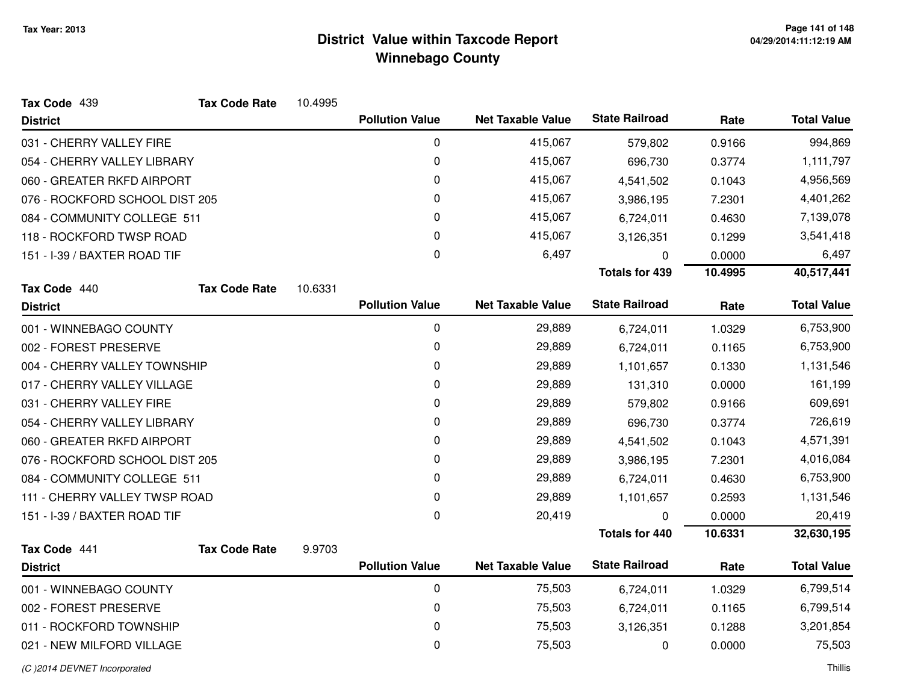| Tax Code 439                   | <b>Tax Code Rate</b> | 10.4995 |                        |                          |                       |         |                    |
|--------------------------------|----------------------|---------|------------------------|--------------------------|-----------------------|---------|--------------------|
| <b>District</b>                |                      |         | <b>Pollution Value</b> | <b>Net Taxable Value</b> | <b>State Railroad</b> | Rate    | <b>Total Value</b> |
| 031 - CHERRY VALLEY FIRE       |                      |         | 0                      | 415,067                  | 579,802               | 0.9166  | 994,869            |
| 054 - CHERRY VALLEY LIBRARY    |                      |         | 0                      | 415,067                  | 696,730               | 0.3774  | 1,111,797          |
| 060 - GREATER RKFD AIRPORT     |                      |         | 0                      | 415,067                  | 4,541,502             | 0.1043  | 4,956,569          |
| 076 - ROCKFORD SCHOOL DIST 205 |                      |         | 0                      | 415,067                  | 3,986,195             | 7.2301  | 4,401,262          |
| 084 - COMMUNITY COLLEGE 511    |                      |         | 0                      | 415,067                  | 6,724,011             | 0.4630  | 7,139,078          |
| 118 - ROCKFORD TWSP ROAD       |                      |         | 0                      | 415,067                  | 3,126,351             | 0.1299  | 3,541,418          |
| 151 - I-39 / BAXTER ROAD TIF   |                      |         | 0                      | 6,497                    | 0                     | 0.0000  | 6,497              |
|                                |                      |         |                        |                          | <b>Totals for 439</b> | 10.4995 | 40,517,441         |
| Tax Code 440                   | <b>Tax Code Rate</b> | 10.6331 |                        |                          |                       |         |                    |
| <b>District</b>                |                      |         | <b>Pollution Value</b> | <b>Net Taxable Value</b> | <b>State Railroad</b> | Rate    | <b>Total Value</b> |
| 001 - WINNEBAGO COUNTY         |                      |         | $\mathbf 0$            | 29,889                   | 6,724,011             | 1.0329  | 6,753,900          |
| 002 - FOREST PRESERVE          |                      |         | 0                      | 29,889                   | 6,724,011             | 0.1165  | 6,753,900          |
| 004 - CHERRY VALLEY TOWNSHIP   |                      |         | 0                      | 29,889                   | 1,101,657             | 0.1330  | 1,131,546          |
| 017 - CHERRY VALLEY VILLAGE    |                      |         | 0                      | 29,889                   | 131,310               | 0.0000  | 161,199            |
| 031 - CHERRY VALLEY FIRE       |                      |         | 0                      | 29,889                   | 579,802               | 0.9166  | 609,691            |
| 054 - CHERRY VALLEY LIBRARY    |                      |         | 0                      | 29,889                   | 696,730               | 0.3774  | 726,619            |
| 060 - GREATER RKFD AIRPORT     |                      |         | 0                      | 29,889                   | 4,541,502             | 0.1043  | 4,571,391          |
| 076 - ROCKFORD SCHOOL DIST 205 |                      |         | 0                      | 29,889                   | 3,986,195             | 7.2301  | 4,016,084          |
| 084 - COMMUNITY COLLEGE 511    |                      |         | 0                      | 29,889                   | 6,724,011             | 0.4630  | 6,753,900          |
| 111 - CHERRY VALLEY TWSP ROAD  |                      |         | 0                      | 29,889                   | 1,101,657             | 0.2593  | 1,131,546          |
| 151 - I-39 / BAXTER ROAD TIF   |                      |         | $\mathbf 0$            | 20,419                   | 0                     | 0.0000  | 20,419             |
|                                |                      |         |                        |                          | <b>Totals for 440</b> | 10.6331 | 32,630,195         |
| Tax Code 441                   | <b>Tax Code Rate</b> | 9.9703  |                        |                          |                       |         |                    |
| <b>District</b>                |                      |         | <b>Pollution Value</b> | <b>Net Taxable Value</b> | <b>State Railroad</b> | Rate    | <b>Total Value</b> |
| 001 - WINNEBAGO COUNTY         |                      |         | 0                      | 75,503                   | 6,724,011             | 1.0329  | 6,799,514          |
| 002 - FOREST PRESERVE          |                      |         | 0                      | 75,503                   | 6,724,011             | 0.1165  | 6,799,514          |
| 011 - ROCKFORD TOWNSHIP        |                      |         | 0                      | 75,503                   | 3,126,351             | 0.1288  | 3,201,854          |
| 021 - NEW MILFORD VILLAGE      |                      |         | 0                      | 75,503                   | 0                     | 0.0000  | 75,503             |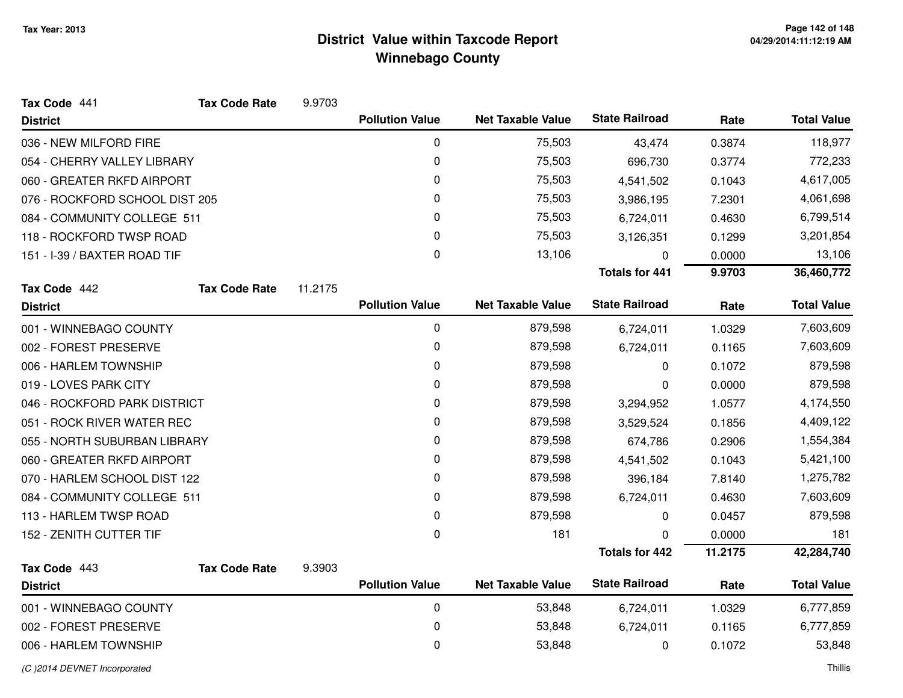| Tax Code 441                   | <b>Tax Code Rate</b> | 9.9703  |                        |                          |                       |         |                    |
|--------------------------------|----------------------|---------|------------------------|--------------------------|-----------------------|---------|--------------------|
| <b>District</b>                |                      |         | <b>Pollution Value</b> | <b>Net Taxable Value</b> | <b>State Railroad</b> | Rate    | <b>Total Value</b> |
| 036 - NEW MILFORD FIRE         |                      |         | 0                      | 75,503                   | 43,474                | 0.3874  | 118,977            |
| 054 - CHERRY VALLEY LIBRARY    |                      |         | 0                      | 75,503                   | 696,730               | 0.3774  | 772,233            |
| 060 - GREATER RKFD AIRPORT     |                      |         | 0                      | 75,503                   | 4,541,502             | 0.1043  | 4,617,005          |
| 076 - ROCKFORD SCHOOL DIST 205 |                      |         | 0                      | 75,503                   | 3,986,195             | 7.2301  | 4,061,698          |
| 084 - COMMUNITY COLLEGE 511    |                      |         | 0                      | 75,503                   | 6,724,011             | 0.4630  | 6,799,514          |
| 118 - ROCKFORD TWSP ROAD       |                      |         | 0                      | 75,503                   | 3,126,351             | 0.1299  | 3,201,854          |
| 151 - I-39 / BAXTER ROAD TIF   |                      |         | 0                      | 13,106                   | 0                     | 0.0000  | 13,106             |
|                                |                      |         |                        |                          | <b>Totals for 441</b> | 9.9703  | 36,460,772         |
| Tax Code 442                   | <b>Tax Code Rate</b> | 11.2175 |                        |                          |                       |         |                    |
| <b>District</b>                |                      |         | <b>Pollution Value</b> | <b>Net Taxable Value</b> | <b>State Railroad</b> | Rate    | <b>Total Value</b> |
| 001 - WINNEBAGO COUNTY         |                      |         | $\mathbf 0$            | 879,598                  | 6,724,011             | 1.0329  | 7,603,609          |
| 002 - FOREST PRESERVE          |                      |         | 0                      | 879,598                  | 6,724,011             | 0.1165  | 7,603,609          |
| 006 - HARLEM TOWNSHIP          |                      |         | 0                      | 879,598                  | 0                     | 0.1072  | 879,598            |
| 019 - LOVES PARK CITY          |                      |         | 0                      | 879,598                  | 0                     | 0.0000  | 879,598            |
| 046 - ROCKFORD PARK DISTRICT   |                      |         | 0                      | 879,598                  | 3,294,952             | 1.0577  | 4,174,550          |
| 051 - ROCK RIVER WATER REC     |                      |         | 0                      | 879,598                  | 3,529,524             | 0.1856  | 4,409,122          |
| 055 - NORTH SUBURBAN LIBRARY   |                      |         | 0                      | 879,598                  | 674,786               | 0.2906  | 1,554,384          |
| 060 - GREATER RKFD AIRPORT     |                      |         | 0                      | 879,598                  | 4,541,502             | 0.1043  | 5,421,100          |
| 070 - HARLEM SCHOOL DIST 122   |                      |         | 0                      | 879,598                  | 396,184               | 7.8140  | 1,275,782          |
| 084 - COMMUNITY COLLEGE 511    |                      |         | 0                      | 879,598                  | 6,724,011             | 0.4630  | 7,603,609          |
| 113 - HARLEM TWSP ROAD         |                      |         | 0                      | 879,598                  | 0                     | 0.0457  | 879,598            |
| 152 - ZENITH CUTTER TIF        |                      |         | 0                      | 181                      | 0                     | 0.0000  | 181                |
|                                |                      |         |                        |                          | <b>Totals for 442</b> | 11.2175 | 42,284,740         |
| Tax Code 443                   | <b>Tax Code Rate</b> | 9.3903  |                        |                          |                       |         |                    |
| <b>District</b>                |                      |         | <b>Pollution Value</b> | <b>Net Taxable Value</b> | <b>State Railroad</b> | Rate    | <b>Total Value</b> |
| 001 - WINNEBAGO COUNTY         |                      |         | 0                      | 53,848                   | 6,724,011             | 1.0329  | 6,777,859          |
| 002 - FOREST PRESERVE          |                      |         | 0                      | 53,848                   | 6,724,011             | 0.1165  | 6,777,859          |
| 006 - HARLEM TOWNSHIP          |                      |         | 0                      | 53,848                   | 0                     | 0.1072  | 53,848             |
|                                |                      |         |                        |                          |                       |         |                    |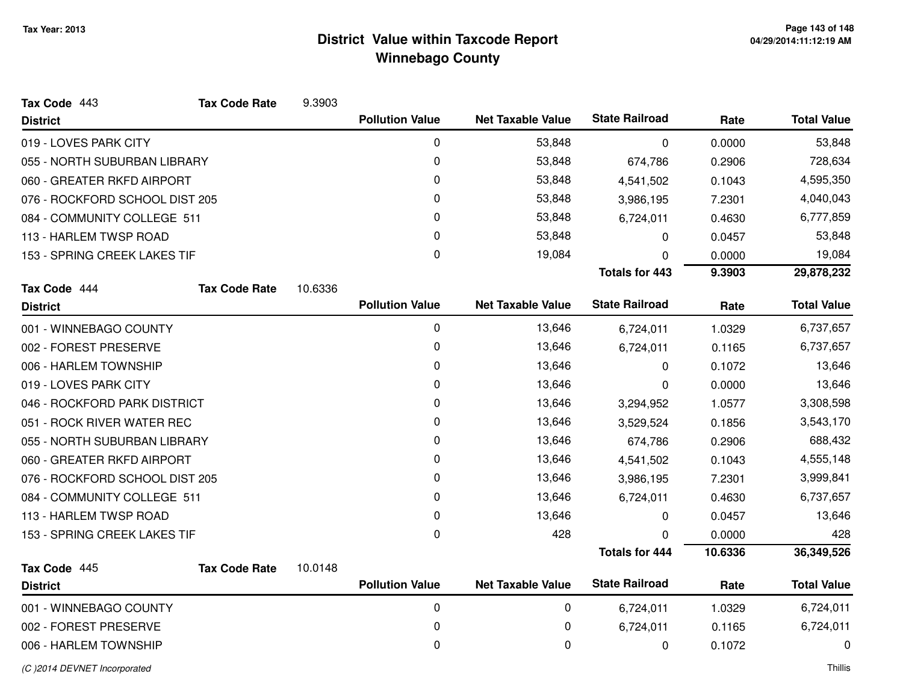| <b>Pollution Value</b><br><b>Net Taxable Value</b><br><b>District</b><br>$\mathbf 0$<br>53,848<br>019 - LOVES PARK CITY<br>0<br>055 - NORTH SUBURBAN LIBRARY<br>53,848<br>0<br>060 - GREATER RKFD AIRPORT<br>53,848<br>076 - ROCKFORD SCHOOL DIST 205<br>0<br>53,848<br>0<br>084 - COMMUNITY COLLEGE 511<br>53,848<br>113 - HARLEM TWSP ROAD<br>0<br>53,848<br>0<br>19,084<br>153 - SPRING CREEK LAKES TIF<br>Tax Code 444<br><b>Tax Code Rate</b><br>10.6336<br><b>Pollution Value</b><br><b>Net Taxable Value</b><br><b>District</b><br>0<br>13,646<br>001 - WINNEBAGO COUNTY<br>0<br>13,646<br>002 - FOREST PRESERVE<br>0<br>13,646<br>006 - HARLEM TOWNSHIP<br>0<br>13,646<br>019 - LOVES PARK CITY<br>0<br>13,646<br>046 - ROCKFORD PARK DISTRICT<br>051 - ROCK RIVER WATER REC<br>0<br>13,646<br>0<br>13,646<br>055 - NORTH SUBURBAN LIBRARY<br>060 - GREATER RKFD AIRPORT<br>0<br>13,646<br>0<br>076 - ROCKFORD SCHOOL DIST 205<br>13,646<br>0<br>084 - COMMUNITY COLLEGE 511<br>13,646<br>0<br>13,646<br>113 - HARLEM TWSP ROAD<br>0<br>428<br>153 - SPRING CREEK LAKES TIF<br>Tax Code 445<br><b>Tax Code Rate</b><br>10.0148<br><b>Pollution Value</b><br><b>Net Taxable Value</b><br><b>District</b><br>0<br>0<br>001 - WINNEBAGO COUNTY<br>0<br>0<br>002 - FOREST PRESERVE |                       |             |         |                    |
|----------------------------------------------------------------------------------------------------------------------------------------------------------------------------------------------------------------------------------------------------------------------------------------------------------------------------------------------------------------------------------------------------------------------------------------------------------------------------------------------------------------------------------------------------------------------------------------------------------------------------------------------------------------------------------------------------------------------------------------------------------------------------------------------------------------------------------------------------------------------------------------------------------------------------------------------------------------------------------------------------------------------------------------------------------------------------------------------------------------------------------------------------------------------------------------------------------------------------------------------------------------------------------------|-----------------------|-------------|---------|--------------------|
|                                                                                                                                                                                                                                                                                                                                                                                                                                                                                                                                                                                                                                                                                                                                                                                                                                                                                                                                                                                                                                                                                                                                                                                                                                                                                        | <b>State Railroad</b> |             | Rate    | <b>Total Value</b> |
|                                                                                                                                                                                                                                                                                                                                                                                                                                                                                                                                                                                                                                                                                                                                                                                                                                                                                                                                                                                                                                                                                                                                                                                                                                                                                        |                       | $\mathbf 0$ | 0.0000  | 53,848             |
|                                                                                                                                                                                                                                                                                                                                                                                                                                                                                                                                                                                                                                                                                                                                                                                                                                                                                                                                                                                                                                                                                                                                                                                                                                                                                        |                       | 674,786     | 0.2906  | 728,634            |
|                                                                                                                                                                                                                                                                                                                                                                                                                                                                                                                                                                                                                                                                                                                                                                                                                                                                                                                                                                                                                                                                                                                                                                                                                                                                                        |                       | 4,541,502   | 0.1043  | 4,595,350          |
|                                                                                                                                                                                                                                                                                                                                                                                                                                                                                                                                                                                                                                                                                                                                                                                                                                                                                                                                                                                                                                                                                                                                                                                                                                                                                        |                       | 3,986,195   | 7.2301  | 4,040,043          |
|                                                                                                                                                                                                                                                                                                                                                                                                                                                                                                                                                                                                                                                                                                                                                                                                                                                                                                                                                                                                                                                                                                                                                                                                                                                                                        |                       | 6,724,011   | 0.4630  | 6,777,859          |
|                                                                                                                                                                                                                                                                                                                                                                                                                                                                                                                                                                                                                                                                                                                                                                                                                                                                                                                                                                                                                                                                                                                                                                                                                                                                                        |                       | 0           | 0.0457  | 53,848             |
|                                                                                                                                                                                                                                                                                                                                                                                                                                                                                                                                                                                                                                                                                                                                                                                                                                                                                                                                                                                                                                                                                                                                                                                                                                                                                        |                       | 0           | 0.0000  | 19,084             |
|                                                                                                                                                                                                                                                                                                                                                                                                                                                                                                                                                                                                                                                                                                                                                                                                                                                                                                                                                                                                                                                                                                                                                                                                                                                                                        | <b>Totals for 443</b> |             | 9.3903  | 29,878,232         |
|                                                                                                                                                                                                                                                                                                                                                                                                                                                                                                                                                                                                                                                                                                                                                                                                                                                                                                                                                                                                                                                                                                                                                                                                                                                                                        |                       |             |         |                    |
|                                                                                                                                                                                                                                                                                                                                                                                                                                                                                                                                                                                                                                                                                                                                                                                                                                                                                                                                                                                                                                                                                                                                                                                                                                                                                        | <b>State Railroad</b> |             | Rate    | <b>Total Value</b> |
|                                                                                                                                                                                                                                                                                                                                                                                                                                                                                                                                                                                                                                                                                                                                                                                                                                                                                                                                                                                                                                                                                                                                                                                                                                                                                        |                       | 6,724,011   | 1.0329  | 6,737,657          |
|                                                                                                                                                                                                                                                                                                                                                                                                                                                                                                                                                                                                                                                                                                                                                                                                                                                                                                                                                                                                                                                                                                                                                                                                                                                                                        |                       | 6,724,011   | 0.1165  | 6,737,657          |
|                                                                                                                                                                                                                                                                                                                                                                                                                                                                                                                                                                                                                                                                                                                                                                                                                                                                                                                                                                                                                                                                                                                                                                                                                                                                                        |                       | 0           | 0.1072  | 13,646             |
|                                                                                                                                                                                                                                                                                                                                                                                                                                                                                                                                                                                                                                                                                                                                                                                                                                                                                                                                                                                                                                                                                                                                                                                                                                                                                        |                       | 0           | 0.0000  | 13,646             |
|                                                                                                                                                                                                                                                                                                                                                                                                                                                                                                                                                                                                                                                                                                                                                                                                                                                                                                                                                                                                                                                                                                                                                                                                                                                                                        |                       | 3,294,952   | 1.0577  | 3,308,598          |
|                                                                                                                                                                                                                                                                                                                                                                                                                                                                                                                                                                                                                                                                                                                                                                                                                                                                                                                                                                                                                                                                                                                                                                                                                                                                                        |                       | 3,529,524   | 0.1856  | 3,543,170          |
|                                                                                                                                                                                                                                                                                                                                                                                                                                                                                                                                                                                                                                                                                                                                                                                                                                                                                                                                                                                                                                                                                                                                                                                                                                                                                        |                       | 674,786     | 0.2906  | 688,432            |
|                                                                                                                                                                                                                                                                                                                                                                                                                                                                                                                                                                                                                                                                                                                                                                                                                                                                                                                                                                                                                                                                                                                                                                                                                                                                                        |                       | 4,541,502   | 0.1043  | 4,555,148          |
|                                                                                                                                                                                                                                                                                                                                                                                                                                                                                                                                                                                                                                                                                                                                                                                                                                                                                                                                                                                                                                                                                                                                                                                                                                                                                        |                       | 3,986,195   | 7.2301  | 3,999,841          |
|                                                                                                                                                                                                                                                                                                                                                                                                                                                                                                                                                                                                                                                                                                                                                                                                                                                                                                                                                                                                                                                                                                                                                                                                                                                                                        |                       | 6,724,011   | 0.4630  | 6,737,657          |
|                                                                                                                                                                                                                                                                                                                                                                                                                                                                                                                                                                                                                                                                                                                                                                                                                                                                                                                                                                                                                                                                                                                                                                                                                                                                                        |                       | 0           | 0.0457  | 13,646             |
|                                                                                                                                                                                                                                                                                                                                                                                                                                                                                                                                                                                                                                                                                                                                                                                                                                                                                                                                                                                                                                                                                                                                                                                                                                                                                        |                       | 0           | 0.0000  | 428                |
|                                                                                                                                                                                                                                                                                                                                                                                                                                                                                                                                                                                                                                                                                                                                                                                                                                                                                                                                                                                                                                                                                                                                                                                                                                                                                        | <b>Totals for 444</b> |             | 10.6336 | 36,349,526         |
|                                                                                                                                                                                                                                                                                                                                                                                                                                                                                                                                                                                                                                                                                                                                                                                                                                                                                                                                                                                                                                                                                                                                                                                                                                                                                        |                       |             |         |                    |
|                                                                                                                                                                                                                                                                                                                                                                                                                                                                                                                                                                                                                                                                                                                                                                                                                                                                                                                                                                                                                                                                                                                                                                                                                                                                                        | <b>State Railroad</b> |             | Rate    | <b>Total Value</b> |
|                                                                                                                                                                                                                                                                                                                                                                                                                                                                                                                                                                                                                                                                                                                                                                                                                                                                                                                                                                                                                                                                                                                                                                                                                                                                                        | 6,724,011             |             | 1.0329  | 6,724,011          |
|                                                                                                                                                                                                                                                                                                                                                                                                                                                                                                                                                                                                                                                                                                                                                                                                                                                                                                                                                                                                                                                                                                                                                                                                                                                                                        |                       | 6,724,011   | 0.1165  | 6,724,011          |
| 0<br>0<br>006 - HARLEM TOWNSHIP                                                                                                                                                                                                                                                                                                                                                                                                                                                                                                                                                                                                                                                                                                                                                                                                                                                                                                                                                                                                                                                                                                                                                                                                                                                        |                       | 0           | 0.1072  | 0                  |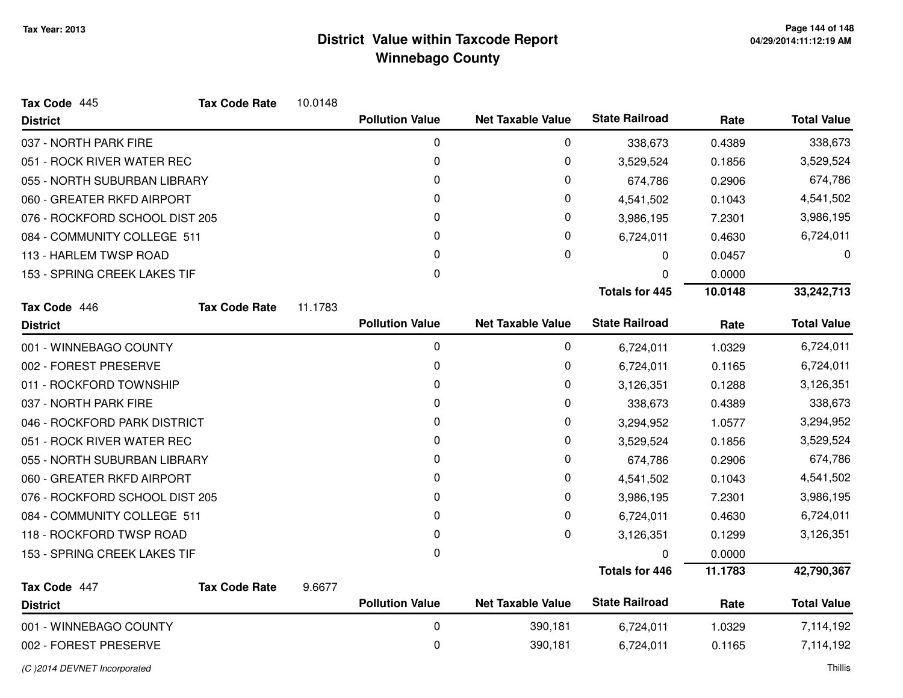| Tax Code 445                    | <b>Tax Code Rate</b> | 10.0148 |                        |                          |                       |         |                    |
|---------------------------------|----------------------|---------|------------------------|--------------------------|-----------------------|---------|--------------------|
| <b>District</b>                 |                      |         | <b>Pollution Value</b> | <b>Net Taxable Value</b> | <b>State Railroad</b> | Rate    | <b>Total Value</b> |
| 037 - NORTH PARK FIRE           |                      |         | 0                      | 0                        | 338,673               | 0.4389  | 338,673            |
| 051 - ROCK RIVER WATER REC      |                      |         | 0                      | 0                        | 3,529,524             | 0.1856  | 3,529,524          |
| 055 - NORTH SUBURBAN LIBRARY    |                      |         | 0                      | 0                        | 674,786               | 0.2906  | 674,786            |
| 060 - GREATER RKFD AIRPORT      |                      |         | 0                      | 0                        | 4,541,502             | 0.1043  | 4,541,502          |
| 076 - ROCKFORD SCHOOL DIST 205  |                      |         | 0                      | 0                        | 3,986,195             | 7.2301  | 3,986,195          |
| 084 - COMMUNITY COLLEGE 511     |                      |         | 0                      | 0                        | 6,724,011             | 0.4630  | 6,724,011          |
| 113 - HARLEM TWSP ROAD          |                      |         | 0                      | 0                        | $\Omega$              | 0.0457  | 0                  |
| 153 - SPRING CREEK LAKES TIF    |                      |         | 0                      |                          |                       | 0.0000  |                    |
|                                 |                      |         |                        |                          | <b>Totals for 445</b> | 10.0148 | 33,242,713         |
| Tax Code 446                    | <b>Tax Code Rate</b> | 11.1783 |                        |                          |                       |         |                    |
| <b>District</b>                 |                      |         | <b>Pollution Value</b> | <b>Net Taxable Value</b> | <b>State Railroad</b> | Rate    | <b>Total Value</b> |
| 001 - WINNEBAGO COUNTY          |                      |         | 0                      | 0                        | 6,724,011             | 1.0329  | 6,724,011          |
| 002 - FOREST PRESERVE           |                      |         | 0                      | 0                        | 6,724,011             | 0.1165  | 6,724,011          |
| 011 - ROCKFORD TOWNSHIP         |                      |         | 0                      | 0                        | 3,126,351             | 0.1288  | 3,126,351          |
| 037 - NORTH PARK FIRE           |                      |         | 0                      | 0                        | 338,673               | 0.4389  | 338,673            |
| 046 - ROCKFORD PARK DISTRICT    |                      |         | 0                      | 0                        | 3,294,952             | 1.0577  | 3,294,952          |
| 051 - ROCK RIVER WATER REC      |                      |         | 0                      | 0                        | 3,529,524             | 0.1856  | 3,529,524          |
| 055 - NORTH SUBURBAN LIBRARY    |                      |         | 0                      | 0                        | 674,786               | 0.2906  | 674,786            |
| 060 - GREATER RKFD AIRPORT      |                      |         | $\Omega$               | 0                        | 4,541,502             | 0.1043  | 4,541,502          |
| 076 - ROCKFORD SCHOOL DIST 205  |                      |         | 0                      | 0                        | 3,986,195             | 7.2301  | 3,986,195          |
| 084 - COMMUNITY COLLEGE 511     |                      |         | $\Omega$               | 0                        | 6,724,011             | 0.4630  | 6,724,011          |
| 118 - ROCKFORD TWSP ROAD        |                      |         | 0                      | 0                        | 3,126,351             | 0.1299  | 3,126,351          |
| 153 - SPRING CREEK LAKES TIF    |                      |         | 0                      |                          | $\Omega$              | 0.0000  |                    |
|                                 |                      |         |                        |                          | <b>Totals for 446</b> | 11.1783 | 42,790,367         |
| Tax Code 447<br><b>District</b> | <b>Tax Code Rate</b> | 9.6677  | <b>Pollution Value</b> | <b>Net Taxable Value</b> | <b>State Railroad</b> | Rate    | <b>Total Value</b> |
| 001 - WINNEBAGO COUNTY          |                      |         | $\mathbf 0$            | 390,181                  | 6,724,011             | 1.0329  | 7,114,192          |
| 002 - FOREST PRESERVE           |                      |         | $\mathbf 0$            | 390,181                  | 6,724,011             | 0.1165  | 7,114,192          |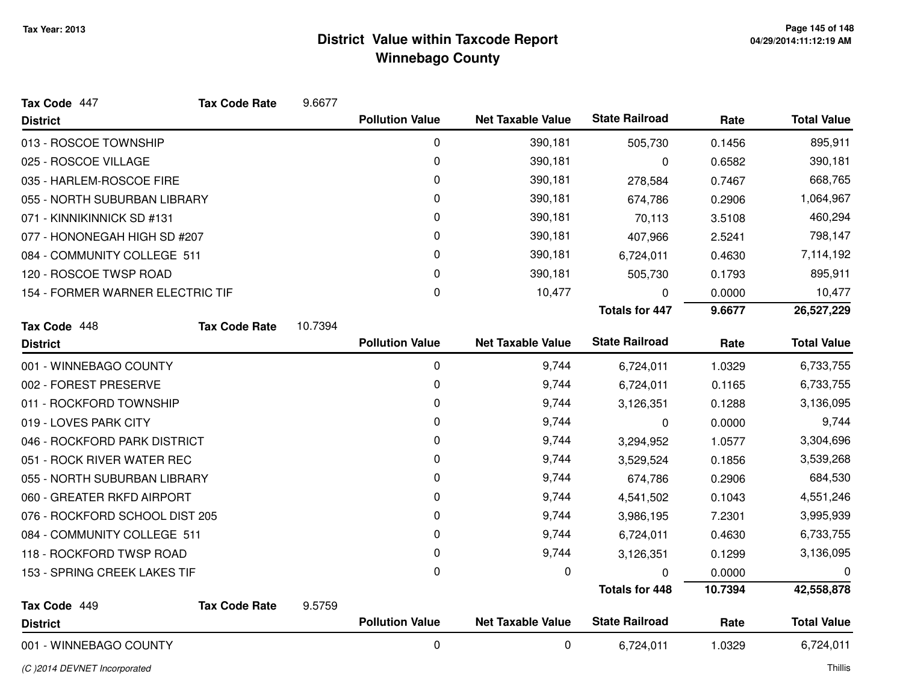| Tax Code 447                     | <b>Tax Code Rate</b> | 9.6677   |                        |                          |                       |           |                    |
|----------------------------------|----------------------|----------|------------------------|--------------------------|-----------------------|-----------|--------------------|
| <b>District</b>                  |                      |          | <b>Pollution Value</b> | <b>Net Taxable Value</b> | <b>State Railroad</b> | Rate      | <b>Total Value</b> |
| 013 - ROSCOE TOWNSHIP            |                      |          | 0                      | 390,181                  | 505,730               | 0.1456    | 895,911            |
| 025 - ROSCOE VILLAGE             |                      |          | 0                      | 390,181                  | 0                     | 0.6582    | 390,181            |
| 035 - HARLEM-ROSCOE FIRE         |                      |          | 0                      | 390,181                  | 278,584               | 0.7467    | 668,765            |
| 055 - NORTH SUBURBAN LIBRARY     |                      |          | 0                      | 390,181                  | 674,786               | 0.2906    | 1,064,967          |
| 071 - KINNIKINNICK SD #131       |                      |          | 0                      | 390,181                  | 70,113                | 3.5108    | 460,294            |
| 077 - HONONEGAH HIGH SD #207     |                      |          | 0                      | 390,181                  | 407,966               | 2.5241    | 798,147            |
| 084 - COMMUNITY COLLEGE 511      |                      |          | 0                      | 390,181                  | 6,724,011             | 0.4630    | 7,114,192          |
| 120 - ROSCOE TWSP ROAD           |                      |          | $\Omega$               | 390,181                  | 505,730               | 0.1793    | 895,911            |
| 154 - FORMER WARNER ELECTRIC TIF |                      | 0        | 10,477                 | 0                        | 0.0000                | 10,477    |                    |
|                                  |                      |          |                        |                          | <b>Totals for 447</b> | 9.6677    | 26,527,229         |
| Tax Code 448                     | <b>Tax Code Rate</b> | 10.7394  |                        |                          |                       |           |                    |
| <b>District</b>                  |                      |          | <b>Pollution Value</b> | <b>Net Taxable Value</b> | <b>State Railroad</b> | Rate      | <b>Total Value</b> |
| 001 - WINNEBAGO COUNTY           |                      |          | $\pmb{0}$              | 9,744                    | 6,724,011             | 1.0329    | 6,733,755          |
| 002 - FOREST PRESERVE            |                      |          | 0                      | 9,744                    | 6,724,011             | 0.1165    | 6,733,755          |
| 011 - ROCKFORD TOWNSHIP          |                      | 0        | 9,744                  | 3,126,351                | 0.1288                | 3,136,095 |                    |
| 019 - LOVES PARK CITY            |                      | $\Omega$ | 9,744                  | 0                        | 0.0000                | 9,744     |                    |
| 046 - ROCKFORD PARK DISTRICT     |                      |          | 0                      | 9,744                    | 3,294,952             | 1.0577    | 3,304,696          |
| 051 - ROCK RIVER WATER REC       |                      |          | 0                      | 9,744                    | 3,529,524             | 0.1856    | 3,539,268          |
| 055 - NORTH SUBURBAN LIBRARY     |                      |          | 0                      | 9,744                    | 674,786               | 0.2906    | 684,530            |
| 060 - GREATER RKFD AIRPORT       |                      |          | 0                      | 9,744                    | 4,541,502             | 0.1043    | 4,551,246          |
| 076 - ROCKFORD SCHOOL DIST 205   |                      |          | 0                      | 9,744                    | 3,986,195             | 7.2301    | 3,995,939          |
| 084 - COMMUNITY COLLEGE 511      |                      |          | 0                      | 9,744                    | 6,724,011             | 0.4630    | 6,733,755          |
| 118 - ROCKFORD TWSP ROAD         |                      |          | 0                      | 9,744                    | 3,126,351             | 0.1299    | 3,136,095          |
| 153 - SPRING CREEK LAKES TIF     |                      |          | 0                      | 0                        | U                     | 0.0000    | 0                  |
|                                  |                      |          |                        |                          | <b>Totals for 448</b> | 10.7394   | 42,558,878         |
| Tax Code 449                     | <b>Tax Code Rate</b> | 9.5759   |                        |                          |                       |           |                    |
| <b>District</b>                  |                      |          | <b>Pollution Value</b> | <b>Net Taxable Value</b> | <b>State Railroad</b> | Rate      | <b>Total Value</b> |
| 001 - WINNEBAGO COUNTY           |                      |          | $\pmb{0}$              | 0                        | 6,724,011             | 1.0329    | 6,724,011          |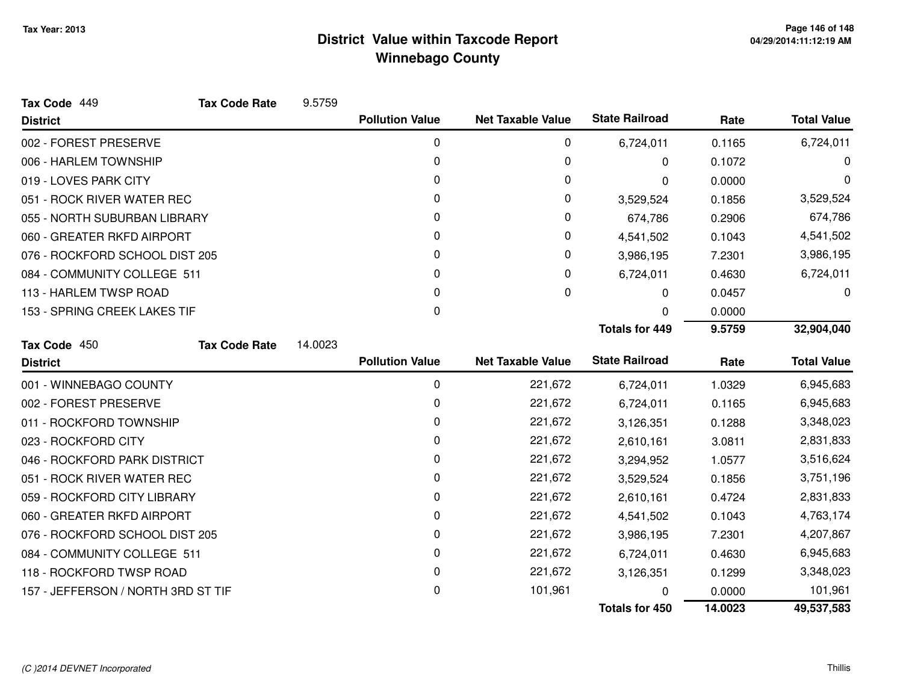| Tax Code 449                       | <b>Tax Code Rate</b> | 9.5759  |                        |                          |                       |           |                    |
|------------------------------------|----------------------|---------|------------------------|--------------------------|-----------------------|-----------|--------------------|
| <b>District</b>                    |                      |         | <b>Pollution Value</b> | <b>Net Taxable Value</b> | <b>State Railroad</b> | Rate      | <b>Total Value</b> |
| 002 - FOREST PRESERVE              |                      |         | 0                      | 0                        | 6,724,011             | 0.1165    | 6,724,011          |
| 006 - HARLEM TOWNSHIP              |                      |         | 0                      | 0                        | 0                     | 0.1072    | 0                  |
| 019 - LOVES PARK CITY              |                      |         | 0                      | 0                        | 0                     | 0.0000    | 0                  |
| 051 - ROCK RIVER WATER REC         |                      |         | 0                      | 0                        | 3,529,524             | 0.1856    | 3,529,524          |
| 055 - NORTH SUBURBAN LIBRARY       |                      |         | 0                      | 0                        | 674,786               | 0.2906    | 674,786            |
| 060 - GREATER RKFD AIRPORT         |                      |         | 0                      | 0                        | 4,541,502             | 0.1043    | 4,541,502          |
| 076 - ROCKFORD SCHOOL DIST 205     |                      |         | 0                      | 0                        | 3,986,195             | 7.2301    | 3,986,195          |
| 084 - COMMUNITY COLLEGE 511        |                      |         | 0                      | 0                        | 6,724,011             | 0.4630    | 6,724,011          |
| 113 - HARLEM TWSP ROAD             |                      |         | 0                      | 0                        | 0                     | 0.0457    | 0                  |
| 153 - SPRING CREEK LAKES TIF       |                      |         | 0                      |                          | 0                     | 0.0000    |                    |
|                                    |                      |         |                        |                          | <b>Totals for 449</b> | 9.5759    | 32,904,040         |
| Tax Code 450                       | <b>Tax Code Rate</b> | 14.0023 |                        |                          |                       |           |                    |
| <b>District</b>                    |                      |         | <b>Pollution Value</b> | <b>Net Taxable Value</b> | <b>State Railroad</b> | Rate      | <b>Total Value</b> |
| 001 - WINNEBAGO COUNTY             |                      |         | 0                      | 221,672                  | 6,724,011             | 1.0329    | 6,945,683          |
| 002 - FOREST PRESERVE              |                      |         | 0                      | 221,672                  | 6,724,011             | 0.1165    | 6,945,683          |
| 011 - ROCKFORD TOWNSHIP            |                      | 0       | 221,672                | 3,126,351                | 0.1288                | 3,348,023 |                    |
| 023 - ROCKFORD CITY                |                      | 0       | 221,672                | 2,610,161                | 3.0811                | 2,831,833 |                    |
| 046 - ROCKFORD PARK DISTRICT       |                      | 0       | 221,672                | 3,294,952                | 1.0577                | 3,516,624 |                    |
| 051 - ROCK RIVER WATER REC         |                      |         | 0                      | 221,672                  | 3,529,524             | 0.1856    | 3,751,196          |
| 059 - ROCKFORD CITY LIBRARY        |                      |         | 0                      | 221,672                  | 2,610,161             | 0.4724    | 2,831,833          |
| 060 - GREATER RKFD AIRPORT         |                      | 0       | 221,672                | 4,541,502                | 0.1043                | 4,763,174 |                    |
| 076 - ROCKFORD SCHOOL DIST 205     |                      | 0       | 221,672                | 3,986,195                | 7.2301                | 4,207,867 |                    |
| 084 - COMMUNITY COLLEGE 511        |                      | 0       | 221,672                | 6,724,011                | 0.4630                | 6,945,683 |                    |
| 118 - ROCKFORD TWSP ROAD           |                      | 0       | 221,672                | 3,126,351                | 0.1299                | 3,348,023 |                    |
| 157 - JEFFERSON / NORTH 3RD ST TIF |                      |         | 0                      | 101,961                  |                       | 0.0000    | 101,961            |
|                                    |                      |         |                        |                          | <b>Totals for 450</b> | 14.0023   | 49,537,583         |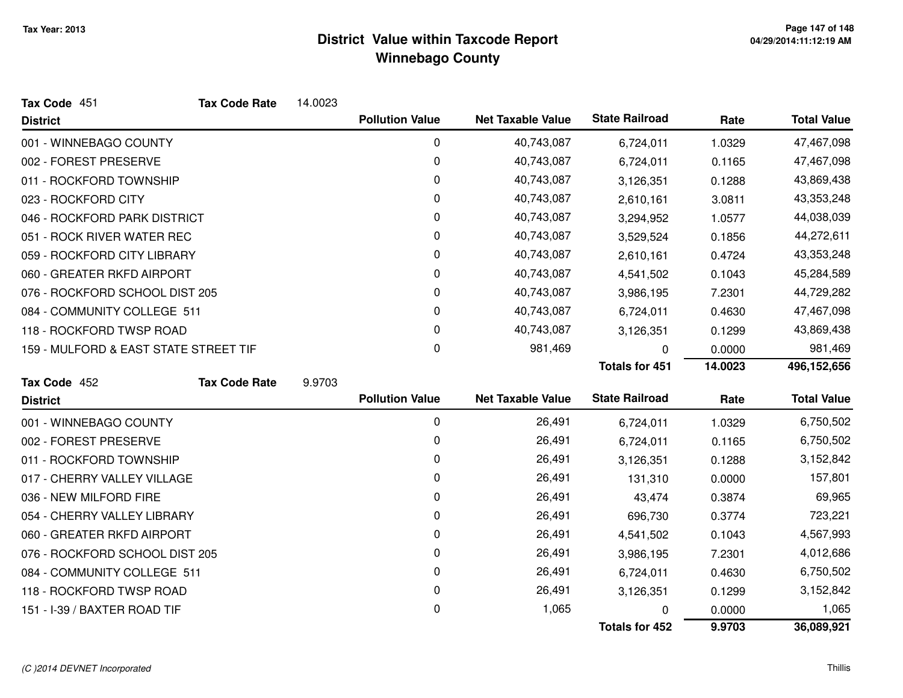| Tax Code 451                          | <b>Tax Code Rate</b> | 14.0023 |                        |                          |                       |           |                    |
|---------------------------------------|----------------------|---------|------------------------|--------------------------|-----------------------|-----------|--------------------|
| <b>District</b>                       |                      |         | <b>Pollution Value</b> | <b>Net Taxable Value</b> | <b>State Railroad</b> | Rate      | <b>Total Value</b> |
| 001 - WINNEBAGO COUNTY                |                      |         | 0                      | 40,743,087               | 6,724,011             | 1.0329    | 47,467,098         |
| 002 - FOREST PRESERVE                 |                      |         | 0                      | 40,743,087               | 6,724,011             | 0.1165    | 47,467,098         |
| 011 - ROCKFORD TOWNSHIP               |                      |         | 0                      | 40,743,087               | 3,126,351             | 0.1288    | 43,869,438         |
| 023 - ROCKFORD CITY                   |                      |         | 0                      | 40,743,087               | 2,610,161             | 3.0811    | 43,353,248         |
| 046 - ROCKFORD PARK DISTRICT          |                      |         | 0                      | 40,743,087               | 3,294,952             | 1.0577    | 44,038,039         |
| 051 - ROCK RIVER WATER REC            |                      |         | 0                      | 40,743,087               | 3,529,524             | 0.1856    | 44,272,611         |
| 059 - ROCKFORD CITY LIBRARY           |                      |         | 0                      | 40,743,087               | 2,610,161             | 0.4724    | 43,353,248         |
| 060 - GREATER RKFD AIRPORT            |                      |         | 0                      | 40,743,087               | 4,541,502             | 0.1043    | 45,284,589         |
| 076 - ROCKFORD SCHOOL DIST 205        |                      |         | 0                      | 40,743,087               | 3,986,195             | 7.2301    | 44,729,282         |
| 084 - COMMUNITY COLLEGE 511           |                      |         | 0                      | 40,743,087               | 6,724,011             | 0.4630    | 47,467,098         |
| 118 - ROCKFORD TWSP ROAD              |                      |         | 0                      | 40,743,087               | 3,126,351             | 0.1299    | 43,869,438         |
| 159 - MULFORD & EAST STATE STREET TIF |                      |         | 0                      | 981,469                  | 0                     | 0.0000    | 981,469            |
|                                       |                      |         |                        |                          | <b>Totals for 451</b> | 14.0023   | 496,152,656        |
| Tax Code 452                          | <b>Tax Code Rate</b> | 9.9703  |                        |                          |                       |           |                    |
| <b>District</b>                       |                      |         | <b>Pollution Value</b> | <b>Net Taxable Value</b> | <b>State Railroad</b> | Rate      | <b>Total Value</b> |
| 001 - WINNEBAGO COUNTY                |                      |         | 0                      | 26,491                   | 6,724,011             | 1.0329    | 6,750,502          |
| 002 - FOREST PRESERVE                 |                      | 0       | 26,491                 | 6,724,011                | 0.1165                | 6,750,502 |                    |
| 011 - ROCKFORD TOWNSHIP               |                      |         | 0                      | 26,491                   | 3,126,351             | 0.1288    | 3,152,842          |
| 017 - CHERRY VALLEY VILLAGE           |                      |         | 0                      | 26,491                   | 131,310               | 0.0000    | 157,801            |
| 036 - NEW MILFORD FIRE                |                      |         | 0                      | 26,491                   | 43,474                | 0.3874    | 69,965             |
| 054 - CHERRY VALLEY LIBRARY           |                      |         | 0                      | 26,491                   | 696,730               | 0.3774    | 723,221            |
| 060 - GREATER RKFD AIRPORT            |                      |         | 0                      | 26,491                   | 4,541,502             | 0.1043    | 4,567,993          |
| 076 - ROCKFORD SCHOOL DIST 205        |                      |         | 0                      | 26,491                   | 3,986,195             | 7.2301    | 4,012,686          |
| 084 - COMMUNITY COLLEGE 511           |                      |         | 0                      | 26,491                   | 6,724,011             | 0.4630    | 6,750,502          |
| 118 - ROCKFORD TWSP ROAD              |                      | 0       | 26,491                 | 3,126,351                | 0.1299                | 3,152,842 |                    |
| 151 - I-39 / BAXTER ROAD TIF          |                      |         | 0                      | 1,065                    | 0                     | 0.0000    | 1,065              |
|                                       |                      |         |                        |                          | <b>Totals for 452</b> | 9.9703    | 36,089,921         |